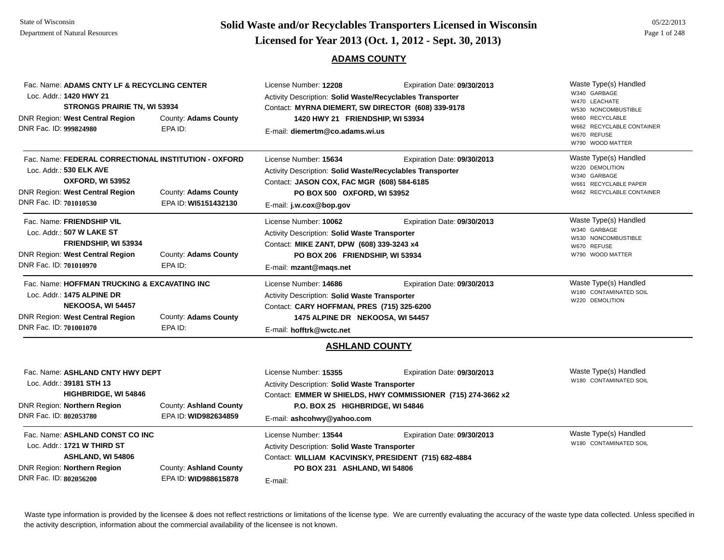# **Page 1 of 248 <b>Licensed for Year 2013 (Oct. 1, 2012 - Sept. 30, 2013) Page 1 of 248 Licensed for Year 2013 (Oct. 1, 2012 - Sept. 30, 2013)**

### **ADAMS COUNTY**

| DNR Fac. ID: 999824980 | Fac. Name: ADAMS CNTY LF & RECYCLING CENTER<br>Loc. Addr.: 1420 HWY 21<br>STRONGS PRAIRIE TN, WI 53934<br>DNR Region: West Central Region | County: Adams County<br>EPA ID:                | License Number: 12208<br>Activity Description: Solid Waste/Recyclables Transporter<br>Contact: MYRNA DIEMERT, SW DIRECTOR (608) 339-9178<br>1420 HWY 21 FRIENDSHIP, WI 53934<br>E-mail: diemertm@co.adams.wi.us | Expiration Date: 09/30/2013                                                                 | Waste Type(s) Handled<br>W340 GARBAGE<br>W470 LEACHATE<br>W530 NONCOMBUSTIBLE<br>W660 RECYCLABLE<br>W662 RECYCLABLE CONTAINER<br>W670 REFUSE<br>W790 WOOD MATTER |
|------------------------|-------------------------------------------------------------------------------------------------------------------------------------------|------------------------------------------------|-----------------------------------------------------------------------------------------------------------------------------------------------------------------------------------------------------------------|---------------------------------------------------------------------------------------------|------------------------------------------------------------------------------------------------------------------------------------------------------------------|
| DNR Fac. ID: 701010530 | Fac. Name: FEDERAL CORRECTIONAL INSTITUTION - OXFORD<br>Loc. Addr.: 530 ELK AVE<br>OXFORD, WI 53952<br>DNR Region: West Central Region    | County: Adams County<br>EPA ID: WI5151432130   | License Number: 15634<br>Activity Description: Solid Waste/Recyclables Transporter<br>Contact: JASON COX, FAC MGR (608) 584-6185<br>PO BOX 500 OXFORD, WI 53952<br>E-mail: j.w.cox@bop.gov                      | Expiration Date: 09/30/2013                                                                 | Waste Type(s) Handled<br>W220 DEMOLITION<br>W340 GARBAGE<br>W661 RECYCLABLE PAPER<br>W662 RECYCLABLE CONTAINER                                                   |
| DNR Fac. ID: 701010970 | Fac. Name: FRIENDSHIP VIL<br>Loc. Addr.: 507 W LAKE ST<br>FRIENDSHIP, WI 53934<br>DNR Region: West Central Region                         | County: Adams County<br>EPA ID:                | License Number: 10062<br>Activity Description: Solid Waste Transporter<br>Contact: MIKE ZANT, DPW (608) 339-3243 x4<br>PO BOX 206 FRIENDSHIP, WI 53934<br>E-mail: mzant@mags.net                                | Expiration Date: 09/30/2013                                                                 | Waste Type(s) Handled<br>W340 GARBAGE<br>W530 NONCOMBUSTIBLE<br>W670 REFUSE<br>W790 WOOD MATTER                                                                  |
| DNR Fac. ID: 701001070 | Fac. Name: HOFFMAN TRUCKING & EXCAVATING INC<br>Loc. Addr.: 1475 ALPINE DR<br>NEKOOSA, WI 54457<br>DNR Region: West Central Region        | County: Adams County<br>EPA ID:                | License Number: 14686<br><b>Activity Description: Solid Waste Transporter</b><br>Contact: CARY HOFFMAN, PRES (715) 325-6200<br>1475 ALPINE DR NEKOOSA, WI 54457<br>E-mail: hofftrk@wctc.net                     | Expiration Date: 09/30/2013                                                                 | Waste Type(s) Handled<br>W180 CONTAMINATED SOIL<br>W220 DEMOLITION                                                                                               |
|                        |                                                                                                                                           |                                                | <b>ASHLAND COUNTY</b>                                                                                                                                                                                           |                                                                                             |                                                                                                                                                                  |
| DNR Fac. ID: 802053780 | Fac. Name: ASHLAND CNTY HWY DEPT<br>Loc. Addr.: 39181 STH 13<br>HIGHBRIDGE, WI 54846<br>DNR Region: Northern Region                       | County: Ashland County<br>EPA ID: WID982634859 | License Number: 15355<br>Activity Description: Solid Waste Transporter<br>P.O. BOX 25 HIGHBRIDGE, WI 54846<br>E-mail: ashcohwy@yahoo.com                                                                        | Expiration Date: 09/30/2013<br>Contact: EMMER W SHIELDS, HWY COMMISSIONER (715) 274-3662 x2 | Waste Type(s) Handled<br>W180 CONTAMINATED SOIL                                                                                                                  |
| DNR Fac. ID: 802056200 | Fac. Name: ASHLAND CONST CO INC<br>Loc. Addr.: 1721 W THIRD ST<br>ASHLAND, WI 54806<br>DNR Region: Northern Region                        | County: Ashland County<br>EPA ID: WID988615878 | License Number: 13544<br>Activity Description: Solid Waste Transporter<br>Contact: WILLIAM KACVINSKY, PRESIDENT (715) 682-4884<br>PO BOX 231 ASHLAND, WI 54806<br>E-mail:                                       | Expiration Date: 09/30/2013                                                                 | Waste Type(s) Handled<br>W180 CONTAMINATED SOIL                                                                                                                  |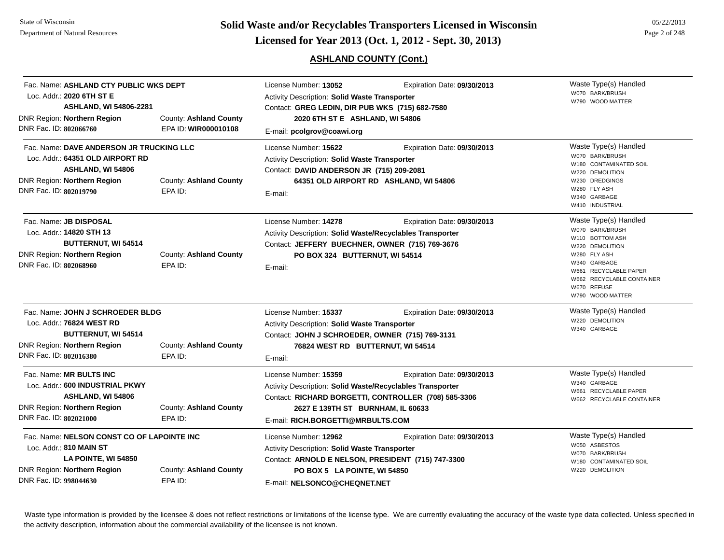**Solid Waste and/or Recyclables Transporters Licensed in Wisconsin<br>Licensed for Year 2013 (Oct. 1, 2012 - Sept. 30, 2013)** 

# **ASHLAND COUNTY (Cont.)**

| 05/22/2013    |
|---------------|
| Page 2 of 248 |

| Fac. Name: ASHLAND CTY PUBLIC WKS DEPT<br>Loc. Addr.: 2020 6TH ST E<br><b>ASHLAND, WI 54806-2281</b><br>DNR Region: Northern Region<br>DNR Fac. ID: 802066760                              | County: Ashland County<br>EPA ID: WIR000010108 | License Number: 13052<br>Expiration Date: 09/30/2013<br>Activity Description: Solid Waste Transporter<br>Contact: GREG LEDIN, DIR PUB WKS (715) 682-7580<br>2020 6TH ST E ASHLAND, WI 54806<br>E-mail: pcolgrov@coawi.org |                                                                                     | Waste Type(s) Handled<br>W070 BARK/BRUSH<br>W790 WOOD MATTER                                                                                                                                            |
|--------------------------------------------------------------------------------------------------------------------------------------------------------------------------------------------|------------------------------------------------|---------------------------------------------------------------------------------------------------------------------------------------------------------------------------------------------------------------------------|-------------------------------------------------------------------------------------|---------------------------------------------------------------------------------------------------------------------------------------------------------------------------------------------------------|
| Fac. Name: DAVE ANDERSON JR TRUCKING LLC<br>Loc. Addr.: 64351 OLD AIRPORT RD<br>ASHLAND, WI 54806<br><b>DNR Region: Northern Region</b><br>DNR Fac. ID: 802019790                          | County: Ashland County<br>EPA ID:              | License Number: 15622<br>Activity Description: Solid Waste Transporter<br>Contact: DAVID ANDERSON JR (715) 209-2081<br>E-mail:                                                                                            | Expiration Date: 09/30/2013<br>64351 OLD AIRPORT RD ASHLAND, WI 54806               | Waste Type(s) Handled<br>W070 BARK/BRUSH<br>W180 CONTAMINATED SOIL<br>W220 DEMOLITION<br>W230 DREDGINGS<br>W280 FLY ASH<br>W340 GARBAGE<br>W410 INDUSTRIAL                                              |
| Fac. Name: JB DISPOSAL<br>Loc. Addr.: 14820 STH 13<br><b>BUTTERNUT, WI 54514</b><br>DNR Region: Northern Region<br>DNR Fac. ID: 802068960                                                  | County: Ashland County<br>EPA ID:              | License Number: 14278<br>Activity Description: Solid Waste/Recyclables Transporter<br>Contact: JEFFERY BUECHNER, OWNER (715) 769-3676<br>PO BOX 324 BUTTERNUT, WI 54514<br>E-mail:                                        | Expiration Date: 09/30/2013                                                         | Waste Type(s) Handled<br>W070 BARK/BRUSH<br>W110 BOTTOM ASH<br>W220 DEMOLITION<br>W280 FLY ASH<br>W340 GARBAGE<br>W661 RECYCLABLE PAPER<br>W662 RECYCLABLE CONTAINER<br>W670 REFUSE<br>W790 WOOD MATTER |
| Fac. Name: JOHN J SCHROEDER BLDG<br>Loc. Addr.: 76824 WEST RD<br><b>BUTTERNUT, WI 54514</b><br>DNR Region: Northern Region<br>County: Ashland County<br>DNR Fac. ID: 802016380<br>EPA ID:  |                                                | License Number: 15337<br>Activity Description: Solid Waste Transporter<br>Contact: JOHN J SCHROEDER, OWNER (715) 769-3131<br>76824 WEST RD BUTTERNUT, WI 54514<br>E-mail:                                                 | Expiration Date: 09/30/2013                                                         | Waste Type(s) Handled<br>W220 DEMOLITION<br>W340 GARBAGE                                                                                                                                                |
| Fac. Name: MR BULTS INC<br>Loc. Addr.: 600 INDUSTRIAL PKWY<br>ASHLAND, WI 54806<br><b>DNR Region: Northern Region</b><br>DNR Fac. ID: 802021000                                            | County: Ashland County<br>EPA ID:              | License Number: 15359<br>Activity Description: Solid Waste/Recyclables Transporter<br>2627 E 139TH ST BURNHAM, IL 60633<br>E-mail: RICH.BORGETTI@MRBULTS.COM                                                              | Expiration Date: 09/30/2013<br>Contact: RICHARD BORGETTI, CONTROLLER (708) 585-3306 | Waste Type(s) Handled<br>W340 GARBAGE<br>W661 RECYCLABLE PAPER<br>W662 RECYCLABLE CONTAINER                                                                                                             |
| Fac. Name: NELSON CONST CO OF LAPOINTE INC<br>Loc. Addr.: 810 MAIN ST<br>LA POINTE, WI 54850<br>DNR Region: Northern Region<br>County: Ashland County<br>DNR Fac. ID: 998044630<br>EPA ID: |                                                | License Number: 12962<br>Activity Description: Solid Waste Transporter<br>Contact: ARNOLD E NELSON, PRESIDENT (715) 747-3300<br>PO BOX 5 LA POINTE, WI 54850<br>E-mail: NELSONCO@CHEQNET.NET                              | Expiration Date: 09/30/2013                                                         | Waste Type(s) Handled<br>W050 ASBESTOS<br>W070 BARK/BRUSH<br>W180 CONTAMINATED SOIL<br>W220 DEMOLITION                                                                                                  |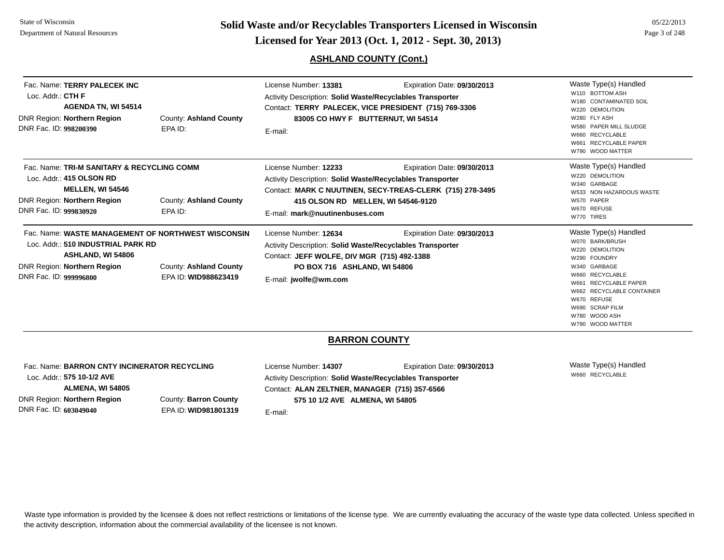DNR DNR

DNR DNR

DNR DNR **Page 3 of 248 <b>Licensed for Year 2013 (Oct. 1, 2012 - Sept. 30, 2013) Page 3 of 248 Licensed for Year 2013 (Oct. 1, 2012 - Sept. 30, 2013)** 

## **ASHLAND COUNTY (Cont.)**

| Fac. Name: TERRY PALECEK INC<br>Loc. Addr.: CTH F<br>AGENDA TN, WI 54514<br><b>NR Region: Northern Region</b><br>)NR Fac. ID: 998200390                                       | County: Ashland County<br>EPA ID:              | License Number: 13381<br><b>Activity Description: Solid Waste/Recyclables Transporter</b><br>Contact: TERRY PALECEK, VICE PRESIDENT (715) 769-3306<br>83005 CO HWY F BUTTERNUT, WI 54514<br>E-mail: | Expiration Date: 09/30/2013                                                              | Waste Type(s) Handled<br>W110 BOTTOM ASH<br>W180 CONTAMINATED SOIL<br>W220 DEMOLITION<br>W280 FLY ASH<br>W580 PAPER MILL SLUDGE<br>W660 RECYCLABLE<br>W661 RECYCLABLE PAPER<br>W790 WOOD MATTER        |
|-------------------------------------------------------------------------------------------------------------------------------------------------------------------------------|------------------------------------------------|-----------------------------------------------------------------------------------------------------------------------------------------------------------------------------------------------------|------------------------------------------------------------------------------------------|--------------------------------------------------------------------------------------------------------------------------------------------------------------------------------------------------------|
| Fac. Name: TRI-M SANITARY & RECYCLING COMM<br>Loc. Addr.: 415 OLSON RD<br><b>MELLEN, WI 54546</b><br><b>NR Region: Northern Region</b><br>)NR Fac. ID: 999830920              | County: Ashland County<br>EPA ID:              | License Number: 12233<br>Activity Description: Solid Waste/Recyclables Transporter<br>415 OLSON RD MELLEN, WI 54546-9120<br>E-mail: mark@nuutinenbuses.com                                          | Expiration Date: 09/30/2013<br>Contact: MARK C NUUTINEN, SECY-TREAS-CLERK (715) 278-3495 | Waste Type(s) Handled<br>W220 DEMOLITION<br>W340 GARBAGE<br>W533 NON HAZARDOUS WASTE<br>W570 PAPER<br>W670 REFUSE<br>W770 TIRES                                                                        |
| Fac. Name: WASTE MANAGEMENT OF NORTHWEST WISCONSIN<br>Loc. Addr.: 510 INDUSTRIAL PARK RD<br>ASHLAND, WI 54806<br>DNR Region: <b>Northern Region</b><br>)NR Fac. ID: 999996800 | County: Ashland County<br>EPA ID: WID988623419 | License Number: 12634<br>Activity Description: Solid Waste/Recyclables Transporter<br>Contact: JEFF WOLFE, DIV MGR (715) 492-1388<br>PO BOX 716 ASHLAND, WI 54806<br>E-mail: jwolfe@wm.com          | Expiration Date: 09/30/2013                                                              | Waste Type(s) Handled<br>W070 BARK/BRUSH<br>W220 DEMOLITION<br>W290 FOUNDRY<br>W340 GARBAGE<br>W660 RECYCLABLE<br>W661 RECYCLABLE PAPER<br>W662 RECYCLABLE CONTAINER<br>W670 REFUSE<br>W690 SCRAP FILM |

## **BARRON COUNTY**

Fac. Name: **BARRON CNTY INCINERATOR RECYCLING**Loc. Addr.: **575 10-1/2 AVEALMENA, WI 54805** DNR Region: **Northern Region** DNR Fac. ID: **603049040**County: **Barron County** EPA ID: **WID981801319**

License Number: **14307** Expiration Date: **09/30/2013**  Activity Description: **Solid Waste/Recyclables Transporter** Contact: **ALAN ZELTNER, MANAGER (715) 357-6566 575 10 1/2 AVE ALMENA, WI 54805**

E-mail:

Waste Type(s) Handled W660 RECYCLABLE

W780 WOOD ASHW790 WOOD MATTER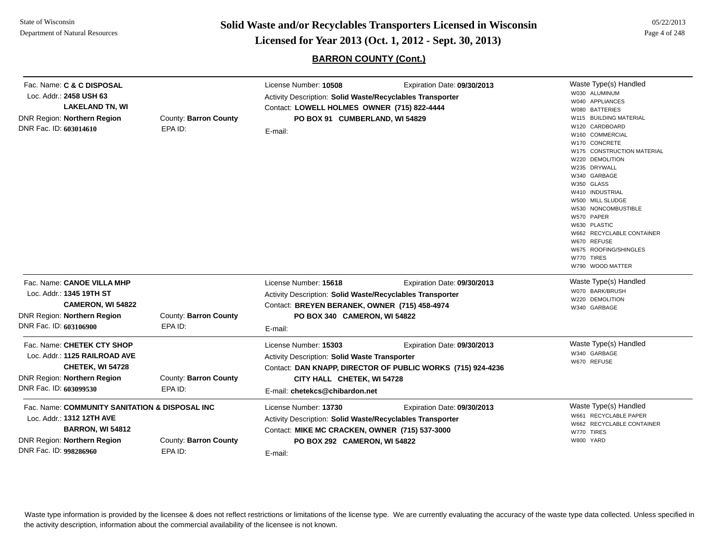**Page 4 of 248 <b>Licensed for Year 2013 (Oct. 1, 2012 - Sept. 30, 2013) Page 4 of 248 Licensed for Year 2013 (Oct. 1, 2012 - Sept. 30, 2013)** 

# **BARRON COUNTY (Cont.)**

| Fac. Name: C & C DISPOSAL                            |                       | License Number: 10508                                            | Waste Type(s) Handled                                       |                                           |
|------------------------------------------------------|-----------------------|------------------------------------------------------------------|-------------------------------------------------------------|-------------------------------------------|
| Loc. Addr.: 2458 USH 63                              |                       | <b>Activity Description: Solid Waste/Recyclables Transporter</b> |                                                             | W030 ALUMINUM                             |
| <b>LAKELAND TN, WI</b>                               |                       | Contact: LOWELL HOLMES OWNER (715) 822-4444                      | W040 APPLIANCES<br>W080 BATTERIES                           |                                           |
| DNR Region: Northern Region                          | County: Barron County | PO BOX 91 CUMBERLAND, WI 54829                                   | W115 BUILDING MATERIAL                                      |                                           |
| DNR Fac. ID: 603014610                               | EPA ID:               |                                                                  |                                                             | W120 CARDBOARD                            |
|                                                      |                       | E-mail:                                                          |                                                             | W160 COMMERCIAL                           |
|                                                      |                       |                                                                  |                                                             | W170 CONCRETE                             |
|                                                      |                       |                                                                  |                                                             | W175 CONSTRUCTION MATERIAL                |
|                                                      |                       |                                                                  |                                                             | W220 DEMOLITION                           |
|                                                      |                       |                                                                  |                                                             | W235 DRYWALL<br>W340 GARBAGE              |
|                                                      |                       |                                                                  |                                                             | W350 GLASS                                |
|                                                      |                       |                                                                  |                                                             | W410 INDUSTRIAL                           |
|                                                      |                       |                                                                  |                                                             | W500 MILL SLUDGE                          |
|                                                      |                       |                                                                  |                                                             | W530 NONCOMBUSTIBLE                       |
|                                                      |                       |                                                                  |                                                             | W570 PAPER                                |
|                                                      |                       |                                                                  |                                                             | W630 PLASTIC<br>W662 RECYCLABLE CONTAINER |
|                                                      |                       |                                                                  |                                                             | W670 REFUSE                               |
|                                                      |                       |                                                                  |                                                             | W675 ROOFING/SHINGLES                     |
|                                                      |                       |                                                                  |                                                             | W770 TIRES                                |
|                                                      |                       |                                                                  |                                                             | W790 WOOD MATTER                          |
| Fac. Name: CANOE VILLA MHP                           |                       | License Number: 15618                                            | Expiration Date: 09/30/2013                                 | Waste Type(s) Handled                     |
| Loc. Addr.: 1345 19TH ST                             |                       | Activity Description: Solid Waste/Recyclables Transporter        |                                                             | W070 BARK/BRUSH<br>W220 DEMOLITION        |
| <b>CAMERON, WI 54822</b>                             |                       | Contact: BREYEN BERANEK, OWNER (715) 458-4974                    | W340 GARBAGE                                                |                                           |
| <b>DNR Region: Northern Region</b>                   | County: Barron County | PO BOX 340 CAMERON, WI 54822                                     |                                                             |                                           |
| DNR Fac. ID: 603106900                               | EPA ID:               | E-mail:                                                          |                                                             |                                           |
| Fac. Name: CHETEK CTY SHOP                           |                       | License Number: 15303                                            | Expiration Date: 09/30/2013                                 | Waste Type(s) Handled                     |
| Loc. Addr.: 1125 RAILROAD AVE                        |                       | <b>Activity Description: Solid Waste Transporter</b>             |                                                             | W340 GARBAGE                              |
| <b>CHETEK, WI 54728</b>                              |                       |                                                                  | Contact: DAN KNAPP, DIRECTOR OF PUBLIC WORKS (715) 924-4236 | W670 REFUSE                               |
| DNR Region: Northern Region                          | County: Barron County | CITY HALL CHETEK, WI 54728                                       |                                                             |                                           |
| DNR Fac. ID: 603099530                               | EPA ID:               | E-mail: chetekcs@chibardon.net                                   |                                                             |                                           |
| Fac. Name: COMMUNITY SANITATION & DISPOSAL INC       |                       | License Number: 13730                                            | Expiration Date: 09/30/2013                                 | Waste Type(s) Handled                     |
| Loc. Addr.: 1312 12TH AVE<br><b>BARRON, WI 54812</b> |                       | Activity Description: Solid Waste/Recyclables Transporter        | W661 RECYCLABLE PAPER                                       |                                           |
|                                                      |                       | Contact: MIKE MC CRACKEN, OWNER (715) 537-3000                   | W662 RECYCLABLE CONTAINER<br>W770 TIRES                     |                                           |
| <b>DNR Region: Northern Region</b>                   | County: Barron County | PO BOX 292 CAMERON, WI 54822                                     |                                                             | W800 YARD                                 |
| DNR Fac. ID: 998286960                               | EPA ID:               | E-mail:                                                          |                                                             |                                           |
|                                                      |                       |                                                                  |                                                             |                                           |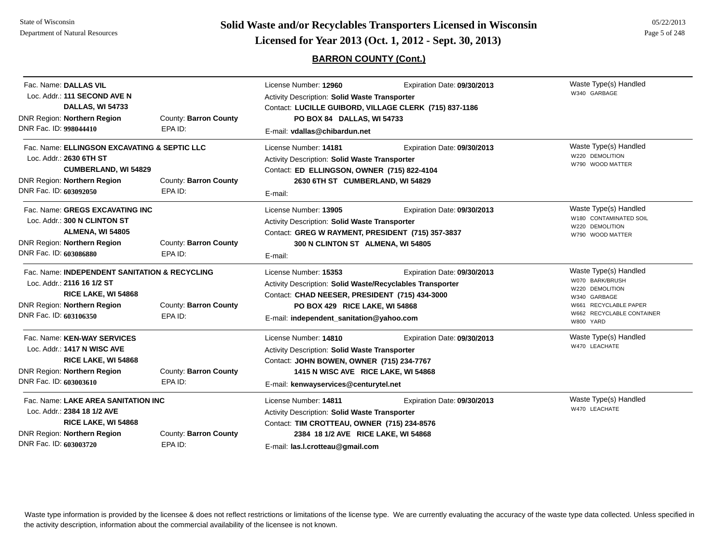# **Page 5 of 248 <b>Licensed for Year 2013 (Oct. 1, 2012 - Sept. 30, 2013) Page 5 of 248 Licensed for Year 2013 (Oct. 1, 2012 - Sept. 30, 2013)**

## **BARRON COUNTY (Cont.)**

| Fac. Name: DALLAS VIL<br>Loc. Addr.: 111 SECOND AVE N<br><b>DALLAS, WI 54733</b>                                                                               |                                  | License Number: 12960<br><b>Activity Description: Solid Waste Transporter</b><br>Contact: LUCILLE GUIBORD, VILLAGE CLERK (715) 837-1186                                                                                   | Waste Type(s) Handled<br>W340 GARBAGE |                                                                                                                                                |
|----------------------------------------------------------------------------------------------------------------------------------------------------------------|----------------------------------|---------------------------------------------------------------------------------------------------------------------------------------------------------------------------------------------------------------------------|---------------------------------------|------------------------------------------------------------------------------------------------------------------------------------------------|
| DNR Region: Northern Region<br>DNR Fac. ID: 998044410                                                                                                          | County: Barron County<br>EPA ID: | PO BOX 84 DALLAS, WI 54733<br>E-mail: vdallas@chibardun.net                                                                                                                                                               |                                       |                                                                                                                                                |
| Fac. Name: ELLINGSON EXCAVATING & SEPTIC LLC<br>Loc. Addr.: 2630 6TH ST<br><b>CUMBERLAND, WI 54829</b><br>DNR Region: Northern Region<br>County: Barron County |                                  | License Number: 14181<br><b>Activity Description: Solid Waste Transporter</b><br>Contact: ED ELLINGSON, OWNER (715) 822-4104<br>2630 6TH ST CUMBERLAND, WI 54829                                                          | Expiration Date: 09/30/2013           | Waste Type(s) Handled<br>W220 DEMOLITION<br>W790 WOOD MATTER                                                                                   |
| DNR Fac. ID: 603092050                                                                                                                                         | EPA ID:                          | E-mail:                                                                                                                                                                                                                   |                                       |                                                                                                                                                |
| Fac. Name: GREGS EXCAVATING INC<br>Loc. Addr.: 300 N CLINTON ST<br>ALMENA, WI 54805<br>DNR Region: Northern Region                                             | County: Barron County            | License Number: 13905<br><b>Activity Description: Solid Waste Transporter</b><br>Contact: GREG W RAYMENT, PRESIDENT (715) 357-3837<br>300 N CLINTON ST ALMENA, WI 54805                                                   | Expiration Date: 09/30/2013           | Waste Type(s) Handled<br>W180 CONTAMINATED SOIL<br>W220 DEMOLITION<br>W790 WOOD MATTER                                                         |
| DNR Fac. ID: 603086880                                                                                                                                         | EPA ID:                          | E-mail:                                                                                                                                                                                                                   |                                       |                                                                                                                                                |
| Fac. Name: INDEPENDENT SANITATION & RECYCLING<br>Loc. Addr.: 2116 16 1/2 ST<br>RICE LAKE, WI 54868<br>DNR Region: Northern Region<br>DNR Fac. ID: 603106350    | County: Barron County<br>EPA ID: | License Number: 15353<br><b>Activity Description: Solid Waste/Recyclables Transporter</b><br>Contact: CHAD NEESER, PRESIDENT (715) 434-3000<br>PO BOX 429 RICE LAKE, WI 54868<br>E-mail: independent_sanitation@yahoo.com | Expiration Date: 09/30/2013           | Waste Type(s) Handled<br>W070 BARK/BRUSH<br>W220 DEMOLITION<br>W340 GARBAGE<br>W661 RECYCLABLE PAPER<br>W662 RECYCLABLE CONTAINER<br>W800 YARD |
| Fac. Name: KEN-WAY SERVICES<br>Loc. Addr.: 1417 N WISC AVE<br>RICE LAKE, WI 54868<br>DNR Region: Northern Region<br>DNR Fac. ID: 603003610                     | County: Barron County<br>EPA ID: | License Number: 14810<br>Activity Description: Solid Waste Transporter<br>Contact: JOHN BOWEN, OWNER (715) 234-7767<br>1415 N WISC AVE RICE LAKE, WI 54868<br>E-mail: kenwayservices@centurytel.net                       | Expiration Date: 09/30/2013           | Waste Type(s) Handled<br>W470 LEACHATE                                                                                                         |
| Fac. Name: LAKE AREA SANITATION INC<br>Loc. Addr.: 2384 18 1/2 AVE<br>RICE LAKE, WI 54868<br>DNR Region: Northern Region<br>DNR Fac. ID: 603003720             | County: Barron County<br>EPA ID: | License Number: 14811<br>Activity Description: Solid Waste Transporter<br>Contact: TIM CROTTEAU, OWNER (715) 234-8576<br>2384 18 1/2 AVE RICE LAKE, WI 54868<br>E-mail: las.l.crotteau@gmail.com                          | Expiration Date: 09/30/2013           | Waste Type(s) Handled<br>W470 LEACHATE                                                                                                         |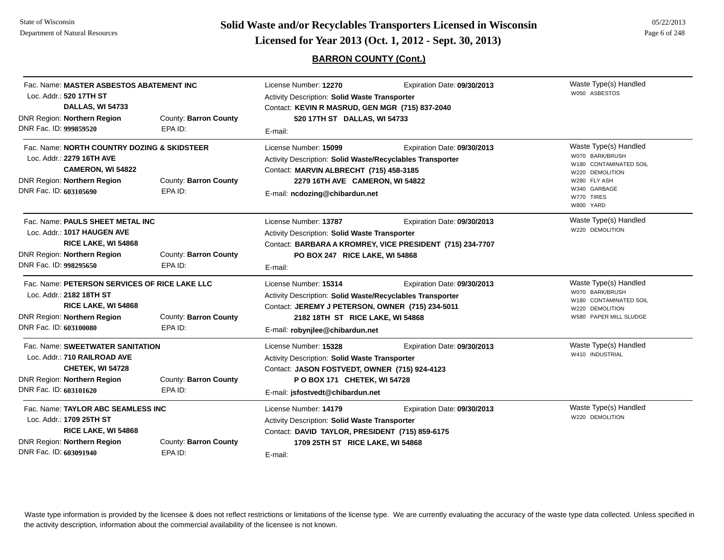**Page 6 of 248 <b>Licensed for Year 2013 (Oct. 1, 2012 - Sept. 30, 2013) Page 6 of 248 Licensed for Year 2013 (Oct. 1, 2012 - Sept. 30, 2013)** 

**BARRON COUNTY (Cont.)**

| Fac. Name: MASTER ASBESTOS ABATEMENT INC<br>Loc. Addr.: 520 17TH ST<br>DALLAS, WI 54733                                                                                                       |                                  | License Number: 12270<br>Expiration Date: 09/30/2013<br>Activity Description: Solid Waste Transporter<br>Contact: KEVIN R MASRUD, GEN MGR (715) 837-2040                                                               |                             | Waste Type(s) Handled<br>W050 ASBESTOS                                                                                                           |
|-----------------------------------------------------------------------------------------------------------------------------------------------------------------------------------------------|----------------------------------|------------------------------------------------------------------------------------------------------------------------------------------------------------------------------------------------------------------------|-----------------------------|--------------------------------------------------------------------------------------------------------------------------------------------------|
| <b>DNR Region: Northern Region</b><br>DNR Fac. ID: 999859520                                                                                                                                  | County: Barron County<br>EPA ID: | 520 17TH ST DALLAS, WI 54733<br>E-mail:                                                                                                                                                                                |                             |                                                                                                                                                  |
| Fac. Name: NORTH COUNTRY DOZING & SKIDSTEER<br>Loc. Addr.: 2279 16TH AVE<br>CAMERON, WI 54822<br><b>DNR Region: Northern Region</b><br>DNR Fac. ID: 603105690                                 | County: Barron County<br>EPA ID: | License Number: 15099<br>Activity Description: Solid Waste/Recyclables Transporter<br>Contact: MARVIN ALBRECHT (715) 458-3185<br>2279 16TH AVE CAMERON, WI 54822<br>E-mail: ncdozing@chibardun.net                     | Expiration Date: 09/30/2013 | Waste Type(s) Handled<br>W070 BARK/BRUSH<br>W180 CONTAMINATED SOIL<br>W220 DEMOLITION<br>W280 FLY ASH<br>W340 GARBAGE<br>W770 TIRES<br>W800 YARD |
| Fac. Name: PAULS SHEET METAL INC<br>Loc. Addr.: 1017 HAUGEN AVE<br>RICE LAKE, WI 54868<br><b>DNR Region: Northern Region</b><br>County: Barron County<br>DNR Fac. ID: 998295650<br>EPA ID:    |                                  | License Number: 13787<br>Expiration Date: 09/30/2013<br><b>Activity Description: Solid Waste Transporter</b><br>Contact: BARBARA A KROMREY, VICE PRESIDENT (715) 234-7707<br>PO BOX 247 RICE LAKE, WI 54868<br>E-mail: |                             | Waste Type(s) Handled<br>W220 DEMOLITION                                                                                                         |
| Fac. Name: PETERSON SERVICES OF RICE LAKE LLC<br>Loc. Addr.: 2182 18TH ST<br>RICE LAKE, WI 54868<br>DNR Region: Northern Region<br>County: Barron County<br>DNR Fac. ID: 603100080<br>EPA ID: |                                  | License Number: 15314<br>Activity Description: Solid Waste/Recyclables Transporter<br>Contact: JEREMY J PETERSON, OWNER (715) 234-5011<br>2182 18TH ST RICE LAKE, WI 54868<br>E-mail: robynjlee@chibardun.net          | Expiration Date: 09/30/2013 | Waste Type(s) Handled<br>W070 BARK/BRUSH<br>W180 CONTAMINATED SOIL<br>W220 DEMOLITION<br>W580 PAPER MILL SLUDGE                                  |
| Fac. Name: SWEETWATER SANITATION<br>Loc. Addr.: 710 RAILROAD AVE<br>CHETEK, WI 54728<br><b>DNR Region: Northern Region</b><br>DNR Fac. ID: 603101620                                          | County: Barron County<br>EPA ID: | License Number: 15328<br>Activity Description: Solid Waste Transporter<br>Contact: JASON FOSTVEDT, OWNER (715) 924-4123<br>P O BOX 171 CHETEK, WI 54728<br>E-mail: jsfostvedt@chibardun.net                            | Expiration Date: 09/30/2013 | Waste Type(s) Handled<br>W410 INDUSTRIAL                                                                                                         |
| Fac. Name: TAYLOR ABC SEAMLESS INC<br>Loc. Addr.: 1709 25TH ST<br>RICE LAKE, WI 54868<br><b>DNR Region: Northern Region</b><br>County: Barron County<br>DNR Fac. ID: 603091940<br>EPA ID:     |                                  | License Number: 14179<br><b>Activity Description: Solid Waste Transporter</b><br>Contact: DAVID TAYLOR, PRESIDENT (715) 859-6175<br>1709 25TH ST RICE LAKE, WI 54868<br>E-mail:                                        | Expiration Date: 09/30/2013 | Waste Type(s) Handled<br>W220 DEMOLITION                                                                                                         |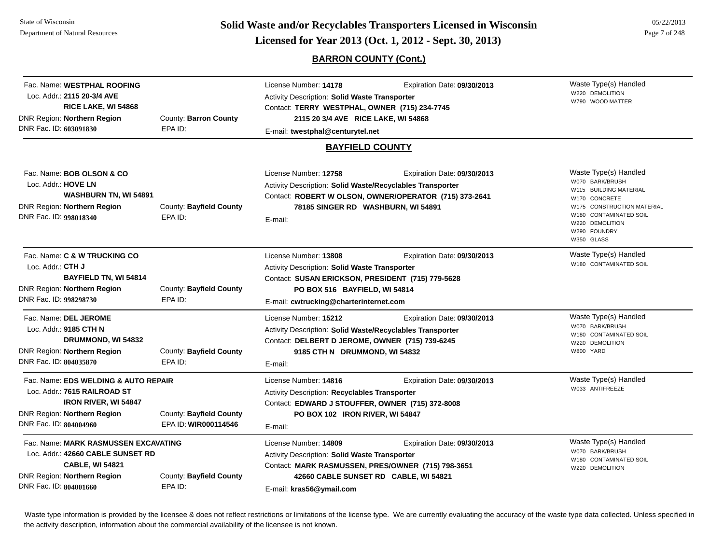**Page 7 of 248 <b>Licensed for Year 2013 (Oct. 1, 2012 - Sept. 30, 2013) Example 1 Licensed for Year 2013 (Oct. 1, 2012 - Sept. 30, 2013) Page 7 of 248** 

### **BARRON COUNTY (Cont.)**

Waste Type(s) Handled W220 DEMOLITIONW790 WOOD MATTERFac. Name: **WESTPHAL ROOFING**Loc. Addr.: **2115 20-3/4 AVERICE LAKE, WI 54868** DNR Region: **Northern Region** DNR Fac. ID: **603091830**County: **Barron County** EPA ID:License Number: **14178** Expiration Date: **09/30/2013**  Activity Description: **Solid Waste Transporter** Contact: **TERRY WESTPHAL, OWNER (715) 234-7745** E-mail: **twestphal@centurytel.net 2115 20 3/4 AVE RICE LAKE, WI 54868 BAYFIELD COUNTY**Waste Type(s) Handled W070 BARK/BRUSHW115 BUILDING MATERIALW170 CONCRETEW175 CONSTRUCTION MATERIALW180 CONTAMINATED SOILW220 DEMOLITIONW290 FOUNDRYW350 GLASSFac. Name: **BOB OLSON & CO**Loc. Addr.: **HOVE LNWASHBURN TN, WI 54891** DNR Region: **Northern Region** DNR Fac. ID: **998018340**County: **Bayfield County** EPA ID:License Number: **12758** Expiration Date: **09/30/2013**  Activity Description: **Solid Waste/Recyclables Transporter** Contact: **ROBERT W OLSON, OWNER/OPERATOR (715) 373-2641** E-mail: **78185 SINGER RD WASHBURN, WI 54891** Waste Type(s) Handled W180 CONTAMINATED SOILFac. Name: **C & W TRUCKING CO**Loc. Addr.: **CTH JBAYFIELD TN, WI 54814** DNR Region: **Northern Region** DNR Fac. ID: **998298730**County: **Bayfield County** EPA ID:License Number: **13808** Expiration Date: **09/30/2013**  Activity Description: **Solid Waste Transporter** Contact: **SUSAN ERICKSON, PRESIDENT (715) 779-5628** E-mail: **cwtrucking@charterinternet.com PO BOX 516 BAYFIELD, WI 54814** Waste Type(s) Handled W070 BARK/BRUSHW180 CONTAMINATED SOILW220 DEMOLITIONW800 YARDFac. Name: **DEL JEROME**Loc. Addr.: **9185 CTH NDRUMMOND, WI 54832** DNR Region: **Northern Region** DNR Fac. ID: **804035870**County: **Bayfield County** EPA ID:License Number: **15212** Expiration Date: **09/30/2013**  Activity Description: **Solid Waste/Recyclables Transporter** Contact: **DELBERT D JEROME, OWNER (715) 739-6245** E-mail: **9185 CTH N DRUMMOND, WI 54832** Waste Type(s) Handled W033 ANTIFREEZEFac. Name: **EDS WELDING & AUTO REPAIR**Loc. Addr.: **7615 RAILROAD STIRON RIVER, WI 54847** DNR Region: **Northern Region** DNR Fac. ID: **804004960**County: **Bayfield County** EPA ID: **WIR000114546**License Number: **14816** Expiration Date: **09/30/2013**  Activity Description: **Recyclables Transporter** Contact: **EDWARD J STOUFFER, OWNER (715) 372-8008** E-mail: **PO BOX 102 IRON RIVER, WI 54847** Waste Type(s) Handled W070 BARK/BRUSHW180 CONTAMINATED SOILW220 DEMOLITIONFac. Name: **MARK RASMUSSEN EXCAVATING**Loc. Addr.: **42660 CABLE SUNSET RDCABLE, WI 54821** DNR Region: **Northern Region** DNR Fac. ID: **804001660**County: **Bayfield County** EPA ID:License Number: **14809** Expiration Date: **09/30/2013**  Activity Description: **Solid Waste Transporter** Contact: **MARK RASMUSSEN, PRES/OWNER (715) 798-3651** E-mail: **kras56@ymail.com 42660 CABLE SUNSET RD CABLE, WI 54821**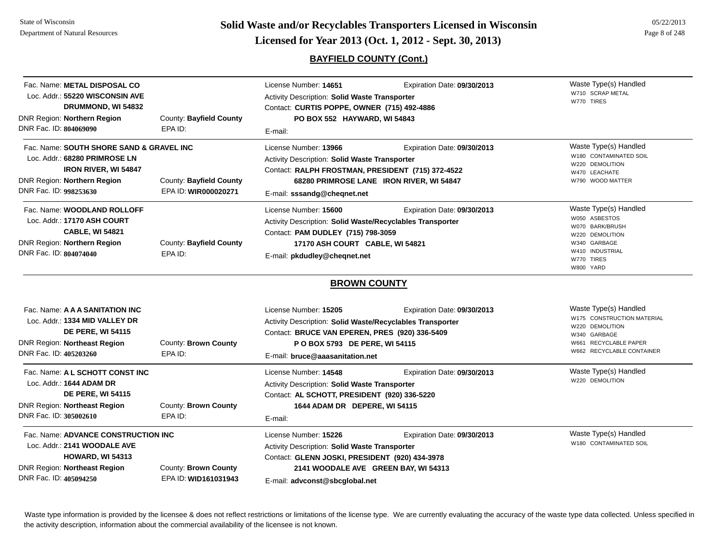**Page 8 of 248 <b>Licensed for Year 2013 (Oct. 1, 2012 - Sept. 30, 2013) Page 8 of 248 Licensed for Year 2013 (Oct. 1, 2012 - Sept. 30, 2013)** 

# **BAYFIELD COUNTY (Cont.)**

| Fac. Name: METAL DISPOSAL CO<br>Loc. Addr.: 55220 WISCONSIN AVE<br>DRUMMOND, WI 54832<br>DNR Region: Northern Region<br>DNR Fac. ID: 804069090                    | County: Bayfield County<br>EPA ID:              | License Number: 14651<br><b>Activity Description: Solid Waste Transporter</b><br>Contact: CURTIS POPPE, OWNER (715) 492-4886<br>PO BOX 552 HAYWARD, WI 54843<br>E-mail:                                   | Expiration Date: 09/30/2013                                             | Waste Type(s) Handled<br>W710 SCRAP METAL<br>W770 TIRES                                                                                      |
|-------------------------------------------------------------------------------------------------------------------------------------------------------------------|-------------------------------------------------|-----------------------------------------------------------------------------------------------------------------------------------------------------------------------------------------------------------|-------------------------------------------------------------------------|----------------------------------------------------------------------------------------------------------------------------------------------|
| Fac. Name: SOUTH SHORE SAND & GRAVEL INC<br>Loc. Addr.: 68280 PRIMROSE LN<br><b>IRON RIVER, WI 54847</b><br>DNR Region: Northern Region<br>DNR Fac. ID: 998253630 | County: Bayfield County<br>EPA ID: WIR000020271 | License Number: 13966<br><b>Activity Description: Solid Waste Transporter</b><br>Contact: RALPH FROSTMAN, PRESIDENT (715) 372-4522<br>E-mail: sssandg@cheqnet.net                                         | Expiration Date: 09/30/2013<br>68280 PRIMROSE LANE IRON RIVER, WI 54847 | Waste Type(s) Handled<br>W180 CONTAMINATED SOIL<br>W220 DEMOLITION<br>W470 LEACHATE<br>W790 WOOD MATTER                                      |
| Fac. Name: WOODLAND ROLLOFF<br>Loc. Addr.: 17170 ASH COURT<br><b>CABLE, WI 54821</b><br>DNR Region: Northern Region<br>DNR Fac. ID: 804074040                     | County: Bayfield County<br>EPA ID:              | License Number: 15600<br>Activity Description: Solid Waste/Recyclables Transporter<br>Contact: PAM DUDLEY (715) 798-3059<br>17170 ASH COURT CABLE, WI 54821<br>E-mail: pkdudley@cheqnet.net               | Expiration Date: 09/30/2013                                             | Waste Type(s) Handled<br>W050 ASBESTOS<br>W070 BARK/BRUSH<br>W220 DEMOLITION<br>W340 GARBAGE<br>W410 INDUSTRIAL<br>W770 TIRES<br>W800 YARD   |
|                                                                                                                                                                   |                                                 | <b>BROWN COUNTY</b>                                                                                                                                                                                       |                                                                         |                                                                                                                                              |
| Fac. Name: A A A SANITATION INC<br>Loc. Addr.: 1334 MID VALLEY DR<br><b>DE PERE, WI 54115</b><br><b>DNR Region: Northeast Region</b><br>DNR Fac. ID: 405203260    | County: Brown County<br>EPA ID:                 | License Number: 15205<br>Activity Description: Solid Waste/Recyclables Transporter<br>Contact: BRUCE VAN EPEREN, PRES (920) 336-5409<br>P O BOX 5793 DE PERE, WI 54115<br>E-mail: bruce@aaasanitation.net | Expiration Date: 09/30/2013                                             | Waste Type(s) Handled<br>W175 CONSTRUCTION MATERIAL<br>W220 DEMOLITION<br>W340 GARBAGE<br>W661 RECYCLABLE PAPER<br>W662 RECYCLABLE CONTAINER |
| Fac. Name: A L SCHOTT CONST INC<br>Loc. Addr.: 1644 ADAM DR<br><b>DE PERE, WI 54115</b><br><b>DNR Region: Northeast Region</b><br>DNR Fac. ID: 305002610          | County: Brown County<br>EPA ID:                 | License Number: 14548<br>Activity Description: Solid Waste Transporter<br>Contact: AL SCHOTT, PRESIDENT (920) 336-5220<br>1644 ADAM DR DEPERE, WI 54115<br>E-mail:                                        | Expiration Date: 09/30/2013                                             | Waste Type(s) Handled<br>W220 DEMOLITION                                                                                                     |
| Fac. Name: ADVANCE CONSTRUCTION INC<br>Loc. Addr.: 2141 WOODALE AVE<br><b>HOWARD, WI 54313</b><br><b>DNR Region: Northeast Region</b><br>DNR Fac. ID: 405094250   | County: Brown County<br>EPA ID: WID161031943    | License Number: 15226<br>Activity Description: Solid Waste Transporter<br>Contact: GLENN JOSKI, PRESIDENT (920) 434-3978<br>E-mail: advconst@sbcglobal.net                                                | Expiration Date: 09/30/2013<br>2141 WOODALE AVE GREEN BAY, WI 54313     | Waste Type(s) Handled<br>W180 CONTAMINATED SOIL                                                                                              |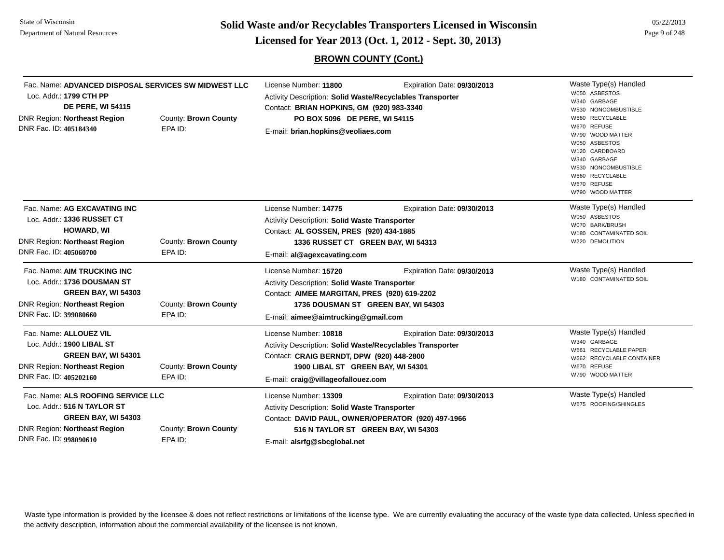**Page 9 of 248 <b>Licensed for Year 2013 (Oct. 1, 2012 - Sept. 30, 2013) Page 9 of 248 Licensed for Year 2013 (Oct. 1, 2012 - Sept. 30, 2013)** 

# **BROWN COUNTY (Cont.)**

| Fac. Name: ADVANCED DISPOSAL SERVICES SW MIDWEST LLC<br>Loc. Addr.: 1799 CTH PP<br><b>DE PERE, WI 54115</b><br>DNR Region: Northeast Region<br>County: Brown County<br>DNR Fac. ID: 405184340<br>EPA ID: |                                 | License Number: 11800<br>Expiration Date: 09/30/2013<br>Activity Description: Solid Waste/Recyclables Transporter<br>Contact: BRIAN HOPKINS, GM (920) 983-3340<br>PO BOX 5096 DE PERE, WI 54115<br>E-mail: brian.hopkins@veoliaes.com |                             | Waste Type(s) Handled<br>W050 ASBESTOS<br>W340 GARBAGE<br>W530 NONCOMBUSTIBLE<br>W660 RECYCLABLE<br>W670 REFUSE<br>W790 WOOD MATTER |
|----------------------------------------------------------------------------------------------------------------------------------------------------------------------------------------------------------|---------------------------------|---------------------------------------------------------------------------------------------------------------------------------------------------------------------------------------------------------------------------------------|-----------------------------|-------------------------------------------------------------------------------------------------------------------------------------|
|                                                                                                                                                                                                          |                                 |                                                                                                                                                                                                                                       |                             | W050 ASBESTOS<br>W120 CARDBOARD<br>W340 GARBAGE<br>W530 NONCOMBUSTIBLE<br>W660 RECYCLABLE<br>W670 REFUSE<br>W790 WOOD MATTER        |
| Fac. Name: AG EXCAVATING INC<br>Loc. Addr.: 1336 RUSSET CT<br><b>HOWARD, WI</b><br>DNR Region: Northeast Region<br>DNR Fac. ID: 405060700                                                                | County: Brown County<br>EPA ID: | License Number: 14775<br><b>Activity Description: Solid Waste Transporter</b><br>Contact: AL GOSSEN, PRES (920) 434-1885<br>1336 RUSSET CT GREEN BAY, WI 54313                                                                        | Expiration Date: 09/30/2013 | Waste Type(s) Handled<br>W050 ASBESTOS<br>W070 BARK/BRUSH<br>W180 CONTAMINATED SOIL<br>W220 DEMOLITION                              |
| Fac. Name: AIM TRUCKING INC<br>Loc. Addr.: 1736 DOUSMAN ST<br>GREEN BAY, WI 54303<br>DNR Region: Northeast Region<br>DNR Fac. ID: 399080660                                                              | County: Brown County<br>EPA ID: | E-mail: al@agexcavating.com<br>License Number: 15720<br>Activity Description: Solid Waste Transporter<br>Contact: AIMEE MARGITAN, PRES (920) 619-2202<br>1736 DOUSMAN ST GREEN BAY, WI 54303<br>E-mail: aimee@aimtrucking@gmail.com   | Expiration Date: 09/30/2013 | Waste Type(s) Handled<br>W180 CONTAMINATED SOIL                                                                                     |
| Fac. Name: ALLOUEZ VIL<br>Loc. Addr.: 1900 LIBAL ST<br>GREEN BAY, WI 54301<br>DNR Region: Northeast Region<br>DNR Fac. ID: 405202160                                                                     | County: Brown County<br>EPA ID: | License Number: 10818<br>Activity Description: Solid Waste/Recyclables Transporter<br>Contact: CRAIG BERNDT, DPW (920) 448-2800<br>1900 LIBAL ST GREEN BAY, WI 54301<br>E-mail: craig@villageofallouez.com                            | Expiration Date: 09/30/2013 | Waste Type(s) Handled<br>W340 GARBAGE<br>W661 RECYCLABLE PAPER<br>W662 RECYCLABLE CONTAINER<br>W670 REFUSE<br>W790 WOOD MATTER      |
| Fac. Name: ALS ROOFING SERVICE LLC<br>Loc. Addr.: 516 N TAYLOR ST<br>GREEN BAY, WI 54303<br>DNR Region: Northeast Region<br>DNR Fac. ID: 998090610                                                       | County: Brown County<br>EPA ID: | License Number: 13309<br><b>Activity Description: Solid Waste Transporter</b><br>Contact: DAVID PAUL, OWNER/OPERATOR (920) 497-1966<br>516 N TAYLOR ST GREEN BAY, WI 54303<br>E-mail: alsrfg@sbcglobal.net                            | Expiration Date: 09/30/2013 | Waste Type(s) Handled<br>W675 ROOFING/SHINGLES                                                                                      |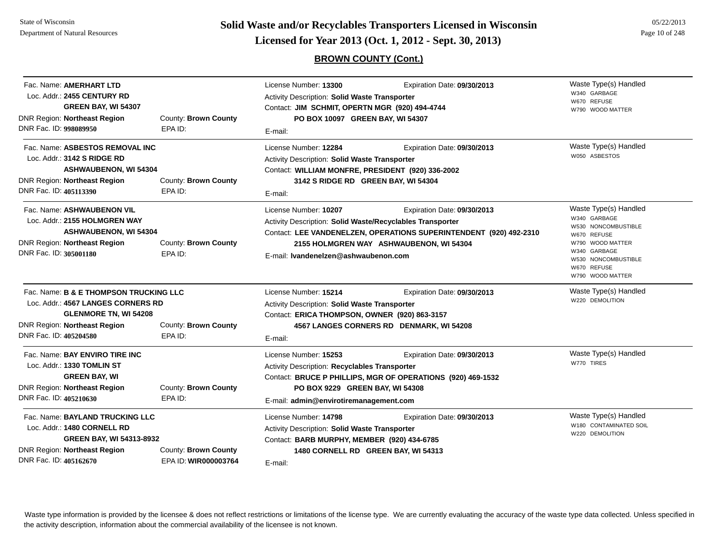State of WisconsinDepartment of Natural Resources

**Page 10 of 248 <b>Licensed for Year 2013 (Oct. 1, 2012 - Sept. 30, 2013) Page 10 of 248 Licensed for Year 2013 (Oct. 1, 2012 - Sept. 30, 2013)** 

# **BROWN COUNTY (Cont.)**

| Fac. Name: <b>AMERHART LTD</b><br>Loc. Addr.: 2455 CENTURY RD<br>GREEN BAY, WI 54307<br>County: Brown County<br><b>DNR Region: Northeast Region</b><br>DNR Fac. ID: 998089950<br>EPA ID:                           |                                 | License Number: 13300<br>Expiration Date: 09/30/2013<br>Activity Description: Solid Waste Transporter<br>Contact: JIM SCHMIT, OPERTN MGR (920) 494-4744<br>PO BOX 10097 GREEN BAY, WI 54307<br>E-mail: |                                                                                                                                              | Waste Type(s) Handled<br>W340 GARBAGE<br>W670 REFUSE<br>W790 WOOD MATTER                                                                                                  |
|--------------------------------------------------------------------------------------------------------------------------------------------------------------------------------------------------------------------|---------------------------------|--------------------------------------------------------------------------------------------------------------------------------------------------------------------------------------------------------|----------------------------------------------------------------------------------------------------------------------------------------------|---------------------------------------------------------------------------------------------------------------------------------------------------------------------------|
| Fac. Name: ASBESTOS REMOVAL INC<br>Loc. Addr.: 3142 S RIDGE RD<br><b>ASHWAUBENON, WI 54304</b><br><b>DNR Region: Northeast Region</b><br>DNR Fac. ID: 405113390                                                    | County: Brown County<br>EPA ID: | License Number: 12284<br>Activity Description: Solid Waste Transporter<br>Contact: WILLIAM MONFRE, PRESIDENT (920) 336-2002<br>3142 S RIDGE RD GREEN BAY, WI 54304<br>E-mail:                          | Expiration Date: 09/30/2013                                                                                                                  | Waste Type(s) Handled<br>W050 ASBESTOS                                                                                                                                    |
| Fac. Name: ASHWAUBENON VIL<br>Loc. Addr.: 2155 HOLMGREN WAY<br><b>ASHWAUBENON, WI 54304</b><br><b>DNR Region: Northeast Region</b><br>DNR Fac. ID: 305001180                                                       | County: Brown County<br>EPA ID: | License Number: 10207<br>Activity Description: Solid Waste/Recyclables Transporter<br>E-mail: Ivandenelzen@ashwaubenon.com                                                                             | Expiration Date: 09/30/2013<br>Contact: LEE VANDENELZEN, OPERATIONS SUPERINTENDENT (920) 492-2310<br>2155 HOLMGREN WAY ASHWAUBENON, WI 54304 | Waste Type(s) Handled<br>W340 GARBAGE<br>W530 NONCOMBUSTIBLE<br>W670 REFUSE<br>W790 WOOD MATTER<br>W340 GARBAGE<br>W530 NONCOMBUSTIBLE<br>W670 REFUSE<br>W790 WOOD MATTER |
| Fac. Name: B & E THOMPSON TRUCKING LLC<br>Loc. Addr.: 4567 LANGES CORNERS RD<br><b>GLENMORE TN, WI 54208</b><br><b>DNR Region: Northeast Region</b><br>County: Brown County<br>DNR Fac. ID: 405204580<br>EPA ID:   |                                 | License Number: 15214<br>Activity Description: Solid Waste Transporter<br>Contact: ERICA THOMPSON, OWNER (920) 863-3157<br>E-mail:                                                                     | Expiration Date: 09/30/2013<br>4567 LANGES CORNERS RD DENMARK, WI 54208                                                                      | Waste Type(s) Handled<br>W220 DEMOLITION                                                                                                                                  |
| Fac. Name: BAY ENVIRO TIRE INC<br>Loc. Addr.: 1330 TOMLIN ST<br><b>GREEN BAY, WI</b><br><b>DNR Region: Northeast Region</b><br>DNR Fac. ID: 405210630                                                              | County: Brown County<br>EPA ID: | License Number: 15253<br>Activity Description: Recyclables Transporter<br>PO BOX 9229 GREEN BAY, WI 54308<br>E-mail: admin@envirotiremanagement.com                                                    | Expiration Date: 09/30/2013<br>Contact: BRUCE P PHILLIPS, MGR OF OPERATIONS (920) 469-1532                                                   | Waste Type(s) Handled<br>W770 TIRES                                                                                                                                       |
| Fac. Name: BAYLAND TRUCKING LLC<br>Loc. Addr.: 1480 CORNELL RD<br><b>GREEN BAY, WI 54313-8932</b><br><b>DNR Region: Northeast Region</b><br>County: Brown County<br>DNR Fac. ID: 405162670<br>EPA ID: WIR000003764 |                                 | License Number: 14798<br>Activity Description: Solid Waste Transporter<br>Contact: BARB MURPHY, MEMBER (920) 434-6785<br>1480 CORNELL RD GREEN BAY, WI 54313<br>E-mail:                                | Expiration Date: 09/30/2013                                                                                                                  | Waste Type(s) Handled<br>W180 CONTAMINATED SOIL<br>W220 DEMOLITION                                                                                                        |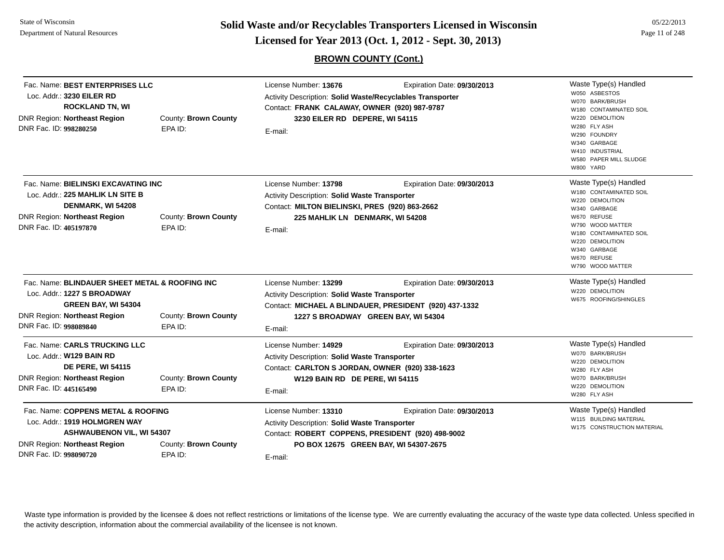**Page 11 of 248 <b>Licensed for Year 2013 (Oct. 1, 2012 - Sept. 30, 2013) Page 11 of 248 Licensed for Year 2013 (Oct. 1, 2012 - Sept. 30, 2013)** 

05/22/2013

# **BROWN COUNTY (Cont.)**

| Fac. Name: BEST ENTERPRISES LLC<br>Loc. Addr.: 3230 EILER RD<br><b>ROCKLAND TN, WI</b><br><b>DNR Region: Northeast Region</b><br>DNR Fac. ID: 998280250                                              | County: Brown County<br>EPA ID: | License Number: 13676<br>Activity Description: Solid Waste/Recyclables Transporter<br>Contact: FRANK CALAWAY, OWNER (920) 987-9787<br>3230 EILER RD DEPERE, WI 54115<br>E-mail: | Expiration Date: 09/30/2013                                                           | Waste Type(s) Handled<br>W050 ASBESTOS<br>W070 BARK/BRUSH<br>W180 CONTAMINATED SOIL<br>W220 DEMOLITION<br>W280 FLY ASH<br>W290 FOUNDRY<br>W340 GARBAGE<br>W410 INDUSTRIAL<br>W580 PAPER MILL SLUDGE<br>W800 YARD      |
|------------------------------------------------------------------------------------------------------------------------------------------------------------------------------------------------------|---------------------------------|---------------------------------------------------------------------------------------------------------------------------------------------------------------------------------|---------------------------------------------------------------------------------------|-----------------------------------------------------------------------------------------------------------------------------------------------------------------------------------------------------------------------|
| Fac. Name: BIELINSKI EXCAVATING INC<br>Loc. Addr.: 225 MAHLIK LN SITE B<br>DENMARK, WI 54208<br><b>DNR Region: Northeast Region</b><br>County: Brown County<br>DNR Fac. ID: 405197870<br>EPA ID:     |                                 | License Number: 13798<br>Activity Description: Solid Waste Transporter<br>Contact: MILTON BIELINSKI, PRES (920) 863-2662<br>225 MAHLIK LN DENMARK, WI 54208<br>E-mail:          | Expiration Date: 09/30/2013                                                           | Waste Type(s) Handled<br>W180 CONTAMINATED SOIL<br>W220 DEMOLITION<br>W340 GARBAGE<br>W670 REFUSE<br>W790 WOOD MATTER<br>W180 CONTAMINATED SOIL<br>W220 DEMOLITION<br>W340 GARBAGE<br>W670 REFUSE<br>W790 WOOD MATTER |
| Fac. Name: BLINDAUER SHEET METAL & ROOFING INC<br>Loc. Addr.: 1227 S BROADWAY<br>GREEN BAY, WI 54304<br>DNR Region: Northeast Region<br>DNR Fac. ID: 998089840                                       | County: Brown County<br>EPA ID: | License Number: 13299<br>Activity Description: Solid Waste Transporter<br>1227 S BROADWAY GREEN BAY, WI 54304<br>E-mail:                                                        | Expiration Date: 09/30/2013<br>Contact: MICHAEL A BLINDAUER, PRESIDENT (920) 437-1332 | Waste Type(s) Handled<br>W220 DEMOLITION<br>W675 ROOFING/SHINGLES                                                                                                                                                     |
| Fac. Name: CARLS TRUCKING LLC<br>Loc. Addr.: W129 BAIN RD<br><b>DE PERE, WI 54115</b><br>DNR Region: Northeast Region<br>DNR Fac. ID: 445165490                                                      | County: Brown County<br>EPA ID: | License Number: 14929<br>Activity Description: Solid Waste Transporter<br>Contact: CARLTON S JORDAN, OWNER (920) 338-1623<br>W129 BAIN RD DE PERE, WI 54115<br>E-mail:          | Expiration Date: 09/30/2013                                                           | Waste Type(s) Handled<br>W070 BARK/BRUSH<br>W220 DEMOLITION<br>W280 FLY ASH<br>W070 BARK/BRUSH<br>W220 DEMOLITION<br>W280 FLY ASH                                                                                     |
| Fac. Name: COPPENS METAL & ROOFING<br>Loc. Addr.: 1919 HOLMGREN WAY<br><b>ASHWAUBENON VIL, WI 54307</b><br>DNR Region: Northeast Region<br>County: Brown County<br>DNR Fac. ID: 998090720<br>EPA ID: |                                 | License Number: 13310<br>Activity Description: Solid Waste Transporter<br>Contact: ROBERT COPPENS, PRESIDENT (920) 498-9002<br>PO BOX 12675 GREEN BAY, WI 54307-2675<br>E-mail: | Expiration Date: 09/30/2013                                                           | Waste Type(s) Handled<br>W115 BUILDING MATERIAL<br>W175 CONSTRUCTION MATERIAL                                                                                                                                         |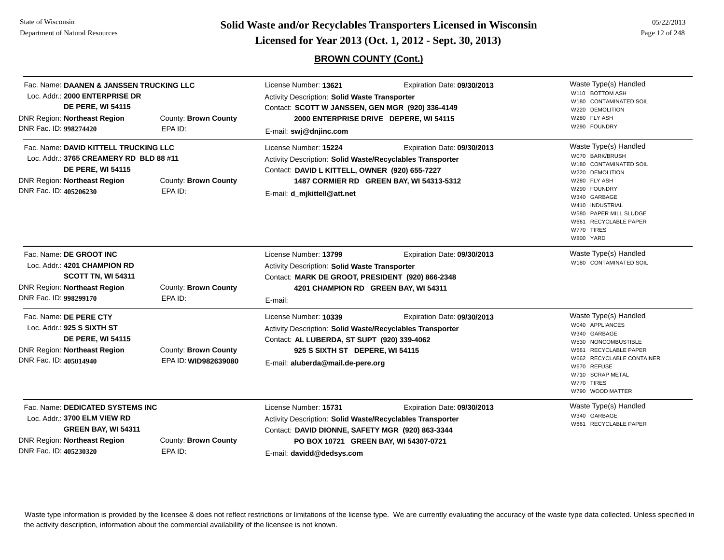**Page 12 of 248 <b>Licensed for Year 2013 (Oct. 1, 2012 - Sept. 30, 2013) Page 12 of 248 Licensed for Year 2013 (Oct. 1, 2012 - Sept. 30, 2013)** 

**BROWN COUNTY (Cont.)**

| Fac. Name: DAANEN & JANSSEN TRUCKING LLC<br>Loc. Addr.: 2000 ENTERPRISE DR<br><b>DE PERE, WI 54115</b><br>DNR Region: Northeast Region<br>County: Brown County<br>DNR Fac. ID: 998274420<br>EPA ID: |                                              | License Number: 13621<br>Expiration Date: 09/30/2013<br>Activity Description: Solid Waste Transporter<br>Contact: SCOTT W JANSSEN, GEN MGR (920) 336-4149<br>2000 ENTERPRISE DRIVE DEPERE, WI 54115<br>E-mail: swj@dnjinc.com |                                                                         | Waste Type(s) Handled<br>W110 BOTTOM ASH<br>W180 CONTAMINATED SOIL<br>W220 DEMOLITION<br>W280 FLY ASH<br>W290 FOUNDRY                                                                                                                  |
|-----------------------------------------------------------------------------------------------------------------------------------------------------------------------------------------------------|----------------------------------------------|-------------------------------------------------------------------------------------------------------------------------------------------------------------------------------------------------------------------------------|-------------------------------------------------------------------------|----------------------------------------------------------------------------------------------------------------------------------------------------------------------------------------------------------------------------------------|
| Fac. Name: DAVID KITTELL TRUCKING LLC<br>Loc. Addr.: 3765 CREAMERY RD BLD 88 #11<br><b>DE PERE, WI 54115</b><br><b>DNR Region: Northeast Region</b><br>DNR Fac. ID: 405206230                       | County: Brown County<br>EPA ID:              | License Number: 15224<br>Activity Description: Solid Waste/Recyclables Transporter<br>Contact: DAVID L KITTELL, OWNER (920) 655-7227<br>E-mail: <b>d_mjkittell@att.net</b>                                                    | Expiration Date: 09/30/2013<br>1487 CORMIER RD GREEN BAY, WI 54313-5312 | Waste Type(s) Handled<br>W070 BARK/BRUSH<br>W180 CONTAMINATED SOIL<br>W220 DEMOLITION<br>W280 FLY ASH<br>W290 FOUNDRY<br>W340 GARBAGE<br>W410 INDUSTRIAL<br>W580 PAPER MILL SLUDGE<br>W661 RECYCLABLE PAPER<br>W770 TIRES<br>W800 YARD |
| Fac. Name: DE GROOT INC<br>Loc. Addr.: 4201 CHAMPION RD<br><b>SCOTT TN, WI 54311</b><br><b>DNR Region: Northeast Region</b><br>DNR Fac. ID: 998299170                                               | County: Brown County<br>EPA ID:              | License Number: 13799<br><b>Activity Description: Solid Waste Transporter</b><br>Contact: MARK DE GROOT, PRESIDENT (920) 866-2348<br>E-mail:                                                                                  | Expiration Date: 09/30/2013<br>4201 CHAMPION RD GREEN BAY, WI 54311     | Waste Type(s) Handled<br>W180 CONTAMINATED SOIL                                                                                                                                                                                        |
| Fac. Name: DE PERE CTY<br>Loc. Addr.: 925 S SIXTH ST<br><b>DE PERE, WI 54115</b><br>DNR Region: Northeast Region<br>DNR Fac. ID: 405014940                                                          | County: Brown County<br>EPA ID: WID982639080 | License Number: 10339<br>Activity Description: Solid Waste/Recyclables Transporter<br>Contact: AL LUBERDA, ST SUPT (920) 339-4062<br>925 S SIXTH ST DEPERE, WI 54115<br>E-mail: aluberda@mail.de-pere.org                     | Expiration Date: 09/30/2013                                             | Waste Type(s) Handled<br>W040 APPLIANCES<br>W340 GARBAGE<br>W530 NONCOMBUSTIBLE<br>W661 RECYCLABLE PAPER<br>W662 RECYCLABLE CONTAINER<br>W670 REFUSE<br>W710 SCRAP METAL<br>W770 TIRES<br>W790 WOOD MATTER                             |
| Fac. Name: DEDICATED SYSTEMS INC<br>Loc. Addr.: 3700 ELM VIEW RD<br>GREEN BAY, WI 54311<br><b>DNR Region: Northeast Region</b><br>County: Brown County<br>DNR Fac. ID: 405230320<br>EPA ID:         |                                              | License Number: 15731<br>Activity Description: Solid Waste/Recyclables Transporter<br>Contact: DAVID DIONNE, SAFETY MGR (920) 863-3344<br>E-mail: davidd@dedsys.com                                                           | Expiration Date: 09/30/2013<br>PO BOX 10721 GREEN BAY, WI 54307-0721    | Waste Type(s) Handled<br>W340 GARBAGE<br>W661 RECYCLABLE PAPER                                                                                                                                                                         |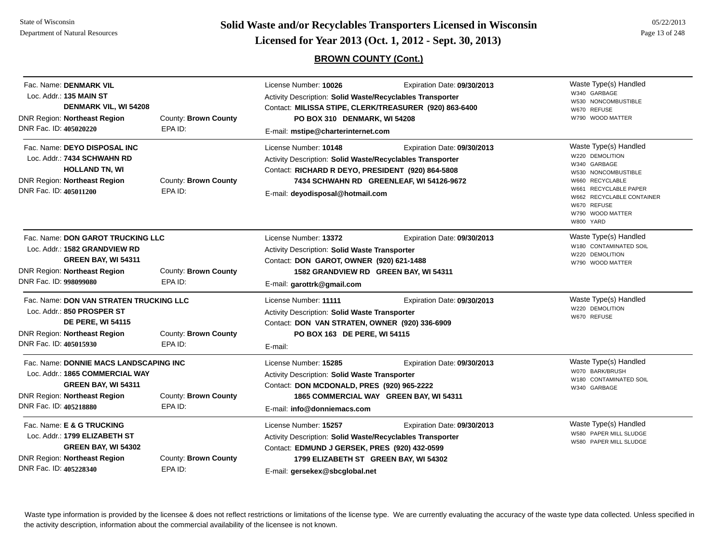**Solid Waste and/or Recyclables Transporters Licensed in Wisconsin<br>Licensed for Year 2013 (Oct. 1, 2012 - Sept. 30, 2013)** 

# **BROWN COUNTY (Cont.)**

|  | 05/22/2013     |
|--|----------------|
|  | Page 13 of 248 |

| Fac. Name: DENMARK VIL<br>Loc. Addr.: 135 MAIN ST<br>DENMARK VIL, WI 54208<br><b>DNR Region: Northeast Region</b><br>DNR Fac. ID: 405020220                        | County: Brown County<br>EPA ID: | License Number: 10026<br>Expiration Date: 09/30/2013<br>Activity Description: Solid Waste/Recyclables Transporter<br>Contact: MILISSA STIPE, CLERK/TREASURER (920) 863-6400<br>PO BOX 310 DENMARK, WI 54208<br>E-mail: mstipe@charterinternet.com      | Waste Type(s) Handled<br>W340 GARBAGE<br>W530 NONCOMBUSTIBLE<br>W670 REFUSE<br>W790 WOOD MATTER                                                                                                          |
|--------------------------------------------------------------------------------------------------------------------------------------------------------------------|---------------------------------|--------------------------------------------------------------------------------------------------------------------------------------------------------------------------------------------------------------------------------------------------------|----------------------------------------------------------------------------------------------------------------------------------------------------------------------------------------------------------|
| Fac. Name: DEYO DISPOSAL INC<br>Loc. Addr.: 7434 SCHWAHN RD<br><b>HOLLAND TN, WI</b><br><b>DNR Region: Northeast Region</b><br>DNR Fac. ID: 405011200              | County: Brown County<br>EPA ID: | License Number: 10148<br>Expiration Date: 09/30/2013<br>Activity Description: Solid Waste/Recyclables Transporter<br>Contact: RICHARD R DEYO, PRESIDENT (920) 864-5808<br>7434 SCHWAHN RD GREENLEAF, WI 54126-9672<br>E-mail: deyodisposal@hotmail.com | Waste Type(s) Handled<br>W220 DEMOLITION<br>W340 GARBAGE<br>W530 NONCOMBUSTIBLE<br>W660 RECYCLABLE<br>W661 RECYCLABLE PAPER<br>W662 RECYCLABLE CONTAINER<br>W670 REFUSE<br>W790 WOOD MATTER<br>W800 YARD |
| Fac. Name: DON GAROT TRUCKING LLC<br>Loc. Addr.: 1582 GRANDVIEW RD<br><b>GREEN BAY, WI 54311</b><br><b>DNR Region: Northeast Region</b><br>DNR Fac. ID: 998099080  | County: Brown County<br>EPA ID: | License Number: 13372<br>Expiration Date: 09/30/2013<br>Activity Description: Solid Waste Transporter<br>Contact: DON GAROT, OWNER (920) 621-1488<br>1582 GRANDVIEW RD GREEN BAY, WI 54311<br>E-mail: garottrk@gmail.com                               | Waste Type(s) Handled<br>W180 CONTAMINATED SOIL<br>W220 DEMOLITION<br>W790 WOOD MATTER                                                                                                                   |
| Fac. Name: DON VAN STRATEN TRUCKING LLC<br>Loc. Addr.: 850 PROSPER ST<br><b>DE PERE, WI 54115</b><br><b>DNR Region: Northeast Region</b><br>DNR Fac. ID: 405015930 | County: Brown County<br>EPA ID: | License Number: 11111<br>Expiration Date: 09/30/2013<br>Activity Description: Solid Waste Transporter<br>Contact: DON VAN STRATEN, OWNER (920) 336-6909<br>PO BOX 163 DE PERE, WI 54115<br>E-mail:                                                     | Waste Type(s) Handled<br>W220 DEMOLITION<br>W670 REFUSE                                                                                                                                                  |
| Fac. Name: DONNIE MACS LANDSCAPING INC<br>Loc. Addr.: 1865 COMMERCIAL WAY<br>GREEN BAY, WI 54311<br><b>DNR Region: Northeast Region</b><br>DNR Fac. ID: 405218880  | County: Brown County<br>EPA ID: | License Number: 15285<br>Expiration Date: 09/30/2013<br>Activity Description: Solid Waste Transporter<br>Contact: DON MCDONALD, PRES (920) 965-2222<br>1865 COMMERCIAL WAY GREEN BAY, WI 54311<br>E-mail: info@donniemacs.com                          | Waste Type(s) Handled<br>W070 BARK/BRUSH<br>W180 CONTAMINATED SOIL<br>W340 GARBAGE                                                                                                                       |
| Fac. Name: E & G TRUCKING<br>Loc. Addr.: 1799 ELIZABETH ST<br>GREEN BAY, WI 54302<br><b>DNR Region: Northeast Region</b><br>DNR Fac. ID: 405228340                 | County: Brown County<br>EPA ID: | License Number: 15257<br>Expiration Date: 09/30/2013<br>Activity Description: Solid Waste/Recyclables Transporter<br>Contact: EDMUND J GERSEK, PRES (920) 432-0599<br>1799 ELIZABETH ST GREEN BAY, WI 54302<br>E-mail: gersekex@sbcglobal.net          | Waste Type(s) Handled<br>W580 PAPER MILL SLUDGE<br>W580 PAPER MILL SLUDGE                                                                                                                                |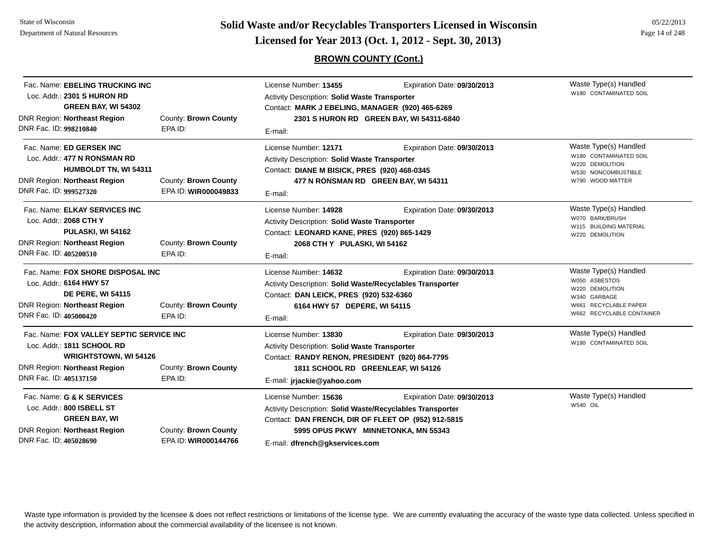State of WisconsinDepartment of Natural Resources

**Page 14 of 248 <b>Licensed for Year 2013 (Oct. 1, 2012 - Sept. 30, 2013) Page 14 of 248 Licensed for Year 2013 (Oct. 1, 2012 - Sept. 30, 2013)** 

# **BROWN COUNTY (Cont.)**

| Fac. Name: EBELING TRUCKING INC<br>Loc. Addr.: 2301 S HURON RD<br>GREEN BAY, WI 54302<br><b>DNR Region: Northeast Region</b><br>DNR Fac. ID: 998210840                  | County: Brown County<br>EPA ID:              | License Number: 13455<br><b>Activity Description: Solid Waste Transporter</b><br>Contact: MARK J EBELING, MANAGER (920) 465-6269<br>E-mail:                                                  | Expiration Date: 09/30/2013<br>2301 S HURON RD GREEN BAY, WI 54311-6840 | Waste Type(s) Handled<br>W180 CONTAMINATED SOIL                                                                                 |
|-------------------------------------------------------------------------------------------------------------------------------------------------------------------------|----------------------------------------------|----------------------------------------------------------------------------------------------------------------------------------------------------------------------------------------------|-------------------------------------------------------------------------|---------------------------------------------------------------------------------------------------------------------------------|
| Fac. Name: ED GERSEK INC<br>Loc. Addr.: 477 N RONSMAN RD<br><b>HUMBOLDT TN, WI 54311</b><br><b>DNR Region: Northeast Region</b><br>DNR Fac. ID: 999527320               | County: Brown County<br>EPA ID: WIR000049833 | License Number: 12171<br>Activity Description: Solid Waste Transporter<br>Contact: DIANE M BISICK, PRES (920) 468-0345<br>477 N RONSMAN RD GREEN BAY, WI 54311<br>E-mail:                    | Expiration Date: 09/30/2013                                             | Waste Type(s) Handled<br>W180 CONTAMINATED SOIL<br>W220 DEMOLITION<br>W530 NONCOMBUSTIBLE<br>W790 WOOD MATTER                   |
| Fac. Name: ELKAY SERVICES INC<br>Loc. Addr.: 2068 CTH Y<br>PULASKI, WI 54162<br><b>DNR Region: Northeast Region</b><br>DNR Fac. ID: 405200510                           | County: Brown County<br>EPA ID:              | License Number: 14928<br>Activity Description: Solid Waste Transporter<br>Contact: LEONARD KANE, PRES (920) 865-1429<br>2068 CTH Y PULASKI, WI 54162<br>E-mail:                              | Expiration Date: 09/30/2013                                             | Waste Type(s) Handled<br>W070 BARK/BRUSH<br>W115 BUILDING MATERIAL<br>W220 DEMOLITION                                           |
| Fac. Name: FOX SHORE DISPOSAL INC<br>Loc. Addr.: 6164 HWY 57<br><b>DE PERE, WI 54115</b><br><b>DNR Region: Northeast Region</b><br>DNR Fac. ID: 405000420               | County: Brown County<br>EPA ID:              | License Number: 14632<br>Activity Description: Solid Waste/Recyclables Transporter<br>Contact: DAN LEICK, PRES (920) 532-6360<br>6164 HWY 57 DEPERE, WI 54115<br>E-mail:                     | Expiration Date: 09/30/2013                                             | Waste Type(s) Handled<br>W050 ASBESTOS<br>W220 DEMOLITION<br>W340 GARBAGE<br>W661 RECYCLABLE PAPER<br>W662 RECYCLABLE CONTAINER |
| Fac. Name: FOX VALLEY SEPTIC SERVICE INC<br>Loc. Addr.: 1811 SCHOOL RD<br><b>WRIGHTSTOWN, WI 54126</b><br><b>DNR Region: Northeast Region</b><br>DNR Fac. ID: 405137150 | County: Brown County<br>EPA ID:              | License Number: 13830<br>Activity Description: Solid Waste Transporter<br>Contact: RANDY RENON, PRESIDENT (920) 864-7795<br>1811 SCHOOL RD GREENLEAF, WI 54126<br>E-mail: jrjackie@yahoo.com | Expiration Date: 09/30/2013                                             | Waste Type(s) Handled<br>W180 CONTAMINATED SOIL                                                                                 |
| Fac. Name: G & K SERVICES<br>Loc. Addr.: 800 ISBELL ST<br><b>GREEN BAY, WI</b><br>DNR Region: Northeast Region<br>DNR Fac. ID: 405028690                                | County: Brown County<br>EPA ID: WIR000144766 | License Number: 15636<br>Activity Description: Solid Waste/Recyclables Transporter<br>Contact: DAN FRENCH, DIR OF FLEET OP (952) 912-5815<br>E-mail: dfrench@qkservices.com                  | Expiration Date: 09/30/2013<br>5995 OPUS PKWY MINNETONKA, MN 55343      | Waste Type(s) Handled<br>W540 OIL                                                                                               |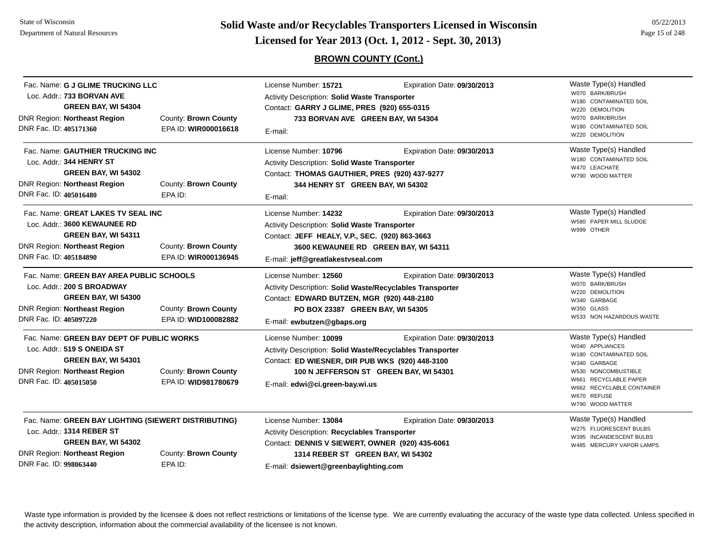**Page 15 of 248 <b>Licensed for Year 2013 (Oct. 1, 2012 - Sept. 30, 2013) Page 15 of 248 Licensed for Year 2013 (Oct. 1, 2012 - Sept. 30, 2013)** 

**BROWN COUNTY (Cont.)**

| Fac. Name: G J GLIME TRUCKING LLC<br>Loc. Addr.: 733 BORVAN AVE<br>GREEN BAY, WI 54304<br><b>DNR Region: Northeast Region</b><br>DNR Fac. ID: 405171360                                                      | County: Brown County<br>EPA ID: WIR000016618 | License Number: 15721<br><b>Activity Description: Solid Waste Transporter</b><br>Contact: GARRY J GLIME, PRES (920) 655-0315<br>733 BORVAN AVE GREEN BAY, WI 54304<br>E-mail:                                                                     | Waste Type(s) Handled<br>W070 BARK/BRUSH<br>W180 CONTAMINATED SOIL<br>W220 DEMOLITION<br>W070 BARK/BRUSH<br>W180 CONTAMINATED SOIL<br>W220 DEMOLITION |                                                                                                                                                                                                    |
|--------------------------------------------------------------------------------------------------------------------------------------------------------------------------------------------------------------|----------------------------------------------|---------------------------------------------------------------------------------------------------------------------------------------------------------------------------------------------------------------------------------------------------|-------------------------------------------------------------------------------------------------------------------------------------------------------|----------------------------------------------------------------------------------------------------------------------------------------------------------------------------------------------------|
| Fac. Name: GAUTHIER TRUCKING INC<br>Loc. Addr.: 344 HENRY ST<br>GREEN BAY, WI 54302<br><b>DNR Region: Northeast Region</b><br>DNR Fac. ID: 405016480                                                         | County: Brown County<br>EPA ID:              | License Number: 10796<br>Activity Description: Solid Waste Transporter<br>Contact: THOMAS GAUTHIER, PRES (920) 437-9277<br>344 HENRY ST GREEN BAY, WI 54302<br>E-mail:                                                                            | Expiration Date: 09/30/2013                                                                                                                           | Waste Type(s) Handled<br>W180 CONTAMINATED SOIL<br>W470 LEACHATE<br>W790 WOOD MATTER                                                                                                               |
| Fac. Name: GREAT LAKES TV SEAL INC<br>Loc. Addr.: 3600 KEWAUNEE RD<br>GREEN BAY, WI 54311<br><b>DNR Region: Northeast Region</b><br>DNR Fac. ID: 405184890                                                   | County: Brown County<br>EPA ID: WIR000136945 | License Number: 14232<br>Expiration Date: 09/30/2013<br>Activity Description: Solid Waste Transporter<br>Contact: JEFF HEALY, V.P., SEC. (920) 863-3663<br>3600 KEWAUNEE RD GREEN BAY, WI 54311<br>E-mail: jeff@greatlakestvseal.com              |                                                                                                                                                       | Waste Type(s) Handled<br>W580 PAPER MILL SLUDGE<br>W999 OTHER                                                                                                                                      |
| Fac. Name: GREEN BAY AREA PUBLIC SCHOOLS<br>Loc. Addr.: 200 S BROADWAY<br>GREEN BAY, WI 54300<br><b>DNR Region: Northeast Region</b><br>DNR Fac. ID: 405097220                                               | County: Brown County<br>EPA ID: WID100082882 | License Number: 12560<br>Activity Description: Solid Waste/Recyclables Transporter<br>Contact: EDWARD BUTZEN, MGR (920) 448-2180<br>PO BOX 23387 GREEN BAY, WI 54305<br>E-mail: ewbutzen@gbaps.org                                                | Expiration Date: 09/30/2013                                                                                                                           | Waste Type(s) Handled<br>W070 BARK/BRUSH<br>W220 DEMOLITION<br>W340 GARBAGE<br>W350 GLASS<br>W533 NON HAZARDOUS WASTE                                                                              |
| Fac. Name: GREEN BAY DEPT OF PUBLIC WORKS<br>Loc. Addr.: 519 S ONEIDA ST<br>GREEN BAY, WI 54301<br><b>DNR Region: Northeast Region</b><br>DNR Fac. ID: 405015050                                             | County: Brown County<br>EPA ID: WID981780679 | License Number: 10099<br>Expiration Date: 09/30/2013<br>Activity Description: Solid Waste/Recyclables Transporter<br>Contact: ED WIESNER, DIR PUB WKS (920) 448-3100<br>100 N JEFFERSON ST GREEN BAY, WI 54301<br>E-mail: edwi@ci.green-bay.wi.us |                                                                                                                                                       | Waste Type(s) Handled<br>W040 APPLIANCES<br>W180 CONTAMINATED SOIL<br>W340 GARBAGE<br>W530 NONCOMBUSTIBLE<br>W661 RECYCLABLE PAPER<br>W662 RECYCLABLE CONTAINER<br>W670 REFUSE<br>W790 WOOD MATTER |
| Fac. Name: GREEN BAY LIGHTING (SIEWERT DISTRIBUTING)<br>Loc. Addr.: 1314 REBER ST<br>GREEN BAY, WI 54302<br><b>DNR Region: Northeast Region</b><br>County: Brown County<br>DNR Fac. ID: 998063440<br>EPA ID: |                                              | License Number: 13084<br><b>Activity Description: Recyclables Transporter</b><br>Contact: DENNIS V SIEWERT, OWNER (920) 435-6061<br>1314 REBER ST GREEN BAY, WI 54302<br>E-mail: dsiewert@greenbaylighting.com                                    | Expiration Date: 09/30/2013                                                                                                                           | Waste Type(s) Handled<br>W275 FLUORESCENT BULBS<br>W395 INCANDESCENT BULBS<br>W485 MERCURY VAPOR LAMPS                                                                                             |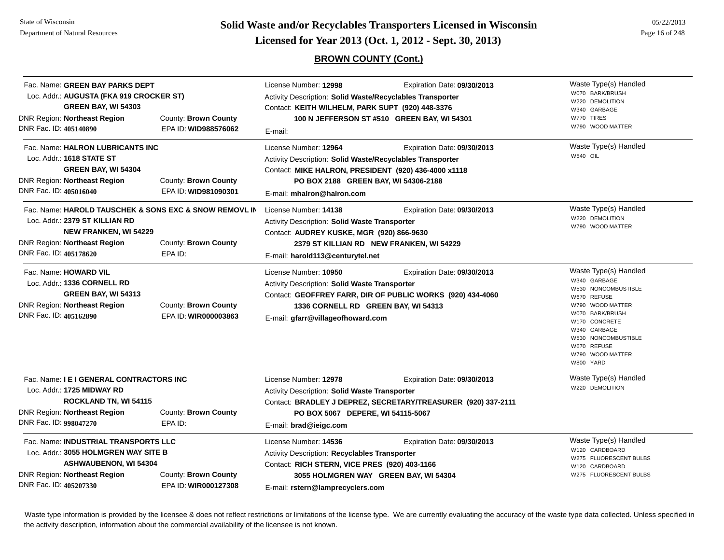**Page 16 of 248 <b>Licensed for Year 2013 (Oct. 1, 2012 - Sept. 30, 2013) Page 16 of 248 Licensed for Year 2013 (Oct. 1, 2012 - Sept. 30, 2013)** 

# **BROWN COUNTY (Cont.)**

| Fac. Name: GREEN BAY PARKS DEPT<br>Loc. Addr.: AUGUSTA (FKA 919 CROCKER ST)<br><b>GREEN BAY, WI 54303</b><br>DNR Region: Northeast Region<br>DNR Fac. ID: 405140890                                                           | County: Brown County<br>EPA ID: WID988576062 | License Number: 12998<br>Expiration Date: 09/30/2013<br><b>Activity Description: Solid Waste/Recyclables Transporter</b><br>Contact: KEITH WILHELM, PARK SUPT (920) 448-3376<br>100 N JEFFERSON ST #510 GREEN BAY, WI 54301<br>E-mail:          |                                                                                              | Waste Type(s) Handled<br>W070 BARK/BRUSH<br>W220 DEMOLITION<br>W340 GARBAGE<br>W770 TIRES<br>W790 WOOD MATTER                                                                                                              |  |
|-------------------------------------------------------------------------------------------------------------------------------------------------------------------------------------------------------------------------------|----------------------------------------------|-------------------------------------------------------------------------------------------------------------------------------------------------------------------------------------------------------------------------------------------------|----------------------------------------------------------------------------------------------|----------------------------------------------------------------------------------------------------------------------------------------------------------------------------------------------------------------------------|--|
| Fac. Name: HALRON LUBRICANTS INC<br>Loc. Addr.: 1618 STATE ST<br>GREEN BAY, WI 54304<br><b>DNR Region: Northeast Region</b><br>DNR Fac. ID: 405016040                                                                         | County: Brown County<br>EPA ID: WID981090301 | License Number: 12964<br>Expiration Date: 09/30/2013<br>Activity Description: Solid Waste/Recyclables Transporter<br>Contact: MIKE HALRON, PRESIDENT (920) 436-4000 x1118<br>PO BOX 2188 GREEN BAY, WI 54306-2188<br>E-mail: mhalron@halron.com |                                                                                              | Waste Type(s) Handled<br>W540 OIL                                                                                                                                                                                          |  |
| Fac. Name: HAROLD TAUSCHEK & SONS EXC & SNOW REMOVL IN<br>Loc. Addr.: 2379 ST KILLIAN RD<br><b>NEW FRANKEN, WI 54229</b><br>DNR Region: Northeast Region<br>County: Brown County<br>DNR Fac. ID: 405178620<br>EPA ID:         |                                              | License Number: 14138<br>Activity Description: Solid Waste Transporter<br>Contact: AUDREY KUSKE, MGR (920) 866-9630<br>E-mail: harold113@centurytel.net                                                                                         | Expiration Date: 09/30/2013<br>2379 ST KILLIAN RD NEW FRANKEN, WI 54229                      | Waste Type(s) Handled<br>W220 DEMOLITION<br>W790 WOOD MATTER                                                                                                                                                               |  |
| Fac. Name: HOWARD VIL<br>Loc. Addr.: 1336 CORNELL RD<br>GREEN BAY, WI 54313<br>DNR Region: Northeast Region<br>DNR Fac. ID: 405162890                                                                                         | County: Brown County<br>EPA ID: WIR000003863 | License Number: 10950<br>Activity Description: Solid Waste Transporter<br>1336 CORNELL RD GREEN BAY, WI 54313<br>E-mail: gfarr@villageofhoward.com                                                                                              | Expiration Date: 09/30/2013<br>Contact: GEOFFREY FARR, DIR OF PUBLIC WORKS (920) 434-4060    | Waste Type(s) Handled<br>W340 GARBAGE<br>W530 NONCOMBUSTIBLE<br>W670 REFUSE<br>W790 WOOD MATTER<br>W070 BARK/BRUSH<br>W170 CONCRETE<br>W340 GARBAGE<br>W530 NONCOMBUSTIBLE<br>W670 REFUSE<br>W790 WOOD MATTER<br>W800 YARD |  |
| Fac. Name: I E I GENERAL CONTRACTORS INC<br>Loc. Addr.: 1725 MIDWAY RD<br>ROCKLAND TN, WI 54115<br>DNR Region: Northeast Region<br>DNR Fac. ID: 998047270                                                                     | County: Brown County<br>EPA ID:              | License Number: 12978<br>Activity Description: Solid Waste Transporter<br>PO BOX 5067 DEPERE, WI 54115-5067<br>E-mail: brad@ieigc.com                                                                                                           | Expiration Date: 09/30/2013<br>Contact: BRADLEY J DEPREZ, SECRETARY/TREASURER (920) 337-2111 | Waste Type(s) Handled<br>W220 DEMOLITION                                                                                                                                                                                   |  |
| Fac. Name: <b>INDUSTRIAL TRANSPORTS LLC</b><br>Loc. Addr.: 3055 HOLMGREN WAY SITE B<br><b>ASHWAUBENON, WI 54304</b><br>DNR Region: Northeast Region<br>County: Brown County<br>DNR Fac. ID: 405207330<br>EPA ID: WIR000127308 |                                              | License Number: 14536<br>Activity Description: Recyclables Transporter<br>Contact: RICH STERN, VICE PRES (920) 403-1166<br>E-mail: rstern@lamprecyclers.com                                                                                     | Expiration Date: 09/30/2013<br>3055 HOLMGREN WAY GREEN BAY, WI 54304                         | Waste Type(s) Handled<br>W120 CARDBOARD<br>W275 FLUORESCENT BULBS<br>W120 CARDBOARD<br>W275 FLUORESCENT BULBS                                                                                                              |  |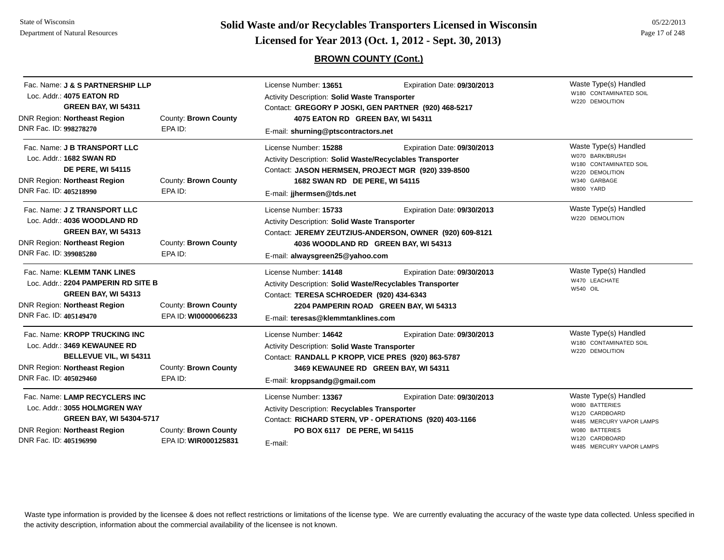State of WisconsinDepartment of Natural Resources

**Page 17 of 248 <b>Licensed for Year 2013 (Oct. 1, 2012 - Sept. 30, 2013) Page 17 of 248 Licensed for Year 2013 (Oct. 1, 2012 - Sept. 30, 2013)** 

# **BROWN COUNTY (Cont.)**

| Fac. Name: J & S PARTNERSHIP LLP<br>Loc. Addr.: 4075 EATON RD<br>GREEN BAY, WI 54311<br><b>DNR Region: Northeast Region</b><br>DNR Fac. ID: 998278270                                                              | County: Brown County<br>EPA ID:              | License Number: 13651<br><b>Activity Description: Solid Waste Transporter</b><br>Contact: GREGORY P JOSKI, GEN PARTNER (920) 468-5217<br>4075 EATON RD GREEN BAY, WI 54311<br>E-mail: shurning@ptscontractors.net | Waste Type(s) Handled<br>W180 CONTAMINATED SOIL<br>W220 DEMOLITION                                                             |                                                                                                                                                                 |
|--------------------------------------------------------------------------------------------------------------------------------------------------------------------------------------------------------------------|----------------------------------------------|-------------------------------------------------------------------------------------------------------------------------------------------------------------------------------------------------------------------|--------------------------------------------------------------------------------------------------------------------------------|-----------------------------------------------------------------------------------------------------------------------------------------------------------------|
| Fac. Name: J B TRANSPORT LLC<br>Loc. Addr.: 1682 SWAN RD<br><b>DE PERE, WI 54115</b><br><b>DNR Region: Northeast Region</b><br>DNR Fac. ID: 405218990                                                              | County: Brown County<br>EPA ID:              | License Number: 15288<br><b>Activity Description: Solid Waste/Recyclables Transporter</b><br>Contact: JASON HERMSEN, PROJECT MGR (920) 339-8500<br>1682 SWAN RD DE PERE, WI 54115<br>E-mail: jihermsen@tds.net    | Expiration Date: 09/30/2013                                                                                                    | Waste Type(s) Handled<br>W070 BARK/BRUSH<br>W180 CONTAMINATED SOIL<br>W220 DEMOLITION<br>W340 GARBAGE<br>W800 YARD                                              |
| Fac. Name: J Z TRANSPORT LLC<br>Loc. Addr.: 4036 WOODLAND RD<br><b>GREEN BAY, WI 54313</b><br><b>DNR Region: Northeast Region</b><br>DNR Fac. ID: 399085280                                                        | County: Brown County<br>EPA ID:              | License Number: 15733<br>Activity Description: Solid Waste Transporter<br>E-mail: alwaysgreen25@yahoo.com                                                                                                         | Expiration Date: 09/30/2013<br>Contact: JEREMY ZEUTZIUS-ANDERSON, OWNER (920) 609-8121<br>4036 WOODLAND RD GREEN BAY, WI 54313 | Waste Type(s) Handled<br>W220 DEMOLITION                                                                                                                        |
| Fac. Name: KLEMM TANK LINES<br>Loc. Addr.: 2204 PAMPERIN RD SITE B<br><b>GREEN BAY, WI 54313</b><br><b>DNR Region: Northeast Region</b><br>DNR Fac. ID: 405149470                                                  | County: Brown County<br>EPA ID: WI0000066233 | License Number: 14148<br>Activity Description: Solid Waste/Recyclables Transporter<br>Contact: TERESA SCHROEDER (920) 434-6343<br>E-mail: teresas@klemmtanklines.com                                              | Expiration Date: 09/30/2013<br>2204 PAMPERIN ROAD GREEN BAY, WI 54313                                                          | Waste Type(s) Handled<br>W470 LEACHATE<br><b>W540 OIL</b>                                                                                                       |
| Fac. Name: KROPP TRUCKING INC<br>Loc. Addr.: 3469 KEWAUNEE RD<br>BELLEVUE VIL, WI 54311<br><b>DNR Region: Northeast Region</b><br>DNR Fac. ID: 405029460                                                           | County: Brown County<br>EPA ID:              | License Number: 14642<br>Activity Description: Solid Waste Transporter<br>Contact: RANDALL P KROPP, VICE PRES (920) 863-5787<br>3469 KEWAUNEE RD GREEN BAY, WI 54311<br>E-mail: kroppsandg@gmail.com              | Expiration Date: 09/30/2013                                                                                                    | Waste Type(s) Handled<br>W180 CONTAMINATED SOIL<br>W220 DEMOLITION                                                                                              |
| Fac. Name: LAMP RECYCLERS INC<br>Loc. Addr.: 3055 HOLMGREN WAY<br><b>GREEN BAY, WI 54304-5717</b><br><b>DNR Region: Northeast Region</b><br>County: Brown County<br>DNR Fac. ID: 405196990<br>EPA ID: WIR000125831 |                                              | License Number: 13367<br><b>Activity Description: Recyclables Transporter</b><br>Contact: RICHARD STERN, VP - OPERATIONS (920) 403-1166<br>PO BOX 6117 DE PERE, WI 54115<br>E-mail:                               | Expiration Date: 09/30/2013                                                                                                    | Waste Type(s) Handled<br>W080 BATTERIES<br>W120 CARDBOARD<br>W485 MERCURY VAPOR LAMPS<br><b>BATTERIES</b><br>W080<br>W120 CARDBOARD<br>W485 MERCURY VAPOR LAMPS |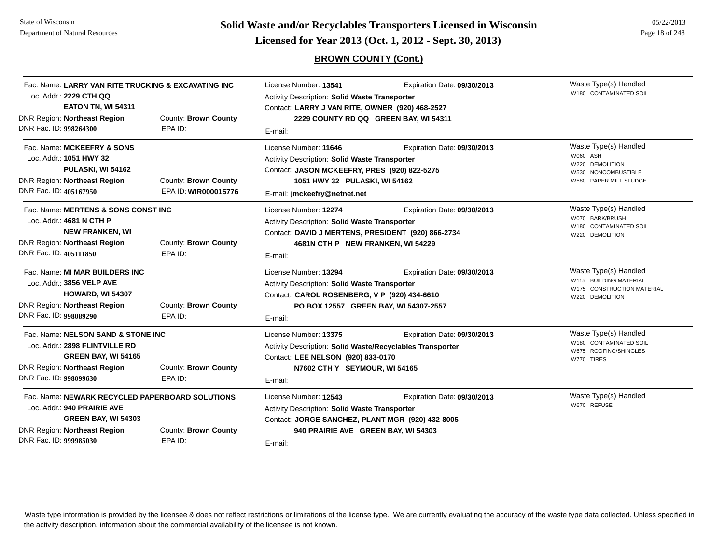**Page 18 of 248 <b>Licensed for Year 2013 (Oct. 1, 2012 - Sept. 30, 2013) Page 18 of 248 Licensed for Year 2013 (Oct. 1, 2012 - Sept. 30, 2013)** 

# **BROWN COUNTY (Cont.)**

| Fac. Name: LARRY VAN RITE TRUCKING & EXCAVATING INC<br>Loc. Addr.: 2229 CTH QQ                                                     |                                 | License Number: 13541<br>Activity Description: Solid Waste Transporter                                                                                           | Expiration Date: 09/30/2013                                                              | Waste Type(s) Handled<br>W180 CONTAMINATED SOIL                                                  |  |  |
|------------------------------------------------------------------------------------------------------------------------------------|---------------------------------|------------------------------------------------------------------------------------------------------------------------------------------------------------------|------------------------------------------------------------------------------------------|--------------------------------------------------------------------------------------------------|--|--|
| <b>EATON TN, WI 54311</b><br><b>DNR Region: Northeast Region</b>                                                                   | County: Brown County            |                                                                                                                                                                  | Contact: LARRY J VAN RITE, OWNER (920) 468-2527<br>2229 COUNTY RD QQ GREEN BAY, WI 54311 |                                                                                                  |  |  |
| DNR Fac. ID: 998264300                                                                                                             | EPA ID:                         | E-mail:                                                                                                                                                          |                                                                                          |                                                                                                  |  |  |
| Fac. Name: MCKEEFRY & SONS<br>Loc. Addr.: 1051 HWY 32                                                                              |                                 | License Number: 11646<br><b>Activity Description: Solid Waste Transporter</b>                                                                                    | Expiration Date: 09/30/2013                                                              | Waste Type(s) Handled<br>W060 ASH<br>W220 DEMOLITION                                             |  |  |
| PULASKI, WI 54162                                                                                                                  |                                 | Contact: JASON MCKEEFRY, PRES (920) 822-5275                                                                                                                     |                                                                                          | W530 NONCOMBUSTIBLE                                                                              |  |  |
| <b>DNR Region: Northeast Region</b>                                                                                                | County: Brown County            | 1051 HWY 32 PULASKI, WI 54162                                                                                                                                    |                                                                                          | W580 PAPER MILL SLUDGE                                                                           |  |  |
| DNR Fac. ID: 405167950                                                                                                             | EPA ID: WIR000015776            | E-mail: jmckeefry@netnet.net                                                                                                                                     |                                                                                          |                                                                                                  |  |  |
| Fac. Name: MERTENS & SONS CONST INC<br>Loc. Addr.: 4681 N CTH P<br><b>NEW FRANKEN, WI</b>                                          |                                 | License Number: 12274<br>Expiration Date: 09/30/2013<br>Activity Description: Solid Waste Transporter<br>Contact: DAVID J MERTENS, PRESIDENT (920) 866-2734      |                                                                                          | Waste Type(s) Handled<br>W070 BARK/BRUSH<br>W180 CONTAMINATED SOIL<br>W220 DEMOLITION            |  |  |
| <b>DNR Region: Northeast Region</b>                                                                                                | County: Brown County            | 4681N CTH P NEW FRANKEN, WI 54229                                                                                                                                |                                                                                          |                                                                                                  |  |  |
| DNR Fac. ID: 405111850                                                                                                             | EPA ID:                         | E-mail:                                                                                                                                                          |                                                                                          |                                                                                                  |  |  |
| Fac. Name: MI MAR BUILDERS INC<br>Loc. Addr.: 3856 VELP AVE<br><b>HOWARD, WI 54307</b>                                             |                                 | License Number: 13294<br>Activity Description: Solid Waste Transporter<br>Contact: CAROL ROSENBERG, V P (920) 434-6610                                           | Expiration Date: 09/30/2013                                                              | Waste Type(s) Handled<br>W115 BUILDING MATERIAL<br>W175 CONSTRUCTION MATERIAL<br>W220 DEMOLITION |  |  |
| <b>DNR Region: Northeast Region</b><br>DNR Fac. ID: 998089290                                                                      | County: Brown County<br>EPA ID: |                                                                                                                                                                  | PO BOX 12557 GREEN BAY, WI 54307-2557                                                    |                                                                                                  |  |  |
|                                                                                                                                    |                                 | E-mail:                                                                                                                                                          |                                                                                          |                                                                                                  |  |  |
| Fac. Name: NELSON SAND & STONE INC<br>Loc. Addr.: 2898 FLINTVILLE RD<br>GREEN BAY, WI 54165<br><b>DNR Region: Northeast Region</b> | County: Brown County            | License Number: 13375<br><b>Activity Description: Solid Waste/Recyclables Transporter</b><br>Contact: LEE NELSON (920) 833-0170<br>N7602 CTH Y SEYMOUR, WI 54165 | Expiration Date: 09/30/2013                                                              | Waste Type(s) Handled<br>W180 CONTAMINATED SOIL<br>W675 ROOFING/SHINGLES<br>W770 TIRES           |  |  |
| DNR Fac. ID: 998099630                                                                                                             | EPA ID:                         | E-mail:                                                                                                                                                          |                                                                                          |                                                                                                  |  |  |
| Fac. Name: NEWARK RECYCLED PAPERBOARD SOLUTIONS<br>Loc. Addr.: 940 PRAIRIE AVE<br>GREEN BAY, WI 54303                              |                                 | License Number: 12543<br>Expiration Date: 09/30/2013<br>Activity Description: Solid Waste Transporter<br>Contact: JORGE SANCHEZ, PLANT MGR (920) 432-8005        |                                                                                          | Waste Type(s) Handled<br>W670 REFUSE                                                             |  |  |
| <b>DNR Region: Northeast Region</b>                                                                                                | County: Brown County            | 940 PRAIRIE AVE GREEN BAY, WI 54303                                                                                                                              |                                                                                          |                                                                                                  |  |  |
| DNR Fac. ID: 999985030                                                                                                             | EPA ID:                         | E-mail:                                                                                                                                                          |                                                                                          |                                                                                                  |  |  |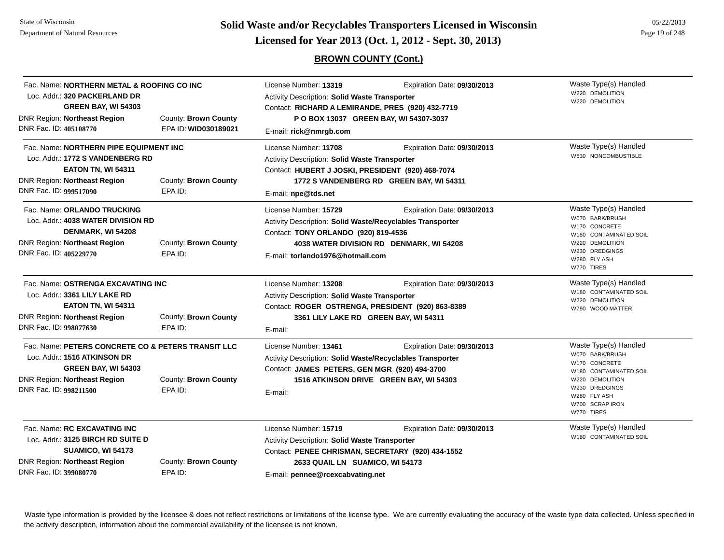**Page 19 of 248 <b>Licensed for Year 2013 (Oct. 1, 2012 - Sept. 30, 2013) Page 19 of 248 Licensed for Year 2013 (Oct. 1, 2012 - Sept. 30, 2013)** 

# **BROWN COUNTY (Cont.)**

| DNR Fac. ID: 405108770 | Fac. Name: NORTHERN METAL & ROOFING CO INC<br>Loc. Addr.: 320 PACKERLAND DR<br><b>GREEN BAY, WI 54303</b><br><b>DNR Region: Northeast Region</b>        | County: Brown County<br>EPA ID: WID030189021 | License Number: 13319<br>Activity Description: Solid Waste Transporter<br>Contact: RICHARD A LEMIRANDE, PRES (920) 432-7719<br>P O BOX 13037 GREEN BAY, WI 54307-3037<br>E-mail: rick@nmrgb.com    | Expiration Date: 09/30/2013                                             | Waste Type(s) Handled<br>W220 DEMOLITION<br>W220 DEMOLITION                                                                                                               |
|------------------------|---------------------------------------------------------------------------------------------------------------------------------------------------------|----------------------------------------------|----------------------------------------------------------------------------------------------------------------------------------------------------------------------------------------------------|-------------------------------------------------------------------------|---------------------------------------------------------------------------------------------------------------------------------------------------------------------------|
| DNR Fac. ID: 999517090 | Fac. Name: NORTHERN PIPE EQUIPMENT INC<br>Loc. Addr.: 1772 S VANDENBERG RD<br><b>EATON TN, WI 54311</b><br><b>DNR Region: Northeast Region</b>          | County: Brown County<br>EPA ID:              | License Number: 11708<br>Activity Description: Solid Waste Transporter<br>Contact: HUBERT J JOSKI, PRESIDENT (920) 468-7074<br>E-mail: npe@tds.net                                                 | Expiration Date: 09/30/2013<br>1772 S VANDENBERG RD GREEN BAY, WI 54311 | Waste Type(s) Handled<br>W530 NONCOMBUSTIBLE                                                                                                                              |
| DNR Fac. ID: 405229770 | Fac. Name: ORLANDO TRUCKING<br>Loc. Addr.: 4038 WATER DIVISION RD<br>DENMARK, WI 54208<br><b>DNR Region: Northeast Region</b>                           | County: Brown County<br>EPA ID:              | License Number: 15729<br>Activity Description: Solid Waste/Recyclables Transporter<br>Contact: TONY ORLANDO (920) 819-4536<br>E-mail: torlando1976@hotmail.com                                     | Expiration Date: 09/30/2013<br>4038 WATER DIVISION RD DENMARK, WI 54208 | Waste Type(s) Handled<br>W070 BARK/BRUSH<br>W170 CONCRETE<br>W180 CONTAMINATED SOIL<br>W220 DEMOLITION<br>W230 DREDGINGS<br>W280 FLY ASH<br>W770 TIRES                    |
| DNR Fac. ID: 998077630 | Fac. Name: OSTRENGA EXCAVATING INC<br>Loc. Addr.: 3361 LILY LAKE RD<br><b>EATON TN, WI 54311</b><br><b>DNR Region: Northeast Region</b>                 | County: Brown County<br>EPA ID:              | License Number: 13208<br><b>Activity Description: Solid Waste Transporter</b><br>Contact: ROGER OSTRENGA, PRESIDENT (920) 863-8389<br>3361 LILY LAKE RD GREEN BAY, WI 54311<br>E-mail:             | Expiration Date: 09/30/2013                                             | Waste Type(s) Handled<br>W180 CONTAMINATED SOIL<br>W220 DEMOLITION<br>W790 WOOD MATTER                                                                                    |
| DNR Fac. ID: 998211500 | Fac. Name: PETERS CONCRETE CO & PETERS TRANSIT LLC<br>Loc. Addr.: 1516 ATKINSON DR<br><b>GREEN BAY, WI 54303</b><br><b>DNR Region: Northeast Region</b> | County: Brown County<br>EPA ID:              | License Number: 13461<br>Activity Description: Solid Waste/Recyclables Transporter<br>Contact: JAMES PETERS, GEN MGR (920) 494-3700<br>E-mail:                                                     | Expiration Date: 09/30/2013<br>1516 ATKINSON DRIVE GREEN BAY, WI 54303  | Waste Type(s) Handled<br>W070 BARK/BRUSH<br>W170 CONCRETE<br>W180 CONTAMINATED SOIL<br>W220 DEMOLITION<br>W230 DREDGINGS<br>W280 FLY ASH<br>W700 SCRAP IRON<br>W770 TIRES |
| DNR Fac. ID: 399080770 | Fac. Name: RC EXCAVATING INC<br>Loc. Addr.: 3125 BIRCH RD SUITE D<br>SUAMICO, WI 54173<br><b>DNR Region: Northeast Region</b>                           | County: Brown County<br>EPA ID:              | License Number: 15719<br>Activity Description: Solid Waste Transporter<br>Contact: PENEE CHRISMAN, SECRETARY (920) 434-1552<br>2633 QUAIL LN SUAMICO, WI 54173<br>E-mail: pennee@rcexcabvating.net | Expiration Date: 09/30/2013                                             | Waste Type(s) Handled<br>W180 CONTAMINATED SOIL                                                                                                                           |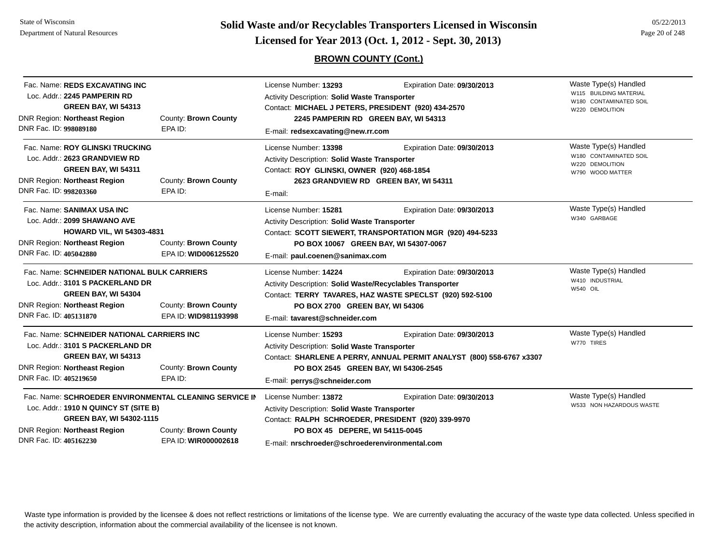State of WisconsinDepartment of Natural Resources

**Page 20 of 248 <b>Licensed for Year 2013 (Oct. 1, 2012 - Sept. 30, 2013) Page 20 of 248 Licensed for Year 2013 (Oct. 1, 2012 - Sept. 30, 2013)** 

# **BROWN COUNTY (Cont.)**

| Fac. Name: REDS EXCAVATING INC<br>Loc. Addr.: 2245 PAMPERIN RD<br>GREEN BAY, WI 54313<br><b>DNR Region: Northeast Region</b><br>DNR Fac. ID: 998089180                                                                                              | County: Brown County<br>EPA ID:              | License Number: 13293<br>Activity Description: Solid Waste Transporter<br>Contact: MICHAEL J PETERS, PRESIDENT (920) 434-2570<br>2245 PAMPERIN RD GREEN BAY, WI 54313<br>E-mail: redsexcavating@new.rr.com        | Waste Type(s) Handled<br>W115 BUILDING MATERIAL<br>W180 CONTAMINATED SOIL<br>W220 DEMOLITION         |                                                                                        |
|-----------------------------------------------------------------------------------------------------------------------------------------------------------------------------------------------------------------------------------------------------|----------------------------------------------|-------------------------------------------------------------------------------------------------------------------------------------------------------------------------------------------------------------------|------------------------------------------------------------------------------------------------------|----------------------------------------------------------------------------------------|
| Fac. Name: ROY GLINSKI TRUCKING<br>Loc. Addr.: 2623 GRANDVIEW RD<br><b>GREEN BAY, WI 54311</b><br><b>DNR Region: Northeast Region</b><br>DNR Fac. ID: 998203360                                                                                     | County: Brown County<br>EPA ID:              | License Number: 13398<br>Activity Description: Solid Waste Transporter<br>Contact: ROY GLINSKI, OWNER (920) 468-1854<br>E-mail:                                                                                   | Expiration Date: 09/30/2013<br>2623 GRANDVIEW RD GREEN BAY, WI 54311                                 | Waste Type(s) Handled<br>W180 CONTAMINATED SOIL<br>W220 DEMOLITION<br>W790 WOOD MATTER |
| Fac. Name: SANIMAX USA INC<br>Loc. Addr.: 2099 SHAWANO AVE<br><b>HOWARD VIL, WI 54303-4831</b><br><b>DNR Region: Northeast Region</b><br>DNR Fac. ID: 405042880                                                                                     | County: Brown County<br>EPA ID: WID006125520 | License Number: 15281<br>Activity Description: Solid Waste Transporter<br>PO BOX 10067 GREEN BAY, WI 54307-0067<br>E-mail: paul.coenen@sanimax.com                                                                | Expiration Date: 09/30/2013<br>Contact: SCOTT SIEWERT, TRANSPORTATION MGR (920) 494-5233             | Waste Type(s) Handled<br>W340 GARBAGE                                                  |
| Fac. Name: SCHNEIDER NATIONAL BULK CARRIERS<br>Loc. Addr.: 3101 S PACKERLAND DR<br>GREEN BAY, WI 54304<br>County: Brown County<br><b>DNR Region: Northeast Region</b><br>DNR Fac. ID: 405131870<br>EPA ID: WID981193998                             |                                              | License Number: 14224<br>Activity Description: Solid Waste/Recyclables Transporter<br>PO BOX 2700 GREEN BAY, WI 54306<br>E-mail: tavarest@schneider.com                                                           | Expiration Date: 09/30/2013<br>Contact: TERRY TAVARES, HAZ WASTE SPECLST (920) 592-5100              | Waste Type(s) Handled<br>W410 INDUSTRIAL<br><b>W540 OIL</b>                            |
| Fac. Name: SCHNEIDER NATIONAL CARRIERS INC<br>Loc. Addr.: 3101 S PACKERLAND DR<br><b>GREEN BAY, WI 54313</b><br><b>DNR Region: Northeast Region</b><br>DNR Fac. ID: 405219650                                                                       | County: Brown County<br>EPA ID:              | License Number: 15293<br>Activity Description: Solid Waste Transporter<br>PO BOX 2545 GREEN BAY, WI 54306-2545<br>E-mail: perrys@schneider.com                                                                    | Expiration Date: 09/30/2013<br>Contact: SHARLENE A PERRY, ANNUAL PERMIT ANALYST (800) 558-6767 x3307 | Waste Type(s) Handled<br>W770 TIRES                                                    |
| Fac. Name: SCHROEDER ENVIRONMENTAL CLEANING SERVICE IN<br>Loc. Addr.: 1910 N QUINCY ST (SITE B)<br><b>GREEN BAY, WI 54302-1115</b><br><b>DNR Region: Northeast Region</b><br>County: Brown County<br>DNR Fac. ID: 405162230<br>EPA ID: WIR000002618 |                                              | License Number: 13872<br>Activity Description: Solid Waste Transporter<br>Contact: RALPH SCHROEDER, PRESIDENT (920) 339-9970<br>PO BOX 45 DEPERE, WI 54115-0045<br>E-mail: nrschroeder@schroederenvironmental.com | Expiration Date: 09/30/2013                                                                          | Waste Type(s) Handled<br>W533 NON HAZARDOUS WASTE                                      |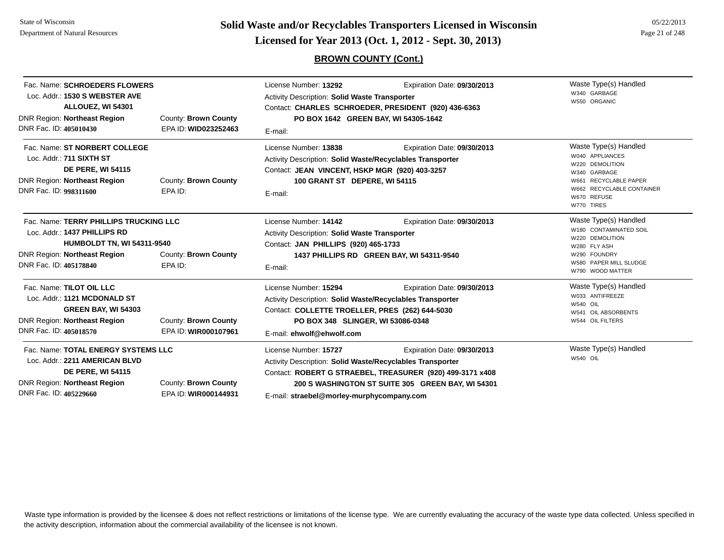State of WisconsinDepartment of Natural Resources

DNR Region: **Northeast Region** DNR Fac. ID: **405229660**

**Page 21 of 248 <b>Licensed for Year 2013 (Oct. 1, 2012 - Sept. 30, 2013) Page 21 of 248 Licensed for Year 2013 (Oct. 1, 2012 - Sept. 30, 2013)** 

## **BROWN COUNTY (Cont.)**

| Fac. Name: SCHROEDERS FLOWERS<br>Loc. Addr.: 1530 S WEBSTER AVE<br>ALLOUEZ, WI 54301<br>DNR Region: Northeast Region<br>DNR Fac. ID: 405010430                                                           | County: Brown County<br>EPA ID: WID023252463 | License Number: 13292<br><b>Activity Description: Solid Waste Transporter</b><br>Contact: CHARLES SCHROEDER, PRESIDENT (920) 436-6363<br>PO BOX 1642 GREEN BAY, WI 54305-1642<br>E-mail:                               | Waste Type(s) Handled<br>W340 GARBAGE<br>W550 ORGANIC                                    |                                                                                                                                                                |
|----------------------------------------------------------------------------------------------------------------------------------------------------------------------------------------------------------|----------------------------------------------|------------------------------------------------------------------------------------------------------------------------------------------------------------------------------------------------------------------------|------------------------------------------------------------------------------------------|----------------------------------------------------------------------------------------------------------------------------------------------------------------|
| Fac. Name: ST NORBERT COLLEGE<br>Loc. Addr.: 711 SIXTH ST<br><b>DE PERE, WI 54115</b><br><b>DNR Region: Northeast Region</b><br>County: Brown County<br>DNR Fac. ID: 998311600<br>EPA ID:                |                                              | License Number: 13838<br>Expiration Date: 09/30/2013<br><b>Activity Description: Solid Waste/Recyclables Transporter</b><br>Contact: JEAN VINCENT, HSKP MGR (920) 403-3257<br>100 GRANT ST DEPERE, WI 54115<br>E-mail: |                                                                                          | Waste Type(s) Handled<br>W040 APPLIANCES<br>W220 DEMOLITION<br>W340 GARBAGE<br>W661 RECYCLABLE PAPER<br>W662 RECYCLABLE CONTAINER<br>W670 REFUSE<br>W770 TIRES |
| Fac. Name: TERRY PHILLIPS TRUCKING LLC<br>Loc. Addr.: 1437 PHILLIPS RD<br><b>HUMBOLDT TN, WI 54311-9540</b><br>DNR Region: Northeast Region<br>County: Brown County<br>DNR Fac. ID: 405178840<br>EPA ID: |                                              | Expiration Date: 09/30/2013<br>License Number: 14142<br><b>Activity Description: Solid Waste Transporter</b><br>Contact: JAN PHILLIPS (920) 465-1733<br>1437 PHILLIPS RD GREEN BAY, WI 54311-9540<br>E-mail:           |                                                                                          | Waste Type(s) Handled<br>W180 CONTAMINATED SOIL<br>W220 DEMOLITION<br>W280 FLY ASH<br>W290 FOUNDRY<br>W580 PAPER MILL SLUDGE<br>W790 WOOD MATTER               |
| Fac. Name: TILOT OIL LLC<br>Loc. Addr.: 1121 MCDONALD ST<br><b>GREEN BAY, WI 54303</b><br><b>DNR Region: Northeast Region</b><br>DNR Fac. ID: 405018570                                                  | County: Brown County<br>EPA ID: WIR000107961 | License Number: 15294<br>Activity Description: Solid Waste/Recyclables Transporter<br>Contact: COLLETTE TROELLER, PRES (262) 644-5030<br>PO BOX 348 SLINGER, WI 53086-0348<br>E-mail: ehwolf@ehwolf.com                | Expiration Date: 09/30/2013                                                              | Waste Type(s) Handled<br>W033 ANTIFREEZE<br><b>W540 OIL</b><br>W541 OIL ABSORBENTS<br>W544 OIL FILTERS                                                         |
| Fac. Name: TOTAL ENERGY SYSTEMS LLC<br>Loc. Addr.: 2211 AMERICAN BLVD<br><b>DE PERE, WI 54115</b>                                                                                                        |                                              | License Number: 15727<br>Activity Description: Solid Waste/Recyclables Transporter                                                                                                                                     | Expiration Date: 09/30/2013<br>Contact: ROBERT G STRAEBEL, TREASURER (920) 499-3171 x408 | Waste Type(s) Handled<br>W540 OIL                                                                                                                              |

County: **Brown County 200 S WASHINGTON ST SUITE 305 GREEN BAY, WI 54301**

EPA ID: **WIR000144931**

E-mail: **straebel@morley-murphycompany.com**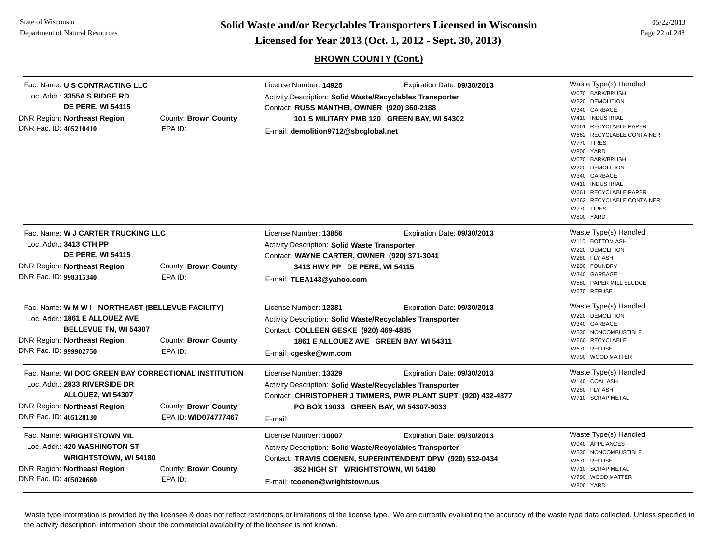**Page 22 of 248 <b>Licensed for Year 2013 (Oct. 1, 2012 - Sept. 30, 2013) Page 22 of 248 Licensed for Year 2013 (Oct. 1, 2012 - Sept. 30, 2013)** 

# **BROWN COUNTY (Cont.)**

| Fac. Name: U S CONTRACTING LLC<br>Loc. Addr.: 3355A S RIDGE RD<br><b>DE PERE, WI 54115</b><br><b>DNR Region: Northeast Region</b><br>DNR Fac. ID: 405210410                    | County: Brown County<br>EPA ID:              | License Number: 14925<br>Expiration Date: 09/30/2013<br>Activity Description: Solid Waste/Recyclables Transporter<br>Contact: RUSS MANTHEI, OWNER (920) 360-2188<br>101 S MILITARY PMB 120 GREEN BAY, WI 54302<br>E-mail: demolition9712@sbcglobal.net | Waste Type(s) Handled<br>W070 BARK/BRUSH<br>W220 DEMOLITION<br>W340 GARBAGE<br>W410 INDUSTRIAL<br>W661 RECYCLABLE PAPER<br>W662 RECYCLABLE CONTAINER<br>W770 TIRES<br>W800 YARD<br>W070 BARK/BRUSH<br>W220 DEMOLITION<br>W340 GARBAGE<br>W410 INDUSTRIAL<br>W661 RECYCLABLE PAPER<br>W662 RECYCLABLE CONTAINER<br>W770 TIRES<br>W800 YARD |
|--------------------------------------------------------------------------------------------------------------------------------------------------------------------------------|----------------------------------------------|--------------------------------------------------------------------------------------------------------------------------------------------------------------------------------------------------------------------------------------------------------|-------------------------------------------------------------------------------------------------------------------------------------------------------------------------------------------------------------------------------------------------------------------------------------------------------------------------------------------|
| Fac. Name: W J CARTER TRUCKING LLC<br>Loc. Addr.: 3413 CTH PP<br><b>DE PERE, WI 54115</b><br><b>DNR Region: Northeast Region</b><br>County: Brown County                       |                                              | License Number: 13856<br>Expiration Date: 09/30/2013<br>Activity Description: Solid Waste Transporter<br>Contact: WAYNE CARTER, OWNER (920) 371-3041<br>3413 HWY PP DE PERE, WI 54115                                                                  | Waste Type(s) Handled<br>W110 BOTTOM ASH<br>W220 DEMOLITION<br>W280 FLY ASH<br>W290 FOUNDRY                                                                                                                                                                                                                                               |
| DNR Fac. ID: 998315340                                                                                                                                                         | EPA ID:                                      | E-mail: TLEA143@yahoo.com                                                                                                                                                                                                                              | W340 GARBAGE<br>W580 PAPER MILL SLUDGE<br>W670 REFUSE                                                                                                                                                                                                                                                                                     |
| Fac. Name: W M W I - NORTHEAST (BELLEVUE FACILITY)<br>Loc. Addr.: 1861 E ALLOUEZ AVE<br><b>BELLEVUE TN, WI 54307</b><br>DNR Region: Northeast Region<br>DNR Fac. ID: 999902750 | County: Brown County<br>EPA ID:              | License Number: 12381<br>Expiration Date: 09/30/2013<br>Activity Description: Solid Waste/Recyclables Transporter<br>Contact: COLLEEN GESKE (920) 469-4835<br>1861 E ALLOUEZ AVE GREEN BAY, WI 54311<br>E-mail: cgeske@wm.com                          | Waste Type(s) Handled<br>W220 DEMOLITION<br>W340 GARBAGE<br>W530 NONCOMBUSTIBLE<br>W660 RECYCLABLE<br>W670 REFUSE<br>W790 WOOD MATTER                                                                                                                                                                                                     |
| Fac. Name: WI DOC GREEN BAY CORRECTIONAL INSTITUTION<br>Loc. Addr.: 2833 RIVERSIDE DR<br>ALLOUEZ, WI 54307<br><b>DNR Region: Northeast Region</b><br>DNR Fac. ID: 405128130    | County: Brown County<br>EPA ID: WID074777467 | License Number: 13329<br>Expiration Date: 09/30/2013<br>Activity Description: Solid Waste/Recyclables Transporter<br>Contact: CHRISTOPHER J TIMMERS, PWR PLANT SUPT (920) 432-4877<br>PO BOX 19033 GREEN BAY, WI 54307-9033<br>E-mail:                 | Waste Type(s) Handled<br>W140 COAL ASH<br>W280 FLY ASH<br>W710 SCRAP METAL                                                                                                                                                                                                                                                                |
| Fac. Name: WRIGHTSTOWN VIL<br>Loc. Addr.: 420 WASHINGTON ST<br><b>WRIGHTSTOWN, WI 54180</b><br><b>DNR Region: Northeast Region</b><br>DNR Fac. ID: 405020660                   | County: Brown County<br>EPA ID:              | License Number: 10007<br>Expiration Date: 09/30/2013<br>Activity Description: Solid Waste/Recyclables Transporter<br>Contact: TRAVIS COENEN, SUPERINTENDENT DPW (920) 532-0434<br>352 HIGH ST WRIGHTSTOWN, WI 54180<br>E-mail: tcoenen@wrightstown.us  | Waste Type(s) Handled<br>W040 APPLIANCES<br>W530 NONCOMBUSTIBLE<br>W670 REFUSE<br>W710 SCRAP METAL<br>W790 WOOD MATTER<br>W800 YARD                                                                                                                                                                                                       |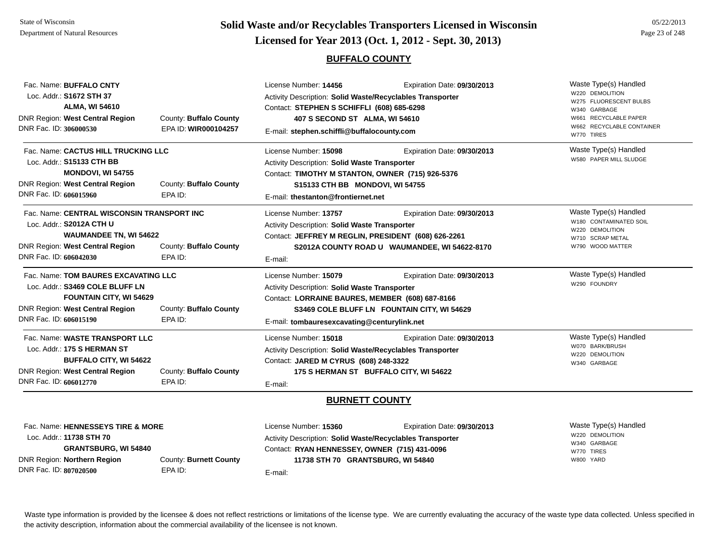# **Page 23 of 248 <b>Licensed for Year 2013 (Oct. 1, 2012 - Sept. 30, 2013) Page 23 of 248 Licensed for Year 2013 (Oct. 1, 2012 - Sept. 30, 2013)**

## **BUFFALO COUNTY**

| Fac. Name: BUFFALO CNTY<br>Loc. Addr.: S1672 STH 37 |                        | License Number: 14456<br>Expiration Date: 09/30/2013<br><b>Activity Description: Solid Waste/Recyclables Transporter</b> |                                               | Waste Type(s) Handled<br>W220 DEMOLITION  |
|-----------------------------------------------------|------------------------|--------------------------------------------------------------------------------------------------------------------------|-----------------------------------------------|-------------------------------------------|
| <b>ALMA, WI 54610</b>                               |                        | Contact: STEPHEN S SCHIFFLI (608) 685-6298                                                                               |                                               | W275 FLUORESCENT BULBS                    |
| <b>DNR Region: West Central Region</b>              | County: Buffalo County | 407 S SECOND ST ALMA, WI 54610                                                                                           |                                               | W340 GARBAGE<br>W661 RECYCLABLE PAPER     |
| DNR Fac. ID: 306000530                              | EPA ID: WIR000104257   | E-mail: stephen.schiffli@buffalocounty.com                                                                               |                                               | W662 RECYCLABLE CONTAINER<br>W770 TIRES   |
| Fac. Name: CACTUS HILL TRUCKING LLC                 |                        | License Number: 15098                                                                                                    | Expiration Date: 09/30/2013                   | Waste Type(s) Handled                     |
| Loc. Addr.: <b>S15133 CTH BB</b>                    |                        | <b>Activity Description: Solid Waste Transporter</b>                                                                     |                                               | W580 PAPER MILL SLUDGE                    |
| <b>MONDOVI, WI 54755</b>                            |                        | Contact: TIMOTHY M STANTON, OWNER (715) 926-5376                                                                         |                                               |                                           |
| <b>DNR Region: West Central Region</b>              | County: Buffalo County | S15133 CTH BB MONDOVI, WI 54755                                                                                          |                                               |                                           |
| DNR Fac. ID: 606015960                              | EPA ID:                | E-mail: thestanton@frontiernet.net                                                                                       |                                               |                                           |
| Fac. Name: CENTRAL WISCONSIN TRANSPORT INC          |                        | License Number: 13757                                                                                                    | Expiration Date: 09/30/2013                   | Waste Type(s) Handled                     |
| Loc. Addr.: S2012A CTH U                            |                        | <b>Activity Description: Solid Waste Transporter</b><br>Contact: JEFFREY M REGLIN, PRESIDENT (608) 626-2261              |                                               | W180 CONTAMINATED SOIL<br>W220 DEMOLITION |
| <b>WAUMANDEE TN, WI 54622</b>                       |                        |                                                                                                                          |                                               | W710 SCRAP METAL                          |
| <b>DNR Region: West Central Region</b>              | County: Buffalo County |                                                                                                                          | S2012A COUNTY ROAD U WAUMANDEE, WI 54622-8170 | W790 WOOD MATTER                          |
| DNR Fac. ID: 606042030                              | EPA ID:                | E-mail:                                                                                                                  |                                               |                                           |
| Fac. Name: TOM BAURES EXCAVATING LLC                |                        | License Number: 15079                                                                                                    | Expiration Date: 09/30/2013                   | Waste Type(s) Handled                     |
| Loc. Addr.: S3469 COLE BLUFF LN                     |                        | <b>Activity Description: Solid Waste Transporter</b>                                                                     |                                               | W290 FOUNDRY                              |
| <b>FOUNTAIN CITY, WI 54629</b>                      |                        | Contact: LORRAINE BAURES, MEMBER (608) 687-8166                                                                          |                                               |                                           |
| <b>DNR Region: West Central Region</b>              | County: Buffalo County |                                                                                                                          | S3469 COLE BLUFF LN FOUNTAIN CITY, WI 54629   |                                           |
| DNR Fac. ID: 606015190                              | EPA ID:                | E-mail: tombauresexcavating@centurylink.net                                                                              |                                               |                                           |
| Fac. Name: WASTE TRANSPORT LLC                      |                        | License Number: 15018                                                                                                    | Expiration Date: 09/30/2013                   | Waste Type(s) Handled                     |
| Loc. Addr.: 175 S HERMAN ST                         |                        | Activity Description: Solid Waste/Recyclables Transporter                                                                |                                               | W070 BARK/BRUSH<br>W220 DEMOLITION        |
| <b>BUFFALO CITY, WI 54622</b>                       |                        | Contact: JARED M CYRUS (608) 248-3322                                                                                    |                                               | W340 GARBAGE                              |
| <b>DNR Region: West Central Region</b>              | County: Buffalo County | 175 S HERMAN ST BUFFALO CITY, WI 54622                                                                                   |                                               |                                           |
| DNR Fac. ID: 606012770                              | EPA ID:                | E-mail:                                                                                                                  |                                               |                                           |
|                                                     |                        | <b>DUBMETT CAULITY</b>                                                                                                   |                                               |                                           |

### **BURNETT COUNTY**

Waste Type(s) Handled W220 DEMOLITIONW340 GARBAGEW770 TIRESW800 YARDFac. Name: **HENNESSEYS TIRE & MORE**Loc. Addr.: **11738 STH 70 GRANTSBURG, WI 54840** DNR Region: **Northern Region** DNR Fac. ID: **807020500**County: **Burnett County** EPA ID:License Number: **15360** Expiration Date: **09/30/2013**  Activity Description: **Solid Waste/Recyclables Transporter** Contact: **RYAN HENNESSEY, OWNER (715) 431-0096** E-mail: **11738 STH 70 GRANTSBURG, WI 54840**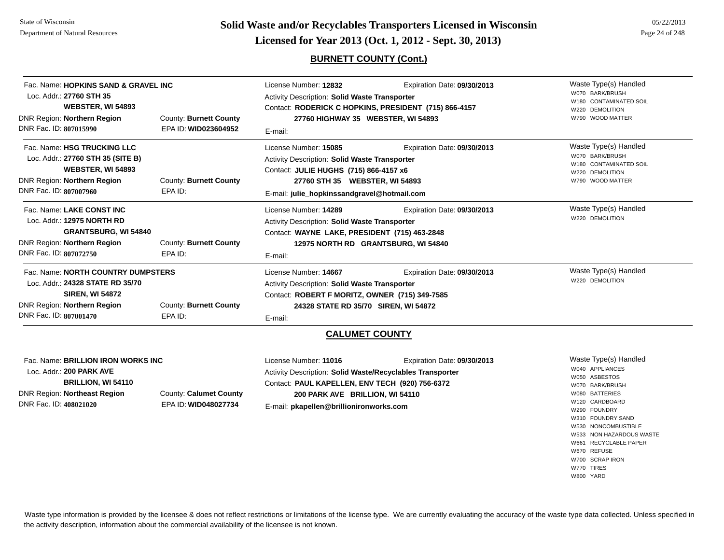# **Page 24 of 248 <b>Licensed for Year 2013 (Oct. 1, 2012 - Sept. 30, 2013) Page 24 of 248 Licensed for Year 2013 (Oct. 1, 2012 - Sept. 30, 2013)**

## **BURNETT COUNTY (Cont.)**

| Fac. Name: NORTH COUNTRY DUMPSTERS                            |                        | License Number: <b>14667</b>                                                                          | Expiration Date: 09/30/2013 | Waste Type(s) Handled                                        |
|---------------------------------------------------------------|------------------------|-------------------------------------------------------------------------------------------------------|-----------------------------|--------------------------------------------------------------|
| DNR Fac. ID: 807072750                                        | EPA ID:                | E-mail:                                                                                               |                             |                                                              |
| DNR Region: Northern Region                                   | County: Burnett County | 12975 NORTH RD GRANTSBURG, WI 54840                                                                   |                             |                                                              |
| Loc. Addr.: 12975 NORTH RD<br><b>GRANTSBURG, WI 54840</b>     |                        | <b>Activity Description: Solid Waste Transporter</b><br>Contact: WAYNE LAKE, PRESIDENT (715) 463-2848 |                             |                                                              |
|                                                               |                        |                                                                                                       |                             | W220 DEMOLITION                                              |
| Fac. Name: LAKE CONST INC                                     |                        | License Number: 14289                                                                                 | Expiration Date: 09/30/2013 | Waste Type(s) Handled                                        |
| DNR Fac. ID: 807007960                                        | EPA ID:                | E-mail: julie_hopkinssandgravel@hotmail.com                                                           |                             |                                                              |
| DNR Region: Northern Region                                   | County: Burnett County | 27760 STH 35 WEBSTER, WI 54893                                                                        |                             | W790 WOOD MATTER                                             |
| Loc. Addr.: 27760 STH 35 (SITE B)<br><b>WEBSTER, WI 54893</b> |                        | <b>Activity Description: Solid Waste Transporter</b><br>Contact: JULIE HUGHS (715) 866-4157 x6        |                             | W070 BARK/BRUSH<br>W180 CONTAMINATED SOIL<br>W220 DEMOLITION |
|                                                               |                        |                                                                                                       |                             |                                                              |
| DNR Fac. ID: 807015990                                        | EPA ID: WID023604952   | E-mail:                                                                                               |                             |                                                              |
| DNR Region: Northern Region                                   | County: Burnett County | 27760 HIGHWAY 35 WEBSTER, WI 54893                                                                    |                             | W790 WOOD MATTER                                             |
| <b>WEBSTER, WI 54893</b>                                      |                        | Contact: RODERICK C HOPKINS, PRESIDENT (715) 866-4157                                                 |                             | W220 DEMOLITION                                              |
| Loc. Addr.: 27760 STH 35                                      |                        | <b>Activity Description: Solid Waste Transporter</b>                                                  |                             | W070 BARK/BRUSH<br>W180 CONTAMINATED SOIL                    |
| Fac. Name: HOPKINS SAND & GRAVEL INC                          |                        | License Number: 12832                                                                                 | Expiration Date: 09/30/2013 | Waste Type(s) Handled                                        |

Fac. Name: **NORTH COUNTRY DUMPSTERS**Loc. Addr.: **24328 STATE RD 35/70SIREN, WI 54872** DNR Region: **Northern Region** DNR Fac. ID: **807001470**County: **Burnett County** EPA ID:License Number: **14667** Expiration Date: **09/30/2013**  Activity Description: **Solid Waste Transporter** Contact: **ROBERT F MORITZ, OWNER (715) 349-7585** E-mail: **24328 STATE RD 35/70 SIREN, WI 54872**

## **CALUMET COUNTY**

| Fac. Name: BRILLION IRON WORKS INC |                        | License Number: <b>11016</b>                              | Expiration Date: 09/30/2013 | Waste Type(s) Handled    |
|------------------------------------|------------------------|-----------------------------------------------------------|-----------------------------|--------------------------|
| Loc. Addr.: 200 PARK AVE           |                        | Activity Description: Solid Waste/Recyclables Transporter |                             | W040 APPLIANCES          |
| <b>BRILLION, WI 54110</b>          |                        | Contact: PAUL KAPELLEN, ENV TECH (920) 756-6372           | W050 ASBESTOS               |                          |
|                                    |                        |                                                           |                             | W070 BARK/BRUSH          |
| DNR Region: Northeast Region       | County: Calumet County | 200 PARK AVE BRILLION, WI 54110                           |                             | W080 BATTERIES           |
| DNR Fac. ID: 408021020             | EPA ID: WID048027734   | E-mail: pkapellen@brillionironworks.com                   |                             | W120 CARDBOARD           |
|                                    |                        |                                                           |                             | W290 FOUNDRY             |
|                                    |                        |                                                           |                             | W310 FOUNDRY SAND        |
|                                    |                        |                                                           |                             | W530 NONCOMBUSTIBLE      |
|                                    |                        |                                                           |                             | W533 NON HAZARDOUS WASTE |
|                                    |                        |                                                           |                             | W661 RECYCLABLE PAPER    |
|                                    |                        |                                                           |                             | W670 REFUSE              |

Waste type information is provided by the licensee & does not reflect restrictions or limitations of the license type. We are currently evaluating the accuracy of the waste type data collected. Unless specified in the activity description, information about the commercial availability of the licensee is not known.

W220 DEMOLITION

W700 SCRAP IRONW770 TIRESW800 YARD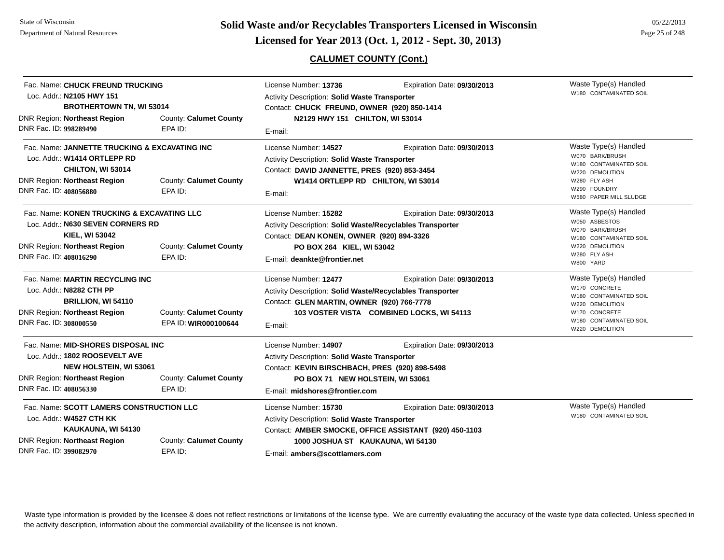**Page 25 of 248 <b>Licensed for Year 2013 (Oct. 1, 2012 - Sept. 30, 2013) Page 25 of 248 Licensed for Year 2013 (Oct. 1, 2012 - Sept. 30, 2013)** 

# **CALUMET COUNTY (Cont.)**

| Fac. Name: CHUCK FREUND TRUCKING<br>Loc. Addr.: N2105 HWY 151<br><b>BROTHERTOWN TN, WI 53014</b>                                                                          |                                                | License Number: 13736<br><b>Activity Description: Solid Waste Transporter</b><br>Contact: CHUCK FREUND, OWNER (920) 850-1414                                                                   | Waste Type(s) Handled<br>W180 CONTAMINATED SOIL                                       |                                                                                                                                                   |
|---------------------------------------------------------------------------------------------------------------------------------------------------------------------------|------------------------------------------------|------------------------------------------------------------------------------------------------------------------------------------------------------------------------------------------------|---------------------------------------------------------------------------------------|---------------------------------------------------------------------------------------------------------------------------------------------------|
| <b>DNR Region: Northeast Region</b><br>DNR Fac. ID: 998289490                                                                                                             | County: Calumet County<br>EPA ID:              | N2129 HWY 151 CHILTON, WI 53014<br>E-mail:                                                                                                                                                     |                                                                                       |                                                                                                                                                   |
| Fac. Name: JANNETTE TRUCKING & EXCAVATING INC<br>Loc. Addr.: W1414 ORTLEPP RD<br>CHILTON, WI 53014<br><b>DNR Region: Northeast Region</b><br>DNR Fac. ID: 408056880       | County: Calumet County<br>EPA ID:              | License Number: 14527<br>Activity Description: Solid Waste Transporter<br>Contact: DAVID JANNETTE, PRES (920) 853-3454<br>W1414 ORTLEPP RD CHILTON, WI 53014<br>E-mail:                        | Expiration Date: 09/30/2013                                                           | Waste Type(s) Handled<br>W070 BARK/BRUSH<br>W180 CONTAMINATED SOIL<br>W220 DEMOLITION<br>W280 FLY ASH<br>W290 FOUNDRY<br>W580 PAPER MILL SLUDGE   |
| Fac. Name: KONEN TRUCKING & EXCAVATING LLC<br>Loc. Addr.: N630 SEVEN CORNERS RD<br><b>KIEL, WI 53042</b><br><b>DNR Region: Northeast Region</b><br>DNR Fac. ID: 408016290 | County: Calumet County<br>EPA ID:              | License Number: 15282<br>Activity Description: Solid Waste/Recyclables Transporter<br>Contact: DEAN KONEN, OWNER (920) 894-3326<br>PO BOX 264 KIEL, WI 53042<br>E-mail: deankte@frontier.net   | Expiration Date: 09/30/2013                                                           | Waste Type(s) Handled<br>W050 ASBESTOS<br>W070 BARK/BRUSH<br>W180 CONTAMINATED SOIL<br>W220 DEMOLITION<br>W280 FLY ASH<br>W800 YARD               |
| Fac. Name: MARTIN RECYCLING INC<br>Loc. Addr.: N8282 CTH PP<br>BRILLION, WI 54110<br><b>DNR Region: Northeast Region</b><br>DNR Fac. ID: 308000550                        | County: Calumet County<br>EPA ID: WIR000100644 | License Number: 12477<br>Activity Description: Solid Waste/Recyclables Transporter<br>Contact: GLEN MARTIN, OWNER (920) 766-7778<br>E-mail:                                                    | Expiration Date: 09/30/2013<br>103 VOSTER VISTA COMBINED LOCKS, WI 54113              | Waste Type(s) Handled<br>W170 CONCRETE<br>W180 CONTAMINATED SOIL<br>W220 DEMOLITION<br>W170 CONCRETE<br>W180 CONTAMINATED SOIL<br>W220 DEMOLITION |
| Fac. Name: MID-SHORES DISPOSAL INC<br>Loc. Addr.: 1802 ROOSEVELT AVE<br><b>NEW HOLSTEIN, WI 53061</b><br><b>DNR Region: Northeast Region</b><br>DNR Fac. ID: 408056330    | County: Calumet County<br>EPA ID:              | License Number: 14907<br>Activity Description: Solid Waste Transporter<br>Contact: KEVIN BIRSCHBACH, PRES (920) 898-5498<br>PO BOX 71 NEW HOLSTEIN, WI 53061<br>E-mail: midshores@frontier.com | Expiration Date: 09/30/2013                                                           |                                                                                                                                                   |
| Fac. Name: SCOTT LAMERS CONSTRUCTION LLC<br>Loc. Addr.: W4527 CTH KK<br>KAUKAUNA, WI 54130<br><b>DNR Region: Northeast Region</b><br>DNR Fac. ID: 399082970               | County: Calumet County<br>EPA ID:              | License Number: 15730<br>Activity Description: Solid Waste Transporter<br>1000 JOSHUA ST KAUKAUNA, WI 54130<br>E-mail: ambers@scottlamers.com                                                  | Expiration Date: 09/30/2013<br>Contact: AMBER SMOCKE, OFFICE ASSISTANT (920) 450-1103 | Waste Type(s) Handled<br>W180 CONTAMINATED SOIL                                                                                                   |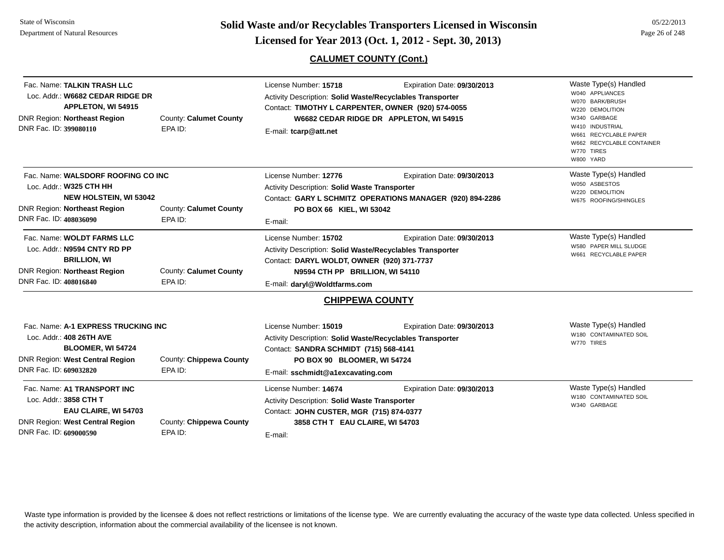**Page 26 of 248 <b>Licensed for Year 2013 (Oct. 1, 2012 - Sept. 30, 2013) Page 26 of 248 Licensed for Year 2013 (Oct. 1, 2012 - Sept. 30, 2013)** 

# **CALUMET COUNTY (Cont.)**

| Fac. Name: TALKIN TRASH LLC<br>Loc. Addr.: W6682 CEDAR RIDGE DR<br><b>APPLETON, WI 54915</b><br><b>DNR Region: Northeast Region</b><br>DNR Fac. ID: 399080110   | County: Calumet County<br>EPA ID:  | License Number: 15718<br>Activity Description: Solid Waste/Recyclables Transporter<br>Contact: TIMOTHY L CARPENTER, OWNER (920) 574-0055<br>E-mail: tcarp@att.net                                       | Expiration Date: 09/30/2013<br>W6682 CEDAR RIDGE DR APPLETON, WI 54915                   | Waste Type(s) Handled<br>W040 APPLIANCES<br>W070 BARK/BRUSH<br>W220 DEMOLITION<br>W340 GARBAGE<br>W410 INDUSTRIAL<br>W661 RECYCLABLE PAPER<br>W662 RECYCLABLE CONTAINER<br>W770 TIRES<br>W800 YARD |
|-----------------------------------------------------------------------------------------------------------------------------------------------------------------|------------------------------------|---------------------------------------------------------------------------------------------------------------------------------------------------------------------------------------------------------|------------------------------------------------------------------------------------------|----------------------------------------------------------------------------------------------------------------------------------------------------------------------------------------------------|
| Fac. Name: WALSDORF ROOFING CO INC<br>Loc. Addr.: W325 CTH HH<br><b>NEW HOLSTEIN, WI 53042</b><br><b>DNR Region: Northeast Region</b><br>DNR Fac. ID: 408036090 | County: Calumet County<br>EPA ID:  | License Number: 12776<br><b>Activity Description: Solid Waste Transporter</b><br>PO BOX 66 KIEL, WI 53042<br>E-mail:                                                                                    | Expiration Date: 09/30/2013<br>Contact: GARY L SCHMITZ OPERATIONS MANAGER (920) 894-2286 | Waste Type(s) Handled<br>W050 ASBESTOS<br>W220 DEMOLITION<br>W675 ROOFING/SHINGLES                                                                                                                 |
| Fac. Name: WOLDT FARMS LLC<br>Loc. Addr.: N9594 CNTY RD PP<br><b>BRILLION, WI</b><br>DNR Region: Northeast Region<br>DNR Fac. ID: 408016840                     | County: Calumet County<br>EPA ID:  | License Number: 15702<br>Activity Description: Solid Waste/Recyclables Transporter<br>Contact: DARYL WOLDT, OWNER (920) 371-7737<br>N9594 CTH PP BRILLION, WI 54110<br>E-mail: daryl@Woldtfarms.com     | Expiration Date: 09/30/2013                                                              | Waste Type(s) Handled<br>W580 PAPER MILL SLUDGE<br>W661 RECYCLABLE PAPER                                                                                                                           |
|                                                                                                                                                                 |                                    | <b>CHIPPEWA COUNTY</b>                                                                                                                                                                                  |                                                                                          |                                                                                                                                                                                                    |
| Fac. Name: A-1 EXPRESS TRUCKING INC<br>Loc. Addr.: 408 26TH AVE<br>BLOOMER, WI 54724<br><b>DNR Region: West Central Region</b><br>DNR Fac. ID: 609032820        | County: Chippewa County<br>EPA ID: | License Number: 15019<br><b>Activity Description: Solid Waste/Recyclables Transporter</b><br>Contact: SANDRA SCHMIDT (715) 568-4141<br>PO BOX 90 BLOOMER, WI 54724<br>E-mail: sschmidt@a1excavating.com | Expiration Date: 09/30/2013                                                              | Waste Type(s) Handled<br>W180 CONTAMINATED SOIL<br>W770 TIRES                                                                                                                                      |
| Fac. Name: A1 TRANSPORT INC<br>Loc. Addr.: 3858 CTH T<br>EAU CLAIRE, WI 54703<br><b>DNR Region: West Central Region</b><br>DNR Fac. ID: 609000590               | County: Chippewa County<br>EPA ID: | License Number: 14674<br>Activity Description: Solid Waste Transporter<br>Contact: JOHN CUSTER, MGR (715) 874-0377<br>3858 CTH T EAU CLAIRE, WI 54703<br>E-mail:                                        | Expiration Date: 09/30/2013                                                              | Waste Type(s) Handled<br>W180 CONTAMINATED SOIL<br>W340 GARBAGE                                                                                                                                    |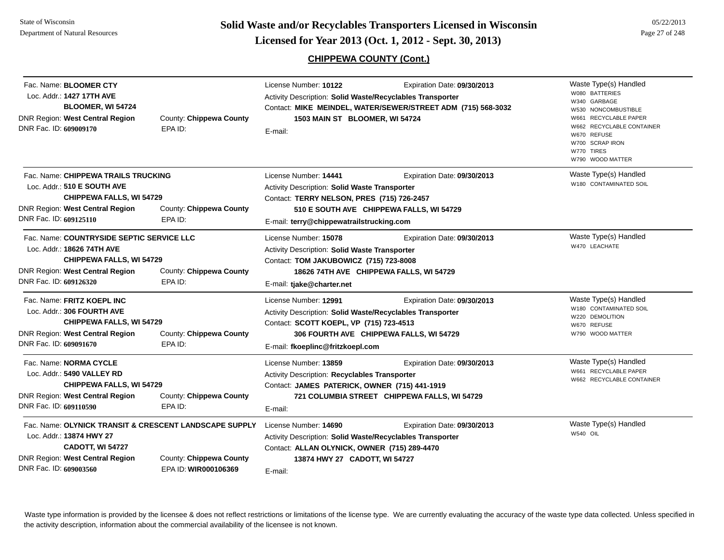**Page 27 of 248 <b>Licensed for Year 2013 (Oct. 1, 2012 - Sept. 30, 2013) Page 27 of 248 Licensed for Year 2013 (Oct. 1, 2012 - Sept. 30, 2013)** 

05/22/2013

# **CHIPPEWA COUNTY (Cont.)**

| Fac. Name: <b>BLOOMER CTY</b><br>Loc. Addr.: 1427 17TH AVE<br>BLOOMER, WI 54724<br><b>DNR Region: West Central Region</b><br>DNR Fac. ID: 609009170                       | County: Chippewa County<br>EPA ID:              | License Number: 10122<br>Activity Description: Solid Waste/Recyclables Transporter<br>1503 MAIN ST BLOOMER, WI 54724<br>E-mail:                                                | Expiration Date: 09/30/2013<br>Contact: MIKE MEINDEL, WATER/SEWER/STREET ADM (715) 568-3032 | Waste Type(s) Handled<br>W080 BATTERIES<br>W340 GARBAGE<br>W530 NONCOMBUSTIBLE<br>W661 RECYCLABLE PAPER<br>W662 RECYCLABLE CONTAINER<br>W670 REFUSE<br>W700 SCRAP IRON<br>W770 TIRES<br>W790 WOOD MATTER |
|---------------------------------------------------------------------------------------------------------------------------------------------------------------------------|-------------------------------------------------|--------------------------------------------------------------------------------------------------------------------------------------------------------------------------------|---------------------------------------------------------------------------------------------|----------------------------------------------------------------------------------------------------------------------------------------------------------------------------------------------------------|
| Fac. Name: CHIPPEWA TRAILS TRUCKING<br>Loc. Addr.: 510 E SOUTH AVE<br><b>CHIPPEWA FALLS, WI 54729</b><br><b>DNR Region: West Central Region</b><br>DNR Fac. ID: 609125110 | County: Chippewa County<br>EPA ID:              | License Number: 14441<br>Activity Description: Solid Waste Transporter<br>Contact: TERRY NELSON, PRES (715) 726-2457<br>E-mail: terry@chippewatrailstrucking.com               | Expiration Date: 09/30/2013<br>510 E SOUTH AVE CHIPPEWA FALLS, WI 54729                     | Waste Type(s) Handled<br>W180 CONTAMINATED SOIL                                                                                                                                                          |
| Fac. Name: COUNTRYSIDE SEPTIC SERVICE LLC<br>Loc. Addr.: 18626 74TH AVE<br><b>CHIPPEWA FALLS, WI 54729</b><br>DNR Region: West Central Region<br>DNR Fac. ID: 609126320   | County: Chippewa County<br>EPA ID:              | License Number: 15078<br>Activity Description: Solid Waste Transporter<br>Contact: TOM JAKUBOWICZ (715) 723-8008<br>E-mail: tjake@charter.net                                  | Expiration Date: 09/30/2013<br>18626 74TH AVE CHIPPEWA FALLS, WI 54729                      | Waste Type(s) Handled<br>W470 LEACHATE                                                                                                                                                                   |
| Fac. Name: FRITZ KOEPL INC<br>Loc. Addr.: 306 FOURTH AVE<br><b>CHIPPEWA FALLS, WI 54729</b><br>DNR Region: West Central Region<br>DNR Fac. ID: 609091670                  | County: Chippewa County<br>EPA ID:              | License Number: 12991<br>Activity Description: Solid Waste/Recyclables Transporter<br>Contact: SCOTT KOEPL, VP (715) 723-4513<br>E-mail: fkoeplinc@fritzkoepl.com              | Expiration Date: 09/30/2013<br>306 FOURTH AVE CHIPPEWA FALLS, WI 54729                      | Waste Type(s) Handled<br>W180 CONTAMINATED SOIL<br>W220 DEMOLITION<br>W670 REFUSE<br>W790 WOOD MATTER                                                                                                    |
| Fac. Name: NORMA CYCLE<br>Loc. Addr.: 5490 VALLEY RD<br><b>CHIPPEWA FALLS, WI 54729</b><br><b>DNR Region: West Central Region</b><br>DNR Fac. ID: 609110590               | County: Chippewa County<br>EPA ID:              | License Number: 13859<br>Activity Description: Recyclables Transporter<br>Contact: JAMES PATERICK, OWNER (715) 441-1919<br>E-mail:                                             | Expiration Date: 09/30/2013<br>721 COLUMBIA STREET CHIPPEWA FALLS, WI 54729                 | Waste Type(s) Handled<br>W661 RECYCLABLE PAPER<br>W662 RECYCLABLE CONTAINER                                                                                                                              |
| Fac. Name: OLYNICK TRANSIT & CRESCENT LANDSCAPE SUPPLY<br>Loc. Addr.: 13874 HWY 27<br>CADOTT, WI 54727<br>DNR Region: West Central Region<br>DNR Fac. ID: 609003560       | County: Chippewa County<br>EPA ID: WIR000106369 | License Number: 14690<br>Activity Description: Solid Waste/Recyclables Transporter<br>Contact: ALLAN OLYNICK, OWNER (715) 289-4470<br>13874 HWY 27 CADOTT, WI 54727<br>E-mail: | Expiration Date: 09/30/2013                                                                 | Waste Type(s) Handled<br><b>W540 OIL</b>                                                                                                                                                                 |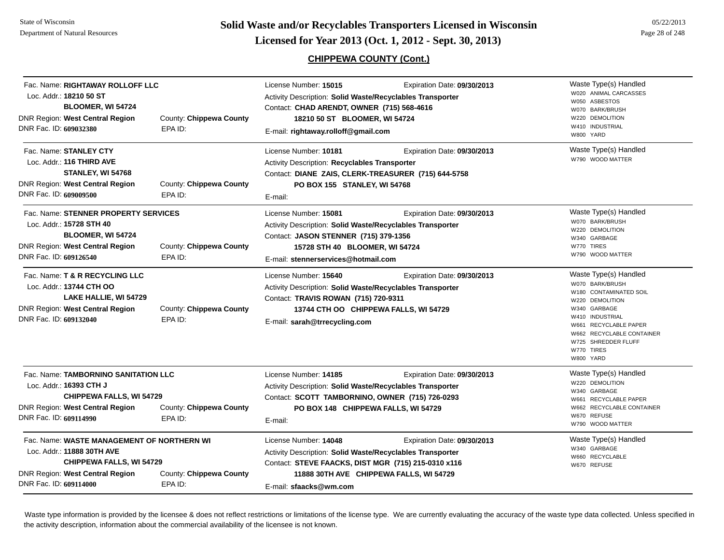**Page 28 of 248 <b>Licensed for Year 2013 (Oct. 1, 2012 - Sept. 30, 2013) Page 28 of 248 Licensed for Year 2013 (Oct. 1, 2012 - Sept. 30, 2013)** 

# **CHIPPEWA COUNTY (Cont.)**

| Fac. Name: RIGHTAWAY ROLLOFF LLC<br>Loc. Addr.: 18210 50 ST<br>BLOOMER, WI 54724                                                                                         |                                    | License Number: 15015<br><b>Activity Description: Solid Waste/Recyclables Transporter</b><br>Contact: CHAD ARENDT, OWNER (715) 568-4616                                                              | Expiration Date: 09/30/2013                                            | Waste Type(s) Handled<br>W020 ANIMAL CARCASSES<br>W050 ASBESTOS<br>W070 BARK/BRUSH                                                                                                                                               |
|--------------------------------------------------------------------------------------------------------------------------------------------------------------------------|------------------------------------|------------------------------------------------------------------------------------------------------------------------------------------------------------------------------------------------------|------------------------------------------------------------------------|----------------------------------------------------------------------------------------------------------------------------------------------------------------------------------------------------------------------------------|
| <b>DNR Region: West Central Region</b><br>DNR Fac. ID: 609032380                                                                                                         | County: Chippewa County<br>EPA ID: | 18210 50 ST BLOOMER, WI 54724<br>E-mail: rightaway.rolloff@gmail.com                                                                                                                                 |                                                                        | W220 DEMOLITION<br>W410 INDUSTRIAL<br>W800 YARD                                                                                                                                                                                  |
| Fac. Name: STANLEY CTY<br>Loc. Addr.: 116 THIRD AVE<br>STANLEY, WI 54768<br>DNR Region: West Central Region<br>DNR Fac. ID: 609009500                                    | County: Chippewa County<br>EPA ID: | License Number: 10181<br>Activity Description: Recyclables Transporter<br>Contact: DIANE ZAIS, CLERK-TREASURER (715) 644-5758<br>PO BOX 155 STANLEY, WI 54768<br>E-mail:                             | Expiration Date: 09/30/2013                                            | Waste Type(s) Handled<br>W790 WOOD MATTER                                                                                                                                                                                        |
| Fac. Name: STENNER PROPERTY SERVICES<br>Loc. Addr.: 15728 STH 40<br>BLOOMER, WI 54724<br><b>DNR Region: West Central Region</b><br>DNR Fac. ID: 609126540                | County: Chippewa County<br>EPA ID: | License Number: 15081<br>Activity Description: Solid Waste/Recyclables Transporter<br>Contact: JASON STENNER (715) 379-1356<br>15728 STH 40 BLOOMER, WI 54724<br>E-mail: stennerservices@hotmail.com | Expiration Date: 09/30/2013                                            | Waste Type(s) Handled<br>W070 BARK/BRUSH<br>W220 DEMOLITION<br>W340 GARBAGE<br>W770 TIRES<br>W790 WOOD MATTER                                                                                                                    |
| Fac. Name: T & R RECYCLING LLC<br>Loc. Addr.: 13744 CTH OO<br>LAKE HALLIE, WI 54729<br>DNR Region: West Central Region<br>DNR Fac. ID: 609132040                         | County: Chippewa County<br>EPA ID: | License Number: 15640<br>Activity Description: Solid Waste/Recyclables Transporter<br>Contact: TRAVIS ROWAN (715) 720-9311<br>E-mail: sarah@trrecycling.com                                          | Expiration Date: 09/30/2013<br>13744 CTH OO CHIPPEWA FALLS, WI 54729   | Waste Type(s) Handled<br>W070 BARK/BRUSH<br>W180 CONTAMINATED SOIL<br>W220 DEMOLITION<br>W340 GARBAGE<br>W410 INDUSTRIAL<br>W661 RECYCLABLE PAPER<br>W662 RECYCLABLE CONTAINER<br>W725 SHREDDER FLUFF<br>W770 TIRES<br>W800 YARD |
| Fac. Name: TAMBORNINO SANITATION LLC<br>Loc. Addr.: 16393 CTH J<br>CHIPPEWA FALLS, WI 54729<br>DNR Region: West Central Region<br>DNR Fac. ID: 609114990                 | County: Chippewa County<br>EPA ID: | License Number: 14185<br>Activity Description: Solid Waste/Recyclables Transporter<br>Contact: SCOTT TAMBORNINO, OWNER (715) 726-0293<br>PO BOX 148 CHIPPEWA FALLS, WI 54729<br>E-mail:              | Expiration Date: 09/30/2013                                            | Waste Type(s) Handled<br>W220 DEMOLITION<br>W340 GARBAGE<br>W661 RECYCLABLE PAPER<br>W662 RECYCLABLE CONTAINER<br>W670 REFUSE<br>W790 WOOD MATTER                                                                                |
| Fac. Name: WASTE MANAGEMENT OF NORTHERN WI<br>Loc. Addr.: 11888 30TH AVE<br>CHIPPEWA FALLS, WI 54729<br><b>DNR Region: West Central Region</b><br>DNR Fac. ID: 609114000 | County: Chippewa County<br>EPA ID: | License Number: 14048<br>Activity Description: Solid Waste/Recyclables Transporter<br>Contact: STEVE FAACKS, DIST MGR (715) 215-0310 x116<br>E-mail: sfaacks@wm.com                                  | Expiration Date: 09/30/2013<br>11888 30TH AVE CHIPPEWA FALLS, WI 54729 | Waste Type(s) Handled<br>W340 GARBAGE<br>W660 RECYCLABLE<br>W670 REFUSE                                                                                                                                                          |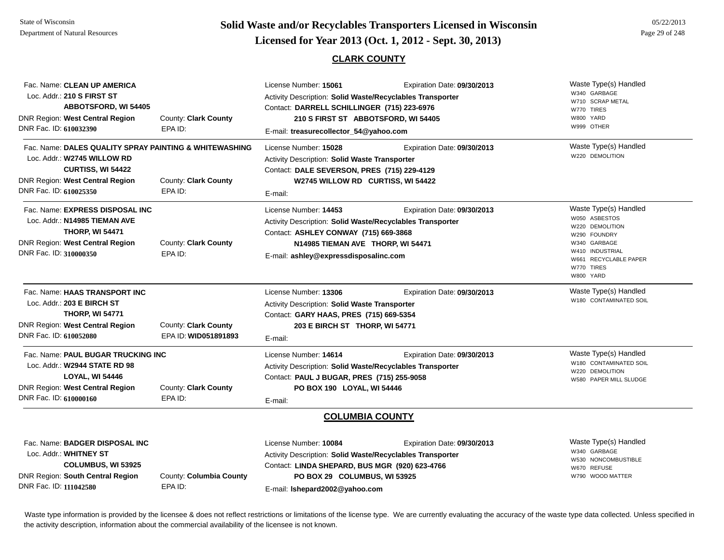State of WisconsinDepartment of Natural Resources

County: **Clark County**

EPA ID:

DNR Fac. ID: **610000160**

Loc. Addr.: **W2944 STATE RD 98LOYAL, WI 54446**

DNR Region: **West Central Region**

# **Page 29 of 248 <b>Licensed for Year 2013 (Oct. 1, 2012 - Sept. 30, 2013) Page 29 of 248 Licensed for Year 2013 (Oct. 1, 2012 - Sept. 30, 2013)**

## **CLARK COUNTY**

|                                                                                                                                                                                |                                              | ULARN UUUNI I                                                                                                                                                                                                             |                             |                                                                                                                                                                    |
|--------------------------------------------------------------------------------------------------------------------------------------------------------------------------------|----------------------------------------------|---------------------------------------------------------------------------------------------------------------------------------------------------------------------------------------------------------------------------|-----------------------------|--------------------------------------------------------------------------------------------------------------------------------------------------------------------|
| Fac. Name: CLEAN UP AMERICA<br>Loc. Addr.: 210 S FIRST ST<br><b>ABBOTSFORD, WI 54405</b><br><b>DNR Region: West Central Region</b><br>DNR Fac. ID: 610032390                   | County: Clark County<br>EPA ID:              | License Number: 15061<br><b>Activity Description: Solid Waste/Recyclables Transporter</b><br>Contact: DARRELL SCHILLINGER (715) 223-6976<br>210 S FIRST ST ABBOTSFORD, WI 54405<br>E-mail: treasurecollector_54@yahoo.com | Expiration Date: 09/30/2013 | Waste Type(s) Handled<br>W340 GARBAGE<br>W710 SCRAP METAL<br>W770 TIRES<br>W800 YARD<br>W999 OTHER                                                                 |
| Fac. Name: DALES QUALITY SPRAY PAINTING & WHITEWASHING<br>Loc. Addr.: W2745 WILLOW RD<br><b>CURTISS, WI 54422</b><br>DNR Region: West Central Region<br>DNR Fac. ID: 610025350 | County: Clark County<br>EPA ID:              | License Number: 15028<br><b>Activity Description: Solid Waste Transporter</b><br>Contact: DALE SEVERSON, PRES (715) 229-4129<br>W2745 WILLOW RD CURTISS, WI 54422<br>E-mail:                                              | Expiration Date: 09/30/2013 | Waste Type(s) Handled<br>W220 DEMOLITION                                                                                                                           |
| Fac. Name: EXPRESS DISPOSAL INC<br>Loc. Addr.: N14985 TIEMAN AVE<br><b>THORP, WI 54471</b><br>DNR Region: West Central Region<br>DNR Fac. ID: 310000350                        | County: Clark County<br>EPA ID:              | License Number: 14453<br>Activity Description: Solid Waste/Recyclables Transporter<br>Contact: ASHLEY CONWAY (715) 669-3868<br>N14985 TIEMAN AVE THORP, WI 54471<br>E-mail: ashley@expressdisposalinc.com                 | Expiration Date: 09/30/2013 | Waste Type(s) Handled<br>W050 ASBESTOS<br>W220 DEMOLITION<br>W290 FOUNDRY<br>W340 GARBAGE<br>W410 INDUSTRIAL<br><b>RECYCLABLE PAPER</b><br>W770 TIRES<br>W800 YARD |
| Fac. Name: HAAS TRANSPORT INC<br>Loc. Addr.: 203 E BIRCH ST<br><b>THORP, WI 54771</b><br><b>DNR Region: West Central Region</b><br>DNR Fac. ID: 610052080                      | County: Clark County<br>EPA ID: WID051891893 | License Number: 13306<br><b>Activity Description: Solid Waste Transporter</b><br>Contact: GARY HAAS, PRES (715) 669-5354<br>203 E BIRCH ST THORP, WI 54771<br>E-mail:                                                     | Expiration Date: 09/30/2013 | Waste Type(s) Handled<br>W180 CONTAMINATED SOIL                                                                                                                    |
| Fac. Name: PAUL BUGAR TRUCKING INC                                                                                                                                             |                                              | License Number: 14614                                                                                                                                                                                                     | Expiration Date: 09/30/2013 | Waste Type(s) Handled                                                                                                                                              |

W180 CONTAMINATED SOILW220 DEMOLITION

W580 PAPER MILL SLUDGE

**COLUMBIA COUNTY**

Activity Description: **Solid Waste/Recyclables Transporter**

Contact: **PAUL J BUGAR, PRES (715) 255-9058**

**PO BOX 190 LOYAL, WI 54446**

E-mail:

| Fac. Name: BADGER DISPOSAL INC   |                         | License Number: 10084                                     | Expiration Date: 09/30/2013 | Waste Type(s) Handled               |
|----------------------------------|-------------------------|-----------------------------------------------------------|-----------------------------|-------------------------------------|
| Loc. Addr.: WHITNEY ST           |                         | Activity Description: Solid Waste/Recyclables Transporter |                             | W340 GARBAGE<br>W530 NONCOMBUSTIBLE |
| <b>COLUMBUS, WI 53925</b>        |                         | Contact: LINDA SHEPARD, BUS MGR (920) 623-4766            |                             | W670 REFUSE                         |
| DNR Region: South Central Region | County: Columbia County | PO BOX 29 COLUMBUS, WI 53925                              |                             | W790 WOOD MATTER                    |
| DNR Fac. ID: 111042580           | EPA ID:                 | E-mail: Ishepard2002@yahoo.com                            |                             |                                     |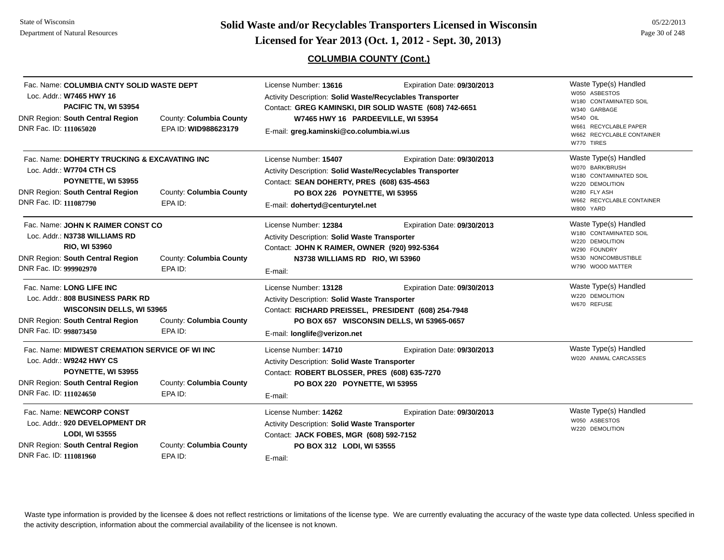**Page 30 of 248 <b>Licensed for Year 2013 (Oct. 1, 2012 - Sept. 30, 2013) Page 30 of 248 Licensed for Year 2013 (Oct. 1, 2012 - Sept. 30, 2013)** 

# **COLUMBIA COUNTY (Cont.)**

| Fac. Name: COLUMBIA CNTY SOLID WASTE DEPT<br>Loc. Addr.: W7465 HWY 16<br>PACIFIC TN, WI 53954<br>DNR Region: South Central Region<br>DNR Fac. ID: 111065020           | County: Columbia County<br>EPA ID: WID988623179                                      | License Number: 13616<br>Expiration Date: 09/30/2013<br>Activity Description: Solid Waste/Recyclables Transporter<br>Contact: GREG KAMINSKI, DIR SOLID WASTE (608) 742-6651<br>W7465 HWY 16 PARDEEVILLE, WI 53954<br>E-mail: greg.kaminski@co.columbia.wi.us | Waste Type(s) Handled<br>W050 ASBESTOS<br>W180 CONTAMINATED SOIL<br>W340 GARBAGE<br><b>W540 OIL</b><br>W661 RECYCLABLE PAPER<br>W662 RECYCLABLE CONTAINER<br>W770 TIRES |
|-----------------------------------------------------------------------------------------------------------------------------------------------------------------------|--------------------------------------------------------------------------------------|--------------------------------------------------------------------------------------------------------------------------------------------------------------------------------------------------------------------------------------------------------------|-------------------------------------------------------------------------------------------------------------------------------------------------------------------------|
| Fac. Name: DOHERTY TRUCKING & EXCAVATING INC<br>Loc. Addr.: W7704 CTH CS<br>POYNETTE, WI 53955<br>DNR Region: South Central Region<br>DNR Fac. ID: 111087790          | County: Columbia County<br>EPA ID:                                                   | License Number: 15407<br>Expiration Date: 09/30/2013<br>Activity Description: Solid Waste/Recyclables Transporter<br>Contact: SEAN DOHERTY, PRES (608) 635-4563<br>PO BOX 226 POYNETTE, WI 53955<br>E-mail: dohertyd@centurytel.net                          | Waste Type(s) Handled<br>W070 BARK/BRUSH<br>W180 CONTAMINATED SOIL<br>W220 DEMOLITION<br>W280 FLY ASH<br>W662 RECYCLABLE CONTAINER<br>W800 YARD                         |
| Fac. Name: JOHN K RAIMER CONST CO<br>Loc. Addr.: N3738 WILLIAMS RD<br>RIO, WI 53960<br><b>DNR Region: South Central Region</b><br>DNR Fac. ID: 999902970              | County: Columbia County<br>EPA ID:                                                   | License Number: 12384<br>Expiration Date: 09/30/2013<br><b>Activity Description: Solid Waste Transporter</b><br>Contact: JOHN K RAIMER, OWNER (920) 992-5364<br>N3738 WILLIAMS RD RIO, WI 53960<br>E-mail:                                                   | Waste Type(s) Handled<br>W180 CONTAMINATED SOIL<br>W220 DEMOLITION<br>W290 FOUNDRY<br>W530 NONCOMBUSTIBLE<br>W790 WOOD MATTER                                           |
| Fac. Name: LONG LIFE INC<br>Loc. Addr.: 808 BUSINESS PARK RD<br><b>WISCONSIN DELLS, WI 53965</b><br><b>DNR Region: South Central Region</b><br>DNR Fac. ID: 998073450 | County: Columbia County<br>EPA ID:                                                   | License Number: 13128<br>Expiration Date: 09/30/2013<br>Activity Description: Solid Waste Transporter<br>Contact: RICHARD PREISSEL, PRESIDENT (608) 254-7948<br>PO BOX 657 WISCONSIN DELLS, WI 53965-0657<br>E-mail: longlife@verizon.net                    | Waste Type(s) Handled<br>W220 DEMOLITION<br>W670 REFUSE                                                                                                                 |
| Loc. Addr.: W9242 HWY CS<br>POYNETTE, WI 53955<br><b>DNR Region: South Central Region</b><br>DNR Fac. ID: 111024650                                                   | Fac. Name: MIDWEST CREMATION SERVICE OF WI INC<br>County: Columbia County<br>EPA ID: | License Number: 14710<br>Expiration Date: 09/30/2013<br>Activity Description: Solid Waste Transporter<br>Contact: ROBERT BLOSSER, PRES (608) 635-7270<br>PO BOX 220 POYNETTE, WI 53955<br>E-mail:                                                            | Waste Type(s) Handled<br>W020 ANIMAL CARCASSES                                                                                                                          |
| Fac. Name: NEWCORP CONST<br>Loc. Addr.: 920 DEVELOPMENT DR<br>LODI, WI 53555<br>DNR Region: South Central Region<br>DNR Fac. ID: 111081960                            | County: Columbia County<br>EPA ID:                                                   | Expiration Date: 09/30/2013<br>License Number: 14262<br>Activity Description: Solid Waste Transporter<br>Contact: JACK FOBES, MGR (608) 592-7152<br>PO BOX 312 LODI, WI 53555<br>E-mail:                                                                     | Waste Type(s) Handled<br>W050 ASBESTOS<br>W220 DEMOLITION                                                                                                               |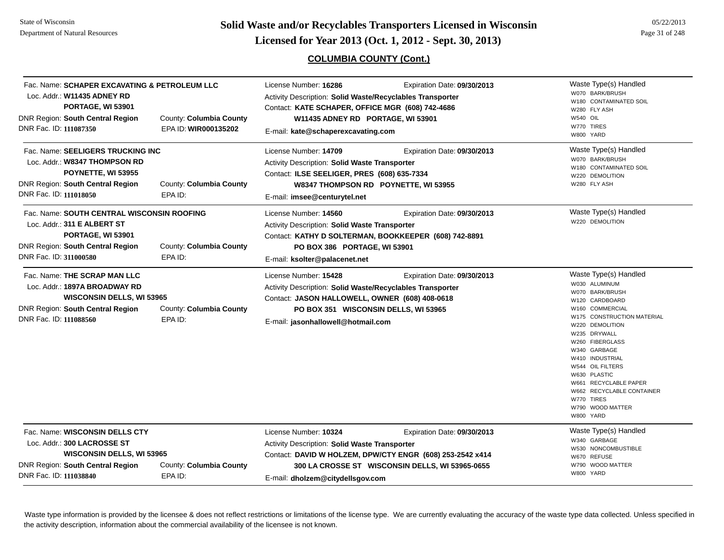**Page 31 of 248 <b>Licensed for Year 2013 (Oct. 1, 2012 - Sept. 30, 2013) Page 31 of 248 Licensed for Year 2013 (Oct. 1, 2012 - Sept. 30, 2013)** 

## **COLUMBIA COUNTY (Cont.)**

| Fac. Name: SCHAPER EXCAVATING & PETROLEUM LLC<br>Loc. Addr.: W11435 ADNEY RD<br>PORTAGE, WI 53901<br>DNR Region: South Central Region<br>County: Columbia County<br>DNR Fac. ID: 111087350<br>EPA ID: WIR000135202 | License Number: 16286<br>Expiration Date: 09/30/2013<br>Activity Description: Solid Waste/Recyclables Transporter<br>Contact: KATE SCHAPER, OFFICE MGR (608) 742-4686<br>W11435 ADNEY RD PORTAGE, WI 53901<br>E-mail: kate@schaperexcavating.com          | Waste Type(s) Handled<br>W070 BARK/BRUSH<br>W180 CONTAMINATED SOIL<br>W280 FLY ASH<br>W540 OIL<br>W770 TIRES<br>W800 YARD                                                                                                                                                                                                                                      |
|--------------------------------------------------------------------------------------------------------------------------------------------------------------------------------------------------------------------|-----------------------------------------------------------------------------------------------------------------------------------------------------------------------------------------------------------------------------------------------------------|----------------------------------------------------------------------------------------------------------------------------------------------------------------------------------------------------------------------------------------------------------------------------------------------------------------------------------------------------------------|
| Fac. Name: SEELIGERS TRUCKING INC<br>Loc. Addr.: W8347 THOMPSON RD<br>POYNETTE, WI 53955<br><b>DNR Region: South Central Region</b><br>County: Columbia County<br>DNR Fac. ID: 111018050<br>EPA ID:                | License Number: 14709<br>Expiration Date: 09/30/2013<br>Activity Description: Solid Waste Transporter<br>Contact: ILSE SEELIGER, PRES (608) 635-7334<br>W8347 THOMPSON RD POYNETTE, WI 53955<br>E-mail: imsee@centurytel.net                              | Waste Type(s) Handled<br>W070 BARK/BRUSH<br>W180 CONTAMINATED SOIL<br>W220 DEMOLITION<br>W280 FLY ASH                                                                                                                                                                                                                                                          |
| Fac. Name: SOUTH CENTRAL WISCONSIN ROOFING<br>Loc. Addr.: 311 E ALBERT ST<br>PORTAGE, WI 53901<br>DNR Region: South Central Region<br>County: Columbia County<br>DNR Fac. ID: 311000580<br>EPA ID:                 | License Number: 14560<br>Expiration Date: 09/30/2013<br>Activity Description: Solid Waste Transporter<br>Contact: KATHY D SOLTERMAN, BOOKKEEPER (608) 742-8891<br>PO BOX 386 PORTAGE, WI 53901<br>E-mail: ksolter@palacenet.net                           | Waste Type(s) Handled<br>W220 DEMOLITION                                                                                                                                                                                                                                                                                                                       |
| Fac. Name: THE SCRAP MAN LLC<br>Loc. Addr.: 1897A BROADWAY RD<br>WISCONSIN DELLS, WI 53965<br><b>DNR Region: South Central Region</b><br>County: Columbia County<br>DNR Fac. ID: 111088560<br>EPA ID:              | License Number: 15428<br>Expiration Date: 09/30/2013<br><b>Activity Description: Solid Waste/Recyclables Transporter</b><br>Contact: JASON HALLOWELL, OWNER (608) 408-0618<br>PO BOX 351 WISCONSIN DELLS, WI 53965<br>E-mail: jasonhallowell@hotmail.com  | Waste Type(s) Handled<br>W030 ALUMINUM<br>W070 BARK/BRUSH<br>W120 CARDBOARD<br>W160 COMMERCIAL<br>W175 CONSTRUCTION MATERIAL<br>W220 DEMOLITION<br>W235 DRYWALL<br>W260 FIBERGLASS<br>W340 GARBAGE<br>W410 INDUSTRIAL<br>W544 OIL FILTERS<br>W630 PLASTIC<br>W661 RECYCLABLE PAPER<br>W662 RECYCLABLE CONTAINER<br>W770 TIRES<br>W790 WOOD MATTER<br>W800 YARD |
| Fac. Name: WISCONSIN DELLS CTY<br>Loc. Addr.: 300 LACROSSE ST<br><b>WISCONSIN DELLS, WI 53965</b><br>DNR Region: South Central Region<br>County: Columbia County<br>DNR Fac. ID: 111038840<br>EPA ID:              | License Number: 10324<br>Expiration Date: 09/30/2013<br>Activity Description: Solid Waste Transporter<br>Contact: DAVID W HOLZEM, DPW/CTY ENGR (608) 253-2542 x414<br>300 LA CROSSE ST WISCONSIN DELLS, WI 53965-0655<br>E-mail: dholzem@citydellsgov.com | Waste Type(s) Handled<br>W340 GARBAGE<br>W530 NONCOMBUSTIBLE<br>W670 REFUSE<br>W790 WOOD MATTER<br>W800 YARD                                                                                                                                                                                                                                                   |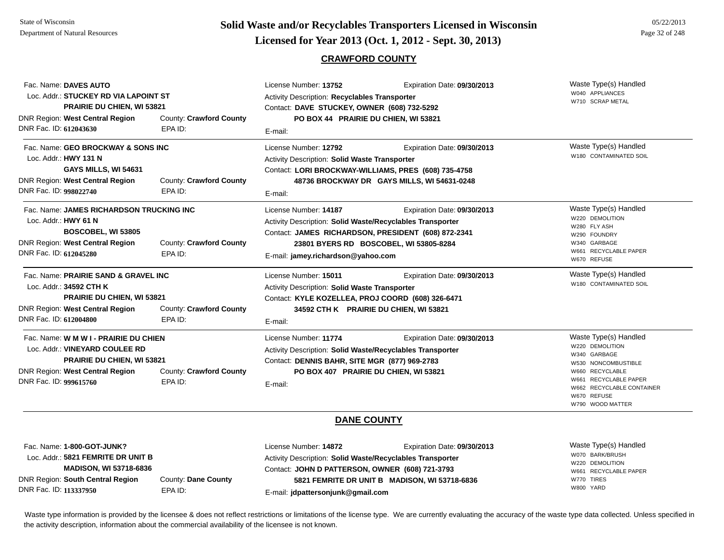# **Page 32 of 248 <b>Licensed for Year 2013 (Oct. 1, 2012 - Sept. 30, 2013) Page 32 of 248 Licensed for Year 2013 (Oct. 1, 2012 - Sept. 30, 2013)**

## **CRAWFORD COUNTY**

| Fac. Name: DAVES AUTO<br>Loc. Addr.: STUCKEY RD VIA LAPOINT ST<br><b>PRAIRIE DU CHIEN, WI 53821</b>                                                                              |                                    | License Number: 13752<br>Expiration Date: 09/30/2013<br>Activity Description: Recyclables Transporter<br>Contact: DAVE STUCKEY, OWNER (608) 732-5292                                    |                                                                            | Waste Type(s) Handled<br>W040 APPLIANCES<br>W710 SCRAP METAL                                                                                                                                |
|----------------------------------------------------------------------------------------------------------------------------------------------------------------------------------|------------------------------------|-----------------------------------------------------------------------------------------------------------------------------------------------------------------------------------------|----------------------------------------------------------------------------|---------------------------------------------------------------------------------------------------------------------------------------------------------------------------------------------|
| DNR Region: West Central Region<br>DNR Fac. ID: 612043630                                                                                                                        | County: Crawford County<br>EPA ID: | PO BOX 44 PRAIRIE DU CHIEN, WI 53821<br>E-mail:                                                                                                                                         |                                                                            |                                                                                                                                                                                             |
| Fac. Name: GEO BROCKWAY & SONS INC<br>Loc. Addr.: HWY 131 N<br>GAYS MILLS, WI 54631<br><b>DNR Region: West Central Region</b><br>DNR Fac. ID: 998022740                          | County: Crawford County<br>EPA ID: | License Number: 12792<br>Activity Description: Solid Waste Transporter<br>Contact: LORI BROCKWAY-WILLIAMS, PRES (608) 735-4758<br>E-mail:                                               | Expiration Date: 09/30/2013<br>48736 BROCKWAY DR GAYS MILLS, WI 54631-0248 | Waste Type(s) Handled<br>W180 CONTAMINATED SOIL                                                                                                                                             |
| Fac. Name: JAMES RICHARDSON TRUCKING INC<br>Loc. Addr.: HWY 61 N<br>BOSCOBEL, WI 53805<br>DNR Region: West Central Region<br>DNR Fac. ID: 612045280                              | County: Crawford County<br>EPA ID: | License Number: 14187<br>Activity Description: Solid Waste/Recyclables Transporter<br>Contact: JAMES RICHARDSON, PRESIDENT (608) 872-2341<br>E-mail: jamey.richardson@yahoo.com         | Expiration Date: 09/30/2013<br>23801 BYERS RD BOSCOBEL, WI 53805-8284      | Waste Type(s) Handled<br>W220 DEMOLITION<br>W280 FLY ASH<br>W290 FOUNDRY<br>W340 GARBAGE<br>W661 RECYCLABLE PAPER<br>W670 REFUSE                                                            |
| Fac. Name: PRAIRIE SAND & GRAVEL INC<br>Loc. Addr.: 34592 CTH K<br>PRAIRIE DU CHIEN, WI 53821<br><b>DNR Region: West Central Region</b><br>DNR Fac. ID: 612004800                | County: Crawford County<br>EPA ID: | License Number: 15011<br>Activity Description: Solid Waste Transporter<br>Contact: KYLE KOZELLEA, PROJ COORD (608) 326-6471<br>34592 CTH K PRAIRIE DU CHIEN, WI 53821<br>E-mail:        | Expiration Date: 09/30/2013                                                | Waste Type(s) Handled<br>W180 CONTAMINATED SOIL                                                                                                                                             |
| Fac. Name: W M W I - PRAIRIE DU CHIEN<br>Loc. Addr.: VINEYARD COULEE RD<br><b>PRAIRIE DU CHIEN, WI 53821</b><br><b>DNR Region: West Central Region</b><br>DNR Fac. ID: 999615760 | County: Crawford County<br>EPA ID: | License Number: 11774<br>Activity Description: Solid Waste/Recyclables Transporter<br>Contact: DENNIS BAHR, SITE MGR (877) 969-2783<br>PO BOX 407 PRAIRIE DU CHIEN, WI 53821<br>E-mail: | Expiration Date: 09/30/2013                                                | Waste Type(s) Handled<br>W220 DEMOLITION<br>W340 GARBAGE<br>W530 NONCOMBUSTIBLE<br>W660 RECYCLABLE<br>W661 RECYCLABLE PAPER<br>W662 RECYCLABLE CONTAINER<br>W670 REFUSE<br>W790 WOOD MATTER |
|                                                                                                                                                                                  |                                    | <b>DANE COUNTY</b>                                                                                                                                                                      |                                                                            |                                                                                                                                                                                             |
| Fac. Name: 1-800-GOT-JUNK?<br>Loc. Addr.: 5821 FEMRITE DR UNIT B                                                                                                                 |                                    | License Number: 14872<br>Activity Description: Solid Waste/Recyclables Transporter                                                                                                      | Expiration Date: 09/30/2013                                                | Waste Type(s) Handled<br>W070 BARK/BRUSH<br>W220 DEMOLITION                                                                                                                                 |

**MADISON, WI 53718-6836**

DNR Region: **South Central Region** DNR Fac. ID: **113337950**

County: **Dane County** EPA ID:

Contact: **JOHN D PATTERSON, OWNER (608) 721-3793** E-mail: **jdpattersonjunk@gmail.com 5821 FEMRITE DR UNIT B MADISON, WI 53718-6836** W661 RECYCLABLE PAPERW770 TIRESW800 YARD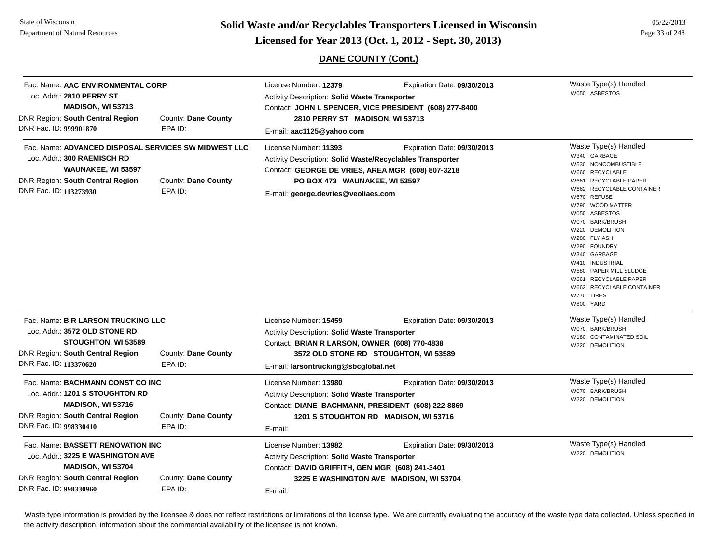State of WisconsinDepartment of Natural Resources

**Page 33 of 248 <b>Licensed for Year 2013 (Oct. 1, 2012 - Sept. 30, 2013) Page 11 Consed for Year 2013 (Oct. 1, 2012 - Sept. 30, 2013)** 

# **DANE COUNTY (Cont.)**

| Loc. Addr.: 2810 PERRY ST<br><b>DNR Region: South Central Region</b><br>DNR Fac. ID: 999901870         | Fac. Name: AAC ENVIRONMENTAL CORP<br><b>MADISON, WI 53713</b><br>County: Dane County<br>EPA ID:              | License Number: 12379<br>Expiration Date: 09/30/2013<br>Activity Description: Solid Waste Transporter<br>Contact: JOHN L SPENCER, VICE PRESIDENT (608) 277-8400<br>2810 PERRY ST MADISON, WI 53713<br>E-mail: aac1125@yahoo.com                | Waste Type(s) Handled<br>W050 ASBESTOS                                                                                                                                                                                                                                                                                                                                                                        |
|--------------------------------------------------------------------------------------------------------|--------------------------------------------------------------------------------------------------------------|------------------------------------------------------------------------------------------------------------------------------------------------------------------------------------------------------------------------------------------------|---------------------------------------------------------------------------------------------------------------------------------------------------------------------------------------------------------------------------------------------------------------------------------------------------------------------------------------------------------------------------------------------------------------|
| Loc. Addr.: 300 RAEMISCH RD<br>DNR Region: South Central Region<br>DNR Fac. ID: 113273930              | Fac. Name: ADVANCED DISPOSAL SERVICES SW MIDWEST LLC<br>WAUNAKEE, WI 53597<br>County: Dane County<br>EPA ID: | License Number: 11393<br>Expiration Date: 09/30/2013<br>Activity Description: Solid Waste/Recyclables Transporter<br>Contact: GEORGE DE VRIES, AREA MGR (608) 807-3218<br>PO BOX 473 WAUNAKEE, WI 53597<br>E-mail: george.devries@veoliaes.com | Waste Type(s) Handled<br>W340 GARBAGE<br>W530 NONCOMBUSTIBLE<br>W660 RECYCLABLE<br>W661 RECYCLABLE PAPER<br>W662 RECYCLABLE CONTAINER<br>W670 REFUSE<br>W790 WOOD MATTER<br>W050 ASBESTOS<br>W070 BARK/BRUSH<br>W220 DEMOLITION<br>W280 FLY ASH<br>W290 FOUNDRY<br>W340 GARBAGE<br>W410 INDUSTRIAL<br>W580 PAPER MILL SLUDGE<br>W661 RECYCLABLE PAPER<br>W662 RECYCLABLE CONTAINER<br>W770 TIRES<br>W800 YARD |
| Loc. Addr.: 3572 OLD STONE RD<br><b>DNR Region: South Central Region</b><br>DNR Fac. ID: 113370620     | Fac. Name: B R LARSON TRUCKING LLC<br>STOUGHTON, WI 53589<br>County: Dane County<br>EPA ID:                  | License Number: 15459<br>Expiration Date: 09/30/2013<br><b>Activity Description: Solid Waste Transporter</b><br>Contact: BRIAN R LARSON, OWNER (608) 770-4838<br>3572 OLD STONE RD STOUGHTON, WI 53589<br>E-mail: larsontrucking@sbcglobal.net | Waste Type(s) Handled<br>W070 BARK/BRUSH<br>W180 CONTAMINATED SOIL<br>W220 DEMOLITION                                                                                                                                                                                                                                                                                                                         |
| Loc. Addr.: 1201 S STOUGHTON RD<br><b>DNR Region: South Central Region</b><br>DNR Fac. ID: 998330410   | Fac. Name: BACHMANN CONST CO INC<br>MADISON, WI 53716<br>County: Dane County<br>EPA ID:                      | License Number: 13980<br>Expiration Date: 09/30/2013<br><b>Activity Description: Solid Waste Transporter</b><br>Contact: DIANE BACHMANN, PRESIDENT (608) 222-8869<br>1201 S STOUGHTON RD MADISON, WI 53716<br>E-mail:                          | Waste Type(s) Handled<br>W070 BARK/BRUSH<br>W220 DEMOLITION                                                                                                                                                                                                                                                                                                                                                   |
| Loc. Addr.: 3225 E WASHINGTON AVE<br><b>DNR Region: South Central Region</b><br>DNR Fac. ID: 998330960 | Fac. Name: BASSETT RENOVATION INC<br><b>MADISON, WI 53704</b><br>County: Dane County<br>EPA ID:              | License Number: 13982<br>Expiration Date: 09/30/2013<br><b>Activity Description: Solid Waste Transporter</b><br>Contact: DAVID GRIFFITH, GEN MGR (608) 241-3401<br>3225 E WASHINGTON AVE MADISON, WI 53704<br>E-mail:                          | Waste Type(s) Handled<br>W220 DEMOLITION                                                                                                                                                                                                                                                                                                                                                                      |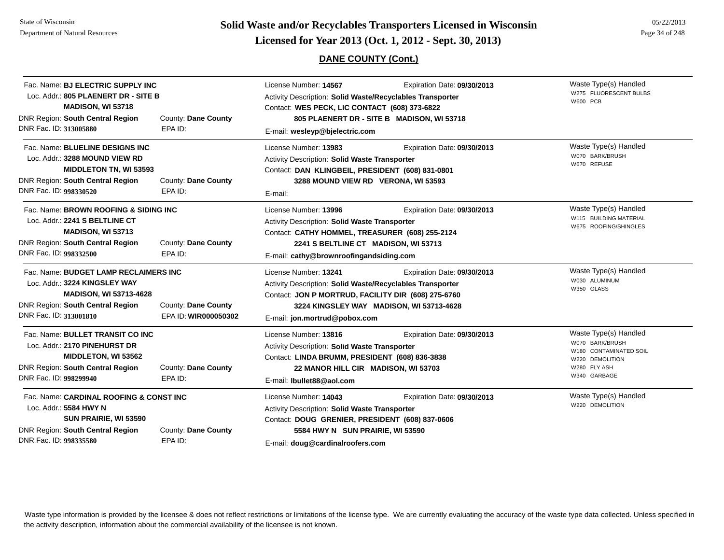**Page 34 of 248 <b>Licensed for Year 2013 (Oct. 1, 2012 - Sept. 30, 2013) Page 34 of 248 Licensed for Year 2013 (Oct. 1, 2012 - Sept. 30, 2013)** 

# **DANE COUNTY (Cont.)**

| Fac. Name: BJ ELECTRIC SUPPLY INC<br>Loc. Addr.: 805 PLAENERT DR - SITE B                                                                                                                                                   |                                | License Number: 14567<br>Activity Description: Solid Waste/Recyclables Transporter                                                                                                                                                                    | Expiration Date: 09/30/2013                                                                                                   | Waste Type(s) Handled<br>W275 FLUORESCENT BULBS<br><b>W600 PCB</b>                                                    |
|-----------------------------------------------------------------------------------------------------------------------------------------------------------------------------------------------------------------------------|--------------------------------|-------------------------------------------------------------------------------------------------------------------------------------------------------------------------------------------------------------------------------------------------------|-------------------------------------------------------------------------------------------------------------------------------|-----------------------------------------------------------------------------------------------------------------------|
| <b>MADISON, WI 53718</b><br><b>DNR Region: South Central Region</b><br>DNR Fac. ID: 313005880                                                                                                                               | County: Dane County<br>EPA ID: |                                                                                                                                                                                                                                                       | Contact: WES PECK, LIC CONTACT (608) 373-6822<br>805 PLAENERT DR - SITE B MADISON, WI 53718<br>E-mail: wesleyp@bjelectric.com |                                                                                                                       |
| Fac. Name: BLUELINE DESIGNS INC<br>Loc. Addr.: 3288 MOUND VIEW RD<br><b>MIDDLETON TN, WI 53593</b><br><b>DNR Region: South Central Region</b><br>DNR Fac. ID: 998330520                                                     | County: Dane County<br>EPA ID: | License Number: 13983<br>Expiration Date: 09/30/2013<br>Activity Description: Solid Waste Transporter<br>Contact: DAN KLINGBEIL, PRESIDENT (608) 831-0801<br>3288 MOUND VIEW RD VERONA, WI 53593<br>E-mail:                                           |                                                                                                                               | Waste Type(s) Handled<br>W070 BARK/BRUSH<br>W670 REFUSE                                                               |
| Fac. Name: BROWN ROOFING & SIDING INC<br>Loc. Addr.: 2241 S BELTLINE CT<br>MADISON, WI 53713<br><b>DNR Region: South Central Region</b><br>DNR Fac. ID: 998332500                                                           | County: Dane County<br>EPA ID: | License Number: 13996<br>Expiration Date: 09/30/2013<br>Activity Description: Solid Waste Transporter<br>Contact: CATHY HOMMEL, TREASURER (608) 255-2124<br>2241 S BELTLINE CT MADISON, WI 53713<br>E-mail: cathy@brownroofingandsiding.com           |                                                                                                                               | Waste Type(s) Handled<br>W115 BUILDING MATERIAL<br>W675 ROOFING/SHINGLES                                              |
| Fac. Name: BUDGET LAMP RECLAIMERS INC<br>Loc. Addr.: 3224 KINGSLEY WAY<br><b>MADISON, WI 53713-4628</b><br><b>DNR Region: South Central Region</b><br>County: Dane County<br>DNR Fac. ID: 313001810<br>EPA ID: WIR000050302 |                                | License Number: 13241<br>Expiration Date: 09/30/2013<br>Activity Description: Solid Waste/Recyclables Transporter<br>Contact: JON P MORTRUD, FACILITY DIR (608) 275-6760<br>3224 KINGSLEY WAY MADISON, WI 53713-4628<br>E-mail: jon.mortrud@pobox.com |                                                                                                                               | Waste Type(s) Handled<br>W030 ALUMINUM<br>W350 GLASS                                                                  |
| Fac. Name: BULLET TRANSIT CO INC<br>Loc. Addr.: 2170 PINEHURST DR<br><b>MIDDLETON, WI 53562</b><br><b>DNR Region: South Central Region</b><br>DNR Fac. ID: 998299940                                                        | County: Dane County<br>EPA ID: | License Number: 13816<br>Expiration Date: 09/30/2013<br>Activity Description: Solid Waste Transporter<br>Contact: LINDA BRUMM, PRESIDENT (608) 836-3838<br>22 MANOR HILL CIR MADISON, WI 53703<br>E-mail: Ibullet88@aol.com                           |                                                                                                                               | Waste Type(s) Handled<br>W070 BARK/BRUSH<br>W180 CONTAMINATED SOIL<br>W220 DEMOLITION<br>W280 FLY ASH<br>W340 GARBAGE |
| Fac. Name: CARDINAL ROOFING & CONST INC<br>Loc. Addr.: 5584 HWY N<br>SUN PRAIRIE, WI 53590<br><b>DNR Region: South Central Region</b><br>County: Dane County<br>DNR Fac. ID: 998335580<br>EPA ID:                           |                                | License Number: 14043<br>Activity Description: Solid Waste Transporter<br>Contact: DOUG GRENIER, PRESIDENT (608) 837-0606<br>5584 HWY N SUN PRAIRIE, WI 53590<br>E-mail: doug@cardinalroofers.com                                                     | Expiration Date: 09/30/2013                                                                                                   | Waste Type(s) Handled<br>W220 DEMOLITION                                                                              |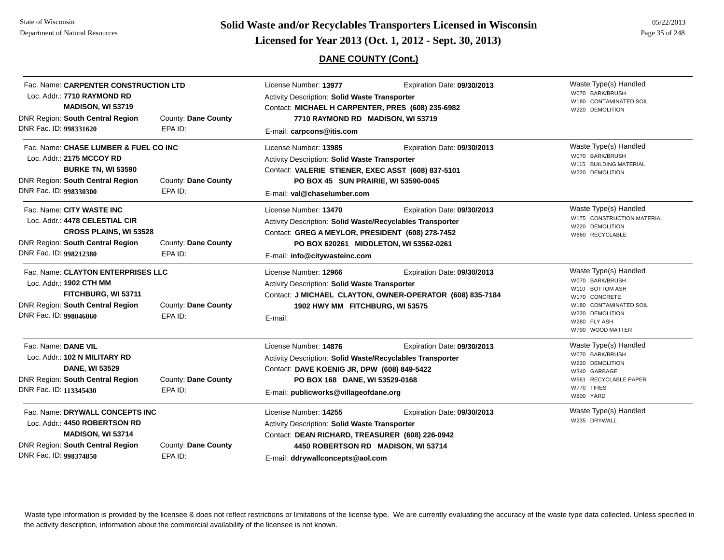State of WisconsinDepartment of Natural Resources

**Page 35 of 248 <b>Licensed for Year 2013 (Oct. 1, 2012 - Sept. 30, 2013) Page 35 of 248 Licensed for Year 2013 (Oct. 1, 2012 - Sept. 30, 2013)** 

## **DANE COUNTY (Cont.)**

|                                                                                                                                                                                                         |                                | $\cdots$ . $\cdots$ . $\cdots$ . $\cdots$ . $\cdots$ . $\cdots$ . $\cdots$ . $\cdots$ . $\cdots$ . $\cdots$ . $\cdots$ . $\cdots$ . $\cdots$ . $\cdots$ . $\cdots$ . $\cdots$ . $\cdots$ . $\cdots$ . $\cdots$ . $\cdots$ . $\cdots$ . $\cdots$ . $\cdots$ . $\cdots$ . $\cdots$ . $\cdots$ . $\cdots$ . $\cdots$ |                                                                                          |                                                                                                                                                               |
|---------------------------------------------------------------------------------------------------------------------------------------------------------------------------------------------------------|--------------------------------|-------------------------------------------------------------------------------------------------------------------------------------------------------------------------------------------------------------------------------------------------------------------------------------------------------------------|------------------------------------------------------------------------------------------|---------------------------------------------------------------------------------------------------------------------------------------------------------------|
| Fac. Name: CARPENTER CONSTRUCTION LTD<br>Loc. Addr.: 7710 RAYMOND RD<br><b>MADISON, WI 53719</b><br><b>DNR Region: South Central Region</b><br>County: Dane County<br>DNR Fac. ID: 998331620<br>EPA ID: |                                | License Number: 13977<br>Expiration Date: 09/30/2013<br>Activity Description: Solid Waste Transporter<br>Contact: MICHAEL H CARPENTER, PRES (608) 235-6982<br>7710 RAYMOND RD MADISON, WI 53719<br>E-mail: carpcons@itis.com                                                                                      |                                                                                          | Waste Type(s) Handled<br>W070 BARK/BRUSH<br>W180 CONTAMINATED SOIL<br>W220 DEMOLITION                                                                         |
| Fac. Name: CHASE LUMBER & FUEL CO INC<br>Loc. Addr.: 2175 MCCOY RD<br><b>BURKE TN, WI 53590</b><br><b>DNR Region: South Central Region</b><br>DNR Fac. ID: 998330300                                    | County: Dane County<br>EPA ID: | Expiration Date: 09/30/2013<br>License Number: 13985<br><b>Activity Description: Solid Waste Transporter</b><br>Contact: VALERIE STIENER, EXEC ASST (608) 837-5101<br>PO BOX 45 SUN PRAIRIE, WI 53590-0045<br>E-mail: val@chaselumber.com                                                                         |                                                                                          | Waste Type(s) Handled<br>W070 BARK/BRUSH<br>W115 BUILDING MATERIAL<br>W220 DEMOLITION                                                                         |
| Fac. Name: CITY WASTE INC<br>Loc. Addr.: 4478 CELESTIAL CIR<br><b>CROSS PLAINS, WI 53528</b><br><b>DNR Region: South Central Region</b><br>County: Dane County<br>DNR Fac. ID: 998212380<br>EPA ID:     |                                | License Number: 13470<br>Expiration Date: 09/30/2013<br>Activity Description: Solid Waste/Recyclables Transporter<br>Contact: GREG A MEYLOR, PRESIDENT (608) 278-7452<br>PO BOX 620261 MIDDLETON, WI 53562-0261<br>E-mail: info@citywasteinc.com                                                                  |                                                                                          | Waste Type(s) Handled<br>W175 CONSTRUCTION MATERIAL<br>W220 DEMOLITION<br>W660 RECYCLABLE                                                                     |
| Fac. Name: CLAYTON ENTERPRISES LLC<br>Loc. Addr.: 1902 CTH MM<br>FITCHBURG, WI 53711<br>DNR Region: South Central Region<br>DNR Fac. ID: 998046060                                                      | County: Dane County<br>EPA ID: | License Number: 12966<br>Activity Description: Solid Waste Transporter<br>1902 HWY MM FITCHBURG, WI 53575<br>E-mail:                                                                                                                                                                                              | Expiration Date: 09/30/2013<br>Contact: J MICHAEL CLAYTON, OWNER-OPERATOR (608) 835-7184 | Waste Type(s) Handled<br>W070 BARK/BRUSH<br>W110 BOTTOM ASH<br>W170 CONCRETE<br>W180 CONTAMINATED SOIL<br>W220 DEMOLITION<br>W280 FLY ASH<br>W790 WOOD MATTER |

|                                                                                              |                                       |                                                                                                          |                             | WALSO WOOD MAILLIN                                 |
|----------------------------------------------------------------------------------------------|---------------------------------------|----------------------------------------------------------------------------------------------------------|-----------------------------|----------------------------------------------------|
| Fac. Name: DANE VIL<br>Loc. Addr.: 102 N MILITARY RD<br><b>DANE, WI 53529</b>                |                                       | License Number: 14876                                                                                    | Expiration Date: 09/30/2013 | Waste Type(s) Handled                              |
|                                                                                              |                                       | Activity Description: Solid Waste/Recyclables Transporter<br>Contact: DAVE KOENIG JR, DPW (608) 849-5422 |                             | W070 BARK/BRUSH<br>W220 DEMOLITION<br>W340 GARBAGE |
|                                                                                              |                                       |                                                                                                          |                             |                                                    |
| EPA ID:                                                                                      | E-mail: publicworks@villageofdane.org |                                                                                                          | W770 TIRES<br>W800 YARD     |                                                    |
| Fac. Name: DRYWALL CONCEPTS INC<br>Loc. Addr.: 4450 ROBERTSON RD<br><b>MADISON, WI 53714</b> |                                       | License Number: 14255                                                                                    | Expiration Date: 09/30/2013 | Waste Type(s) Handled                              |
|                                                                                              |                                       | <b>Activity Description: Solid Waste Transporter</b><br>Contact: DEAN RICHARD, TREASURER (608) 226-0942  |                             | W235 DRYWALL                                       |
|                                                                                              |                                       |                                                                                                          |                             |                                                    |
| DNR Region: South Central Region                                                             | County: Dane County                   | 4450 ROBERTSON RD MADISON, WI 53714                                                                      |                             |                                                    |
| DNR Fac. ID: 998374850                                                                       | EPA ID:                               | $F$ -mail: ddrwyallconcents@aol.com                                                                      |                             |                                                    |

E-mail: **ddrywallconcepts@aol.com**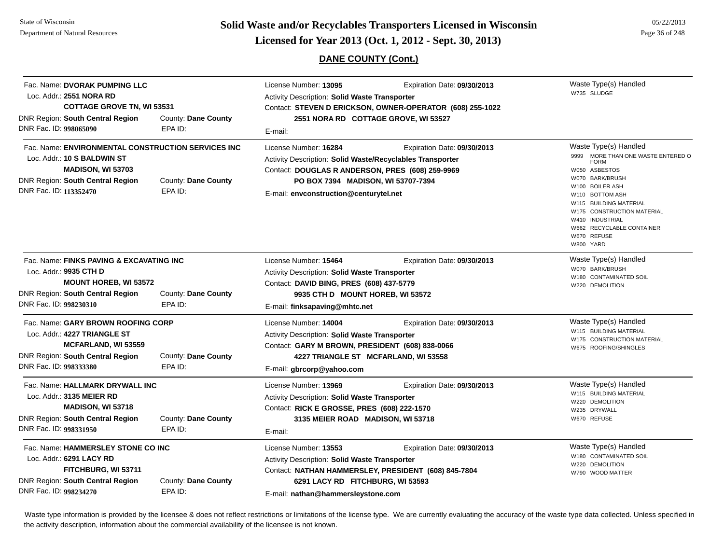State of WisconsinDepartment of Natural Resources

**Page 36 of 248 <b>Licensed for Year 2013 (Oct. 1, 2012 - Sept. 30, 2013) Page 36 of 248 Licensed for Year 2013 (Oct. 1, 2012 - Sept. 30, 2013)** 

**DANE COUNTY (Cont.)**

|                        | Fac. Name: DVORAK PUMPING LLC<br>Loc. Addr.: 2551 NORA RD<br><b>COTTAGE GROVE TN, WI 53531</b><br>DNR Region: South Central Region<br>County: Dane County<br>DNR Fac. ID: 998065090<br>EPA ID: |                                | License Number: 13095<br>Expiration Date: 09/30/2013<br><b>Activity Description: Solid Waste Transporter</b><br>Contact: STEVEN D ERICKSON, OWNER-OPERATOR (608) 255-1022<br>2551 NORA RD COTTAGE GROVE, WI 53527<br>E-mail: |                             | Waste Type(s) Handled<br>W735 SLUDGE                                                                                                                                                                                                                                                     |
|------------------------|------------------------------------------------------------------------------------------------------------------------------------------------------------------------------------------------|--------------------------------|------------------------------------------------------------------------------------------------------------------------------------------------------------------------------------------------------------------------------|-----------------------------|------------------------------------------------------------------------------------------------------------------------------------------------------------------------------------------------------------------------------------------------------------------------------------------|
| DNR Fac. ID: 113352470 | Fac. Name: ENVIRONMENTAL CONSTRUCTION SERVICES INC<br>Loc. Addr.: 10 S BALDWIN ST<br>MADISON, WI 53703<br>DNR Region: South Central Region                                                     | County: Dane County<br>EPA ID: | License Number: 16284<br>Activity Description: Solid Waste/Recyclables Transporter<br>Contact: DOUGLAS R ANDERSON, PRES (608) 259-9969<br>PO BOX 7394 MADISON, WI 53707-7394<br>E-mail: envconstruction@centurytel.net       | Expiration Date: 09/30/2013 | Waste Type(s) Handled<br>9999 MORE THAN ONE WASTE ENTERED O<br><b>FORM</b><br>W050 ASBESTOS<br>W070 BARK/BRUSH<br>W100 BOILER ASH<br>W110 BOTTOM ASH<br>W115 BUILDING MATERIAL<br>W175 CONSTRUCTION MATERIAL<br>W410 INDUSTRIAL<br>W662 RECYCLABLE CONTAINER<br>W670 REFUSE<br>W800 YARD |
| DNR Fac. ID: 998230310 | Fac. Name: FINKS PAVING & EXCAVATING INC<br>Loc. Addr.: 9935 CTH D<br><b>MOUNT HOREB, WI 53572</b><br>DNR Region: South Central Region                                                         | County: Dane County<br>EPA ID: | License Number: 15464<br>Expiration Date: 09/30/2013<br>Activity Description: Solid Waste Transporter<br>Contact: DAVID BING, PRES (608) 437-5779<br>9935 CTH D MOUNT HOREB, WI 53572<br>E-mail: finksapaving@mhtc.net       |                             | Waste Type(s) Handled<br>W070 BARK/BRUSH<br>W180 CONTAMINATED SOIL<br>W220 DEMOLITION                                                                                                                                                                                                    |
| DNR Fac. ID: 998333380 | Fac. Name: GARY BROWN ROOFING CORP<br>Loc. Addr.: 4227 TRIANGLE ST<br>MCFARLAND, WI 53559<br>DNR Region: South Central Region                                                                  | County: Dane County<br>EPA ID: | License Number: 14004<br><b>Activity Description: Solid Waste Transporter</b><br>Contact: GARY M BROWN, PRESIDENT (608) 838-0066<br>4227 TRIANGLE ST MCFARLAND, WI 53558<br>E-mail: gbrcorp@yahoo.com                        | Expiration Date: 09/30/2013 | Waste Type(s) Handled<br>W115 BUILDING MATERIAL<br>W175 CONSTRUCTION MATERIAL<br>W675 ROOFING/SHINGLES                                                                                                                                                                                   |
| DNR Fac. ID: 998331950 | Fac. Name: HALLMARK DRYWALL INC<br>Loc. Addr.: 3135 MEIER RD<br>MADISON, WI 53718<br>DNR Region: South Central Region                                                                          | County: Dane County<br>EPA ID: | License Number: 13969<br>Expiration Date: 09/30/2013<br>Activity Description: Solid Waste Transporter<br>Contact: RICK E GROSSE, PRES (608) 222-1570<br>3135 MEIER ROAD MADISON, WI 53718<br>E-mail:                         |                             | Waste Type(s) Handled<br>W115 BUILDING MATERIAL<br>W220 DEMOLITION<br>W235 DRYWALL<br>W670 REFUSE                                                                                                                                                                                        |
| DNR Fac. ID: 998234270 | Fac. Name: HAMMERSLEY STONE CO INC<br>Loc. Addr.: 6291 LACY RD<br>FITCHBURG, WI 53711<br>DNR Region: South Central Region                                                                      | County: Dane County<br>EPA ID: | License Number: 13553<br><b>Activity Description: Solid Waste Transporter</b><br>Contact: NATHAN HAMMERSLEY, PRESIDENT (608) 845-7804<br>6291 LACY RD FITCHBURG, WI 53593<br>E-mail: nathan@hammersleystone.com              | Expiration Date: 09/30/2013 | Waste Type(s) Handled<br>W180 CONTAMINATED SOIL<br>W220 DEMOLITION<br>W790 WOOD MATTER                                                                                                                                                                                                   |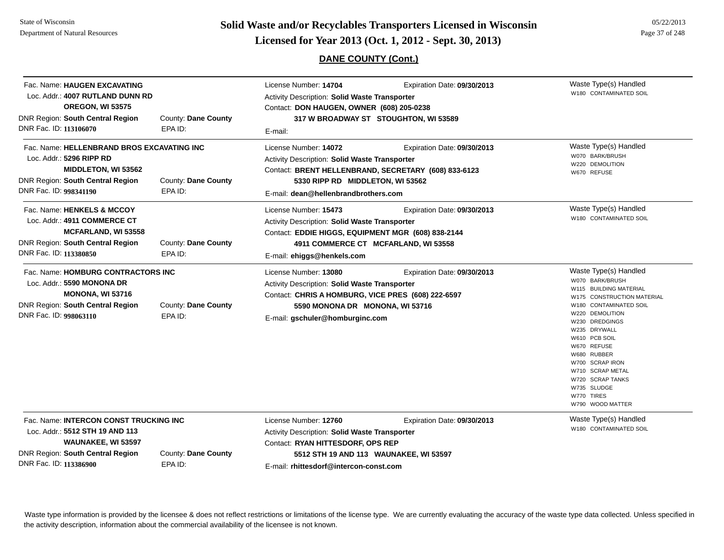# **Page 37 of 248 <b>Licensed for Year 2013 (Oct. 1, 2012 - Sept. 30, 2013) Page 37 of 248 Licensed for Year 2013 (Oct. 1, 2012 - Sept. 30, 2013)**

05/22/2013

### **DANE COUNTY (Cont.)**

| Fac. Name: HAUGEN EXCAVATING<br>Loc. Addr.: 4007 RUTLAND DUNN RD<br><b>OREGON, WI 53575</b><br>DNR Region: South Central Region<br>DNR Fac. ID: 113106070            | County: Dane County<br>EPA ID: | License Number: 14704<br>Expiration Date: 09/30/2013<br><b>Activity Description: Solid Waste Transporter</b><br>Contact: DON HAUGEN, OWNER (608) 205-0238<br>317 W BROADWAY ST STOUGHTON, WI 53589<br>E-mail:                             | Waste Type(s) Handled<br>W180 CONTAMINATED SOIL                                                                                                                                                                                                                                                                                            |
|----------------------------------------------------------------------------------------------------------------------------------------------------------------------|--------------------------------|-------------------------------------------------------------------------------------------------------------------------------------------------------------------------------------------------------------------------------------------|--------------------------------------------------------------------------------------------------------------------------------------------------------------------------------------------------------------------------------------------------------------------------------------------------------------------------------------------|
| Fac. Name: HELLENBRAND BROS EXCAVATING INC<br>Loc. Addr.: 5296 RIPP RD<br>MIDDLETON, WI 53562<br><b>DNR Region: South Central Region</b><br>DNR Fac. ID: 998341190   | County: Dane County<br>EPA ID: | License Number: 14072<br>Expiration Date: 09/30/2013<br>Activity Description: Solid Waste Transporter<br>Contact: BRENT HELLENBRAND, SECRETARY (608) 833-6123<br>5330 RIPP RD MIDDLETON, WI 53562<br>E-mail: dean@hellenbrandbrothers.com | Waste Type(s) Handled<br>W070 BARK/BRUSH<br>W220 DEMOLITION<br>W670 REFUSE                                                                                                                                                                                                                                                                 |
| Fac. Name: HENKELS & MCCOY<br>Loc. Addr.: 4911 COMMERCE CT<br><b>MCFARLAND, WI 53558</b><br><b>DNR Region: South Central Region</b><br>DNR Fac. ID: 113380850        | County: Dane County<br>EPA ID: | License Number: 15473<br>Expiration Date: 09/30/2013<br>Activity Description: Solid Waste Transporter<br>Contact: EDDIE HIGGS, EQUIPMENT MGR (608) 838-2144<br>4911 COMMERCE CT MCFARLAND, WI 53558<br>E-mail: ehiggs@henkels.com         | Waste Type(s) Handled<br>W180 CONTAMINATED SOIL                                                                                                                                                                                                                                                                                            |
| Fac. Name: HOMBURG CONTRACTORS INC<br>Loc. Addr.: 5590 MONONA DR<br><b>MONONA, WI 53716</b><br>DNR Region: South Central Region<br>DNR Fac. ID: 998063110            | County: Dane County<br>EPA ID: | Expiration Date: 09/30/2013<br>License Number: 13080<br>Activity Description: Solid Waste Transporter<br>Contact: CHRIS A HOMBURG, VICE PRES (608) 222-6597<br>5590 MONONA DR MONONA, WI 53716<br>E-mail: gschuler@homburginc.com         | Waste Type(s) Handled<br>W070 BARK/BRUSH<br>W115 BUILDING MATERIAL<br>W175 CONSTRUCTION MATERIAL<br>W180 CONTAMINATED SOIL<br>W220 DEMOLITION<br>W230 DREDGINGS<br>W235 DRYWALL<br>W610 PCB SOIL<br>W670 REFUSE<br>W680 RUBBER<br>W700 SCRAP IRON<br>W710 SCRAP METAL<br>W720 SCRAP TANKS<br>W735 SLUDGE<br>W770 TIRES<br>W790 WOOD MATTER |
| Fac. Name: INTERCON CONST TRUCKING INC<br>Loc. Addr.: 5512 STH 19 AND 113<br>WAUNAKEE, WI 53597<br><b>DNR Region: South Central Region</b><br>DNR Fac. ID: 113386900 | County: Dane County<br>EPA ID: | License Number: 12760<br>Expiration Date: 09/30/2013<br><b>Activity Description: Solid Waste Transporter</b><br>Contact: RYAN HITTESDORF, OPS REP<br>5512 STH 19 AND 113 WAUNAKEE, WI 53597<br>E-mail: rhittesdorf@intercon-const.com     | Waste Type(s) Handled<br>W180 CONTAMINATED SOIL                                                                                                                                                                                                                                                                                            |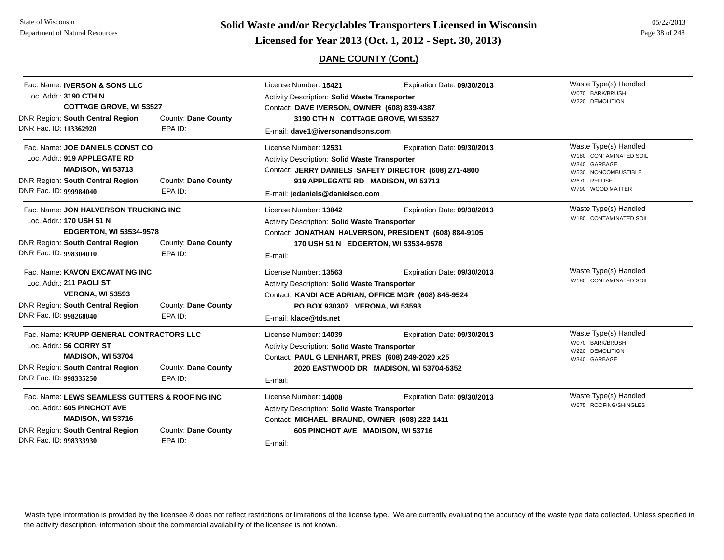**Page 38 of 248 <b>Licensed for Year 2013 (Oct. 1, 2012 - Sept. 30, 2013) Page 18 of 248 Licensed for Year 2013 (Oct. 1, 2012 - Sept. 30, 2013)** 

### **DANE COUNTY (Cont.)**

| Fac. Name: <b>IVERSON &amp; SONS LLC</b><br>Loc. Addr.: 3190 CTH N<br><b>COTTAGE GROVE, WI 53527</b><br><b>DNR Region: South Central Region</b><br>DNR Fac. ID: 113362920 | County: Dane County<br>EPA ID: | License Number: 15421<br>Activity Description: Solid Waste Transporter<br>Contact: DAVE IVERSON, OWNER (608) 839-4387<br>3190 CTH N COTTAGE GROVE, WI 53527<br>E-mail: dave1@iversonandsons.com | Expiration Date: 09/30/2013                                                          | Waste Type(s) Handled<br>W070 BARK/BRUSH<br>W220 DEMOLITION                                                               |
|---------------------------------------------------------------------------------------------------------------------------------------------------------------------------|--------------------------------|-------------------------------------------------------------------------------------------------------------------------------------------------------------------------------------------------|--------------------------------------------------------------------------------------|---------------------------------------------------------------------------------------------------------------------------|
| Fac. Name: JOE DANIELS CONST CO<br>Loc. Addr.: 919 APPLEGATE RD<br>MADISON, WI 53713<br><b>DNR Region: South Central Region</b><br>DNR Fac. ID: 999984040                 | County: Dane County<br>EPA ID: | License Number: 12531<br>Activity Description: Solid Waste Transporter<br>919 APPLEGATE RD MADISON, WI 53713<br>E-mail: jedaniels@danielsco.com                                                 | Expiration Date: 09/30/2013<br>Contact: JERRY DANIELS SAFETY DIRECTOR (608) 271-4800 | Waste Type(s) Handled<br>W180 CONTAMINATED SOIL<br>W340 GARBAGE<br>W530 NONCOMBUSTIBLE<br>W670 REFUSE<br>W790 WOOD MATTER |
| Fac. Name: JON HALVERSON TRUCKING INC<br>Loc. Addr.: 170 USH 51 N<br><b>EDGERTON, WI 53534-9578</b><br><b>DNR Region: South Central Region</b><br>DNR Fac. ID: 998304010  | County: Dane County<br>EPA ID: | License Number: 13842<br>Activity Description: Solid Waste Transporter<br>170 USH 51 N EDGERTON, WI 53534-9578<br>E-mail:                                                                       | Expiration Date: 09/30/2013<br>Contact: JONATHAN HALVERSON, PRESIDENT (608) 884-9105 | Waste Type(s) Handled<br>W180 CONTAMINATED SOIL                                                                           |
| Fac. Name: KAVON EXCAVATING INC<br>Loc. Addr.: 211 PAOLI ST<br><b>VERONA, WI 53593</b><br><b>DNR Region: South Central Region</b><br>DNR Fac. ID: 998268040               | County: Dane County<br>EPA ID: | License Number: 13563<br>Activity Description: Solid Waste Transporter<br>Contact: KANDI ACE ADRIAN, OFFICE MGR (608) 845-9524<br>PO BOX 930307 VERONA, WI 53593<br>E-mail: klace@tds.net       | Expiration Date: 09/30/2013                                                          | Waste Type(s) Handled<br>W180 CONTAMINATED SOIL                                                                           |
| Fac. Name: KRUPP GENERAL CONTRACTORS LLC<br>Loc. Addr.: 56 CORRY ST<br>MADISON, WI 53704<br><b>DNR Region: South Central Region</b><br>DNR Fac. ID: 998335250             | County: Dane County<br>EPA ID: | License Number: 14039<br>Activity Description: Solid Waste Transporter<br>Contact: PAUL G LENHART, PRES (608) 249-2020 x25<br>E-mail:                                                           | Expiration Date: 09/30/2013<br>2020 EASTWOOD DR MADISON, WI 53704-5352               | Waste Type(s) Handled<br>W070 BARK/BRUSH<br>W220 DEMOLITION<br>W340 GARBAGE                                               |
| Fac. Name: LEWS SEAMLESS GUTTERS & ROOFING INC<br>Loc. Addr.: 605 PINCHOT AVE<br>MADISON, WI 53716<br><b>DNR Region: South Central Region</b><br>DNR Fac. ID: 998333930   | County: Dane County<br>EPA ID: | License Number: 14008<br>Activity Description: Solid Waste Transporter<br>Contact: MICHAEL BRAUND, OWNER (608) 222-1411<br>605 PINCHOT AVE MADISON, WI 53716<br>E-mail:                         | Expiration Date: 09/30/2013                                                          | Waste Type(s) Handled<br>W675 ROOFING/SHINGLES                                                                            |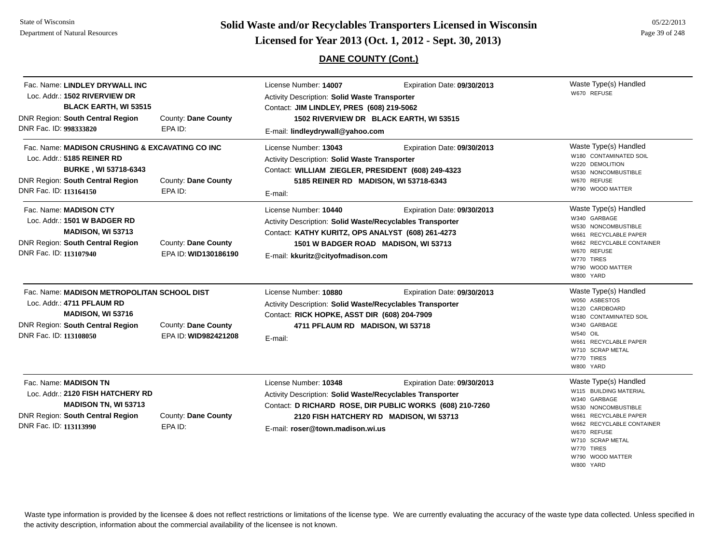State of WisconsinDepartment of Natural Resources

# **Page 39 of 248 <b>Licensed for Year 2013 (Oct. 1, 2012 - Sept. 30, 2013) Page 39 of 248 Licensed for Year 2013 (Oct. 1, 2012 - Sept. 30, 2013)**

### **DANE COUNTY (Cont.)**

05/22/2013

| Fac. Name: LINDLEY DRYWALL INC<br>Loc. Addr.: 1502 RIVERVIEW DR<br><b>BLACK EARTH, WI 53515</b><br><b>DNR Region: South Central Region</b><br>DNR Fac. ID: 998333820              | County: Dane County<br>EPA ID:              | License Number: 14007<br>Expiration Date: 09/30/2013<br><b>Activity Description: Solid Waste Transporter</b><br>Contact: JIM LINDLEY, PRES (608) 219-5062<br>1502 RIVERVIEW DR BLACK EARTH, WI 53515<br>E-mail: lindleydrywall@yahoo.com                     | Waste Type(s) Handled<br>W670 REFUSE                                                                                                                                                                                           |
|-----------------------------------------------------------------------------------------------------------------------------------------------------------------------------------|---------------------------------------------|--------------------------------------------------------------------------------------------------------------------------------------------------------------------------------------------------------------------------------------------------------------|--------------------------------------------------------------------------------------------------------------------------------------------------------------------------------------------------------------------------------|
| Fac. Name: MADISON CRUSHING & EXCAVATING CO INC<br>Loc. Addr.: 5185 REINER RD<br><b>BURKE, WI 53718-6343</b><br><b>DNR Region: South Central Region</b><br>DNR Fac. ID: 113164150 | County: Dane County<br>EPA ID:              | License Number: 13043<br>Expiration Date: 09/30/2013<br>Activity Description: Solid Waste Transporter<br>Contact: WILLIAM ZIEGLER, PRESIDENT (608) 249-4323<br>5185 REINER RD MADISON, WI 53718-6343<br>E-mail:                                              | Waste Type(s) Handled<br>W180 CONTAMINATED SOIL<br>W220 DEMOLITION<br>W530 NONCOMBUSTIBLE<br>W670 REFUSE<br>W790 WOOD MATTER                                                                                                   |
| Fac. Name: <b>MADISON CTY</b><br>Loc. Addr.: 1501 W BADGER RD<br>MADISON, WI 53713<br><b>DNR Region: South Central Region</b><br>DNR Fac. ID: 113107940                           | County: Dane County<br>EPA ID: WID130186190 | License Number: 10440<br>Expiration Date: 09/30/2013<br>Activity Description: Solid Waste/Recyclables Transporter<br>Contact: KATHY KURITZ, OPS ANALYST (608) 261-4273<br>1501 W BADGER ROAD MADISON, WI 53713<br>E-mail: kkuritz@cityofmadison.com          | Waste Type(s) Handled<br>W340 GARBAGE<br>W530 NONCOMBUSTIBLE<br>W661 RECYCLABLE PAPER<br>W662 RECYCLABLE CONTAINER<br>W670 REFUSE<br>W770 TIRES<br>W790 WOOD MATTER<br>W800 YARD                                               |
| Fac. Name: MADISON METROPOLITAN SCHOOL DIST<br>Loc. Addr.: 4711 PFLAUM RD<br><b>MADISON, WI 53716</b><br>DNR Region: South Central Region<br>DNR Fac. ID: 113108050               | County: Dane County<br>EPA ID: WID982421208 | License Number: 10880<br>Expiration Date: 09/30/2013<br>Activity Description: Solid Waste/Recyclables Transporter<br>Contact: RICK HOPKE, ASST DIR (608) 204-7909<br>4711 PFLAUM RD MADISON, WI 53718<br>E-mail:                                             | Waste Type(s) Handled<br>W050 ASBESTOS<br>W120 CARDBOARD<br>W180 CONTAMINATED SOIL<br>W340 GARBAGE<br><b>W540 OIL</b><br>W661 RECYCLABLE PAPER<br>W710 SCRAP METAL<br>W770 TIRES<br>W800 YARD                                  |
| Fac. Name: MADISON TN<br>Loc. Addr.: 2120 FISH HATCHERY RD<br><b>MADISON TN, WI 53713</b><br><b>DNR Region: South Central Region</b><br>DNR Fac. ID: 113113990                    | County: Dane County<br>EPA ID:              | License Number: 10348<br>Expiration Date: 09/30/2013<br>Activity Description: Solid Waste/Recyclables Transporter<br>Contact: D RICHARD ROSE, DIR PUBLIC WORKS (608) 210-7260<br>2120 FISH HATCHERY RD MADISON, WI 53713<br>E-mail: roser@town.madison.wi.us | Waste Type(s) Handled<br>W115 BUILDING MATERIAL<br>W340 GARBAGE<br>W530 NONCOMBUSTIBLE<br>W661 RECYCLABLE PAPER<br>W662 RECYCLABLE CONTAINER<br>W670 REFUSE<br>W710 SCRAP METAL<br>W770 TIRES<br>W790 WOOD MATTER<br>W800 YARD |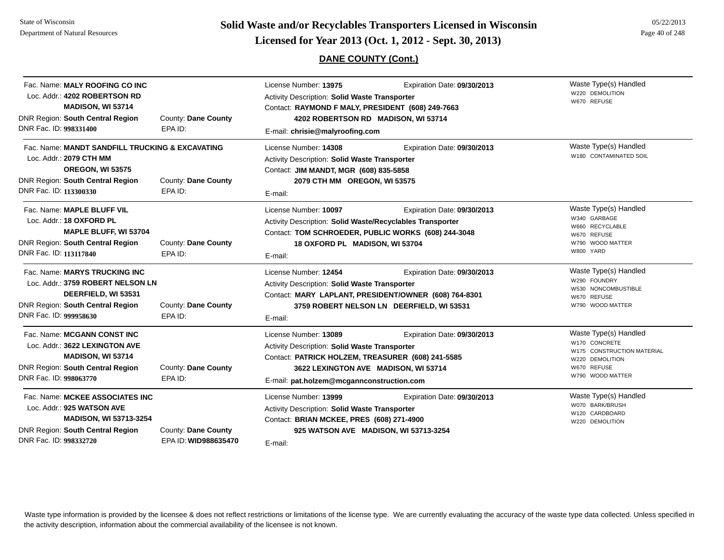State of WisconsinDepartment of Natural Resources

# **Page 40 of 248 <b>Licensed for Year 2013 (Oct. 1, 2012 - Sept. 30, 2013) Page 40 of 248 Licensed for Year 2013 (Oct. 1, 2012 - Sept. 30, 2013)**

### **DANE COUNTY (Cont.)**

| Fac. Name: MALY ROOFING CO INC<br>Loc. Addr.: 4202 ROBERTSON RD<br>MADISON, WI 53714<br><b>DNR Region: South Central Region</b><br>DNR Fac. ID: 998331400                  | County: Dane County<br>EPA ID:              | License Number: 13975<br><b>Activity Description: Solid Waste Transporter</b><br>Contact: RAYMOND F MALY, PRESIDENT (608) 249-7663<br>E-mail: chrisie@malyroofing.com    | Expiration Date: 09/30/2013<br>4202 ROBERTSON RD MADISON, WI 53714                                                                | Waste Type(s) Handled<br>W220 DEMOLITION<br>W670 REFUSE                                                                    |
|----------------------------------------------------------------------------------------------------------------------------------------------------------------------------|---------------------------------------------|--------------------------------------------------------------------------------------------------------------------------------------------------------------------------|-----------------------------------------------------------------------------------------------------------------------------------|----------------------------------------------------------------------------------------------------------------------------|
| Fac. Name: MANDT SANDFILL TRUCKING & EXCAVATING<br>Loc. Addr.: 2079 CTH MM<br><b>OREGON, WI 53575</b><br><b>DNR Region: South Central Region</b><br>DNR Fac. ID: 113300330 | County: Dane County<br>EPA ID:              | License Number: 14308<br>Activity Description: Solid Waste Transporter<br>Contact: JIM MANDT, MGR (608) 835-5858<br>2079 CTH MM OREGON, WI 53575<br>E-mail:              | Expiration Date: 09/30/2013                                                                                                       | Waste Type(s) Handled<br>W180 CONTAMINATED SOIL                                                                            |
| Fac. Name: MAPLE BLUFF VIL<br>Loc. Addr.: 18 OXFORD PL<br>MAPLE BLUFF, WI 53704<br>DNR Region: South Central Region<br>DNR Fac. ID: 113117840                              | County: Dane County<br>EPA ID:              | License Number: 10097<br>Activity Description: Solid Waste/Recyclables Transporter<br>18 OXFORD PL MADISON, WI 53704<br>E-mail:                                          | Expiration Date: 09/30/2013<br>Contact: TOM SCHROEDER, PUBLIC WORKS (608) 244-3048                                                | Waste Type(s) Handled<br>W340 GARBAGE<br>W660 RECYCLABLE<br>W670 REFUSE<br>W790 WOOD MATTER<br>W800 YARD                   |
| Fac. Name: MARYS TRUCKING INC<br>Loc. Addr.: 3759 ROBERT NELSON LN<br>DEERFIELD, WI 53531<br><b>DNR Region: South Central Region</b><br>DNR Fac. ID: 999958630             | County: Dane County<br>EPA ID:              | License Number: 12454<br>Activity Description: Solid Waste Transporter<br>E-mail:                                                                                        | Expiration Date: 09/30/2013<br>Contact: MARY LAPLANT, PRESIDENT/OWNER (608) 764-8301<br>3759 ROBERT NELSON LN DEERFIELD, WI 53531 | Waste Type(s) Handled<br>W290 FOUNDRY<br>W530 NONCOMBUSTIBLE<br>W670 REFUSE<br>W790 WOOD MATTER                            |
| Fac. Name: MCGANN CONST INC<br>Loc. Addr.: 3622 LEXINGTON AVE<br><b>MADISON, WI 53714</b><br><b>DNR Region: South Central Region</b><br>DNR Fac. ID: 998063770             | County: Dane County<br>EPA ID:              | License Number: 13089<br>Activity Description: Solid Waste Transporter<br>Contact: PATRICK HOLZEM, TREASURER (608) 241-5585<br>E-mail: pat.holzem@mcgannconstruction.com | Expiration Date: 09/30/2013<br>3622 LEXINGTON AVE MADISON, WI 53714                                                               | Waste Type(s) Handled<br>W170 CONCRETE<br>W175 CONSTRUCTION MATERIAL<br>W220 DEMOLITION<br>W670 REFUSE<br>W790 WOOD MATTER |
| Fac. Name: MCKEE ASSOCIATES INC<br>Loc. Addr.: 925 WATSON AVE<br><b>MADISON, WI 53713-3254</b><br><b>DNR Region: South Central Region</b><br>DNR Fac. ID: 998332720        | County: Dane County<br>EPA ID: WID988635470 | License Number: 13999<br>Activity Description: Solid Waste Transporter<br>Contact: BRIAN MCKEE, PRES (608) 271-4900<br>E-mail:                                           | Expiration Date: 09/30/2013<br>925 WATSON AVE MADISON, WI 53713-3254                                                              | Waste Type(s) Handled<br>W070 BARK/BRUSH<br>W120 CARDBOARD<br>W220 DEMOLITION                                              |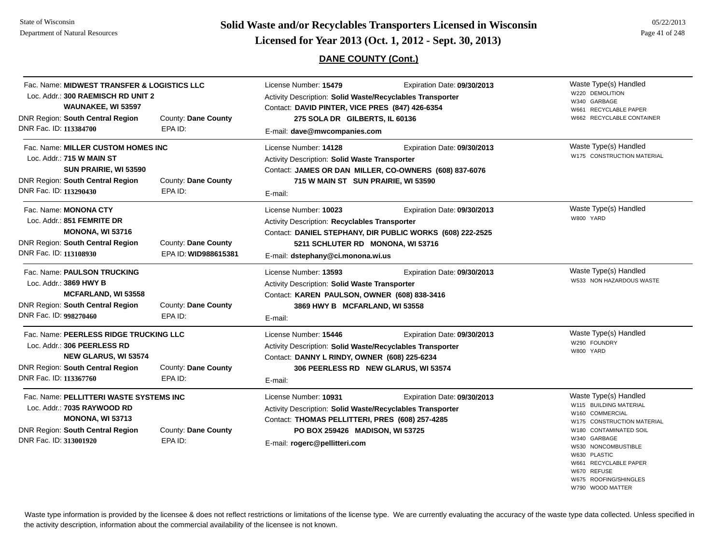**Page 41 of 248 <b>Licensed for Year 2013 (Oct. 1, 2012 - Sept. 30, 2013) Page 41 of 248 Licensed for Year 2013 (Oct. 1, 2012 - Sept. 30, 2013)** 

### **DANE COUNTY (Cont.)**

| Fac. Name: MIDWEST TRANSFER & LOGISTICS LLC<br>Loc. Addr.: 300 RAEMISCH RD UNIT 2<br>WAUNAKEE, WI 53597                                                            |                                             | License Number: 15479<br>Activity Description: Solid Waste/Recyclables Transporter<br>Contact: DAVID PINTER, VICE PRES (847) 426-6354                                                                     | Expiration Date: 09/30/2013                                                              | Waste Type(s) Handled<br>W220 DEMOLITION<br>W340 GARBAGE<br>W661 RECYCLABLE PAPER                                                                                                                                         |
|--------------------------------------------------------------------------------------------------------------------------------------------------------------------|---------------------------------------------|-----------------------------------------------------------------------------------------------------------------------------------------------------------------------------------------------------------|------------------------------------------------------------------------------------------|---------------------------------------------------------------------------------------------------------------------------------------------------------------------------------------------------------------------------|
| DNR Region: South Central Region<br>DNR Fac. ID: 113384700                                                                                                         | County: Dane County<br>EPA ID:              | 275 SOLA DR GILBERTS, IL 60136<br>E-mail: dave@mwcompanies.com                                                                                                                                            |                                                                                          | W662 RECYCLABLE CONTAINER                                                                                                                                                                                                 |
| Fac. Name: MILLER CUSTOM HOMES INC<br>Loc. Addr.: 715 W MAIN ST<br>SUN PRAIRIE, WI 53590<br><b>DNR Region: South Central Region</b><br>DNR Fac. ID: 113290430      | County: Dane County<br>EPA ID:              | License Number: 14128<br><b>Activity Description: Solid Waste Transporter</b><br>715 W MAIN ST SUN PRAIRIE, WI 53590<br>E-mail:                                                                           | Expiration Date: 09/30/2013<br>Contact: JAMES OR DAN MILLER, CO-OWNERS (608) 837-6076    | Waste Type(s) Handled<br>W175 CONSTRUCTION MATERIAL                                                                                                                                                                       |
| Fac. Name: <b>MONONA CTY</b><br>Loc. Addr.: 851 FEMRITE DR<br><b>MONONA, WI 53716</b><br>DNR Region: South Central Region<br>DNR Fac. ID: 113108930                | County: Dane County<br>EPA ID: WID988615381 | License Number: 10023<br>Activity Description: Recyclables Transporter<br>5211 SCHLUTER RD MONONA, WI 53716<br>E-mail: dstephany@ci.monona.wi.us                                                          | Expiration Date: 09/30/2013<br>Contact: DANIEL STEPHANY, DIR PUBLIC WORKS (608) 222-2525 | Waste Type(s) Handled<br>W800 YARD                                                                                                                                                                                        |
| Fac. Name: PAULSON TRUCKING<br>Loc. Addr.: 3869 HWY B<br><b>MCFARLAND, WI 53558</b><br><b>DNR Region: South Central Region</b><br>DNR Fac. ID: 998270460           | County: Dane County<br>EPA ID:              | License Number: 13593<br>Activity Description: Solid Waste Transporter<br>Contact: KAREN PAULSON, OWNER (608) 838-3416<br>3869 HWY B MCFARLAND, WI 53558<br>E-mail:                                       | Expiration Date: 09/30/2013                                                              | Waste Type(s) Handled<br>W533 NON HAZARDOUS WASTE                                                                                                                                                                         |
| Fac. Name: PEERLESS RIDGE TRUCKING LLC<br>Loc. Addr.: 306 PEERLESS RD<br><b>NEW GLARUS, WI 53574</b><br>DNR Region: South Central Region<br>DNR Fac. ID: 113367760 | County: Dane County<br>EPA ID:              | License Number: 15446<br>Activity Description: Solid Waste/Recyclables Transporter<br>Contact: DANNY L RINDY, OWNER (608) 225-6234<br>E-mail:                                                             | Expiration Date: 09/30/2013<br>306 PEERLESS RD NEW GLARUS, WI 53574                      | Waste Type(s) Handled<br>W290 FOUNDRY<br>W800 YARD                                                                                                                                                                        |
| Fac. Name: PELLITTERI WASTE SYSTEMS INC<br>Loc. Addr.: 7035 RAYWOOD RD<br><b>MONONA, WI 53713</b><br>DNR Region: South Central Region<br>DNR Fac. ID: 313001920    | County: Dane County<br>EPA ID:              | License Number: 10931<br>Activity Description: Solid Waste/Recyclables Transporter<br>Contact: THOMAS PELLITTERI, PRES (608) 257-4285<br>PO BOX 259426 MADISON, WI 53725<br>E-mail: rogerc@pellitteri.com | Expiration Date: 09/30/2013                                                              | Waste Type(s) Handled<br>W115 BUILDING MATERIAL<br>W160 COMMERCIAL<br>W175 CONSTRUCTION MATERIAL<br>W180 CONTAMINATED SOIL<br>W340 GARBAGE<br>W530 NONCOMBUSTIBLE<br>W630 PLASTIC<br>W661 RECYCLABLE PAPER<br>W670 REFUSE |

W675 ROOFING/SHINGLESW790 WOOD MATTER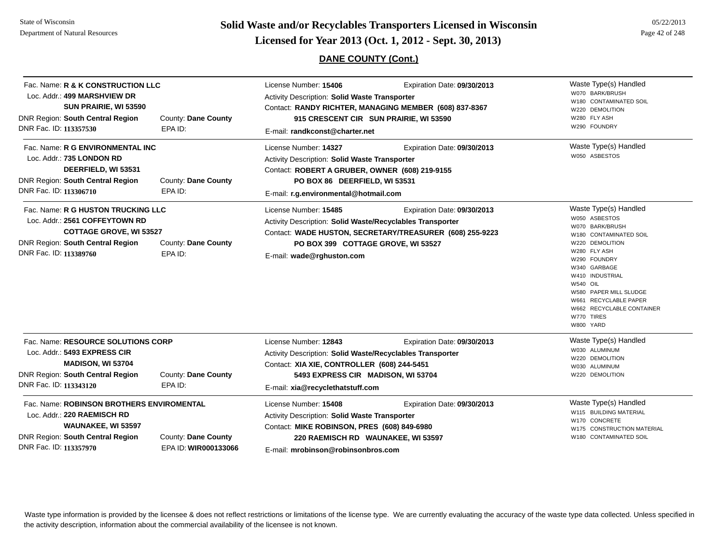**Page 42 of 248 <b>Licensed for Year 2013 (Oct. 1, 2012 - Sept. 30, 2013) Page 42 of 248 Licensed for Year 2013 (Oct. 1, 2012 - Sept. 30, 2013)** 

## **DANE COUNTY (Cont.)**

| Fac. Name: R & K CONSTRUCTION LLC<br>Loc. Addr.: 499 MARSHVIEW DR<br>SUN PRAIRIE, WI 53590<br><b>DNR Region: South Central Region</b><br>DNR Fac. ID: 113357530             | County: Dane County<br>EPA ID:              | License Number: 15406<br>Activity Description: Solid Waste Transporter<br>E-mail: randkconst@charter.net                                                                                                    | Expiration Date: 09/30/2013<br>Contact: RANDY RICHTER, MANAGING MEMBER (608) 837-8367<br>915 CRESCENT CIR SUN PRAIRIE, WI 53590 | Waste Type(s) Handled<br>W070 BARK/BRUSH<br>W180 CONTAMINATED SOIL<br>W220 DEMOLITION<br>W280 FLY ASH<br>W290 FOUNDRY                                                                                                                                                                                   |
|-----------------------------------------------------------------------------------------------------------------------------------------------------------------------------|---------------------------------------------|-------------------------------------------------------------------------------------------------------------------------------------------------------------------------------------------------------------|---------------------------------------------------------------------------------------------------------------------------------|---------------------------------------------------------------------------------------------------------------------------------------------------------------------------------------------------------------------------------------------------------------------------------------------------------|
| Fac. Name: R G ENVIRONMENTAL INC<br>Loc. Addr.: 735 LONDON RD<br>DEERFIELD, WI 53531<br><b>DNR Region: South Central Region</b><br>DNR Fac. ID: 113306710                   | County: Dane County<br>EPA ID:              | License Number: 14327<br><b>Activity Description: Solid Waste Transporter</b><br>Contact: ROBERT A GRUBER, OWNER (608) 219-9155<br>PO BOX 86 DEERFIELD, WI 53531<br>E-mail: r.g.environmental@hotmail.com   | Expiration Date: 09/30/2013                                                                                                     | Waste Type(s) Handled<br>W050 ASBESTOS                                                                                                                                                                                                                                                                  |
| Fac. Name: R G HUSTON TRUCKING LLC<br>Loc. Addr.: 2561 COFFEYTOWN RD<br><b>COTTAGE GROVE, WI 53527</b><br><b>DNR Region: South Central Region</b><br>DNR Fac. ID: 113389760 | County: Dane County<br>EPA ID:              | License Number: 15485<br>Activity Description: Solid Waste/Recyclables Transporter<br>PO BOX 399 COTTAGE GROVE, WI 53527<br>E-mail: wade@rghuston.com                                                       | Expiration Date: 09/30/2013<br>Contact: WADE HUSTON, SECRETARY/TREASURER (608) 255-9223                                         | Waste Type(s) Handled<br>W050 ASBESTOS<br>W070 BARK/BRUSH<br>W180 CONTAMINATED SOIL<br>W220 DEMOLITION<br>W280 FLY ASH<br>W290 FOUNDRY<br>W340 GARBAGE<br>W410 INDUSTRIAL<br><b>W540 OIL</b><br>W580 PAPER MILL SLUDGE<br>W661 RECYCLABLE PAPER<br>W662 RECYCLABLE CONTAINER<br>W770 TIRES<br>W800 YARD |
| Fac. Name: RESOURCE SOLUTIONS CORP<br>Loc. Addr.: 5493 EXPRESS CIR<br>MADISON, WI 53704<br><b>DNR Region: South Central Region</b><br>DNR Fac. ID: 113343120                | County: Dane County<br>EPA ID:              | License Number: 12843<br>Activity Description: Solid Waste/Recyclables Transporter<br>Contact: XIA XIE, CONTROLLER (608) 244-5451<br>5493 EXPRESS CIR MADISON, WI 53704<br>E-mail: xia@recyclethatstuff.com | Expiration Date: 09/30/2013                                                                                                     | Waste Type(s) Handled<br>W030 ALUMINUM<br>W220 DEMOLITION<br>W030 ALUMINUM<br>W220 DEMOLITION                                                                                                                                                                                                           |
| Fac. Name: ROBINSON BROTHERS ENVIROMENTAL<br>Loc. Addr.: 220 RAEMISCH RD<br><b>WAUNAKEE, WI 53597</b><br><b>DNR Region: South Central Region</b><br>DNR Fac. ID: 113357970  | County: Dane County<br>EPA ID: WIR000133066 | License Number: 15408<br>Activity Description: Solid Waste Transporter<br>Contact: MIKE ROBINSON, PRES (608) 849-6980<br>220 RAEMISCH RD WAUNAKEE, WI 53597<br>E-mail: mrobinson@robinsonbros.com           | Expiration Date: 09/30/2013                                                                                                     | Waste Type(s) Handled<br>W115 BUILDING MATERIAL<br>W170 CONCRETE<br>W175 CONSTRUCTION MATERIAL<br>W180 CONTAMINATED SOIL                                                                                                                                                                                |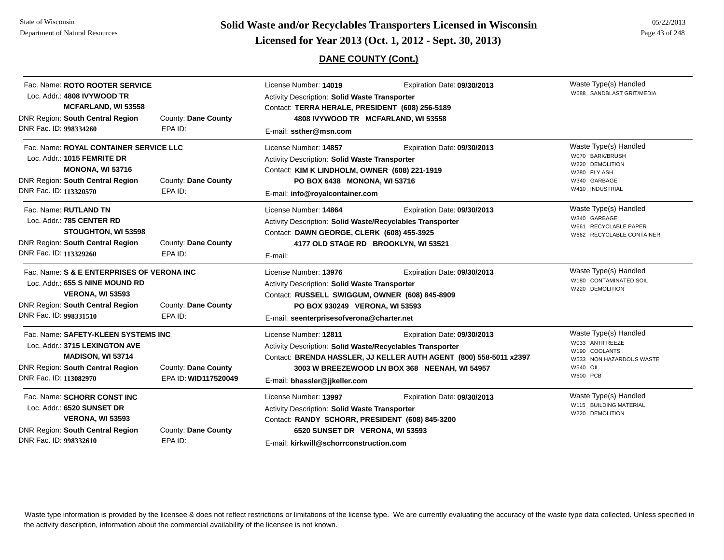State of WisconsinDepartment of Natural Resources

# **Page 43 of 248 <b>Licensed for Year 2013 (Oct. 1, 2012 - Sept. 30, 2013) Page 43 of 248 Licensed for Year 2013 (Oct. 1, 2012 - Sept. 30, 2013)**

### **DANE COUNTY (Cont.)**

| Fac. Name: ROTO ROOTER SERVICE<br>Loc. Addr.: 4808 IVYWOOD TR<br><b>MCFARLAND, WI 53558</b>                                                                                   |                                             | License Number: 14019<br>Expiration Date: 09/30/2013<br>Activity Description: Solid Waste Transporter<br>Contact: TERRA HERALE, PRESIDENT (608) 256-5189                                                                                   | Waste Type(s) Handled<br>W688 SANDBLAST GRIT/MEDIA |                                                                                                                             |
|-------------------------------------------------------------------------------------------------------------------------------------------------------------------------------|---------------------------------------------|--------------------------------------------------------------------------------------------------------------------------------------------------------------------------------------------------------------------------------------------|----------------------------------------------------|-----------------------------------------------------------------------------------------------------------------------------|
| <b>DNR Region: South Central Region</b><br>DNR Fac. ID: 998334260                                                                                                             | County: Dane County<br>EPA ID:              | 4808 IVYWOOD TR MCFARLAND, WI 53558<br>E-mail: ssther@msn.com                                                                                                                                                                              |                                                    |                                                                                                                             |
| Fac. Name: ROYAL CONTAINER SERVICE LLC<br>Loc. Addr.: 1015 FEMRITE DR<br><b>MONONA, WI 53716</b><br><b>DNR Region: South Central Region</b><br>DNR Fac. ID: 113320570         | County: Dane County<br>EPA ID:              | License Number: 14857<br>Activity Description: Solid Waste Transporter<br>Contact: KIM K LINDHOLM, OWNER (608) 221-1919<br>PO BOX 6438 MONONA, WI 53716<br>E-mail: info@royalcontainer.com                                                 | Expiration Date: 09/30/2013                        | Waste Type(s) Handled<br>W070 BARK/BRUSH<br>W220 DEMOLITION<br>W280 FLY ASH<br>W340 GARBAGE<br>W410 INDUSTRIAL              |
| Fac. Name: RUTLAND TN<br>Loc. Addr.: 785 CENTER RD<br>STOUGHTON, WI 53598<br>DNR Region: South Central Region<br>DNR Fac. ID: 113329260                                       | County: Dane County<br>EPA ID:              | License Number: 14864<br>Activity Description: Solid Waste/Recyclables Transporter<br>Contact: DAWN GEORGE, CLERK (608) 455-3925<br>4177 OLD STAGE RD BROOKLYN, WI 53521<br>E-mail:                                                        | Expiration Date: 09/30/2013                        | Waste Type(s) Handled<br>W340 GARBAGE<br>W661 RECYCLABLE PAPER<br>W662 RECYCLABLE CONTAINER                                 |
| Fac. Name: S & E ENTERPRISES OF VERONA INC<br>Loc. Addr.: 655 S NINE MOUND RD<br><b>VERONA, WI 53593</b><br><b>DNR Region: South Central Region</b><br>DNR Fac. ID: 998331510 | County: Dane County<br>EPA ID:              | License Number: 13976<br>Activity Description: Solid Waste Transporter<br>Contact: RUSSELL SWIGGUM, OWNER (608) 845-8909<br>PO BOX 930249 VERONA, WI 53593<br>E-mail: seenterprisesofverona@charter.net                                    | Expiration Date: 09/30/2013                        | Waste Type(s) Handled<br>W180 CONTAMINATED SOIL<br>W220 DEMOLITION                                                          |
| Fac. Name: SAFETY-KLEEN SYSTEMS INC<br>Loc. Addr.: 3715 LEXINGTON AVE<br>MADISON, WI 53714<br><b>DNR Region: South Central Region</b><br>DNR Fac. ID: 113082970               | County: Dane County<br>EPA ID: WID117520049 | License Number: 12811<br>Activity Description: Solid Waste/Recyclables Transporter<br>Contact: BRENDA HASSLER, JJ KELLER AUTH AGENT (800) 558-5011 x2397<br>3003 W BREEZEWOOD LN BOX 368 NEENAH, WI 54957<br>E-mail: bhassler@jjkeller.com | Expiration Date: 09/30/2013                        | Waste Type(s) Handled<br>W033 ANTIFREEZE<br>W190 COOLANTS<br>W533 NON HAZARDOUS WASTE<br><b>W540 OIL</b><br><b>W600 PCB</b> |
| Fac. Name: SCHORR CONST INC<br>Loc. Addr.: 6520 SUNSET DR<br><b>VERONA, WI 53593</b><br><b>DNR Region: South Central Region</b><br>DNR Fac. ID: 998332610                     | County: Dane County<br>EPA ID:              | License Number: 13997<br>Activity Description: Solid Waste Transporter<br>Contact: RANDY SCHORR, PRESIDENT (608) 845-3200<br>6520 SUNSET DR VERONA, WI 53593<br>E-mail: kirkwill@schorrconstruction.com                                    | Expiration Date: 09/30/2013                        | Waste Type(s) Handled<br>W115 BUILDING MATERIAL<br>W220 DEMOLITION                                                          |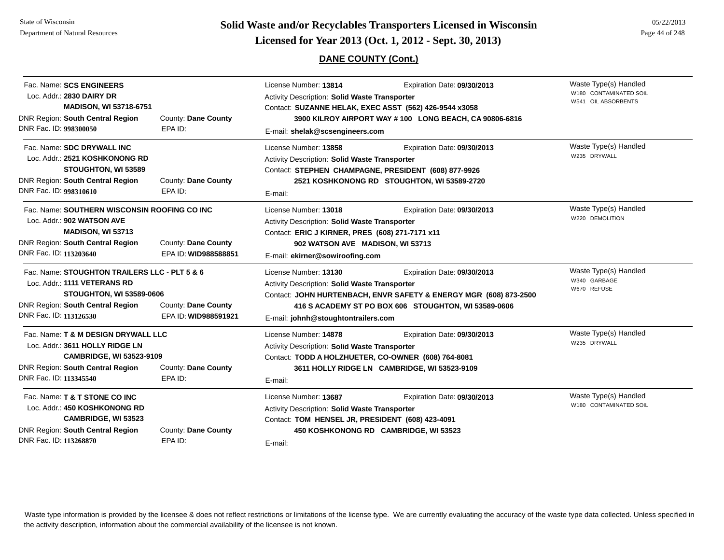State of WisconsinDepartment of Natural Resources

# **Page 44 of 248 <b>Licensed for Year 2013 (Oct. 1, 2012 - Sept. 30, 2013) Page 44 of 248 Licensed for Year 2013 (Oct. 1, 2012 - Sept. 30, 2013)**

## **DANE COUNTY (Cont.)**

| Fac. Name: SCS ENGINEERS                      |                      | License Number: 13814                                             | Expiration Date: 09/30/2013                            | Waste Type(s) Handled  |
|-----------------------------------------------|----------------------|-------------------------------------------------------------------|--------------------------------------------------------|------------------------|
| Loc. Addr.: 2830 DAIRY DR                     |                      | Activity Description: Solid Waste Transporter                     |                                                        | W180 CONTAMINATED SOIL |
| <b>MADISON, WI 53718-6751</b>                 |                      |                                                                   | Contact: SUZANNE HELAK, EXEC ASST (562) 426-9544 x3058 | W541 OIL ABSORBENTS    |
| DNR Region: South Central Region              | County: Dane County  |                                                                   | 3900 KILROY AIRPORT WAY #100 LONG BEACH, CA 90806-6816 |                        |
| DNR Fac. ID: 998300050                        | EPA ID:              | E-mail: shelak@scsengineers.com                                   |                                                        |                        |
| Fac. Name: SDC DRYWALL INC                    |                      | License Number: 13858                                             | Expiration Date: 09/30/2013                            | Waste Type(s) Handled  |
| Loc. Addr.: 2521 KOSHKONONG RD                |                      | Activity Description: Solid Waste Transporter                     |                                                        | W235 DRYWALL           |
| STOUGHTON, WI 53589                           |                      |                                                                   | Contact: STEPHEN CHAMPAGNE, PRESIDENT (608) 877-9926   |                        |
| <b>DNR Region: South Central Region</b>       | County: Dane County  |                                                                   | 2521 KOSHKONONG RD STOUGHTON, WI 53589-2720            |                        |
| DNR Fac. ID: 998310610                        | EPA ID:              | E-mail:                                                           |                                                        |                        |
| Fac. Name: SOUTHERN WISCONSIN ROOFING CO INC  |                      | License Number: 13018                                             | Expiration Date: 09/30/2013                            | Waste Type(s) Handled  |
| Loc. Addr.: 902 WATSON AVE                    |                      | Activity Description: Solid Waste Transporter                     | W220 DEMOLITION                                        |                        |
| MADISON, WI 53713                             |                      | Contact: ERIC J KIRNER, PRES (608) 271-7171 x11                   |                                                        |                        |
| DNR Region: South Central Region              | County: Dane County  | 902 WATSON AVE MADISON, WI 53713                                  |                                                        |                        |
| DNR Fac. ID: 113203640                        | EPA ID: WID988588851 | E-mail: ekirner@sowiroofing.com                                   |                                                        |                        |
| Fac. Name: STOUGHTON TRAILERS LLC - PLT 5 & 6 |                      | License Number: 13130                                             | Expiration Date: 09/30/2013                            | Waste Type(s) Handled  |
| Loc. Addr.: 1111 VETERANS RD                  |                      | Activity Description: Solid Waste Transporter                     |                                                        | W340 GARBAGE           |
| <b>STOUGHTON, WI 53589-0606</b>               |                      | Contact: JOHN HURTENBACH, ENVR SAFETY & ENERGY MGR (608) 873-2500 | W670 REFUSE                                            |                        |
| <b>DNR Region: South Central Region</b>       | County: Dane County  |                                                                   | 416 S ACADEMY ST PO BOX 606 STOUGHTON, WI 53589-0606   |                        |
| DNR Fac. ID: 113126530                        | EPA ID: WID988591921 | E-mail: johnh@stoughtontrailers.com                               |                                                        |                        |
| Fac. Name: T & M DESIGN DRYWALL LLC           |                      | License Number: 14878                                             | Expiration Date: 09/30/2013                            | Waste Type(s) Handled  |
| Loc. Addr.: 3611 HOLLY RIDGE LN               |                      | Activity Description: Solid Waste Transporter                     |                                                        | W235 DRYWALL           |
| <b>CAMBRIDGE, WI 53523-9109</b>               |                      | Contact: TODD A HOLZHUETER, CO-OWNER (608) 764-8081               |                                                        |                        |
| DNR Region: South Central Region              | County: Dane County  |                                                                   | 3611 HOLLY RIDGE LN CAMBRIDGE, WI 53523-9109           |                        |
| DNR Fac. ID: 113345540                        | EPA ID:              | E-mail:                                                           |                                                        |                        |
| Fac. Name: T & T STONE CO INC                 |                      | License Number: 13687                                             | Expiration Date: 09/30/2013                            | Waste Type(s) Handled  |
| Loc. Addr.: 450 KOSHKONONG RD                 |                      | Activity Description: Solid Waste Transporter                     |                                                        | W180 CONTAMINATED SOIL |
| <b>CAMBRIDGE, WI 53523</b>                    |                      | Contact: TOM HENSEL JR, PRESIDENT (608) 423-4091                  |                                                        |                        |
| DNR Region: South Central Region              | County: Dane County  |                                                                   | 450 KOSHKONONG RD CAMBRIDGE, WI 53523                  |                        |
| DNR Fac. ID: 113268870                        | EPA ID:              | E-mail:                                                           |                                                        |                        |
|                                               |                      |                                                                   |                                                        |                        |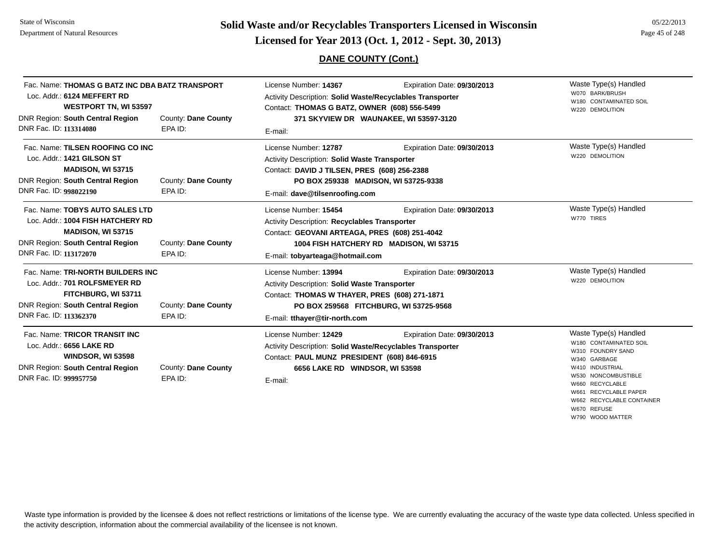**Page 45 of 248 <b>Licensed for Year 2013 (Oct. 1, 2012 - Sept. 30, 2013) Page 45 of 248 Licensed for Year 2013 (Oct. 1, 2012 - Sept. 30, 2013)** 

## **DANE COUNTY (Cont.)**

W670 REFUSEW790 WOOD MATTER

| Fac. Name: THOMAS G BATZ INC DBA BATZ TRANSPORT<br>Loc. Addr.: 6124 MEFFERT RD<br><b>WESTPORT TN, WI 53597</b><br>DNR Region: South Central Region                    | County: Dane County            | License Number: 14367<br>Activity Description: Solid Waste/Recyclables Transporter<br>Contact: THOMAS G BATZ, OWNER (608) 556-5499                                             | Expiration Date: 09/30/2013<br>371 SKYVIEW DR WAUNAKEE, WI 53597-3120  | Waste Type(s) Handled<br>W070 BARK/BRUSH<br>W180 CONTAMINATED SOIL<br>W220 DEMOLITION                                                                                                                   |
|-----------------------------------------------------------------------------------------------------------------------------------------------------------------------|--------------------------------|--------------------------------------------------------------------------------------------------------------------------------------------------------------------------------|------------------------------------------------------------------------|---------------------------------------------------------------------------------------------------------------------------------------------------------------------------------------------------------|
| DNR Fac. ID: 113314080                                                                                                                                                | EPA ID:                        | E-mail:                                                                                                                                                                        |                                                                        |                                                                                                                                                                                                         |
| Fac. Name: TILSEN ROOFING CO INC<br>Loc. Addr.: 1421 GILSON ST<br><b>MADISON, WI 53715</b><br>DNR Region: South Central Region                                        | County: Dane County            | License Number: 12787<br>Activity Description: Solid Waste Transporter<br>Contact: DAVID J TILSEN, PRES (608) 256-2388                                                         | Expiration Date: 09/30/2013                                            | Waste Type(s) Handled<br>W220 DEMOLITION                                                                                                                                                                |
| DNR Fac. ID: 998022190                                                                                                                                                | EPA ID:                        | PO BOX 259338 MADISON, WI 53725-9338<br>E-mail: dave@tilsenroofing.com                                                                                                         |                                                                        |                                                                                                                                                                                                         |
| Fac. Name: TOBYS AUTO SALES LTD<br>Loc. Addr.: 1004 FISH HATCHERY RD<br><b>MADISON, WI 53715</b><br><b>DNR Region: South Central Region</b><br>DNR Fac. ID: 113172070 | County: Dane County<br>EPA ID: | License Number: 15454<br>Activity Description: Recyclables Transporter<br>Contact: GEOVANI ARTEAGA, PRES (608) 251-4042<br>E-mail: tobyarteaga@hotmail.com                     | Expiration Date: 09/30/2013<br>1004 FISH HATCHERY RD MADISON, WI 53715 | Waste Type(s) Handled<br>W770 TIRES                                                                                                                                                                     |
| Fac. Name: TRI-NORTH BUILDERS INC<br>Loc. Addr.: 701 ROLFSMEYER RD<br>FITCHBURG, WI 53711<br><b>DNR Region: South Central Region</b><br>DNR Fac. ID: 113362370        | County: Dane County<br>EPA ID: | License Number: 13994<br>Activity Description: Solid Waste Transporter<br>Contact: THOMAS W THAYER, PRES (608) 271-1871<br>E-mail: tthayer@tir-north.com                       | Expiration Date: 09/30/2013<br>PO BOX 259568 FITCHBURG, WI 53725-9568  | Waste Type(s) Handled<br>W220 DEMOLITION                                                                                                                                                                |
| Fac. Name: TRICOR TRANSIT INC<br>Loc. Addr.: 6656 LAKE RD<br><b>WINDSOR, WI 53598</b><br><b>DNR Region: South Central Region</b><br>DNR Fac. ID: 999957750            | County: Dane County<br>EPA ID: | License Number: 12429<br>Activity Description: Solid Waste/Recyclables Transporter<br>Contact: PAUL MUNZ PRESIDENT (608) 846-6915<br>6656 LAKE RD WINDSOR, WI 53598<br>E-mail: | Expiration Date: 09/30/2013                                            | Waste Type(s) Handled<br>W180 CONTAMINATED SOIL<br>W310 FOUNDRY SAND<br>W340 GARBAGE<br>W410 INDUSTRIAL<br>W530 NONCOMBUSTIBLE<br>W660 RECYCLABLE<br>W661 RECYCLABLE PAPER<br>W662 RECYCLABLE CONTAINER |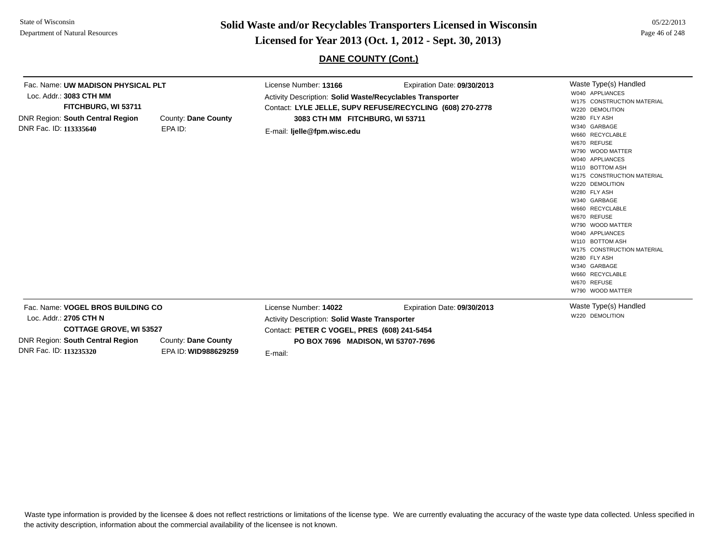**Page 46 of 248 <b>Licensed for Year 2013 (Oct. 1, 2012 - Sept. 30, 2013) Page 46 of 248 Licensed for Year 2013 (Oct. 1, 2012 - Sept. 30, 2013)** 

**DANE COUNTY (Cont.)**

| Fac. Name: UW MADISON PHYSICAL PLT<br>Loc. Addr.: 3083 CTH MM<br>FITCHBURG, WI 53711<br><b>DNR Region: South Central Region</b><br>DNR Fac. ID: 113335640          | County: Dane County<br>EPA ID:              | License Number: 13166<br>Activity Description: Solid Waste/Recyclables Transporter<br>3083 CTH MM FITCHBURG, WI 53711<br>E-mail: ljelle@fpm.wisc.edu                          | Expiration Date: 09/30/2013<br>Contact: LYLE JELLE, SUPV REFUSE/RECYCLING (608) 270-2778 | Waste Type(s) Handled<br>W040 APPLIANCES<br>W175 CONSTRUCTION MATERIAL<br>W220 DEMOLITION<br>W280 FLY ASH<br>W340 GARBAGE<br>W660 RECYCLABLE<br>W670 REFUSE<br>W790 WOOD MATTER<br>W040 APPLIANCES<br>W110 BOTTOM ASH<br>W175 CONSTRUCTION MATERIAL<br>W220 DEMOLITION<br>W280 FLY ASH<br>W340 GARBAGE<br>W660 RECYCLABLE<br>W670 REFUSE<br>W790 WOOD MATTER<br>W040 APPLIANCES<br>W110 BOTTOM ASH<br>W175 CONSTRUCTION MATERIAL<br>W280 FLY ASH<br>W340 GARBAGE<br>W660 RECYCLABLE<br>W670 REFUSE<br>W790 WOOD MATTER |
|--------------------------------------------------------------------------------------------------------------------------------------------------------------------|---------------------------------------------|-------------------------------------------------------------------------------------------------------------------------------------------------------------------------------|------------------------------------------------------------------------------------------|------------------------------------------------------------------------------------------------------------------------------------------------------------------------------------------------------------------------------------------------------------------------------------------------------------------------------------------------------------------------------------------------------------------------------------------------------------------------------------------------------------------------|
| Fac. Name: VOGEL BROS BUILDING CO<br>Loc. Addr.: 2705 CTH N<br><b>COTTAGE GROVE, WI 53527</b><br><b>DNR Region: South Central Region</b><br>DNR Fac. ID: 113235320 | County: Dane County<br>EPA ID: WID988629259 | License Number: 14022<br><b>Activity Description: Solid Waste Transporter</b><br>Contact: PETER C VOGEL, PRES (608) 241-5454<br>PO BOX 7696 MADISON, WI 53707-7696<br>E-mail: | Expiration Date: 09/30/2013                                                              | Waste Type(s) Handled<br>W220 DEMOLITION                                                                                                                                                                                                                                                                                                                                                                                                                                                                               |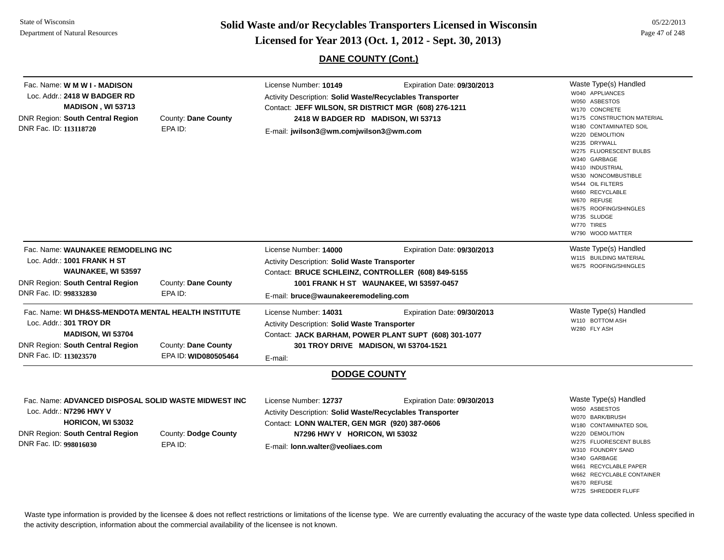**Page 47 of 248 <b>Licensed for Year 2013 (Oct. 1, 2012 - Sept. 30, 2013) Page 47 of 248 Licensed for Year 2013 (Oct. 1, 2012 - Sept. 30, 2013)** 

### **DANE COUNTY (Cont.)**

| Fac. Name: W M W I - MADISON<br>Loc. Addr.: 2418 W BADGER RD<br><b>MADISON, WI 53713</b><br>DNR Region: South Central Region<br>DNR Fac. ID: 113118720                          | County: Dane County<br>EPA ID:              | License Number: 10149<br>Expiration Date: 09/30/2013<br>Activity Description: Solid Waste/Recyclables Transporter<br>Contact: JEFF WILSON, SR DISTRICT MGR (608) 276-1211<br>2418 W BADGER RD MADISON, WI 53713<br>E-mail: jwilson3@wm.comjwilson3@wm.com | Waste Type(s) Handled<br>W040 APPLIANCES<br>W050 ASBESTOS<br>W170 CONCRETE<br>W175 CONSTRUCTION MATERIAL<br>W180 CONTAMINATED SOIL<br>W220 DEMOLITION<br>W235 DRYWALL<br>W275 FLUORESCENT BULBS<br>W340 GARBAGE<br>W410 INDUSTRIAL<br>W530 NONCOMBUSTIBLE<br>W544 OIL FILTERS<br>W660 RECYCLABLE<br>W670 REFUSE<br>W675 ROOFING/SHINGLES<br>W735 SLUDGE<br>W770 TIRES<br>W790 WOOD MATTER |
|---------------------------------------------------------------------------------------------------------------------------------------------------------------------------------|---------------------------------------------|-----------------------------------------------------------------------------------------------------------------------------------------------------------------------------------------------------------------------------------------------------------|-------------------------------------------------------------------------------------------------------------------------------------------------------------------------------------------------------------------------------------------------------------------------------------------------------------------------------------------------------------------------------------------|
| Fac. Name: WAUNAKEE REMODELING INC<br>Loc. Addr.: 1001 FRANK H ST<br><b>WAUNAKEE, WI 53597</b><br><b>DNR Region: South Central Region</b><br>DNR Fac. ID: 998332830             | County: Dane County<br>EPA ID:              | License Number: 14000<br>Expiration Date: 09/30/2013<br><b>Activity Description: Solid Waste Transporter</b><br>Contact: BRUCE SCHLEINZ, CONTROLLER (608) 849-5155<br>1001 FRANK H ST WAUNAKEE, WI 53597-0457<br>E-mail: bruce@waunakeeremodeling.com     | Waste Type(s) Handled<br>W115 BUILDING MATERIAL<br>W675 ROOFING/SHINGLES                                                                                                                                                                                                                                                                                                                  |
| Fac. Name: WI DH&SS-MENDOTA MENTAL HEALTH INSTITUTE<br>Loc. Addr.: 301 TROY DR<br><b>MADISON, WI 53704</b><br><b>DNR Region: South Central Region</b><br>DNR Fac. ID: 113023570 | County: Dane County<br>EPA ID: WID080505464 | License Number: 14031<br>Expiration Date: 09/30/2013<br>Activity Description: Solid Waste Transporter<br>Contact: JACK BARHAM, POWER PLANT SUPT (608) 301-1077<br>301 TROY DRIVE MADISON, WI 53704-1521<br>E-mail:                                        | Waste Type(s) Handled<br>W110 BOTTOM ASH<br>W280 FLY ASH                                                                                                                                                                                                                                                                                                                                  |
|                                                                                                                                                                                 |                                             | <b>DODGE COUNTY</b>                                                                                                                                                                                                                                       |                                                                                                                                                                                                                                                                                                                                                                                           |
| Fac. Name: ADVANCED DISPOSAL SOLID WASTE MIDWEST INC<br>Loc. Addr.: N7296 HWY V<br>HORICON, WI 53032<br>DNR Region: South Central Region<br>DNR Fac. ID: 998016030              | County: Dodge County<br>EPA ID:             | License Number: 12737<br>Expiration Date: 09/30/2013<br>Activity Description: Solid Waste/Recyclables Transporter<br>Contact: LONN WALTER, GEN MGR (920) 387-0606<br>N7296 HWY V HORICON, WI 53032<br>E-mail: lonn.walter@veoliaes.com                    | Waste Type(s) Handled<br>W050 ASBESTOS<br>W070 BARK/BRUSH<br>W180 CONTAMINATED SOIL<br>W220 DEMOLITION<br>W275 FLUORESCENT BULBS<br>W310 FOUNDRY SAND<br>W340 GARBAGE<br>W661 RECYCLABLE PAPER<br>W662 RECYCLABLE CONTAINER<br>W670 REFUSE<br>W725 SHREDDER FLUFF                                                                                                                         |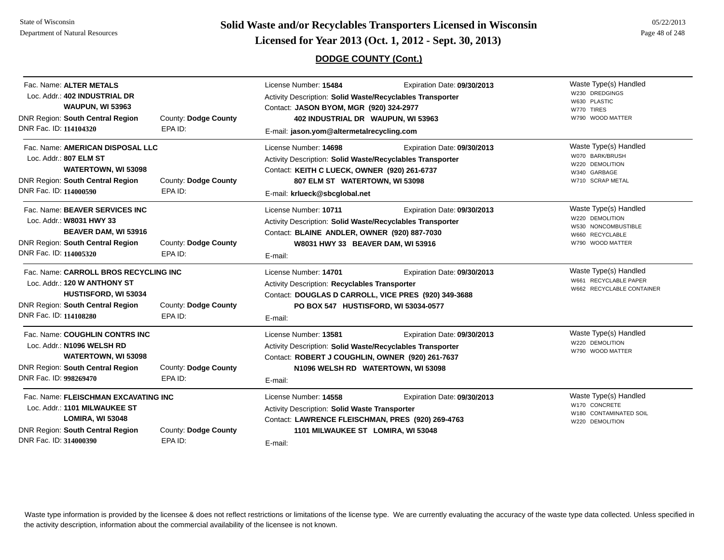**Page 48 of 248 <b>Licensed for Year 2013 (Oct. 1, 2012 - Sept. 30, 2013) Page 48 of 248 Licensed for Year 2013 (Oct. 1, 2012 - Sept. 30, 2013)** 

#### **DODGE COUNTY (Cont.)**

| Fac. Name: ALTER METALS<br>Loc. Addr.: 402 INDUSTRIAL DR<br><b>WAUPUN, WI 53963</b><br>DNR Region: South Central Region<br>DNR Fac. ID: 114104320                         | County: Dodge County<br>EPA ID: | License Number: 15484<br>Activity Description: Solid Waste/Recyclables Transporter<br>Contact: JASON BYOM, MGR (920) 324-2977<br>402 INDUSTRIAL DR WAUPUN, WI 53963<br>E-mail: jason.yom@altermetalrecycling.com | Expiration Date: 09/30/2013                                       | Waste Type(s) Handled<br>W230 DREDGINGS<br>W630 PLASTIC<br>W770 TIRES<br>W790 WOOD MATTER              |
|---------------------------------------------------------------------------------------------------------------------------------------------------------------------------|---------------------------------|------------------------------------------------------------------------------------------------------------------------------------------------------------------------------------------------------------------|-------------------------------------------------------------------|--------------------------------------------------------------------------------------------------------|
| Fac. Name: AMERICAN DISPOSAL LLC<br>Loc. Addr.: 807 ELM ST<br><b>WATERTOWN, WI 53098</b><br><b>DNR Region: South Central Region</b><br>DNR Fac. ID: 114000590             | County: Dodge County<br>EPA ID: | License Number: 14698<br>Activity Description: Solid Waste/Recyclables Transporter<br>Contact: KEITH C LUECK, OWNER (920) 261-6737<br>807 ELM ST WATERTOWN, WI 53098<br>E-mail: krlueck@sbcglobal.net            | Expiration Date: 09/30/2013                                       | Waste Type(s) Handled<br>W070 BARK/BRUSH<br>W220 DEMOLITION<br>W340 GARBAGE<br>W710 SCRAP METAL        |
| Fac. Name: BEAVER SERVICES INC<br>Loc. Addr.: W8031 HWY 33<br>BEAVER DAM, WI 53916<br><b>DNR Region: South Central Region</b><br>DNR Fac. ID: 114005320                   | County: Dodge County<br>EPA ID: | License Number: 10711<br>Activity Description: Solid Waste/Recyclables Transporter<br>Contact: BLAINE ANDLER, OWNER (920) 887-7030<br>W8031 HWY 33 BEAVER DAM, WI 53916<br>E-mail:                               | Expiration Date: 09/30/2013                                       | Waste Type(s) Handled<br>W220 DEMOLITION<br>W530 NONCOMBUSTIBLE<br>W660 RECYCLABLE<br>W790 WOOD MATTER |
| Fac. Name: CARROLL BROS RECYCLING INC<br>Loc. Addr.: 120 W ANTHONY ST<br><b>HUSTISFORD, WI 53034</b><br><b>DNR Region: South Central Region</b><br>DNR Fac. ID: 114108280 | County: Dodge County<br>EPA ID: | License Number: 14701<br>Activity Description: Recyclables Transporter<br>Contact: DOUGLAS D CARROLL, VICE PRES (920) 349-3688<br>PO BOX 547 HUSTISFORD, WI 53034-0577<br>E-mail:                                | Expiration Date: 09/30/2013                                       | Waste Type(s) Handled<br>W661 RECYCLABLE PAPER<br>W662 RECYCLABLE CONTAINER                            |
| Fac. Name: COUGHLIN CONTRS INC<br>Loc. Addr.: N1096 WELSH RD<br>WATERTOWN, WI 53098<br><b>DNR Region: South Central Region</b><br>DNR Fac. ID: 998269470                  | County: Dodge County<br>EPA ID: | License Number: 13581<br>Activity Description: Solid Waste/Recyclables Transporter<br>Contact: ROBERT J COUGHLIN, OWNER (920) 261-7637<br>E-mail:                                                                | Expiration Date: 09/30/2013<br>N1096 WELSH RD WATERTOWN, WI 53098 | Waste Type(s) Handled<br>W220 DEMOLITION<br>W790 WOOD MATTER                                           |
| Fac. Name: FLEISCHMAN EXCAVATING INC<br>Loc. Addr.: 1101 MILWAUKEE ST<br><b>LOMIRA, WI 53048</b><br><b>DNR Region: South Central Region</b><br>DNR Fac. ID: 314000390     | County: Dodge County<br>EPA ID: | License Number: 14558<br><b>Activity Description: Solid Waste Transporter</b><br>Contact: LAWRENCE FLEISCHMAN, PRES (920) 269-4763<br>1101 MILWAUKEE ST LOMIRA, WI 53048<br>E-mail:                              | Expiration Date: 09/30/2013                                       | Waste Type(s) Handled<br>W170 CONCRETE<br>W180 CONTAMINATED SOIL<br>W220 DEMOLITION                    |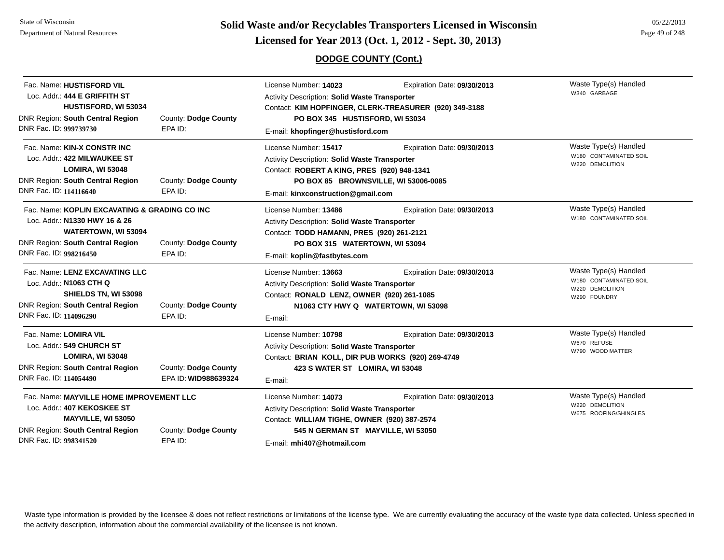State of WisconsinDepartment of Natural Resources

# **Page 49 of 248 <b>Licensed for Year 2013 (Oct. 1, 2012 - Sept. 30, 2013) Page 49 of 248 Licensed for Year 2013 (Oct. 1, 2012 - Sept. 30, 2013)**

#### **DODGE COUNTY (Cont.)**

| Fac. Name: HUSTISFORD VIL                     |                      | License Number: 14023                                | Expiration Date: 09/30/2013                            | Waste Type(s) Handled                                     |
|-----------------------------------------------|----------------------|------------------------------------------------------|--------------------------------------------------------|-----------------------------------------------------------|
| Loc. Addr.: 444 E GRIFFITH ST                 |                      | <b>Activity Description: Solid Waste Transporter</b> |                                                        | W340 GARBAGE                                              |
| HUSTISFORD, WI 53034                          |                      |                                                      | Contact: KIM HOPFINGER, CLERK-TREASURER (920) 349-3188 |                                                           |
| <b>DNR Region: South Central Region</b>       | County: Dodge County | PO BOX 345 HUSTISFORD, WI 53034                      |                                                        |                                                           |
| DNR Fac. ID: 999739730                        | EPA ID:              | E-mail: khopfinger@hustisford.com                    |                                                        |                                                           |
| Fac. Name: KIN-X CONSTR INC                   |                      | License Number: 15417                                | Expiration Date: 09/30/2013                            | Waste Type(s) Handled                                     |
| Loc. Addr.: 422 MILWAUKEE ST                  |                      | <b>Activity Description: Solid Waste Transporter</b> |                                                        | W180 CONTAMINATED SOIL                                    |
| LOMIRA, WI 53048                              |                      | Contact: ROBERT A KING, PRES (920) 948-1341          |                                                        | W220 DEMOLITION                                           |
| <b>DNR Region: South Central Region</b>       | County: Dodge County |                                                      | PO BOX 85 BROWNSVILLE, WI 53006-0085                   |                                                           |
| DNR Fac. ID: 114116640                        | EPA ID:              | E-mail: kinxconstruction@gmail.com                   |                                                        |                                                           |
| Fac. Name: KOPLIN EXCAVATING & GRADING CO INC |                      | License Number: 13486                                | Expiration Date: 09/30/2013                            | Waste Type(s) Handled                                     |
| Loc. Addr.: N1330 HWY 16 & 26                 |                      | Activity Description: Solid Waste Transporter        |                                                        | W180 CONTAMINATED SOIL                                    |
| <b>WATERTOWN, WI 53094</b>                    |                      | Contact: TODD HAMANN, PRES (920) 261-2121            |                                                        |                                                           |
| <b>DNR Region: South Central Region</b>       | County: Dodge County | PO BOX 315 WATERTOWN, WI 53094                       |                                                        |                                                           |
| DNR Fac. ID: 998216450                        | EPA ID:              | E-mail: koplin@fastbytes.com                         |                                                        |                                                           |
| Fac. Name: LENZ EXCAVATING LLC                |                      | License Number: 13663                                | Expiration Date: 09/30/2013                            | Waste Type(s) Handled                                     |
| Loc. Addr.: N1063 CTH Q                       |                      | Activity Description: Solid Waste Transporter        |                                                        | W180 CONTAMINATED SOIL<br>W220 DEMOLITION<br>W290 FOUNDRY |
| SHIELDS TN, WI 53098                          |                      | Contact: RONALD LENZ, OWNER (920) 261-1085           |                                                        |                                                           |
| <b>DNR Region: South Central Region</b>       | County: Dodge County |                                                      | N1063 CTY HWY Q WATERTOWN, WI 53098                    |                                                           |
| DNR Fac. ID: 114096290                        | EPA ID:              | E-mail:                                              |                                                        |                                                           |
| Fac. Name: LOMIRA VIL                         |                      | License Number: 10798                                | Expiration Date: 09/30/2013                            | Waste Type(s) Handled                                     |
| Loc. Addr.: 549 CHURCH ST                     |                      | <b>Activity Description: Solid Waste Transporter</b> |                                                        | W670 REFUSE                                               |
| LOMIRA, WI 53048                              |                      | Contact: BRIAN KOLL, DIR PUB WORKS (920) 269-4749    |                                                        | W790 WOOD MATTER                                          |
| <b>DNR Region: South Central Region</b>       | County: Dodge County | 423 S WATER ST LOMIRA, WI 53048                      |                                                        |                                                           |
| DNR Fac. ID: 114054490                        | EPA ID: WID988639324 | E-mail:                                              |                                                        |                                                           |
| Fac. Name: MAYVILLE HOME IMPROVEMENT LLC      |                      | License Number: 14073                                | Expiration Date: 09/30/2013                            | Waste Type(s) Handled                                     |
| Loc. Addr.: 407 KEKOSKEE ST                   |                      | <b>Activity Description: Solid Waste Transporter</b> |                                                        | W220 DEMOLITION<br>W675 ROOFING/SHINGLES                  |
| MAYVILLE, WI 53050                            |                      | Contact: WILLIAM TIGHE, OWNER (920) 387-2574         |                                                        |                                                           |
| <b>DNR Region: South Central Region</b>       | County: Dodge County | 545 N GERMAN ST MAYVILLE, WI 53050                   |                                                        |                                                           |
| DNR Fac. ID: 998341520                        | EPA ID:              | E-mail: mhi407@hotmail.com                           |                                                        |                                                           |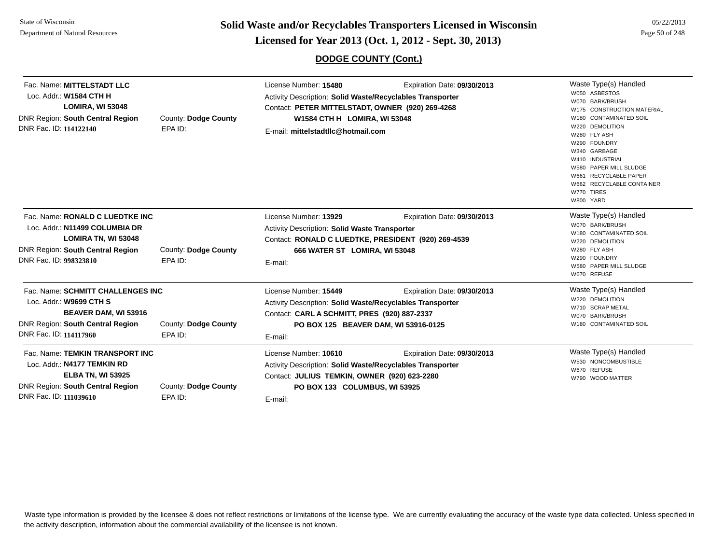**Solid Waste and/or Recyclables Transporters Licensed in Wisconsin<br>Licensed for Year 2013 (Oct. 1, 2012 - Sept. 30, 2013)** 

## **DODGE COUNTY (Cont.)**

| , 2013) | Page 50 of 248 |
|---------|----------------|
|         |                |

| Fac. Name: MITTELSTADT LLC<br>Loc. Addr.: W1584 CTH H<br><b>LOMIRA, WI 53048</b><br><b>DNR Region: South Central Region</b><br>DNR Fac. ID: 114122140            | County: Dodge County<br>EPA ID: | License Number: 15480<br>Expiration Date: 09/30/2013<br><b>Activity Description: Solid Waste/Recyclables Transporter</b><br>Contact: PETER MITTELSTADT, OWNER (920) 269-4268<br>W1584 CTH H LOMIRA, WI 53048<br>E-mail: mittelstadtllc@hotmail.com |                                                                     | Waste Type(s) Handled<br>W050 ASBESTOS<br>W070 BARK/BRUSH<br>W175 CONSTRUCTION MATERIAL<br>W180 CONTAMINATED SOIL<br>W220 DEMOLITION<br>W280 FLY ASH<br>W290 FOUNDRY<br>W340 GARBAGE<br>W410 INDUSTRIAL<br>W580 PAPER MILL SLUDGE<br>W661 RECYCLABLE PAPER<br>W662 RECYCLABLE CONTAINER<br>W770 TIRES<br>W800 YARD |
|------------------------------------------------------------------------------------------------------------------------------------------------------------------|---------------------------------|----------------------------------------------------------------------------------------------------------------------------------------------------------------------------------------------------------------------------------------------------|---------------------------------------------------------------------|--------------------------------------------------------------------------------------------------------------------------------------------------------------------------------------------------------------------------------------------------------------------------------------------------------------------|
| Fac. Name: RONALD C LUEDTKE INC<br>Loc. Addr.: N11499 COLUMBIA DR<br>LOMIRA TN, WI 53048<br><b>DNR Region: South Central Region</b><br>DNR Fac. ID: 998323810    | County: Dodge County<br>EPA ID: | License Number: 13929<br><b>Activity Description: Solid Waste Transporter</b><br>Contact: RONALD C LUEDTKE, PRESIDENT (920) 269-4539<br>666 WATER ST LOMIRA, WI 53048<br>E-mail:                                                                   | Expiration Date: 09/30/2013                                         | Waste Type(s) Handled<br>W070 BARK/BRUSH<br>W180 CONTAMINATED SOIL<br>W220 DEMOLITION<br>W280 FLY ASH<br>W290 FOUNDRY<br><b>W580 PAPER MILL SLUDGE</b><br>W670 REFUSE                                                                                                                                              |
| Fac. Name: SCHMITT CHALLENGES INC<br>Loc. Addr.: W9699 CTH S<br><b>BEAVER DAM, WI 53916</b><br><b>DNR Region: South Central Region</b><br>DNR Fac. ID: 114117960 | County: Dodge County<br>EPA ID: | License Number: 15449<br>Activity Description: Solid Waste/Recyclables Transporter<br>Contact: CARL A SCHMITT, PRES (920) 887-2337<br>E-mail:                                                                                                      | Expiration Date: 09/30/2013<br>PO BOX 125 BEAVER DAM, WI 53916-0125 | Waste Type(s) Handled<br>W220 DEMOLITION<br>W710 SCRAP METAL<br>W070 BARK/BRUSH<br>W180 CONTAMINATED SOIL                                                                                                                                                                                                          |
| Fac. Name: TEMKIN TRANSPORT INC<br>Loc. Addr.: N4177 TEMKIN RD<br><b>ELBA TN, WI 53925</b><br>DNR Region: South Central Region<br>DNR Fac. ID: 111039610         | County: Dodge County<br>EPA ID: | License Number: 10610<br>Activity Description: Solid Waste/Recyclables Transporter<br>Contact: JULIUS TEMKIN, OWNER (920) 623-2280<br>PO BOX 133 COLUMBUS, WI 53925<br>E-mail:                                                                     | Expiration Date: 09/30/2013                                         | Waste Type(s) Handled<br>W530 NONCOMBUSTIBLE<br>W670 REFUSE<br>W790 WOOD MATTER                                                                                                                                                                                                                                    |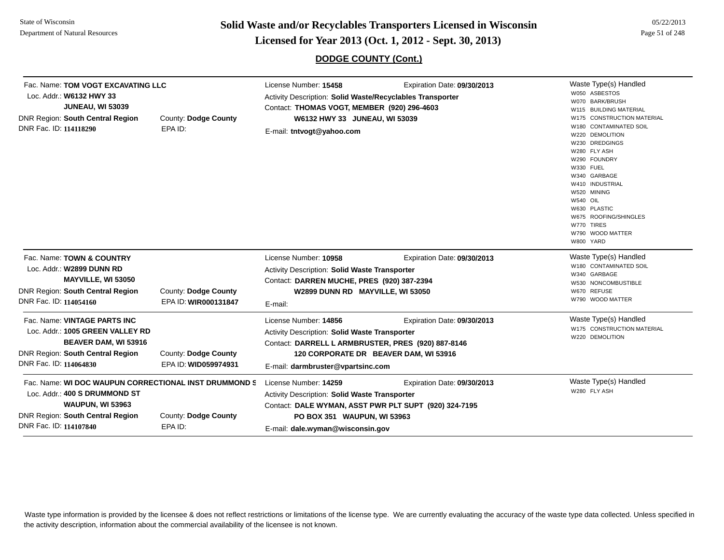**Page 51 of 248 <b>Licensed for Year 2013 (Oct. 1, 2012 - Sept. 30, 2013) Page 51 of 248 Licensed for Year 2013 (Oct. 1, 2012 - Sept. 30, 2013)** 

**DODGE COUNTY (Cont.)**

| Fac. Name: TOM VOGT EXCAVATING LLC<br>Loc. Addr.: W6132 HWY 33<br><b>JUNEAU, WI 53039</b><br>County: Dodge County<br><b>DNR Region: South Central Region</b><br>DNR Fac. ID: 114118290<br>EPA ID: |                                                                                                                                            | License Number: 15458<br>Activity Description: Solid Waste/Recyclables Transporter<br>Contact: THOMAS VOGT, MEMBER (920) 296-4603<br>W6132 HWY 33 JUNEAU, WI 53039<br>E-mail: tntvogt@yahoo.com | Waste Type(s) Handled<br>W050 ASBESTOS<br>W070 BARK/BRUSH<br>W115 BUILDING MATERIAL<br>W175 CONSTRUCTION MATERIAL<br>W180 CONTAMINATED SOIL                                                                       |                             |                                                                                                                                                                                                                                             |
|---------------------------------------------------------------------------------------------------------------------------------------------------------------------------------------------------|--------------------------------------------------------------------------------------------------------------------------------------------|-------------------------------------------------------------------------------------------------------------------------------------------------------------------------------------------------|-------------------------------------------------------------------------------------------------------------------------------------------------------------------------------------------------------------------|-----------------------------|---------------------------------------------------------------------------------------------------------------------------------------------------------------------------------------------------------------------------------------------|
|                                                                                                                                                                                                   |                                                                                                                                            |                                                                                                                                                                                                 |                                                                                                                                                                                                                   |                             | W220 DEMOLITION<br>W230 DREDGINGS<br>W280 FLY ASH<br>W290 FOUNDRY<br>W330 FUEL<br>W340 GARBAGE<br>W410 INDUSTRIAL<br>W520 MINING<br><b>W540 OIL</b><br>W630 PLASTIC<br>W675 ROOFING/SHINGLES<br>W770 TIRES<br>W790 WOOD MATTER<br>W800 YARD |
| DNR Fac. ID: 114054160                                                                                                                                                                            | Fac. Name: TOWN & COUNTRY<br>Loc. Addr.: W2899 DUNN RD<br><b>MAYVILLE, WI 53050</b><br><b>DNR Region: South Central Region</b>             | County: Dodge County<br>EPA ID: WIR000131847                                                                                                                                                    | License Number: 10958<br><b>Activity Description: Solid Waste Transporter</b><br>Contact: DARREN MUCHE, PRES (920) 387-2394<br>W2899 DUNN RD MAYVILLE, WI 53050<br>E-mail:                                        | Expiration Date: 09/30/2013 | Waste Type(s) Handled<br>W180 CONTAMINATED SOIL<br>W340 GARBAGE<br>W530 NONCOMBUSTIBLE<br>W670 REFUSE<br>W790 WOOD MATTER                                                                                                                   |
| DNR Fac. ID: 114064830                                                                                                                                                                            | Fac. Name: VINTAGE PARTS INC<br>Loc. Addr.: 1005 GREEN VALLEY RD<br><b>BEAVER DAM, WI 53916</b><br><b>DNR Region: South Central Region</b> | County: Dodge County<br>EPA ID: WID059974931                                                                                                                                                    | License Number: 14856<br><b>Activity Description: Solid Waste Transporter</b><br>Contact: DARRELL L ARMBRUSTER, PRES (920) 887-8146<br>120 CORPORATE DR BEAVER DAM, WI 53916<br>E-mail: darmbruster@vpartsinc.com | Expiration Date: 09/30/2013 | Waste Type(s) Handled<br>W175 CONSTRUCTION MATERIAL<br>W220 DEMOLITION                                                                                                                                                                      |
| DNR Fac. ID: 114107840                                                                                                                                                                            | Loc. Addr.: 400 S DRUMMOND ST<br><b>WAUPUN, WI 53963</b><br><b>DNR Region: South Central Region</b>                                        | Fac. Name: WI DOC WAUPUN CORRECTIONAL INST DRUMMOND S<br>County: Dodge County<br>EPA ID:                                                                                                        | License Number: 14259<br><b>Activity Description: Solid Waste Transporter</b><br>Contact: DALE WYMAN, ASST PWR PLT SUPT (920) 324-7195<br>PO BOX 351 WAUPUN, WI 53963<br>E-mail: dale.wyman@wisconsin.gov         | Expiration Date: 09/30/2013 | Waste Type(s) Handled<br>W280 FLY ASH                                                                                                                                                                                                       |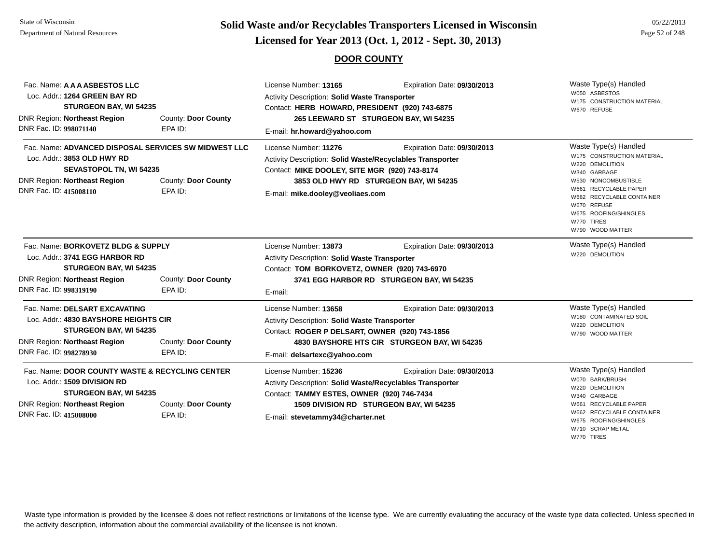# **Page 52 of 248 <b>Licensed for Year 2013 (Oct. 1, 2012 - Sept. 30, 2013) Page 52 of 248 Licensed for Year 2013 (Oct. 1, 2012 - Sept. 30, 2013)**

#### **DOOR COUNTY**

| Fac. Name: A A A ASBESTOS LLC<br>Loc. Addr.: 1264 GREEN BAY RD<br>STURGEON BAY, WI 54235<br>DNR Region: Northeast Region<br>DNR Fac. ID: 998071140                                                                       | County: Door County<br>EPA ID: | License Number: 13165<br>Expiration Date: 09/30/2013<br>Activity Description: Solid Waste Transporter<br>Contact: HERB HOWARD, PRESIDENT (920) 743-6875<br>265 LEEWARD ST STURGEON BAY, WI 54235<br>E-mail: hr.howard@yahoo.com                  | Waste Type(s) Handled<br>W050 ASBESTOS<br>W175 CONSTRUCTION MATERIAL<br>W670 REFUSE                                                                                                                                                           |
|--------------------------------------------------------------------------------------------------------------------------------------------------------------------------------------------------------------------------|--------------------------------|--------------------------------------------------------------------------------------------------------------------------------------------------------------------------------------------------------------------------------------------------|-----------------------------------------------------------------------------------------------------------------------------------------------------------------------------------------------------------------------------------------------|
| Fac. Name: ADVANCED DISPOSAL SERVICES SW MIDWEST LLC<br>Loc. Addr.: 3853 OLD HWY RD<br><b>SEVASTOPOL TN, WI 54235</b><br><b>DNR Region: Northeast Region</b><br>County: Door County<br>DNR Fac. ID: 415008110<br>EPA ID: |                                | License Number: 11276<br>Expiration Date: 09/30/2013<br>Activity Description: Solid Waste/Recyclables Transporter<br>Contact: MIKE DOOLEY, SITE MGR (920) 743-8174<br>3853 OLD HWY RD STURGEON BAY, WI 54235<br>E-mail: mike.dooley@veoliaes.com | Waste Type(s) Handled<br>W175 CONSTRUCTION MATERIAL<br>W220 DEMOLITION<br>W340 GARBAGE<br>W530 NONCOMBUSTIBLE<br>W661 RECYCLABLE PAPER<br>W662 RECYCLABLE CONTAINER<br>W670 REFUSE<br>W675 ROOFING/SHINGLES<br>W770 TIRES<br>W790 WOOD MATTER |
| Fac. Name: BORKOVETZ BLDG & SUPPLY<br>Loc. Addr.: 3741 EGG HARBOR RD<br>STURGEON BAY, WI 54235<br>DNR Region: Northeast Region<br>County: Door County<br>DNR Fac. ID: 998319190<br>EPA ID:                               |                                | License Number: 13873<br>Expiration Date: 09/30/2013<br>Activity Description: Solid Waste Transporter<br>Contact: TOM BORKOVETZ, OWNER (920) 743-6970<br>3741 EGG HARBOR RD STURGEON BAY, WI 54235<br>E-mail:                                    | Waste Type(s) Handled<br>W220 DEMOLITION                                                                                                                                                                                                      |
| Fac. Name: DELSART EXCAVATING<br>Loc. Addr.: 4830 BAYSHORE HEIGHTS CIR<br>STURGEON BAY, WI 54235<br><b>DNR Region: Northeast Region</b><br>County: Door County<br>DNR Fac. ID: 998278930<br>EPA ID:                      |                                | License Number: 13658<br>Expiration Date: 09/30/2013<br><b>Activity Description: Solid Waste Transporter</b><br>Contact: ROGER P DELSART, OWNER (920) 743-1856<br>4830 BAYSHORE HTS CIR STURGEON BAY, WI 54235<br>E-mail: delsartexc@yahoo.com   | Waste Type(s) Handled<br>W180 CONTAMINATED SOIL<br>W220 DEMOLITION<br>W790 WOOD MATTER                                                                                                                                                        |
| Fac. Name: DOOR COUNTY WASTE & RECYCLING CENTER<br>Loc. Addr.: 1509 DIVISION RD<br>STURGEON BAY, WI 54235<br>DNR Region: Northeast Region<br>DNR Fac. ID: 415008000                                                      | County: Door County<br>EPA ID: | License Number: 15236<br>Expiration Date: 09/30/2013<br>Activity Description: Solid Waste/Recyclables Transporter<br>Contact: TAMMY ESTES, OWNER (920) 746-7434<br>1509 DIVISION RD STURGEON BAY, WI 54235<br>E-mail: stevetammy34@charter.net   | Waste Type(s) Handled<br>W070 BARK/BRUSH<br>W220 DEMOLITION<br>W340 GARBAGE<br>W661 RECYCLABLE PAPER<br>W662 RECYCLABLE CONTAINER<br>W675 ROOFING/SHINGLES<br>W710 SCRAP METAL<br>W770 TIRES                                                  |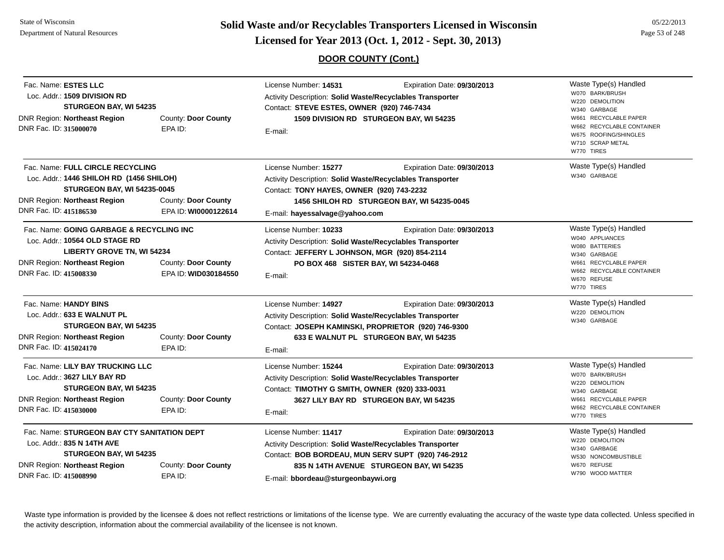**Page 53 of 248 <b>Licensed for Year 2013 (Oct. 1, 2012 - Sept. 30, 2013) Page 53 of 248 Licensed for Year 2013 (Oct. 1, 2012 - Sept. 30, 2013)** 

### **DOOR COUNTY (Cont.)**

| Fac. Name: ESTES LLC<br>Loc. Addr.: 1509 DIVISION RD<br>STURGEON BAY, WI 54235<br>DNR Region: Northeast Region<br>DNR Fac. ID: 315000070                                            | County: Door County<br>EPA ID:              | License Number: 14531<br>Expiration Date: 09/30/2013<br>Activity Description: Solid Waste/Recyclables Transporter<br>Contact: STEVE ESTES, OWNER (920) 746-7434<br>1509 DIVISION RD STURGEON BAY, WI 54235<br>E-mail:                                     | Waste Type(s) Handled<br>W070 BARK/BRUSH<br>W220 DEMOLITION<br>W340 GARBAGE<br>W661 RECYCLABLE PAPER<br>W662 RECYCLABLE CONTAINER<br>W675 ROOFING/SHINGLES<br>W710 SCRAP METAL<br>W770 TIRES |
|-------------------------------------------------------------------------------------------------------------------------------------------------------------------------------------|---------------------------------------------|-----------------------------------------------------------------------------------------------------------------------------------------------------------------------------------------------------------------------------------------------------------|----------------------------------------------------------------------------------------------------------------------------------------------------------------------------------------------|
| Fac. Name: FULL CIRCLE RECYCLING<br>Loc. Addr.: 1446 SHILOH RD (1456 SHILOH)<br><b>STURGEON BAY, WI 54235-0045</b><br><b>DNR Region: Northeast Region</b><br>DNR Fac. ID: 415186530 | County: Door County<br>EPA ID: WI0000122614 | License Number: 15277<br>Expiration Date: 09/30/2013<br>Activity Description: Solid Waste/Recyclables Transporter<br>Contact: TONY HAYES, OWNER (920) 743-2232<br>1456 SHILOH RD STURGEON BAY, WI 54235-0045<br>E-mail: hayessalvage@yahoo.com            | Waste Type(s) Handled<br>W340 GARBAGE                                                                                                                                                        |
| Fac. Name: GOING GARBAGE & RECYCLING INC<br>Loc. Addr.: 10564 OLD STAGE RD<br><b>LIBERTY GROVE TN, WI 54234</b><br><b>DNR Region: Northeast Region</b><br>DNR Fac. ID: 415008330    | County: Door County<br>EPA ID: WID030184550 | License Number: 10233<br>Expiration Date: 09/30/2013<br>Activity Description: Solid Waste/Recyclables Transporter<br>Contact: JEFFERY L JOHNSON, MGR (920) 854-2114<br>PO BOX 468 SISTER BAY, WI 54234-0468<br>E-mail:                                    | Waste Type(s) Handled<br>W040 APPLIANCES<br>W080 BATTERIES<br>W340 GARBAGE<br>W661 RECYCLABLE PAPER<br>W662 RECYCLABLE CONTAINER<br>W670 REFUSE<br>W770 TIRES                                |
| Fac. Name: HANDY BINS<br>Loc. Addr.: 633 E WALNUT PL<br>STURGEON BAY, WI 54235<br>DNR Region: Northeast Region<br>DNR Fac. ID: 415024170                                            | County: Door County<br>EPA ID:              | License Number: 14927<br>Expiration Date: 09/30/2013<br>Activity Description: Solid Waste/Recyclables Transporter<br>Contact: JOSEPH KAMINSKI, PROPRIETOR (920) 746-9300<br>633 E WALNUT PL STURGEON BAY, WI 54235<br>E-mail:                             | Waste Type(s) Handled<br>W220 DEMOLITION<br>W340 GARBAGE                                                                                                                                     |
| Fac. Name: LILY BAY TRUCKING LLC<br>Loc. Addr.: 3627 LILY BAY RD<br>STURGEON BAY, WI 54235<br><b>DNR Region: Northeast Region</b><br>DNR Fac. ID: 415030000                         | County: Door County<br>EPA ID:              | License Number: 15244<br>Expiration Date: 09/30/2013<br>Activity Description: Solid Waste/Recyclables Transporter<br>Contact: TIMOTHY G SMITH, OWNER (920) 333-0031<br>3627 LILY BAY RD STURGEON BAY, WI 54235<br>E-mail:                                 | Waste Type(s) Handled<br>W070 BARK/BRUSH<br>W220 DEMOLITION<br>W340 GARBAGE<br>W661 RECYCLABLE PAPER<br>W662 RECYCLABLE CONTAINER<br>W770 TIRES                                              |
| Fac. Name: STURGEON BAY CTY SANITATION DEPT<br>Loc. Addr.: 835 N 14TH AVE<br>STURGEON BAY, WI 54235<br>DNR Region: Northeast Region<br>DNR Fac. ID: 415008990                       | County: Door County<br>EPA ID:              | License Number: 11417<br>Expiration Date: 09/30/2013<br>Activity Description: Solid Waste/Recyclables Transporter<br>Contact: BOB BORDEAU, MUN SERV SUPT (920) 746-2912<br>835 N 14TH AVENUE STURGEON BAY, WI 54235<br>E-mail: bbordeau@sturgeonbaywi.org | Waste Type(s) Handled<br>W220 DEMOLITION<br>W340 GARBAGE<br>W530 NONCOMBUSTIBLE<br>W670 REFUSE<br>W790 WOOD MATTER                                                                           |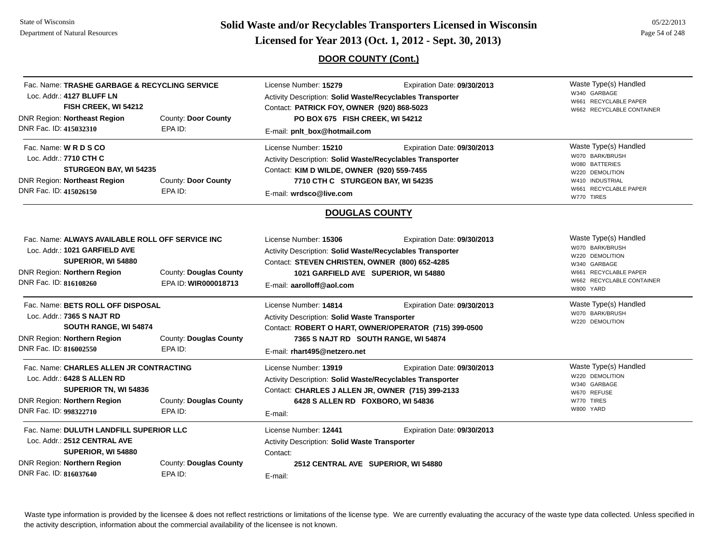**Page 54 of 248 <b>Licensed for Year 2013 (Oct. 1, 2012 - Sept. 30, 2013) Page 54 of 248 Licensed for Year 2013 (Oct. 1, 2012 - Sept. 30, 2013)** 

### **DOOR COUNTY (Cont.)**

| Loc. Addr.: 4127 BLUFF LN<br>FISH CREEK, WI 54212<br><b>DNR Region: Northeast Region</b><br>DNR Fac. ID: 415032310              | Fac. Name: TRASHE GARBAGE & RECYCLING SERVICE<br>County: Door County<br>EPA ID:                       | License Number: 15279<br>Expiration Date: 09/30/2013<br>Activity Description: Solid Waste/Recyclables Transporter<br>Contact: PATRICK FOY, OWNER (920) 868-5023<br>PO BOX 675 FISH CREEK, WI 54212<br>E-mail: pnlt_box@hotmail.com       | Waste Type(s) Handled<br>W340 GARBAGE<br>W661 RECYCLABLE PAPER<br>W662 RECYCLABLE CONTAINER                                                    |
|---------------------------------------------------------------------------------------------------------------------------------|-------------------------------------------------------------------------------------------------------|------------------------------------------------------------------------------------------------------------------------------------------------------------------------------------------------------------------------------------------|------------------------------------------------------------------------------------------------------------------------------------------------|
| Fac. Name: <b>WRDSCO</b><br>Loc. Addr.: 7710 CTH C<br><b>DNR Region: Northeast Region</b><br>DNR Fac. ID: 415026150             | STURGEON BAY, WI 54235<br>County: Door County<br>EPA ID:                                              | License Number: 15210<br>Expiration Date: 09/30/2013<br>Activity Description: Solid Waste/Recyclables Transporter<br>Contact: KIM D WILDE, OWNER (920) 559-7455<br>7710 CTH C STURGEON BAY, WI 54235<br>E-mail: wrdsco@live.com          | Waste Type(s) Handled<br>W070 BARK/BRUSH<br>W080 BATTERIES<br>W220 DEMOLITION<br>W410 INDUSTRIAL<br>W661 RECYCLABLE PAPER<br>W770 TIRES        |
|                                                                                                                                 |                                                                                                       | <b>DOUGLAS COUNTY</b>                                                                                                                                                                                                                    |                                                                                                                                                |
| Loc. Addr.: 1021 GARFIELD AVE<br>SUPERIOR, WI 54880<br>DNR Region: Northern Region<br>DNR Fac. ID: 816108260                    | Fac. Name: ALWAYS AVAILABLE ROLL OFF SERVICE INC<br>County: Douglas County<br>EPA ID: WIR000018713    | License Number: 15306<br>Expiration Date: 09/30/2013<br>Activity Description: Solid Waste/Recyclables Transporter<br>Contact: STEVEN CHRISTEN, OWNER (800) 652-4285<br>1021 GARFIELD AVE SUPERIOR, WI 54880<br>E-mail: aarolloff@aol.com | Waste Type(s) Handled<br>W070 BARK/BRUSH<br>W220 DEMOLITION<br>W340 GARBAGE<br>W661 RECYCLABLE PAPER<br>W662 RECYCLABLE CONTAINER<br>W800 YARD |
| Fac. Name: BETS ROLL OFF DISPOSAL<br>Loc. Addr.: 7365 S NAJT RD<br><b>DNR Region: Northern Region</b><br>DNR Fac. ID: 816002550 | SOUTH RANGE, WI 54874<br>County: Douglas County<br>EPA ID:                                            | License Number: 14814<br>Expiration Date: 09/30/2013<br>Activity Description: Solid Waste Transporter<br>Contact: ROBERT O HART, OWNER/OPERATOR (715) 399-0500<br>7365 S NAJT RD SOUTH RANGE, WI 54874<br>E-mail: rhart495@netzero.net   | Waste Type(s) Handled<br>W070 BARK/BRUSH<br>W220 DEMOLITION                                                                                    |
| Loc. Addr.: 6428 S ALLEN RD<br>DNR Region: Northern Region<br>DNR Fac. ID: 998322710                                            | Fac. Name: CHARLES ALLEN JR CONTRACTING<br>SUPERIOR TN, WI 54836<br>County: Douglas County<br>EPA ID: | License Number: 13919<br>Expiration Date: 09/30/2013<br>Activity Description: Solid Waste/Recyclables Transporter<br>Contact: CHARLES J ALLEN JR, OWNER (715) 399-2133<br>6428 S ALLEN RD FOXBORO, WI 54836<br>E-mail:                   | Waste Type(s) Handled<br>W220 DEMOLITION<br>W340 GARBAGE<br>W670 REFUSE<br>W770 TIRES<br>W800 YARD                                             |
| Loc. Addr.: 2512 CENTRAL AVE<br>SUPERIOR, WI 54880<br><b>DNR Region: Northern Region</b><br>DNR Fac. ID: 816037640              | Fac. Name: DULUTH LANDFILL SUPERIOR LLC<br>County: Douglas County<br>EPA ID:                          | License Number: 12441<br>Expiration Date: 09/30/2013<br>Activity Description: Solid Waste Transporter<br>Contact:<br>2512 CENTRAL AVE SUPERIOR, WI 54880<br>E-mail:                                                                      |                                                                                                                                                |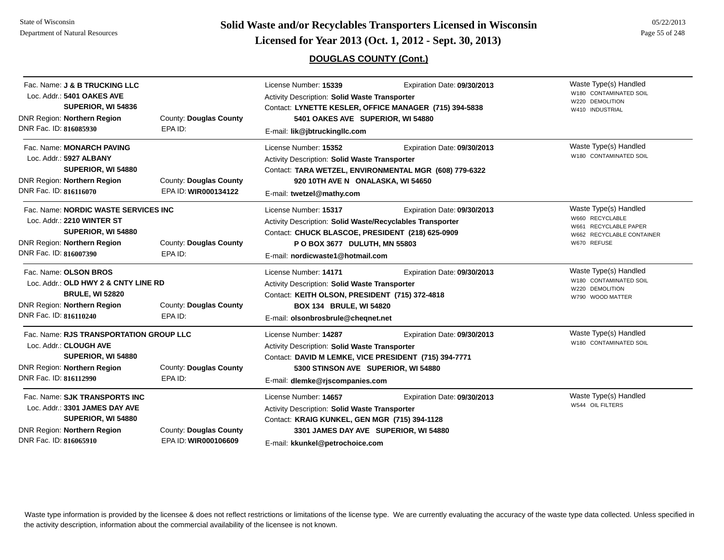**Solid Waste and/or Recyclables Transporters Licensed in Wisconsin<br>Licensed for Year 2013 (Oct. 1, 2012 - Sept. 30, 2013)** 

### **DOUGLAS COUNTY (Cont.)**

|  | 05/22/2013     |
|--|----------------|
|  | Page 55 of 248 |

| Fac. Name: <b>J &amp; B TRUCKING LLC</b><br>Loc. Addr.: 5401 OAKES AVE<br>SUPERIOR, WI 54836<br><b>DNR Region: Northern Region</b><br>DNR Fac. ID: 816085930                | County: Douglas County<br>EPA ID:              | License Number: 15339<br><b>Activity Description: Solid Waste Transporter</b><br>Contact: LYNETTE KESLER, OFFICE MANAGER (715) 394-5838<br>5401 OAKES AVE SUPERIOR, WI 54880<br>E-mail: lik@jbtruckingllc.com                        | Waste Type(s) Handled<br>W180 CONTAMINATED SOIL<br>W220 DEMOLITION<br>W410 INDUSTRIAL |                                                                                                               |
|-----------------------------------------------------------------------------------------------------------------------------------------------------------------------------|------------------------------------------------|--------------------------------------------------------------------------------------------------------------------------------------------------------------------------------------------------------------------------------------|---------------------------------------------------------------------------------------|---------------------------------------------------------------------------------------------------------------|
| Fac. Name: MONARCH PAVING<br>Loc. Addr.: 5927 ALBANY<br>SUPERIOR, WI 54880<br><b>DNR Region: Northern Region</b><br>DNR Fac. ID: 816116070                                  | County: Douglas County<br>EPA ID: WIR000134122 | License Number: 15352<br><b>Activity Description: Solid Waste Transporter</b><br>920 10TH AVE N ONALASKA, WI 54650<br>E-mail: twetzel@mathy.com                                                                                      | Expiration Date: 09/30/2013<br>Contact: TARA WETZEL, ENVIRONMENTAL MGR (608) 779-6322 | Waste Type(s) Handled<br>W180 CONTAMINATED SOIL                                                               |
| Fac. Name: NORDIC WASTE SERVICES INC<br>Loc. Addr.: 2210 WINTER ST<br>SUPERIOR, WI 54880<br>County: Douglas County<br>DNR Region: Northern Region<br>DNR Fac. ID: 816007390 |                                                | License Number: 15317<br>Activity Description: Solid Waste/Recyclables Transporter<br>Contact: CHUCK BLASCOE, PRESIDENT (218) 625-0909<br>P O BOX 3677 DULUTH, MN 55803                                                              | Expiration Date: 09/30/2013                                                           | Waste Type(s) Handled<br>W660 RECYCLABLE<br>W661 RECYCLABLE PAPER<br>W662 RECYCLABLE CONTAINER<br>W670 REFUSE |
| Fac. Name: OLSON BROS<br>Loc. Addr.: OLD HWY 2 & CNTY LINE RD<br><b>BRULE, WI 52820</b><br>DNR Region: Northern Region<br>DNR Fac. ID: 816110240                            | EPA ID:<br>County: Douglas County<br>EPA ID:   | E-mail: nordicwaste1@hotmail.com<br>License Number: 14171<br>Activity Description: Solid Waste Transporter<br>Contact: KEITH OLSON, PRESIDENT (715) 372-4818<br><b>BOX 134 BRULE, WI 54820</b><br>E-mail: olsonbrosbrule@cheqnet.net | Expiration Date: 09/30/2013                                                           | Waste Type(s) Handled<br>W180 CONTAMINATED SOIL<br>W220 DEMOLITION<br>W790 WOOD MATTER                        |
| Fac. Name: RJS TRANSPORTATION GROUP LLC<br>Loc. Addr.: CLOUGH AVE<br>SUPERIOR, WI 54880<br><b>DNR Region: Northern Region</b><br>DNR Fac. ID: 816112990                     | County: Douglas County<br>EPA ID:              | License Number: 14287<br>Activity Description: Solid Waste Transporter<br>Contact: DAVID M LEMKE, VICE PRESIDENT (715) 394-7771<br>5300 STINSON AVE SUPERIOR, WI 54880<br>E-mail: dlemke@rjscompanies.com                            | Expiration Date: 09/30/2013                                                           | Waste Type(s) Handled<br>W180 CONTAMINATED SOIL                                                               |
| Fac. Name: SJK TRANSPORTS INC<br>Loc. Addr.: 3301 JAMES DAY AVE<br>SUPERIOR, WI 54880<br>DNR Region: Northern Region<br>DNR Fac. ID: 816065910                              | County: Douglas County<br>EPA ID: WIR000106609 | License Number: 14657<br>Activity Description: Solid Waste Transporter<br>Contact: KRAIG KUNKEL, GEN MGR (715) 394-1128<br>E-mail: kkunkel@petrochoice.com                                                                           | Expiration Date: 09/30/2013<br>3301 JAMES DAY AVE SUPERIOR, WI 54880                  | Waste Type(s) Handled<br>W544 OIL FILTERS                                                                     |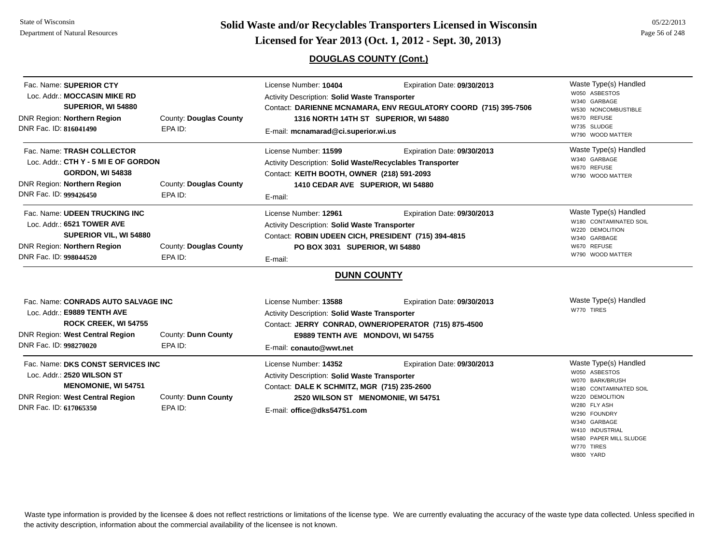State of WisconsinDepartment of Natural Resources

**Page 56 of 248 <b>Licensed for Year 2013 (Oct. 1, 2012 - Sept. 30, 2013) Page 56 of 248 Licensed for Year 2013 (Oct. 1, 2012 - Sept. 30, 2013)** 

### **DOUGLAS COUNTY (Cont.)**

| Fac. Name: SUPERIOR CTY<br>Loc. Addr.: MOCCASIN MIKE RD<br>SUPERIOR, WI 54880<br>DNR Region: Northern Region<br>DNR Fac. ID: 816041490                         | County: Douglas County<br>EPA ID: | License Number: 10404<br><b>Activity Description: Solid Waste Transporter</b><br>Contact: DARIENNE MCNAMARA, ENV REGULATORY COORD (715) 395-7506<br>1316 NORTH 14TH ST SUPERIOR, WI 54880<br>E-mail: mcnamarad@ci.superior.wi.us | Waste Type(s) Handled<br>W050 ASBESTOS<br>W340 GARBAGE<br>W530 NONCOMBUSTIBLE<br>W670 REFUSE<br>W735 SLUDGE<br>W790 WOOD MATTER |                                                                                                                                                                                                                   |
|----------------------------------------------------------------------------------------------------------------------------------------------------------------|-----------------------------------|----------------------------------------------------------------------------------------------------------------------------------------------------------------------------------------------------------------------------------|---------------------------------------------------------------------------------------------------------------------------------|-------------------------------------------------------------------------------------------------------------------------------------------------------------------------------------------------------------------|
| Fac. Name: TRASH COLLECTOR<br>Loc. Addr.: CTH Y - 5 MI E OF GORDON<br><b>GORDON, WI 54838</b><br>DNR Region: Northern Region<br>DNR Fac. ID: 999426450         | County: Douglas County<br>EPA ID: | License Number: 11599<br>Activity Description: Solid Waste/Recyclables Transporter<br>Contact: KEITH BOOTH, OWNER (218) 591-2093<br>1410 CEDAR AVE SUPERIOR, WI 54880<br>E-mail:                                                 | Expiration Date: 09/30/2013                                                                                                     | Waste Type(s) Handled<br>W340 GARBAGE<br>W670 REFUSE<br>W790 WOOD MATTER                                                                                                                                          |
| Fac. Name: UDEEN TRUCKING INC<br>Loc. Addr.: 6521 TOWER AVE<br>SUPERIOR VIL, WI 54880<br>DNR Region: Northern Region<br>DNR Fac. ID: 998044520                 | County: Douglas County<br>EPA ID: | License Number: 12961<br>Activity Description: Solid Waste Transporter<br>Contact: ROBIN UDEEN CICH, PRESIDENT (715) 394-4815<br>PO BOX 3031 SUPERIOR, WI 54880<br>E-mail:                                                       | Expiration Date: 09/30/2013                                                                                                     | Waste Type(s) Handled<br>W180 CONTAMINATED SOIL<br>W220 DEMOLITION<br>W340 GARBAGE<br>W670 REFUSE<br>W790 WOOD MATTER                                                                                             |
|                                                                                                                                                                |                                   | <b>DUNN COUNTY</b>                                                                                                                                                                                                               |                                                                                                                                 |                                                                                                                                                                                                                   |
| Fac. Name: CONRADS AUTO SALVAGE INC<br>Loc. Addr.: E9889 TENTH AVE<br><b>ROCK CREEK, WI 54755</b><br>DNR Region: West Central Region<br>DNR Fac. ID: 998270020 | County: Dunn County<br>EPA ID:    | License Number: 13588<br>Activity Description: Solid Waste Transporter<br>E9889 TENTH AVE MONDOVI, WI 54755<br>E-mail: conauto@wwt.net                                                                                           | Expiration Date: 09/30/2013<br>Contact: JERRY CONRAD, OWNER/OPERATOR (715) 875-4500                                             | Waste Type(s) Handled<br>W770 TIRES                                                                                                                                                                               |
| Fac. Name: DKS CONST SERVICES INC<br>Loc. Addr.: 2520 WILSON ST<br><b>MENOMONIE, WI 54751</b><br>DNR Region: West Central Region<br>DNR Fac. ID: 617065350     | County: Dunn County<br>EPA ID:    | License Number: 14352<br><b>Activity Description: Solid Waste Transporter</b><br>Contact: DALE K SCHMITZ, MGR (715) 235-2600<br>2520 WILSON ST MENOMONIE, WI 54751<br>E-mail: office@dks54751.com                                | Expiration Date: 09/30/2013                                                                                                     | Waste Type(s) Handled<br>W050 ASBESTOS<br>W070 BARK/BRUSH<br>W180 CONTAMINATED SOIL<br>W220 DEMOLITION<br>W280 FLY ASH<br>W290 FOUNDRY<br>W340 GARBAGE<br>W410 INDUSTRIAL<br>W580 PAPER MILL SLUDGE<br>W770 TIRES |

Waste type information is provided by the licensee & does not reflect restrictions or limitations of the license type. We are currently evaluating the accuracy of the waste type data collected. Unless specified in the activity description, information about the commercial availability of the licensee is not known.

W800 YARD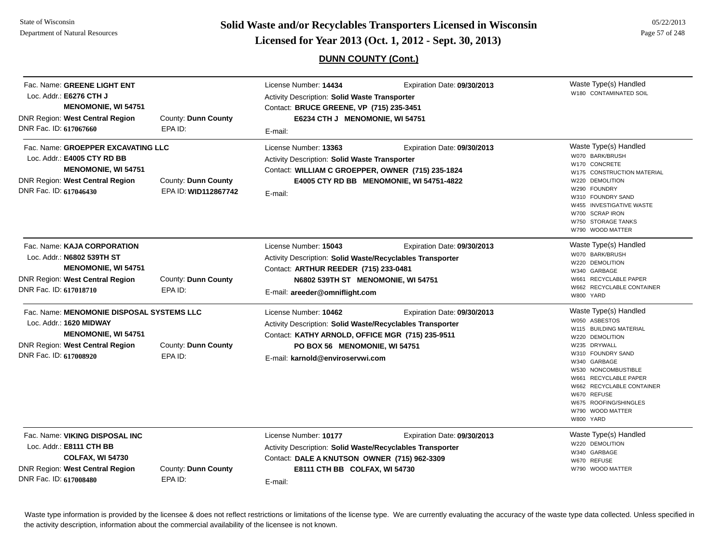**Page 57 of 248 <b>Licensed for Year 2013 (Oct. 1, 2012 - Sept. 30, 2013) Page 57 of 248 Licensed for Year 2013 (Oct. 1, 2012 - Sept. 30, 2013)** 

### **DUNN COUNTY (Cont.)**

| Fac. Name: GREENE LIGHT ENT<br>Loc. Addr.: E6276 CTH J<br><b>MENOMONIE, WI 54751</b><br><b>DNR Region: West Central Region</b><br>DNR Fac. ID: 617067660               | County: Dunn County<br>EPA ID:              | License Number: 14434<br>Activity Description: Solid Waste Transporter<br>Contact: BRUCE GREENE, VP (715) 235-3451<br>E6234 CTH J MENOMONIE, WI 54751<br>E-mail:                                            | Expiration Date: 09/30/2013                                             | Waste Type(s) Handled<br>W180 CONTAMINATED SOIL                                                                                                                                                                                                                                                |
|------------------------------------------------------------------------------------------------------------------------------------------------------------------------|---------------------------------------------|-------------------------------------------------------------------------------------------------------------------------------------------------------------------------------------------------------------|-------------------------------------------------------------------------|------------------------------------------------------------------------------------------------------------------------------------------------------------------------------------------------------------------------------------------------------------------------------------------------|
| Fac. Name: GROEPPER EXCAVATING LLC<br>Loc. Addr.: E4005 CTY RD BB<br><b>MENOMONIE, WI 54751</b><br><b>DNR Region: West Central Region</b><br>DNR Fac. ID: 617046430    | County: Dunn County<br>EPA ID: WID112867742 | License Number: 13363<br>Activity Description: Solid Waste Transporter<br>Contact: WILLIAM C GROEPPER, OWNER (715) 235-1824<br>E-mail:                                                                      | Expiration Date: 09/30/2013<br>E4005 CTY RD BB MENOMONIE, WI 54751-4822 | Waste Type(s) Handled<br>W070 BARK/BRUSH<br>W170 CONCRETE<br>W175 CONSTRUCTION MATERIAL<br>W220 DEMOLITION<br>W290 FOUNDRY<br>W310 FOUNDRY SAND<br>W455 INVESTIGATIVE WASTE<br>W700 SCRAP IRON<br>W750 STORAGE TANKS<br>W790 WOOD MATTER                                                       |
| Fac. Name: KAJA CORPORATION<br>Loc. Addr.: N6802 539TH ST<br><b>MENOMONIE, WI 54751</b><br><b>DNR Region: West Central Region</b><br>DNR Fac. ID: 617018710            | County: Dunn County<br>EPA ID:              | License Number: 15043<br>Activity Description: Solid Waste/Recyclables Transporter<br>Contact: ARTHUR REEDER (715) 233-0481<br>N6802 539TH ST MENOMONIE, WI 54751<br>E-mail: areeder@omniflight.com         | Expiration Date: 09/30/2013                                             | Waste Type(s) Handled<br>W070 BARK/BRUSH<br>W220 DEMOLITION<br>W340 GARBAGE<br>W661 RECYCLABLE PAPER<br>W662 RECYCLABLE CONTAINER<br>W800 YARD                                                                                                                                                 |
| Fac. Name: MENOMONIE DISPOSAL SYSTEMS LLC<br>Loc. Addr.: 1620 MIDWAY<br><b>MENOMONIE, WI 54751</b><br><b>DNR Region: West Central Region</b><br>DNR Fac. ID: 617008920 | County: Dunn County<br>EPA ID:              | License Number: 10462<br>Activity Description: Solid Waste/Recyclables Transporter<br>Contact: KATHY ARNOLD, OFFICE MGR (715) 235-9511<br>PO BOX 56 MENOMONIE, WI 54751<br>E-mail: karnold@enviroservwi.com | Expiration Date: 09/30/2013                                             | Waste Type(s) Handled<br>W050 ASBESTOS<br>W115 BUILDING MATERIAL<br>W220 DEMOLITION<br>W235 DRYWALL<br>W310 FOUNDRY SAND<br>W340 GARBAGE<br>W530 NONCOMBUSTIBLE<br>W661 RECYCLABLE PAPER<br>W662 RECYCLABLE CONTAINER<br>W670 REFUSE<br>W675 ROOFING/SHINGLES<br>W790 WOOD MATTER<br>W800 YARD |
| Fac. Name: VIKING DISPOSAL INC<br>Loc. Addr.: E8111 CTH BB<br><b>COLFAX, WI 54730</b><br>DNR Region: West Central Region<br>DNR Fac. ID: 617008480                     | County: Dunn County<br>EPA ID:              | License Number: 10177<br>Activity Description: Solid Waste/Recyclables Transporter<br>Contact: DALE A KNUTSON OWNER (715) 962-3309<br>E8111 CTH BB COLFAX, WI 54730<br>E-mail:                              | Expiration Date: 09/30/2013                                             | Waste Type(s) Handled<br>W220 DEMOLITION<br>W340 GARBAGE<br>W670 REFUSE<br>W790 WOOD MATTER                                                                                                                                                                                                    |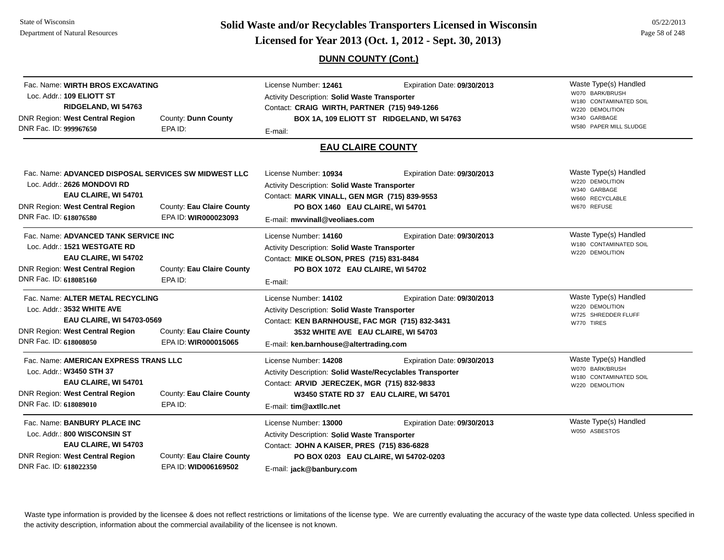**Page 18 of 248 EXECUTE:** Solid Waste and/or Recyclables Transporters Licensed in Wisconsin<br>Licensed for Year 2013 (Oct. 1, 2012 - Sept. 30, 2013)

### **DUNN COUNTY (Cont.)**

| Fac. Name: WIRTH BROS EXCAVATING<br>Loc. Addr.: 109 ELIOTT ST<br>RIDGELAND, WI 54763<br><b>DNR Region: West Central Region</b><br>DNR Fac. ID: 999967650                                                                             | County: Dunn County<br>EPA ID:                    | License Number: 12461<br>Expiration Date: 09/30/2013<br><b>Activity Description: Solid Waste Transporter</b><br>Contact: CRAIG WIRTH, PARTNER (715) 949-1266<br>BOX 1A, 109 ELIOTT ST RIDGELAND, WI 54763<br>E-mail:                 |                             | Waste Type(s) Handled<br>W070 BARK/BRUSH<br>W180 CONTAMINATED SOIL<br>W220 DEMOLITION<br>W340 GARBAGE<br>W580 PAPER MILL SLUDGE |
|--------------------------------------------------------------------------------------------------------------------------------------------------------------------------------------------------------------------------------------|---------------------------------------------------|--------------------------------------------------------------------------------------------------------------------------------------------------------------------------------------------------------------------------------------|-----------------------------|---------------------------------------------------------------------------------------------------------------------------------|
|                                                                                                                                                                                                                                      |                                                   | <b>EAU CLAIRE COUNTY</b>                                                                                                                                                                                                             |                             |                                                                                                                                 |
| Fac. Name: ADVANCED DISPOSAL SERVICES SW MIDWEST LLC<br>Loc. Addr.: 2626 MONDOVI RD<br>EAU CLAIRE, WI 54701<br><b>DNR Region: West Central Region</b><br>County: Eau Claire County<br>DNR Fac. ID: 618076580<br>EPA ID: WIR000023093 |                                                   | License Number: 10934<br>Expiration Date: 09/30/2013<br>Activity Description: Solid Waste Transporter<br>Contact: MARK VINALL, GEN MGR (715) 839-9553<br>PO BOX 1460 EAU CLAIRE, WI 54701<br>E-mail: mwvinall@veoliaes.com           |                             | Waste Type(s) Handled<br>W220 DEMOLITION<br>W340 GARBAGE<br>W660 RECYCLABLE<br>W670 REFUSE                                      |
| Fac. Name: ADVANCED TANK SERVICE INC<br>Loc. Addr.: 1521 WESTGATE RD<br>EAU CLAIRE, WI 54702<br><b>DNR Region: West Central Region</b><br>DNR Fac. ID: 618085160                                                                     | County: Eau Claire County<br>EPA ID:              | License Number: 14160<br><b>Activity Description: Solid Waste Transporter</b><br>Contact: MIKE OLSON, PRES (715) 831-8484<br>PO BOX 1072 EAU CLAIRE, WI 54702<br>E-mail:                                                             | Expiration Date: 09/30/2013 | Waste Type(s) Handled<br>W180 CONTAMINATED SOIL<br>W220 DEMOLITION                                                              |
| Fac. Name: ALTER METAL RECYCLING<br>Loc. Addr.: 3532 WHITE AVE<br><b>EAU CLAIRE, WI 54703-0569</b><br><b>DNR Region: West Central Region</b><br>County: Eau Claire County<br>DNR Fac. ID: 618008050<br>EPA ID: WIR000015065          |                                                   | License Number: 14102<br><b>Activity Description: Solid Waste Transporter</b><br>Contact: KEN BARNHOUSE, FAC MGR (715) 832-3431<br>3532 WHITE AVE EAU CLAIRE, WI 54703<br>E-mail: ken.barnhouse@altertrading.com                     | Expiration Date: 09/30/2013 | Waste Type(s) Handled<br>W220 DEMOLITION<br>W725 SHREDDER FLUFF<br>W770 TIRES                                                   |
| Fac. Name: AMERICAN EXPRESS TRANS LLC<br>Loc. Addr.: W3450 STH 37<br>EAU CLAIRE, WI 54701<br>DNR Region: West Central Region<br>DNR Fac. ID: 618089010                                                                               | County: Eau Claire County<br>EPA ID:              | License Number: 14208<br>Expiration Date: 09/30/2013<br>Activity Description: Solid Waste/Recyclables Transporter<br>Contact: ARVID JERECZEK, MGR (715) 832-9833<br>W3450 STATE RD 37 EAU CLAIRE, WI 54701<br>E-mail: tim@axtllc.net |                             | Waste Type(s) Handled<br>W070 BARK/BRUSH<br>W180 CONTAMINATED SOIL<br>W220 DEMOLITION                                           |
| Fac. Name: BANBURY PLACE INC<br>Loc. Addr.: 800 WISCONSIN ST<br>EAU CLAIRE, WI 54703<br>DNR Region: West Central Region<br>DNR Fac. ID: 618022350                                                                                    | County: Eau Claire County<br>EPA ID: WID006169502 | License Number: 13000<br>Activity Description: Solid Waste Transporter<br>Contact: JOHN A KAISER, PRES (715) 836-6828<br>PO BOX 0203 EAU CLAIRE, WI 54702-0203<br>E-mail: jack@banbury.com                                           | Expiration Date: 09/30/2013 | Waste Type(s) Handled<br>W050 ASBESTOS                                                                                          |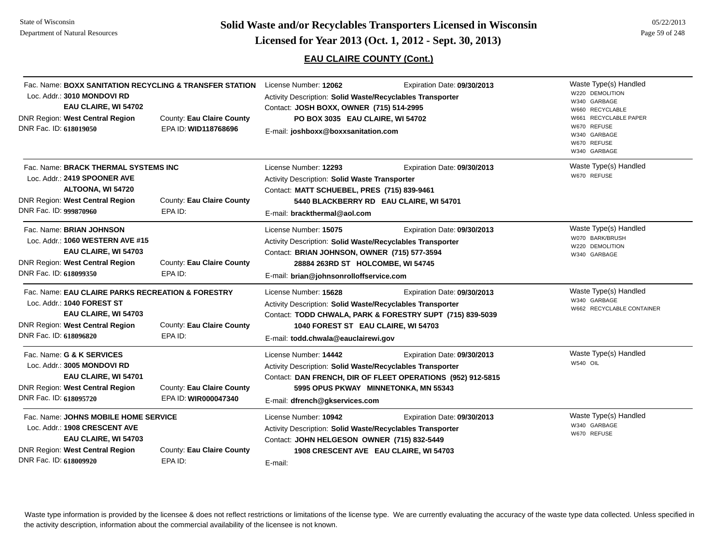**Page 59 of 248 <b>Licensed for Year 2013 (Oct. 1, 2012 - Sept. 30, 2013) Page 59 of 248 Licensed for Year 2013 (Oct. 1, 2012 - Sept. 30, 2013)** 

### **EAU CLAIRE COUNTY (Cont.)**

| DNR Fac. ID: 618019050 | Loc. Addr.: 3010 MONDOVI RD<br>EAU CLAIRE, WI 54702<br><b>DNR Region: West Central Region</b>                                                     | Fac. Name: BOXX SANITATION RECYCLING & TRANSFER STATION<br>County: Eau Claire County<br>EPA ID: WID118768696 | License Number: 12062<br>Activity Description: Solid Waste/Recyclables Transporter<br>Contact: JOSH BOXX, OWNER (715) 514-2995<br>PO BOX 3035 EAU CLAIRE, WI 54702<br>E-mail: joshboxx@boxxsanitation.com          | Expiration Date: 09/30/2013                                                                                                        | Waste Type(s) Handled<br>W220 DEMOLITION<br>W340 GARBAGE<br>W660 RECYCLABLE<br>W661 RECYCLABLE PAPER<br>W670 REFUSE<br>W340 GARBAGE<br>W670 REFUSE<br>W340 GARBAGE |
|------------------------|---------------------------------------------------------------------------------------------------------------------------------------------------|--------------------------------------------------------------------------------------------------------------|--------------------------------------------------------------------------------------------------------------------------------------------------------------------------------------------------------------------|------------------------------------------------------------------------------------------------------------------------------------|--------------------------------------------------------------------------------------------------------------------------------------------------------------------|
| DNR Fac. ID: 999870960 | Fac. Name: BRACK THERMAL SYSTEMS INC<br>Loc. Addr.: 2419 SPOONER AVE<br>ALTOONA, WI 54720<br>DNR Region: West Central Region                      | County: Eau Claire County<br>EPA ID:                                                                         | License Number: 12293<br>Activity Description: Solid Waste Transporter<br>Contact: MATT SCHUEBEL, PRES (715) 839-9461<br>E-mail: brackthermal@aol.com                                                              | Expiration Date: 09/30/2013<br>5440 BLACKBERRY RD EAU CLAIRE, WI 54701                                                             | Waste Type(s) Handled<br>W670 REFUSE                                                                                                                               |
| DNR Fac. ID: 618099350 | Fac. Name: BRIAN JOHNSON<br>Loc. Addr.: 1060 WESTERN AVE #15<br>EAU CLAIRE, WI 54703<br>DNR Region: West Central Region                           | County: Eau Claire County<br>EPA ID:                                                                         | License Number: 15075<br>Activity Description: Solid Waste/Recyclables Transporter<br>Contact: BRIAN JOHNSON, OWNER (715) 577-3594<br>28884 263RD ST HOLCOMBE, WI 54745<br>E-mail: brian@johnsonrolloffservice.com | Expiration Date: 09/30/2013                                                                                                        | Waste Type(s) Handled<br>W070 BARK/BRUSH<br>W220 DEMOLITION<br>W340 GARBAGE                                                                                        |
| DNR Fac. ID: 618096820 | Fac. Name: EAU CLAIRE PARKS RECREATION & FORESTRY<br>Loc. Addr.: 1040 FOREST ST<br>EAU CLAIRE, WI 54703<br><b>DNR Region: West Central Region</b> | County: Eau Claire County<br>EPA ID:                                                                         | License Number: 15628<br>Activity Description: Solid Waste/Recyclables Transporter<br>1040 FOREST ST EAU CLAIRE, WI 54703<br>E-mail: todd.chwala@eauclairewi.gov                                                   | Expiration Date: 09/30/2013<br>Contact: TODD CHWALA, PARK & FORESTRY SUPT (715) 839-5039                                           | Waste Type(s) Handled<br>W340 GARBAGE<br>W662 RECYCLABLE CONTAINER                                                                                                 |
| DNR Fac. ID: 618095720 | Fac. Name: G & K SERVICES<br>Loc. Addr.: 3005 MONDOVI RD<br>EAU CLAIRE, WI 54701<br><b>DNR Region: West Central Region</b>                        | County: Eau Claire County<br>EPA ID: WIR000047340                                                            | License Number: 14442<br>Activity Description: Solid Waste/Recyclables Transporter<br>E-mail: dfrench@gkservices.com                                                                                               | Expiration Date: 09/30/2013<br>Contact: DAN FRENCH, DIR OF FLEET OPERATIONS (952) 912-5815<br>5995 OPUS PKWAY MINNETONKA, MN 55343 | Waste Type(s) Handled<br><b>W540 OIL</b>                                                                                                                           |
| DNR Fac. ID: 618009920 | Fac. Name: JOHNS MOBILE HOME SERVICE<br>Loc. Addr.: 1908 CRESCENT AVE<br>EAU CLAIRE, WI 54703<br><b>DNR Region: West Central Region</b>           | County: Eau Claire County<br>EPA ID:                                                                         | License Number: 10942<br>Activity Description: Solid Waste/Recyclables Transporter<br>Contact: JOHN HELGESON OWNER (715) 832-5449<br>E-mail:                                                                       | Expiration Date: 09/30/2013<br>1908 CRESCENT AVE EAU CLAIRE, WI 54703                                                              | Waste Type(s) Handled<br>W340 GARBAGE<br>W670 REFUSE                                                                                                               |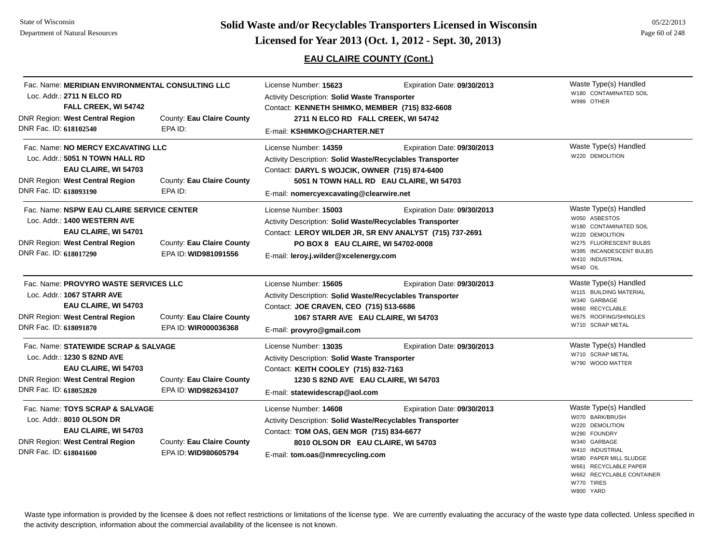# **Page 60 of 248 <b>Licensed for Year 2013 (Oct. 1, 2012 - Sept. 30, 2013) Page 60 of 248 Licensed for Year 2013 (Oct. 1, 2012 - Sept. 30, 2013)**

### **EAU CLAIRE COUNTY (Cont.)**

| Fac. Name: MERIDIAN ENVIRONMENTAL CONSULTING LLC<br>Loc. Addr.: 2711 N ELCO RD                                                                                    |                                                   | License Number: 15623<br>Activity Description: Solid Waste Transporter                                                                                                                                                                                      | Expiration Date: 09/30/2013                                             | Waste Type(s) Handled<br>W180 CONTAMINATED SOIL<br>W999 OTHER                                                                                                                                                             |
|-------------------------------------------------------------------------------------------------------------------------------------------------------------------|---------------------------------------------------|-------------------------------------------------------------------------------------------------------------------------------------------------------------------------------------------------------------------------------------------------------------|-------------------------------------------------------------------------|---------------------------------------------------------------------------------------------------------------------------------------------------------------------------------------------------------------------------|
| FALL CREEK, WI 54742<br><b>DNR Region: West Central Region</b><br>DNR Fac. ID: 618102540                                                                          | County: Eau Claire County<br>EPA ID:              | Contact: KENNETH SHIMKO, MEMBER (715) 832-6608<br>2711 N ELCO RD FALL CREEK, WI 54742<br>E-mail: KSHIMKO@CHARTER.NET                                                                                                                                        |                                                                         |                                                                                                                                                                                                                           |
| Fac. Name: NO MERCY EXCAVATING LLC<br>Loc. Addr.: 5051 N TOWN HALL RD<br>EAU CLAIRE, WI 54703<br><b>DNR Region: West Central Region</b><br>DNR Fac. ID: 618093190 | County: Eau Claire County<br>EPA ID:              | License Number: 14359<br>Activity Description: Solid Waste/Recyclables Transporter<br>Contact: DARYL S WOJCIK, OWNER (715) 874-6400<br>E-mail: nomercyexcavating@clearwire.net                                                                              | Expiration Date: 09/30/2013<br>5051 N TOWN HALL RD EAU CLAIRE, WI 54703 | Waste Type(s) Handled<br>W220 DEMOLITION                                                                                                                                                                                  |
| Fac. Name: NSPW EAU CLAIRE SERVICE CENTER<br>Loc. Addr.: 1400 WESTERN AVE<br>EAU CLAIRE, WI 54701<br>DNR Region: West Central Region<br>DNR Fac. ID: 618017290    | County: Eau Claire County<br>EPA ID: WID981091556 | License Number: 15003<br>Expiration Date: 09/30/2013<br>Activity Description: Solid Waste/Recyclables Transporter<br>Contact: LEROY WILDER JR, SR ENV ANALYST (715) 737-2691<br>PO BOX 8 EAU CLAIRE, WI 54702-0008<br>E-mail: leroy.j.wilder@xcelenergy.com |                                                                         | Waste Type(s) Handled<br>W050 ASBESTOS<br>W180 CONTAMINATED SOIL<br>W220 DEMOLITION<br>W275 FLUORESCENT BULBS<br>W395 INCANDESCENT BULBS<br>W410 INDUSTRIAL<br>W540 OIL                                                   |
| Fac. Name: PROVYRO WASTE SERVICES LLC<br>Loc. Addr.: 1067 STARR AVE<br>EAU CLAIRE, WI 54703<br><b>DNR Region: West Central Region</b><br>DNR Fac. ID: 618091870   | County: Eau Claire County<br>EPA ID: WIR000036368 | License Number: 15605<br>Activity Description: Solid Waste/Recyclables Transporter<br>Contact: JOE CRAVEN, CEO (715) 513-6686<br>1067 STARR AVE EAU CLAIRE, WI 54703<br>E-mail: provyro@gmail.com                                                           | Expiration Date: 09/30/2013                                             | Waste Type(s) Handled<br>W115 BUILDING MATERIAL<br>W340 GARBAGE<br>W660 RECYCLABLE<br>W675 ROOFING/SHINGLES<br>W710 SCRAP METAL                                                                                           |
| Fac. Name: STATEWIDE SCRAP & SALVAGE<br>Loc. Addr.: 1230 S 82ND AVE<br>EAU CLAIRE, WI 54703<br>DNR Region: West Central Region<br>DNR Fac. ID: 618052820          | County: Eau Claire County<br>EPA ID: WID982634107 | License Number: 13035<br>Activity Description: Solid Waste Transporter<br>Contact: KEITH COOLEY (715) 832-7163<br>1230 S 82ND AVE EAU CLAIRE, WI 54703<br>E-mail: statewidescrap@aol.com                                                                    | Expiration Date: 09/30/2013                                             | Waste Type(s) Handled<br>W710 SCRAP METAL<br>W790 WOOD MATTER                                                                                                                                                             |
| Fac. Name: TOYS SCRAP & SALVAGE<br>Loc. Addr.: 8010 OLSON DR<br>EAU CLAIRE, WI 54703<br>DNR Region: West Central Region<br>DNR Fac. ID: 618041600                 | County: Eau Claire County<br>EPA ID: WID980605794 | License Number: 14608<br>Activity Description: Solid Waste/Recyclables Transporter<br>Contact: TOM OAS, GEN MGR (715) 834-6677<br>8010 OLSON DR EAU CLAIRE, WI 54703<br>E-mail: tom.oas@nmrecycling.com                                                     | Expiration Date: 09/30/2013                                             | Waste Type(s) Handled<br>W070 BARK/BRUSH<br>W220 DEMOLITION<br>W290 FOUNDRY<br>W340 GARBAGE<br>W410 INDUSTRIAL<br>W580 PAPER MILL SLUDGE<br>W661 RECYCLABLE PAPER<br>W662 RECYCLABLE CONTAINER<br>W770 TIRES<br>W800 YARD |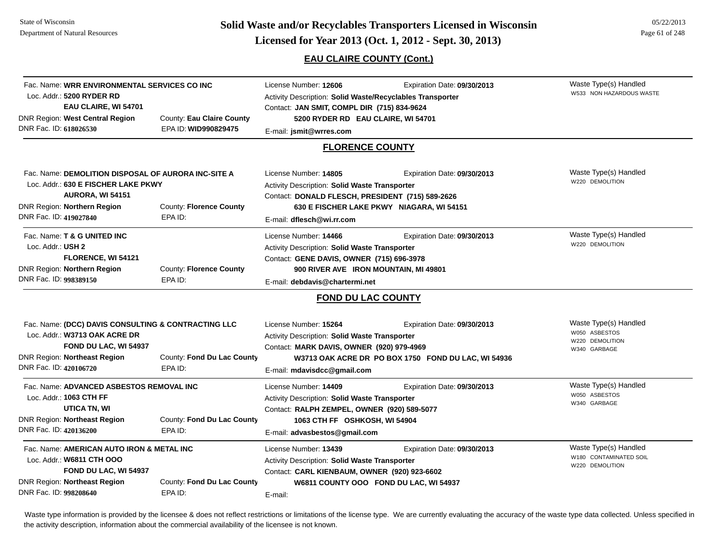**Page 61 of 248 <b>Licensed for Year 2013 (Oct. 1, 2012 - Sept. 30, 2013) Page 61 of 248 Licensed for Year 2013 (Oct. 1, 2012 - Sept. 30, 2013)** 

### **EAU CLAIRE COUNTY (Cont.)**

| Fac. Name: WRR ENVIRONMENTAL SERVICES CO INC<br>Loc. Addr.: 5200 RYDER RD<br>EAU CLAIRE, WI 54701<br>DNR Region: West Central Region<br>County: Eau Claire County                                                                  |                      | License Number: 12606<br>Expiration Date: 09/30/2013<br>Activity Description: Solid Waste/Recyclables Transporter<br>Contact: JAN SMIT, COMPL DIR (715) 834-9624<br>5200 RYDER RD EAU CLAIRE, WI 54701                        |                                                                          | Waste Type(s) Handled<br>W533 NON HAZARDOUS WASTE                         |
|------------------------------------------------------------------------------------------------------------------------------------------------------------------------------------------------------------------------------------|----------------------|-------------------------------------------------------------------------------------------------------------------------------------------------------------------------------------------------------------------------------|--------------------------------------------------------------------------|---------------------------------------------------------------------------|
| DNR Fac. ID: 618026530                                                                                                                                                                                                             | EPA ID: WID990829475 | E-mail: jsmit@wrres.com                                                                                                                                                                                                       |                                                                          |                                                                           |
|                                                                                                                                                                                                                                    |                      | <b>FLORENCE COUNTY</b>                                                                                                                                                                                                        |                                                                          |                                                                           |
| Fac. Name: DEMOLITION DISPOSAL OF AURORA INC-SITE A<br>Loc. Addr.: 630 E FISCHER LAKE PKWY<br>AURORA, WI 54151<br>DNR Region: Northern Region<br><b>County: Florence County</b>                                                    |                      | License Number: 14805<br>Activity Description: Solid Waste Transporter<br>Contact: DONALD FLESCH, PRESIDENT (715) 589-2626                                                                                                    | Expiration Date: 09/30/2013<br>630 E FISCHER LAKE PKWY NIAGARA, WI 54151 | Waste Type(s) Handled<br>W220 DEMOLITION                                  |
| DNR Fac. ID: 419027840                                                                                                                                                                                                             | EPA ID:              | E-mail: dflesch@wi.rr.com                                                                                                                                                                                                     |                                                                          |                                                                           |
| Fac. Name: T & G UNITED INC<br>Loc. Addr.: USH 2<br>FLORENCE, WI 54121<br>DNR Region: Northern Region<br>County: Florence County<br>DNR Fac. ID: 998389150<br>EPA ID:                                                              |                      | License Number: 14466<br>Expiration Date: 09/30/2013<br>Activity Description: Solid Waste Transporter<br>Contact: GENE DAVIS, OWNER (715) 696-3978<br>900 RIVER AVE IRON MOUNTAIN, MI 49801<br>E-mail: debdavis@chartermi.net |                                                                          | Waste Type(s) Handled<br>W220 DEMOLITION                                  |
|                                                                                                                                                                                                                                    |                      | FOND DU LAC COUNTY                                                                                                                                                                                                            |                                                                          |                                                                           |
| Fac. Name: (DCC) DAVIS CONSULTING & CONTRACTING LLC<br>Loc. Addr.: W3713 OAK ACRE DR<br>FOND DU LAC, WI 54937<br>DNR Region: Northeast Region<br>County: Fond Du Lac County                                                        |                      | License Number: 15264<br>Expiration Date: 09/30/2013<br>Activity Description: Solid Waste Transporter<br>Contact: MARK DAVIS, OWNER (920) 979-4969<br>W3713 OAK ACRE DR PO BOX 1750 FOND DU LAC, WI 54936                     |                                                                          | Waste Type(s) Handled<br>W050 ASBESTOS<br>W220 DEMOLITION<br>W340 GARBAGE |
| DNR Fac. ID: 420106720<br>EPA ID:<br>Fac. Name: ADVANCED ASBESTOS REMOVAL INC<br>Loc. Addr.: 1063 CTH FF<br>UTICA TN, WI<br><b>DNR Region: Northeast Region</b><br>County: Fond Du Lac County<br>DNR Fac. ID: 420136200<br>EPA ID: |                      | E-mail: mdavisdcc@gmail.com<br>License Number: 14409<br><b>Activity Description: Solid Waste Transporter</b><br>Contact: RALPH ZEMPEL, OWNER (920) 589-5077<br>1063 CTH FF OSHKOSH, WI 54904<br>E-mail: advasbestos@gmail.com | Expiration Date: 09/30/2013                                              | Waste Type(s) Handled<br>W050 ASBESTOS<br>W340 GARBAGE                    |
| Fac. Name: AMERICAN AUTO IRON & METAL INC<br>Loc. Addr.: W6811 CTH OOO<br>FOND DU LAC, WI 54937<br>DNR Region: Northeast Region<br>County: Fond Du Lac County<br>DNR Fac. ID: 998208640<br>EPA ID:                                 |                      | License Number: 13439<br>Activity Description: Solid Waste Transporter<br>Contact: CARL KIENBAUM, OWNER (920) 923-6602<br>E-mail:                                                                                             | Expiration Date: 09/30/2013<br>W6811 COUNTY OOO FOND DU LAC, WI 54937    | Waste Type(s) Handled<br>W180 CONTAMINATED SOIL<br>W220 DEMOLITION        |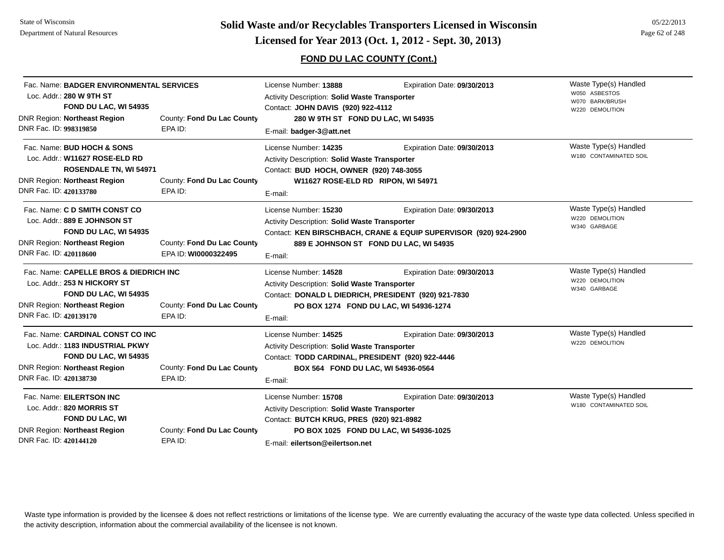# **Page 62 of 248 <b>Licensed for Year 2013 (Oct. 1, 2012 - Sept. 30, 2013) Page 62 of 248 Licensed for Year 2013 (Oct. 1, 2012 - Sept. 30, 2013)**

### **FOND DU LAC COUNTY (Cont.)**

| Fac. Name: BADGER ENVIRONMENTAL SERVICES<br>Loc. Addr.: 280 W 9TH ST<br>FOND DU LAC, WI 54935<br><b>DNR Region: Northeast Region</b><br>DNR Fac. ID: 998319850   | County: Fond Du Lac County<br>EPA ID:              | License Number: 13888<br>Activity Description: Solid Waste Transporter<br>Contact: JOHN DAVIS (920) 922-4112<br>280 W 9TH ST FOND DU LAC, WI 54935<br>E-mail: badger-3@att.net                  | Expiration Date: 09/30/2013                                                                     | Waste Type(s) Handled<br>W050 ASBESTOS<br>W070 BARK/BRUSH<br>W220 DEMOLITION |
|------------------------------------------------------------------------------------------------------------------------------------------------------------------|----------------------------------------------------|-------------------------------------------------------------------------------------------------------------------------------------------------------------------------------------------------|-------------------------------------------------------------------------------------------------|------------------------------------------------------------------------------|
| Fac. Name: BUD HOCH & SONS<br>Loc. Addr.: W11627 ROSE-ELD RD<br>ROSENDALE TN, WI 54971<br>DNR Region: Northeast Region<br>DNR Fac. ID: 420133780                 | County: Fond Du Lac County<br>EPA ID:              | License Number: 14235<br>Activity Description: Solid Waste Transporter<br>Contact: BUD HOCH, OWNER (920) 748-3055<br>W11627 ROSE-ELD RD RIPON, WI 54971<br>E-mail:                              | Expiration Date: 09/30/2013                                                                     | Waste Type(s) Handled<br>W180 CONTAMINATED SOIL                              |
| Fac. Name: C D SMITH CONST CO<br>Loc. Addr.: 889 E JOHNSON ST<br>FOND DU LAC, WI 54935<br>DNR Region: Northeast Region<br>DNR Fac. ID: 420118600                 | County: Fond Du Lac County<br>EPA ID: WI0000322495 | License Number: 15230<br>Activity Description: Solid Waste Transporter<br>889 E JOHNSON ST FOND DU LAC, WI 54935<br>E-mail:                                                                     | Expiration Date: 09/30/2013<br>Contact: KEN BIRSCHBACH, CRANE & EQUIP SUPERVISOR (920) 924-2900 | Waste Type(s) Handled<br>W220 DEMOLITION<br>W340 GARBAGE                     |
| Fac. Name: CAPELLE BROS & DIEDRICH INC<br>Loc. Addr.: 253 N HICKORY ST<br>FOND DU LAC, WI 54935<br><b>DNR Region: Northeast Region</b><br>DNR Fac. ID: 420139170 | County: Fond Du Lac County<br>EPA ID:              | License Number: 14528<br><b>Activity Description: Solid Waste Transporter</b><br>Contact: DONALD L DIEDRICH, PRESIDENT (920) 921-7830<br>PO BOX 1274 FOND DU LAC, WI 54936-1274<br>E-mail:      | Expiration Date: 09/30/2013                                                                     | Waste Type(s) Handled<br>W220 DEMOLITION<br>W340 GARBAGE                     |
| Fac. Name: CARDINAL CONST CO INC<br>Loc. Addr.: 1183 INDUSTRIAL PKWY<br>FOND DU LAC, WI 54935<br><b>DNR Region: Northeast Region</b><br>DNR Fac. ID: 420138730   | County: Fond Du Lac County<br>EPA ID:              | License Number: 14525<br><b>Activity Description: Solid Waste Transporter</b><br>Contact: TODD CARDINAL, PRESIDENT (920) 922-4446<br>BOX 564 FOND DU LAC, WI 54936-0564<br>E-mail:              | Expiration Date: 09/30/2013                                                                     | Waste Type(s) Handled<br>W220 DEMOLITION                                     |
| Fac. Name: EILERTSON INC<br>Loc. Addr.: 820 MORRIS ST<br>FOND DU LAC, WI<br><b>DNR Region: Northeast Region</b><br>DNR Fac. ID: 420144120                        | County: Fond Du Lac County<br>EPA ID:              | License Number: 15708<br>Activity Description: Solid Waste Transporter<br>Contact: BUTCH KRUG, PRES (920) 921-8982<br>PO BOX 1025 FOND DU LAC, WI 54936-1025<br>E-mail: eilertson@eilertson.net | Expiration Date: 09/30/2013                                                                     | Waste Type(s) Handled<br>W180 CONTAMINATED SOIL                              |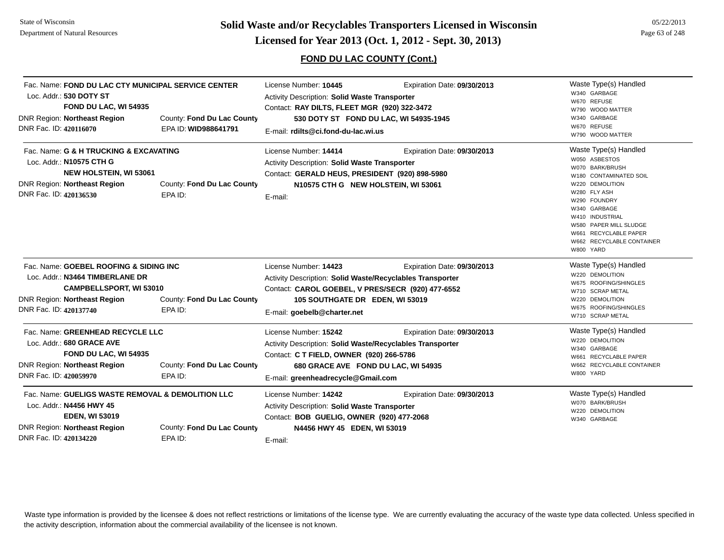**Page 63 of 248 <b>Licensed for Year 2013 (Oct. 1, 2012 - Sept. 30, 2013) Page 63 of 248 Licensed for Year 2013 (Oct. 1, 2012 - Sept. 30, 2013)** 

### **FOND DU LAC COUNTY (Cont.)**

| Fac. Name: FOND DU LAC CTY MUNICIPAL SERVICE CENTER<br>Loc. Addr.: 530 DOTY ST<br>FOND DU LAC, WI 54935<br><b>DNR Region: Northeast Region</b><br>DNR Fac. ID: 420116070                                | County: Fond Du Lac County<br>EPA ID: WID988641791 | License Number: 10445<br>Expiration Date: 09/30/2013<br>Activity Description: Solid Waste Transporter<br>Contact: RAY DILTS, FLEET MGR (920) 322-3472<br>530 DOTY ST FOND DU LAC, WI 54935-1945<br>E-mail: rdilts@ci.fond-du-lac.wi.us   |                             | Waste Type(s) Handled<br>W340 GARBAGE<br>W670 REFUSE<br>W790 WOOD MATTER<br>W340 GARBAGE<br>W670 REFUSE<br>W790 WOOD MATTER                                                                                                                                            |
|---------------------------------------------------------------------------------------------------------------------------------------------------------------------------------------------------------|----------------------------------------------------|------------------------------------------------------------------------------------------------------------------------------------------------------------------------------------------------------------------------------------------|-----------------------------|------------------------------------------------------------------------------------------------------------------------------------------------------------------------------------------------------------------------------------------------------------------------|
| Fac. Name: G & H TRUCKING & EXCAVATING<br>Loc. Addr.: N10575 CTH G<br>NEW HOLSTEIN, WI 53061<br><b>DNR Region: Northeast Region</b><br>DNR Fac. ID: 420136530                                           | County: Fond Du Lac County<br>EPA ID:              | License Number: 14414<br><b>Activity Description: Solid Waste Transporter</b><br>Contact: GERALD HEUS, PRESIDENT (920) 898-5980<br>N10575 CTH G NEW HOLSTEIN, WI 53061<br>E-mail:                                                        | Expiration Date: 09/30/2013 | Waste Type(s) Handled<br>W050 ASBESTOS<br>W070 BARK/BRUSH<br>W180 CONTAMINATED SOIL<br>W220 DEMOLITION<br>W280 FLY ASH<br>W290 FOUNDRY<br>W340 GARBAGE<br>W410 INDUSTRIAL<br>W580 PAPER MILL SLUDGE<br>W661 RECYCLABLE PAPER<br>W662 RECYCLABLE CONTAINER<br>W800 YARD |
| Fac. Name: GOEBEL ROOFING & SIDING INC<br>Loc. Addr.: N3464 TIMBERLANE DR<br>CAMPBELLSPORT, WI 53010<br>DNR Region: Northeast Region<br>County: Fond Du Lac County<br>DNR Fac. ID: 420137740<br>EPA ID: |                                                    | License Number: 14423<br>Expiration Date: 09/30/2013<br>Activity Description: Solid Waste/Recyclables Transporter<br>Contact: CAROL GOEBEL, V PRES/SECR (920) 477-6552<br>105 SOUTHGATE DR EDEN, WI 53019<br>E-mail: goebelb@charter.net |                             | Waste Type(s) Handled<br>W220 DEMOLITION<br>W675 ROOFING/SHINGLES<br>W710 SCRAP METAL<br>W220 DEMOLITION<br>W675 ROOFING/SHINGLES<br>W710 SCRAP METAL                                                                                                                  |
| Fac. Name: GREENHEAD RECYCLE LLC<br>Loc. Addr.: 680 GRACE AVE<br>FOND DU LAC, WI 54935<br><b>DNR Region: Northeast Region</b><br>DNR Fac. ID: 420059970                                                 | County: Fond Du Lac County<br>EPA ID:              | License Number: 15242<br>Activity Description: Solid Waste/Recyclables Transporter<br>Contact: C T FIELD, OWNER (920) 266-5786<br>680 GRACE AVE FOND DU LAC, WI 54935<br>E-mail: greenheadrecycle@Gmail.com                              | Expiration Date: 09/30/2013 | Waste Type(s) Handled<br>W220 DEMOLITION<br>W340 GARBAGE<br>W661 RECYCLABLE PAPER<br>W662 RECYCLABLE CONTAINER<br>W800 YARD                                                                                                                                            |
| Fac. Name: GUELIGS WASTE REMOVAL & DEMOLITION LLC<br>Loc. Addr.: N4456 HWY 45<br><b>EDEN, WI 53019</b><br><b>DNR Region: Northeast Region</b><br>DNR Fac. ID: 420134220                                 | County: Fond Du Lac County<br>EPA ID:              | License Number: 14242<br>Activity Description: Solid Waste Transporter<br>Contact: BOB GUELIG, OWNER (920) 477-2068<br>N4456 HWY 45 EDEN, WI 53019<br>E-mail:                                                                            | Expiration Date: 09/30/2013 | Waste Type(s) Handled<br>W070 BARK/BRUSH<br>W220 DEMOLITION<br>W340 GARBAGE                                                                                                                                                                                            |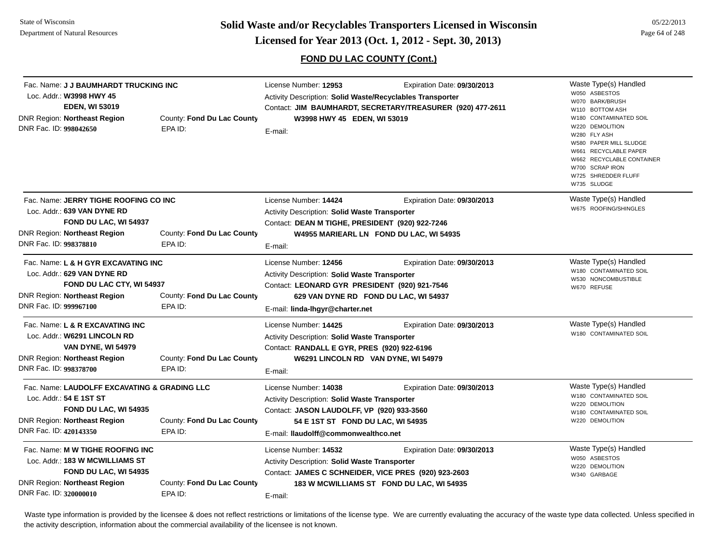### **FOND DU LAC COUNTY (Cont.)**

| Fac. Name: J J BAUMHARDT TRUCKING INC<br>Loc. Addr.: W3998 HWY 45<br><b>EDEN, WI 53019</b><br><b>DNR Region: Northeast Region</b><br>DNR Fac. ID: 998042650       | County: Fond Du Lac County<br>EPA ID: | License Number: 12953<br>Activity Description: Solid Waste/Recyclables Transporter<br>Contact: JIM BAUMHARDT, SECRETARY/TREASURER (920) 477-2611<br>W3998 HWY 45 EDEN, WI 53019<br>E-mail:               | Expiration Date: 09/30/2013 | Waste Type(s) Handled<br>W050 ASBESTOS<br>W070 BARK/BRUSH<br>W110 BOTTOM ASH<br>W180 CONTAMINATED SOIL<br>W220 DEMOLITION<br>W280 FLY ASH<br>W580 PAPER MILL SLUDGE<br>W661 RECYCLABLE PAPER<br>W662 RECYCLABLE CONTAINER<br>W700 SCRAP IRON<br>W725 SHREDDER FLUFF<br>W735 SLUDGE |
|-------------------------------------------------------------------------------------------------------------------------------------------------------------------|---------------------------------------|----------------------------------------------------------------------------------------------------------------------------------------------------------------------------------------------------------|-----------------------------|------------------------------------------------------------------------------------------------------------------------------------------------------------------------------------------------------------------------------------------------------------------------------------|
| Fac. Name: JERRY TIGHE ROOFING CO INC<br>Loc. Addr.: 639 VAN DYNE RD<br>FOND DU LAC, WI 54937<br><b>DNR Region: Northeast Region</b><br>DNR Fac. ID: 998378810    | County: Fond Du Lac County<br>EPA ID: | License Number: 14424<br>Activity Description: Solid Waste Transporter<br>Contact: DEAN M TIGHE, PRESIDENT (920) 922-7246<br>W4955 MARIEARL LN FOND DU LAC, WI 54935<br>E-mail:                          | Expiration Date: 09/30/2013 | Waste Type(s) Handled<br>W675 ROOFING/SHINGLES                                                                                                                                                                                                                                     |
| Fac. Name: L & H GYR EXCAVATING INC<br>Loc. Addr.: 629 VAN DYNE RD<br>FOND DU LAC CTY, WI 54937<br><b>DNR Region: Northeast Region</b><br>DNR Fac. ID: 999967100  | County: Fond Du Lac County<br>EPA ID: | License Number: 12456<br>Activity Description: Solid Waste Transporter<br>Contact: LEONARD GYR PRESIDENT (920) 921-7546<br>629 VAN DYNE RD FOND DU LAC, WI 54937<br>E-mail: linda-lhgyr@charter.net      | Expiration Date: 09/30/2013 | Waste Type(s) Handled<br>W180 CONTAMINATED SOIL<br>W530 NONCOMBUSTIBLE<br>W670 REFUSE                                                                                                                                                                                              |
| Fac. Name: L & R EXCAVATING INC<br>Loc. Addr.: W6291 LINCOLN RD<br><b>VAN DYNE, WI 54979</b><br><b>DNR Region: Northeast Region</b><br>DNR Fac. ID: 998378700     | County: Fond Du Lac County<br>EPA ID: | License Number: 14425<br>Activity Description: Solid Waste Transporter<br>Contact: RANDALL E GYR, PRES (920) 922-6196<br>W6291 LINCOLN RD VAN DYNE, WI 54979<br>E-mail:                                  | Expiration Date: 09/30/2013 | Waste Type(s) Handled<br>W180 CONTAMINATED SOIL                                                                                                                                                                                                                                    |
| Fac. Name: LAUDOLFF EXCAVATING & GRADING LLC<br>Loc. Addr.: 54 E 1ST ST<br>FOND DU LAC, WI 54935<br><b>DNR Region: Northeast Region</b><br>DNR Fac. ID: 420143350 | County: Fond Du Lac County<br>EPA ID: | License Number: 14038<br><b>Activity Description: Solid Waste Transporter</b><br>Contact: JASON LAUDOLFF, VP (920) 933-3560<br>54 E 1ST ST FOND DU LAC, WI 54935<br>E-mail: Ilaudolff@commonwealthco.net | Expiration Date: 09/30/2013 | Waste Type(s) Handled<br>W180 CONTAMINATED SOIL<br>W220 DEMOLITION<br>W180 CONTAMINATED SOIL<br>W220 DEMOLITION                                                                                                                                                                    |
| Fac. Name: M W TIGHE ROOFING INC<br>Loc. Addr.: 183 W MCWILLIAMS ST<br>FOND DU LAC, WI 54935<br><b>DNR Region: Northeast Region</b><br>DNR Fac. ID: 320000010     | County: Fond Du Lac County<br>EPA ID: | License Number: 14532<br>Activity Description: Solid Waste Transporter<br>Contact: JAMES C SCHNEIDER, VICE PRES (920) 923-2603<br>183 W MCWILLIAMS ST FOND DU LAC, WI 54935<br>E-mail:                   | Expiration Date: 09/30/2013 | Waste Type(s) Handled<br>W050 ASBESTOS<br>W220 DEMOLITION<br>W340 GARBAGE                                                                                                                                                                                                          |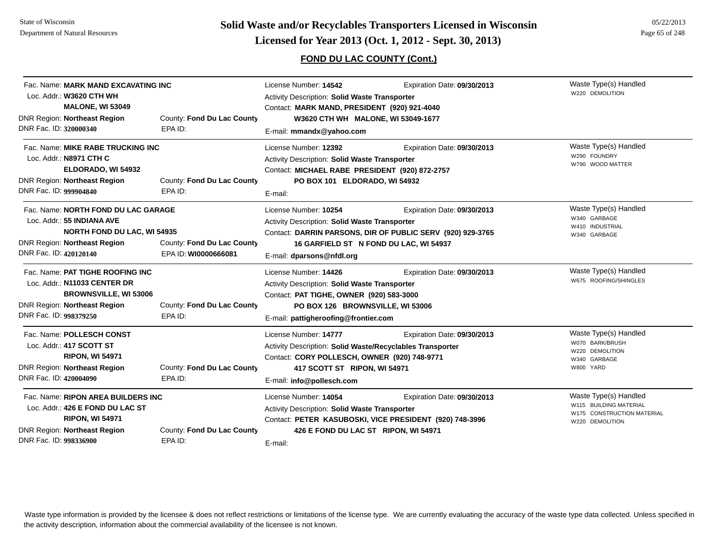# **Page 65 of 248 <b>Licensed for Year 2013 (Oct. 1, 2012 - Sept. 30, 2013) Page 65 of 248 Licensed for Year 2013 (Oct. 1, 2012 - Sept. 30, 2013)**

### **FOND DU LAC COUNTY (Cont.)**

| Fac. Name: MARK MAND EXCAVATING INC<br>Loc. Addr.: W3620 CTH WH                                                                                                   |                                                    | License Number: 14542                                                                                                                                                                                 | Expiration Date: 09/30/2013                                                                                                         | Waste Type(s) Handled<br>W220 DEMOLITION                                                         |
|-------------------------------------------------------------------------------------------------------------------------------------------------------------------|----------------------------------------------------|-------------------------------------------------------------------------------------------------------------------------------------------------------------------------------------------------------|-------------------------------------------------------------------------------------------------------------------------------------|--------------------------------------------------------------------------------------------------|
| <b>MALONE, WI 53049</b><br><b>DNR Region: Northeast Region</b><br>DNR Fac. ID: 320000340                                                                          | County: Fond Du Lac County<br>EPA ID:              | Activity Description: Solid Waste Transporter<br>Contact: MARK MAND, PRESIDENT (920) 921-4040<br>W3620 CTH WH MALONE, WI 53049-1677<br>E-mail: mmandx@yahoo.com                                       |                                                                                                                                     |                                                                                                  |
| Fac. Name: MIKE RABE TRUCKING INC<br>Loc. Addr.: N8971 CTH C<br>ELDORADO, WI 54932<br><b>DNR Region: Northeast Region</b><br>DNR Fac. ID: 999904840               | County: Fond Du Lac County<br>EPA ID:              | License Number: 12392<br><b>Activity Description: Solid Waste Transporter</b><br>Contact: MICHAEL RABE PRESIDENT (920) 872-2757<br>PO BOX 101 ELDORADO, WI 54932<br>E-mail:                           | Expiration Date: 09/30/2013                                                                                                         | Waste Type(s) Handled<br>W290 FOUNDRY<br>W790 WOOD MATTER                                        |
| Fac. Name: NORTH FOND DU LAC GARAGE<br>Loc. Addr.: 55 INDIANA AVE<br><b>NORTH FOND DU LAC, WI 54935</b><br>DNR Region: Northeast Region<br>DNR Fac. ID: 420120140 | County: Fond Du Lac County<br>EPA ID: WI0000666081 | License Number: 10254<br>Activity Description: Solid Waste Transporter<br>E-mail: dparsons@nfdl.org                                                                                                   | Expiration Date: 09/30/2013<br>Contact: DARRIN PARSONS, DIR OF PUBLIC SERV (920) 929-3765<br>16 GARFIELD ST N FOND DU LAC, WI 54937 | Waste Type(s) Handled<br>W340 GARBAGE<br>W410 INDUSTRIAL<br>W340 GARBAGE                         |
| Fac. Name: PAT TIGHE ROOFING INC<br>Loc. Addr.: N11033 CENTER DR<br><b>BROWNSVILLE, WI 53006</b><br><b>DNR Region: Northeast Region</b><br>DNR Fac. ID: 998379250 | County: Fond Du Lac County<br>EPA ID:              | License Number: 14426<br><b>Activity Description: Solid Waste Transporter</b><br>Contact: PAT TIGHE, OWNER (920) 583-3000<br>PO BOX 126 BROWNSVILLE, WI 53006<br>E-mail: pattigheroofing@frontier.com | Expiration Date: 09/30/2013                                                                                                         | Waste Type(s) Handled<br>W675 ROOFING/SHINGLES                                                   |
| Fac. Name: POLLESCH CONST<br>Loc. Addr.: 417 SCOTT ST<br><b>RIPON, WI 54971</b><br><b>DNR Region: Northeast Region</b><br>DNR Fac. ID: 420004090                  | County: Fond Du Lac County<br>EPA ID:              | License Number: 14777<br>Activity Description: Solid Waste/Recyclables Transporter<br>Contact: CORY POLLESCH, OWNER (920) 748-9771<br>417 SCOTT ST RIPON, WI 54971<br>E-mail: info@pollesch.com       | Expiration Date: 09/30/2013                                                                                                         | Waste Type(s) Handled<br>W070 BARK/BRUSH<br>W220 DEMOLITION<br>W340 GARBAGE<br>W800 YARD         |
| Fac. Name: RIPON AREA BUILDERS INC<br>Loc. Addr.: 426 E FOND DU LAC ST<br><b>RIPON, WI 54971</b><br><b>DNR Region: Northeast Region</b><br>DNR Fac. ID: 998336900 | County: Fond Du Lac County<br>EPA ID:              | License Number: 14054<br>Activity Description: Solid Waste Transporter<br>426 E FOND DU LAC ST RIPON, WI 54971<br>E-mail:                                                                             | Expiration Date: 09/30/2013<br>Contact: PETER KASUBOSKI, VICE PRESIDENT (920) 748-3996                                              | Waste Type(s) Handled<br>W115 BUILDING MATERIAL<br>W175 CONSTRUCTION MATERIAL<br>W220 DEMOLITION |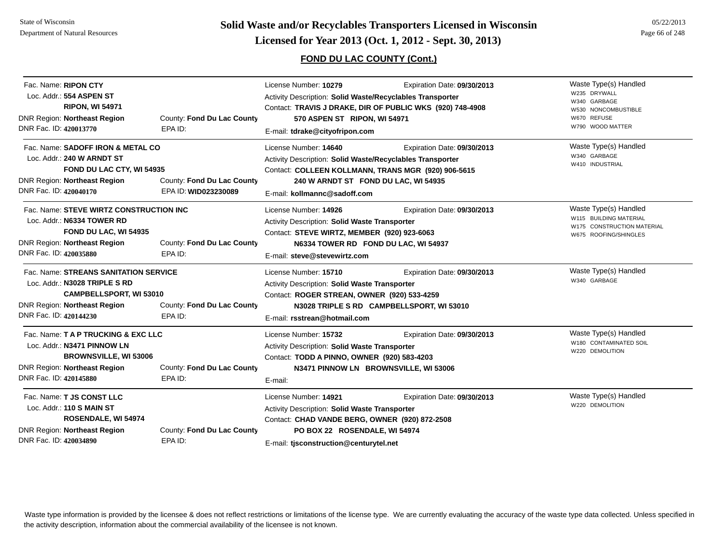**Page 66 of 248 <b>Licensed for Year 2013 (Oct. 1, 2012 - Sept. 30, 2013) Page 66 of 248 Licensed for Year 2013 (Oct. 1, 2012 - Sept. 30, 2013)** 

### **FOND DU LAC COUNTY (Cont.)**

| Fac. Name: RIPON CTY                    |                            | License Number: 10279                                            | Expiration Date: 09/30/2013                               | Waste Type(s) Handled                               |
|-----------------------------------------|----------------------------|------------------------------------------------------------------|-----------------------------------------------------------|-----------------------------------------------------|
| Loc. Addr.: 554 ASPEN ST                |                            | <b>Activity Description: Solid Waste/Recyclables Transporter</b> |                                                           | W235 DRYWALL<br>W340 GARBAGE                        |
| <b>RIPON, WI 54971</b>                  |                            |                                                                  | Contact: TRAVIS J DRAKE, DIR OF PUBLIC WKS (920) 748-4908 | W530 NONCOMBUSTIBLE                                 |
| <b>DNR Region: Northeast Region</b>     | County: Fond Du Lac County | 570 ASPEN ST RIPON, WI 54971                                     |                                                           | W670 REFUSE                                         |
| DNR Fac. ID: 420013770                  | EPA ID:                    |                                                                  | E-mail: tdrake@cityofripon.com                            | W790 WOOD MATTER                                    |
| Fac. Name: SADOFF IRON & METAL CO       |                            | License Number: 14640                                            | Expiration Date: 09/30/2013                               | Waste Type(s) Handled                               |
| Loc. Addr.: 240 W ARNDT ST              |                            | <b>Activity Description: Solid Waste/Recyclables Transporter</b> |                                                           | W340 GARBAGE                                        |
| FOND DU LAC CTY, WI 54935               |                            |                                                                  | Contact: COLLEEN KOLLMANN, TRANS MGR (920) 906-5615       | W410 INDUSTRIAL                                     |
| <b>DNR Region: Northeast Region</b>     | County: Fond Du Lac County | 240 W ARNDT ST FOND DU LAC, WI 54935                             |                                                           |                                                     |
| DNR Fac. ID: 420040170                  | EPA ID: WID023230089       | E-mail: kollmannc@sadoff.com                                     |                                                           |                                                     |
| Fac. Name: STEVE WIRTZ CONSTRUCTION INC |                            | License Number: 14926                                            | Expiration Date: 09/30/2013                               | Waste Type(s) Handled                               |
| Loc. Addr.: N6334 TOWER RD              |                            | Activity Description: Solid Waste Transporter                    |                                                           | W115 BUILDING MATERIAL                              |
| FOND DU LAC, WI 54935                   |                            | Contact: STEVE WIRTZ, MEMBER (920) 923-6063                      |                                                           | W175 CONSTRUCTION MATERIAL<br>W675 ROOFING/SHINGLES |
| <b>DNR Region: Northeast Region</b>     | County: Fond Du Lac County |                                                                  | N6334 TOWER RD FOND DU LAC, WI 54937                      |                                                     |
| DNR Fac. ID: 420035880                  | EPA ID:                    | E-mail: steve@stevewirtz.com                                     |                                                           |                                                     |
| Fac. Name: STREANS SANITATION SERVICE   |                            | License Number: 15710                                            | Expiration Date: 09/30/2013                               | Waste Type(s) Handled                               |
| Loc. Addr.: N3028 TRIPLE S RD           |                            | Activity Description: Solid Waste Transporter                    |                                                           | W340 GARBAGE                                        |
| <b>CAMPBELLSPORT, WI 53010</b>          |                            | Contact: ROGER STREAN, OWNER (920) 533-4259                      |                                                           |                                                     |
| <b>DNR Region: Northeast Region</b>     | County: Fond Du Lac County |                                                                  | N3028 TRIPLE S RD CAMPBELLSPORT, WI 53010                 |                                                     |
| DNR Fac. ID: 420144230                  | EPA ID:                    | E-mail: rsstrean@hotmail.com                                     |                                                           |                                                     |
| Fac. Name: T A P TRUCKING & EXC LLC     |                            | License Number: 15732                                            | Expiration Date: 09/30/2013                               | Waste Type(s) Handled                               |
| Loc. Addr.: N3471 PINNOW LN             |                            | <b>Activity Description: Solid Waste Transporter</b>             |                                                           | W180 CONTAMINATED SOIL                              |
| <b>BROWNSVILLE, WI 53006</b>            |                            | Contact: TODD A PINNO, OWNER (920) 583-4203                      |                                                           | W220 DEMOLITION                                     |
| <b>DNR Region: Northeast Region</b>     | County: Fond Du Lac County |                                                                  | N3471 PINNOW LN BROWNSVILLE, WI 53006                     |                                                     |
| DNR Fac. ID: 420145880                  | EPA ID:                    | E-mail:                                                          |                                                           |                                                     |
| Fac. Name: T JS CONST LLC               |                            | License Number: 14921                                            | Expiration Date: 09/30/2013                               | Waste Type(s) Handled                               |
| Loc. Addr.: 110 S MAIN ST               |                            | <b>Activity Description: Solid Waste Transporter</b>             |                                                           | W220 DEMOLITION                                     |
| ROSENDALE, WI 54974                     |                            | Contact: CHAD VANDE BERG, OWNER (920) 872-2508                   |                                                           |                                                     |
| <b>DNR Region: Northeast Region</b>     | County: Fond Du Lac County | PO BOX 22 ROSENDALE, WI 54974                                    |                                                           |                                                     |
| DNR Fac. ID: 420034890                  | EPA ID:                    | E-mail: tisconstruction@centurytel.net                           |                                                           |                                                     |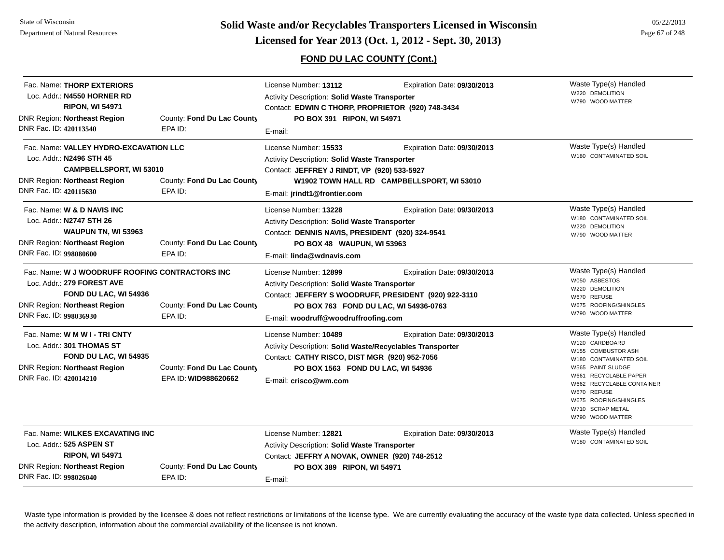### **FOND DU LAC COUNTY (Cont.)**

| DNR Fac. ID: 420113540 | Fac. Name: THORP EXTERIORS<br>Loc. Addr.: N4550 HORNER RD<br><b>RIPON, WI 54971</b><br>DNR Region: Northeast Region                           | County: Fond Du Lac County<br>EPA ID:              | License Number: 13112<br>Activity Description: Solid Waste Transporter<br>Contact: EDWIN C THORP, PROPRIETOR (920) 748-3434<br>PO BOX 391 RIPON, WI 54971<br>E-mail:                                             | Expiration Date: 09/30/2013                                               | Waste Type(s) Handled<br>W220 DEMOLITION<br>W790 WOOD MATTER                                                                                                                                                                                       |
|------------------------|-----------------------------------------------------------------------------------------------------------------------------------------------|----------------------------------------------------|------------------------------------------------------------------------------------------------------------------------------------------------------------------------------------------------------------------|---------------------------------------------------------------------------|----------------------------------------------------------------------------------------------------------------------------------------------------------------------------------------------------------------------------------------------------|
| DNR Fac. ID: 420115630 | Fac. Name: VALLEY HYDRO-EXCAVATION LLC<br>Loc. Addr.: N2496 STH 45<br><b>CAMPBELLSPORT, WI 53010</b><br><b>DNR Region: Northeast Region</b>   | County: Fond Du Lac County<br>EPA ID:              | License Number: 15533<br>Activity Description: Solid Waste Transporter<br>Contact: JEFFREY J RINDT, VP (920) 533-5927<br>E-mail: jrindt1@frontier.com                                                            | Expiration Date: 09/30/2013<br>W1902 TOWN HALL RD CAMPBELLSPORT, WI 53010 | Waste Type(s) Handled<br>W180 CONTAMINATED SOIL                                                                                                                                                                                                    |
| DNR Fac. ID: 998080600 | Fac. Name: W & D NAVIS INC<br>Loc. Addr.: N2747 STH 26<br>WAUPUN TN, WI 53963<br><b>DNR Region: Northeast Region</b>                          | County: Fond Du Lac County<br>EPA ID:              | License Number: 13228<br>Activity Description: Solid Waste Transporter<br>Contact: DENNIS NAVIS, PRESIDENT (920) 324-9541<br>PO BOX 48 WAUPUN, WI 53963<br>E-mail: linda@wdnavis.com                             | Expiration Date: 09/30/2013                                               | Waste Type(s) Handled<br>W180 CONTAMINATED SOIL<br>W220 DEMOLITION<br>W790 WOOD MATTER                                                                                                                                                             |
| DNR Fac. ID: 998036930 | Fac. Name: W J WOODRUFF ROOFING CONTRACTORS INC<br>Loc. Addr.: 279 FOREST AVE<br>FOND DU LAC, WI 54936<br><b>DNR Region: Northeast Region</b> | County: Fond Du Lac County<br>EPA ID:              | License Number: 12899<br>Activity Description: Solid Waste Transporter<br>Contact: JEFFERY S WOODRUFF, PRESIDENT (920) 922-3110<br>PO BOX 763 FOND DU LAC, WI 54936-0763<br>E-mail: woodruff@woodruffroofing.com | Expiration Date: 09/30/2013                                               | Waste Type(s) Handled<br>W050 ASBESTOS<br>W220 DEMOLITION<br>W670 REFUSE<br>W675 ROOFING/SHINGLES<br>W790 WOOD MATTER                                                                                                                              |
| DNR Fac. ID: 420014210 | Fac. Name: W M W I - TRI CNTY<br>Loc. Addr.: 301 THOMAS ST<br>FOND DU LAC, WI 54935<br><b>DNR Region: Northeast Region</b>                    | County: Fond Du Lac County<br>EPA ID: WID988620662 | License Number: 10489<br>Activity Description: Solid Waste/Recyclables Transporter<br>Contact: CATHY RISCO, DIST MGR (920) 952-7056<br>PO BOX 1563 FOND DU LAC, WI 54936<br>E-mail: crisco@wm.com                | Expiration Date: 09/30/2013                                               | Waste Type(s) Handled<br>W120 CARDBOARD<br>W155 COMBUSTOR ASH<br>W180 CONTAMINATED SOIL<br>W565 PAINT SLUDGE<br>W661 RECYCLABLE PAPER<br>W662 RECYCLABLE CONTAINER<br>W670 REFUSE<br>W675 ROOFING/SHINGLES<br>W710 SCRAP METAL<br>W790 WOOD MATTER |
| DNR Fac. ID: 998026040 | Fac. Name: WILKES EXCAVATING INC<br>Loc. Addr.: 525 ASPEN ST<br><b>RIPON, WI 54971</b><br>DNR Region: Northeast Region                        | County: Fond Du Lac County<br>EPA ID:              | License Number: 12821<br>Activity Description: Solid Waste Transporter<br>Contact: JEFFRY A NOVAK, OWNER (920) 748-2512<br>PO BOX 389 RIPON, WI 54971<br>E-mail:                                                 | Expiration Date: 09/30/2013                                               | Waste Type(s) Handled<br>W180 CONTAMINATED SOIL                                                                                                                                                                                                    |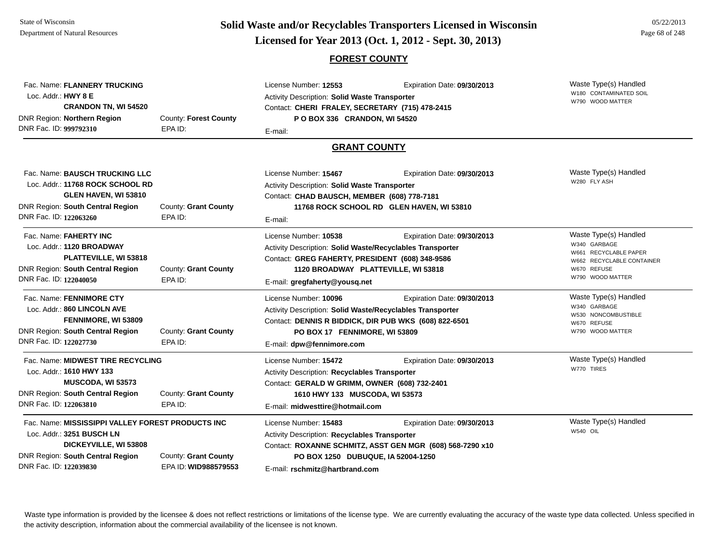# **Page 68 of 248 <b>Licensed for Year 2013 (Oct. 1, 2012 - Sept. 30, 2013) Page 68 of 248 Licensed for Year 2013 (Oct. 1, 2012 - Sept. 30, 2013)**

#### **FOREST COUNTY**

| Fac. Name: FLANNERY TRUCKING<br>Loc. Addr.: HWY 8 E<br><b>CRANDON TN, WI 54520</b><br>DNR Region: Northern Region<br>County: Forest County<br>DNR Fac. ID: 999792310<br>EPA ID: |                                              | License Number: 12553<br>Expiration Date: 09/30/2013<br><b>Activity Description: Solid Waste Transporter</b><br>Contact: CHERI FRALEY, SECRETARY (715) 478-2415<br>PO BOX 336 CRANDON, WI 54520<br>E-mail:                  |                                                                                          | Waste Type(s) Handled<br>W180 CONTAMINATED SOIL<br>W790 WOOD MATTER                                                            |
|---------------------------------------------------------------------------------------------------------------------------------------------------------------------------------|----------------------------------------------|-----------------------------------------------------------------------------------------------------------------------------------------------------------------------------------------------------------------------------|------------------------------------------------------------------------------------------|--------------------------------------------------------------------------------------------------------------------------------|
|                                                                                                                                                                                 |                                              | <b>GRANT COUNTY</b>                                                                                                                                                                                                         |                                                                                          |                                                                                                                                |
| Fac. Name: BAUSCH TRUCKING LLC<br>Loc. Addr.: 11768 ROCK SCHOOL RD<br>GLEN HAVEN, WI 53810<br>DNR Region: South Central Region<br>DNR Fac. ID: 122063260                        | County: Grant County<br>EPA ID:              | License Number: 15467<br>Activity Description: Solid Waste Transporter<br>Contact: CHAD BAUSCH, MEMBER (608) 778-7181<br>E-mail:                                                                                            | Expiration Date: 09/30/2013<br>11768 ROCK SCHOOL RD GLEN HAVEN, WI 53810                 | Waste Type(s) Handled<br>W280 FLY ASH                                                                                          |
| Fac. Name: FAHERTY INC<br>Loc. Addr.: 1120 BROADWAY<br>PLATTEVILLE, WI 53818<br><b>DNR Region: South Central Region</b><br>DNR Fac. ID: 122040050                               | County: Grant County<br>EPA ID:              | License Number: 10538<br>Activity Description: Solid Waste/Recyclables Transporter<br>Contact: GREG FAHERTY, PRESIDENT (608) 348-9586<br>1120 BROADWAY PLATTEVILLE, WI 53818<br>E-mail: gregfaherty@yousq.net               | Expiration Date: 09/30/2013                                                              | Waste Type(s) Handled<br>W340 GARBAGE<br>W661 RECYCLABLE PAPER<br>W662 RECYCLABLE CONTAINER<br>W670 REFUSE<br>W790 WOOD MATTER |
| Fac. Name: FENNIMORE CTY<br>Loc. Addr.: 860 LINCOLN AVE<br>FENNIMORE, WI 53809<br><b>DNR Region: South Central Region</b><br>DNR Fac. ID: 122027730                             | County: Grant County<br>EPA ID:              | License Number: 10096<br>Activity Description: Solid Waste/Recyclables Transporter<br>Contact: DENNIS R BIDDICK, DIR PUB WKS (608) 822-6501<br>PO BOX 17 FENNIMORE, WI 53809<br>E-mail: dpw@fennimore.com                   | Expiration Date: 09/30/2013                                                              | Waste Type(s) Handled<br>W340 GARBAGE<br>W530 NONCOMBUSTIBLE<br>W670 REFUSE<br>W790 WOOD MATTER                                |
| Fac. Name: MIDWEST TIRE RECYCLING<br>Loc. Addr.: 1610 HWY 133<br><b>MUSCODA, WI 53573</b><br>DNR Region: South Central Region<br>DNR Fac. ID: 122063810                         | County: Grant County<br>EPA ID:              | License Number: 15472<br>Expiration Date: 09/30/2013<br>Activity Description: Recyclables Transporter<br>Contact: GERALD W GRIMM, OWNER (608) 732-2401<br>1610 HWY 133 MUSCODA, WI 53573<br>E-mail: midwesttire@hotmail.com |                                                                                          | Waste Type(s) Handled<br>W770 TIRES                                                                                            |
| Fac. Name: MISSISSIPPI VALLEY FOREST PRODUCTS INC<br>Loc. Addr.: 3251 BUSCH LN<br>DICKEYVILLE, WI 53808<br><b>DNR Region: South Central Region</b><br>DNR Fac. ID: 122039830    | County: Grant County<br>EPA ID: WID988579553 | License Number: 15483<br><b>Activity Description: Recyclables Transporter</b><br>PO BOX 1250 DUBUQUE, IA 52004-1250<br>E-mail: rschmitz@hartbrand.com                                                                       | Expiration Date: 09/30/2013<br>Contact: ROXANNE SCHMITZ, ASST GEN MGR (608) 568-7290 x10 | Waste Type(s) Handled<br><b>W540 OIL</b>                                                                                       |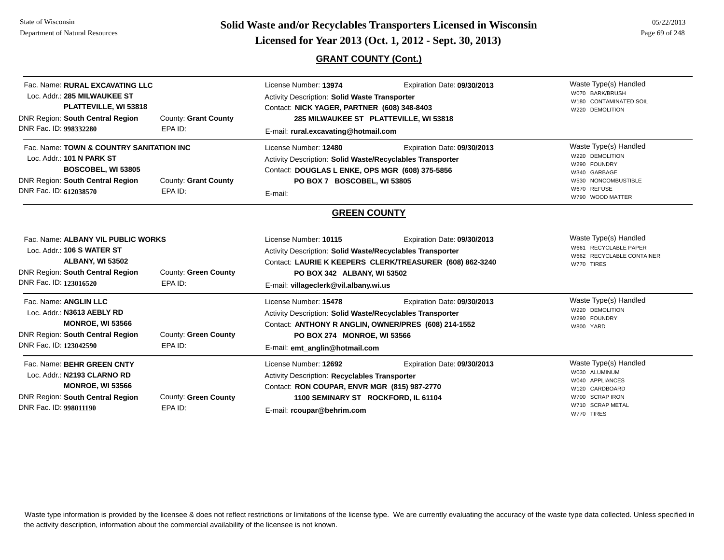# **Page 69 of 248 <b>Licensed for Year 2013 (Oct. 1, 2012 - Sept. 30, 2013) Page 69 of 248 Licensed for Year 2013 (Oct. 1, 2012 - Sept. 30, 2013)**

**GRANT COUNTY (Cont.)**

| Fac. Name: RURAL EXCAVATING LLC<br>Loc. Addr.: 285 MILWAUKEE ST<br>PLATTEVILLE, WI 53818<br>DNR Region: South Central Region<br>DNR Fac. ID: 998332280                                       | County: Grant County<br>EPA ID: | License Number: 13974<br><b>Activity Description: Solid Waste Transporter</b><br>Contact: NICK YAGER, PARTNER (608) 348-8403<br>285 MILWAUKEE ST PLATTEVILLE, WI 53818<br>E-mail: rural.excavating@hotmail.com                                        | Waste Type(s) Handled<br>W070 BARK/BRUSH<br>W180 CONTAMINATED SOIL<br>W220 DEMOLITION |                                                                                                                                    |
|----------------------------------------------------------------------------------------------------------------------------------------------------------------------------------------------|---------------------------------|-------------------------------------------------------------------------------------------------------------------------------------------------------------------------------------------------------------------------------------------------------|---------------------------------------------------------------------------------------|------------------------------------------------------------------------------------------------------------------------------------|
| Fac. Name: TOWN & COUNTRY SANITATION INC<br>Loc. Addr.: 101 N PARK ST<br>BOSCOBEL, WI 53805<br>DNR Region: South Central Region<br>County: Grant County<br>DNR Fac. ID: 612038570<br>EPA ID: |                                 | License Number: 12480<br>Expiration Date: 09/30/2013<br>Activity Description: Solid Waste/Recyclables Transporter<br>Contact: DOUGLAS L ENKE, OPS MGR (608) 375-5856<br>PO BOX 7 BOSCOBEL, WI 53805<br>E-mail:                                        |                                                                                       | Waste Type(s) Handled<br>W220 DEMOLITION<br>W290 FOUNDRY<br>W340 GARBAGE<br>W530 NONCOMBUSTIBLE<br>W670 REFUSE<br>W790 WOOD MATTER |
|                                                                                                                                                                                              |                                 | <b>GREEN COUNTY</b>                                                                                                                                                                                                                                   |                                                                                       |                                                                                                                                    |
| Fac. Name: ALBANY VIL PUBLIC WORKS<br>Loc. Addr.: 106 S WATER ST<br><b>ALBANY, WI 53502</b><br>DNR Region: South Central Region<br>DNR Fac. ID: 123016520                                    | County: Green County<br>EPA ID: | License Number: 10115<br>Expiration Date: 09/30/2013<br>Activity Description: Solid Waste/Recyclables Transporter<br>Contact: LAURIE K KEEPERS CLERK/TREASURER (608) 862-3240<br>PO BOX 342 ALBANY, WI 53502<br>E-mail: villageclerk@vil.albany.wi.us |                                                                                       | Waste Type(s) Handled<br>W661 RECYCLABLE PAPER<br>W662 RECYCLABLE CONTAINER<br>W770 TIRES                                          |
| Fac. Name: ANGLIN LLC<br>Loc. Addr.: N3613 AEBLY RD<br><b>MONROE, WI 53566</b><br>DNR Region: South Central Region<br>DNR Fac. ID: 123042590                                                 | County: Green County<br>EPA ID: | License Number: 15478<br>Activity Description: Solid Waste/Recyclables Transporter<br>Contact: ANTHONY R ANGLIN, OWNER/PRES (608) 214-1552<br>PO BOX 274 MONROE, WI 53566<br>E-mail: emt_anglin@hotmail.com                                           | Expiration Date: 09/30/2013                                                           | Waste Type(s) Handled<br>W220 DEMOLITION<br>W290 FOUNDRY<br>W800 YARD                                                              |
| Fac. Name: BEHR GREEN CNTY<br>Loc. Addr.: N2193 CLARNO RD<br><b>MONROE, WI 53566</b><br>DNR Region: South Central Region<br>DNR Fac. ID: 998011190                                           | County: Green County<br>EPA ID: | License Number: 12692<br>Activity Description: Recyclables Transporter<br>Contact: RON COUPAR, ENVR MGR (815) 987-2770<br>1100 SEMINARY ST ROCKFORD, IL 61104<br>E-mail: rcoupar@behrim.com                                                           | Expiration Date: 09/30/2013                                                           | Waste Type(s) Handled<br>W030 ALUMINUM<br>W040 APPLIANCES<br>W120 CARDBOARD<br>W700 SCRAP IRON<br>W710 SCRAP METAL<br>W770 TIRES   |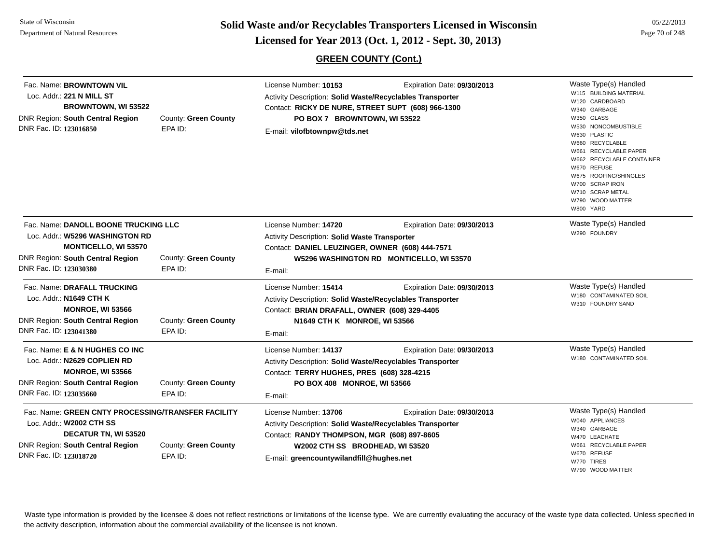**Page 70 of 248 <b>Licensed for Year 2013 (Oct. 1, 2012 - Sept. 30, 2013) Page 70 of 248 Licensed for Year 2013 (Oct. 1, 2012 - Sept. 30, 2013)** 

### **GREEN COUNTY (Cont.)**

| Fac. Name: BROWNTOWN VIL<br>Loc. Addr.: 221 N MILL ST<br><b>BROWNTOWN, WI 53522</b><br><b>DNR Region: South Central Region</b><br>DNR Fac. ID: 123016850                                                       | County: Green County<br>EPA ID: | License Number: 10153<br>Activity Description: Solid Waste/Recyclables Transporter<br>Contact: RICKY DE NURE, STREET SUPT (608) 966-1300<br>PO BOX 7 BROWNTOWN, WI 53522<br>E-mail: vilofbtownpw@tds.net         | Expiration Date: 09/30/2013 | Waste Type(s) Handled<br>W115 BUILDING MATERIAL<br>W120 CARDBOARD<br>W340 GARBAGE<br>W350 GLASS<br>W530 NONCOMBUSTIBLE<br>W630 PLASTIC<br>W660 RECYCLABLE<br>W661 RECYCLABLE PAPER<br>W662 RECYCLABLE CONTAINER<br>W670 REFUSE<br>W675 ROOFING/SHINGLES<br>W700 SCRAP IRON<br>W710 SCRAP METAL<br>W790 WOOD MATTER<br>W800 YARD |
|----------------------------------------------------------------------------------------------------------------------------------------------------------------------------------------------------------------|---------------------------------|------------------------------------------------------------------------------------------------------------------------------------------------------------------------------------------------------------------|-----------------------------|---------------------------------------------------------------------------------------------------------------------------------------------------------------------------------------------------------------------------------------------------------------------------------------------------------------------------------|
| Fac. Name: DANOLL BOONE TRUCKING LLC<br>Loc. Addr.: W5296 WASHINGTON RD<br><b>MONTICELLO, WI 53570</b><br><b>DNR Region: South Central Region</b><br>County: Green County<br>DNR Fac. ID: 123030380<br>EPA ID: |                                 | License Number: 14720<br>Expiration Date: 09/30/2013<br>Activity Description: Solid Waste Transporter<br>Contact: DANIEL LEUZINGER, OWNER (608) 444-7571<br>W5296 WASHINGTON RD MONTICELLO, WI 53570<br>E-mail:  |                             | Waste Type(s) Handled<br>W290 FOUNDRY                                                                                                                                                                                                                                                                                           |
| Fac. Name: DRAFALL TRUCKING<br>Loc. Addr.: N1649 CTH K<br><b>MONROE, WI 53566</b><br><b>DNR Region: South Central Region</b><br>DNR Fac. ID: 123041380                                                         | County: Green County<br>EPA ID: | License Number: 15414<br>Activity Description: Solid Waste/Recyclables Transporter<br>Contact: BRIAN DRAFALL, OWNER (608) 329-4405<br>N1649 CTH K MONROE, WI 53566<br>E-mail:                                    | Expiration Date: 09/30/2013 | Waste Type(s) Handled<br>W180 CONTAMINATED SOIL<br>W310 FOUNDRY SAND                                                                                                                                                                                                                                                            |
| Fac. Name: E & N HUGHES CO INC<br>Loc. Addr.: N2629 COPLIEN RD<br><b>MONROE, WI 53566</b><br><b>DNR Region: South Central Region</b><br>DNR Fac. ID: 123035660                                                 | County: Green County<br>EPA ID: | License Number: 14137<br>Activity Description: Solid Waste/Recyclables Transporter<br>Contact: TERRY HUGHES, PRES (608) 328-4215<br>PO BOX 408 MONROE, WI 53566<br>E-mail:                                       | Expiration Date: 09/30/2013 | Waste Type(s) Handled<br>W180 CONTAMINATED SOIL                                                                                                                                                                                                                                                                                 |
| Fac. Name: GREEN CNTY PROCESSING/TRANSFER FACILITY<br>Loc. Addr.: W2002 CTH SS<br>DECATUR TN, WI 53520<br><b>DNR Region: South Central Region</b><br>DNR Fac. ID: 123018720                                    | County: Green County<br>EPA ID: | License Number: 13706<br>Activity Description: Solid Waste/Recyclables Transporter<br>Contact: RANDY THOMPSON, MGR (608) 897-8605<br>W2002 CTH SS BRODHEAD, WI 53520<br>E-mail: greencountywilandfill@hughes.net | Expiration Date: 09/30/2013 | Waste Type(s) Handled<br>W040 APPLIANCES<br>W340 GARBAGE<br>W470 LEACHATE<br>W661 RECYCLABLE PAPER<br>W670 REFUSE<br>W770 TIRES<br>W790 WOOD MATTER                                                                                                                                                                             |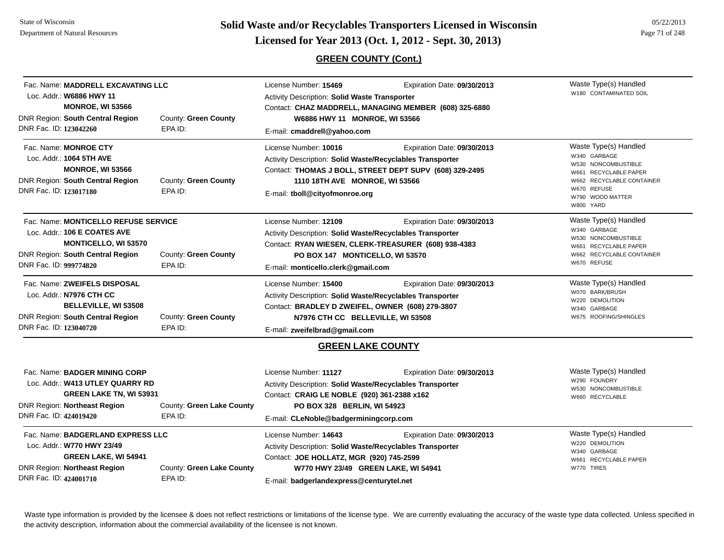State of WisconsinDepartment of Natural Resources

# **Page 71 of 248 <b>Licensed for Year 2013 (Oct. 1, 2012 - Sept. 30, 2013) Page 71 of 248 Licensed for Year 2013 (Oct. 1, 2012 - Sept. 30, 2013)**

### **GREEN COUNTY (Cont.)**

| Fac. Name: MADDRELL EXCAVATING LLC<br>Loc. Addr.: W6886 HWY 11<br><b>MONROE, WI 53566</b> |                                                                                                                                            |                                      | License Number: 15469<br>Activity Description: Solid Waste Transporter                                                                                                                                                                           | Expiration Date: 09/30/2013<br>Contact: CHAZ MADDRELL, MANAGING MEMBER (608) 325-6880 | Waste Type(s) Handled<br>W180 CONTAMINATED SOIL                                                                                                                    |
|-------------------------------------------------------------------------------------------|--------------------------------------------------------------------------------------------------------------------------------------------|--------------------------------------|--------------------------------------------------------------------------------------------------------------------------------------------------------------------------------------------------------------------------------------------------|---------------------------------------------------------------------------------------|--------------------------------------------------------------------------------------------------------------------------------------------------------------------|
| DNR Fac. ID: 123042260                                                                    | DNR Region: South Central Region                                                                                                           | County: Green County<br>EPA ID:      | W6886 HWY 11 MONROE, WI 53566                                                                                                                                                                                                                    |                                                                                       |                                                                                                                                                                    |
|                                                                                           |                                                                                                                                            |                                      | E-mail: cmaddrell@yahoo.com                                                                                                                                                                                                                      |                                                                                       |                                                                                                                                                                    |
| DNR Fac. ID: 123017180                                                                    | Fac. Name: MONROE CTY<br>Loc. Addr.: 1064 5TH AVE<br><b>MONROE, WI 53566</b><br>DNR Region: South Central Region                           | County: Green County<br>EPA ID:      | License Number: 10016<br>Expiration Date: 09/30/2013<br>Activity Description: Solid Waste/Recyclables Transporter<br>Contact: THOMAS J BOLL, STREET DEPT SUPV (608) 329-2495<br>1110 18TH AVE MONROE, WI 53566<br>E-mail: tboll@cityofmonroe.org |                                                                                       | Waste Type(s) Handled<br>W340 GARBAGE<br>W530 NONCOMBUSTIBLE<br>W661 RECYCLABLE PAPER<br>W662 RECYCLABLE CONTAINER<br>W670 REFUSE<br>W790 WOOD MATTER<br>W800 YARD |
|                                                                                           | Fac. Name: MONTICELLO REFUSE SERVICE<br>Loc. Addr.: 106 E COATES AVE<br><b>MONTICELLO, WI 53570</b><br>DNR Region: South Central Region    | County: Green County                 | License Number: 12109<br>Expiration Date: 09/30/2013<br>Activity Description: Solid Waste/Recyclables Transporter<br>Contact: RYAN WIESEN, CLERK-TREASURER (608) 938-4383<br>PO BOX 147 MONTICELLO, WI 53570                                     |                                                                                       | Waste Type(s) Handled<br>W340 GARBAGE<br>W530 NONCOMBUSTIBLE<br>W661 RECYCLABLE PAPER<br>W662 RECYCLABLE CONTAINER                                                 |
| DNR Fac. ID: 999774820                                                                    |                                                                                                                                            | EPA ID:                              | E-mail: monticello.clerk@gmail.com                                                                                                                                                                                                               |                                                                                       | W670 REFUSE                                                                                                                                                        |
| DNR Fac. ID: 123040720                                                                    | Fac. Name: ZWEIFELS DISPOSAL<br>Loc. Addr.: N7976 CTH CC<br><b>BELLEVILLE, WI 53508</b><br>DNR Region: South Central Region                | County: Green County<br>EPA ID:      | License Number: 15400<br>Activity Description: Solid Waste/Recyclables Transporter<br>Contact: BRADLEY D ZWEIFEL, OWNER (608) 279-3807<br>N7976 CTH CC BELLEVILLE, WI 53508<br>E-mail: zweifelbrad@gmail.com                                     | Expiration Date: 09/30/2013                                                           | Waste Type(s) Handled<br>W070 BARK/BRUSH<br>W220 DEMOLITION<br>W340 GARBAGE<br>W675 ROOFING/SHINGLES                                                               |
|                                                                                           |                                                                                                                                            |                                      | <b>GREEN LAKE COUNTY</b>                                                                                                                                                                                                                         |                                                                                       |                                                                                                                                                                    |
| DNR Fac. ID: 424019420                                                                    | Fac. Name: BADGER MINING CORP<br>Loc. Addr.: W413 UTLEY QUARRY RD<br><b>GREEN LAKE TN, WI 53931</b><br><b>DNR Region: Northeast Region</b> | County: Green Lake County<br>EPA ID: | License Number: 11127<br>Expiration Date: 09/30/2013<br>Activity Description: Solid Waste/Recyclables Transporter<br>Contact: CRAIG LE NOBLE (920) 361-2388 x162<br>PO BOX 328 BERLIN, WI 54923<br>E-mail: CLeNoble@badgerminingcorp.com         |                                                                                       | Waste Type(s) Handled<br>W290 FOUNDRY<br>W530 NONCOMBUSTIBLE<br>W660 RECYCLABLE                                                                                    |
| DNR Fac. ID: 424001710                                                                    | Fac. Name: BADGERLAND EXPRESS LLC<br>Loc. Addr.: W770 HWY 23/49<br>GREEN LAKE, WI 54941<br><b>DNR Region: Northeast Region</b>             | County: Green Lake County<br>EPA ID: | License Number: 14643<br>Expiration Date: 09/30/2013<br>Activity Description: Solid Waste/Recyclables Transporter<br>Contact: JOE HOLLATZ, MGR (920) 745-2599<br>W770 HWY 23/49 GREEN LAKE, WI 54941<br>E-mail: badgerlandexpress@centurytel.net |                                                                                       | Waste Type(s) Handled<br>W220 DEMOLITION<br>W340 GARBAGE<br>W661 RECYCLABLE PAPER<br>W770 TIRES                                                                    |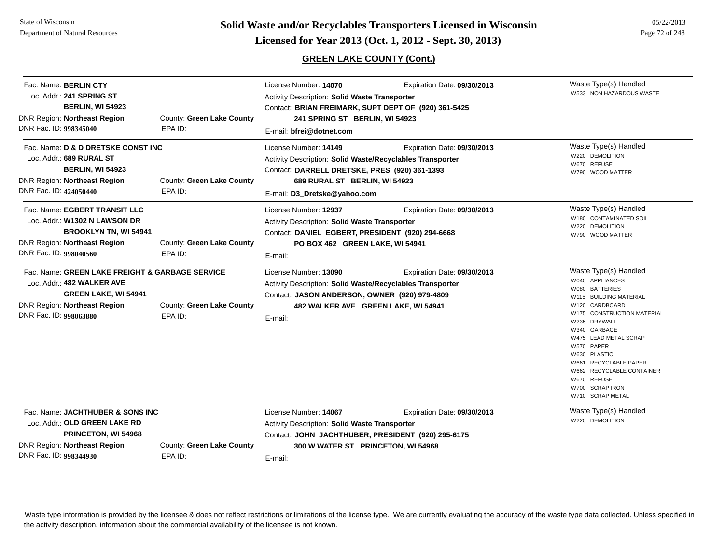Fac. Name: **BERLIN CTY**Loc. Addr.: **241 SPRING ST**

#### **GREEN LAKE COUNTY (Cont.)**

Activity Description: **Solid Waste Transporter**

License Number: **14070**

Waste Type(s) Handled W533 NON HAZARDOUS WASTEExpiration Date: **09/30/2013** 

| <b>BERLIN, WI 54923</b><br><b>DNR Region: Northeast Region</b><br>DNR Fac. ID: 998345040                                                                                      | County: Green Lake County<br>EPA ID:                                        | Contact: BRIAN FREIMARK, SUPT DEPT OF (920) 361-5425<br>241 SPRING ST BERLIN, WI 54923<br>E-mail: bfrei@dotnet.com                                                                                                          |                                                                                                                                                                                                                                                                                                                                         |
|-------------------------------------------------------------------------------------------------------------------------------------------------------------------------------|-----------------------------------------------------------------------------|-----------------------------------------------------------------------------------------------------------------------------------------------------------------------------------------------------------------------------|-----------------------------------------------------------------------------------------------------------------------------------------------------------------------------------------------------------------------------------------------------------------------------------------------------------------------------------------|
| Fac. Name: D & D DRETSKE CONST INC<br>Loc. Addr.: 689 RURAL ST<br><b>BERLIN, WI 54923</b><br><b>DNR Region: Northeast Region</b><br>DNR Fac. ID: 424050440                    | Waste Type(s) Handled<br>W220 DEMOLITION<br>W670 REFUSE<br>W790 WOOD MATTER |                                                                                                                                                                                                                             |                                                                                                                                                                                                                                                                                                                                         |
| Fac. Name: EGBERT TRANSIT LLC<br>Loc. Addr.: W1302 N LAWSON DR<br><b>BROOKLYN TN, WI 54941</b><br><b>DNR Region: Northeast Region</b><br>DNR Fac. ID: 998040560               | County: Green Lake County<br>EPA ID:                                        | License Number: 12937<br>Expiration Date: 09/30/2013<br><b>Activity Description: Solid Waste Transporter</b><br>Contact: DANIEL EGBERT, PRESIDENT (920) 294-6668<br>PO BOX 462 GREEN LAKE, WI 54941<br>E-mail:              | Waste Type(s) Handled<br>W180 CONTAMINATED SOIL<br>W220 DEMOLITION<br>W790 WOOD MATTER                                                                                                                                                                                                                                                  |
| Fac. Name: GREEN LAKE FREIGHT & GARBAGE SERVICE<br>Loc. Addr.: 482 WALKER AVE<br><b>GREEN LAKE, WI 54941</b><br><b>DNR Region: Northeast Region</b><br>DNR Fac. ID: 998063880 | County: Green Lake County<br>EPA ID:                                        | License Number: 13090<br>Expiration Date: 09/30/2013<br><b>Activity Description: Solid Waste/Recyclables Transporter</b><br>Contact: JASON ANDERSON, OWNER (920) 979-4809<br>482 WALKER AVE GREEN LAKE, WI 54941<br>E-mail: | Waste Type(s) Handled<br>W040 APPLIANCES<br>W080 BATTERIES<br>W115 BUILDING MATERIAL<br>W120 CARDBOARD<br>W175 CONSTRUCTION MATERIAL<br>W235 DRYWALL<br>W340 GARBAGE<br>W475 LEAD METAL SCRAP<br>W570 PAPER<br>W630 PLASTIC<br>W661 RECYCLABLE PAPER<br>W662 RECYCLABLE CONTAINER<br>W670 REFUSE<br>W700 SCRAP IRON<br>W710 SCRAP METAL |
| Fac. Name: JACHTHUBER & SONS INC<br>Loc. Addr.: OLD GREEN LAKE RD<br><b>PRINCETON, WI 54968</b><br><b>DNR Region: Northeast Region</b><br>DNR Fac. ID: 998344930              | County: Green Lake County<br>EPA ID:                                        | License Number: 14067<br>Expiration Date: 09/30/2013<br>Activity Description: Solid Waste Transporter<br>Contact: JOHN JACHTHUBER, PRESIDENT (920) 295-6175<br>300 W WATER ST PRINCETON, WI 54968<br>E-mail:                | Waste Type(s) Handled<br>W220 DEMOLITION                                                                                                                                                                                                                                                                                                |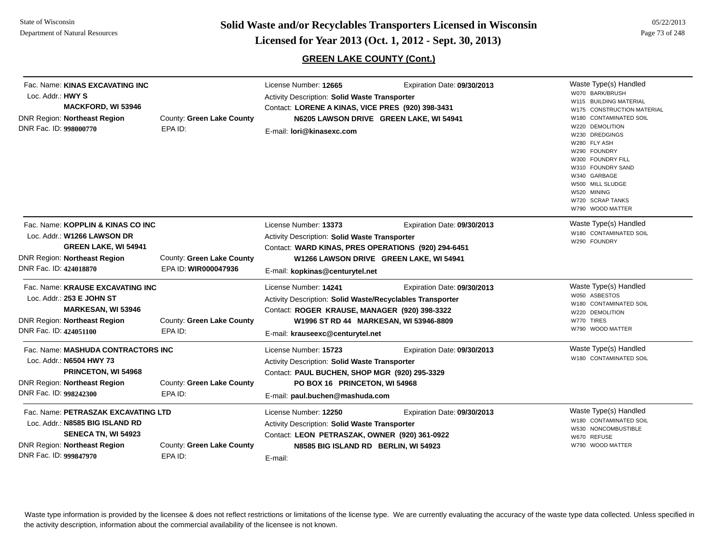**Page 73 of 248 <b>Licensed for Year 2013 (Oct. 1, 2012 - Sept. 30, 2013) Page 73 of 248 Licensed for Year 2013 (Oct. 1, 2012 - Sept. 30, 2013)** 

### **GREEN LAKE COUNTY (Cont.)**

Waste Type(s) Handled W070 BARK/BRUSHW115 BUILDING MATERIALW175 CONSTRUCTION MATERIALW180 CONTAMINATED SOIL W220 DEMOLITIONW230 DREDGINGSW280 FLY ASHW290 FOUNDRYW300 FOUNDRY FILLW310 FOUNDRY SANDW340 GARBAGEW500 MILL SLUDGE W520 MININGW720 SCRAP TANKSW790 WOOD MATTERFac. Name: **KINAS EXCAVATING INC**Loc. Addr.: **HWY SMACKFORD, WI 53946** DNR Region: **Northeast Region** DNR Fac. ID: **998000770**County: **Green Lake County** EPA ID:License Number: **12665** Expiration Date: **09/30/2013**  Activity Description: **Solid Waste Transporter** Contact: **LORENE A KINAS, VICE PRES (920) 398-3431** E-mail: **lori@kinasexc.comN6205 LAWSON DRIVE GREEN LAKE, WI 54941** Waste Type(s) Handled W180 CONTAMINATED SOILW290 FOUNDRYFac. Name: **KOPPLIN & KINAS CO INC**Loc. Addr.: **W1266 LAWSON DRGREEN LAKE, WI 54941** DNR Region: **Northeast Region** DNR Fac. ID: **424018870**County: **Green Lake County** EPA ID: **WIR000047936**License Number: **13373** Expiration Date: **09/30/2013**  Activity Description: **Solid Waste Transporter** Contact:**WARD KINAS, PRES OPERATIONS (920) 294-6451** E-mail: **kopkinas@centurytel.net W1266 LAWSON DRIVE GREEN LAKE, WI 54941** Waste Type(s) Handled W050 ASBESTOSW180 CONTAMINATED SOILW220 DEMOLITIONW770 TIRESW790 WOOD MATTERFac. Name: **KRAUSE EXCAVATING INC**Loc. Addr.: **253 E JOHN STMARKESAN, WI 53946** DNR Region: **Northeast Region** DNR Fac. ID: **424051100**County: **Green Lake County** EPA ID: License Number: **14241** Expiration Date: **09/30/2013**  Activity Description: **Solid Waste/Recyclables Transporter** Contact:**ROGER KRAUSE, MANAGER (920) 398-3322** E-mail: **krauseexc@centurytel.net W1996 ST RD 44 MARKESAN, WI 53946-8809** Waste Type(s) Handled W180 CONTAMINATED SOILFac. Name: **MASHUDA CONTRACTORS INC**Loc. Addr.: **N6504 HWY 73PRINCETON, WI 54968** DNR Region: **Northeast Region** DNR Fac. ID: **998242300**County: **Green Lake County** EPA ID:License Number: **15723** Expiration Date: **09/30/2013**  Activity Description: **Solid Waste Transporter** Contact: **PAUL BUCHEN, SHOP MGR (920) 295-3329** E-mail: **paul.buchen@mashuda.com PO BOX 16 PRINCETON, WI 54968** Waste Type(s) Handled W180 CONTAMINATED SOILW530 NONCOMBUSTIBLEW670 REFUSEW790 WOOD MATTERFac. Name: **PETRASZAK EXCAVATING LTD**Loc. Addr.: **N8585 BIG ISLAND RDSENECA TN, WI 54923** DNR Region: **Northeast Region** DNR Fac. ID: **999847970**County: **Green Lake County** EPA ID:License Number: **12250** Expiration Date: **09/30/2013**  Activity Description: **Solid Waste Transporter** Contact: **LEON PETRASZAK, OWNER (920) 361-0922** E-mail: **N8585 BIG ISLAND RD BERLIN, WI 54923**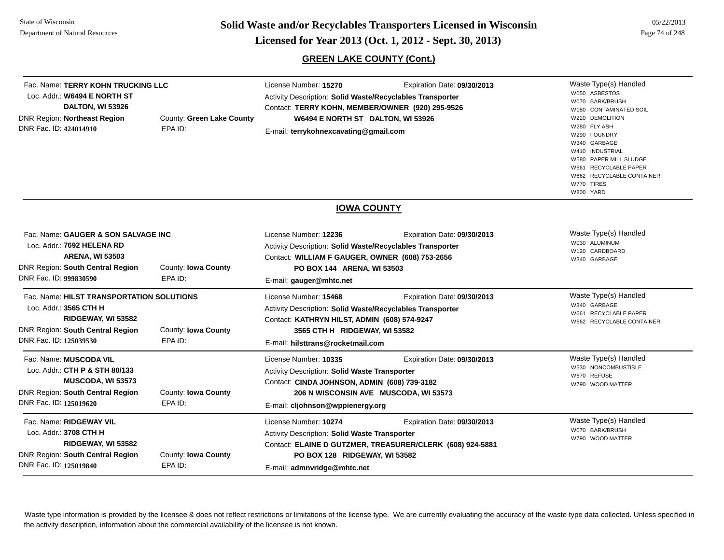**Page 74 of 248 <b>Licensed for Year 2013 (Oct. 1, 2012 - Sept. 30, 2013) Page 74 of 248 Licensed for Year 2013 (Oct. 1, 2012 - Sept. 30, 2013)** 

### **GREEN LAKE COUNTY (Cont.)**

Waste Type(s) Handled W050 ASBESTOSW070 BARK/BRUSHW180 CONTAMINATED SOILW220 DEMOLITIONW280 FLY ASHW290 FOUNDRYW340 GARBAGEW410 INDUSTRIALW580 PAPER MILL SLUDGEW661 RECYCLABLE PAPERW662 RECYCLABLE CONTAINERW770 TIRESW800 YARDFac. Name: **TERRY KOHN TRUCKING LLC**Loc. Addr.: **W6494 E NORTH STDALTON, WI 53926** DNR Region: **Northeast Region** DNR Fac. ID: **424014910**County: **Green Lake County** EPA ID:License Number: **15270** Expiration Date: **09/30/2013**  Activity Description: **Solid Waste/Recyclables Transporter** Contact:**TERRY KOHN, MEMBER/OWNER (920) 295-9526** E-mail: **terrykohnexcavating@gmail.com W6494 E NORTH ST DALTON, WI 53926 IOWA COUNTY**Waste Type(s) Handled W030 ALUMINUMW120 CARDBOARDW340 GARBAGEFac. Name: **GAUGER & SON SALVAGE INC**Loc. Addr.: **7692 HELENA RDARENA, WI 53503** DNR Region: **South Central Region** DNR Fac. ID: **999830590**County: **Iowa County** EPA ID:License Number: **12236** Expiration Date: **09/30/2013**  Activity Description: **Solid Waste/Recyclables Transporter** Contact: **WILLIAM F GAUGER, OWNER (608) 753-2656** E-mail: **gauger@mhtc.net PO BOX 144 ARENA, WI 53503** Waste Type(s) Handled W340 GARBAGEW661 RECYCLABLE PAPERW662 RECYCLABLE CONTAINER Fac. Name: **HILST TRANSPORTATION SOLUTIONS**Loc. Addr.: **3565 CTH HRIDGEWAY, WI 53582** DNR Region: **South Central Region** DNR Fac. ID: **125039530**County: **Iowa County** EPA ID:License Number: **15468** Expiration Date: **09/30/2013**  Activity Description: **Solid Waste/Recyclables Transporter** Contact: **KATHRYN HILST, ADMIN (608) 574-9247** E-mail: **hilsttrans@rocketmail.com3565 CTH H RIDGEWAY, WI 53582** Waste Type(s) Handled W530 NONCOMBUSTIBLEW670 REFUSE W790 WOOD MATTERFac. Name: **MUSCODA VIL**Loc. Addr.: **CTH P & STH 80/133MUSCODA, WI 53573** DNR Region: **South Central Region** DNR Fac. ID: **125019620**County: **Iowa County** EPA ID:License Number: **10335** Expiration Date: **09/30/2013**  Activity Description: **Solid Waste Transporter** Contact: **CINDA JOHNSON, ADMIN (608) 739-3182** E-mail: **cljohnson@wppienergy.org 206 N WISCONSIN AVE MUSCODA, WI 53573** Waste Type(s) Handled W070 BARK/BRUSHW790 WOOD MATTERFac. Name: **RIDGEWAY VIL**Loc. Addr.: **3708 CTH HRIDGEWAY, WI 53582** DNR Region: **South Central Region** DNR Fac. ID: **125019840**County: **Iowa County** EPA ID:License Number: **10274** Expiration Date: **09/30/2013**  Activity Description: **Solid Waste Transporter** Contact: **ELAINE D GUTZMER, TREASURER/CLERK (608) 924-5881** E-mail: **admnvridge@mhtc.net PO BOX 128 RIDGEWAY, WI 53582**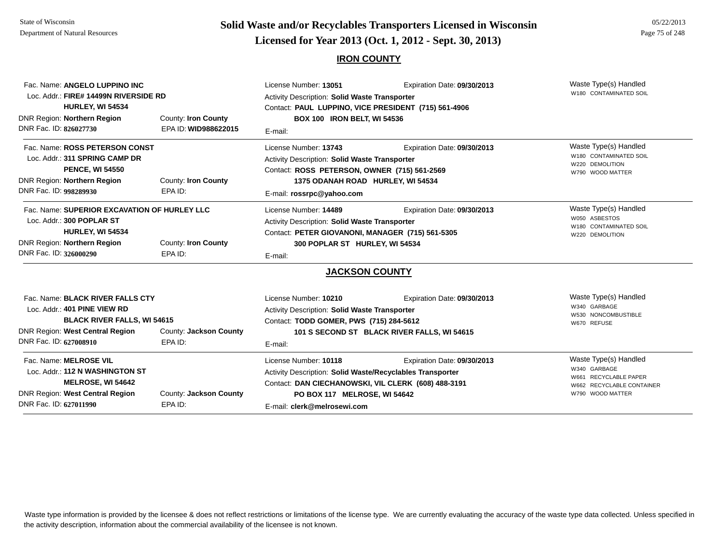# **Page 75 of 248 <b>Licensed for Year 2013 (Oct. 1, 2012 - Sept. 30, 2013) Page 75 of 248 Licensed for Year 2013 (Oct. 1, 2012 - Sept. 30, 2013)**

### **IRON COUNTY**

| Fac. Name: ANGELO LUPPINO INC<br>Loc. Addr.: FIRE# 14499N RIVERSIDE RD<br><b>HURLEY, WI 54534</b><br>DNR Region: Northern Region<br>DNR Fac. ID: 826027730                            | County: Iron County<br>EPA ID: WID988622015 | License Number: 13051<br><b>Activity Description: Solid Waste Transporter</b><br>Contact: PAUL LUPPINO, VICE PRESIDENT (715) 561-4906<br><b>BOX 100 IRON BELT, WI 54536</b><br>E-mail:                        | Waste Type(s) Handled<br>W180 CONTAMINATED SOIL                            |                                                                                                                 |
|---------------------------------------------------------------------------------------------------------------------------------------------------------------------------------------|---------------------------------------------|---------------------------------------------------------------------------------------------------------------------------------------------------------------------------------------------------------------|----------------------------------------------------------------------------|-----------------------------------------------------------------------------------------------------------------|
| Fac. Name: ROSS PETERSON CONST<br>Loc. Addr.: 311 SPRING CAMP DR<br><b>PENCE, WI 54550</b><br>DNR Region: Northern Region<br>County: Iron County<br>DNR Fac. ID: 998289930<br>EPA ID: |                                             | License Number: 13743<br>Activity Description: Solid Waste Transporter<br>Contact: ROSS PETERSON, OWNER (715) 561-2569<br>1375 ODANAH ROAD HURLEY, WI 54534<br>E-mail: rossrpc@yahoo.com                      | Expiration Date: 09/30/2013                                                | Waste Type(s) Handled<br>W180 CONTAMINATED SOIL<br>W220 DEMOLITION<br>W790 WOOD MATTER                          |
| Fac. Name: SUPERIOR EXCAVATION OF HURLEY LLC<br>Loc. Addr.: 300 POPLAR ST<br><b>HURLEY, WI 54534</b><br>DNR Region: Northern Region<br>DNR Fac. ID: 326000290                         | County: Iron County<br>EPA ID:              | License Number: 14489<br>Expiration Date: 09/30/2013<br><b>Activity Description: Solid Waste Transporter</b><br>Contact: PETER GIOVANONI, MANAGER (715) 561-5305<br>300 POPLAR ST HURLEY, WI 54534<br>E-mail: |                                                                            | Waste Type(s) Handled<br>W050 ASBESTOS<br>W180 CONTAMINATED SOIL<br>W220 DEMOLITION                             |
|                                                                                                                                                                                       |                                             | <b>JACKSON COUNTY</b>                                                                                                                                                                                         |                                                                            |                                                                                                                 |
| Fac. Name: BLACK RIVER FALLS CTY<br>Loc. Addr.: 401 PINE VIEW RD<br><b>BLACK RIVER FALLS, WI 54615</b><br><b>DNR Region: West Central Region</b><br>DNR Fac. ID: 627008910            | County: Jackson County<br>EPA ID:           | License Number: 10210<br><b>Activity Description: Solid Waste Transporter</b><br>Contact: TODD GOMER, PWS (715) 284-5612<br>E-mail:                                                                           | Expiration Date: 09/30/2013<br>101 S SECOND ST BLACK RIVER FALLS, WI 54615 | Waste Type(s) Handled<br>W340 GARBAGE<br>W530 NONCOMBUSTIBLE<br>W670 REFUSE                                     |
| Fac. Name: MELROSE VIL<br>Loc. Addr.: 112 N WASHINGTON ST<br><b>MELROSE, WI 54642</b><br>DNR Region: West Central Region<br>DNR Fac. ID: 627011990                                    | County: Jackson County<br>EPA ID:           | License Number: 10118<br>Activity Description: Solid Waste/Recyclables Transporter<br>Contact: DAN CIECHANOWSKI, VIL CLERK (608) 488-3191<br>PO BOX 117 MELROSE, WI 54642<br>E-mail: clerk@melrosewi.com      | Expiration Date: 09/30/2013                                                | Waste Type(s) Handled<br>W340 GARBAGE<br>W661 RECYCLABLE PAPER<br>W662 RECYCLABLE CONTAINER<br>W790 WOOD MATTER |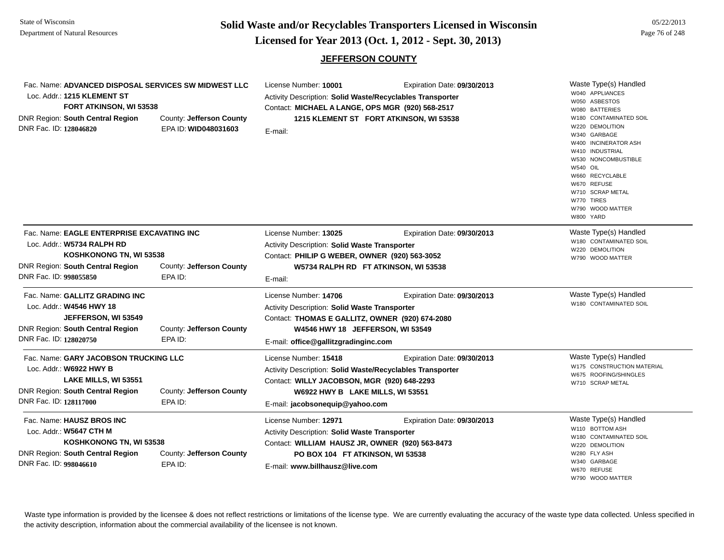**Page 76 of 248 <b>Licensed for Year 2013 (Oct. 1, 2012 - Sept. 30, 2013) Page 76 of 248 Licensed for Year 2013 (Oct. 1, 2012 - Sept. 30, 2013)** 

### **JEFFERSON COUNTY**

| Fac. Name: ADVANCED DISPOSAL SERVICES SW MIDWEST LLC<br>Loc. Addr.: 1215 KLEMENT ST<br>FORT ATKINSON, WI 53538<br><b>DNR Region: South Central Region</b><br>County: Jefferson County<br>DNR Fac. ID: 128046820<br>EPA ID: WID048031603 |                          | License Number: 10001<br>Expiration Date: 09/30/2013<br><b>Activity Description: Solid Waste/Recyclables Transporter</b><br>Contact: MICHAEL A LANGE, OPS MGR (920) 568-2517<br>1215 KLEMENT ST FORT ATKINSON, WI 53538<br>E-mail: |                                      | Waste Type(s) Handled<br>W040 APPLIANCES<br>W050 ASBESTOS<br>W080 BATTERIES<br>W180 CONTAMINATED SOIL<br>W220 DEMOLITION<br>W340 GARBAGE<br>W400 INCINERATOR ASH<br>W410 INDUSTRIAL<br>W530 NONCOMBUSTIBLE<br>W540 OIL<br>W660 RECYCLABLE<br>W670 REFUSE<br>W710 SCRAP METAL<br>W770 TIRES<br>W790 WOOD MATTER<br>W800 YARD |
|-----------------------------------------------------------------------------------------------------------------------------------------------------------------------------------------------------------------------------------------|--------------------------|------------------------------------------------------------------------------------------------------------------------------------------------------------------------------------------------------------------------------------|--------------------------------------|-----------------------------------------------------------------------------------------------------------------------------------------------------------------------------------------------------------------------------------------------------------------------------------------------------------------------------|
| Fac. Name: EAGLE ENTERPRISE EXCAVATING INC                                                                                                                                                                                              |                          | License Number: 13025                                                                                                                                                                                                              | Expiration Date: 09/30/2013          | Waste Type(s) Handled                                                                                                                                                                                                                                                                                                       |
| Loc. Addr.: W5734 RALPH RD<br>KOSHKONONG TN, WI 53538                                                                                                                                                                                   |                          | Activity Description: Solid Waste Transporter<br>Contact: PHILIP G WEBER, OWNER (920) 563-3052                                                                                                                                     |                                      | W180 CONTAMINATED SOIL<br>W220 DEMOLITION                                                                                                                                                                                                                                                                                   |
|                                                                                                                                                                                                                                         |                          |                                                                                                                                                                                                                                    |                                      | W790 WOOD MATTER                                                                                                                                                                                                                                                                                                            |
| <b>DNR Region: South Central Region</b>                                                                                                                                                                                                 | County: Jefferson County |                                                                                                                                                                                                                                    | W5734 RALPH RD FT ATKINSON, WI 53538 |                                                                                                                                                                                                                                                                                                                             |
| DNR Fac. ID: 998055850                                                                                                                                                                                                                  | EPA ID:                  | E-mail:                                                                                                                                                                                                                            |                                      |                                                                                                                                                                                                                                                                                                                             |
| Fac. Name: GALLITZ GRADING INC                                                                                                                                                                                                          |                          | License Number: 14706                                                                                                                                                                                                              | Expiration Date: 09/30/2013          | Waste Type(s) Handled                                                                                                                                                                                                                                                                                                       |
| Loc. Addr.: W4546 HWY 18                                                                                                                                                                                                                |                          | <b>Activity Description: Solid Waste Transporter</b>                                                                                                                                                                               |                                      | W180 CONTAMINATED SOIL                                                                                                                                                                                                                                                                                                      |
| JEFFERSON, WI 53549                                                                                                                                                                                                                     |                          | Contact: THOMAS E GALLITZ, OWNER (920) 674-2080                                                                                                                                                                                    |                                      |                                                                                                                                                                                                                                                                                                                             |
| <b>DNR Region: South Central Region</b>                                                                                                                                                                                                 | County: Jefferson County | W4546 HWY 18 JEFFERSON, WI 53549                                                                                                                                                                                                   |                                      |                                                                                                                                                                                                                                                                                                                             |
| DNR Fac. ID: 128020750                                                                                                                                                                                                                  | EPA ID:                  | E-mail: office@gallitzgradinginc.com                                                                                                                                                                                               |                                      |                                                                                                                                                                                                                                                                                                                             |
| Fac. Name: GARY JACOBSON TRUCKING LLC                                                                                                                                                                                                   |                          | License Number: 15418                                                                                                                                                                                                              | Expiration Date: 09/30/2013          | Waste Type(s) Handled                                                                                                                                                                                                                                                                                                       |
| Loc. Addr.: W6922 HWY B                                                                                                                                                                                                                 |                          | Activity Description: Solid Waste/Recyclables Transporter                                                                                                                                                                          |                                      | W175 CONSTRUCTION MATERIAL                                                                                                                                                                                                                                                                                                  |
| LAKE MILLS, WI 53551                                                                                                                                                                                                                    |                          | Contact: WILLY JACOBSON, MGR (920) 648-2293                                                                                                                                                                                        |                                      | W675 ROOFING/SHINGLES<br>W710 SCRAP METAL                                                                                                                                                                                                                                                                                   |
| DNR Region: South Central Region<br>County: Jefferson County                                                                                                                                                                            |                          | W6922 HWY B LAKE MILLS, WI 53551                                                                                                                                                                                                   |                                      |                                                                                                                                                                                                                                                                                                                             |
| DNR Fac. ID: 128117000                                                                                                                                                                                                                  | EPA ID:                  | E-mail: jacobsonequip@yahoo.com                                                                                                                                                                                                    |                                      |                                                                                                                                                                                                                                                                                                                             |
| Fac. Name: HAUSZ BROS INC                                                                                                                                                                                                               |                          | License Number: 12971                                                                                                                                                                                                              | Expiration Date: 09/30/2013          | Waste Type(s) Handled                                                                                                                                                                                                                                                                                                       |
| Loc. Addr.: W5647 CTH M<br>KOSHKONONG TN, WI 53538                                                                                                                                                                                      |                          | Activity Description: Solid Waste Transporter<br>Contact: WILLIAM HAUSZ JR, OWNER (920) 563-8473                                                                                                                                   |                                      | W110 BOTTOM ASH<br>W180 CONTAMINATED SOIL<br>W220 DEMOLITION                                                                                                                                                                                                                                                                |
|                                                                                                                                                                                                                                         |                          |                                                                                                                                                                                                                                    |                                      |                                                                                                                                                                                                                                                                                                                             |
| DNR Fac. ID: 998046610                                                                                                                                                                                                                  | EPA ID:                  | E-mail: www.billhausz@live.com                                                                                                                                                                                                     |                                      | W340 GARBAGE<br>W670 REFUSE                                                                                                                                                                                                                                                                                                 |
|                                                                                                                                                                                                                                         |                          |                                                                                                                                                                                                                                    |                                      | W790 WOOD MATTER                                                                                                                                                                                                                                                                                                            |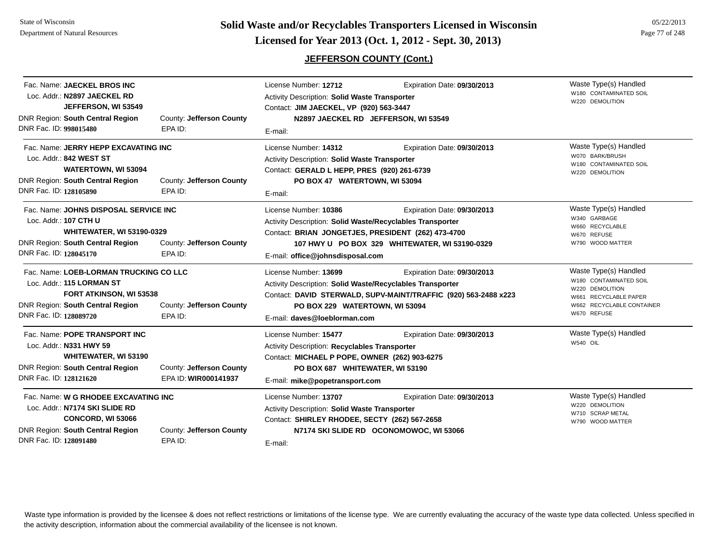## **JEFFERSON COUNTY (Cont.)**

| Fac. Name: JAECKEL BROS INC<br>Loc. Addr.: N2897 JAECKEL RD<br>JEFFERSON, WI 53549<br>DNR Region: South Central Region<br>DNR Fac. ID: 998015480                           | County: Jefferson County<br>EPA ID:              | License Number: 12712<br>Activity Description: Solid Waste Transporter<br>Contact: JIM JAECKEL, VP (920) 563-3447<br>E-mail:                                                                 | Expiration Date: 09/30/2013<br>N2897 JAECKEL RD JEFFERSON, WI 53549                            | Waste Type(s) Handled<br>W180 CONTAMINATED SOIL<br>W220 DEMOLITION                                                                      |
|----------------------------------------------------------------------------------------------------------------------------------------------------------------------------|--------------------------------------------------|----------------------------------------------------------------------------------------------------------------------------------------------------------------------------------------------|------------------------------------------------------------------------------------------------|-----------------------------------------------------------------------------------------------------------------------------------------|
| Fac. Name: JERRY HEPP EXCAVATING INC<br>Loc. Addr.: 842 WEST ST<br>WATERTOWN, WI 53094<br><b>DNR Region: South Central Region</b><br>DNR Fac. ID: 128105890                | County: Jefferson County<br>EPA ID:              | License Number: 14312<br><b>Activity Description: Solid Waste Transporter</b><br>Contact: GERALD L HEPP, PRES (920) 261-6739<br>PO BOX 47 WATERTOWN, WI 53094<br>E-mail:                     | Expiration Date: 09/30/2013                                                                    | Waste Type(s) Handled<br>W070 BARK/BRUSH<br>W180 CONTAMINATED SOIL<br>W220 DEMOLITION                                                   |
| Fac. Name: JOHNS DISPOSAL SERVICE INC<br>Loc. Addr.: 107 CTH U<br><b>WHITEWATER, WI 53190-0329</b><br><b>DNR Region: South Central Region</b><br>DNR Fac. ID: 128045170    | County: Jefferson County<br>EPA ID:              | License Number: 10386<br>Activity Description: Solid Waste/Recyclables Transporter<br>Contact: BRIAN JONGETJES, PRESIDENT (262) 473-4700<br>E-mail: office@johnsdisposal.com                 | Expiration Date: 09/30/2013<br>107 HWY U PO BOX 329 WHITEWATER, WI 53190-0329                  | Waste Type(s) Handled<br>W340 GARBAGE<br>W660 RECYCLABLE<br>W670 REFUSE<br>W790 WOOD MATTER                                             |
| Fac. Name: LOEB-LORMAN TRUCKING CO LLC<br>Loc. Addr.: 115 LORMAN ST<br><b>FORT ATKINSON, WI 53538</b><br><b>DNR Region: South Central Region</b><br>DNR Fac. ID: 128089720 | County: Jefferson County<br>EPA ID:              | License Number: 13699<br>Activity Description: Solid Waste/Recyclables Transporter<br>PO BOX 229 WATERTOWN, WI 53094<br>E-mail: daves@loeblorman.com                                         | Expiration Date: 09/30/2013<br>Contact: DAVID STERWALD, SUPV-MAINT/TRAFFIC (920) 563-2488 x223 | Waste Type(s) Handled<br>W180 CONTAMINATED SOIL<br>W220 DEMOLITION<br>W661 RECYCLABLE PAPER<br>W662 RECYCLABLE CONTAINER<br>W670 REFUSE |
| Fac. Name: POPE TRANSPORT INC<br>Loc. Addr.: N331 HWY 59<br><b>WHITEWATER, WI 53190</b><br><b>DNR Region: South Central Region</b><br>DNR Fac. ID: 128121620               | County: Jefferson County<br>EPA ID: WIR000141937 | License Number: 15477<br>Activity Description: Recyclables Transporter<br>Contact: MICHAEL P POPE, OWNER (262) 903-6275<br>PO BOX 687 WHITEWATER, WI 53190<br>E-mail: mike@popetransport.com | Expiration Date: 09/30/2013                                                                    | Waste Type(s) Handled<br>W540 OIL                                                                                                       |
| Fac. Name: W G RHODEE EXCAVATING INC<br>Loc. Addr.: N7174 SKI SLIDE RD<br>CONCORD, WI 53066<br><b>DNR Region: South Central Region</b><br>DNR Fac. ID: 128091480           | County: Jefferson County<br>EPA ID:              | License Number: 13707<br>Activity Description: Solid Waste Transporter<br>Contact: SHIRLEY RHODEE, SECTY (262) 567-2658<br>E-mail:                                                           | Expiration Date: 09/30/2013<br>N7174 SKI SLIDE RD OCONOMOWOC, WI 53066                         | Waste Type(s) Handled<br>W220 DEMOLITION<br>W710 SCRAP METAL<br>W790 WOOD MATTER                                                        |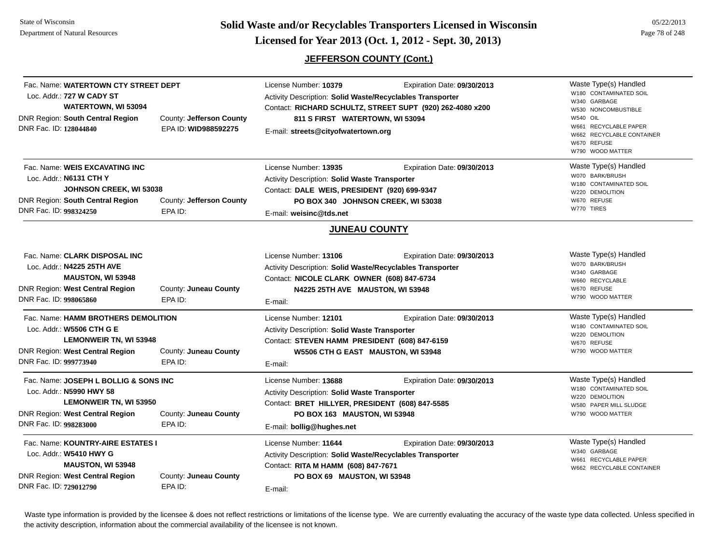**Page 78 of 248 COVER 2013 (Page 78 of 248 Dicensed for Year 2013 (Oct. 1, 2012 - Sept. 30, 2013) Page 78 of 248** Page 78 of 248

## **JEFFERSON COUNTY (Cont.)**

| Fac. Name: WATERTOWN CTY STREET DEPT<br>Loc. Addr.: 727 W CADY ST<br><b>WATERTOWN, WI 53094</b><br>DNR Region: South Central Region<br>DNR Fac. ID: 128044840                                           | County: Jefferson County<br>EPA ID: WID988592275 | License Number: 10379<br>Expiration Date: 09/30/2013<br>Activity Description: Solid Waste/Recyclables Transporter<br>Contact: RICHARD SCHULTZ, STREET SUPT (920) 262-4080 x200<br>811 S FIRST WATERTOWN, WI 53094<br>E-mail: streets@cityofwatertown.org | Waste Type(s) Handled<br>W180 CONTAMINATED SOIL<br>W340 GARBAGE<br>W530 NONCOMBUSTIBLE<br>W540 OIL<br>W661 RECYCLABLE PAPER<br>W662 RECYCLABLE CONTAINER<br>W670 REFUSE<br>W790 WOOD MATTER |
|---------------------------------------------------------------------------------------------------------------------------------------------------------------------------------------------------------|--------------------------------------------------|----------------------------------------------------------------------------------------------------------------------------------------------------------------------------------------------------------------------------------------------------------|---------------------------------------------------------------------------------------------------------------------------------------------------------------------------------------------|
| Fac. Name: WEIS EXCAVATING INC<br>Loc. Addr.: N6131 CTH Y<br><b>JOHNSON CREEK, WI 53038</b><br><b>DNR Region: South Central Region</b><br>County: Jefferson County<br>DNR Fac. ID: 998324250<br>EPA ID: |                                                  | License Number: 13935<br>Expiration Date: 09/30/2013<br>Activity Description: Solid Waste Transporter<br>Contact: DALE WEIS, PRESIDENT (920) 699-9347<br>PO BOX 340 JOHNSON CREEK, WI 53038<br>E-mail: weisinc@tds.net                                   | Waste Type(s) Handled<br>W070 BARK/BRUSH<br>W180 CONTAMINATED SOIL<br>W220 DEMOLITION<br>W670 REFUSE<br>W770 TIRES                                                                          |
|                                                                                                                                                                                                         |                                                  | <b>JUNEAU COUNTY</b>                                                                                                                                                                                                                                     |                                                                                                                                                                                             |
| Fac. Name: CLARK DISPOSAL INC<br>Loc. Addr.: N4225 25TH AVE<br><b>MAUSTON, WI 53948</b><br><b>DNR Region: West Central Region</b><br>DNR Fac. ID: 998065860                                             | County: Juneau County<br>EPA ID:                 | License Number: 13106<br>Expiration Date: 09/30/2013<br>Activity Description: Solid Waste/Recyclables Transporter<br>Contact: NICOLE CLARK OWNER (608) 847-6734<br>N4225 25TH AVE MAUSTON, WI 53948<br>E-mail:                                           | Waste Type(s) Handled<br>W070 BARK/BRUSH<br>W340 GARBAGE<br>W660 RECYCLABLE<br>W670 REFUSE<br>W790 WOOD MATTER                                                                              |
| Fac. Name: HAMM BROTHERS DEMOLITION<br>Loc. Addr.: W5506 CTH G E<br><b>LEMONWEIR TN, WI 53948</b><br><b>DNR Region: West Central Region</b><br>DNR Fac. ID: 999773940                                   | County: Juneau County<br>EPA ID:                 | License Number: 12101<br>Expiration Date: 09/30/2013<br>Activity Description: Solid Waste Transporter<br>Contact: STEVEN HAMM PRESIDENT (608) 847-6159<br>W5506 CTH G EAST MAUSTON, WI 53948<br>E-mail:                                                  | Waste Type(s) Handled<br>W180 CONTAMINATED SOIL<br>W220 DEMOLITION<br>W670 REFUSE<br>W790 WOOD MATTER                                                                                       |
| Fac. Name: JOSEPH L BOLLIG & SONS INC<br>Loc. Addr.: N5990 HWY 58<br><b>LEMONWEIR TN, WI 53950</b><br><b>DNR Region: West Central Region</b><br>DNR Fac. ID: 998283000                                  | County: Juneau County<br>EPA ID:                 | License Number: 13688<br>Expiration Date: 09/30/2013<br>Activity Description: Solid Waste Transporter<br>Contact: BRET HILLYER, PRESIDENT (608) 847-5585<br>PO BOX 163 MAUSTON, WI 53948<br>E-mail: bollig@hughes.net                                    | Waste Type(s) Handled<br>W180 CONTAMINATED SOIL<br>W220 DEMOLITION<br>W580 PAPER MILL SLUDGE<br>W790 WOOD MATTER                                                                            |
| Fac. Name: KOUNTRY-AIRE ESTATES I<br>Loc. Addr.: W5410 HWY G<br><b>MAUSTON, WI 53948</b><br><b>DNR Region: West Central Region</b><br>DNR Fac. ID: 729012790                                            | County: Juneau County<br>EPA ID:                 | Expiration Date: 09/30/2013<br>License Number: 11644<br>Activity Description: Solid Waste/Recyclables Transporter<br>Contact: RITA M HAMM (608) 847-7671<br>PO BOX 69 MAUSTON, WI 53948<br>E-mail:                                                       | Waste Type(s) Handled<br>W340 GARBAGE<br>W661 RECYCLABLE PAPER<br>W662 RECYCLABLE CONTAINER                                                                                                 |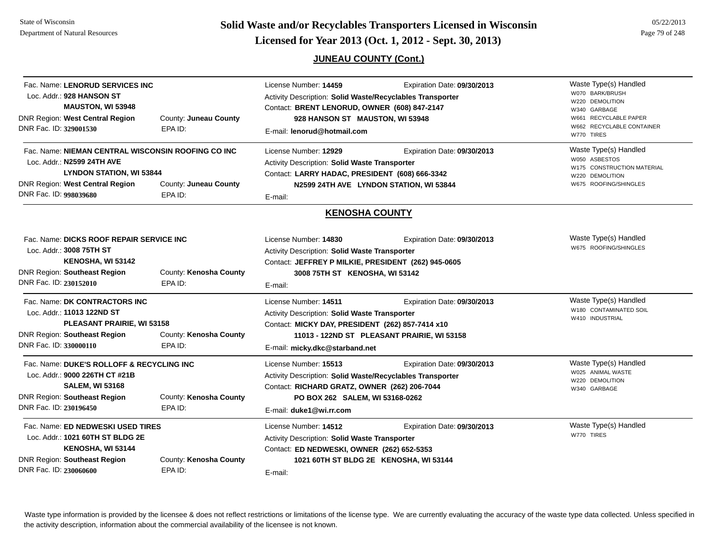**Page 79 of 248 <b>Licensed for Year 2013 (Oct. 1, 2012 - Sept. 30, 2013) Page 79 of 248 Licensed for Year 2013 (Oct. 1, 2012 - Sept. 30, 2013)** 

## **JUNEAU COUNTY (Cont.)**

| Fac. Name: LENORUD SERVICES INC<br>Loc. Addr.: 928 HANSON ST<br><b>MAUSTON, WI 53948</b><br>DNR Region: West Central Region<br>DNR Fac. ID: 329001530                                                                | County: Juneau County<br>EPA ID:  | License Number: 14459<br>Activity Description: Solid Waste/Recyclables Transporter<br>Contact: BRENT LENORUD, OWNER (608) 847-2147<br>928 HANSON ST MAUSTON, WI 53948<br>E-mail: lenorud@hotmail.com          | Expiration Date: 09/30/2013                                                | Waste Type(s) Handled<br>W070 BARK/BRUSH<br>W220 DEMOLITION<br>W340 GARBAGE<br>RECYCLABLE PAPER<br>W661<br>W662 RECYCLABLE CONTAINER<br>W770 TIRES |
|----------------------------------------------------------------------------------------------------------------------------------------------------------------------------------------------------------------------|-----------------------------------|---------------------------------------------------------------------------------------------------------------------------------------------------------------------------------------------------------------|----------------------------------------------------------------------------|----------------------------------------------------------------------------------------------------------------------------------------------------|
| Fac. Name: NIEMAN CENTRAL WISCONSIN ROOFING CO INC<br>Loc. Addr.: N2599 24TH AVE<br><b>LYNDON STATION, WI 53844</b><br>DNR Region: West Central Region<br>County: Juneau County<br>DNR Fac. ID: 998039680<br>EPA ID: |                                   | License Number: 12929<br>Expiration Date: 09/30/2013<br>Activity Description: Solid Waste Transporter<br>Contact: LARRY HADAC, PRESIDENT (608) 666-3342<br>N2599 24TH AVE LYNDON STATION, WI 53844<br>E-mail: |                                                                            | Waste Type(s) Handled<br>W050 ASBESTOS<br>W175 CONSTRUCTION MATERIAL<br>W220 DEMOLITION<br>W675 ROOFING/SHINGLES                                   |
|                                                                                                                                                                                                                      |                                   | <b>KENOSHA COUNTY</b>                                                                                                                                                                                         |                                                                            |                                                                                                                                                    |
| Fac. Name: DICKS ROOF REPAIR SERVICE INC<br>Loc. Addr.: 3008 75TH ST<br>KENOSHA, WI 53142<br>DNR Region: Southeast Region<br>DNR Fac. ID: 230152010                                                                  | County: Kenosha County<br>EPA ID: | License Number: 14830<br>Activity Description: Solid Waste Transporter<br>Contact: JEFFREY P MILKIE, PRESIDENT (262) 945-0605<br>3008 75TH ST KENOSHA, WI 53142<br>E-mail:                                    | Expiration Date: 09/30/2013                                                | Waste Type(s) Handled<br>W675 ROOFING/SHINGLES                                                                                                     |
| Fac. Name: DK CONTRACTORS INC<br>Loc. Addr.: 11013 122ND ST<br>PLEASANT PRAIRIE, WI 53158<br><b>DNR Region: Southeast Region</b><br>DNR Fac. ID: 330000110                                                           | County: Kenosha County<br>EPA ID: | License Number: 14511<br>Activity Description: Solid Waste Transporter<br>Contact: MICKY DAY, PRESIDENT (262) 857-7414 x10<br>E-mail: micky.dkc@starband.net                                                  | Expiration Date: 09/30/2013<br>11013 - 122ND ST PLEASANT PRAIRIE, WI 53158 | Waste Type(s) Handled<br>W180 CONTAMINATED SOIL<br>W410 INDUSTRIAL                                                                                 |
| Fac. Name: DUKE'S ROLLOFF & RECYCLING INC<br>Loc. Addr.: 9000 226TH CT #21B<br><b>SALEM, WI 53168</b><br><b>DNR Region: Southeast Region</b><br>DNR Fac. ID: 230196450                                               | County: Kenosha County<br>EPA ID: | License Number: 15513<br>Activity Description: Solid Waste/Recyclables Transporter<br>Contact: RICHARD GRATZ, OWNER (262) 206-7044<br>PO BOX 262 SALEM, WI 53168-0262<br>E-mail: duke1@wi.rr.com              | Expiration Date: 09/30/2013                                                | Waste Type(s) Handled<br>W025 ANIMAL WASTE<br>W220 DEMOLITION<br>W340 GARBAGE                                                                      |
| Fac. Name: ED NEDWESKI USED TIRES<br>Loc. Addr.: 1021 60TH ST BLDG 2E<br>KENOSHA, WI 53144<br><b>DNR Region: Southeast Region</b><br>DNR Fac. ID: 230060600                                                          | County: Kenosha County<br>EPA ID: | License Number: 14512<br>Activity Description: Solid Waste Transporter<br>Contact: ED NEDWESKI, OWNER (262) 652-5353<br>E-mail:                                                                               | Expiration Date: 09/30/2013<br>1021 60TH ST BLDG 2E KENOSHA, WI 53144      | Waste Type(s) Handled<br>W770 TIRES                                                                                                                |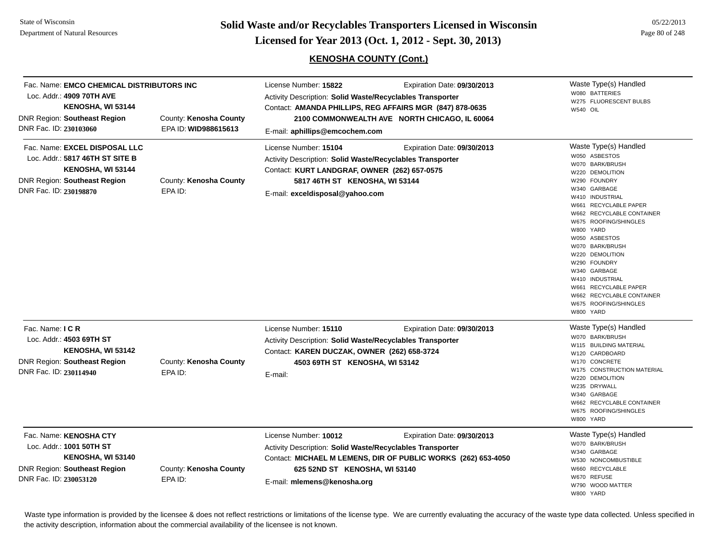State of WisconsinDepartment of Natural Resources

**Page 80 of 248 <b>Licensed for Year 2013 (Oct. 1, 2012 - Sept. 30, 2013) Page 80 of 248 Licensed for Year 2013 (Oct. 1, 2012 - Sept. 30, 2013)** 

## **KENOSHA COUNTY (Cont.)**

| Fac. Name: EMCO CHEMICAL DISTRIBUTORS INC<br>Loc. Addr.: 4909 70TH AVE<br>KENOSHA, WI 53144<br><b>DNR Region: Southeast Region</b><br>DNR Fac. ID: 230103060 | County: Kenosha County<br>EPA ID: WID988615613 | License Number: 15822<br><b>Activity Description: Solid Waste/Recyclables Transporter</b><br>E-mail: aphillips@emcochem.com                                                                             | Expiration Date: 09/30/2013<br>Contact: AMANDA PHILLIPS, REG AFFAIRS MGR (847) 878-0635<br>2100 COMMONWEALTH AVE NORTH CHICAGO, IL 60064 | Waste Type(s) Handled<br>W080 BATTERIES<br>W275 FLUORESCENT BULBS<br><b>W540 OIL</b>                                                                                                                                                                                                                                                                                                                                              |
|--------------------------------------------------------------------------------------------------------------------------------------------------------------|------------------------------------------------|---------------------------------------------------------------------------------------------------------------------------------------------------------------------------------------------------------|------------------------------------------------------------------------------------------------------------------------------------------|-----------------------------------------------------------------------------------------------------------------------------------------------------------------------------------------------------------------------------------------------------------------------------------------------------------------------------------------------------------------------------------------------------------------------------------|
| Fac. Name: EXCEL DISPOSAL LLC<br>Loc. Addr.: 5817 46TH ST SITE B<br>KENOSHA, WI 53144<br><b>DNR Region: Southeast Region</b><br>DNR Fac. ID: 230198870       | County: Kenosha County<br>EPA ID:              | License Number: 15104<br>Activity Description: Solid Waste/Recyclables Transporter<br>Contact: KURT LANDGRAF, OWNER (262) 657-0575<br>5817 46TH ST KENOSHA, WI 53144<br>E-mail: exceldisposal@yahoo.com | Expiration Date: 09/30/2013                                                                                                              | Waste Type(s) Handled<br>W050 ASBESTOS<br>W070 BARK/BRUSH<br>W220 DEMOLITION<br>W290 FOUNDRY<br>W340 GARBAGE<br>W410 INDUSTRIAL<br>W661 RECYCLABLE PAPER<br>W662 RECYCLABLE CONTAINER<br>W675 ROOFING/SHINGLES<br>W800 YARD<br>W050 ASBESTOS<br>W070 BARK/BRUSH<br>W220 DEMOLITION<br>W290 FOUNDRY<br>W340 GARBAGE<br>W410 INDUSTRIAL<br>W661 RECYCLABLE PAPER<br>W662 RECYCLABLE CONTAINER<br>W675 ROOFING/SHINGLES<br>W800 YARD |
| Fac. Name: I C R<br>Loc. Addr.: 4503 69TH ST<br>KENOSHA, WI 53142<br><b>DNR Region: Southeast Region</b><br>DNR Fac. ID: 230114940                           | County: Kenosha County<br>EPA ID:              | License Number: 15110<br><b>Activity Description: Solid Waste/Recyclables Transporter</b><br>Contact: KAREN DUCZAK, OWNER (262) 658-3724<br>4503 69TH ST KENOSHA, WI 53142<br>E-mail:                   | Expiration Date: 09/30/2013                                                                                                              | Waste Type(s) Handled<br>W070 BARK/BRUSH<br>W115 BUILDING MATERIAL<br>W120 CARDBOARD<br>W170 CONCRETE<br>W175 CONSTRUCTION MATERIAL<br>W220 DEMOLITION<br>W235 DRYWALL<br>W340 GARBAGE<br>W662 RECYCLABLE CONTAINER<br>W675 ROOFING/SHINGLES<br>W800 YARD                                                                                                                                                                         |
| Fac. Name: KENOSHA CTY<br>Loc. Addr.: 1001 50TH ST<br>KENOSHA, WI 53140<br><b>DNR Region: Southeast Region</b><br>DNR Fac. ID: 230053120                     | County: Kenosha County<br>EPA ID:              | License Number: 10012<br>Activity Description: Solid Waste/Recyclables Transporter<br>625 52ND ST KENOSHA, WI 53140<br>E-mail: mlemens@kenosha.org                                                      | Expiration Date: 09/30/2013<br>Contact: MICHAEL M LEMENS, DIR OF PUBLIC WORKS (262) 653-4050                                             | Waste Type(s) Handled<br>W070 BARK/BRUSH<br>W340 GARBAGE<br>W530 NONCOMBUSTIBLE<br>W660 RECYCLABLE<br>W670 REFUSE<br>W790 WOOD MATTER<br>W800 YARD                                                                                                                                                                                                                                                                                |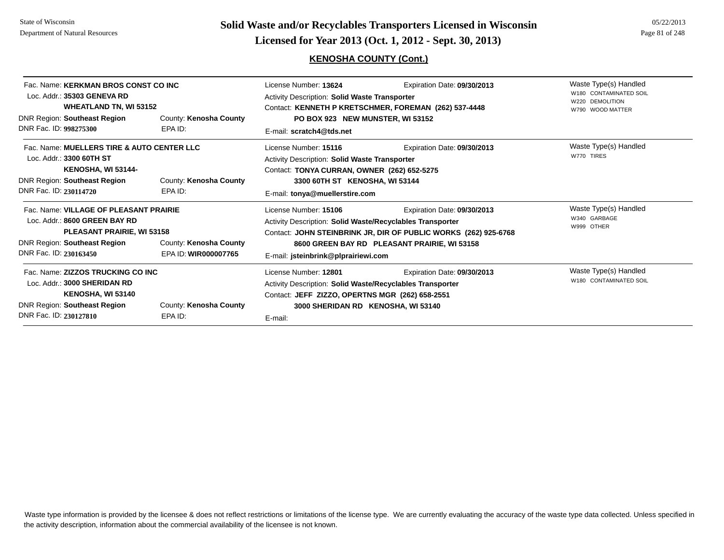# **Page 81 of 248 <b>Licensed for Year 2013 (Oct. 1, 2012 - Sept. 30, 2013) Page 81 of 248 Licensed for Year 2013 (Oct. 1, 2012 - Sept. 30, 2013)**

## **KENOSHA COUNTY (Cont.)**

| Fac. Name: KERKMAN BROS CONST CO INC<br>Loc. Addr.: 35303 GENEVA RD<br><b>WHEATLAND TN, WI 53152</b><br><b>DNR Region: Southeast Region</b><br>DNR Fac. ID: 998275300                                             | County: Kenosha County<br>EPA ID: | License Number: 13624<br>Expiration Date: 09/30/2013<br><b>Activity Description: Solid Waste Transporter</b><br>Contact: KENNETH P KRETSCHMER, FOREMAN (262) 537-4448<br>PO BOX 923 NEW MUNSTER, WI 53152<br>E-mail: scratch4@tds.net                                       |                             | Waste Type(s) Handled<br>W180 CONTAMINATED SOIL<br>W220 DEMOLITION<br>W790 WOOD MATTER |
|-------------------------------------------------------------------------------------------------------------------------------------------------------------------------------------------------------------------|-----------------------------------|-----------------------------------------------------------------------------------------------------------------------------------------------------------------------------------------------------------------------------------------------------------------------------|-----------------------------|----------------------------------------------------------------------------------------|
| Fac. Name: MUELLERS TIRE & AUTO CENTER LLC<br>Loc. Addr.: 3300 60TH ST<br>KENOSHA, WI 53144-<br><b>DNR Region: Southeast Region</b><br>DNR Fac. ID: 230114720                                                     | County: Kenosha County<br>EPA ID: | License Number: 15116<br><b>Activity Description: Solid Waste Transporter</b><br>Contact: TONYA CURRAN, OWNER (262) 652-5275<br>3300 60TH ST KENOSHA, WI 53144<br>E-mail: tonya@muellerstire.com                                                                            | Expiration Date: 09/30/2013 | Waste Type(s) Handled<br>W770 TIRES                                                    |
| Fac. Name: VILLAGE OF PLEASANT PRAIRIE<br>Loc. Addr.: 8600 GREEN BAY RD<br>PLEASANT PRAIRIE, WI 53158<br>DNR Region: Southeast Region<br>County: Kenosha County<br>DNR Fac. ID: 230163450<br>EPA ID: WIR000007765 |                                   | Expiration Date: 09/30/2013<br>License Number: 15106<br>Activity Description: Solid Waste/Recyclables Transporter<br>Contact: JOHN STEINBRINK JR, DIR OF PUBLIC WORKS (262) 925-6768<br>8600 GREEN BAY RD PLEASANT PRAIRIE, WI 53158<br>E-mail: jsteinbrink@plprairiewi.com |                             | Waste Type(s) Handled<br>W340 GARBAGE<br>W999 OTHER                                    |
| Fac. Name: ZIZZOS TRUCKING CO INC<br>Loc. Addr.: 3000 SHERIDAN RD<br>KENOSHA, WI 53140<br><b>DNR Region: Southeast Region</b><br>DNR Fac. ID: 230127810                                                           | County: Kenosha County<br>EPA ID: | License Number: 12801<br>Activity Description: Solid Waste/Recyclables Transporter<br>Contact: JEFF ZIZZO, OPERTNS MGR (262) 658-2551<br>3000 SHERIDAN RD KENOSHA, WI 53140<br>E-mail:                                                                                      | Expiration Date: 09/30/2013 | Waste Type(s) Handled<br>W180 CONTAMINATED SOIL                                        |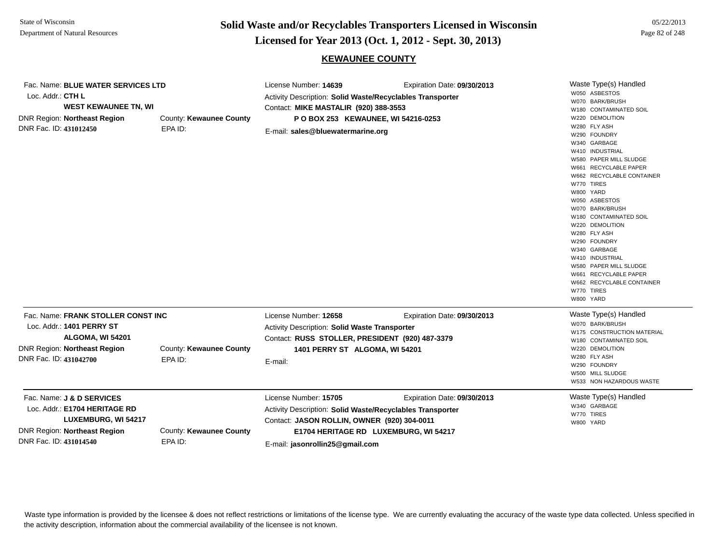**Page 82 of 248 <b>Licensed for Year 2013 (Oct. 1, 2012 - Sept. 30, 2013) Page 82 of 248 Licensed for Year 2013 (Oct. 1, 2012 - Sept. 30, 2013)** 

### **KEWAUNEE COUNTY**

| Fac. Name: BLUE WATER SERVICES LTD<br>Loc. Addr.: CTH L<br><b>WEST KEWAUNEE TN, WI</b><br><b>DNR Region: Northeast Region</b><br>DNR Fac. ID: 431012450 | County: Kewaunee County<br>EPA ID: | License Number: 14639<br>Activity Description: Solid Waste/Recyclables Transporter<br>Contact: MIKE MASTALIR (920) 388-3553<br>P O BOX 253 KEWAUNEE, WI 54216-0253<br>E-mail: sales@bluewatermarine.org       | Expiration Date: 09/30/2013 | Waste Type(s) Handled<br>W050 ASBESTOS<br>W070 BARK/BRUSH<br>W180 CONTAMINATED SOIL<br>W220 DEMOLITION<br>W280 FLY ASH<br>W290 FOUNDRY<br>W340 GARBAGE<br>W410 INDUSTRIAL<br>W580 PAPER MILL SLUDGE<br>W661 RECYCLABLE PAPER<br>W662 RECYCLABLE CONTAINER<br>W770 TIRES<br>W800 YARD<br>W050 ASBESTOS<br>W070 BARK/BRUSH<br>W180 CONTAMINATED SOIL<br>W220 DEMOLITION<br>W280 FLY ASH<br>W290 FOUNDRY<br>W340 GARBAGE<br>W410 INDUSTRIAL<br>W580 PAPER MILL SLUDGE<br>W661 RECYCLABLE PAPER |
|---------------------------------------------------------------------------------------------------------------------------------------------------------|------------------------------------|---------------------------------------------------------------------------------------------------------------------------------------------------------------------------------------------------------------|-----------------------------|---------------------------------------------------------------------------------------------------------------------------------------------------------------------------------------------------------------------------------------------------------------------------------------------------------------------------------------------------------------------------------------------------------------------------------------------------------------------------------------------|
|                                                                                                                                                         |                                    |                                                                                                                                                                                                               |                             | W662 RECYCLABLE CONTAINER<br>W770 TIRES<br>W800 YARD                                                                                                                                                                                                                                                                                                                                                                                                                                        |
| Fac. Name: FRANK STOLLER CONST INC<br>Loc. Addr.: 1401 PERRY ST<br>ALGOMA, WI 54201<br><b>DNR Region: Northeast Region</b><br>DNR Fac. ID: 431042700    | County: Kewaunee County<br>EPA ID: | License Number: 12658<br>Activity Description: Solid Waste Transporter<br>Contact: RUSS STOLLER, PRESIDENT (920) 487-3379<br>1401 PERRY ST ALGOMA, WI 54201<br>E-mail:                                        | Expiration Date: 09/30/2013 | Waste Type(s) Handled<br>W070 BARK/BRUSH<br>W175 CONSTRUCTION MATERIAL<br>W180 CONTAMINATED SOIL<br>W220 DEMOLITION<br>W280 FLY ASH<br>W290 FOUNDRY<br>W500 MILL SLUDGE<br>W533 NON HAZARDOUS WASTE                                                                                                                                                                                                                                                                                         |
| Fac. Name: J & D SERVICES<br>Loc. Addr.: E1704 HERITAGE RD<br>LUXEMBURG, WI 54217<br>DNR Region: Northeast Region<br>DNR Fac. ID: 431014540             | County: Kewaunee County<br>EPA ID: | License Number: 15705<br>Activity Description: Solid Waste/Recyclables Transporter<br>Contact: JASON ROLLIN, OWNER (920) 304-0011<br>E1704 HERITAGE RD LUXEMBURG, WI 54217<br>E-mail: jasonrollin25@gmail.com | Expiration Date: 09/30/2013 | Waste Type(s) Handled<br>W340 GARBAGE<br>W770 TIRES<br>W800 YARD                                                                                                                                                                                                                                                                                                                                                                                                                            |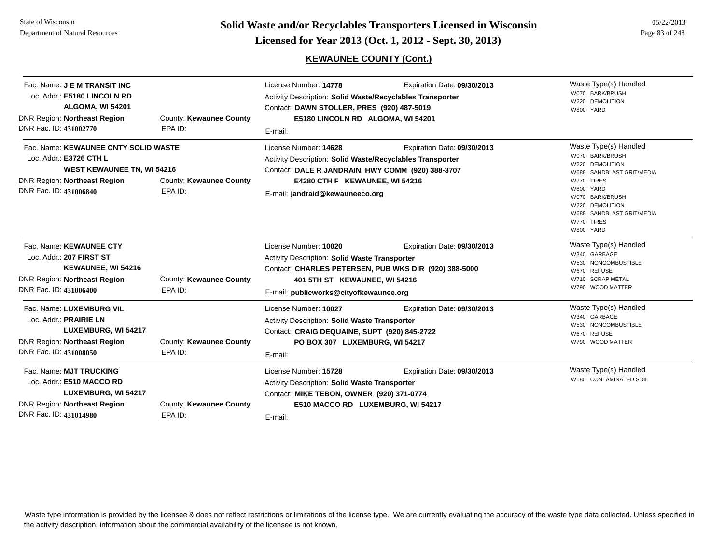**Page 83 of 248 <b>Licensed for Year 2013 (Oct. 1, 2012 - Sept. 30, 2013) Page 83 of 248 Licensed for Year 2013 (Oct. 1, 2012 - Sept. 30, 2013)** 

## **KEWAUNEE COUNTY (Cont.)**

05/22/2013

| Fac. Name: <b>J E M TRANSIT INC</b><br>Loc. Addr.: E5180 LINCOLN RD<br>ALGOMA, WI 54201<br><b>DNR Region: Northeast Region</b><br>DNR Fac. ID: 431002770                                                    | County: Kewaunee County<br>EPA ID: | License Number: 14778<br>Activity Description: Solid Waste/Recyclables Transporter<br>Contact: DAWN STOLLER, PRES (920) 487-5019<br>E5180 LINCOLN RD ALGOMA, WI 54201<br>E-mail:                                                            | Waste Type(s) Handled<br>W070 BARK/BRUSH<br>W220 DEMOLITION<br>W800 YARD             |                                                                                                                                                                                                                   |
|-------------------------------------------------------------------------------------------------------------------------------------------------------------------------------------------------------------|------------------------------------|---------------------------------------------------------------------------------------------------------------------------------------------------------------------------------------------------------------------------------------------|--------------------------------------------------------------------------------------|-------------------------------------------------------------------------------------------------------------------------------------------------------------------------------------------------------------------|
| Fac. Name: KEWAUNEE CNTY SOLID WASTE<br>Loc. Addr.: E3726 CTH L<br><b>WEST KEWAUNEE TN, WI 54216</b><br><b>DNR Region: Northeast Region</b><br>County: Kewaunee County<br>DNR Fac. ID: 431006840<br>EPA ID: |                                    | License Number: 14628<br>Expiration Date: 09/30/2013<br>Activity Description: Solid Waste/Recyclables Transporter<br>Contact: DALE R JANDRAIN, HWY COMM (920) 388-3707<br>E4280 CTH F KEWAUNEE, WI 54216<br>E-mail: jandraid@kewauneeco.org |                                                                                      | Waste Type(s) Handled<br>W070 BARK/BRUSH<br>W220 DEMOLITION<br>W688 SANDBLAST GRIT/MEDIA<br>W770 TIRES<br>W800 YARD<br>W070 BARK/BRUSH<br>W220 DEMOLITION<br>W688 SANDBLAST GRIT/MEDIA<br>W770 TIRES<br>W800 YARD |
| Fac. Name: KEWAUNEE CTY<br>Loc. Addr.: 207 FIRST ST<br>KEWAUNEE, WI 54216<br><b>DNR Region: Northeast Region</b><br>DNR Fac. ID: 431006400                                                                  | County: Kewaunee County<br>EPA ID: | License Number: 10020<br><b>Activity Description: Solid Waste Transporter</b><br>401 5TH ST KEWAUNEE, WI 54216<br>E-mail: publicworks@cityofkewaunee.org                                                                                    | Expiration Date: 09/30/2013<br>Contact: CHARLES PETERSEN, PUB WKS DIR (920) 388-5000 | Waste Type(s) Handled<br>W340 GARBAGE<br>W530 NONCOMBUSTIBLE<br>W670 REFUSE<br>W710 SCRAP METAL<br>W790 WOOD MATTER                                                                                               |
| Fac. Name: LUXEMBURG VIL<br>Loc. Addr.: PRAIRIE LN<br>LUXEMBURG, WI 54217<br><b>DNR Region: Northeast Region</b><br>DNR Fac. ID: 431008050                                                                  | County: Kewaunee County<br>EPA ID: | License Number: 10027<br><b>Activity Description: Solid Waste Transporter</b><br>Contact: CRAIG DEQUAINE, SUPT (920) 845-2722<br>PO BOX 307 LUXEMBURG, WI 54217<br>E-mail:                                                                  | Expiration Date: 09/30/2013                                                          | Waste Type(s) Handled<br>W340 GARBAGE<br>W530 NONCOMBUSTIBLE<br>W670 REFUSE<br>W790 WOOD MATTER                                                                                                                   |
| Fac. Name: MJT TRUCKING<br>Loc. Addr.: E510 MACCO RD<br>LUXEMBURG, WI 54217<br><b>DNR Region: Northeast Region</b><br>DNR Fac. ID: 431014980                                                                | County: Kewaunee County<br>EPA ID: | License Number: 15728<br>Activity Description: Solid Waste Transporter<br>Contact: MIKE TEBON, OWNER (920) 371-0774<br>E510 MACCO RD LUXEMBURG, WI 54217<br>E-mail:                                                                         | Expiration Date: 09/30/2013                                                          | Waste Type(s) Handled<br>W180 CONTAMINATED SOIL                                                                                                                                                                   |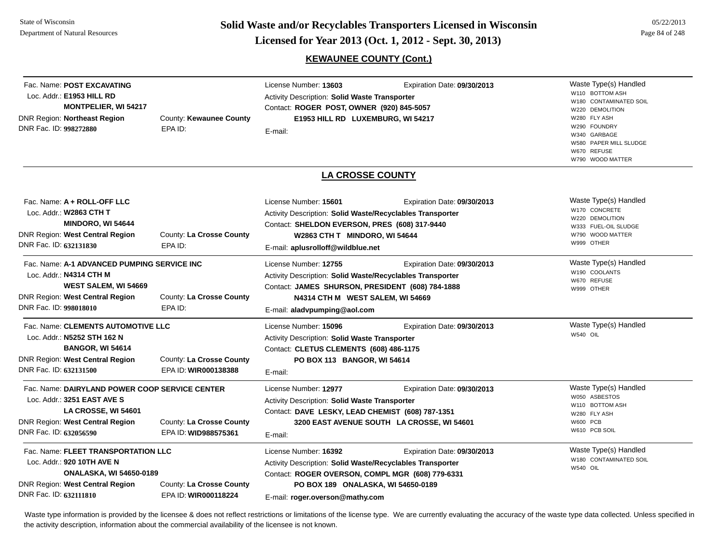**Page 84 of 248 <b>Licensed for Year 2013 (Oct. 1, 2012 - Sept. 30, 2013) Page 84 of 248 Licensed for Year 2013 (Oct. 1, 2012 - Sept. 30, 2013)** 

## **KEWAUNEE COUNTY (Cont.)**

| Fac. Name: POST EXCAVATING<br>Loc. Addr.: E1953 HILL RD<br><b>MONTPELIER, WI 54217</b><br>DNR Region: Northeast Region<br>DNR Fac. ID: 998272880                         | County: Kewaunee County<br>EPA ID:               | License Number: 13603<br><b>Activity Description: Solid Waste Transporter</b><br>Contact: ROGER POST, OWNER (920) 845-5057<br>E1953 HILL RD LUXEMBURG, WI 54217<br>E-mail:                                        | Expiration Date: 09/30/2013                                               | Waste Type(s) Handled<br>W110 BOTTOM ASH<br>W180 CONTAMINATED SOIL<br>W220 DEMOLITION<br>W280 FLY ASH<br>W290 FOUNDRY<br>W340 GARBAGE<br>W580 PAPER MILL SLUDGE<br>W670 REFUSE<br>W790 WOOD MATTER |
|--------------------------------------------------------------------------------------------------------------------------------------------------------------------------|--------------------------------------------------|-------------------------------------------------------------------------------------------------------------------------------------------------------------------------------------------------------------------|---------------------------------------------------------------------------|----------------------------------------------------------------------------------------------------------------------------------------------------------------------------------------------------|
|                                                                                                                                                                          |                                                  | <b>LA CROSSE COUNTY</b>                                                                                                                                                                                           |                                                                           |                                                                                                                                                                                                    |
| Fac. Name: A + ROLL-OFF LLC<br>Loc. Addr.: W2863 CTH T<br><b>MINDORO, WI 54644</b><br>DNR Region: West Central Region<br>DNR Fac. ID: 632131830                          | County: La Crosse County<br>EPA ID:              | License Number: 15601<br>Activity Description: Solid Waste/Recyclables Transporter<br>Contact: SHELDON EVERSON, PRES (608) 317-9440<br>W2863 CTH T MINDORO, WI 54644<br>E-mail: aplusrolloff@wildblue.net         | Expiration Date: 09/30/2013                                               | Waste Type(s) Handled<br>W170 CONCRETE<br>W220 DEMOLITION<br>W333 FUEL-OIL SLUDGE<br>W790 WOOD MATTER<br>W999 OTHER                                                                                |
| Fac. Name: A-1 ADVANCED PUMPING SERVICE INC<br>Loc. Addr.: N4314 CTH M<br><b>WEST SALEM, WI 54669</b><br>DNR Region: West Central Region<br>DNR Fac. ID: 998018010       | County: La Crosse County<br>EPA ID:              | License Number: 12755<br><b>Activity Description: Solid Waste/Recyclables Transporter</b><br>Contact: JAMES SHURSON, PRESIDENT (608) 784-1888<br>N4314 CTH M WEST SALEM, WI 54669<br>E-mail: aladvpumping@aol.com | Expiration Date: 09/30/2013                                               | Waste Type(s) Handled<br>W190 COOLANTS<br>W670 REFUSE<br>W999 OTHER                                                                                                                                |
| Fac. Name: CLEMENTS AUTOMOTIVE LLC<br>Loc. Addr.: N5252 STH 162 N<br><b>BANGOR, WI 54614</b><br>DNR Region: West Central Region<br>DNR Fac. ID: 632131500                | County: La Crosse County<br>EPA ID: WIR000138388 | License Number: 15096<br><b>Activity Description: Solid Waste Transporter</b><br>Contact: CLETUS CLEMENTS (608) 486-1175<br>PO BOX 113 BANGOR, WI 54614<br>E-mail:                                                | Expiration Date: 09/30/2013                                               | Waste Type(s) Handled<br>W540 OIL                                                                                                                                                                  |
| Fac. Name: DAIRYLAND POWER COOP SERVICE CENTER<br>Loc. Addr.: 3251 EAST AVE S<br>LA CROSSE, WI 54601<br><b>DNR Region: West Central Region</b><br>DNR Fac. ID: 632056590 | County: La Crosse County<br>EPA ID: WID988575361 | License Number: 12977<br>Activity Description: Solid Waste Transporter<br>Contact: DAVE LESKY, LEAD CHEMIST (608) 787-1351<br>E-mail:                                                                             | Expiration Date: 09/30/2013<br>3200 EAST AVENUE SOUTH LA CROSSE, WI 54601 | Waste Type(s) Handled<br>W050 ASBESTOS<br>W110 BOTTOM ASH<br>W280 FLY ASH<br><b>W600 PCB</b><br>W610 PCB SOIL                                                                                      |
| Fac. Name: FLEET TRANSPORTATION LLC<br>Loc. Addr.: 920 10TH AVE N<br><b>ONALASKA, WI 54650-0189</b><br><b>DNR Region: West Central Region</b><br>DNR Fac. ID: 632111810  | County: La Crosse County<br>EPA ID: WIR000118224 | License Number: 16392<br>Activity Description: Solid Waste/Recyclables Transporter<br>Contact: ROGER OVERSON, COMPL MGR (608) 779-6331<br>PO BOX 189 ONALASKA, WI 54650-0189<br>E-mail: roger.overson@mathy.com   | Expiration Date: 09/30/2013                                               | Waste Type(s) Handled<br>W180 CONTAMINATED SOIL<br>W540 OIL                                                                                                                                        |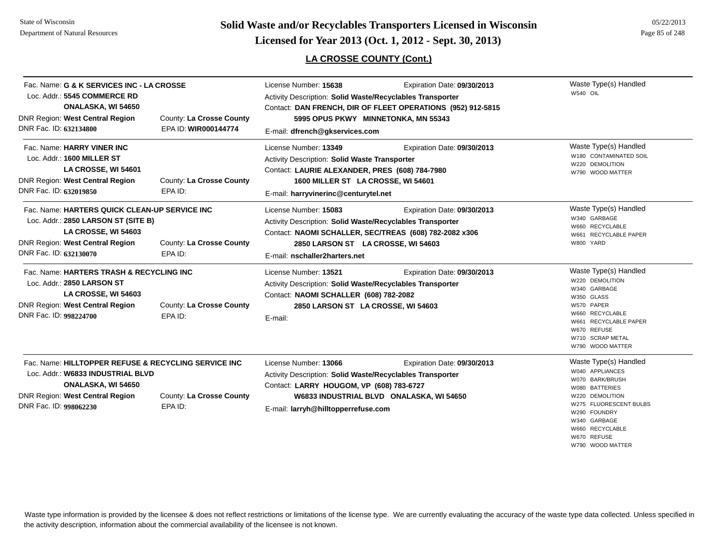**Page 85 of 248 <b>Licensed for Year 2013 (Oct. 1, 2012 - Sept. 30, 2013) Page 85 of 248 Licensed for Year 2013 (Oct. 1, 2012 - Sept. 30, 2013)** 

## **LA CROSSE COUNTY (Cont.)**

| Fac. Name: G & K SERVICES INC - LA CROSSE<br>Loc. Addr.: 5545 COMMERCE RD<br>ONALASKA, WI 54650<br><b>DNR Region: West Central Region</b><br>DNR Fac. ID: 632134800                        | County: La Crosse County<br>EPA ID: WIR000144774 | License Number: 15638<br>Expiration Date: 09/30/2013<br>Activity Description: Solid Waste/Recyclables Transporter<br>Contact: DAN FRENCH, DIR OF FLEET OPERATIONS (952) 912-5815<br>5995 OPUS PKWY MINNETONKA, MN 55343                                                 | Waste Type(s) Handled<br>W540 OIL                                                                                                                                                                                |
|--------------------------------------------------------------------------------------------------------------------------------------------------------------------------------------------|--------------------------------------------------|-------------------------------------------------------------------------------------------------------------------------------------------------------------------------------------------------------------------------------------------------------------------------|------------------------------------------------------------------------------------------------------------------------------------------------------------------------------------------------------------------|
| Fac. Name: HARRY VINER INC<br>Loc. Addr.: 1600 MILLER ST<br>LA CROSSE, WI 54601<br><b>DNR Region: West Central Region</b><br>DNR Fac. ID: 632019850                                        | County: La Crosse County<br>EPA ID:              | E-mail: dfrench@gkservices.com<br>License Number: 13349<br>Expiration Date: 09/30/2013<br>Activity Description: Solid Waste Transporter<br>Contact: LAURIE ALEXANDER, PRES (608) 784-7980<br>1600 MILLER ST LA CROSSE, WI 54601<br>E-mail: harryvinerinc@centurytel.net | Waste Type(s) Handled<br>W180 CONTAMINATED SOIL<br>W220 DEMOLITION<br>W790 WOOD MATTER                                                                                                                           |
| Fac. Name: HARTERS QUICK CLEAN-UP SERVICE INC<br>Loc. Addr.: 2850 LARSON ST (SITE B)<br>LA CROSSE, WI 54603<br><b>DNR Region: West Central Region</b><br>DNR Fac. ID: 632130070            | County: La Crosse County<br>EPA ID:              | License Number: 15083<br>Expiration Date: 09/30/2013<br>Activity Description: Solid Waste/Recyclables Transporter<br>Contact: NAOMI SCHALLER, SEC/TREAS (608) 782-2082 x306<br>2850 LARSON ST LA CROSSE, WI 54603<br>E-mail: nschaller2harters.net                      | Waste Type(s) Handled<br>W340 GARBAGE<br>W660 RECYCLABLE<br>W661 RECYCLABLE PAPER<br>W800 YARD                                                                                                                   |
| Fac. Name: HARTERS TRASH & RECYCLING INC<br>Loc. Addr.: 2850 LARSON ST<br>LA CROSSE, WI 54603<br><b>DNR Region: West Central Region</b><br>DNR Fac. ID: 998224700                          | County: La Crosse County<br>EPA ID:              | Expiration Date: 09/30/2013<br>License Number: 13521<br>Activity Description: Solid Waste/Recyclables Transporter<br>Contact: NAOMI SCHALLER (608) 782-2082<br>2850 LARSON ST LA CROSSE, WI 54603<br>E-mail:                                                            | Waste Type(s) Handled<br>W220 DEMOLITION<br>W340 GARBAGE<br>W350 GLASS<br>W570 PAPER<br>W660 RECYCLABLE<br>W661 RECYCLABLE PAPER<br>W670 REFUSE<br>W710 SCRAP METAL<br>W790 WOOD MATTER                          |
| Fac. Name: HILLTOPPER REFUSE & RECYCLING SERVICE INC<br>Loc. Addr.: W6833 INDUSTRIAL BLVD<br><b>ONALASKA, WI 54650</b><br><b>DNR Region: West Central Region</b><br>DNR Fac. ID: 998062230 | County: La Crosse County<br>EPA ID:              | License Number: 13066<br>Expiration Date: 09/30/2013<br>Activity Description: Solid Waste/Recyclables Transporter<br>Contact: LARRY HOUGOM, VP (608) 783-6727<br>W6833 INDUSTRIAL BLVD ONALASKA, WI 54650<br>E-mail: larryh@hilltopperrefuse.com                        | Waste Type(s) Handled<br>W040 APPLIANCES<br>W070 BARK/BRUSH<br>W080 BATTERIES<br>W220 DEMOLITION<br>W275 FLUORESCENT BULBS<br>W290 FOUNDRY<br>W340 GARBAGE<br>W660 RECYCLABLE<br>W670 REFUSE<br>W790 WOOD MATTER |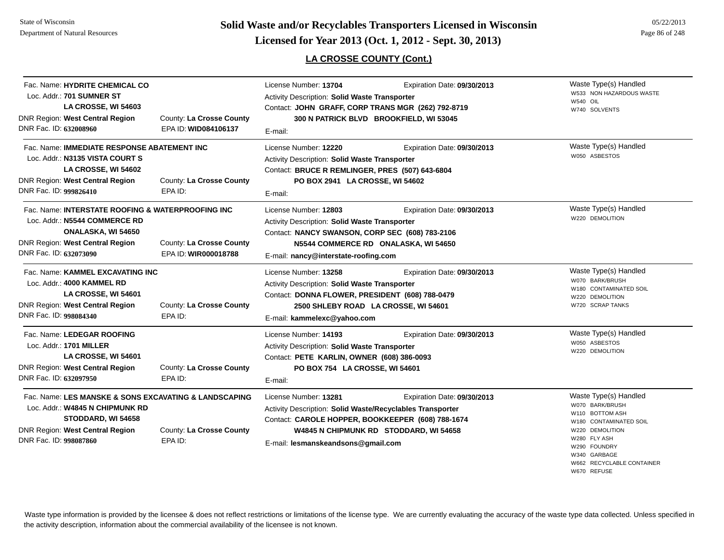**Page 86 of 248 <b>Licensed for Year 2013 (Oct. 1, 2012 - Sept. 30, 2013) Page 86 of 248 Licensed for Year 2013 (Oct. 1, 2012 - Sept. 30, 2013)** 

## **LA CROSSE COUNTY (Cont.)**

| Fac. Name: HYDRITE CHEMICAL CO<br>Loc. Addr.: 701 SUMNER ST<br>LA CROSSE, WI 54603<br>DNR Region: West Central Region<br>DNR Fac. ID: 632008960                                    | County: La Crosse County<br>EPA ID: WID084106137 | License Number: 13704<br>Activity Description: Solid Waste Transporter<br>Contact: JOHN GRAFF, CORP TRANS MGR (262) 792-8719<br>E-mail:                                       | Expiration Date: 09/30/2013<br>300 N PATRICK BLVD BROOKFIELD, WI 53045 | Waste Type(s) Handled<br>W533 NON HAZARDOUS WASTE<br><b>W540 OIL</b><br>W740 SOLVENTS                                                                                                 |
|------------------------------------------------------------------------------------------------------------------------------------------------------------------------------------|--------------------------------------------------|-------------------------------------------------------------------------------------------------------------------------------------------------------------------------------|------------------------------------------------------------------------|---------------------------------------------------------------------------------------------------------------------------------------------------------------------------------------|
| Fac. Name: IMMEDIATE RESPONSE ABATEMENT INC<br>Loc. Addr.: N3135 VISTA COURT S<br>LA CROSSE, WI 54602<br><b>DNR Region: West Central Region</b><br>DNR Fac. ID: 999826410          | County: La Crosse County<br>EPA ID:              | License Number: 12220<br>Activity Description: Solid Waste Transporter<br>Contact: BRUCE R REMLINGER, PRES (507) 643-6804<br>PO BOX 2941 LA CROSSE, WI 54602<br>E-mail:       | Expiration Date: 09/30/2013                                            | Waste Type(s) Handled<br>W050 ASBESTOS                                                                                                                                                |
| Fac. Name: INTERSTATE ROOFING & WATERPROOFING INC<br>Loc. Addr.: N5544 COMMERCE RD<br><b>ONALASKA, WI 54650</b><br>DNR Region: West Central Region<br>DNR Fac. ID: 632073090       | County: La Crosse County<br>EPA ID: WIR000018788 | License Number: 12803<br>Activity Description: Solid Waste Transporter<br>Contact: NANCY SWANSON, CORP SEC (608) 783-2106<br>E-mail: nancy@interstate-roofing.com             | Expiration Date: 09/30/2013<br>N5544 COMMERCE RD ONALASKA, WI 54650    | Waste Type(s) Handled<br>W220 DEMOLITION                                                                                                                                              |
| Fac. Name: KAMMEL EXCAVATING INC<br>Loc. Addr.: 4000 KAMMEL RD<br>LA CROSSE, WI 54601<br>DNR Region: West Central Region<br>DNR Fac. ID: 998084340                                 | County: La Crosse County<br>EPA ID:              | License Number: 13258<br>Activity Description: Solid Waste Transporter<br>Contact: DONNA FLOWER, PRESIDENT (608) 788-0479<br>E-mail: kammelexc@yahoo.com                      | Expiration Date: 09/30/2013<br>2500 SHLEBY ROAD LA CROSSE, WI 54601    | Waste Type(s) Handled<br>W070 BARK/BRUSH<br>W180 CONTAMINATED SOIL<br>W220 DEMOLITION<br>W720 SCRAP TANKS                                                                             |
| Fac. Name: LEDEGAR ROOFING<br>Loc. Addr.: 1701 MILLER<br>LA CROSSE, WI 54601<br><b>DNR Region: West Central Region</b><br>DNR Fac. ID: 632097950                                   | County: La Crosse County<br>EPA ID:              | License Number: 14193<br>Activity Description: Solid Waste Transporter<br>Contact: PETE KARLIN, OWNER (608) 386-0093<br>PO BOX 754 LA CROSSE, WI 54601<br>E-mail:             | Expiration Date: 09/30/2013                                            | Waste Type(s) Handled<br>W050 ASBESTOS<br>W220 DEMOLITION                                                                                                                             |
| Fac. Name: LES MANSKE & SONS EXCAVATING & LANDSCAPING<br>Loc. Addr.: W4845 N CHIPMUNK RD<br>STODDARD, WI 54658<br><b>DNR Region: West Central Region</b><br>DNR Fac. ID: 998087860 | County: La Crosse County<br>EPA ID:              | License Number: 13281<br>Activity Description: Solid Waste/Recyclables Transporter<br>Contact: CAROLE HOPPER, BOOKKEEPER (608) 788-1674<br>E-mail: lesmanskeandsons@gmail.com | Expiration Date: 09/30/2013<br>W4845 N CHIPMUNK RD STODDARD, WI 54658  | Waste Type(s) Handled<br>W070 BARK/BRUSH<br>W110 BOTTOM ASH<br>W180 CONTAMINATED SOIL<br>W220 DEMOLITION<br>W280 FLY ASH<br>W290 FOUNDRY<br>W340 GARBAGE<br>W662 RECYCLABLE CONTAINER |

W670 REFUSE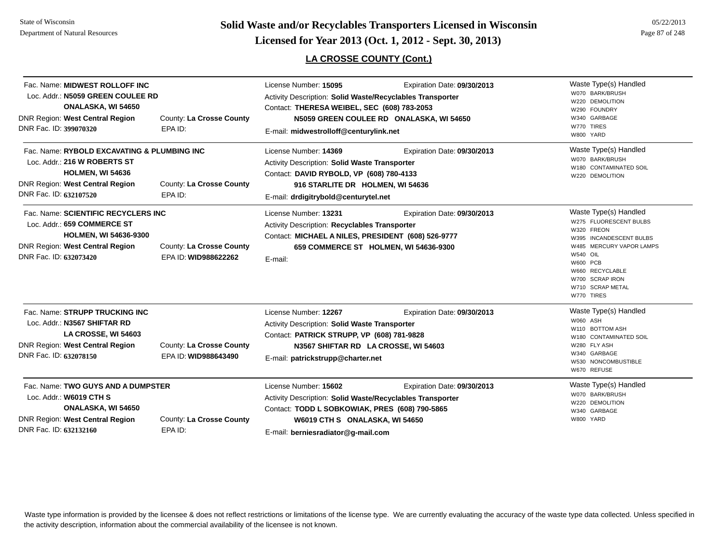State of WisconsinDepartment of Natural Resources

**Page 87 of 248 <b>Licensed for Year 2013 (Oct. 1, 2012 - Sept. 30, 2013) Page 87 of 248 Licensed for Year 2013 (Oct. 1, 2012 - Sept. 30, 2013)** 

## **LA CROSSE COUNTY (Cont.)**

| Fac. Name: MIDWEST ROLLOFF INC<br>Loc. Addr.: N5059 GREEN COULEE RD<br>ONALASKA, WI 54650<br>DNR Region: West Central Region<br>DNR Fac. ID: 399070320                                                            | County: La Crosse County<br>EPA ID:              | License Number: 15095<br>Activity Description: Solid Waste/Recyclables Transporter<br>Contact: THERESA WEIBEL, SEC (608) 783-2053<br>E-mail: midwestrolloff@centurylink.net                                                   | Expiration Date: 09/30/2013<br>N5059 GREEN COULEE RD ONALASKA, WI 54650 | Waste Type(s) Handled<br>W070 BARK/BRUSH<br>W220 DEMOLITION<br>W290 FOUNDRY<br>W340 GARBAGE<br>W770 TIRES<br>W800 YARD                                                                                                             |
|-------------------------------------------------------------------------------------------------------------------------------------------------------------------------------------------------------------------|--------------------------------------------------|-------------------------------------------------------------------------------------------------------------------------------------------------------------------------------------------------------------------------------|-------------------------------------------------------------------------|------------------------------------------------------------------------------------------------------------------------------------------------------------------------------------------------------------------------------------|
| Fac. Name: RYBOLD EXCAVATING & PLUMBING INC<br>Loc. Addr.: 216 W ROBERTS ST<br><b>HOLMEN, WI 54636</b><br><b>DNR Region: West Central Region</b><br>County: La Crosse County<br>DNR Fac. ID: 632107520<br>EPA ID: |                                                  | License Number: 14369<br>Expiration Date: 09/30/2013<br>Activity Description: Solid Waste Transporter<br>Contact: DAVID RYBOLD, VP (608) 780-4133<br>916 STARLITE DR HOLMEN, WI 54636<br>E-mail: drdigitrybold@centurytel.net |                                                                         | Waste Type(s) Handled<br>W070 BARK/BRUSH<br>W180 CONTAMINATED SOIL<br>W220 DEMOLITION                                                                                                                                              |
| Fac. Name: SCIENTIFIC RECYCLERS INC<br>Loc. Addr.: 659 COMMERCE ST<br><b>HOLMEN, WI 54636-9300</b><br><b>DNR Region: West Central Region</b><br>DNR Fac. ID: 632073420                                            | County: La Crosse County<br>EPA ID: WID988622262 | License Number: 13231<br>Activity Description: Recyclables Transporter<br>Contact: MICHAEL A NILES, PRESIDENT (608) 526-9777<br>E-mail:                                                                                       | Expiration Date: 09/30/2013<br>659 COMMERCE ST HOLMEN, WI 54636-9300    | Waste Type(s) Handled<br>W275 FLUORESCENT BULBS<br>W320 FREON<br>W395 INCANDESCENT BULBS<br>W485 MERCURY VAPOR LAMPS<br><b>W540 OIL</b><br><b>W600 PCB</b><br>W660 RECYCLABLE<br>W700 SCRAP IRON<br>W710 SCRAP METAL<br>W770 TIRES |
| Fac. Name: STRUPP TRUCKING INC<br>Loc. Addr.: N3567 SHIFTAR RD<br>LA CROSSE, WI 54603<br><b>DNR Region: West Central Region</b><br>DNR Fac. ID: 632078150                                                         | County: La Crosse County<br>EPA ID: WID988643490 | License Number: 12267<br>Activity Description: Solid Waste Transporter<br>Contact: PATRICK STRUPP, VP (608) 781-9828<br>N3567 SHIFTAR RD LA CROSSE, WI 54603<br>E-mail: patrickstrupp@charter.net                             | Expiration Date: 09/30/2013                                             | Waste Type(s) Handled<br>W060 ASH<br>W110 BOTTOM ASH<br>W180 CONTAMINATED SOIL<br>W280 FLY ASH<br>W340 GARBAGE<br>W530 NONCOMBUSTIBLE<br>W670 REFUSE                                                                               |
| Fac. Name: TWO GUYS AND A DUMPSTER<br>Loc. Addr.: W6019 CTH S<br><b>ONALASKA, WI 54650</b><br><b>DNR Region: West Central Region</b><br>County: La Crosse County<br>DNR Fac. ID: 632132160<br>EPA ID:             |                                                  | License Number: 15602<br>Activity Description: Solid Waste/Recyclables Transporter<br>Contact: TODD L SOBKOWIAK, PRES (608) 790-5865<br>W6019 CTH S ONALASKA, WI 54650<br>E-mail: berniesradiator@q-mail.com                  | Expiration Date: 09/30/2013                                             | Waste Type(s) Handled<br>W070 BARK/BRUSH<br>W220 DEMOLITION<br>W340 GARBAGE<br>W800 YARD                                                                                                                                           |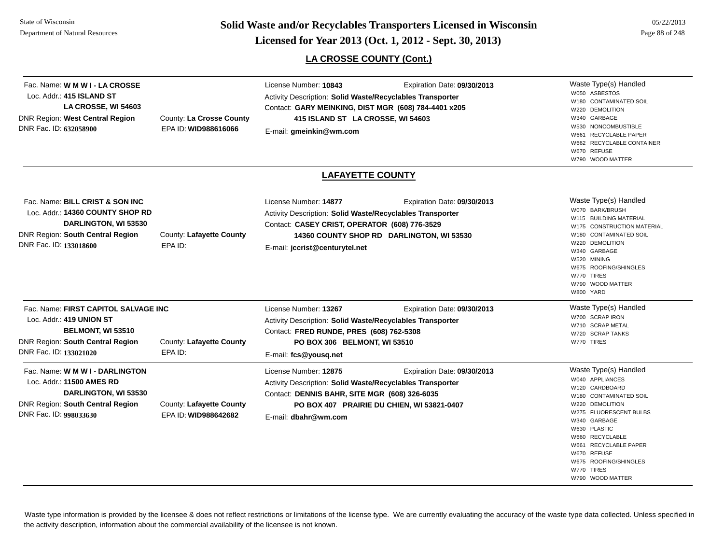**Page 88 of 248 <b>Licensed for Year 2013 (Oct. 1, 2012 - Sept. 30, 2013) Page 88 of 248 Licensed for Year 2013 (Oct. 1, 2012 - Sept. 30, 2013)** 

**LA CROSSE COUNTY (Cont.)**

| Fac. Name: W M W I - LA CROSSE<br>Loc. Addr.: 415 ISLAND ST<br>LA CROSSE, WI 54603<br><b>DNR Region: West Central Region</b><br>DNR Fac. ID: 632058900                              | County: La Crosse County<br>EPA ID: WID988616066            | License Number: 10843<br>Expiration Date: 09/30/2013<br><b>Activity Description: Solid Waste/Recyclables Transporter</b><br>Contact: GARY MEINKING, DIST MGR (608) 784-4401 x205<br>415 ISLAND ST LA CROSSE, WI 54603<br>E-mail: gmeinkin@wm.com                         | Waste Type(s) Handled<br>W050 ASBESTOS<br>W180 CONTAMINATED SOIL<br>W220 DEMOLITION<br>W340 GARBAGE<br>W530 NONCOMBUSTIBLE<br>W661 RECYCLABLE PAPER<br>W662 RECYCLABLE CONTAINER<br>W670 REFUSE<br>W790 WOOD MATTER                                                                     |
|-------------------------------------------------------------------------------------------------------------------------------------------------------------------------------------|-------------------------------------------------------------|--------------------------------------------------------------------------------------------------------------------------------------------------------------------------------------------------------------------------------------------------------------------------|-----------------------------------------------------------------------------------------------------------------------------------------------------------------------------------------------------------------------------------------------------------------------------------------|
|                                                                                                                                                                                     |                                                             | <b>LAFAYETTE COUNTY</b>                                                                                                                                                                                                                                                  |                                                                                                                                                                                                                                                                                         |
| Fac. Name: BILL CRIST & SON INC<br>Loc. Addr.: 14360 COUNTY SHOP RD<br>DARLINGTON, WI 53530<br>DNR Region: South Central Region<br>DNR Fac. ID: 133018600                           | County: Lafayette County<br>EPA ID:                         | License Number: 14877<br>Expiration Date: 09/30/2013<br>Activity Description: Solid Waste/Recyclables Transporter<br>Contact: CASEY CRIST, OPERATOR (608) 776-3529<br>14360 COUNTY SHOP RD DARLINGTON, WI 53530<br>E-mail: jccrist@centurytel.net                        | Waste Type(s) Handled<br>W070 BARK/BRUSH<br>W115 BUILDING MATERIAL<br>W175 CONSTRUCTION MATERIAL<br>W180 CONTAMINATED SOIL<br>W220 DEMOLITION<br>W340 GARBAGE<br>W520 MINING<br>W675 ROOFING/SHINGLES<br>W770 TIRES<br>W790 WOOD MATTER<br>W800 YARD                                    |
| Fac. Name: FIRST CAPITOL SALVAGE INC<br>Loc. Addr.: 419 UNION ST<br>BELMONT, WI 53510<br><b>DNR Region: South Central Region</b>                                                    | County: Lafayette County                                    | License Number: 13267<br>Expiration Date: 09/30/2013<br>Activity Description: Solid Waste/Recyclables Transporter<br>Contact: FRED RUNDE, PRES (608) 762-5308<br>PO BOX 306 BELMONT, WI 53510                                                                            | Waste Type(s) Handled<br>W700 SCRAP IRON<br>W710 SCRAP METAL<br>W720 SCRAP TANKS<br>W770 TIRES                                                                                                                                                                                          |
| DNR Fac. ID: 133021020<br>Fac. Name: W M W I - DARLINGTON<br>Loc. Addr.: 11500 AMES RD<br>DARLINGTON, WI 53530<br><b>DNR Region: South Central Region</b><br>DNR Fac. ID: 998033630 | EPA ID:<br>County: Lafayette County<br>EPA ID: WID988642682 | E-mail: fcs@yousq.net<br>License Number: 12875<br>Expiration Date: 09/30/2013<br><b>Activity Description: Solid Waste/Recyclables Transporter</b><br>Contact: DENNIS BAHR, SITE MGR (608) 326-6035<br>PO BOX 407 PRAIRIE DU CHIEN, WI 53821-0407<br>E-mail: dbahr@wm.com | Waste Type(s) Handled<br>W040 APPLIANCES<br>W120 CARDBOARD<br>W180 CONTAMINATED SOIL<br>W220 DEMOLITION<br>W275 FLUORESCENT BULBS<br>W340 GARBAGE<br>W630 PLASTIC<br>W660 RECYCLABLE<br>W661 RECYCLABLE PAPER<br>W670 REFUSE<br>W675 ROOFING/SHINGLES<br>W770 TIRES<br>W790 WOOD MATTER |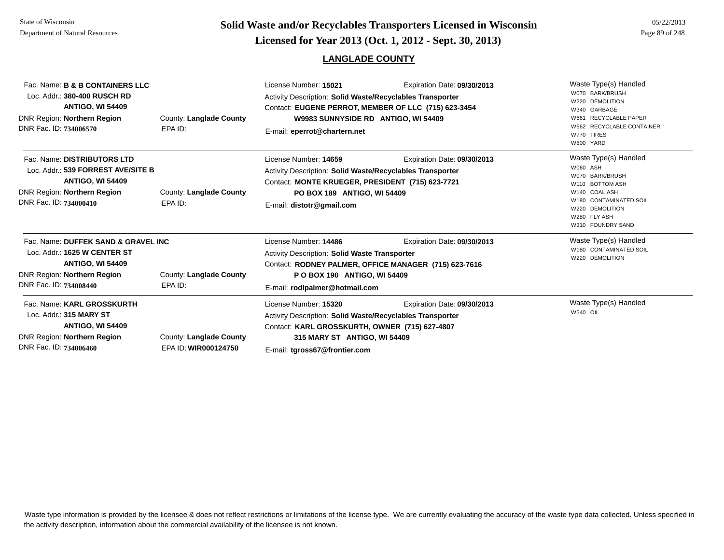## **Page 89 of 248 <b>Licensed for Year 2013 (Oct. 1, 2012 - Sept. 30, 2013) Page 89 of 248 Licensed for Year 2013 (Oct. 1, 2012 - Sept. 30, 2013)**

| Fac. Name: B & B CONTAINERS LLC<br>Loc. Addr.: 380-400 RUSCH RD<br><b>ANTIGO, WI 54409</b><br>DNR Region: Northern Region<br>DNR Fac. ID: 734006570                                           | County: Langlade County<br>EPA ID: | License Number: 15021<br><b>Activity Description: Solid Waste/Recyclables Transporter</b><br>Contact: EUGENE PERROT, MEMBER OF LLC (715) 623-3454<br>W9983 SUNNYSIDE RD ANTIGO, WI 54409<br>E-mail: eperrot@chartern.net | Expiration Date: 09/30/2013                                                          | Waste Type(s) Handled<br>W070 BARK/BRUSH<br>W220 DEMOLITION<br>W340 GARBAGE<br><b>RECYCLABLE PAPER</b><br>W662 RECYCLABLE CONTAINER<br>W770 TIRES<br>W800 YARD             |
|-----------------------------------------------------------------------------------------------------------------------------------------------------------------------------------------------|------------------------------------|--------------------------------------------------------------------------------------------------------------------------------------------------------------------------------------------------------------------------|--------------------------------------------------------------------------------------|----------------------------------------------------------------------------------------------------------------------------------------------------------------------------|
| Fac. Name: DISTRIBUTORS LTD<br>Loc. Addr.: 539 FORREST AVE/SITE B<br><b>ANTIGO, WI 54409</b><br>DNR Region: Northern Region<br>DNR Fac. ID: 734000410                                         | County: Langlade County<br>EPA ID: | License Number: 14659<br>Activity Description: Solid Waste/Recyclables Transporter<br>Contact: MONTE KRUEGER, PRESIDENT (715) 623-7721<br>PO BOX 189 ANTIGO, WI 54409<br>E-mail: distotr@gmail.com                       | Expiration Date: 09/30/2013                                                          | Waste Type(s) Handled<br>W060 ASH<br>W070 BARK/BRUSH<br>W110 BOTTOM ASH<br>W140 COAL ASH<br>W180 CONTAMINATED SOIL<br>W220 DEMOLITION<br>W280 FLY ASH<br>W310 FOUNDRY SAND |
| Fac. Name: DUFFEK SAND & GRAVEL INC<br>Loc. Addr.: 1625 W CENTER ST<br><b>ANTIGO, WI 54409</b><br>DNR Region: Northern Region<br>County: Langlade County<br>DNR Fac. ID: 734008440<br>EPA ID: |                                    | License Number: 14486<br>Activity Description: Solid Waste Transporter<br>P O BOX 190 ANTIGO, WI 54409<br>E-mail: rodlpalmer@hotmail.com                                                                                 | Expiration Date: 09/30/2013<br>Contact: RODNEY PALMER, OFFICE MANAGER (715) 623-7616 | Waste Type(s) Handled<br>W180 CONTAMINATED SOIL<br>W220 DEMOLITION                                                                                                         |
| Fac. Name: KARL GROSSKURTH<br>$\mathbf{A}$ $\mathbf{A}$ $\mathbf{A}$ $\mathbf{A}$ $\mathbf{A}$ $\mathbf{A}$ $\mathbf{A}$ $\mathbf{A}$ $\mathbf{A}$ $\mathbf{A}$ $\mathbf{A}$                  |                                    | License Number: 15320                                                                                                                                                                                                    | Expiration Date: 09/30/2013                                                          | Waste Type(s) Handled<br>W540 OII                                                                                                                                          |

Activity Description: **Solid Waste/Recyclables Transporter** Contact: **KARL GROSSKURTH, OWNER (715) 627-4807**

**315 MARY ST ANTIGO, WI 54409**

E-mail: **tgross67@frontier.com**

Fac. Loc. Addr.: **315 MARY STANTIGO, WI 54409** DNR Region: **Northern Region** DNR Fac. ID: **734006460**

County: **Langlade County** EPA ID: **WIR000124750**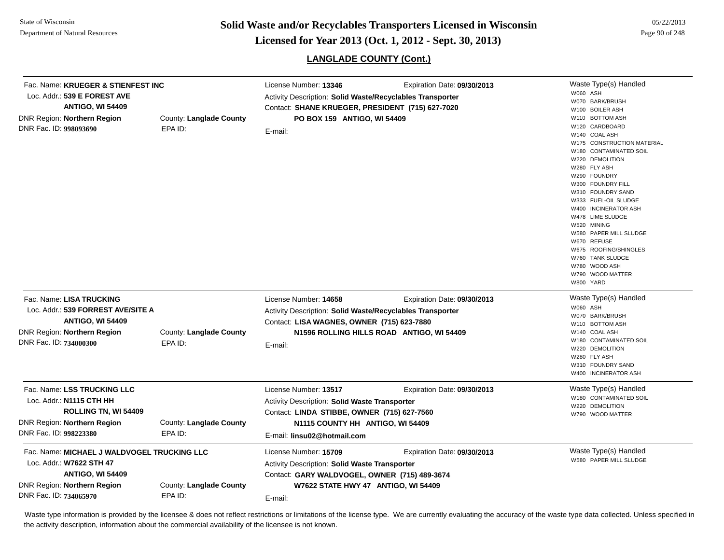**Page 90 of 248 <b>Licensed for Year 2013 (Oct. 1, 2012 - Sept. 30, 2013) Page 90 of 248 Licensed for Year 2013 (Oct. 1, 2012 - Sept. 30, 2013)** 

## **LANGLADE COUNTY (Cont.)**

| Fac. Name: KRUEGER & STIENFEST INC<br>Loc. Addr.: 539 E FOREST AVE<br><b>ANTIGO, WI 54409</b><br>DNR Region: Northern Region<br>DNR Fac. ID: 998093690                                            | County: Langlade County<br>EPA ID: | License Number: 13346<br>Expiration Date: 09/30/2013<br>Activity Description: Solid Waste/Recyclables Transporter<br>Contact: SHANE KRUEGER, PRESIDENT (715) 627-7020<br>PO BOX 159 ANTIGO, WI 54409<br>E-mail: |                                           | Waste Type(s) Handled<br>W060 ASH<br>W070 BARK/BRUSH<br>W100 BOILER ASH<br>W110 BOTTOM ASH<br>W120 CARDBOARD<br>W140 COAL ASH<br>W175 CONSTRUCTION MATERIAL<br>W180 CONTAMINATED SOIL<br>W220 DEMOLITION<br>W280 FLY ASH<br>W290 FOUNDRY<br>W300 FOUNDRY FILL |
|---------------------------------------------------------------------------------------------------------------------------------------------------------------------------------------------------|------------------------------------|-----------------------------------------------------------------------------------------------------------------------------------------------------------------------------------------------------------------|-------------------------------------------|---------------------------------------------------------------------------------------------------------------------------------------------------------------------------------------------------------------------------------------------------------------|
|                                                                                                                                                                                                   |                                    |                                                                                                                                                                                                                 |                                           | W310 FOUNDRY SAND<br>W333 FUEL-OIL SLUDGE<br>W400 INCINERATOR ASH<br>W478 LIME SLUDGE<br>W520 MINING<br>W580 PAPER MILL SLUDGE<br>W670 REFUSE<br>W675 ROOFING/SHINGLES<br>W760 TANK SLUDGE<br>W780 WOOD ASH<br>W790 WOOD MATTER<br>W800 YARD                  |
| Fac. Name: LISA TRUCKING<br>Loc. Addr.: 539 FORREST AVE/SITE A<br><b>ANTIGO, WI 54409</b>                                                                                                         |                                    | License Number: 14658<br>Activity Description: Solid Waste/Recyclables Transporter<br>Contact: LISA WAGNES, OWNER (715) 623-7880                                                                                | Expiration Date: 09/30/2013               | Waste Type(s) Handled<br>W060 ASH<br>W070 BARK/BRUSH                                                                                                                                                                                                          |
| <b>DNR Region: Northern Region</b><br>DNR Fac. ID: 734000300                                                                                                                                      | County: Langlade County<br>EPA ID: | E-mail:                                                                                                                                                                                                         | N1596 ROLLING HILLS ROAD ANTIGO, WI 54409 | W110 BOTTOM ASH<br>W140 COAL ASH<br>W180 CONTAMINATED SOIL<br>W220 DEMOLITION<br>W280 FLY ASH<br>W310 FOUNDRY SAND<br>W400 INCINERATOR ASH                                                                                                                    |
| Fac. Name: LSS TRUCKING LLC<br>Loc. Addr.: N1115 CTH HH<br>ROLLING TN, WI 54409<br>DNR Region: Northern Region<br>DNR Fac. ID: 998223380                                                          | County: Langlade County<br>EPA ID: | License Number: 13517<br>Activity Description: Solid Waste Transporter<br>Contact: LINDA STIBBE, OWNER (715) 627-7560<br>N1115 COUNTY HH ANTIGO, WI 54409<br>E-mail: linsu02@hotmail.com                        | Expiration Date: 09/30/2013               | Waste Type(s) Handled<br>W180 CONTAMINATED SOIL<br>W220 DEMOLITION<br>W790 WOOD MATTER                                                                                                                                                                        |
| Fac. Name: MICHAEL J WALDVOGEL TRUCKING LLC<br>Loc. Addr.: W7622 STH 47<br><b>ANTIGO, WI 54409</b><br>DNR Region: Northern Region<br>County: Langlade County<br>DNR Fac. ID: 734065970<br>EPA ID: |                                    | License Number: 15709<br>Activity Description: Solid Waste Transporter<br>Contact: GARY WALDVOGEL, OWNER (715) 489-3674<br>W7622 STATE HWY 47 ANTIGO, WI 54409<br>E-mail:                                       | Expiration Date: 09/30/2013               | Waste Type(s) Handled<br>W580 PAPER MILL SLUDGE                                                                                                                                                                                                               |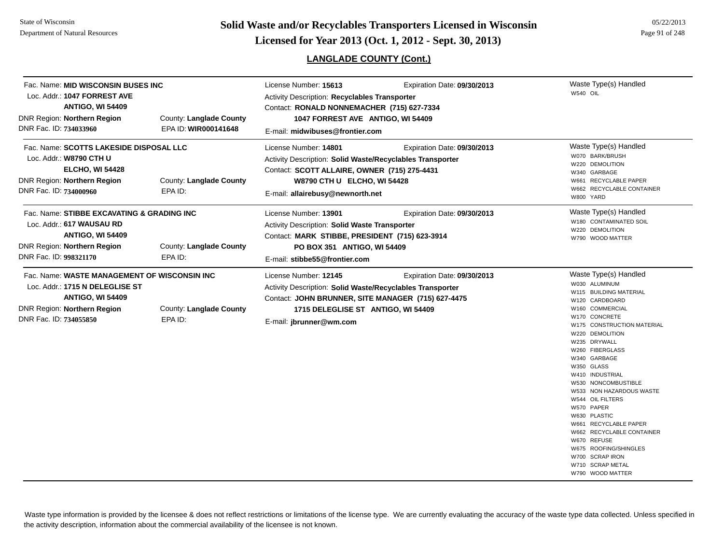# **Page 91 of 248 <b>Licensed for Year 2013 (Oct. 1, 2012 - Sept. 30, 2013) Page 91 of 248 Licensed for Year 2013 (Oct. 1, 2012 - Sept. 30, 2013)**

## **LANGLADE COUNTY (Cont.)**

05/22/2013

| Fac. Name: MID WISCONSIN BUSES INC<br>Loc. Addr.: 1047 FORREST AVE<br><b>ANTIGO, WI 54409</b><br>DNR Region: Northern Region<br>DNR Fac. ID: 734033960                                            | County: Langlade County<br>EPA ID: WIR000141648 | License Number: 15613<br>Activity Description: Recyclables Transporter<br>Contact: RONALD NONNEMACHER (715) 627-7334<br>1047 FORREST AVE ANTIGO, WI 54409<br>E-mail: midwibuses@frontier.com                                         | Expiration Date: 09/30/2013 | Waste Type(s) Handled<br>W540 OIL                                                                                                                                                                                                                                                                                                                                                                                                                                                                                         |
|---------------------------------------------------------------------------------------------------------------------------------------------------------------------------------------------------|-------------------------------------------------|--------------------------------------------------------------------------------------------------------------------------------------------------------------------------------------------------------------------------------------|-----------------------------|---------------------------------------------------------------------------------------------------------------------------------------------------------------------------------------------------------------------------------------------------------------------------------------------------------------------------------------------------------------------------------------------------------------------------------------------------------------------------------------------------------------------------|
| Fac. Name: SCOTTS LAKESIDE DISPOSAL LLC<br>Loc. Addr.: W8790 CTH U<br><b>ELCHO, WI 54428</b><br>DNR Region: Northern Region<br>County: Langlade County<br>DNR Fac. ID: 734000960<br>EPA ID:       |                                                 | License Number: 14801<br>Expiration Date: 09/30/2013<br>Activity Description: Solid Waste/Recyclables Transporter<br>Contact: SCOTT ALLAIRE, OWNER (715) 275-4431<br>W8790 CTH U ELCHO, WI 54428<br>E-mail: allairebusy@newnorth.net |                             | Waste Type(s) Handled<br>W070 BARK/BRUSH<br>W220 DEMOLITION<br>W340 GARBAGE<br>W661 RECYCLABLE PAPER<br>W662 RECYCLABLE CONTAINER<br>W800 YARD                                                                                                                                                                                                                                                                                                                                                                            |
| Fac. Name: STIBBE EXCAVATING & GRADING INC<br>Loc. Addr.: 617 WAUSAU RD<br><b>ANTIGO, WI 54409</b><br>DNR Region: Northern Region<br>County: Langlade County<br>DNR Fac. ID: 998321170<br>EPA ID: |                                                 | License Number: 13901<br>Expiration Date: 09/30/2013<br>Activity Description: Solid Waste Transporter<br>Contact: MARK STIBBE, PRESIDENT (715) 623-3914<br>PO BOX 351 ANTIGO, WI 54409<br>E-mail: stibbe55@frontier.com              |                             | Waste Type(s) Handled<br>W180 CONTAMINATED SOIL<br>W220 DEMOLITION<br>W790 WOOD MATTER                                                                                                                                                                                                                                                                                                                                                                                                                                    |
| Fac. Name: WASTE MANAGEMENT OF WISCONSIN INC<br>Loc. Addr.: 1715 N DELEGLISE ST<br><b>ANTIGO, WI 54409</b><br>DNR Region: Northern Region<br>DNR Fac. ID: 734055850                               | County: Langlade County<br>EPA ID:              | License Number: 12145<br>Activity Description: Solid Waste/Recyclables Transporter<br>Contact: JOHN BRUNNER, SITE MANAGER (715) 627-4475<br>1715 DELEGLISE ST ANTIGO, WI 54409<br>E-mail: jbrunner@wm.com                            | Expiration Date: 09/30/2013 | Waste Type(s) Handled<br>W030 ALUMINUM<br>W115 BUILDING MATERIAL<br>W120 CARDBOARD<br>W160 COMMERCIAL<br>W170 CONCRETE<br>W175 CONSTRUCTION MATERIAL<br>W220 DEMOLITION<br>W235 DRYWALL<br>W260 FIBERGLASS<br>W340 GARBAGE<br>W350 GLASS<br>W410 INDUSTRIAL<br>W530 NONCOMBUSTIBLE<br>W533 NON HAZARDOUS WASTE<br>W544 OIL FILTERS<br>W570 PAPER<br>W630 PLASTIC<br>W661 RECYCLABLE PAPER<br>W662 RECYCLABLE CONTAINER<br>W670 REFUSE<br>W675 ROOFING/SHINGLES<br>W700 SCRAP IRON<br>W710 SCRAP METAL<br>W790 WOOD MATTER |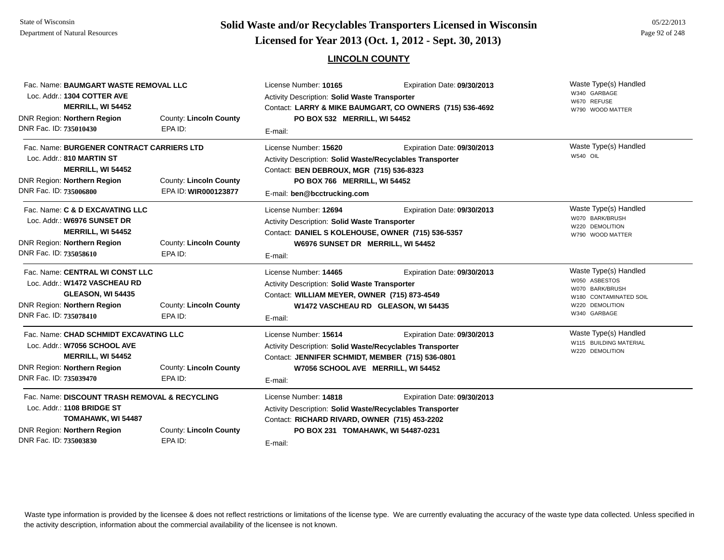# **Page 92 of 248 <b>Licensed for Year 2013 (Oct. 1, 2012 - Sept. 30, 2013) Page 92 of 248 Licensed for Year 2013 (Oct. 1, 2012 - Sept. 30, 2013)**

### **LINCOLN COUNTY**

| Fac. Name: BAUMGART WASTE REMOVAL LLC<br>Loc. Addr.: 1304 COTTER AVE<br>MERRILL, WI 54452                                                                                           |                                   | Expiration Date: 09/30/2013<br>License Number: 10165<br><b>Activity Description: Solid Waste Transporter</b><br>Contact: LARRY & MIKE BAUMGART, CO OWNERS (715) 536-4692                |                                                                    | Waste Type(s) Handled<br>W340 GARBAGE<br>W670 REFUSE<br>W790 WOOD MATTER                                               |
|-------------------------------------------------------------------------------------------------------------------------------------------------------------------------------------|-----------------------------------|-----------------------------------------------------------------------------------------------------------------------------------------------------------------------------------------|--------------------------------------------------------------------|------------------------------------------------------------------------------------------------------------------------|
| DNR Region: Northern Region                                                                                                                                                         | County: Lincoln County            | PO BOX 532 MERRILL, WI 54452                                                                                                                                                            |                                                                    |                                                                                                                        |
| DNR Fac. ID: 735010430                                                                                                                                                              | EPA ID:                           | E-mail:                                                                                                                                                                                 |                                                                    |                                                                                                                        |
| Fac. Name: BURGENER CONTRACT CARRIERS LTD<br>Loc. Addr.: 810 MARTIN ST<br><b>MERRILL, WI 54452</b><br>DNR Region: Northern Region<br>County: Lincoln County                         |                                   | License Number: 15620<br>Activity Description: Solid Waste/Recyclables Transporter<br>Contact: BEN DEBROUX, MGR (715) 536-8323<br>PO BOX 766 MERRILL, WI 54452                          | Expiration Date: 09/30/2013                                        | Waste Type(s) Handled<br><b>W540 OIL</b>                                                                               |
| DNR Fac. ID: 735006800                                                                                                                                                              | EPA ID: WIR000123877              | E-mail: ben@bcctrucking.com                                                                                                                                                             |                                                                    |                                                                                                                        |
| Fac. Name: C & D EXCAVATING LLC<br>Loc. Addr.: W6976 SUNSET DR<br>MERRILL, WI 54452<br>DNR Region: Northern Region                                                                  | County: Lincoln County            | License Number: 12694<br><b>Activity Description: Solid Waste Transporter</b><br>Contact: DANIEL S KOLEHOUSE, OWNER (715) 536-5357<br>W6976 SUNSET DR MERRILL, WI 54452                 | Expiration Date: 09/30/2013                                        | Waste Type(s) Handled<br>W070 BARK/BRUSH<br>W220 DEMOLITION<br>W790 WOOD MATTER                                        |
| DNR Fac. ID: 735058610                                                                                                                                                              | EPA ID:                           | E-mail:                                                                                                                                                                                 |                                                                    |                                                                                                                        |
| Fac. Name: CENTRAL WI CONST LLC<br>Loc. Addr.: W1472 VASCHEAU RD<br>GLEASON, WI 54435<br>County: Lincoln County<br>DNR Region: Northern Region<br>DNR Fac. ID: 735078410<br>EPA ID: |                                   | License Number: 14465<br>Activity Description: Solid Waste Transporter<br>Contact: WILLIAM MEYER, OWNER (715) 873-4549<br>E-mail:                                                       | Expiration Date: 09/30/2013<br>W1472 VASCHEAU RD GLEASON, WI 54435 | Waste Type(s) Handled<br>W050 ASBESTOS<br>W070 BARK/BRUSH<br>W180 CONTAMINATED SOIL<br>W220 DEMOLITION<br>W340 GARBAGE |
| Fac. Name: CHAD SCHMIDT EXCAVATING LLC<br>Loc. Addr.: W7056 SCHOOL AVE<br><b>MERRILL, WI 54452</b><br>DNR Region: Northern Region<br>DNR Fac. ID: 735039470                         | County: Lincoln County<br>EPA ID: | License Number: 15614<br>Activity Description: Solid Waste/Recyclables Transporter<br>Contact: JENNIFER SCHMIDT, MEMBER (715) 536-0801<br>W7056 SCHOOL AVE MERRILL, WI 54452<br>E-mail: | Expiration Date: 09/30/2013                                        | Waste Type(s) Handled<br>W115 BUILDING MATERIAL<br>W220 DEMOLITION                                                     |
| Fac. Name: DISCOUNT TRASH REMOVAL & RECYCLING<br>Loc. Addr.: 1108 BRIDGE ST<br>TOMAHAWK, WI 54487<br>DNR Region: Northern Region<br>County: Lincoln County                          |                                   | License Number: 14818<br>Activity Description: Solid Waste/Recyclables Transporter<br>Contact: RICHARD RIVARD, OWNER (715) 453-2202<br>PO BOX 231 TOMAHAWK, WI 54487-0231               | Expiration Date: 09/30/2013                                        |                                                                                                                        |
| DNR Fac. ID: 735003830                                                                                                                                                              | EPA ID:                           | E-mail:                                                                                                                                                                                 |                                                                    |                                                                                                                        |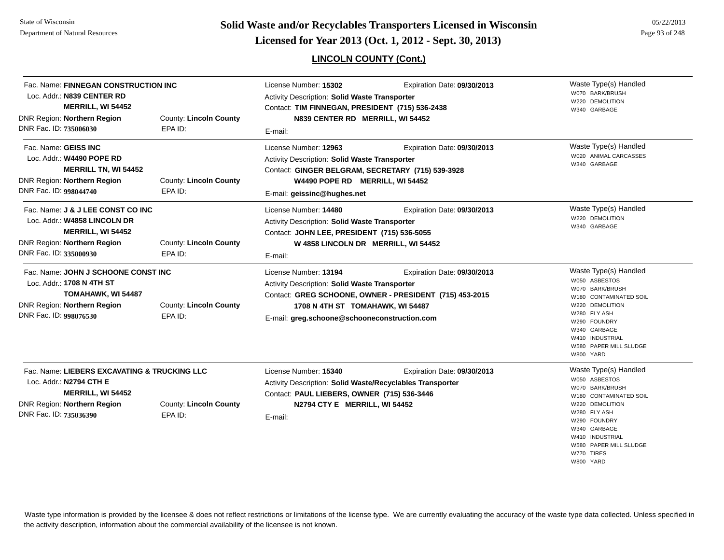State of WisconsinDepartment of Natural Resources

**Page 93 of 248 <b>Licensed for Year 2013 (Oct. 1, 2012 - Sept. 30, 2013) Page 93 of 248 Licensed for Year 2013 (Oct. 1, 2012 - Sept. 30, 2013)** 

## **LINCOLN COUNTY (Cont.)**

| Fac. Name: FINNEGAN CONSTRUCTION INC<br>Loc. Addr.: N839 CENTER RD<br><b>MERRILL, WI 54452</b><br>DNR Region: Northern Region<br>DNR Fac. ID: 735006030       | <b>County: Lincoln County</b><br>EPA ID: | License Number: 15302<br>Activity Description: Solid Waste Transporter<br>Contact: TIM FINNEGAN, PRESIDENT (715) 536-2438<br>N839 CENTER RD MERRILL, WI 54452<br>E-mail:                      | Expiration Date: 09/30/2013                                                            | Waste Type(s) Handled<br>W070 BARK/BRUSH<br>W220 DEMOLITION<br>W340 GARBAGE                                                                                                                                                    |
|---------------------------------------------------------------------------------------------------------------------------------------------------------------|------------------------------------------|-----------------------------------------------------------------------------------------------------------------------------------------------------------------------------------------------|----------------------------------------------------------------------------------------|--------------------------------------------------------------------------------------------------------------------------------------------------------------------------------------------------------------------------------|
| Fac. Name: GEISS INC<br>Loc. Addr.: W4490 POPE RD<br><b>MERRILL TN, WI 54452</b><br><b>DNR Region: Northern Region</b><br>DNR Fac. ID: 998044740              | <b>County: Lincoln County</b><br>EPA ID: | License Number: 12963<br>Activity Description: Solid Waste Transporter<br>Contact: GINGER BELGRAM, SECRETARY (715) 539-3928<br>W4490 POPE RD MERRILL, WI 54452<br>E-mail: geissinc@hughes.net | Expiration Date: 09/30/2013                                                            | Waste Type(s) Handled<br>W020 ANIMAL CARCASSES<br>W340 GARBAGE                                                                                                                                                                 |
| Fac. Name: J & J LEE CONST CO INC<br>Loc. Addr.: W4858 LINCOLN DR<br><b>MERRILL, WI 54452</b><br><b>DNR Region: Northern Region</b><br>DNR Fac. ID: 335000930 | <b>County: Lincoln County</b><br>EPA ID: | License Number: 14480<br>Activity Description: Solid Waste Transporter<br>Contact: JOHN LEE, PRESIDENT (715) 536-5055<br>W 4858 LINCOLN DR MERRILL, WI 54452<br>E-mail:                       | Expiration Date: 09/30/2013                                                            | Waste Type(s) Handled<br>W220 DEMOLITION<br>W340 GARBAGE                                                                                                                                                                       |
| Fac. Name: JOHN J SCHOONE CONST INC<br>Loc. Addr.: 1708 N 4TH ST<br>TOMAHAWK, WI 54487<br><b>DNR Region: Northern Region</b><br>DNR Fac. ID: 998076530        | <b>County: Lincoln County</b><br>EPA ID: | License Number: 13194<br>Activity Description: Solid Waste Transporter<br>1708 N 4TH ST TOMAHAWK, WI 54487<br>E-mail: greg.schoone@schooneconstruction.com                                    | Expiration Date: 09/30/2013<br>Contact: GREG SCHOONE, OWNER - PRESIDENT (715) 453-2015 | Waste Type(s) Handled<br>W050 ASBESTOS<br>W070 BARK/BRUSH<br>W180 CONTAMINATED SOIL<br>W220 DEMOLITION<br>W280 FLY ASH<br>W290 FOUNDRY<br>W340 GARBAGE<br>W410 INDUSTRIAL<br>W580 PAPER MILL SLUDGE<br>W800 YARD               |
| Fac. Name: LIEBERS EXCAVATING & TRUCKING LLC<br>Loc. Addr.: N2794 CTH E<br>MERRILL, WI 54452<br><b>DNR Region: Northern Region</b><br>DNR Fac. ID: 735036390  | County: Lincoln County<br>EPA ID:        | License Number: 15340<br>Activity Description: Solid Waste/Recyclables Transporter<br>Contact: PAUL LIEBERS, OWNER (715) 536-3446<br>N2794 CTY E MERRILL, WI 54452<br>E-mail:                 | Expiration Date: 09/30/2013                                                            | Waste Type(s) Handled<br>W050 ASBESTOS<br>W070 BARK/BRUSH<br>W180 CONTAMINATED SOIL<br>W220 DEMOLITION<br>W280 FLY ASH<br>W290 FOUNDRY<br>W340 GARBAGE<br>W410 INDUSTRIAL<br>W580 PAPER MILL SLUDGE<br>W770 TIRES<br>W800 YARD |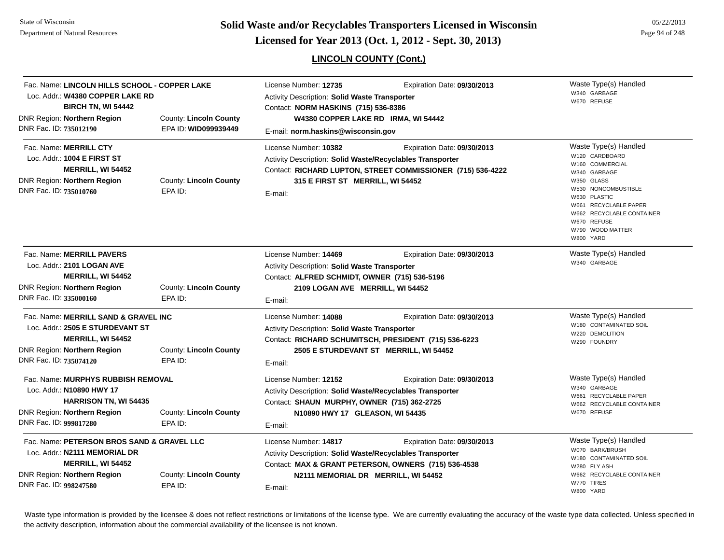# **Page 94 of 248 <b>Licensed for Year 2013 (Oct. 1, 2012 - Sept. 30, 2013) Page 94 of 248 Licensed for Year 2013 (Oct. 1, 2012 - Sept. 30, 2013)**

## **LINCOLN COUNTY (Cont.)**

05/22/2013

| Fac. Name: LINCOLN HILLS SCHOOL - COPPER LAKE<br>Loc. Addr.: W4380 COPPER LAKE RD<br><b>BIRCH TN, WI 54442</b><br>DNR Region: Northern Region<br>DNR Fac. ID: 735012190                            | <b>County: Lincoln County</b><br>EPA ID: WID099939449 | License Number: 12735<br>Expiration Date: 09/30/2013<br>Activity Description: Solid Waste Transporter<br>Contact: NORM HASKINS (715) 536-8386<br>W4380 COPPER LAKE RD IRMA, WI 54442<br>E-mail: norm.haskins@wisconsin.gov      | Waste Type(s) Handled<br>W340 GARBAGE<br>W670 REFUSE                                                                                                                                                                                  |
|----------------------------------------------------------------------------------------------------------------------------------------------------------------------------------------------------|-------------------------------------------------------|---------------------------------------------------------------------------------------------------------------------------------------------------------------------------------------------------------------------------------|---------------------------------------------------------------------------------------------------------------------------------------------------------------------------------------------------------------------------------------|
| Fac. Name: MERRILL CTY<br>Loc. Addr.: 1004 E FIRST ST<br><b>MERRILL, WI 54452</b><br><b>DNR Region: Northern Region</b><br>DNR Fac. ID: 735010760                                                  | County: Lincoln County<br>EPA ID:                     | License Number: 10382<br>Expiration Date: 09/30/2013<br>Activity Description: Solid Waste/Recyclables Transporter<br>Contact: RICHARD LUPTON, STREET COMMISSIONER (715) 536-4222<br>315 E FIRST ST MERRILL, WI 54452<br>E-mail: | Waste Type(s) Handled<br>W120 CARDBOARD<br>W160 COMMERCIAL<br>W340 GARBAGE<br>W350 GLASS<br>W530 NONCOMBUSTIBLE<br>W630 PLASTIC<br>W661 RECYCLABLE PAPER<br>W662 RECYCLABLE CONTAINER<br>W670 REFUSE<br>W790 WOOD MATTER<br>W800 YARD |
| Fac. Name: MERRILL PAVERS<br>Loc. Addr.: 2101 LOGAN AVE<br>MERRILL, WI 54452<br>DNR Region: Northern Region<br>DNR Fac. ID: 335000160                                                              | <b>County: Lincoln County</b><br>EPA ID:              | License Number: 14469<br>Expiration Date: 09/30/2013<br>Activity Description: Solid Waste Transporter<br>Contact: ALFRED SCHMIDT, OWNER (715) 536-5196<br>2109 LOGAN AVE MERRILL, WI 54452<br>E-mail:                           | Waste Type(s) Handled<br>W340 GARBAGE                                                                                                                                                                                                 |
| Fac. Name: MERRILL SAND & GRAVEL INC<br>Loc. Addr.: 2505 E STURDEVANT ST<br><b>MERRILL, WI 54452</b><br>DNR Region: Northern Region<br>County: Lincoln County<br>DNR Fac. ID: 735074120<br>EPA ID: |                                                       | License Number: 14088<br>Expiration Date: 09/30/2013<br>Activity Description: Solid Waste Transporter<br>Contact: RICHARD SCHUMITSCH, PRESIDENT (715) 536-6223<br>2505 E STURDEVANT ST MERRILL, WI 54452<br>E-mail:             | Waste Type(s) Handled<br>W180 CONTAMINATED SOIL<br>W220 DEMOLITION<br>W290 FOUNDRY                                                                                                                                                    |
| Fac. Name: MURPHYS RUBBISH REMOVAL<br>Loc. Addr.: N10890 HWY 17<br><b>HARRISON TN, WI 54435</b><br><b>DNR Region: Northern Region</b><br>DNR Fac. ID: 999817280                                    | <b>County: Lincoln County</b><br>EPA ID:              | License Number: 12152<br>Expiration Date: 09/30/2013<br>Activity Description: Solid Waste/Recyclables Transporter<br>Contact: SHAUN MURPHY, OWNER (715) 362-2725<br>N10890 HWY 17 GLEASON, WI 54435<br>E-mail:                  | Waste Type(s) Handled<br>W340 GARBAGE<br>W661 RECYCLABLE PAPER<br>W662 RECYCLABLE CONTAINER<br>W670 REFUSE                                                                                                                            |
| Fac. Name: PETERSON BROS SAND & GRAVEL LLC<br>Loc. Addr.: N2111 MEMORIAL DR<br>MERRILL, WI 54452<br>DNR Region: Northern Region<br>DNR Fac. ID: 998247580                                          | <b>County: Lincoln County</b><br>EPA ID:              | License Number: 14817<br>Expiration Date: 09/30/2013<br>Activity Description: Solid Waste/Recyclables Transporter<br>Contact: MAX & GRANT PETERSON, OWNERS (715) 536-4538<br>N2111 MEMORIAL DR MERRILL, WI 54452<br>E-mail:     | Waste Type(s) Handled<br>W070 BARK/BRUSH<br>W180 CONTAMINATED SOIL<br>W280 FLY ASH<br>W662 RECYCLABLE CONTAINER<br>W770 TIRES<br>W800 YARD                                                                                            |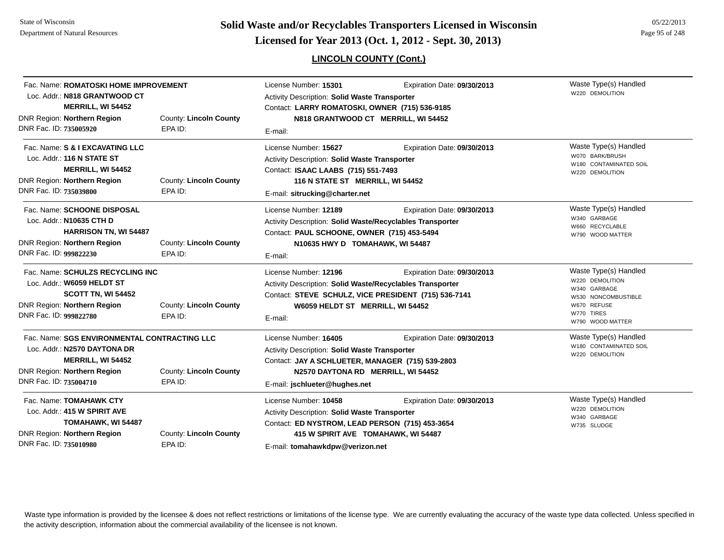**Page 95 of 248 <b>Licensed for Year 2013 (Oct. 1, 2012 - Sept. 30, 2013) Page 95 of 248 Licensed for Year 2013 (Oct. 1, 2012 - Sept. 30, 2013)** 

## **LINCOLN COUNTY (Cont.)**

| Fac. Name: ROMATOSKI HOME IMPROVEMENT<br>Loc. Addr.: N818 GRANTWOOD CT<br>MERRILL, WI 54452<br>DNR Region: Northern Region                                        | County: Lincoln County                   | License Number: 15301<br>Expiration Date: 09/30/2013<br>Activity Description: Solid Waste Transporter<br>Contact: LARRY ROMATOSKI, OWNER (715) 536-9185<br>N818 GRANTWOOD CT MERRILL, WI 54452      |                             | Waste Type(s) Handled<br>W220 DEMOLITION                                                                                         |
|-------------------------------------------------------------------------------------------------------------------------------------------------------------------|------------------------------------------|-----------------------------------------------------------------------------------------------------------------------------------------------------------------------------------------------------|-----------------------------|----------------------------------------------------------------------------------------------------------------------------------|
| DNR Fac. ID: 735005920                                                                                                                                            | EPA ID:                                  | E-mail:                                                                                                                                                                                             |                             |                                                                                                                                  |
| Fac. Name: S & I EXCAVATING LLC<br>Loc. Addr.: 116 N STATE ST<br>MERRILL, WI 54452<br>DNR Region: Northern Region<br>DNR Fac. ID: 735039800                       | County: Lincoln County<br>EPA ID:        | License Number: 15627<br><b>Activity Description: Solid Waste Transporter</b><br>Contact: ISAAC LAABS (715) 551-7493<br>116 N STATE ST MERRILL, WI 54452<br>E-mail: sitrucking@charter.net          | Expiration Date: 09/30/2013 | Waste Type(s) Handled<br>W070 BARK/BRUSH<br>W180 CONTAMINATED SOIL<br>W220 DEMOLITION                                            |
| Fac. Name: SCHOONE DISPOSAL<br>Loc. Addr.: N10635 CTH D<br><b>HARRISON TN, WI 54487</b><br>DNR Region: Northern Region<br>DNR Fac. ID: 999822230                  | County: Lincoln County<br>EPA ID:        | License Number: 12189<br>Activity Description: Solid Waste/Recyclables Transporter<br>Contact: PAUL SCHOONE, OWNER (715) 453-5494<br>N10635 HWY D TOMAHAWK, WI 54487<br>E-mail:                     | Expiration Date: 09/30/2013 | Waste Type(s) Handled<br>W340 GARBAGE<br>W660 RECYCLABLE<br>W790 WOOD MATTER                                                     |
| Fac. Name: SCHULZS RECYCLING INC<br>Loc. Addr.: W6059 HELDT ST<br>SCOTT TN, WI 54452<br><b>DNR Region: Northern Region</b><br>DNR Fac. ID: 999822780              | <b>County: Lincoln County</b><br>EPA ID: | License Number: 12196<br>Activity Description: Solid Waste/Recyclables Transporter<br>Contact: STEVE SCHULZ, VICE PRESIDENT (715) 536-7141<br>W6059 HELDT ST MERRILL, WI 54452<br>E-mail:           | Expiration Date: 09/30/2013 | Waste Type(s) Handled<br>W220 DEMOLITION<br>W340 GARBAGE<br>W530 NONCOMBUSTIBLE<br>W670 REFUSE<br>W770 TIRES<br>W790 WOOD MATTER |
| Fac. Name: SGS ENVIRONMENTAL CONTRACTING LLC<br>Loc. Addr.: N2570 DAYTONA DR<br>MERRILL, WI 54452<br><b>DNR Region: Northern Region</b><br>DNR Fac. ID: 735004710 | <b>County: Lincoln County</b><br>EPA ID: | License Number: 16405<br>Activity Description: Solid Waste Transporter<br>Contact: JAY A SCHLUETER, MANAGER (715) 539-2803<br>N2570 DAYTONA RD MERRILL, WI 54452<br>E-mail: jschlueter@hughes.net   | Expiration Date: 09/30/2013 | Waste Type(s) Handled<br>W180 CONTAMINATED SOIL<br>W220 DEMOLITION                                                               |
| Fac. Name: TOMAHAWK CTY<br>Loc. Addr.: 415 W SPIRIT AVE<br>TOMAHAWK, WI 54487<br>DNR Region: Northern Region<br>DNR Fac. ID: 735010980                            | County: Lincoln County<br>EPA ID:        | License Number: 10458<br>Activity Description: Solid Waste Transporter<br>Contact: ED NYSTROM, LEAD PERSON (715) 453-3654<br>415 W SPIRIT AVE TOMAHAWK, WI 54487<br>E-mail: tomahawkdpw@verizon.net | Expiration Date: 09/30/2013 | Waste Type(s) Handled<br>W220 DEMOLITION<br>W340 GARBAGE<br>W735 SLUDGE                                                          |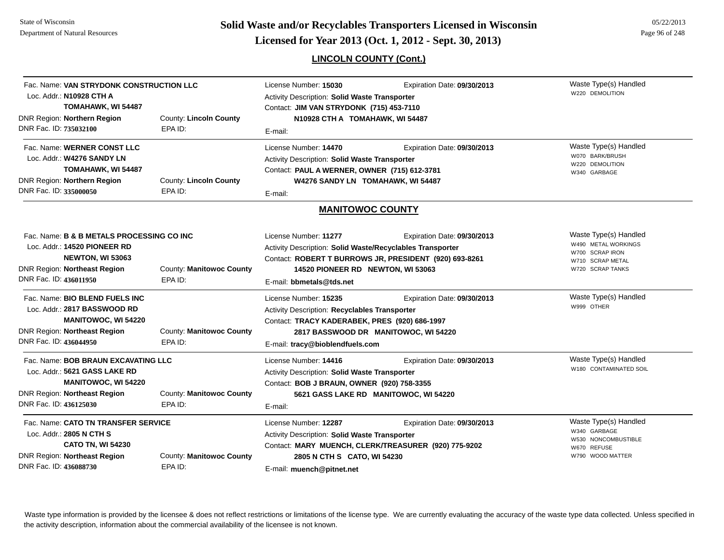**Page 96 of 248 <b>Licensed for Year 2013 (Oct. 1, 2012 - Sept. 30, 2013) Page 96 of 248 Licensed for Year 2013 (Oct. 1, 2012 - Sept. 30, 2013)** 

**LINCOLN COUNTY (Cont.)**

| Fac. Name: VAN STRYDONK CONSTRUCTION LLC<br>Loc. Addr.: N10928 CTH A<br>TOMAHAWK, WI 54487<br>DNR Region: Northern Region<br>DNR Fac. ID: 735032100                                          | County: Lincoln County<br>EPA ID:   | License Number: 15030<br>Activity Description: Solid Waste Transporter<br>Contact: JIM VAN STRYDONK (715) 453-7110<br>N10928 CTH A TOMAHAWK, WI 54487<br>E-mail:                                        | Expiration Date: 09/30/2013                                                           | Waste Type(s) Handled<br>W220 DEMOLITION                                                                |
|----------------------------------------------------------------------------------------------------------------------------------------------------------------------------------------------|-------------------------------------|---------------------------------------------------------------------------------------------------------------------------------------------------------------------------------------------------------|---------------------------------------------------------------------------------------|---------------------------------------------------------------------------------------------------------|
| Fac. Name: WERNER CONST LLC<br>Loc. Addr.: W4276 SANDY LN<br>TOMAHAWK, WI 54487<br>DNR Region: Northern Region<br>DNR Fac. ID: 335000050                                                     | County: Lincoln County<br>EPA ID:   | License Number: 14470<br>Activity Description: Solid Waste Transporter<br>Contact: PAUL A WERNER, OWNER (715) 612-3781<br>W4276 SANDY LN TOMAHAWK, WI 54487<br>E-mail:                                  | Expiration Date: 09/30/2013                                                           | Waste Type(s) Handled<br>W070 BARK/BRUSH<br>W220 DEMOLITION<br>W340 GARBAGE                             |
|                                                                                                                                                                                              |                                     | <b>MANITOWOC COUNTY</b>                                                                                                                                                                                 |                                                                                       |                                                                                                         |
| Fac. Name: <b>B &amp; B METALS PROCESSING CO INC</b><br>Loc. Addr.: 14520 PIONEER RD<br>NEWTON, WI 53063<br><b>DNR Region: Northeast Region</b><br>DNR Fac. ID: 436011950                    | County: Manitowoc County<br>EPA ID: | License Number: 11277<br>Activity Description: Solid Waste/Recyclables Transporter<br>14520 PIONEER RD NEWTON, WI 53063<br>E-mail: bbmetals@tds.net                                                     | Expiration Date: 09/30/2013<br>Contact: ROBERT T BURROWS JR, PRESIDENT (920) 693-8261 | Waste Type(s) Handled<br>W490 METAL WORKINGS<br>W700 SCRAP IRON<br>W710 SCRAP METAL<br>W720 SCRAP TANKS |
| Fac. Name: <b>BIO BLEND FUELS INC</b><br>Loc. Addr.: 2817 BASSWOOD RD<br><b>MANITOWOC, WI 54220</b><br>DNR Region: Northeast Region<br>DNR Fac. ID: 436044950                                | County: Manitowoc County<br>EPA ID: | License Number: 15235<br>Activity Description: Recyclables Transporter<br>Contact: TRACY KADERABEK, PRES (920) 686-1997<br>E-mail: tracy@bioblendfuels.com                                              | Expiration Date: 09/30/2013<br>2817 BASSWOOD DR MANITOWOC, WI 54220                   | Waste Type(s) Handled<br>W999 OTHER                                                                     |
| Fac. Name: BOB BRAUN EXCAVATING LLC<br>Loc. Addr.: 5621 GASS LAKE RD<br><b>MANITOWOC, WI 54220</b><br><b>DNR Region: Northeast Region</b><br>DNR Fac. ID: 436125030                          | County: Manitowoc County<br>EPA ID: | License Number: 14416<br>Expiration Date: 09/30/2013<br>Activity Description: Solid Waste Transporter<br>Contact: BOB J BRAUN, OWNER (920) 758-3355<br>5621 GASS LAKE RD MANITOWOC, WI 54220<br>E-mail: |                                                                                       | Waste Type(s) Handled<br>W180 CONTAMINATED SOIL                                                         |
| Fac. Name: CATO TN TRANSFER SERVICE<br>Loc. Addr.: 2805 N CTH S<br><b>CATO TN, WI 54230</b><br>DNR Region: Northeast Region<br>County: Manitowoc County<br>DNR Fac. ID: 436088730<br>EPA ID: |                                     | License Number: 12287<br>Activity Description: Solid Waste Transporter<br>2805 N CTH S CATO, WI 54230<br>E-mail: muench@pitnet.net                                                                      | Expiration Date: 09/30/2013<br>Contact: MARY MUENCH, CLERK/TREASURER (920) 775-9202   | Waste Type(s) Handled<br>W340 GARBAGE<br>W530 NONCOMBUSTIBLE<br>W670 REFUSE<br>W790 WOOD MATTER         |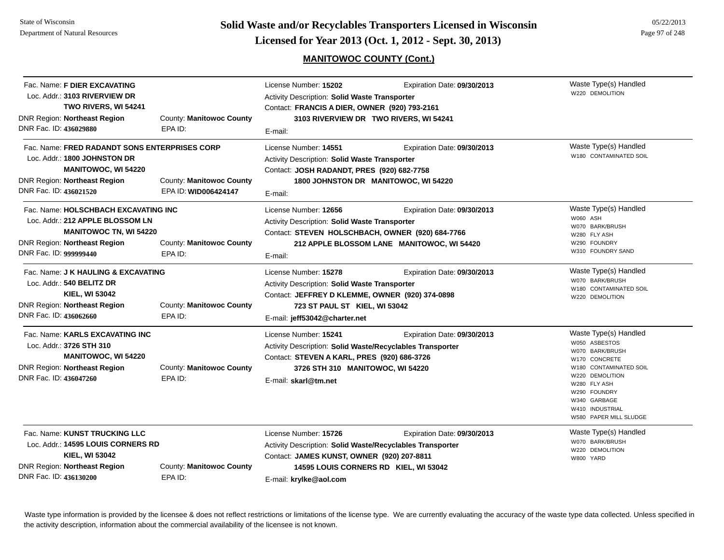## **MANITOWOC COUNTY (Cont.)**

| Fac. Name: F DIER EXCAVATING<br>Loc. Addr.: 3103 RIVERVIEW DR<br>TWO RIVERS, WI 54241                                                                                                                             |                                                  | License Number: 15202<br>Activity Description: Solid Waste Transporter<br>Contact: FRANCIS A DIER, OWNER (920) 793-2161                                                                       | Expiration Date: 09/30/2013                                               | Waste Type(s) Handled<br>W220 DEMOLITION                                                                                                                                                                             |
|-------------------------------------------------------------------------------------------------------------------------------------------------------------------------------------------------------------------|--------------------------------------------------|-----------------------------------------------------------------------------------------------------------------------------------------------------------------------------------------------|---------------------------------------------------------------------------|----------------------------------------------------------------------------------------------------------------------------------------------------------------------------------------------------------------------|
| <b>DNR Region: Northeast Region</b><br>DNR Fac. ID: 436029880                                                                                                                                                     | County: Manitowoc County<br>EPA ID:              | E-mail:                                                                                                                                                                                       | 3103 RIVERVIEW DR TWO RIVERS, WI 54241                                    |                                                                                                                                                                                                                      |
| Fac. Name: FRED RADANDT SONS ENTERPRISES CORP<br>Loc. Addr.: 1800 JOHNSTON DR<br><b>MANITOWOC, WI 54220</b><br><b>DNR Region: Northeast Region</b><br>DNR Fac. ID: 436021520                                      | County: Manitowoc County<br>EPA ID: WID006424147 | License Number: 14551<br>Activity Description: Solid Waste Transporter<br>Contact: JOSH RADANDT, PRES (920) 682-7758<br>E-mail:                                                               | Expiration Date: 09/30/2013<br>1800 JOHNSTON DR MANITOWOC, WI 54220       | Waste Type(s) Handled<br>W180 CONTAMINATED SOIL                                                                                                                                                                      |
| Fac. Name: HOLSCHBACH EXCAVATING INC<br>Loc. Addr.: 212 APPLE BLOSSOM LN<br><b>MANITOWOC TN, WI 54220</b><br><b>DNR Region: Northeast Region</b><br>County: Manitowoc County<br>DNR Fac. ID: 999999440<br>EPA ID: |                                                  | License Number: 12656<br>Activity Description: Solid Waste Transporter<br>Contact: STEVEN HOLSCHBACH, OWNER (920) 684-7766<br>E-mail:                                                         | Expiration Date: 09/30/2013<br>212 APPLE BLOSSOM LANE MANITOWOC, WI 54420 | Waste Type(s) Handled<br>W060 ASH<br>W070 BARK/BRUSH<br>W280 FLY ASH<br>W290 FOUNDRY<br>W310 FOUNDRY SAND                                                                                                            |
| Fac. Name: J K HAULING & EXCAVATING<br>Loc. Addr.: 540 BELITZ DR<br><b>KIEL, WI 53042</b><br><b>DNR Region: Northeast Region</b><br>DNR Fac. ID: 436062660                                                        | County: Manitowoc County<br>EPA ID:              | License Number: 15278<br>Activity Description: Solid Waste Transporter<br>Contact: JEFFREY D KLEMME, OWNER (920) 374-0898<br>723 ST PAUL ST KIEL, WI 53042<br>E-mail: jeff53042@charter.net   | Expiration Date: 09/30/2013                                               | Waste Type(s) Handled<br>W070 BARK/BRUSH<br>W180 CONTAMINATED SOIL<br>W220 DEMOLITION                                                                                                                                |
| Fac. Name: KARLS EXCAVATING INC<br>Loc. Addr.: 3726 STH 310<br><b>MANITOWOC, WI 54220</b><br><b>DNR Region: Northeast Region</b><br>DNR Fac. ID: 436047260                                                        | County: Manitowoc County<br>EPA ID:              | License Number: 15241<br>Activity Description: Solid Waste/Recyclables Transporter<br>Contact: STEVEN A KARL, PRES (920) 686-3726<br>3726 STH 310 MANITOWOC, WI 54220<br>E-mail: skarl@tm.net | Expiration Date: 09/30/2013                                               | Waste Type(s) Handled<br>W050 ASBESTOS<br>W070 BARK/BRUSH<br>W170 CONCRETE<br>W180 CONTAMINATED SOIL<br>W220 DEMOLITION<br>W280 FLY ASH<br>W290 FOUNDRY<br>W340 GARBAGE<br>W410 INDUSTRIAL<br>W580 PAPER MILL SLUDGE |
| Fac. Name: KUNST TRUCKING LLC<br>Loc. Addr.: 14595 LOUIS CORNERS RD<br><b>KIEL, WI 53042</b><br><b>DNR Region: Northeast Region</b><br>DNR Fac. ID: 436130200                                                     | County: Manitowoc County<br>EPA ID:              | License Number: 15726<br>Activity Description: Solid Waste/Recyclables Transporter<br>Contact: JAMES KUNST, OWNER (920) 207-8811<br>E-mail: krylke@aol.com                                    | Expiration Date: 09/30/2013<br>14595 LOUIS CORNERS RD KIEL, WI 53042      | Waste Type(s) Handled<br>W070 BARK/BRUSH<br>W220 DEMOLITION<br>W800 YARD                                                                                                                                             |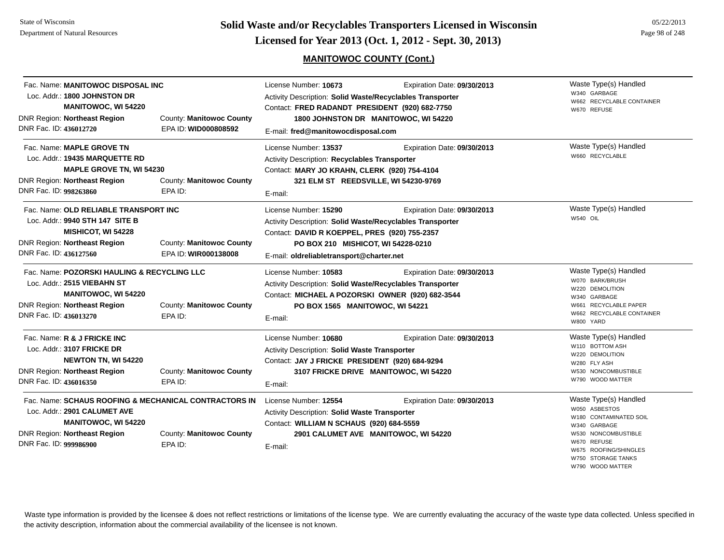**Page 98 of 248 <b>Licensed for Year 2013 (Oct. 1, 2012 - Sept. 30, 2013) Page 98 of 248 Licensed for Year 2013 (Oct. 1, 2012 - Sept. 30, 2013)** 

## **MANITOWOC COUNTY (Cont.)**

| DNR Fac. ID: 436012720 | Fac. Name: MANITOWOC DISPOSAL INC<br>Loc. Addr.: 1800 JOHNSTON DR<br><b>MANITOWOC, WI 54220</b><br><b>DNR Region: Northeast Region</b>          | County: Manitowoc County<br>EPA ID: WID000808592                                             | License Number: 10673<br>Activity Description: Solid Waste/Recyclables Transporter<br>Contact: FRED RADANDT PRESIDENT (920) 682-7750<br>E-mail: fred@manitowocdisposal.com                                            | Expiration Date: 09/30/2013<br>1800 JOHNSTON DR MANITOWOC, WI 54220  | Waste Type(s) Handled<br>W340 GARBAGE<br>W662 RECYCLABLE CONTAINER<br>W670 REFUSE                                                                                                |
|------------------------|-------------------------------------------------------------------------------------------------------------------------------------------------|----------------------------------------------------------------------------------------------|-----------------------------------------------------------------------------------------------------------------------------------------------------------------------------------------------------------------------|----------------------------------------------------------------------|----------------------------------------------------------------------------------------------------------------------------------------------------------------------------------|
| DNR Fac. ID: 998263860 | Fac. Name: MAPLE GROVE TN<br>Loc. Addr.: 19435 MARQUETTE RD<br><b>MAPLE GROVE TN, WI 54230</b><br><b>DNR Region: Northeast Region</b>           | County: Manitowoc County<br>EPA ID:                                                          | License Number: 13537<br>Activity Description: Recyclables Transporter<br>Contact: MARY JO KRAHN, CLERK (920) 754-4104<br>321 ELM ST REEDSVILLE, WI 54230-9769<br>E-mail:                                             | Expiration Date: 09/30/2013                                          | Waste Type(s) Handled<br>W660 RECYCLABLE                                                                                                                                         |
| DNR Fac. ID: 436127560 | Fac. Name: OLD RELIABLE TRANSPORT INC<br>Loc. Addr.: 9940 STH 147 SITE B<br>MISHICOT, WI 54228<br><b>DNR Region: Northeast Region</b>           | County: Manitowoc County<br>EPA ID: WIR000138008                                             | License Number: 15290<br>Activity Description: Solid Waste/Recyclables Transporter<br>Contact: DAVID R KOEPPEL, PRES (920) 755-2357<br>PO BOX 210 MISHICOT, WI 54228-0210<br>E-mail: oldreliabletransport@charter.net | Expiration Date: 09/30/2013                                          | Waste Type(s) Handled<br>W540 OIL                                                                                                                                                |
| DNR Fac. ID: 436013270 | Fac. Name: POZORSKI HAULING & RECYCLING LLC<br>Loc. Addr.: 2515 VIEBAHN ST<br><b>MANITOWOC, WI 54220</b><br><b>DNR Region: Northeast Region</b> | County: Manitowoc County<br>EPA ID:                                                          | License Number: 10583<br>Activity Description: Solid Waste/Recyclables Transporter<br>Contact: MICHAEL A POZORSKI OWNER (920) 682-3544<br>PO BOX 1565 MANITOWOC, WI 54221<br>E-mail:                                  | Expiration Date: 09/30/2013                                          | Waste Type(s) Handled<br>W070 BARK/BRUSH<br>W220 DEMOLITION<br>GARBAGE<br>W340<br>W661 RECYCLABLE PAPER<br>W662 RECYCLABLE CONTAINER<br>W800 YARD                                |
| DNR Fac. ID: 436016350 | Fac. Name: R & J FRICKE INC<br>Loc. Addr.: 3107 FRICKE DR<br><b>NEWTON TN, WI 54220</b><br><b>DNR Region: Northeast Region</b>                  | County: Manitowoc County<br>EPA ID:                                                          | License Number: 10680<br>Activity Description: Solid Waste Transporter<br>Contact: JAY J FRICKE PRESIDENT (920) 684-9294<br>E-mail:                                                                                   | Expiration Date: 09/30/2013<br>3107 FRICKE DRIVE MANITOWOC, WI 54220 | Waste Type(s) Handled<br>W110 BOTTOM ASH<br>W220 DEMOLITION<br>W280 FLY ASH<br>W530 NONCOMBUSTIBLE<br>W790 WOOD MATTER                                                           |
| DNR Fac. ID: 999986900 | Loc. Addr.: 2901 CALUMET AVE<br><b>MANITOWOC, WI 54220</b><br><b>DNR Region: Northeast Region</b>                                               | Fac. Name: SCHAUS ROOFING & MECHANICAL CONTRACTORS IN<br>County: Manitowoc County<br>EPA ID: | License Number: 12554<br>Activity Description: Solid Waste Transporter<br>Contact: WILLIAM N SCHAUS (920) 684-5559<br>E-mail:                                                                                         | Expiration Date: 09/30/2013<br>2901 CALUMET AVE MANITOWOC, WI 54220  | Waste Type(s) Handled<br>W050 ASBESTOS<br>W180 CONTAMINATED SOIL<br>W340 GARBAGE<br>W530 NONCOMBUSTIBLE<br><b>REFUSE</b><br>W670.<br>W675 ROOFING/SHINGLES<br>W750 STORAGE TANKS |

W790 WOOD MATTER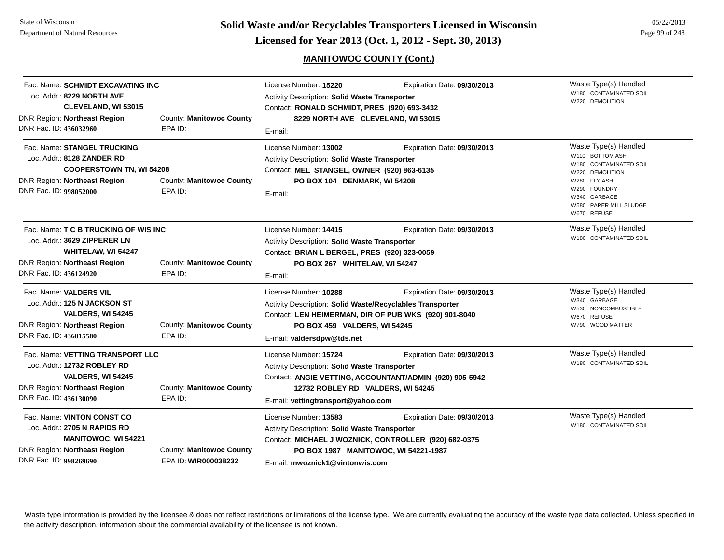## **MANITOWOC COUNTY (Cont.)**

| Fac. Name: SCHMIDT EXCAVATING INC<br>Loc. Addr.: 8229 NORTH AVE<br><b>CLEVELAND, WI 53015</b><br><b>DNR Region: Northeast Region</b><br>DNR Fac. ID: 436032960 | County: Manitowoc County<br>EPA ID:              | License Number: 15220<br>Activity Description: Solid Waste Transporter<br>Contact: RONALD SCHMIDT, PRES (920) 693-3432<br>8229 NORTH AVE CLEVELAND, WI 53015<br>E-mail: | Expiration Date: 09/30/2013                                                                                                  | Waste Type(s) Handled<br>W180 CONTAMINATED SOIL<br>W220 DEMOLITION                                                                                                             |
|----------------------------------------------------------------------------------------------------------------------------------------------------------------|--------------------------------------------------|-------------------------------------------------------------------------------------------------------------------------------------------------------------------------|------------------------------------------------------------------------------------------------------------------------------|--------------------------------------------------------------------------------------------------------------------------------------------------------------------------------|
| Fac. Name: STANGEL TRUCKING<br>Loc. Addr.: 8128 ZANDER RD<br><b>COOPERSTOWN TN, WI 54208</b><br>DNR Region: Northeast Region<br>DNR Fac. ID: 998052000         | County: Manitowoc County<br>EPA ID:              | License Number: 13002<br>Activity Description: Solid Waste Transporter<br>Contact: MEL STANGEL, OWNER (920) 863-6135<br>PO BOX 104 DENMARK, WI 54208<br>E-mail:         | Expiration Date: 09/30/2013                                                                                                  | Waste Type(s) Handled<br>W110 BOTTOM ASH<br>W180 CONTAMINATED SOIL<br>W220 DEMOLITION<br>W280 FLY ASH<br>W290 FOUNDRY<br>W340 GARBAGE<br>W580 PAPER MILL SLUDGE<br>W670 REFUSE |
| Fac. Name: T C B TRUCKING OF WIS INC<br>Loc. Addr.: 3629 ZIPPERER LN<br>WHITELAW, WI 54247<br><b>DNR Region: Northeast Region</b><br>DNR Fac. ID: 436124920    | County: Manitowoc County<br>EPA ID:              | License Number: 14415<br>Activity Description: Solid Waste Transporter<br>Contact: BRIAN L BERGEL, PRES (920) 323-0059<br>PO BOX 267 WHITELAW, WI 54247<br>E-mail:      | Expiration Date: 09/30/2013                                                                                                  | Waste Type(s) Handled<br>W180 CONTAMINATED SOIL                                                                                                                                |
| Fac. Name: VALDERS VIL<br>Loc. Addr.: 125 N JACKSON ST<br>VALDERS, WI 54245<br><b>DNR Region: Northeast Region</b><br>DNR Fac. ID: 436015580                   | County: Manitowoc County<br>EPA ID:              | License Number: 10288<br>Activity Description: Solid Waste/Recyclables Transporter<br>PO BOX 459 VALDERS, WI 54245<br>E-mail: valdersdpw@tds.net                        | Expiration Date: 09/30/2013<br>Contact: LEN HEIMERMAN, DIR OF PUB WKS (920) 901-8040                                         | Waste Type(s) Handled<br>W340 GARBAGE<br>W530 NONCOMBUSTIBLE<br>W670 REFUSE<br>W790 WOOD MATTER                                                                                |
| Fac. Name: VETTING TRANSPORT LLC<br>Loc. Addr.: 12732 ROBLEY RD<br>VALDERS, WI 54245<br><b>DNR Region: Northeast Region</b><br>DNR Fac. ID: 436130090          | County: Manitowoc County<br>EPA ID:              | License Number: 15724<br>Activity Description: Solid Waste Transporter<br>12732 ROBLEY RD VALDERS, WI 54245<br>E-mail: vettingtransport@yahoo.com                       | Expiration Date: 09/30/2013<br>Contact: ANGIE VETTING, ACCOUNTANT/ADMIN (920) 905-5942                                       | Waste Type(s) Handled<br>W180 CONTAMINATED SOIL                                                                                                                                |
| Fac. Name: VINTON CONST CO<br>Loc. Addr.: 2705 N RAPIDS RD<br><b>MANITOWOC, WI 54221</b><br><b>DNR Region: Northeast Region</b><br>DNR Fac. ID: 998269690      | County: Manitowoc County<br>EPA ID: WIR000038232 | License Number: 13583<br>Activity Description: Solid Waste Transporter<br>E-mail: mwoznick1@vintonwis.com                                                               | Expiration Date: 09/30/2013<br>Contact: MICHAEL J WOZNICK, CONTROLLER (920) 682-0375<br>PO BOX 1987 MANITOWOC, WI 54221-1987 | Waste Type(s) Handled<br>W180 CONTAMINATED SOIL                                                                                                                                |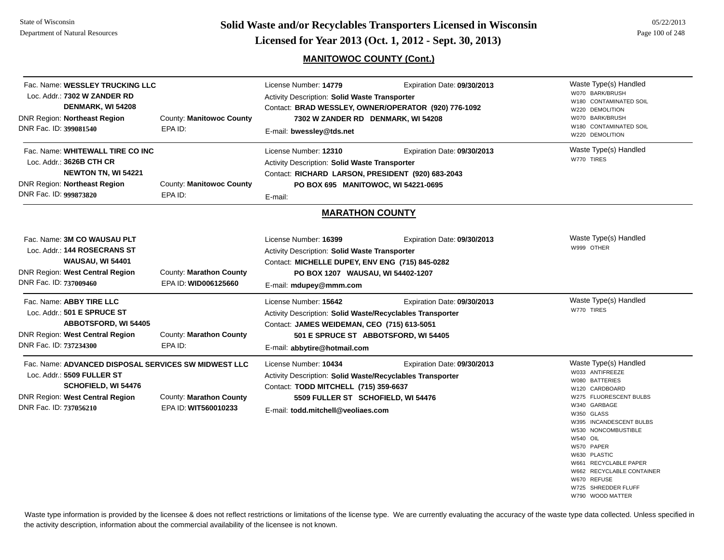**Page 100 of 248 <b>Licensed for Year 2013 (Oct. 1, 2012 - Sept. 30, 2013) Page 100 of 248 Licensed for Year 2013 (Oct. 1, 2012 - Sept. 30, 2013)** 

## **MANITOWOC COUNTY (Cont.)**

| Fac. Name: WESSLEY TRUCKING LLC<br>Loc. Addr.: 7302 W ZANDER RD<br>DENMARK, WI 54208<br><b>DNR Region: Northeast Region</b><br>DNR Fac. ID: 399081540                         | County: Manitowoc County<br>EPA ID:             | License Number: 14779<br><b>Activity Description: Solid Waste Transporter</b><br>7302 W ZANDER RD DENMARK, WI 54208<br>E-mail: bwessley@tds.net                                                         | Expiration Date: 09/30/2013<br>Contact: BRAD WESSLEY, OWNER/OPERATOR (920) 776-1092 | Waste Type(s) Handled<br>W070 BARK/BRUSH<br>W180 CONTAMINATED SOIL<br>W220 DEMOLITION<br>W070 BARK/BRUSH<br>W180 CONTAMINATED SOIL<br>W220 DEMOLITION                                                                                                                                                                                            |
|-------------------------------------------------------------------------------------------------------------------------------------------------------------------------------|-------------------------------------------------|---------------------------------------------------------------------------------------------------------------------------------------------------------------------------------------------------------|-------------------------------------------------------------------------------------|--------------------------------------------------------------------------------------------------------------------------------------------------------------------------------------------------------------------------------------------------------------------------------------------------------------------------------------------------|
| Fac. Name: WHITEWALL TIRE CO INC<br>Loc. Addr.: 3626B CTH CR<br><b>NEWTON TN, WI 54221</b><br><b>DNR Region: Northeast Region</b><br>DNR Fac. ID: 999873820                   | County: Manitowoc County<br>EPA ID:             | License Number: 12310<br><b>Activity Description: Solid Waste Transporter</b><br>Contact: RICHARD LARSON, PRESIDENT (920) 683-2043<br>PO BOX 695 MANITOWOC, WI 54221-0695<br>E-mail:                    | Expiration Date: 09/30/2013                                                         | Waste Type(s) Handled<br>W770 TIRES                                                                                                                                                                                                                                                                                                              |
|                                                                                                                                                                               |                                                 | <b>MARATHON COUNTY</b>                                                                                                                                                                                  |                                                                                     |                                                                                                                                                                                                                                                                                                                                                  |
| Fac. Name: 3M CO WAUSAU PLT<br>Loc. Addr.: 144 ROSECRANS ST<br><b>WAUSAU, WI 54401</b><br>DNR Region: West Central Region<br>DNR Fac. ID: 737009460                           | County: Marathon County<br>EPA ID: WID006125660 | License Number: 16399<br>Activity Description: Solid Waste Transporter<br>Contact: MICHELLE DUPEY, ENV ENG (715) 845-0282<br>PO BOX 1207 WAUSAU, WI 54402-1207<br>E-mail: mdupey@mmm.com                | Expiration Date: 09/30/2013                                                         | Waste Type(s) Handled<br>W999 OTHER                                                                                                                                                                                                                                                                                                              |
| Fac. Name: ABBY TIRE LLC<br>Loc. Addr.: 501 E SPRUCE ST<br><b>ABBOTSFORD, WI 54405</b><br>DNR Region: West Central Region<br>DNR Fac. ID: 737234300                           | County: Marathon County<br>EPA ID:              | License Number: 15642<br>Activity Description: Solid Waste/Recyclables Transporter<br>Contact: JAMES WEIDEMAN, CEO (715) 613-5051<br>E-mail: abbytire@hotmail.com                                       | Expiration Date: 09/30/2013<br>501 E SPRUCE ST ABBOTSFORD, WI 54405                 | Waste Type(s) Handled<br>W770 TIRES                                                                                                                                                                                                                                                                                                              |
| Fac. Name: ADVANCED DISPOSAL SERVICES SW MIDWEST LLC<br>Loc. Addr.: 5509 FULLER ST<br><b>SCHOFIELD, WI 54476</b><br>DNR Region: West Central Region<br>DNR Fac. ID: 737056210 | County: Marathon County<br>EPA ID: WIT560010233 | License Number: 10434<br>Activity Description: Solid Waste/Recyclables Transporter<br>Contact: TODD MITCHELL (715) 359-6637<br>5509 FULLER ST SCHOFIELD, WI 54476<br>E-mail: todd.mitchell@veoliaes.com | Expiration Date: 09/30/2013                                                         | Waste Type(s) Handled<br>W033 ANTIFREEZE<br>W080 BATTERIES<br>W120 CARDBOARD<br>W275 FLUORESCENT BULBS<br>W340 GARBAGE<br>W350 GLASS<br>W395 INCANDESCENT BULBS<br>W530 NONCOMBUSTIBLE<br>W540 OIL<br>W570 PAPER<br>W630 PLASTIC<br>W661 RECYCLABLE PAPER<br>W662 RECYCLABLE CONTAINER<br>W670 REFUSE<br>W725 SHREDDER FLUFF<br>W790 WOOD MATTER |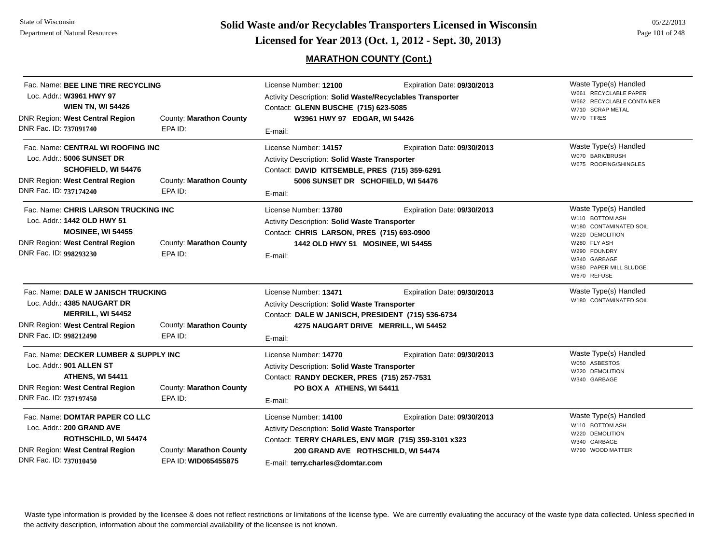**Page 101 of 248 <b>Licensed for Year 2013 (Oct. 1, 2012 - Sept. 30, 2013) Page 101 of 248 Licensed for Year 2013 (Oct. 1, 2012 - Sept. 30, 2013)** 

## **MARATHON COUNTY (Cont.)**

| Fac. Name: BEE LINE TIRE RECYCLING<br>Loc. Addr.: W3961 HWY 97<br><b>WIEN TN, WI 54426</b><br><b>DNR Region: West Central Region</b><br>DNR Fac. ID: 737091740      | County: Marathon County<br>EPA ID:              | License Number: 12100<br>Activity Description: Solid Waste/Recyclables Transporter<br>Contact: GLENN BUSCHE (715) 623-5085<br>W3961 HWY 97 EDGAR, WI 54426<br>E-mail:                                          | Expiration Date: 09/30/2013                                         | Waste Type(s) Handled<br>W661 RECYCLABLE PAPER<br>W662 RECYCLABLE CONTAINER<br>W710 SCRAP METAL<br>W770 TIRES                                                                  |
|---------------------------------------------------------------------------------------------------------------------------------------------------------------------|-------------------------------------------------|----------------------------------------------------------------------------------------------------------------------------------------------------------------------------------------------------------------|---------------------------------------------------------------------|--------------------------------------------------------------------------------------------------------------------------------------------------------------------------------|
| Fac. Name: CENTRAL WI ROOFING INC<br>Loc. Addr.: 5006 SUNSET DR<br>SCHOFIELD, WI 54476<br>DNR Region: West Central Region<br>DNR Fac. ID: 737174240                 | County: Marathon County<br>EPA ID:              | License Number: 14157<br>Activity Description: Solid Waste Transporter<br>Contact: DAVID KITSEMBLE, PRES (715) 359-6291<br>5006 SUNSET DR SCHOFIELD, WI 54476<br>E-mail:                                       | Expiration Date: 09/30/2013                                         | Waste Type(s) Handled<br>W070 BARK/BRUSH<br>W675 ROOFING/SHINGLES                                                                                                              |
| Fac. Name: CHRIS LARSON TRUCKING INC<br>Loc. Addr.: 1442 OLD HWY 51<br><b>MOSINEE, WI 54455</b><br><b>DNR Region: West Central Region</b><br>DNR Fac. ID: 998293230 | County: Marathon County<br>EPA ID:              | License Number: 13780<br>Activity Description: Solid Waste Transporter<br>Contact: CHRIS LARSON, PRES (715) 693-0900<br>1442 OLD HWY 51 MOSINEE, WI 54455<br>E-mail:                                           | Expiration Date: 09/30/2013                                         | Waste Type(s) Handled<br>W110 BOTTOM ASH<br>W180 CONTAMINATED SOIL<br>W220 DEMOLITION<br>W280 FLY ASH<br>W290 FOUNDRY<br>W340 GARBAGE<br>W580 PAPER MILL SLUDGE<br>W670 REFUSE |
| Fac. Name: DALE W JANISCH TRUCKING<br>Loc. Addr.: 4385 NAUGART DR<br>MERRILL, WI 54452<br><b>DNR Region: West Central Region</b><br>DNR Fac. ID: 998212490          | County: Marathon County<br>EPA ID:              | License Number: 13471<br>Activity Description: Solid Waste Transporter<br>Contact: DALE W JANISCH, PRESIDENT (715) 536-6734<br>E-mail:                                                                         | Expiration Date: 09/30/2013<br>4275 NAUGART DRIVE MERRILL, WI 54452 | Waste Type(s) Handled<br>W180 CONTAMINATED SOIL                                                                                                                                |
| Fac. Name: DECKER LUMBER & SUPPLY INC<br>Loc. Addr.: 901 ALLEN ST<br><b>ATHENS, WI 54411</b><br>DNR Region: West Central Region<br>DNR Fac. ID: 737197450           | County: Marathon County<br>EPA ID:              | License Number: 14770<br>Activity Description: Solid Waste Transporter<br>Contact: RANDY DECKER, PRES (715) 257-7531<br>PO BOX A ATHENS, WI 54411<br>E-mail:                                                   | Expiration Date: 09/30/2013                                         | Waste Type(s) Handled<br>W050 ASBESTOS<br>W220 DEMOLITION<br>W340 GARBAGE                                                                                                      |
| Fac. Name: DOMTAR PAPER CO LLC<br>Loc. Addr.: 200 GRAND AVE<br><b>ROTHSCHILD, WI 54474</b><br><b>DNR Region: West Central Region</b><br>DNR Fac. ID: 737010450      | County: Marathon County<br>EPA ID: WID065455875 | License Number: 14100<br><b>Activity Description: Solid Waste Transporter</b><br>Contact: TERRY CHARLES, ENV MGR (715) 359-3101 x323<br>200 GRAND AVE ROTHSCHILD, WI 54474<br>E-mail: terry.charles@domtar.com | Expiration Date: 09/30/2013                                         | Waste Type(s) Handled<br>W110 BOTTOM ASH<br>W220 DEMOLITION<br>W340 GARBAGE<br>W790 WOOD MATTER                                                                                |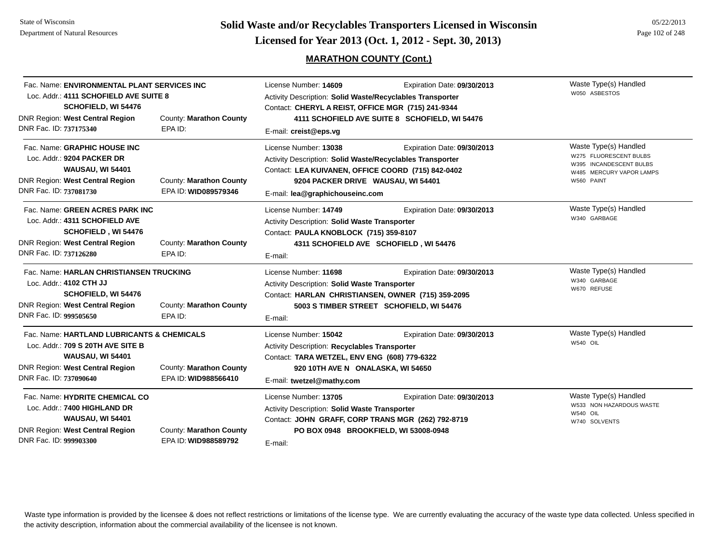**Page 102 of 248 <b>Licensed for Year 2013 (Oct. 1, 2012 - Sept. 30, 2013) Page 102 of 248 Licensed for Year 2013 (Oct. 1, 2012 - Sept. 30, 2013)** 

## **MARATHON COUNTY (Cont.)**

| Fac. Name: ENVIRONMENTAL PLANT SERVICES INC<br>Loc. Addr.: 4111 SCHOFIELD AVE SUITE 8<br>SCHOFIELD, WI 54476<br>DNR Region: West Central Region<br>DNR Fac. ID: 737175340                                  | County: Marathon County<br>EPA ID:              | License Number: 14609<br>Activity Description: Solid Waste/Recyclables Transporter<br>Contact: CHERYL A REIST, OFFICE MGR (715) 241-9344<br>E-mail: creist@eps.vg                                                 | Expiration Date: 09/30/2013<br>4111 SCHOFIELD AVE SUITE 8 SCHOFIELD, WI 54476 | Waste Type(s) Handled<br>W050 ASBESTOS                                                                               |
|------------------------------------------------------------------------------------------------------------------------------------------------------------------------------------------------------------|-------------------------------------------------|-------------------------------------------------------------------------------------------------------------------------------------------------------------------------------------------------------------------|-------------------------------------------------------------------------------|----------------------------------------------------------------------------------------------------------------------|
| Fac. Name: GRAPHIC HOUSE INC<br>Loc. Addr.: 9204 PACKER DR<br><b>WAUSAU, WI 54401</b><br><b>DNR Region: West Central Region</b><br>DNR Fac. ID: 737081730                                                  | County: Marathon County<br>EPA ID: WID089579346 | License Number: 13038<br>Activity Description: Solid Waste/Recyclables Transporter<br>Contact: LEA KUIVANEN, OFFICE COORD (715) 842-0402<br>9204 PACKER DRIVE WAUSAU, WI 54401<br>E-mail: lea@graphichouseinc.com | Expiration Date: 09/30/2013                                                   | Waste Type(s) Handled<br>W275 FLUORESCENT BULBS<br>W395 INCANDESCENT BULBS<br>W485 MERCURY VAPOR LAMPS<br>W560 PAINT |
| Fac. Name: GREEN ACRES PARK INC<br>Loc. Addr.: 4311 SCHOFIELD AVE<br>SCHOFIELD, WI 54476<br><b>DNR Region: West Central Region</b><br>DNR Fac. ID: 737126280                                               | County: Marathon County<br>EPA ID:              | License Number: 14749<br>Activity Description: Solid Waste Transporter<br>Contact: PAULA KNOBLOCK (715) 359-8107<br>E-mail:                                                                                       | Expiration Date: 09/30/2013<br>4311 SCHOFIELD AVE SCHOFIELD, WI 54476         | Waste Type(s) Handled<br>W340 GARBAGE                                                                                |
| Fac. Name: HARLAN CHRISTIANSEN TRUCKING<br>Loc. Addr.: 4102 CTH JJ<br><b>SCHOFIELD, WI 54476</b><br><b>DNR Region: West Central Region</b><br>County: Marathon County<br>DNR Fac. ID: 999505650<br>EPA ID: |                                                 | License Number: 11698<br>Activity Description: Solid Waste Transporter<br>Contact: HARLAN CHRISTIANSEN, OWNER (715) 359-2095<br>E-mail:                                                                           | Expiration Date: 09/30/2013<br>5003 S TIMBER STREET SCHOFIELD, WI 54476       | Waste Type(s) Handled<br>W340 GARBAGE<br>W670 REFUSE                                                                 |
| Fac. Name: HARTLAND LUBRICANTS & CHEMICALS<br>Loc. Addr.: 709 S 20TH AVE SITE B<br><b>WAUSAU, WI 54401</b><br><b>DNR Region: West Central Region</b><br>DNR Fac. ID: 737090640                             | County: Marathon County<br>EPA ID: WID988566410 | License Number: 15042<br>Activity Description: Recyclables Transporter<br>Contact: TARA WETZEL, ENV ENG (608) 779-6322<br>920 10TH AVE N ONALASKA, WI 54650<br>E-mail: twetzel@mathy.com                          | Expiration Date: 09/30/2013                                                   | Waste Type(s) Handled<br>W540 OIL                                                                                    |
| Fac. Name: HYDRITE CHEMICAL CO<br>Loc. Addr.: 7400 HIGHLAND DR<br><b>WAUSAU, WI 54401</b><br>DNR Region: West Central Region<br>DNR Fac. ID: 999903300                                                     | County: Marathon County<br>EPA ID: WID988589792 | License Number: 13705<br>Activity Description: Solid Waste Transporter<br>Contact: JOHN GRAFF, CORP TRANS MGR (262) 792-8719<br>E-mail:                                                                           | Expiration Date: 09/30/2013<br>PO BOX 0948 BROOKFIELD, WI 53008-0948          | Waste Type(s) Handled<br>W533 NON HAZARDOUS WASTE<br><b>W540 OIL</b><br>W740 SOLVENTS                                |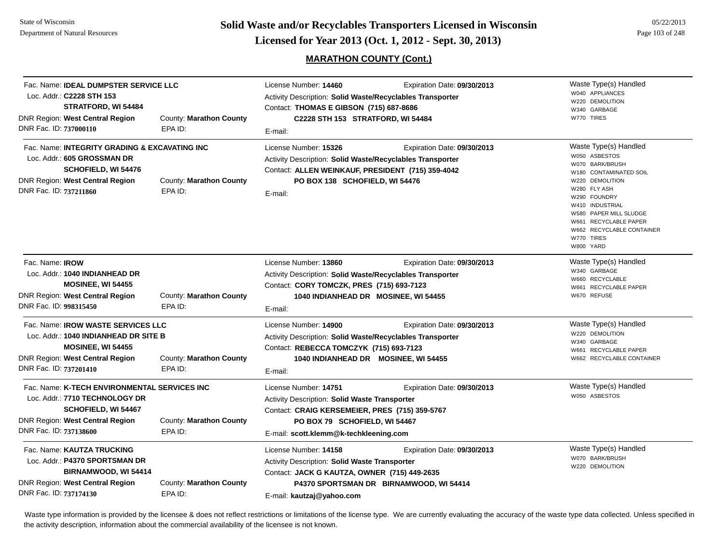**Page 103 of 248 <b>Licensed for Year 2013 (Oct. 1, 2012 - Sept. 30, 2013) Page 103 of 248 Licensed for Year 2013 (Oct. 1, 2012 - Sept. 30, 2013)** 

## **MARATHON COUNTY (Cont.)**

| Fac. Name: IDEAL DUMPSTER SERVICE LLC<br>Loc. Addr.: C2228 STH 153<br>STRATFORD, WI 54484<br>DNR Region: West Central Region<br>County: Marathon County<br>DNR Fac. ID: 737000110<br>EPA ID:                             |                                    | License Number: 14460<br><b>Activity Description: Solid Waste/Recyclables Transporter</b><br>Contact: THOMAS E GIBSON (715) 687-8686<br>C2228 STH 153 STRATFORD, WI 54484<br>E-mail:                       | Expiration Date: 09/30/2013                                            | Waste Type(s) Handled<br>W040 APPLIANCES<br>W220 DEMOLITION<br>W340 GARBAGE<br>W770 TIRES                                                                                                                                                                            |
|--------------------------------------------------------------------------------------------------------------------------------------------------------------------------------------------------------------------------|------------------------------------|------------------------------------------------------------------------------------------------------------------------------------------------------------------------------------------------------------|------------------------------------------------------------------------|----------------------------------------------------------------------------------------------------------------------------------------------------------------------------------------------------------------------------------------------------------------------|
| Fac. Name: INTEGRITY GRADING & EXCAVATING INC<br>Loc. Addr.: 605 GROSSMAN DR<br><b>SCHOFIELD, WI 54476</b><br>DNR Region: West Central Region<br>DNR Fac. ID: 737211860                                                  | County: Marathon County<br>EPA ID: | License Number: 15326<br><b>Activity Description: Solid Waste/Recyclables Transporter</b><br>Contact: ALLEN WEINKAUF, PRESIDENT (715) 359-4042<br>PO BOX 138 SCHOFIELD, WI 54476<br>E-mail:                | Expiration Date: 09/30/2013                                            | Waste Type(s) Handled<br>W050 ASBESTOS<br>W070 BARK/BRUSH<br>W180 CONTAMINATED SOIL<br>W220 DEMOLITION<br>W280 FLY ASH<br>W290 FOUNDRY<br>W410 INDUSTRIAL<br>W580 PAPER MILL SLUDGE<br>W661 RECYCLABLE PAPER<br>W662 RECYCLABLE CONTAINER<br>W770 TIRES<br>W800 YARD |
| Fac. Name: <b>IROW</b><br>Loc. Addr.: 1040 INDIANHEAD DR<br><b>MOSINEE, WI 54455</b><br>DNR Region: West Central Region<br>DNR Fac. ID: 998315450                                                                        | County: Marathon County<br>EPA ID: | License Number: 13860<br>Activity Description: Solid Waste/Recyclables Transporter<br>Contact: CORY TOMCZK, PRES (715) 693-7123<br>1040 INDIANHEAD DR MOSINEE, WI 54455<br>E-mail:                         | Expiration Date: 09/30/2013                                            | Waste Type(s) Handled<br>W340 GARBAGE<br>W660 RECYCLABLE<br>W661 RECYCLABLE PAPER<br>W670 REFUSE                                                                                                                                                                     |
| Fac. Name: <b>IROW WASTE SERVICES LLC</b><br>Loc. Addr.: 1040 INDIANHEAD DR SITE B<br><b>MOSINEE, WI 54455</b><br><b>DNR Region: West Central Region</b><br>County: Marathon County<br>DNR Fac. ID: 737201410<br>EPA ID: |                                    | License Number: 14900<br>Activity Description: Solid Waste/Recyclables Transporter<br>Contact: REBECCA TOMCZYK (715) 693-7123<br>E-mail:                                                                   | Expiration Date: 09/30/2013<br>1040 INDIANHEAD DR MOSINEE, WI 54455    | Waste Type(s) Handled<br>W220 DEMOLITION<br>W340 GARBAGE<br>W661 RECYCLABLE PAPER<br>W662 RECYCLABLE CONTAINER                                                                                                                                                       |
| Fac. Name: K-TECH ENVIRONMENTAL SERVICES INC<br>Loc. Addr.: 7710 TECHNOLOGY DR<br>SCHOFIELD, WI 54467<br><b>DNR Region: West Central Region</b><br>County: Marathon County<br>DNR Fac. ID: 737138600<br>EPA ID:          |                                    | License Number: 14751<br><b>Activity Description: Solid Waste Transporter</b><br>Contact: CRAIG KERSEMEIER, PRES (715) 359-5767<br>PO BOX 79 SCHOFIELD, WI 54467<br>E-mail: scott.klemm@k-techkleening.com | Expiration Date: 09/30/2013                                            | Waste Type(s) Handled<br>W050 ASBESTOS                                                                                                                                                                                                                               |
| Fac. Name: KAUTZA TRUCKING<br>Loc. Addr.: P4370 SPORTSMAN DR<br>BIRNAMWOOD, WI 54414<br>DNR Region: West Central Region<br>DNR Fac. ID: 737174130                                                                        | County: Marathon County<br>EPA ID: | License Number: 14158<br><b>Activity Description: Solid Waste Transporter</b><br>Contact: JACK G KAUTZA, OWNER (715) 449-2635<br>E-mail: kautzaj@yahoo.com                                                 | Expiration Date: 09/30/2013<br>P4370 SPORTSMAN DR BIRNAMWOOD, WI 54414 | Waste Type(s) Handled<br>W070 BARK/BRUSH<br>W220 DEMOLITION                                                                                                                                                                                                          |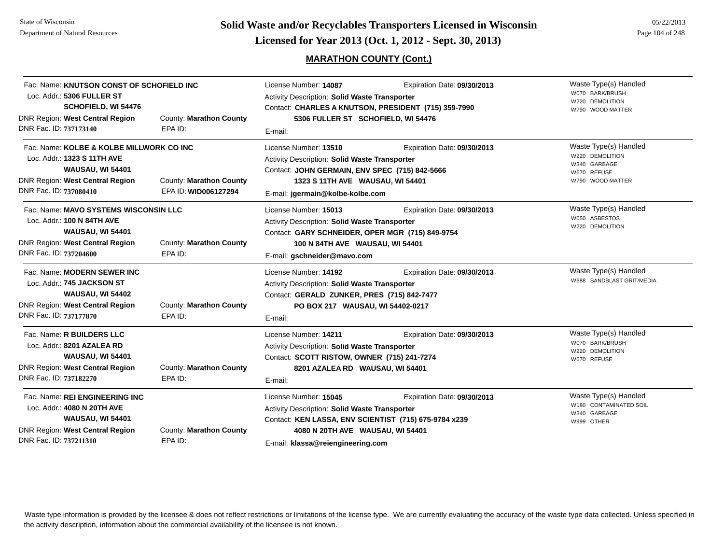**Solid Waste and/or Recyclables Transporters Licensed in Wisconsin<br>Licensed for Year 2013 (Oct. 1, 2012 - Sept. 30, 2013)** 

## **MARATHON COUNTY (Cont.)**

| 05/22/2013      |
|-----------------|
| Page 104 of 248 |

| Fac. Name: KNUTSON CONST OF SCHOFIELD INC<br>Loc. Addr.: 5306 FULLER ST<br>SCHOFIELD, WI 54476<br><b>DNR Region: West Central Region</b><br>DNR Fac. ID: 737173140     | County: Marathon County<br>EPA ID:              | License Number: 14087<br>Activity Description: Solid Waste Transporter<br>Contact: CHARLES A KNUTSON, PRESIDENT (715) 359-7990<br>5306 FULLER ST SCHOFIELD, WI 54476<br>E-mail:                          | Expiration Date: 09/30/2013 | Waste Type(s) Handled<br>W070 BARK/BRUSH<br>W220 DEMOLITION<br>W790 WOOD MATTER             |
|------------------------------------------------------------------------------------------------------------------------------------------------------------------------|-------------------------------------------------|----------------------------------------------------------------------------------------------------------------------------------------------------------------------------------------------------------|-----------------------------|---------------------------------------------------------------------------------------------|
| Fac. Name: KOLBE & KOLBE MILLWORK CO INC<br>Loc. Addr.: 1323 S 11TH AVE<br><b>WAUSAU, WI 54401</b><br><b>DNR Region: West Central Region</b><br>DNR Fac. ID: 737080410 | County: Marathon County<br>EPA ID: WID006127294 | License Number: 13510<br>Activity Description: Solid Waste Transporter<br>Contact: JOHN GERMAIN, ENV SPEC (715) 842-5666<br>1323 S 11TH AVE WAUSAU, WI 54401<br>E-mail: jgermain@kolbe-kolbe.com         | Expiration Date: 09/30/2013 | Waste Type(s) Handled<br>W220 DEMOLITION<br>W340 GARBAGE<br>W670 REFUSE<br>W790 WOOD MATTER |
| Fac. Name: MAVO SYSTEMS WISCONSIN LLC<br>Loc. Addr.: 100 N 84TH AVE<br><b>WAUSAU, WI 54401</b><br><b>DNR Region: West Central Region</b><br>DNR Fac. ID: 737204600     | County: Marathon County<br>EPA ID:              | License Number: 15013<br>Activity Description: Solid Waste Transporter<br>Contact: GARY SCHNEIDER, OPER MGR (715) 849-9754<br>100 N 84TH AVE WAUSAU, WI 54401<br>E-mail: gschneider@mavo.com             | Expiration Date: 09/30/2013 | Waste Type(s) Handled<br>W050 ASBESTOS<br>W220 DEMOLITION                                   |
| Fac. Name: MODERN SEWER INC<br>Loc. Addr.: 745 JACKSON ST<br><b>WAUSAU, WI 54402</b><br><b>DNR Region: West Central Region</b><br>DNR Fac. ID: 737177870               | County: Marathon County<br>EPA ID:              | License Number: 14192<br>Activity Description: Solid Waste Transporter<br>Contact: GERALD ZUNKER, PRES (715) 842-7477<br>PO BOX 217 WAUSAU, WI 54402-0217<br>E-mail:                                     | Expiration Date: 09/30/2013 | Waste Type(s) Handled<br>W688 SANDBLAST GRIT/MEDIA                                          |
| Fac. Name: R BUILDERS LLC<br>Loc. Addr.: 8201 AZALEA RD<br><b>WAUSAU, WI 54401</b><br><b>DNR Region: West Central Region</b><br>DNR Fac. ID: 737182270                 | County: Marathon County<br>EPA ID:              | License Number: 14211<br>Activity Description: Solid Waste Transporter<br>Contact: SCOTT RISTOW, OWNER (715) 241-7274<br>8201 AZALEA RD WAUSAU, WI 54401<br>E-mail:                                      | Expiration Date: 09/30/2013 | Waste Type(s) Handled<br>W070 BARK/BRUSH<br>W220 DEMOLITION<br>W670 REFUSE                  |
| Fac. Name: REI ENGINEERING INC<br>Loc. Addr.: 4080 N 20TH AVE<br><b>WAUSAU, WI 54401</b><br><b>DNR Region: West Central Region</b><br>DNR Fac. ID: 737211310           | County: Marathon County<br>EPA ID:              | License Number: 15045<br>Activity Description: Solid Waste Transporter<br>Contact: KEN LASSA, ENV SCIENTIST (715) 675-9784 x239<br>4080 N 20TH AVE WAUSAU, WI 54401<br>E-mail: klassa@reiengineering.com | Expiration Date: 09/30/2013 | Waste Type(s) Handled<br>W180 CONTAMINATED SOIL<br>W340 GARBAGE<br>W999 OTHER               |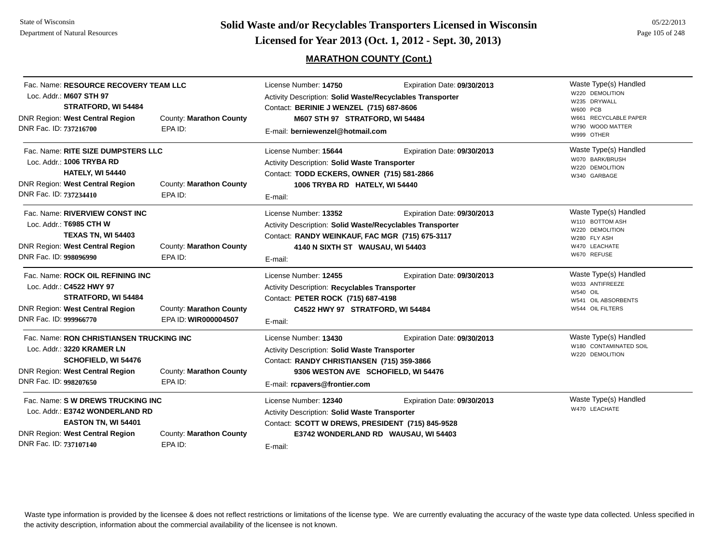**Page 105 of 248 <b>Licensed for Year 2013 (Oct. 1, 2012 - Sept. 30, 2013) Page 105 of 248 Licensed for Year 2013 (Oct. 1, 2012 - Sept. 30, 2013)** 

## **MARATHON COUNTY (Cont.)**

| Loc. Addr.: M607 STH 97<br>DNR Region: West Central Region<br>DNR Fac. ID: 737216700                                                                                                                  | Fac. Name: RESOURCE RECOVERY TEAM LLC<br>STRATFORD, WI 54484<br>EPA ID:           | License Number: 14750<br>Contact: BERINIE J WENZEL (715) 687-8606<br>County: Marathon County<br>E-mail: berniewenzel@hotmail.com                                                        | Expiration Date: 09/30/2013<br>Activity Description: Solid Waste/Recyclables Transporter<br>M607 STH 97 STRATFORD, WI 54484                                                     | Waste Type(s) Handled<br>W220 DEMOLITION<br>W235 DRYWALL<br>W600 PCB<br>W661 RECYCLABLE PAPER<br>W790 WOOD MATTER<br>W999 OTHER |
|-------------------------------------------------------------------------------------------------------------------------------------------------------------------------------------------------------|-----------------------------------------------------------------------------------|-----------------------------------------------------------------------------------------------------------------------------------------------------------------------------------------|---------------------------------------------------------------------------------------------------------------------------------------------------------------------------------|---------------------------------------------------------------------------------------------------------------------------------|
| Loc. Addr.: 1006 TRYBA RD<br><b>DNR Region: West Central Region</b><br>DNR Fac. ID: 737234410                                                                                                         | Fac. Name: RITE SIZE DUMPSTERS LLC<br><b>HATELY, WI 54440</b><br>EPA ID:          | License Number: 15644<br>Activity Description: Solid Waste Transporter<br>Contact: TODD ECKERS, OWNER (715) 581-2866<br>County: Marathon County<br>E-mail:                              | Expiration Date: 09/30/2013<br>1006 TRYBA RD HATELY, WI 54440                                                                                                                   | Waste Type(s) Handled<br>W070 BARK/BRUSH<br>W220 DEMOLITION<br>W340 GARBAGE                                                     |
| Fac. Name: RIVERVIEW CONST INC<br>Loc. Addr.: T6985 CTH W<br><b>DNR Region: West Central Region</b><br>DNR Fac. ID: 998096990                                                                         | <b>TEXAS TN, WI 54403</b><br>EPA ID:                                              | License Number: 13352<br>County: Marathon County<br>E-mail:                                                                                                                             | Expiration Date: 09/30/2013<br>Activity Description: Solid Waste/Recyclables Transporter<br>Contact: RANDY WEINKAUF, FAC MGR (715) 675-3117<br>4140 N SIXTH ST WAUSAU, WI 54403 | Waste Type(s) Handled<br>W110 BOTTOM ASH<br>W220 DEMOLITION<br>W280 FLY ASH<br>W470 LEACHATE<br>W670 REFUSE                     |
| Fac. Name: ROCK OIL REFINING INC<br>Loc. Addr.: C4522 HWY 97<br><b>DNR Region: West Central Region</b><br>DNR Fac. ID: 999966770                                                                      | STRATFORD, WI 54484                                                               | License Number: 12455<br>Activity Description: Recyclables Transporter<br>Contact: PETER ROCK (715) 687-4198<br>County: Marathon County<br>EPA ID: WIR000004507<br>E-mail:              | Expiration Date: 09/30/2013<br>C4522 HWY 97 STRATFORD, WI 54484                                                                                                                 | Waste Type(s) Handled<br>W033 ANTIFREEZE<br><b>W540 OIL</b><br>W541 OIL ABSORBENTS<br>W544 OIL FILTERS                          |
| Loc. Addr.: 3220 KRAMER LN<br><b>DNR Region: West Central Region</b><br>DNR Fac. ID: 998207650                                                                                                        | Fac. Name: RON CHRISTIANSEN TRUCKING INC<br><b>SCHOFIELD, WI 54476</b><br>EPA ID: | License Number: 13430<br><b>Activity Description: Solid Waste Transporter</b><br>Contact: RANDY CHRISTIANSEN (715) 359-3866<br>County: Marathon County<br>E-mail: rcpavers@frontier.com | Expiration Date: 09/30/2013<br>9306 WESTON AVE SCHOFIELD, WI 54476                                                                                                              | Waste Type(s) Handled<br>W180 CONTAMINATED SOIL<br>W220 DEMOLITION                                                              |
| Fac. Name: S W DREWS TRUCKING INC<br>Loc. Addr.: E3742 WONDERLAND RD<br>EASTON TN, WI 54401<br><b>DNR Region: West Central Region</b><br>County: Marathon County<br>DNR Fac. ID: 737107140<br>EPA ID: |                                                                                   | License Number: 12340<br>Activity Description: Solid Waste Transporter<br>E-mail:                                                                                                       | Expiration Date: 09/30/2013<br>Contact: SCOTT W DREWS, PRESIDENT (715) 845-9528<br>E3742 WONDERLAND RD WAUSAU, WI 54403                                                         | Waste Type(s) Handled<br>W470 LEACHATE                                                                                          |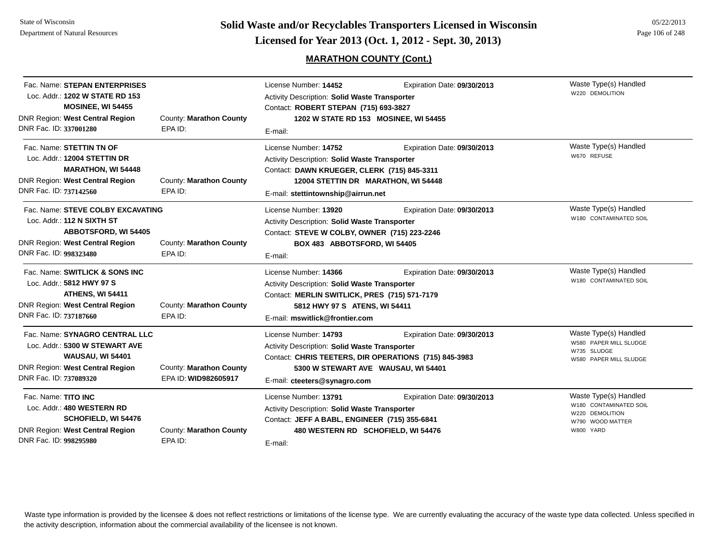## **MARATHON COUNTY (Cont.)**

| Fac. Name: STEPAN ENTERPRISES<br>Loc. Addr.: 1202 W STATE RD 153<br>MOSINEE, WI 54455<br>DNR Region: West Central Region<br>DNR Fac. ID: 337001280          | County: Marathon County<br>EPA ID:              | License Number: 14452<br><b>Activity Description: Solid Waste Transporter</b><br>Contact: ROBERT STEPAN (715) 693-3827<br>1202 W STATE RD 153 MOSINEE, WI 54455<br>E-mail:                                | Expiration Date: 09/30/2013                                        | Waste Type(s) Handled<br>W220 DEMOLITION                                                            |
|-------------------------------------------------------------------------------------------------------------------------------------------------------------|-------------------------------------------------|-----------------------------------------------------------------------------------------------------------------------------------------------------------------------------------------------------------|--------------------------------------------------------------------|-----------------------------------------------------------------------------------------------------|
| Fac. Name: STETTIN TN OF<br>Loc. Addr.: 12004 STETTIN DR<br><b>MARATHON, WI 54448</b><br><b>DNR Region: West Central Region</b><br>DNR Fac. ID: 737142560   | County: Marathon County<br>EPA ID:              | License Number: 14752<br><b>Activity Description: Solid Waste Transporter</b><br>Contact: DAWN KRUEGER, CLERK (715) 845-3311<br>12004 STETTIN DR MARATHON, WI 54448<br>E-mail: stettintownship@airrun.net | Expiration Date: 09/30/2013                                        | Waste Type(s) Handled<br>W670 REFUSE                                                                |
| Fac. Name: STEVE COLBY EXCAVATING<br>Loc. Addr.: 112 N SIXTH ST<br><b>ABBOTSFORD, WI 54405</b><br>DNR Region: West Central Region<br>DNR Fac. ID: 998323480 | County: Marathon County<br>EPA ID:              | License Number: 13920<br>Activity Description: Solid Waste Transporter<br>Contact: STEVE W COLBY, OWNER (715) 223-2246<br>BOX 483 ABBOTSFORD, WI 54405<br>E-mail:                                         | Expiration Date: 09/30/2013                                        | Waste Type(s) Handled<br>W180 CONTAMINATED SOIL                                                     |
| Fac. Name: SWITLICK & SONS INC<br>Loc. Addr.: 5812 HWY 97 S<br><b>ATHENS, WI 54411</b><br><b>DNR Region: West Central Region</b><br>DNR Fac. ID: 737187660  | County: Marathon County<br>EPA ID:              | License Number: 14366<br>Activity Description: Solid Waste Transporter<br>Contact: MERLIN SWITLICK, PRES (715) 571-7179<br>5812 HWY 97 S ATENS, WI 54411<br>E-mail: mswitlick@frontier.com                | Expiration Date: 09/30/2013                                        | Waste Type(s) Handled<br>W180 CONTAMINATED SOIL                                                     |
| Fac. Name: SYNAGRO CENTRAL LLC<br>Loc. Addr.: 5300 W STEWART AVE<br><b>WAUSAU, WI 54401</b><br>DNR Region: West Central Region<br>DNR Fac. ID: 737089320    | County: Marathon County<br>EPA ID: WID982605917 | License Number: 14793<br>Activity Description: Solid Waste Transporter<br>Contact: CHRIS TEETERS, DIR OPERATIONS (715) 845-3983<br>E-mail: cteeters@synagro.com                                           | Expiration Date: 09/30/2013<br>5300 W STEWART AVE WAUSAU, WI 54401 | Waste Type(s) Handled<br>W580 PAPER MILL SLUDGE<br>W735 SLUDGE<br>W580 PAPER MILL SLUDGE            |
| Fac. Name: TITO INC<br>Loc. Addr.: 480 WESTERN RD<br><b>SCHOFIELD, WI 54476</b><br><b>DNR Region: West Central Region</b><br>DNR Fac. ID: 998295980         | County: Marathon County<br>EPA ID:              | License Number: 13791<br>Activity Description: Solid Waste Transporter<br>Contact: JEFF A BABL, ENGINEER (715) 355-6841<br>480 WESTERN RD SCHOFIELD, WI 54476<br>E-mail:                                  | Expiration Date: 09/30/2013                                        | Waste Type(s) Handled<br>W180 CONTAMINATED SOIL<br>W220 DEMOLITION<br>W790 WOOD MATTER<br>W800 YARD |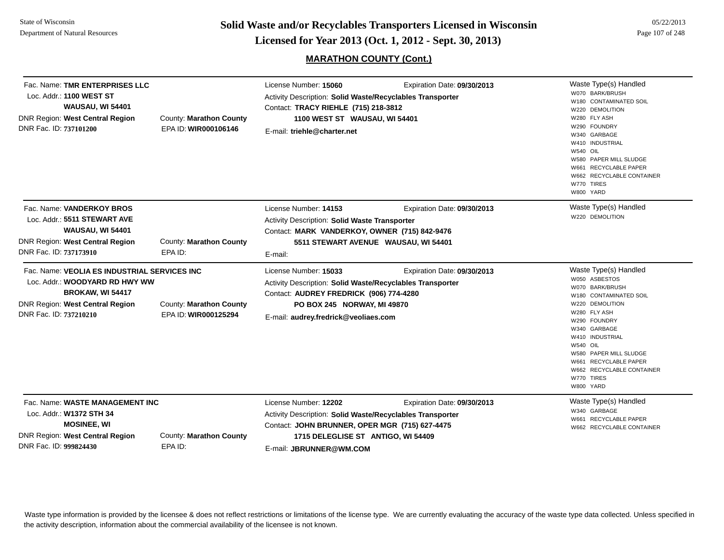**Page 107 of 248 <b>Licensed for Year 2013 (Oct. 1, 2012 - Sept. 30, 2013) Page 107 of 248 Licensed for Year 2013 (Oct. 1, 2012 - Sept. 30, 2013)** 

## **MARATHON COUNTY (Cont.)**

| Fac. Name: TMR ENTERPRISES LLC<br>Loc. Addr.: 1100 WEST ST<br><b>WAUSAU, WI 54401</b><br><b>DNR Region: West Central Region</b><br>DNR Fac. ID: 737101200              | County: Marathon County<br>EPA ID: WIR000106146 | License Number: 15060<br>Activity Description: Solid Waste/Recyclables Transporter<br>Contact: TRACY RIEHLE (715) 218-3812<br>1100 WEST ST WAUSAU, WI 54401<br>E-mail: triehle@charter.net            | Expiration Date: 09/30/2013                                         | Waste Type(s) Handled<br>W070 BARK/BRUSH<br>W180 CONTAMINATED SOIL<br>W220 DEMOLITION<br>W280 FLY ASH<br>W290 FOUNDRY<br>W340 GARBAGE<br>W410 INDUSTRIAL<br><b>W540 OIL</b><br>W580 PAPER MILL SLUDGE<br>W661 RECYCLABLE PAPER<br>W662 RECYCLABLE CONTAINER<br>W770 TIRES<br>W800 YARD                  |
|------------------------------------------------------------------------------------------------------------------------------------------------------------------------|-------------------------------------------------|-------------------------------------------------------------------------------------------------------------------------------------------------------------------------------------------------------|---------------------------------------------------------------------|---------------------------------------------------------------------------------------------------------------------------------------------------------------------------------------------------------------------------------------------------------------------------------------------------------|
| Fac. Name: VANDERKOY BROS<br>Loc. Addr.: 5511 STEWART AVE<br><b>WAUSAU, WI 54401</b><br><b>DNR Region: West Central Region</b><br>DNR Fac. ID: 737173910               | County: Marathon County<br>EPA ID:              | License Number: 14153<br>Activity Description: Solid Waste Transporter<br>Contact: MARK VANDERKOY, OWNER (715) 842-9476<br>E-mail:                                                                    | Expiration Date: 09/30/2013<br>5511 STEWART AVENUE WAUSAU, WI 54401 | Waste Type(s) Handled<br>W220 DEMOLITION                                                                                                                                                                                                                                                                |
| Fac. Name: VEOLIA ES INDUSTRIAL SERVICES INC<br>Loc. Addr.: WOODYARD RD HWY WW<br><b>BROKAW, WI 54417</b><br>DNR Region: West Central Region<br>DNR Fac. ID: 737210210 | County: Marathon County<br>EPA ID: WIR000125294 | License Number: 15033<br>Activity Description: Solid Waste/Recyclables Transporter<br>Contact: AUDREY FREDRICK (906) 774-4280<br>PO BOX 245 NORWAY, MI 49870<br>E-mail: audrey.fredrick@veoliaes.com  | Expiration Date: 09/30/2013                                         | Waste Type(s) Handled<br>W050 ASBESTOS<br>W070 BARK/BRUSH<br>W180 CONTAMINATED SOIL<br>W220 DEMOLITION<br>W280 FLY ASH<br>W290 FOUNDRY<br>W340 GARBAGE<br>W410 INDUSTRIAL<br><b>W540 OIL</b><br>W580 PAPER MILL SLUDGE<br>W661 RECYCLABLE PAPER<br>W662 RECYCLABLE CONTAINER<br>W770 TIRES<br>W800 YARD |
| Fac. Name: WASTE MANAGEMENT INC<br>Loc. Addr.: W1372 STH 34<br><b>MOSINEE, WI</b><br><b>DNR Region: West Central Region</b><br>DNR Fac. ID: 999824430                  | County: Marathon County<br>EPA ID:              | License Number: 12202<br>Activity Description: Solid Waste/Recyclables Transporter<br>Contact: JOHN BRUNNER, OPER MGR (715) 627-4475<br>1715 DELEGLISE ST ANTIGO, WI 54409<br>E-mail: JBRUNNER@WM.COM | Expiration Date: 09/30/2013                                         | Waste Type(s) Handled<br>W340 GARBAGE<br>W661 RECYCLABLE PAPER<br>W662 RECYCLABLE CONTAINER                                                                                                                                                                                                             |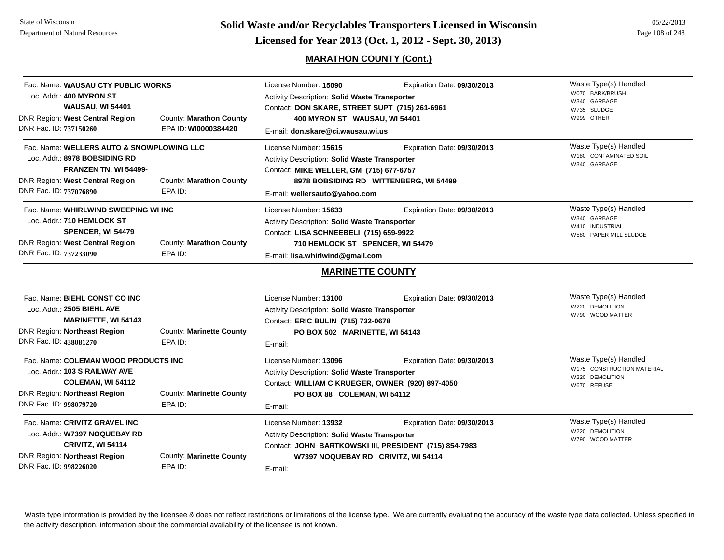**Page 108 of 248 Colid Waste and/or Recyclables Transporters Licensed in Wisconsin Exercised for Year 2013 (Oct. 1, 2012 - Sept. 30, 2013)** Page 108 of 248

## **MARATHON COUNTY (Cont.)**

| Fac. Name: WAUSAU CTY PUBLIC WORKS<br>Loc. Addr.: 400 MYRON ST<br><b>WAUSAU, WI 54401</b><br><b>DNR Region: West Central Region</b><br>DNR Fac. ID: 737150260    | County: Marathon County<br>EPA ID: WI0000384420 | License Number: 15090<br>Activity Description: Solid Waste Transporter<br>Contact: DON SKARE, STREET SUPT (715) 261-6961<br>400 MYRON ST WAUSAU, WI 54401<br>E-mail: don.skare@ci.wausau.wi.us | Expiration Date: 09/30/2013                                                           | Waste Type(s) Handled<br>W070 BARK/BRUSH<br>W340 GARBAGE<br>W735 SLUDGE<br>W999 OTHER |
|------------------------------------------------------------------------------------------------------------------------------------------------------------------|-------------------------------------------------|------------------------------------------------------------------------------------------------------------------------------------------------------------------------------------------------|---------------------------------------------------------------------------------------|---------------------------------------------------------------------------------------|
| Fac. Name: WELLERS AUTO & SNOWPLOWING LLC<br>Loc. Addr.: 8978 BOBSIDING RD<br>FRANZEN TN, WI 54499-<br>DNR Region: West Central Region<br>DNR Fac. ID: 737076890 | County: Marathon County<br>EPA ID:              | License Number: 15615<br><b>Activity Description: Solid Waste Transporter</b><br>Contact: MIKE WELLER, GM (715) 677-6757<br>E-mail: wellersauto@yahoo.com                                      | Expiration Date: 09/30/2013<br>8978 BOBSIDING RD WITTENBERG, WI 54499                 | Waste Type(s) Handled<br>W180 CONTAMINATED SOIL<br>W340 GARBAGE                       |
| Fac. Name: WHIRLWIND SWEEPING WI INC<br>Loc. Addr.: 710 HEMLOCK ST<br>SPENCER, WI 54479<br><b>DNR Region: West Central Region</b><br>DNR Fac. ID: 737233090      | County: Marathon County<br>EPA ID:              | License Number: 15633<br>Activity Description: Solid Waste Transporter<br>Contact: LISA SCHNEEBELI (715) 659-9922<br>710 HEMLOCK ST SPENCER, WI 54479<br>E-mail: lisa.whirlwind@gmail.com      | Expiration Date: 09/30/2013                                                           | Waste Type(s) Handled<br>W340 GARBAGE<br>W410 INDUSTRIAL<br>W580 PAPER MILL SLUDGE    |
| Fac. Name: BIEHL CONST CO INC<br>Loc. Addr.: 2505 BIEHL AVE<br><b>MARINETTE, WI 54143</b><br>DNR Region: Northeast Region<br>DNR Fac. ID: 438081270              | County: Marinette County<br>EPA ID:             | <b>MARINETTE COUNTY</b><br>License Number: 13100<br>Activity Description: Solid Waste Transporter<br>Contact: ERIC BULIN (715) 732-0678<br>PO BOX 502 MARINETTE, WI 54143<br>E-mail:           | Expiration Date: 09/30/2013                                                           | Waste Type(s) Handled<br>W220 DEMOLITION<br>W790 WOOD MATTER                          |
| Fac. Name: COLEMAN WOOD PRODUCTS INC<br>Loc. Addr.: 103 S RAILWAY AVE<br>COLEMAN, WI 54112<br><b>DNR Region: Northeast Region</b><br>DNR Fac. ID: 998079720      | County: Marinette County<br>EPA ID:             | License Number: 13096<br>Activity Description: Solid Waste Transporter<br>Contact: WILLIAM C KRUEGER, OWNER (920) 897-4050<br>PO BOX 88 COLEMAN, WI 54112<br>E-mail:                           | Expiration Date: 09/30/2013                                                           | Waste Type(s) Handled<br>W175 CONSTRUCTION MATERIAL<br>W220 DEMOLITION<br>W670 REFUSE |
| Fac. Name: CRIVITZ GRAVEL INC<br>Loc. Addr.: W7397 NOQUEBAY RD<br>CRIVITZ, WI 54114<br>DNR Region: Northeast Region<br>DNR Fac. ID: 998226020                    | County: Marinette County<br>EPA ID:             | License Number: 13932<br>Activity Description: Solid Waste Transporter<br>W7397 NOQUEBAY RD CRIVITZ, WI 54114<br>E-mail:                                                                       | Expiration Date: 09/30/2013<br>Contact: JOHN BARTKOWSKI III, PRESIDENT (715) 854-7983 | Waste Type(s) Handled<br>W220 DEMOLITION<br>W790 WOOD MATTER                          |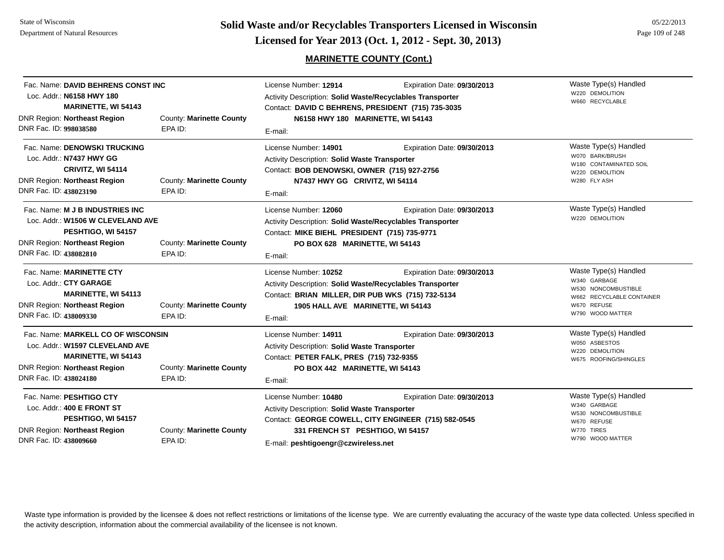**Page 109 of 248 <b>Licensed for Year 2013 (Oct. 1, 2012 - Sept. 30, 2013) Page 109 of 248 Licensed for Year 2013 (Oct. 1, 2012 - Sept. 30, 2013)** 

## **MARINETTE COUNTY (Cont.)**

| Fac. Name: DAVID BEHRENS CONST INC<br>Loc. Addr.: N6158 HWY 180<br><b>MARINETTE, WI 54143</b><br><b>DNR Region: Northeast Region</b><br>DNR Fac. ID: 998038580       | County: Marinette County<br>EPA ID: | License Number: 12914<br>Activity Description: Solid Waste/Recyclables Transporter<br>Contact: DAVID C BEHRENS, PRESIDENT (715) 735-3035<br>N6158 HWY 180 MARINETTE, WI 54143<br>E-mail: | Expiration Date: 09/30/2013                                                         | Waste Type(s) Handled<br>W220 DEMOLITION<br>W660 RECYCLABLE                                                                  |
|----------------------------------------------------------------------------------------------------------------------------------------------------------------------|-------------------------------------|------------------------------------------------------------------------------------------------------------------------------------------------------------------------------------------|-------------------------------------------------------------------------------------|------------------------------------------------------------------------------------------------------------------------------|
| Fac. Name: DENOWSKI TRUCKING<br>Loc. Addr.: N7437 HWY GG<br>CRIVITZ, WI 54114<br>DNR Region: Northeast Region<br>DNR Fac. ID: 438023190                              | County: Marinette County<br>EPA ID: | License Number: 14901<br><b>Activity Description: Solid Waste Transporter</b><br>Contact: BOB DENOWSKI, OWNER (715) 927-2756<br>N7437 HWY GG CRIVITZ, WI 54114<br>E-mail:                | Expiration Date: 09/30/2013                                                         | Waste Type(s) Handled<br>W070 BARK/BRUSH<br>W180 CONTAMINATED SOIL<br>W220 DEMOLITION<br>W280 FLY ASH                        |
| Fac. Name: M J B INDUSTRIES INC<br>Loc. Addr.: W1506 W CLEVELAND AVE<br>PESHTIGO, WI 54157<br><b>DNR Region: Northeast Region</b><br>DNR Fac. ID: 438082810          | County: Marinette County<br>EPA ID: | License Number: 12060<br>Activity Description: Solid Waste/Recyclables Transporter<br>Contact: MIKE BIEHL PRESIDENT (715) 735-9771<br>PO BOX 628 MARINETTE, WI 54143<br>E-mail:          | Expiration Date: 09/30/2013                                                         | Waste Type(s) Handled<br>W220 DEMOLITION                                                                                     |
| Fac. Name: MARINETTE CTY<br>Loc. Addr.: CTY GARAGE<br><b>MARINETTE, WI 54113</b><br><b>DNR Region: Northeast Region</b><br>DNR Fac. ID: 438009330                    | County: Marinette County<br>EPA ID: | License Number: 10252<br>Activity Description: Solid Waste/Recyclables Transporter<br>Contact: BRIAN MILLER, DIR PUB WKS (715) 732-5134<br>1905 HALL AVE MARINETTE, WI 54143<br>E-mail:  | Expiration Date: 09/30/2013                                                         | Waste Type(s) Handled<br>W340 GARBAGE<br>W530 NONCOMBUSTIBLE<br>W662 RECYCLABLE CONTAINER<br>W670 REFUSE<br>W790 WOOD MATTER |
| Fac. Name: MARKELL CO OF WISCONSIN<br>Loc. Addr.: W1597 CLEVELAND AVE<br><b>MARINETTE, WI 54143</b><br><b>DNR Region: Northeast Region</b><br>DNR Fac. ID: 438024180 | County: Marinette County<br>EPA ID: | License Number: 14911<br><b>Activity Description: Solid Waste Transporter</b><br>Contact: PETER FALK, PRES (715) 732-9355<br>PO BOX 442 MARINETTE, WI 54143<br>E-mail:                   | Expiration Date: 09/30/2013                                                         | Waste Type(s) Handled<br>W050 ASBESTOS<br>W220 DEMOLITION<br>W675 ROOFING/SHINGLES                                           |
| Fac. Name: PESHTIGO CTY<br>Loc. Addr.: 400 E FRONT ST<br>PESHTIGO, WI 54157<br><b>DNR Region: Northeast Region</b><br>DNR Fac. ID: 438009660                         | County: Marinette County<br>EPA ID: | License Number: 10480<br>Activity Description: Solid Waste Transporter<br>331 FRENCH ST PESHTIGO, WI 54157<br>E-mail: peshtigoengr@czwireless.net                                        | Expiration Date: 09/30/2013<br>Contact: GEORGE COWELL, CITY ENGINEER (715) 582-0545 | Waste Type(s) Handled<br>W340 GARBAGE<br>W530 NONCOMBUSTIBLE<br>W670 REFUSE<br>W770 TIRES<br>W790 WOOD MATTER                |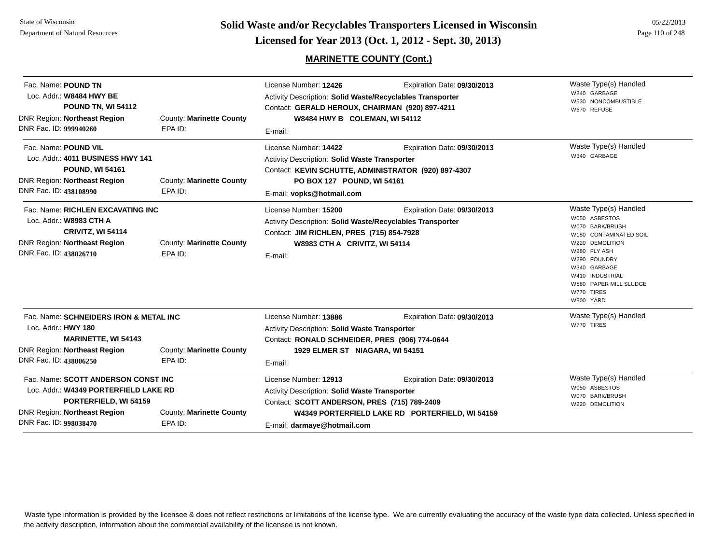# **MARINETTE COUNTY (Cont.)**

| Fac. Name: POUND TN<br>Loc. Addr.: W8484 HWY BE<br><b>POUND TN, WI 54112</b><br>DNR Region: Northeast Region<br>DNR Fac. ID: 999940260                                                                        | County: Marinette County<br>EPA ID: | License Number: 12426<br>Activity Description: Solid Waste/Recyclables Transporter<br>Contact: GERALD HEROUX, CHAIRMAN (920) 897-4211<br>W8484 HWY B COLEMAN, WI 54112                               | Expiration Date: 09/30/2013                                                    | Waste Type(s) Handled<br>W340 GARBAGE<br>W530 NONCOMBUSTIBLE<br>W670 REFUSE                                                                                                                                                    |
|---------------------------------------------------------------------------------------------------------------------------------------------------------------------------------------------------------------|-------------------------------------|------------------------------------------------------------------------------------------------------------------------------------------------------------------------------------------------------|--------------------------------------------------------------------------------|--------------------------------------------------------------------------------------------------------------------------------------------------------------------------------------------------------------------------------|
| Fac. Name: POUND VIL<br>Loc. Addr.: 4011 BUSINESS HWY 141<br><b>POUND, WI 54161</b><br><b>DNR Region: Northeast Region</b><br>DNR Fac. ID: 438108990                                                          | County: Marinette County<br>EPA ID: | E-mail:<br>License Number: 14422<br>Activity Description: Solid Waste Transporter<br>Contact: KEVIN SCHUTTE, ADMINISTRATOR (920) 897-4307<br>PO BOX 127 POUND, WI 54161<br>E-mail: vopks@hotmail.com | Expiration Date: 09/30/2013                                                    | Waste Type(s) Handled<br>W340 GARBAGE                                                                                                                                                                                          |
| Fac. Name: RICHLEN EXCAVATING INC<br>Loc. Addr.: W8983 CTH A<br>CRIVITZ, WI 54114<br><b>DNR Region: Northeast Region</b><br>DNR Fac. ID: 438026710                                                            | County: Marinette County<br>EPA ID: | License Number: 15200<br><b>Activity Description: Solid Waste/Recyclables Transporter</b><br>Contact: JIM RICHLEN, PRES (715) 854-7928<br>W8983 CTH A CRIVITZ, WI 54114<br>E-mail:                   | Expiration Date: 09/30/2013                                                    | Waste Type(s) Handled<br>W050 ASBESTOS<br>W070 BARK/BRUSH<br>W180 CONTAMINATED SOIL<br>W220 DEMOLITION<br>W280 FLY ASH<br>W290 FOUNDRY<br>W340 GARBAGE<br>W410 INDUSTRIAL<br>W580 PAPER MILL SLUDGE<br>W770 TIRES<br>W800 YARD |
| Fac. Name: SCHNEIDERS IRON & METAL INC<br>Loc. Addr.: HWY 180<br><b>MARINETTE, WI 54143</b><br><b>DNR Region: Northeast Region</b><br>DNR Fac. ID: 438006250                                                  | County: Marinette County<br>EPA ID: | License Number: 13886<br><b>Activity Description: Solid Waste Transporter</b><br>Contact: RONALD SCHNEIDER, PRES (906) 774-0644<br>1929 ELMER ST NIAGARA, WI 54151<br>E-mail:                        | Expiration Date: 09/30/2013                                                    | Waste Type(s) Handled<br>W770 TIRES                                                                                                                                                                                            |
| Fac. Name: SCOTT ANDERSON CONST INC<br>Loc. Addr.: W4349 PORTERFIELD LAKE RD<br>PORTERFIELD, WI 54159<br><b>DNR Region: Northeast Region</b><br>County: Marinette County<br>DNR Fac. ID: 998038470<br>EPA ID: |                                     | License Number: 12913<br>Activity Description: Solid Waste Transporter<br>Contact: SCOTT ANDERSON, PRES (715) 789-2409<br>E-mail: darmaye@hotmail.com                                                | Expiration Date: 09/30/2013<br>W4349 PORTERFIELD LAKE RD PORTERFIELD, WI 54159 | Waste Type(s) Handled<br>W050 ASBESTOS<br>W070 BARK/BRUSH<br>W220 DEMOLITION                                                                                                                                                   |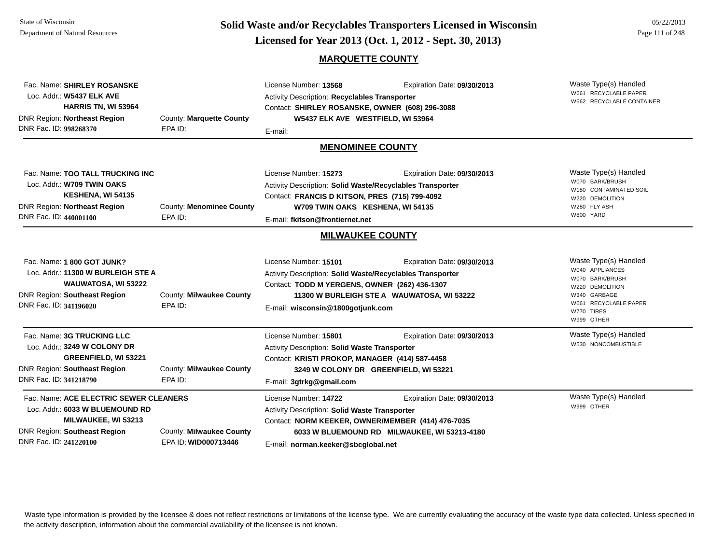#### State of WisconsinDepartment of Natural Resources

**Page 111 of 248 <b>Licensed for Year 2013 (Oct. 1, 2012 - Sept. 30, 2013) Page 111 of 248 Licensed for Year 2013 (Oct. 1, 2012 - Sept. 30, 2013)** 

#### **MARQUETTE COUNTY**

Waste Type(s) Handled W661 RECYCLABLE PAPERW662 RECYCLABLE CONTAINER Fac. Name: **SHIRLEY ROSANSKE**Loc. Addr.: **W5437 ELK AVEHARRIS TN, WI 53964** DNR Region: **Northeast Region** DNR Fac. ID: **998268370**County: **Marquette County** EPA ID:License Number: **13568** Expiration Date: **09/30/2013**  Activity Description: **Recyclables Transporter** Contact: **SHIRLEY ROSANSKE, OWNER (608) 296-3088** E-mail: **W5437 ELK AVE WESTFIELD, WI 53964 MENOMINEE COUNTY**Waste Type(s) Handled W070 BARK/BRUSHW180 CONTAMINATED SOILW220 DEMOLITIONW280 FLY ASHW800 YARDFac. Name: **TOO TALL TRUCKING INC**Loc. Addr.: **W709 TWIN OAKSKESHENA, WI 54135** DNR Region: **Northeast Region** DNR Fac. ID: **440001100**County: **Menominee County** EPA ID:License Number: **15273** Expiration Date: **09/30/2013**  Activity Description: **Solid Waste/Recyclables Transporter** Contact: **FRANCIS D KITSON, PRES (715) 799-4092** E-mail: **fkitson@frontiernet.net W709 TWIN OAKS KESHENA, WI 54135 MILWAUKEE COUNTY**Waste Type(s) Handled W040 APPLIANCESW070 BARK/BRUSHW220 DEMOLITIONW340 GARBAGEW661 RECYCLABLE PAPERW770 TIRESW999 OTHERFac. Name: **1 800 GOT JUNK?**Loc. Addr.: **11300 W BURLEIGH STE AWAUWATOSA, WI 53222** DNR Region: **Southeast Region** DNR Fac. ID: **341196020**County: **Milwaukee County** EPA ID:License Number: **15101** Expiration Date: **09/30/2013**  Activity Description: **Solid Waste/Recyclables Transporter** Contact: **TODD M YERGENS, OWNER (262) 436-1307** E-mail: **wisconsin@1800gotjunk.com 11300 W BURLEIGH STE A WAUWATOSA, WI 53222** Waste Type(s) Handled W530 NONCOMBUSTIBLEFac. Name: **3G TRUCKING LLC**Loc. Addr.: **3249 W COLONY DRGREENFIELD, WI 53221** DNR Region: **Southeast Region** DNR Fac. ID: **341218790**County: **Milwaukee County** EPA ID:License Number: **15801** Expiration Date: **09/30/2013**  Activity Description: **Solid Waste Transporter** Contact: **KRISTI PROKOP, MANAGER (414) 587-4458** E-mail: **3gtrkg@gmail.com 3249 W COLONY DR GREENFIELD, WI 53221** Waste Type(s) Handled W999 OTHERFac. Name: **ACE ELECTRIC SEWER CLEANERS**Loc. Addr.: **6033 W BLUEMOUND RDMILWAUKEE, WI 53213** DNR Region: **Southeast Region** DNR Fac. ID: **241220100**County: **Milwaukee County** EPA ID: **WID000713446**License Number: **14722** Expiration Date: **09/30/2013**  Activity Description: **Solid Waste Transporter** Contact: **NORM KEEKER, OWNER/MEMBER (414) 476-7035** E-mail: **norman.keeker@sbcglobal.net 6033 W BLUEMOUND RD MILWAUKEE, WI 53213-4180**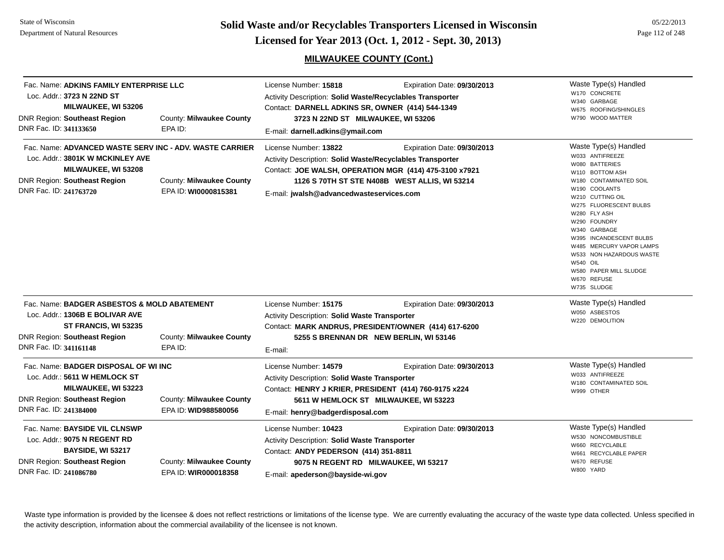State of WisconsinDepartment of Natural Resources

**Page 112 of 248 <b>Licensed for Year 2013 (Oct. 1, 2012 - Sept. 30, 2013) Page 112 of 248 Licensed for Year 2013 (Oct. 1, 2012 - Sept. 30, 2013)** 

# **MILWAUKEE COUNTY (Cont.)**

| Loc. Addr.: 3723 N 22ND ST<br><b>DNR Region: Southeast Region</b><br>DNR Fac. ID: 341133650                                                                                                                    | Fac. Name: ADKINS FAMILY ENTERPRISE LLC<br>MILWAUKEE, WI 53206<br>County: Milwaukee County<br>EPA ID:                                     | License Number: 15818<br>Activity Description: Solid Waste/Recyclables Transporter<br>Contact: DARNELL ADKINS SR, OWNER (414) 544-1349<br>3723 N 22ND ST MILWAUKEE, WI 53206<br>E-mail: darnell.adkins@ymail.com | Expiration Date: 09/30/2013                                                                                                            | Waste Type(s) Handled<br>W170 CONCRETE<br>W340 GARBAGE<br>W675 ROOFING/SHINGLES<br>W790 WOOD MATTER                                                                                                                                                                                                                                                                                  |
|----------------------------------------------------------------------------------------------------------------------------------------------------------------------------------------------------------------|-------------------------------------------------------------------------------------------------------------------------------------------|------------------------------------------------------------------------------------------------------------------------------------------------------------------------------------------------------------------|----------------------------------------------------------------------------------------------------------------------------------------|--------------------------------------------------------------------------------------------------------------------------------------------------------------------------------------------------------------------------------------------------------------------------------------------------------------------------------------------------------------------------------------|
| Loc. Addr.: 3801K W MCKINLEY AVE<br><b>DNR Region: Southeast Region</b><br>DNR Fac. ID: 241763720                                                                                                              | Fac. Name: ADVANCED WASTE SERV INC - ADV. WASTE CARRIER<br>MILWAUKEE, WI 53208<br><b>County: Milwaukee County</b><br>EPA ID: WI0000815381 | License Number: 13822<br>Activity Description: Solid Waste/Recyclables Transporter<br>E-mail: jwalsh@advancedwasteservices.com                                                                                   | Expiration Date: 09/30/2013<br>Contact: JOE WALSH, OPERATION MGR (414) 475-3100 x7921<br>1126 S 70TH ST STE N408B WEST ALLIS, WI 53214 | Waste Type(s) Handled<br>W033 ANTIFREEZE<br>W080 BATTERIES<br>W110 BOTTOM ASH<br>W180 CONTAMINATED SOIL<br>W190 COOLANTS<br>W210 CUTTING OIL<br>W275 FLUORESCENT BULBS<br>W280 FLY ASH<br>W290 FOUNDRY<br>W340 GARBAGE<br>W395 INCANDESCENT BULBS<br>W485 MERCURY VAPOR LAMPS<br>W533 NON HAZARDOUS WASTE<br><b>W540 OIL</b><br>W580 PAPER MILL SLUDGE<br>W670 REFUSE<br>W735 SLUDGE |
| Fac. Name: BADGER ASBESTOS & MOLD ABATEMENT<br>Loc. Addr.: 1306B E BOLIVAR AVE<br>ST FRANCIS, WI 53235<br><b>DNR Region: Southeast Region</b><br>County: Milwaukee County<br>DNR Fac. ID: 341161148<br>EPA ID: |                                                                                                                                           | License Number: 15175<br>Activity Description: Solid Waste Transporter<br>E-mail:                                                                                                                                | Expiration Date: 09/30/2013<br>Contact: MARK ANDRUS, PRESIDENT/OWNER (414) 617-6200<br>5255 S BRENNAN DR NEW BERLIN, WI 53146          | Waste Type(s) Handled<br>W050 ASBESTOS<br>W220 DEMOLITION                                                                                                                                                                                                                                                                                                                            |
| Loc. Addr.: 5611 W HEMLOCK ST<br><b>DNR Region: Southeast Region</b><br>DNR Fac. ID: 241384000                                                                                                                 | Fac. Name: BADGER DISPOSAL OF WI INC<br><b>MILWAUKEE, WI 53223</b><br>County: Milwaukee County<br>EPA ID: WID988580056                    | License Number: 14579<br>Activity Description: Solid Waste Transporter<br>Contact: HENRY J KRIER, PRESIDENT (414) 760-9175 x224<br>E-mail: henry@badgerdisposal.com                                              | Expiration Date: 09/30/2013<br>5611 W HEMLOCK ST MILWAUKEE, WI 53223                                                                   | Waste Type(s) Handled<br>W033 ANTIFREEZE<br>W180 CONTAMINATED SOIL<br>W999 OTHER                                                                                                                                                                                                                                                                                                     |
| Fac. Name: BAYSIDE VIL CLNSWP<br>Loc. Addr.: 9075 N REGENT RD<br><b>DNR Region: Southeast Region</b><br>DNR Fac. ID: 241086780                                                                                 | <b>BAYSIDE, WI 53217</b><br><b>County: Milwaukee County</b><br>EPA ID: WIR000018358                                                       | License Number: 10423<br>Activity Description: Solid Waste Transporter<br>Contact: ANDY PEDERSON (414) 351-8811<br>E-mail: apederson@bayside-wi.gov                                                              | Expiration Date: 09/30/2013<br>9075 N REGENT RD MILWAUKEE, WI 53217                                                                    | Waste Type(s) Handled<br>W530 NONCOMBUSTIBLE<br>W660 RECYCLABLE<br>W661 RECYCLABLE PAPER<br>W670 REFUSE<br>W800 YARD                                                                                                                                                                                                                                                                 |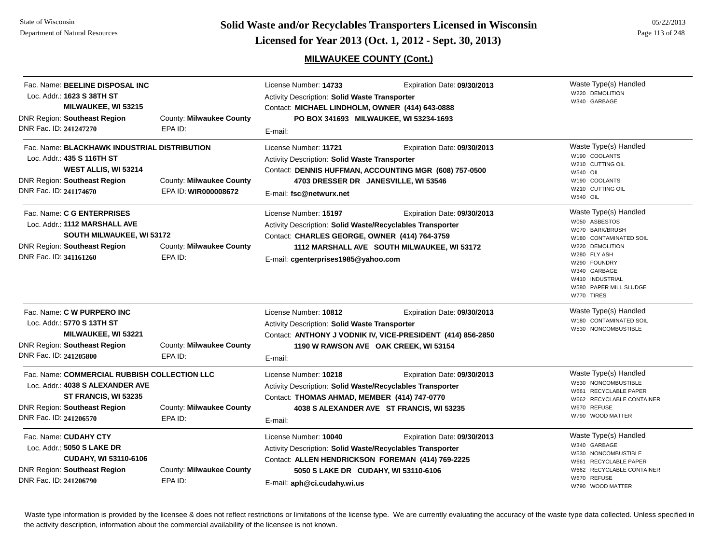## **MILWAUKEE COUNTY (Cont.)**

| Fac. Name: BEELINE DISPOSAL INC<br>Loc. Addr.: 1623 S 38TH ST<br>MILWAUKEE, WI 53215<br><b>DNR Region: Southeast Region</b><br>DNR Fac. ID: 241247270                     | County: Milwaukee County<br>EPA ID:              | License Number: 14733<br>Activity Description: Solid Waste Transporter<br>Contact: MICHAEL LINDHOLM, OWNER (414) 643-0888<br>E-mail:                                                                           | Expiration Date: 09/30/2013<br>PO BOX 341693 MILWAUKEE, WI 53234-1693                                                               | Waste Type(s) Handled<br>W220 DEMOLITION<br>W340 GARBAGE                                                                                                                                                          |
|---------------------------------------------------------------------------------------------------------------------------------------------------------------------------|--------------------------------------------------|----------------------------------------------------------------------------------------------------------------------------------------------------------------------------------------------------------------|-------------------------------------------------------------------------------------------------------------------------------------|-------------------------------------------------------------------------------------------------------------------------------------------------------------------------------------------------------------------|
| Fac. Name: BLACKHAWK INDUSTRIAL DISTRIBUTION<br>Loc. Addr.: 435 S 116TH ST<br>WEST ALLIS, WI 53214<br><b>DNR Region: Southeast Region</b><br>DNR Fac. ID: 241174670       | County: Milwaukee County<br>EPA ID: WIR000008672 | License Number: 11721<br>Activity Description: Solid Waste Transporter<br>E-mail: fsc@netwurx.net                                                                                                              | Expiration Date: 09/30/2013<br>Contact: DENNIS HUFFMAN, ACCOUNTING MGR (608) 757-0500<br>4703 DRESSER DR JANESVILLE, WI 53546       | Waste Type(s) Handled<br>W190 COOLANTS<br>W210 CUTTING OIL<br><b>W540 OIL</b><br>W190 COOLANTS<br>W210 CUTTING OIL<br>W540 OIL                                                                                    |
| Fac. Name: C G ENTERPRISES<br>Loc. Addr.: 1112 MARSHALL AVE<br><b>SOUTH MILWAUKEE, WI 53172</b><br><b>DNR Region: Southeast Region</b><br>DNR Fac. ID: 341161260          | County: Milwaukee County<br>EPA ID:              | License Number: 15197<br>Activity Description: Solid Waste/Recyclables Transporter<br>Contact: CHARLES GEORGE, OWNER (414) 764-3759<br>E-mail: cgenterprises1985@yahoo.com                                     | Expiration Date: 09/30/2013<br>1112 MARSHALL AVE SOUTH MILWAUKEE, WI 53172                                                          | Waste Type(s) Handled<br>W050 ASBESTOS<br>W070 BARK/BRUSH<br>W180 CONTAMINATED SOIL<br>W220 DEMOLITION<br>W280 FLY ASH<br>W290 FOUNDRY<br>W340 GARBAGE<br>W410 INDUSTRIAL<br>W580 PAPER MILL SLUDGE<br>W770 TIRES |
| Fac. Name: C W PURPERO INC<br>Loc. Addr.: 5770 S 13TH ST<br><b>MILWAUKEE, WI 53221</b><br><b>DNR Region: Southeast Region</b><br>DNR Fac. ID: 241205800                   | County: Milwaukee County<br>EPA ID:              | License Number: 10812<br>Activity Description: Solid Waste Transporter<br>E-mail:                                                                                                                              | Expiration Date: 09/30/2013<br>Contact: ANTHONY J VODNIK IV, VICE-PRESIDENT (414) 856-2850<br>1190 W RAWSON AVE OAK CREEK, WI 53154 | Waste Type(s) Handled<br>W180 CONTAMINATED SOIL<br>W530 NONCOMBUSTIBLE                                                                                                                                            |
| Fac. Name: COMMERCIAL RUBBISH COLLECTION LLC<br>Loc. Addr.: 4038 S ALEXANDER AVE<br>ST FRANCIS, WI 53235<br><b>DNR Region: Southeast Region</b><br>DNR Fac. ID: 241206570 | County: Milwaukee County<br>EPA ID:              | License Number: 10218<br>Activity Description: Solid Waste/Recyclables Transporter<br>Contact: THOMAS AHMAD, MEMBER (414) 747-0770<br>E-mail:                                                                  | Expiration Date: 09/30/2013<br>4038 S ALEXANDER AVE ST FRANCIS, WI 53235                                                            | Waste Type(s) Handled<br>W530 NONCOMBUSTIBLE<br>W661 RECYCLABLE PAPER<br>W662 RECYCLABLE CONTAINER<br>W670 REFUSE<br>W790 WOOD MATTER                                                                             |
| Fac. Name: CUDAHY CTY<br>Loc. Addr.: 5050 S LAKE DR<br>CUDAHY, WI 53110-6106<br><b>DNR Region: Southeast Region</b><br>DNR Fac. ID: 241206790                             | County: Milwaukee County<br>EPA ID:              | License Number: 10040<br>Activity Description: Solid Waste/Recyclables Transporter<br>Contact: ALLEN HENDRICKSON FOREMAN (414) 769-2225<br>5050 S LAKE DR CUDAHY, WI 53110-6106<br>E-mail: aph@ci.cudahy.wi.us | Expiration Date: 09/30/2013                                                                                                         | Waste Type(s) Handled<br>W340 GARBAGE<br>W530 NONCOMBUSTIBLE<br>W661 RECYCLABLE PAPER<br>W662 RECYCLABLE CONTAINER<br>W670 REFUSE<br>W790 WOOD MATTER                                                             |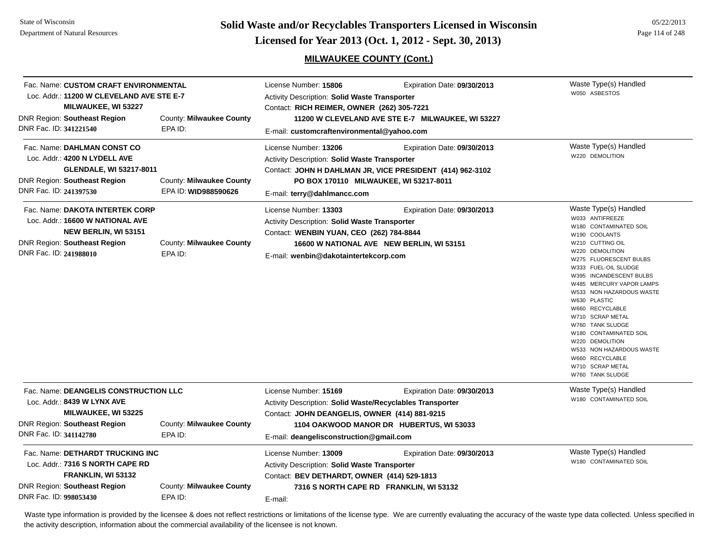**Page 114 of 248 <b>Licensed for Year 2013 (Oct. 1, 2012 - Sept. 30, 2013) Page 114 of 248 Licensed for Year 2013 (Oct. 1, 2012 - Sept. 30, 2013)** 

05/22/2013

## **MILWAUKEE COUNTY (Cont.)**

| Fac. Name: CUSTOM CRAFT ENVIRONMENTAL<br>Loc. Addr.: 11200 W CLEVELAND AVE STE E-7<br><b>MILWAUKEE, WI 53227</b><br><b>DNR Region: Southeast Region</b><br>DNR Fac. ID: 341221540                  | County: Milwaukee County<br>EPA ID:              | License Number: 15806<br>Activity Description: Solid Waste Transporter<br>Contact: RICH REIMER, OWNER (262) 305-7221<br>11200 W CLEVELAND AVE STE E-7 MILWAUKEE, WI 53227<br>E-mail: customcraftenvironmental@yahoo.com | Waste Type(s) Handled<br>W050 ASBESTOS                                                                                             |                                                                                                                                                                                                                                                                                                                                                                                                                                                                                |
|----------------------------------------------------------------------------------------------------------------------------------------------------------------------------------------------------|--------------------------------------------------|-------------------------------------------------------------------------------------------------------------------------------------------------------------------------------------------------------------------------|------------------------------------------------------------------------------------------------------------------------------------|--------------------------------------------------------------------------------------------------------------------------------------------------------------------------------------------------------------------------------------------------------------------------------------------------------------------------------------------------------------------------------------------------------------------------------------------------------------------------------|
| Fac. Name: DAHLMAN CONST CO<br>Loc. Addr.: 4200 N LYDELL AVE<br><b>GLENDALE, WI 53217-8011</b><br><b>DNR Region: Southeast Region</b><br>DNR Fac. ID: 241397530                                    | County: Milwaukee County<br>EPA ID: WID988590626 | License Number: 13206<br><b>Activity Description: Solid Waste Transporter</b><br>E-mail: terry@dahlmancc.com                                                                                                            | Expiration Date: 09/30/2013<br>Contact: JOHN H DAHLMAN JR, VICE PRESIDENT (414) 962-3102<br>PO BOX 170110 MILWAUKEE, WI 53217-8011 | Waste Type(s) Handled<br>W220 DEMOLITION                                                                                                                                                                                                                                                                                                                                                                                                                                       |
| Fac. Name: DAKOTA INTERTEK CORP<br>Loc. Addr.: 16600 W NATIONAL AVE<br><b>NEW BERLIN, WI 53151</b><br><b>DNR Region: Southeast Region</b><br>DNR Fac. ID: 241988010                                | County: Milwaukee County<br>EPA ID:              | License Number: 13303<br><b>Activity Description: Solid Waste Transporter</b><br>Contact: WENBIN YUAN, CEO (262) 784-8844<br>E-mail: wenbin@dakotaintertekcorp.com                                                      | Expiration Date: 09/30/2013<br>16600 W NATIONAL AVE NEW BERLIN, WI 53151                                                           | Waste Type(s) Handled<br>W033 ANTIFREEZE<br>W180 CONTAMINATED SOIL<br>W190 COOLANTS<br>W210 CUTTING OIL<br>W220 DEMOLITION<br>W275 FLUORESCENT BULBS<br>W333 FUEL-OIL SLUDGE<br>W395 INCANDESCENT BULBS<br>W485 MERCURY VAPOR LAMPS<br>W533 NON HAZARDOUS WASTE<br>W630 PLASTIC<br>W660 RECYCLABLE<br>W710 SCRAP METAL<br>W760 TANK SLUDGE<br>W180 CONTAMINATED SOIL<br>W220 DEMOLITION<br>W533 NON HAZARDOUS WASTE<br>W660 RECYCLABLE<br>W710 SCRAP METAL<br>W760 TANK SLUDGE |
| Fac. Name: DEANGELIS CONSTRUCTION LLC<br>Loc. Addr.: 8439 W LYNX AVE<br>MILWAUKEE, WI 53225<br><b>DNR Region: Southeast Region</b><br>DNR Fac. ID: 341142780                                       | County: Milwaukee County<br>EPA ID:              | License Number: 15169<br>Activity Description: Solid Waste/Recyclables Transporter<br>Contact: JOHN DEANGELIS, OWNER (414) 881-9215<br>E-mail: deangelisconstruction@gmail.com                                          | Expiration Date: 09/30/2013<br>1104 OAKWOOD MANOR DR HUBERTUS, WI 53033                                                            | Waste Type(s) Handled<br>W180 CONTAMINATED SOIL                                                                                                                                                                                                                                                                                                                                                                                                                                |
| Fac. Name: DETHARDT TRUCKING INC<br>Loc. Addr.: 7316 S NORTH CAPE RD<br>FRANKLIN, WI 53132<br><b>DNR Region: Southeast Region</b><br>County: Milwaukee County<br>DNR Fac. ID: 998053430<br>EPA ID: |                                                  | License Number: 13009<br><b>Activity Description: Solid Waste Transporter</b><br>Contact: BEV DETHARDT, OWNER (414) 529-1813<br>E-mail:                                                                                 | Expiration Date: 09/30/2013<br>7316 S NORTH CAPE RD FRANKLIN, WI 53132                                                             | Waste Type(s) Handled<br>W180 CONTAMINATED SOIL                                                                                                                                                                                                                                                                                                                                                                                                                                |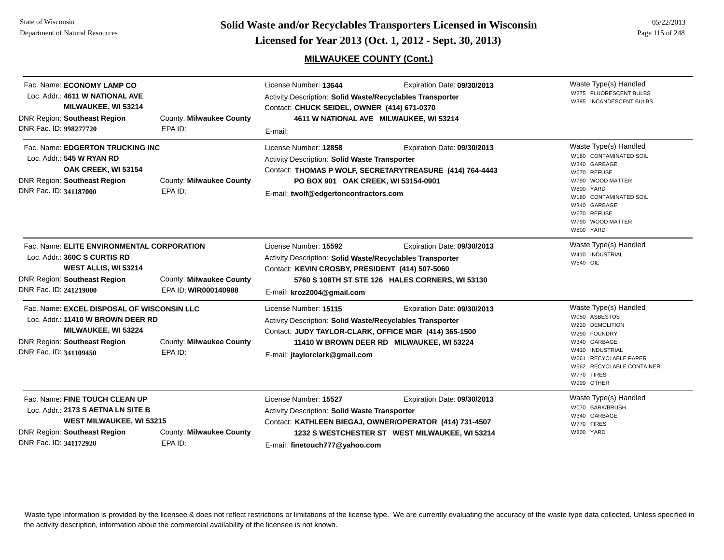#### State of Wisconsin Department of Natural Resources

**Page 115 of 248 <b>Licensed for Year 2013 (Oct. 1, 2012 - Sept. 30, 2013) Page 115 of 248 Licensed for Year 2013 (Oct. 1, 2012 - Sept. 30, 2013)** 

# **MILWAUKEE COUNTY (Cont.)**

| Fac. Name: ECONOMY LAMP CO<br>Loc. Addr.: 4611 W NATIONAL AVE<br>MILWAUKEE, WI 53214<br><b>DNR Region: Southeast Region</b><br>DNR Fac. ID: 998277720                    | County: Milwaukee County<br>EPA ID:              | License Number: 13644<br>Activity Description: Solid Waste/Recyclables Transporter<br>Contact: CHUCK SEIDEL, OWNER (414) 671-0370<br>E-mail:                                         | Expiration Date: 09/30/2013<br>4611 W NATIONAL AVE MILWAUKEE, WI 53214                                                                   | Waste Type(s) Handled<br>W275 FLUORESCENT BULBS<br>W395 INCANDESCENT BULBS                                                                                                                                |
|--------------------------------------------------------------------------------------------------------------------------------------------------------------------------|--------------------------------------------------|--------------------------------------------------------------------------------------------------------------------------------------------------------------------------------------|------------------------------------------------------------------------------------------------------------------------------------------|-----------------------------------------------------------------------------------------------------------------------------------------------------------------------------------------------------------|
| Fac. Name: EDGERTON TRUCKING INC<br>Loc. Addr.: 545 W RYAN RD<br>OAK CREEK, WI 53154<br><b>DNR Region: Southeast Region</b><br>DNR Fac. ID: 341187000                    | County: Milwaukee County<br>EPA ID:              | License Number: 12858<br><b>Activity Description: Solid Waste Transporter</b><br>PO BOX 901 OAK CREEK, WI 53154-0901<br>E-mail: twolf@edgertoncontractors.com                        | Expiration Date: 09/30/2013<br>Contact: THOMAS P WOLF, SECRETARYTREASURE (414) 764-4443                                                  | Waste Type(s) Handled<br>W180 CONTAMINATED SOIL<br>W340 GARBAGE<br>W670 REFUSE<br>W790 WOOD MATTER<br>W800 YARD<br>W180 CONTAMINATED SOIL<br>W340 GARBAGE<br>W670 REFUSE<br>W790 WOOD MATTER<br>W800 YARD |
| Fac. Name: ELITE ENVIRONMENTAL CORPORATION<br>Loc. Addr.: 360C S CURTIS RD<br>WEST ALLIS, WI 53214<br><b>DNR Region: Southeast Region</b><br>DNR Fac. ID: 241219000      | County: Milwaukee County<br>EPA ID: WIR000140988 | License Number: 15592<br>Activity Description: Solid Waste/Recyclables Transporter<br>Contact: KEVIN CROSBY, PRESIDENT (414) 507-5060<br>E-mail: kroz2004@gmail.com                  | Expiration Date: 09/30/2013<br>5760 S 108TH ST STE 126 HALES CORNERS, WI 53130                                                           | Waste Type(s) Handled<br>W410 INDUSTRIAL<br><b>W540 OIL</b>                                                                                                                                               |
| Fac. Name: EXCEL DISPOSAL OF WISCONSIN LLC<br>Loc. Addr.: 11410 W BROWN DEER RD<br>MILWAUKEE, WI 53224<br><b>DNR Region: Southeast Region</b><br>DNR Fac. ID: 341109450  | County: Milwaukee County<br>EPA ID:              | License Number: 15115<br><b>Activity Description: Solid Waste/Recyclables Transporter</b><br>Contact: JUDY TAYLOR-CLARK, OFFICE MGR (414) 365-1500<br>E-mail: jtaylorclark@gmail.com | Expiration Date: 09/30/2013<br>11410 W BROWN DEER RD MILWAUKEE, WI 53224                                                                 | Waste Type(s) Handled<br>W050 ASBESTOS<br>W220 DEMOLITION<br>W290 FOUNDRY<br>W340 GARBAGE<br>W410 INDUSTRIAL<br>W661 RECYCLABLE PAPER<br>W662 RECYCLABLE CONTAINER<br>W770 TIRES<br>W999 OTHER            |
| Fac. Name: FINE TOUCH CLEAN UP<br>Loc. Addr.: 2173 S AETNA LN SITE B<br><b>WEST MILWAUKEE, WI 53215</b><br><b>DNR Region: Southeast Region</b><br>DNR Fac. ID: 341172920 | County: Milwaukee County<br>EPA ID:              | License Number: 15527<br>Activity Description: Solid Waste Transporter<br>E-mail: finetouch777@yahoo.com                                                                             | Expiration Date: 09/30/2013<br>Contact: KATHLEEN BIEGAJ, OWNER/OPERATOR (414) 731-4507<br>1232 S WESTCHESTER ST WEST MILWAUKEE, WI 53214 | Waste Type(s) Handled<br>W070 BARK/BRUSH<br>W340 GARBAGE<br>W770 TIRES<br>W800 YARD                                                                                                                       |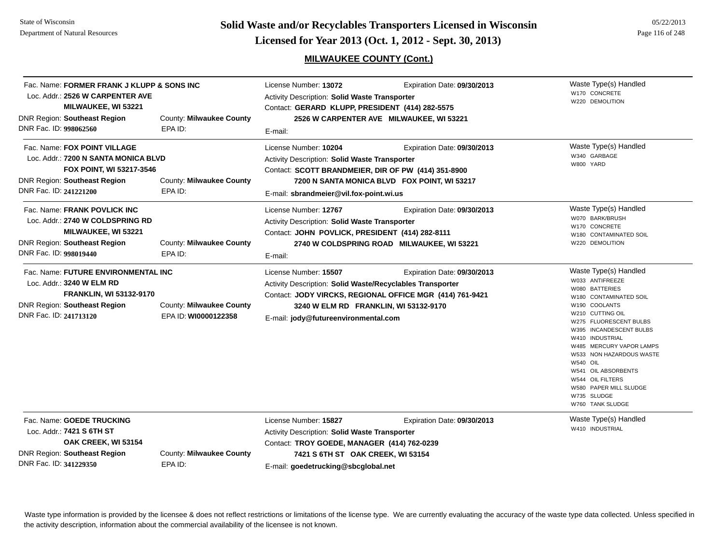**Page 116 of 248 <b>Licensed for Year 2013 (Oct. 1, 2012 - Sept. 30, 2013) Page 116 of 248 Licensed for Year 2013 (Oct. 1, 2012 - Sept. 30, 2013)** 

## **MILWAUKEE COUNTY (Cont.)**

| Fac. Name: FORMER FRANK J KLUPP & SONS INC<br>Loc. Addr.: 2526 W CARPENTER AVE<br>MILWAUKEE, WI 53221                                                               |                                                  | License Number: 13072<br>Expiration Date: 09/30/2013<br>Activity Description: Solid Waste Transporter<br>Contact: GERARD KLUPP, PRESIDENT (414) 282-5575                                          |                                                                                         | Waste Type(s) Handled<br>W170 CONCRETE<br>W220 DEMOLITION                                                                                                                                                                                                                                                                                                                     |
|---------------------------------------------------------------------------------------------------------------------------------------------------------------------|--------------------------------------------------|---------------------------------------------------------------------------------------------------------------------------------------------------------------------------------------------------|-----------------------------------------------------------------------------------------|-------------------------------------------------------------------------------------------------------------------------------------------------------------------------------------------------------------------------------------------------------------------------------------------------------------------------------------------------------------------------------|
| DNR Region: Southeast Region<br>DNR Fac. ID: 998062560                                                                                                              | County: Milwaukee County<br>EPA ID:              | E-mail:                                                                                                                                                                                           | 2526 W CARPENTER AVE MILWAUKEE, WI 53221                                                |                                                                                                                                                                                                                                                                                                                                                                               |
| Fac. Name: FOX POINT VILLAGE<br>Loc. Addr.: 7200 N SANTA MONICA BLVD<br>FOX POINT, WI 53217-3546<br><b>DNR Region: Southeast Region</b><br>DNR Fac. ID: 241221200   | County: Milwaukee County<br>EPA ID:              | License Number: 10204<br>Activity Description: Solid Waste Transporter<br>Contact: SCOTT BRANDMEIER, DIR OF PW (414) 351-8900<br>E-mail: sbrandmeier@vil.fox-point.wi.us                          | Expiration Date: 09/30/2013<br>7200 N SANTA MONICA BLVD FOX POINT, WI 53217             | Waste Type(s) Handled<br>W340 GARBAGE<br>W800 YARD                                                                                                                                                                                                                                                                                                                            |
| Fac. Name: FRANK POVLICK INC<br>Loc. Addr.: 2740 W COLDSPRING RD<br>MILWAUKEE, WI 53221<br>DNR Region: Southeast Region<br>DNR Fac. ID: 998019440                   | County: Milwaukee County<br>EPA ID:              | License Number: 12767<br><b>Activity Description: Solid Waste Transporter</b><br>Contact: JOHN POVLICK, PRESIDENT (414) 282-8111<br>E-mail:                                                       | Expiration Date: 09/30/2013<br>2740 W COLDSPRING ROAD MILWAUKEE, WI 53221               | Waste Type(s) Handled<br>W070 BARK/BRUSH<br>W170 CONCRETE<br>W180 CONTAMINATED SOIL<br>W220 DEMOLITION                                                                                                                                                                                                                                                                        |
| Fac. Name: FUTURE ENVIRONMENTAL INC<br>Loc. Addr.: 3240 W ELM RD<br><b>FRANKLIN, WI 53132-9170</b><br><b>DNR Region: Southeast Region</b><br>DNR Fac. ID: 241713120 | County: Milwaukee County<br>EPA ID: WI0000122358 | License Number: 15507<br>Activity Description: Solid Waste/Recyclables Transporter<br>3240 W ELM RD FRANKLIN, WI 53132-9170<br>E-mail: jody@futureenvironmental.com                               | Expiration Date: 09/30/2013<br>Contact: JODY VIRCKS, REGIONAL OFFICE MGR (414) 761-9421 | Waste Type(s) Handled<br>W033 ANTIFREEZE<br>W080 BATTERIES<br>W180 CONTAMINATED SOIL<br>W190 COOLANTS<br>W210 CUTTING OIL<br>W275 FLUORESCENT BULBS<br>W395 INCANDESCENT BULBS<br>W410 INDUSTRIAL<br>W485 MERCURY VAPOR LAMPS<br>W533 NON HAZARDOUS WASTE<br>W540 OIL<br>W541 OIL ABSORBENTS<br>W544 OIL FILTERS<br>W580 PAPER MILL SLUDGE<br>W735 SLUDGE<br>W760 TANK SLUDGE |
| Fac. Name: GOEDE TRUCKING<br>Loc. Addr.: 7421 S 6TH ST<br>OAK CREEK, WI 53154<br><b>DNR Region: Southeast Region</b><br>DNR Fac. ID: 341229350                      | County: Milwaukee County<br>EPA ID:              | License Number: 15827<br>Activity Description: Solid Waste Transporter<br>Contact: TROY GOEDE, MANAGER (414) 762-0239<br>7421 S 6TH ST OAK CREEK, WI 53154<br>E-mail: goedetrucking@sbcglobal.net | Expiration Date: 09/30/2013                                                             | Waste Type(s) Handled<br>W410 INDUSTRIAL                                                                                                                                                                                                                                                                                                                                      |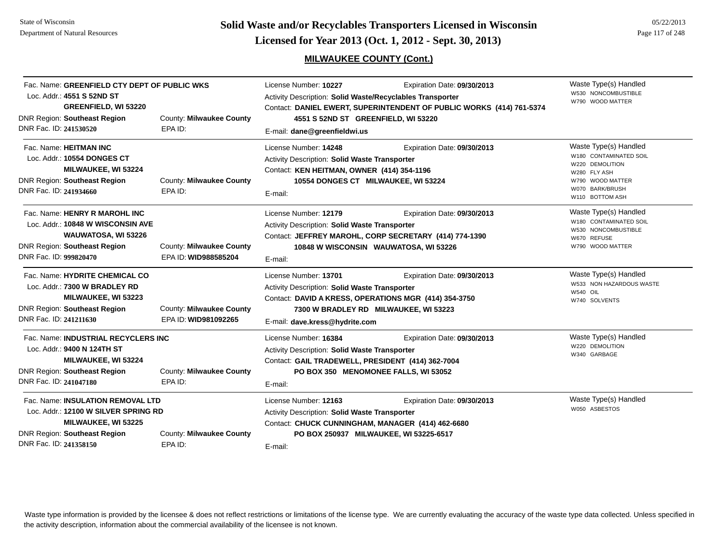**Page 117 of 248 <b>Licensed for Year 2013 (Oct. 1, 2012 - Sept. 30, 2013) Page 117 of 248 Licensed for Year 2013 (Oct. 1, 2012 - Sept. 30, 2013)** 

## **MILWAUKEE COUNTY (Cont.)**

05/22/2013

|                                                                                                                                                                                                          | Fac. Name: GREENFIELD CTY DEPT OF PUBLIC WKS<br>Loc. Addr.: 4551 S 52ND ST<br><b>GREENFIELD, WI 53220</b>                               |                                                                                                                                        | License Number: 10227<br>Activity Description: Solid Waste/Recyclables Transporter<br>Contact: DANIEL EWERT, SUPERINTENDENT OF PUBLIC WORKS (414) 761-5374                    | Waste Type(s) Handled<br>W530 NONCOMBUSTIBLE<br>W790 WOOD MATTER                                                               |                                                                                                                                              |
|----------------------------------------------------------------------------------------------------------------------------------------------------------------------------------------------------------|-----------------------------------------------------------------------------------------------------------------------------------------|----------------------------------------------------------------------------------------------------------------------------------------|-------------------------------------------------------------------------------------------------------------------------------------------------------------------------------|--------------------------------------------------------------------------------------------------------------------------------|----------------------------------------------------------------------------------------------------------------------------------------------|
| DNR Fac. ID: 241530520                                                                                                                                                                                   | <b>DNR Region: Southeast Region</b>                                                                                                     | County: Milwaukee County<br>EPA ID:                                                                                                    | 4551 S 52ND ST GREENFIELD, WI 53220<br>E-mail: dane@greenfieldwi.us                                                                                                           |                                                                                                                                |                                                                                                                                              |
| Fac. Name: HEITMAN INC<br>DNR Fac. ID: 241934660                                                                                                                                                         | Loc. Addr.: 10554 DONGES CT<br><b>MILWAUKEE, WI 53224</b><br><b>DNR Region: Southeast Region</b>                                        | County: Milwaukee County<br>EPA ID:                                                                                                    | License Number: 14248<br><b>Activity Description: Solid Waste Transporter</b><br>Contact: KEN HEITMAN, OWNER (414) 354-1196<br>10554 DONGES CT MILWAUKEE, WI 53224<br>E-mail: | Expiration Date: 09/30/2013                                                                                                    | Waste Type(s) Handled<br>W180 CONTAMINATED SOIL<br>W220 DEMOLITION<br>W280 FLY ASH<br>W790 WOOD MATTER<br>W070 BARK/BRUSH<br>W110 BOTTOM ASH |
| DNR Fac. ID: 999820470                                                                                                                                                                                   | Fac. Name: HENRY R MAROHL INC<br>Loc. Addr.: 10848 W WISCONSIN AVE<br>WAUWATOSA, WI 53226<br><b>DNR Region: Southeast Region</b>        | County: Milwaukee County<br>EPA ID: WID988585204                                                                                       | License Number: 12179<br>Activity Description: Solid Waste Transporter<br>E-mail:                                                                                             | Expiration Date: 09/30/2013<br>Contact: JEFFREY MAROHL, CORP SECRETARY (414) 774-1390<br>10848 W WISCONSIN WAUWATOSA, WI 53226 | Waste Type(s) Handled<br>W180 CONTAMINATED SOIL<br>W530 NONCOMBUSTIBLE<br>W670 REFUSE<br>W790 WOOD MATTER                                    |
| DNR Fac. ID: 241211630                                                                                                                                                                                   | Fac. Name: HYDRITE CHEMICAL CO<br>Loc. Addr.: 7300 W BRADLEY RD<br><b>MILWAUKEE, WI 53223</b><br><b>DNR Region: Southeast Region</b>    | County: Milwaukee County<br>EPA ID: WID981092265                                                                                       | License Number: 13701<br><b>Activity Description: Solid Waste Transporter</b><br>Contact: DAVID A KRESS, OPERATIONS MGR (414) 354-3750<br>E-mail: dave.kress@hydrite.com      | Expiration Date: 09/30/2013<br>7300 W BRADLEY RD MILWAUKEE, WI 53223                                                           | Waste Type(s) Handled<br>W533 NON HAZARDOUS WASTE<br>W540 OIL<br>W740 SOLVENTS                                                               |
| DNR Fac. ID: 241047180                                                                                                                                                                                   | Fac. Name: INDUSTRIAL RECYCLERS INC<br>Loc. Addr.: 9400 N 124TH ST<br><b>MILWAUKEE, WI 53224</b><br><b>DNR Region: Southeast Region</b> | County: Milwaukee County<br>EPA ID:                                                                                                    | License Number: 16384<br>Activity Description: Solid Waste Transporter<br>Contact: GAIL TRADEWELL, PRESIDENT (414) 362-7004<br>E-mail:                                        | Expiration Date: 09/30/2013<br>PO BOX 350 MENOMONEE FALLS, WI 53052                                                            | Waste Type(s) Handled<br>W220 DEMOLITION<br>W340 GARBAGE                                                                                     |
| Fac. Name: INSULATION REMOVAL LTD<br>Loc. Addr.: 12100 W SILVER SPRING RD<br>MILWAUKEE, WI 53225<br><b>DNR Region: Southeast Region</b><br>County: Milwaukee County<br>DNR Fac. ID: 241358150<br>EPA ID: |                                                                                                                                         | License Number: 12163<br>Activity Description: Solid Waste Transporter<br>Contact: CHUCK CUNNINGHAM, MANAGER (414) 462-6680<br>E-mail: | Expiration Date: 09/30/2013<br>PO BOX 250937 MILWAUKEE, WI 53225-6517                                                                                                         | Waste Type(s) Handled<br>W050 ASBESTOS                                                                                         |                                                                                                                                              |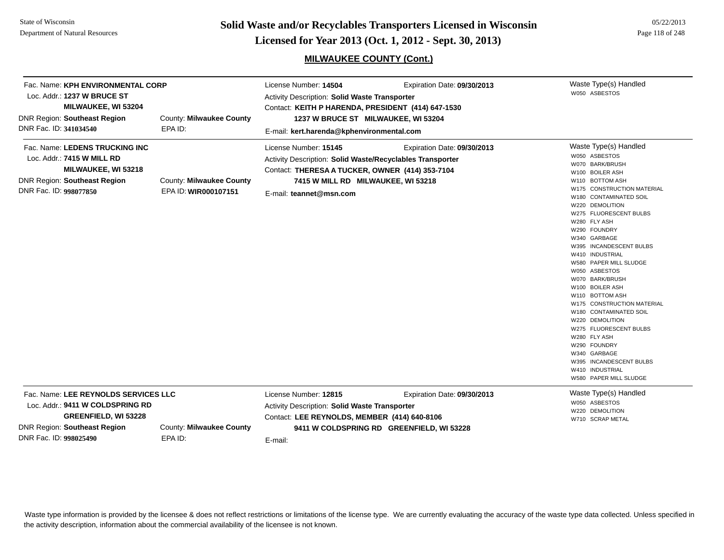State of WisconsinDepartment of Natural Resources

**Page 118 of 248 <b>Licensed for Year 2013 (Oct. 1, 2012 - Sept. 30, 2013) Page 118 of 248 Licensed for Year 2013 (Oct. 1, 2012 - Sept. 30, 2013)** 

## **MILWAUKEE COUNTY (Cont.)**

| Fac. Name: KPH ENVIRONMENTAL CORP<br>Loc. Addr.: 1237 W BRUCE ST<br>MILWAUKEE, WI 53204<br><b>DNR Region: Southeast Region</b><br>DNR Fac. ID: 341034540                                                        | County: Milwaukee County<br>EPA ID:              | License Number: 14504<br>Activity Description: Solid Waste Transporter<br>Contact: KEITH P HARENDA, PRESIDENT (414) 647-1530<br>1237 W BRUCE ST MILWAUKEE, WI 53204<br>E-mail: kert.harenda@kphenvironmental.com | Expiration Date: 09/30/2013                                              | Waste Type(s) Handled<br>W050 ASBESTOS                                                                                                                                                                                                                                                                                                                                                                                                                                                                                                                                                                                              |
|-----------------------------------------------------------------------------------------------------------------------------------------------------------------------------------------------------------------|--------------------------------------------------|------------------------------------------------------------------------------------------------------------------------------------------------------------------------------------------------------------------|--------------------------------------------------------------------------|-------------------------------------------------------------------------------------------------------------------------------------------------------------------------------------------------------------------------------------------------------------------------------------------------------------------------------------------------------------------------------------------------------------------------------------------------------------------------------------------------------------------------------------------------------------------------------------------------------------------------------------|
| Fac. Name: LEDENS TRUCKING INC<br>Loc. Addr.: 7415 W MILL RD<br>MILWAUKEE, WI 53218<br><b>DNR Region: Southeast Region</b><br>DNR Fac. ID: 998077850                                                            | County: Milwaukee County<br>EPA ID: WIR000107151 | License Number: 15145<br>Activity Description: Solid Waste/Recyclables Transporter<br>Contact: THERESA A TUCKER, OWNER (414) 353-7104<br>7415 W MILL RD MILWAUKEE, WI 53218<br>E-mail: teannet@msn.com           | Expiration Date: 09/30/2013                                              | Waste Type(s) Handled<br>W050 ASBESTOS<br>W070 BARK/BRUSH<br>W100 BOILER ASH<br>W110 BOTTOM ASH<br>W175 CONSTRUCTION MATERIAL<br>W180 CONTAMINATED SOIL<br>W220 DEMOLITION<br>W275 FLUORESCENT BULBS<br>W280 FLY ASH<br>W290 FOUNDRY<br>W340 GARBAGE<br>W395 INCANDESCENT BULBS<br>W410 INDUSTRIAL<br>W580 PAPER MILL SLUDGE<br>W050 ASBESTOS<br>W070 BARK/BRUSH<br>W100 BOILER ASH<br>W110 BOTTOM ASH<br>W175 CONSTRUCTION MATERIAL<br>W180 CONTAMINATED SOIL<br>W220 DEMOLITION<br>W275 FLUORESCENT BULBS<br>W280 FLY ASH<br>W290 FOUNDRY<br>W340 GARBAGE<br>W395 INCANDESCENT BULBS<br>W410 INDUSTRIAL<br>W580 PAPER MILL SLUDGE |
| Fac. Name: LEE REYNOLDS SERVICES LLC<br>Loc. Addr.: 9411 W COLDSPRING RD<br><b>GREENFIELD, WI 53228</b><br><b>DNR Region: Southeast Region</b><br>County: Milwaukee County<br>DNR Fac. ID: 998025490<br>EPA ID: |                                                  | License Number: 12815<br>Activity Description: Solid Waste Transporter<br>Contact: LEE REYNOLDS, MEMBER (414) 640-8106<br>E-mail:                                                                                | Expiration Date: 09/30/2013<br>9411 W COLDSPRING RD GREENFIELD, WI 53228 | Waste Type(s) Handled<br>W050 ASBESTOS<br>W220 DEMOLITION<br>W710 SCRAP METAL                                                                                                                                                                                                                                                                                                                                                                                                                                                                                                                                                       |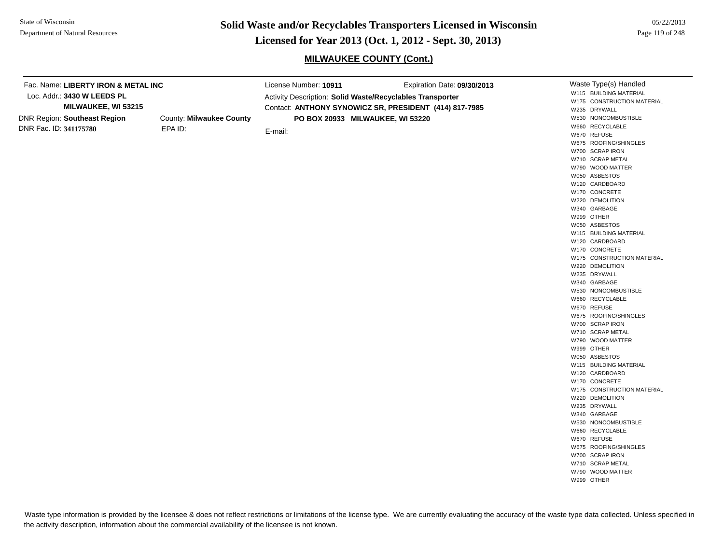Loc. Addr.: **3430 W LEEDS PL**

DNR Region: **Southeast Region** DNR Fac. ID: **341175780**

**Page 119 of 22/2013 <b>Licensed for Year 2013 (Oct. 1, 2012 - Sept. 30, 2013)** Page 119 of 248 **Licensed for Year 2013 (Oct. 1, 2012 - Sept. 30, 2013)** 

#### **MILWAUKEE COUNTY (Cont.)**

Waste Type(s) Handled W115 BUILDING MATERIALW175 CONSTRUCTION MATERIALW235 DRYWALLW530 NONCOMBUSTIBLEW660 RECYCLABLEW670 REFUSEW675 ROOFING/SHINGLESW700 SCRAP IRONW710 SCRAP METALW790 WOOD MATTERW050 ASBESTOSW120 CARDBOARDW170 CONCRETEW220 DEMOLITIONW340 GARBAGEW999 OTHERW050 ASBESTOSW115 BUILDING MATERIALW120 CARDBOARDW170 CONCRETEW175 CONSTRUCTION MATERIALW220 DEMOLITIONW235 DRYWALLW340 GARBAGEW530 NONCOMBUSTIBLEW660 RECYCLABLEW670 REFUSEW675 ROOFING/SHINGLESW700 SCRAP IRONW710 SCRAP METALW790 WOOD MATTERW999 OTHERW050 ASBESTOSW115 BUILDING MATERIALW120 CARDBOARDW170 CONCRETEW175 CONSTRUCTION MATERIALW220 DEMOLITIONW235 DRYWALLW340 GARBAGEW530 NONCOMBUSTIBLEW660 RECYCLABLEW670 REFUSEW675 ROOFING/SHINGLESW700 SCRAP IRONW710 SCRAP METALW790 WOOD MATTERW999 OTHERFac. Name: **LIBERTY IRON & METAL INCMILWAUKEE, WI 53215** County: **Milwaukee County** EPA ID:License Number: **10911** Expiration Date: **09/30/2013**  Activity Description: **Solid Waste/Recyclables Transporter** Contact: **ANTHONY SYNOWICZ SR, PRESIDENT (414) 817-7985** E-mail: **PO BOX 20933 MILWAUKEE, WI 53220**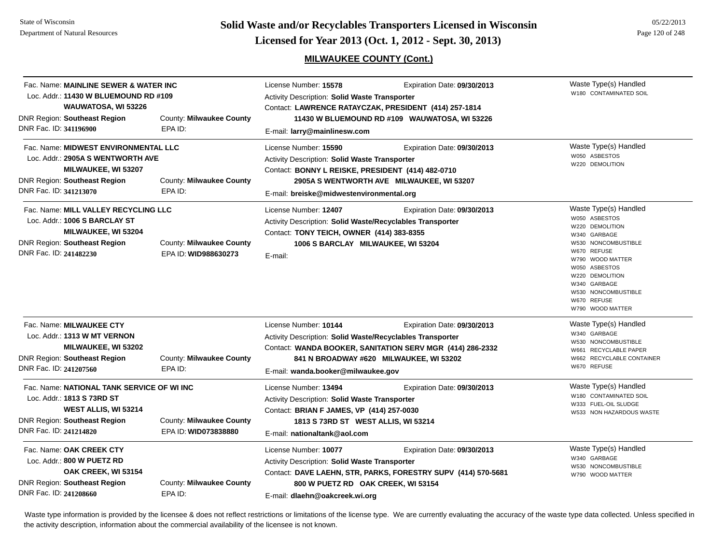**Page 120 of 248 <b>Licensed for Year 2013 (Oct. 1, 2012 - Sept. 30, 2013) Page 120 of 248 Licensed for Year 2013 (Oct. 1, 2012 - Sept. 30, 2013)** 

## **MILWAUKEE COUNTY (Cont.)**

| Fac. Name: MAINLINE SEWER & WATER INC<br>Loc. Addr.: 11430 W BLUEMOUND RD #109<br>WAUWATOSA, WI 53226                                                             |                                                  | License Number: 15578<br><b>Activity Description: Solid Waste Transporter</b>                                                                                                              | Expiration Date: 09/30/2013<br>Contact: LAWRENCE RATAYCZAK, PRESIDENT (414) 257-1814                                                | Waste Type(s) Handled<br>W180 CONTAMINATED SOIL                                                                                                                                                                                                   |
|-------------------------------------------------------------------------------------------------------------------------------------------------------------------|--------------------------------------------------|--------------------------------------------------------------------------------------------------------------------------------------------------------------------------------------------|-------------------------------------------------------------------------------------------------------------------------------------|---------------------------------------------------------------------------------------------------------------------------------------------------------------------------------------------------------------------------------------------------|
| <b>DNR Region: Southeast Region</b><br>DNR Fac. ID: 341196900                                                                                                     | County: Milwaukee County<br>EPA ID:              | E-mail: larry@mainlinesw.com                                                                                                                                                               | 11430 W BLUEMOUND RD #109 WAUWATOSA, WI 53226                                                                                       |                                                                                                                                                                                                                                                   |
| Fac. Name: MIDWEST ENVIRONMENTAL LLC<br>Loc. Addr.: 2905A S WENTWORTH AVE<br>MILWAUKEE, WI 53207<br><b>DNR Region: Southeast Region</b><br>DNR Fac. ID: 341213070 | County: Milwaukee County<br>EPA ID:              | License Number: 15590<br><b>Activity Description: Solid Waste Transporter</b><br>Contact: BONNY L REISKE, PRESIDENT (414) 482-0710<br>E-mail: breiske@midwestenvironmental.org             | Expiration Date: 09/30/2013<br>2905A S WENTWORTH AVE MILWAUKEE, WI 53207                                                            | Waste Type(s) Handled<br>W050 ASBESTOS<br>W220 DEMOLITION                                                                                                                                                                                         |
| Fac. Name: MILL VALLEY RECYCLING LLC<br>Loc. Addr.: 1006 S BARCLAY ST<br>MILWAUKEE, WI 53204<br>DNR Region: Southeast Region<br>DNR Fac. ID: 241482230            | County: Milwaukee County<br>EPA ID: WID988630273 | License Number: 12407<br><b>Activity Description: Solid Waste/Recyclables Transporter</b><br>Contact: TONY TEICH, OWNER (414) 383-8355<br>1006 S BARCLAY MILWAUKEE, WI 53204<br>E-mail:    | Expiration Date: 09/30/2013                                                                                                         | Waste Type(s) Handled<br>W050 ASBESTOS<br>W220 DEMOLITION<br>W340 GARBAGE<br>W530 NONCOMBUSTIBLE<br>W670 REFUSE<br>W790 WOOD MATTER<br>W050 ASBESTOS<br>W220 DEMOLITION<br>W340 GARBAGE<br>W530 NONCOMBUSTIBLE<br>W670 REFUSE<br>W790 WOOD MATTER |
| Fac. Name: MILWAUKEE CTY<br>Loc. Addr.: 1313 W MT VERNON<br><b>MILWAUKEE, WI 53202</b><br><b>DNR Region: Southeast Region</b><br>DNR Fac. ID: 241207560           | County: Milwaukee County<br>EPA ID:              | License Number: 10144<br><b>Activity Description: Solid Waste/Recyclables Transporter</b><br>E-mail: wanda.booker@milwaukee.gov                                                            | Expiration Date: 09/30/2013<br>Contact: WANDA BOOKER, SANITATION SERV MGR (414) 286-2332<br>841 N BROADWAY #620 MILWAUKEE, WI 53202 | Waste Type(s) Handled<br>W340 GARBAGE<br>W530 NONCOMBUSTIBLE<br>W661 RECYCLABLE PAPER<br>W662 RECYCLABLE CONTAINER<br>W670 REFUSE                                                                                                                 |
| Fac. Name: NATIONAL TANK SERVICE OF WI INC<br>Loc. Addr.: 1813 S 73RD ST<br>WEST ALLIS, WI 53214<br><b>DNR Region: Southeast Region</b><br>DNR Fac. ID: 241214820 | County: Milwaukee County<br>EPA ID: WID073838880 | License Number: 13494<br>Activity Description: Solid Waste Transporter<br>Contact: BRIAN F JAMES, VP (414) 257-0030<br>1813 S 73RD ST WEST ALLIS, WI 53214<br>E-mail: nationaltank@aol.com | Expiration Date: 09/30/2013                                                                                                         | Waste Type(s) Handled<br>W180 CONTAMINATED SOIL<br>W333 FUEL-OIL SLUDGE<br>W533 NON HAZARDOUS WASTE                                                                                                                                               |
| Fac. Name: OAK CREEK CTY<br>Loc. Addr.: 800 W PUETZ RD<br>OAK CREEK, WI 53154<br><b>DNR Region: Southeast Region</b><br>DNR Fac. ID: 241208660                    | County: Milwaukee County<br>EPA ID:              | License Number: 10077<br><b>Activity Description: Solid Waste Transporter</b><br>800 W PUETZ RD OAK CREEK, WI 53154<br>E-mail: dlaehn@oakcreek.wi.org                                      | Expiration Date: 09/30/2013<br>Contact: DAVE LAEHN, STR, PARKS, FORESTRY SUPV (414) 570-5681                                        | Waste Type(s) Handled<br>W340 GARBAGE<br>W530 NONCOMBUSTIBLE<br>W790 WOOD MATTER                                                                                                                                                                  |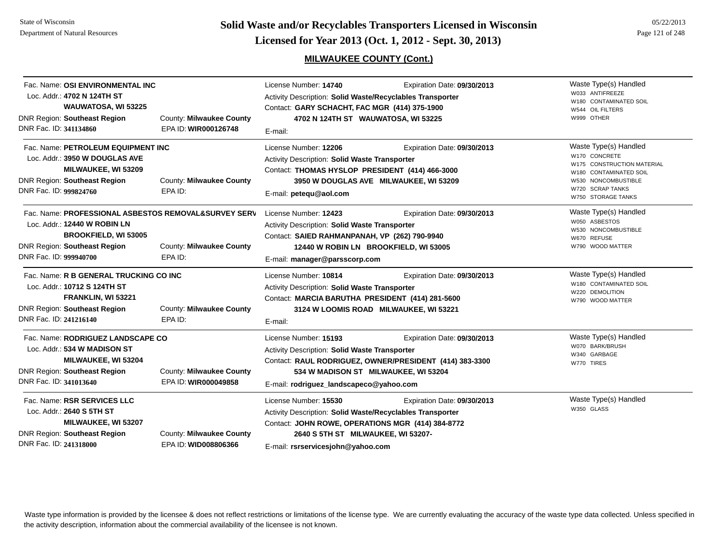**Page 121 of 248 <b>Licensed for Year 2013 (Oct. 1, 2012 - Sept. 30, 2013) Page 121 of 248 Licensed for Year 2013 (Oct. 1, 2012 - Sept. 30, 2013)** 

## **MILWAUKEE COUNTY (Cont.)**

| Fac. Name: OSI ENVIRONMENTAL INC<br>Loc. Addr.: 4702 N 124TH ST<br>WAUWATOSA, WI 53225<br><b>DNR Region: Southeast Region</b><br>DNR Fac. ID: 341134860                              | County: Milwaukee County<br>EPA ID: WIR000126748 | License Number: 14740<br>Activity Description: Solid Waste/Recyclables Transporter<br>Contact: GARY SCHACHT, FAC MGR (414) 375-1900<br>4702 N 124TH ST WAUWATOSA, WI 53225<br>E-mail:                              | Expiration Date: 09/30/2013                                                                                                    | Waste Type(s) Handled<br>W033 ANTIFREEZE<br>W180 CONTAMINATED SOIL<br>W544 OIL FILTERS<br>W999 OTHER                                                            |
|--------------------------------------------------------------------------------------------------------------------------------------------------------------------------------------|--------------------------------------------------|--------------------------------------------------------------------------------------------------------------------------------------------------------------------------------------------------------------------|--------------------------------------------------------------------------------------------------------------------------------|-----------------------------------------------------------------------------------------------------------------------------------------------------------------|
| Fac. Name: PETROLEUM EQUIPMENT INC<br>Loc. Addr.: 3950 W DOUGLAS AVE<br>MILWAUKEE, WI 53209<br><b>DNR Region: Southeast Region</b><br>DNR Fac. ID: 999824760                         | County: Milwaukee County<br>EPA ID:              | License Number: 12206<br><b>Activity Description: Solid Waste Transporter</b><br>Contact: THOMAS HYSLOP PRESIDENT (414) 466-3000<br>E-mail: petequ@aol.com                                                         | Expiration Date: 09/30/2013<br>3950 W DOUGLAS AVE MILWAUKEE, WI 53209                                                          | Waste Type(s) Handled<br>W170 CONCRETE<br>W175 CONSTRUCTION MATERIAL<br>W180 CONTAMINATED SOIL<br>W530 NONCOMBUSTIBLE<br>W720 SCRAP TANKS<br>W750 STORAGE TANKS |
| Fac. Name: PROFESSIONAL ASBESTOS REMOVAL&SURVEY SERV<br>Loc. Addr.: 12440 W ROBIN LN<br><b>BROOKFIELD, WI 53005</b><br><b>DNR Region: Southeast Region</b><br>DNR Fac. ID: 999940700 | County: Milwaukee County<br>EPA ID:              | License Number: 12423<br>Activity Description: Solid Waste Transporter<br>Contact: SAIED RAHMANPANAH, VP (262) 790-9940<br>E-mail: manager@parsscorp.com                                                           | Expiration Date: 09/30/2013<br>12440 W ROBIN LN BROOKFIELD, WI 53005                                                           | Waste Type(s) Handled<br>W050 ASBESTOS<br>W530 NONCOMBUSTIBLE<br>W670 REFUSE<br>W790 WOOD MATTER                                                                |
| Fac. Name: R B GENERAL TRUCKING CO INC<br>Loc. Addr.: 10712 S 124TH ST<br>FRANKLIN, WI 53221<br><b>DNR Region: Southeast Region</b><br>DNR Fac. ID: 241216140                        | County: Milwaukee County<br>EPA ID:              | License Number: 10814<br><b>Activity Description: Solid Waste Transporter</b><br>Contact: MARCIA BARUTHA PRESIDENT (414) 281-5600<br>E-mail:                                                                       | Expiration Date: 09/30/2013<br>3124 W LOOMIS ROAD MILWAUKEE, WI 53221                                                          | Waste Type(s) Handled<br>W180 CONTAMINATED SOIL<br>W220 DEMOLITION<br>W790 WOOD MATTER                                                                          |
| Fac. Name: RODRIGUEZ LANDSCAPE CO<br>Loc. Addr.: 534 W MADISON ST<br>MILWAUKEE, WI 53204<br><b>DNR Region: Southeast Region</b><br>DNR Fac. ID: 341013640                            | County: Milwaukee County<br>EPA ID: WIR000049858 | License Number: 15193<br>Activity Description: Solid Waste Transporter<br>E-mail: rodriguez_landscapeco@yahoo.com                                                                                                  | Expiration Date: 09/30/2013<br>Contact: RAUL RODRIGUEZ, OWNER/PRESIDENT (414) 383-3300<br>534 W MADISON ST MILWAUKEE, WI 53204 | Waste Type(s) Handled<br>W070 BARK/BRUSH<br>W340 GARBAGE<br>W770 TIRES                                                                                          |
| Fac. Name: RSR SERVICES LLC<br>Loc. Addr.: 2640 S 5TH ST<br>MILWAUKEE, WI 53207<br><b>DNR Region: Southeast Region</b><br>DNR Fac. ID: 241318000                                     | County: Milwaukee County<br>EPA ID: WID008806366 | License Number: 15530<br>Activity Description: Solid Waste/Recyclables Transporter<br>Contact: JOHN ROWE, OPERATIONS MGR (414) 384-8772<br>2640 S 5TH ST MILWAUKEE, WI 53207-<br>E-mail: rsrservicesjohn@yahoo.com | Expiration Date: 09/30/2013                                                                                                    | Waste Type(s) Handled<br>W350 GLASS                                                                                                                             |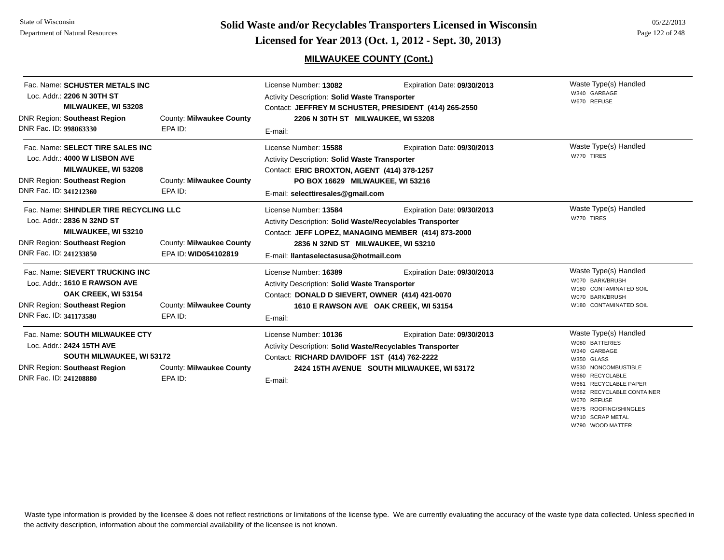#### **MILWAUKEE COUNTY (Cont.)**

W710 SCRAP METAL W790 WOOD MATTER

| Fac. Name: SCHUSTER METALS INC<br>Loc. Addr.: 2206 N 30TH ST<br><b>MILWAUKEE, WI 53208</b><br><b>DNR Region: Southeast Region</b><br>DNR Fac. ID: 998063330      | County: Milwaukee County<br>EPA ID:              | License Number: 13082<br>Activity Description: Solid Waste Transporter<br>2206 N 30TH ST MILWAUKEE, WI 53208<br>E-mail:                                                                                                  | Expiration Date: 09/30/2013<br>Contact: JEFFREY M SCHUSTER, PRESIDENT (414) 265-2550 | Waste Type(s) Handled<br>W340 GARBAGE<br>W670 REFUSE                                                                                                                                                                          |
|------------------------------------------------------------------------------------------------------------------------------------------------------------------|--------------------------------------------------|--------------------------------------------------------------------------------------------------------------------------------------------------------------------------------------------------------------------------|--------------------------------------------------------------------------------------|-------------------------------------------------------------------------------------------------------------------------------------------------------------------------------------------------------------------------------|
| Fac. Name: SELECT TIRE SALES INC<br>Loc. Addr.: 4000 W LISBON AVE<br>MILWAUKEE, WI 53208<br><b>DNR Region: Southeast Region</b><br>DNR Fac. ID: 341212360        | County: Milwaukee County<br>EPA ID:              | License Number: 15588<br><b>Activity Description: Solid Waste Transporter</b><br>Contact: ERIC BROXTON, AGENT (414) 378-1257<br>PO BOX 16629 MILWAUKEE, WI 53216<br>E-mail: selecttiresales@gmail.com                    | Expiration Date: 09/30/2013                                                          | Waste Type(s) Handled<br>W770 TIRES                                                                                                                                                                                           |
| Fac. Name: SHINDLER TIRE RECYCLING LLC<br>Loc. Addr.: 2836 N 32ND ST<br>MILWAUKEE, WI 53210<br><b>DNR Region: Southeast Region</b><br>DNR Fac. ID: 241233850     | County: Milwaukee County<br>EPA ID: WID054102819 | License Number: 13584<br>Activity Description: Solid Waste/Recyclables Transporter<br>Contact: JEFF LOPEZ, MANAGING MEMBER (414) 873-2000<br>2836 N 32ND ST MILWAUKEE, WI 53210<br>E-mail: Ilantaselectasusa@hotmail.com | Expiration Date: 09/30/2013                                                          | Waste Type(s) Handled<br>W770 TIRES                                                                                                                                                                                           |
| Fac. Name: SIEVERT TRUCKING INC<br>Loc. Addr.: 1610 E RAWSON AVE<br>OAK CREEK, WI 53154<br><b>DNR Region: Southeast Region</b><br>DNR Fac. ID: 341173580         | County: Milwaukee County<br>EPA ID:              | License Number: 16389<br><b>Activity Description: Solid Waste Transporter</b><br>Contact: DONALD D SIEVERT, OWNER (414) 421-0070<br>E-mail:                                                                              | Expiration Date: 09/30/2013<br>1610 E RAWSON AVE OAK CREEK, WI 53154                 | Waste Type(s) Handled<br>W070 BARK/BRUSH<br>W180 CONTAMINATED SOIL<br>W070 BARK/BRUSH<br>W180 CONTAMINATED SOIL                                                                                                               |
| Fac. Name: SOUTH MILWAUKEE CTY<br>Loc. Addr.: 2424 15TH AVE<br><b>SOUTH MILWAUKEE, WI 53172</b><br><b>DNR Region: Southeast Region</b><br>DNR Fac. ID: 241208880 | County: Milwaukee County<br>EPA ID:              | License Number: 10136<br>Activity Description: Solid Waste/Recyclables Transporter<br>Contact: RICHARD DAVIDOFF 1ST (414) 762-2222<br>E-mail:                                                                            | Expiration Date: 09/30/2013<br>2424 15TH AVENUE SOUTH MILWAUKEE, WI 53172            | Waste Type(s) Handled<br>W080 BATTERIES<br>W340 GARBAGE<br>W350 GLASS<br>W530 NONCOMBUSTIBLE<br>RECYCLABLE<br>06aW<br>RECYCLABLE PAPER<br>W661<br><b>RECYCLABLE CONTAINER</b><br>W662<br>W670 REFUSE<br>W675 ROOFING/SHINGLES |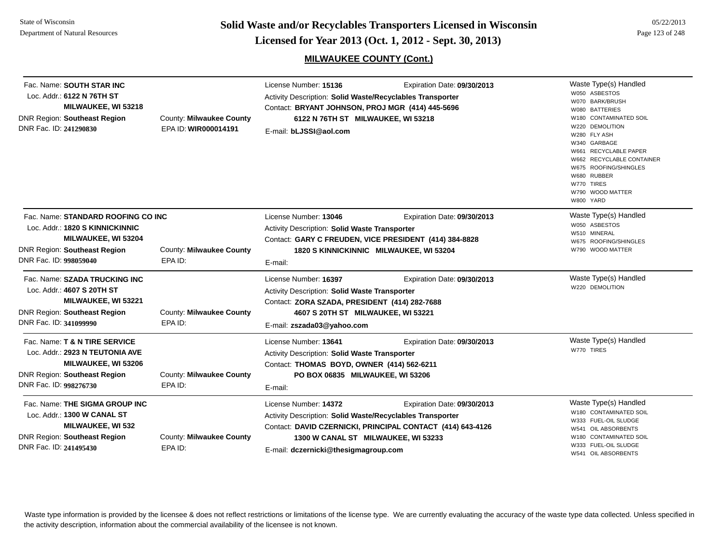**Page 123 of 248 <b>Licensed for Year 2013 (Oct. 1, 2012 - Sept. 30, 2013) Page 123 of 248 Licensed for Year 2013 (Oct. 1, 2012 - Sept. 30, 2013)** 

## **MILWAUKEE COUNTY (Cont.)**

| Fac. Name: SOUTH STAR INC<br>Loc. Addr.: 6122 N 76TH ST<br>MILWAUKEE, WI 53218<br>DNR Region: Southeast Region<br>DNR Fac. ID: 241290830                      | County: Milwaukee County<br>EPA ID: WIR000014191 | License Number: 15136<br>Activity Description: Solid Waste/Recyclables Transporter<br>Contact: BRYANT JOHNSON, PROJ MGR (414) 445-5696<br>6122 N 76TH ST MILWAUKEE, WI 53218<br>E-mail: bLJSSI@aol.com | Expiration Date: 09/30/2013                                                                                                      | Waste Type(s) Handled<br>W050 ASBESTOS<br>W070 BARK/BRUSH<br>W080 BATTERIES<br>W180 CONTAMINATED SOIL<br>W220 DEMOLITION<br>W280 FLY ASH<br>W340 GARBAGE<br>W661 RECYCLABLE PAPER<br>W662 RECYCLABLE CONTAINER<br>W675 ROOFING/SHINGLES<br>W680 RUBBER<br>W770 TIRES<br>W790 WOOD MATTER<br>W800 YARD |
|---------------------------------------------------------------------------------------------------------------------------------------------------------------|--------------------------------------------------|--------------------------------------------------------------------------------------------------------------------------------------------------------------------------------------------------------|----------------------------------------------------------------------------------------------------------------------------------|-------------------------------------------------------------------------------------------------------------------------------------------------------------------------------------------------------------------------------------------------------------------------------------------------------|
| Fac. Name: STANDARD ROOFING CO INC<br>Loc. Addr.: 1820 S KINNICKINNIC<br>MILWAUKEE, WI 53204<br><b>DNR Region: Southeast Region</b><br>DNR Fac. ID: 998059040 | County: Milwaukee County<br>EPA ID:              | License Number: 13046<br>Activity Description: Solid Waste Transporter<br>E-mail:                                                                                                                      | Expiration Date: 09/30/2013<br>Contact: GARY C FREUDEN, VICE PRESIDENT (414) 384-8828<br>1820 S KINNICKINNIC MILWAUKEE, WI 53204 | Waste Type(s) Handled<br>W050 ASBESTOS<br>W510 MINERAL<br>W675 ROOFING/SHINGLES<br>W790 WOOD MATTER                                                                                                                                                                                                   |
| Fac. Name: SZADA TRUCKING INC<br>Loc. Addr.: 4607 S 20TH ST<br><b>MILWAUKEE, WI 53221</b><br><b>DNR Region: Southeast Region</b><br>DNR Fac. ID: 341099990    | County: Milwaukee County<br>EPA ID:              | License Number: 16397<br>Activity Description: Solid Waste Transporter<br>Contact: ZORA SZADA, PRESIDENT (414) 282-7688<br>4607 S 20TH ST MILWAUKEE, WI 53221<br>E-mail: zszada03@yahoo.com            | Expiration Date: 09/30/2013                                                                                                      | Waste Type(s) Handled<br>W220 DEMOLITION                                                                                                                                                                                                                                                              |
| Fac. Name: T & N TIRE SERVICE<br>Loc. Addr.: 2923 N TEUTONIA AVE<br><b>MILWAUKEE, WI 53206</b><br>DNR Region: Southeast Region<br>DNR Fac. ID: 998276730      | County: Milwaukee County<br>EPA ID:              | License Number: 13641<br>Activity Description: Solid Waste Transporter<br>Contact: THOMAS BOYD, OWNER (414) 562-6211<br>PO BOX 06835 MILWAUKEE, WI 53206<br>E-mail:                                    | Expiration Date: 09/30/2013                                                                                                      | Waste Type(s) Handled<br>W770 TIRES                                                                                                                                                                                                                                                                   |
| Fac. Name: THE SIGMA GROUP INC<br>Loc. Addr.: 1300 W CANAL ST<br><b>MILWAUKEE, WI 532</b><br><b>DNR Region: Southeast Region</b><br>DNR Fac. ID: 241495430    | County: Milwaukee County<br>EPA ID:              | License Number: 14372<br>Activity Description: Solid Waste/Recyclables Transporter<br>1300 W CANAL ST MILWAUKEE, WI 53233<br>E-mail: dczernicki@thesigmagroup.com                                      | Expiration Date: 09/30/2013<br>Contact: DAVID CZERNICKI, PRINCIPAL CONTACT (414) 643-4126                                        | Waste Type(s) Handled<br>W180 CONTAMINATED SOIL<br>W333 FUEL-OIL SLUDGE<br>W541 OIL ABSORBENTS<br>W180 CONTAMINATED SOIL<br>W333 FUEL-OIL SLUDGE<br>W541 OIL ABSORBENTS                                                                                                                               |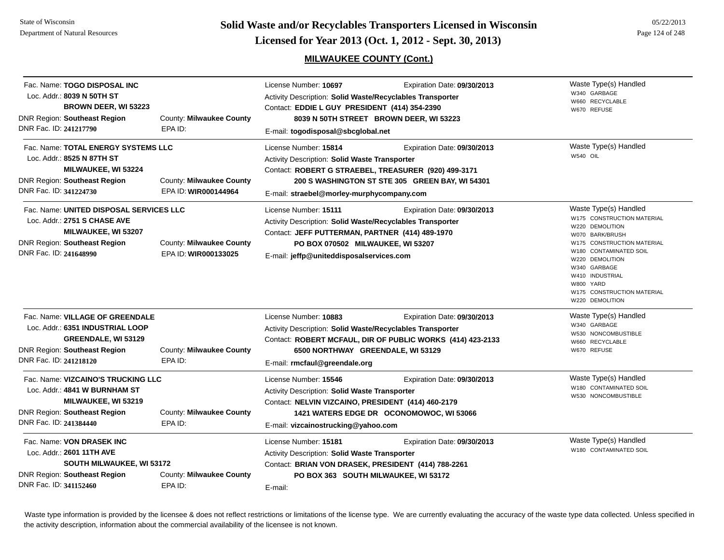**Page 124 of 248 <b>Licensed for Year 2013 (Oct. 1, 2012 - Sept. 30, 2013) Page 124 of 248 Licensed for Year 2013 (Oct. 1, 2012 - Sept. 30, 2013)** 

## **MILWAUKEE COUNTY (Cont.)**

| Fac. Name: TOGO DISPOSAL INC<br>Loc. Addr.: 8039 N 50TH ST<br><b>BROWN DEER, WI 53223</b><br><b>DNR Region: Southeast Region</b><br>DNR Fac. ID: 241217790       | County: Milwaukee County<br>EPA ID:              | License Number: 10697<br>Activity Description: Solid Waste/Recyclables Transporter<br>Contact: EDDIE L GUY PRESIDENT (414) 354-2390<br>E-mail: togodisposal@sbcglobal.net                                              | Expiration Date: 09/30/2013<br>8039 N 50TH STREET BROWN DEER, WI 53223                                                                 | Waste Type(s) Handled<br>W340 GARBAGE<br>W660 RECYCLABLE<br>W670 REFUSE                                                                                                                                                                                               |
|------------------------------------------------------------------------------------------------------------------------------------------------------------------|--------------------------------------------------|------------------------------------------------------------------------------------------------------------------------------------------------------------------------------------------------------------------------|----------------------------------------------------------------------------------------------------------------------------------------|-----------------------------------------------------------------------------------------------------------------------------------------------------------------------------------------------------------------------------------------------------------------------|
| Fac. Name: TOTAL ENERGY SYSTEMS LLC<br>Loc. Addr.: 8525 N 87TH ST<br><b>MILWAUKEE, WI 53224</b><br><b>DNR Region: Southeast Region</b><br>DNR Fac. ID: 341224730 | County: Milwaukee County<br>EPA ID: WIR000144964 | License Number: 15814<br><b>Activity Description: Solid Waste Transporter</b><br>E-mail: straebel@morley-murphycompany.com                                                                                             | Expiration Date: 09/30/2013<br>Contact: ROBERT G STRAEBEL, TREASURER (920) 499-3171<br>200 S WASHINGTON ST STE 305 GREEN BAY, WI 54301 | Waste Type(s) Handled<br>W540 OIL                                                                                                                                                                                                                                     |
| Fac. Name: UNITED DISPOSAL SERVICES LLC<br>Loc. Addr.: 2751 S CHASE AVE<br>MILWAUKEE, WI 53207<br><b>DNR Region: Southeast Region</b><br>DNR Fac. ID: 241648990  | County: Milwaukee County<br>EPA ID: WIR000133025 | License Number: 15111<br>Activity Description: Solid Waste/Recyclables Transporter<br>Contact: JEFF PUTTERMAN, PARTNER (414) 489-1970<br>PO BOX 070502 MILWAUKEE, WI 53207<br>E-mail: jeffp@uniteddisposalservices.com | Expiration Date: 09/30/2013                                                                                                            | Waste Type(s) Handled<br>W175 CONSTRUCTION MATERIAL<br>W220 DEMOLITION<br>W070 BARK/BRUSH<br>W175 CONSTRUCTION MATERIAL<br>W180 CONTAMINATED SOIL<br>W220 DEMOLITION<br>W340 GARBAGE<br>W410 INDUSTRIAL<br>W800 YARD<br>W175 CONSTRUCTION MATERIAL<br>W220 DEMOLITION |
| Fac. Name: VILLAGE OF GREENDALE<br>Loc. Addr.: 6351 INDUSTRIAL LOOP<br>GREENDALE, WI 53129<br><b>DNR Region: Southeast Region</b><br>DNR Fac. ID: 241218120      | County: Milwaukee County<br>EPA ID:              | License Number: 10883<br>Activity Description: Solid Waste/Recyclables Transporter<br>E-mail: rmcfaul@greendale.org                                                                                                    | Expiration Date: 09/30/2013<br>Contact: ROBERT MCFAUL, DIR OF PUBLIC WORKS (414) 423-2133<br>6500 NORTHWAY GREENDALE, WI 53129         | Waste Type(s) Handled<br>W340 GARBAGE<br>W530 NONCOMBUSTIBLE<br>W660 RECYCLABLE<br>W670 REFUSE                                                                                                                                                                        |
| Fac. Name: VIZCAINO'S TRUCKING LLC<br>Loc. Addr.: 4841 W BURNHAM ST<br><b>MILWAUKEE, WI 53219</b><br>DNR Region: Southeast Region<br>DNR Fac. ID: 241384440      | County: Milwaukee County<br>EPA ID:              | License Number: 15546<br>Activity Description: Solid Waste Transporter<br>Contact: NELVIN VIZCAINO, PRESIDENT (414) 460-2179<br>E-mail: vizcainostrucking@yahoo.com                                                    | Expiration Date: 09/30/2013<br>1421 WATERS EDGE DR OCONOMOWOC, WI 53066                                                                | Waste Type(s) Handled<br>W180 CONTAMINATED SOIL<br>W530 NONCOMBUSTIBLE                                                                                                                                                                                                |
| Fac. Name: VON DRASEK INC<br>Loc. Addr.: 2601 11TH AVE<br><b>SOUTH MILWAUKEE, WI 53172</b><br>DNR Region: Southeast Region<br>DNR Fac. ID: 341152460             | County: Milwaukee County<br>EPA ID:              | License Number: 15181<br>Activity Description: Solid Waste Transporter<br>Contact: BRIAN VON DRASEK, PRESIDENT (414) 788-2261<br>E-mail:                                                                               | Expiration Date: 09/30/2013<br>PO BOX 363 SOUTH MILWAUKEE, WI 53172                                                                    | Waste Type(s) Handled<br>W180 CONTAMINATED SOIL                                                                                                                                                                                                                       |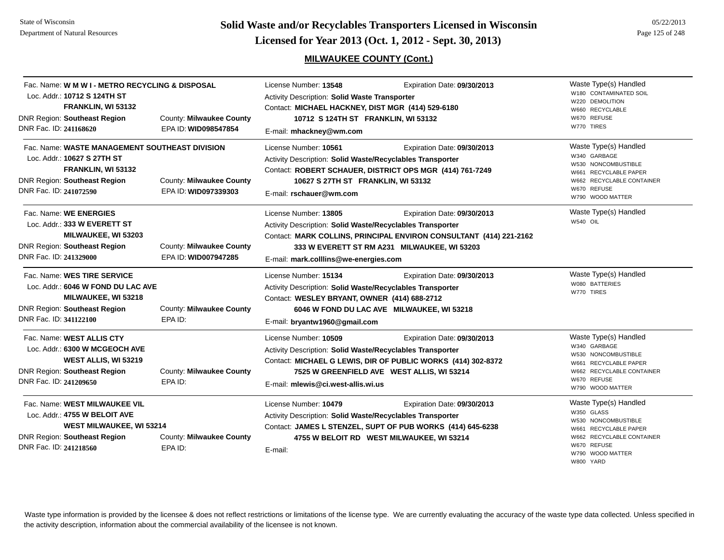**Solid Waste and/or Recyclables Transporters Licensed in Wisconsin<br>Licensed for Year 2013 (Oct. 1, 2012 - Sept. 30, 2013)** 

## **MILWAUKEE COUNTY (Cont.)**

| 05/22/2013      |  |
|-----------------|--|
| Page 125 of 248 |  |

| Fac. Name: W M W I - METRO RECYCLING & DISPOSAL<br>Loc. Addr.: 10712 S 124TH ST<br>FRANKLIN, WI 53132<br><b>DNR Region: Southeast Region</b><br>DNR Fac. ID: 241168620 | County: Milwaukee County<br>EPA ID: WID098547854 | License Number: 13548<br>Expiration Date: 09/30/2013<br>Activity Description: Solid Waste Transporter<br>Contact: MICHAEL HACKNEY, DIST MGR (414) 529-6180<br>10712 S 124TH ST FRANKLIN, WI 53132<br>E-mail: mhackney@wm.com                                                     | Waste Type(s) Handled<br>W180 CONTAMINATED SOIL<br>W220 DEMOLITION<br>W660 RECYCLABLE<br>W670 REFUSE<br>W770 TIRES                                               |
|------------------------------------------------------------------------------------------------------------------------------------------------------------------------|--------------------------------------------------|----------------------------------------------------------------------------------------------------------------------------------------------------------------------------------------------------------------------------------------------------------------------------------|------------------------------------------------------------------------------------------------------------------------------------------------------------------|
| Fac. Name: WASTE MANAGEMENT SOUTHEAST DIVISION<br>Loc. Addr.: 10627 S 27TH ST<br>FRANKLIN, WI 53132<br><b>DNR Region: Southeast Region</b><br>DNR Fac. ID: 241072590   | County: Milwaukee County<br>EPA ID: WID097339303 | License Number: 10561<br>Expiration Date: 09/30/2013<br>Activity Description: Solid Waste/Recyclables Transporter<br>Contact: ROBERT SCHAUER, DISTRICT OPS MGR (414) 761-7249<br>10627 S 27TH ST FRANKLIN, WI 53132<br>E-mail: rschauer@wm.com                                   | Waste Type(s) Handled<br>W340 GARBAGE<br>W530 NONCOMBUSTIBLE<br>W661 RECYCLABLE PAPER<br>W662 RECYCLABLE CONTAINER<br>W670 REFUSE<br>W790 WOOD MATTER            |
| Fac. Name: WE ENERGIES<br>Loc. Addr.: 333 W EVERETT ST<br>MILWAUKEE, WI 53203<br><b>DNR Region: Southeast Region</b><br>DNR Fac. ID: 241329000                         | County: Milwaukee County<br>EPA ID: WID007947285 | License Number: 13805<br>Expiration Date: 09/30/2013<br>Activity Description: Solid Waste/Recyclables Transporter<br>Contact: MARK COLLINS, PRINCIPAL ENVIRON CONSULTANT (414) 221-2162<br>333 W EVERETT ST RM A231 MILWAUKEE, WI 53203<br>E-mail: mark.colllins@we-energies.com | Waste Type(s) Handled<br>W540 OIL                                                                                                                                |
| Fac. Name: WES TIRE SERVICE<br>Loc. Addr.: 6046 W FOND DU LAC AVE<br><b>MILWAUKEE, WI 53218</b><br><b>DNR Region: Southeast Region</b><br>DNR Fac. ID: 341122100       | County: Milwaukee County<br>EPA ID:              | License Number: 15134<br>Expiration Date: 09/30/2013<br>Activity Description: Solid Waste/Recyclables Transporter<br>Contact: WESLEY BRYANT, OWNER (414) 688-2712<br>6046 W FOND DU LAC AVE MILWAUKEE, WI 53218<br>E-mail: bryantw1960@gmail.com                                 | Waste Type(s) Handled<br>W080 BATTERIES<br>W770 TIRES                                                                                                            |
| Fac. Name: WEST ALLIS CTY<br>Loc. Addr.: 6300 W MCGEOCH AVE<br>WEST ALLIS, WI 53219<br><b>DNR Region: Southeast Region</b><br>DNR Fac. ID: 241209650                   | County: Milwaukee County<br>EPA ID:              | License Number: 10509<br>Expiration Date: 09/30/2013<br>Activity Description: Solid Waste/Recyclables Transporter<br>Contact: MICHAEL G LEWIS, DIR OF PUBLIC WORKS (414) 302-8372<br>7525 W GREENFIELD AVE WEST ALLIS, WI 53214<br>E-mail: mlewis@ci.west-allis.wi.us            | Waste Type(s) Handled<br>W340 GARBAGE<br>W530 NONCOMBUSTIBLE<br>W661 RECYCLABLE PAPER<br>W662 RECYCLABLE CONTAINER<br>W670 REFUSE<br>W790 WOOD MATTER            |
| Fac. Name: WEST MILWAUKEE VIL<br>Loc. Addr.: 4755 W BELOIT AVE<br><b>WEST MILWAUKEE, WI 53214</b><br><b>DNR Region: Southeast Region</b><br>DNR Fac. ID: 241218560     | County: Milwaukee County<br>EPA ID:              | License Number: 10479<br>Expiration Date: 09/30/2013<br>Activity Description: Solid Waste/Recyclables Transporter<br>Contact: JAMES L STENZEL, SUPT OF PUB WORKS (414) 645-6238<br>4755 W BELOIT RD WEST MILWAUKEE, WI 53214<br>E-mail:                                          | Waste Type(s) Handled<br>W350 GLASS<br>W530 NONCOMBUSTIBLE<br>W661 RECYCLABLE PAPER<br>W662 RECYCLABLE CONTAINER<br>W670 REFUSE<br>W790 WOOD MATTER<br>W800 YARD |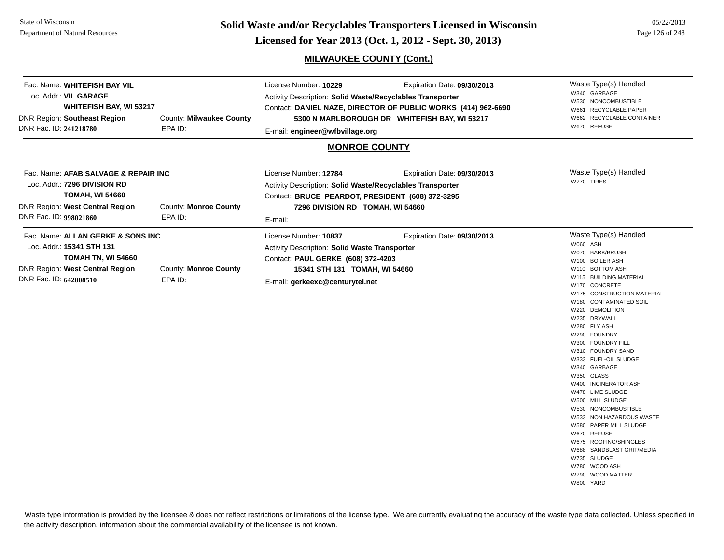#### State of WisconsinDepartment of Natural Resources

**Page 126 of 248 <b>Licensed for Year 2013 (Oct. 1, 2012 - Sept. 30, 2013) Page 126 of 248 Licensed for Year 2013 (Oct. 1, 2012 - Sept. 30, 2013)** 

## **MILWAUKEE COUNTY (Cont.)**

| Fac. Name: WHITEFISH BAY VIL<br>Loc. Addr.: VIL GARAGE<br>WHITEFISH BAY, WI 53217<br>DNR Region: Southeast Region<br>DNR Fac. ID: 241218780                        | County: Milwaukee County<br>EPA ID:     | License Number: 10229<br>Expiration Date: 09/30/2013<br>Activity Description: Solid Waste/Recyclables Transporter<br>Contact: DANIEL NAZE, DIRECTOR OF PUBLIC WORKS (414) 962-6690<br>5300 N MARLBOROUGH DR WHITEFISH BAY, WI 53217<br>E-mail: engineer@wfbvillage.org<br><b>MONROE COUNTY</b> |                             | Waste Type(s) Handled<br>W340 GARBAGE<br>W530 NONCOMBUSTIBLE<br>W661 RECYCLABLE PAPER<br>W662 RECYCLABLE CONTAINER<br>W670 REFUSE                                                                                                                                                                                                                                                                                                                                                                                                                                                                                                                   |
|--------------------------------------------------------------------------------------------------------------------------------------------------------------------|-----------------------------------------|------------------------------------------------------------------------------------------------------------------------------------------------------------------------------------------------------------------------------------------------------------------------------------------------|-----------------------------|-----------------------------------------------------------------------------------------------------------------------------------------------------------------------------------------------------------------------------------------------------------------------------------------------------------------------------------------------------------------------------------------------------------------------------------------------------------------------------------------------------------------------------------------------------------------------------------------------------------------------------------------------------|
| Fac. Name: AFAB SALVAGE & REPAIR INC<br>Loc. Addr.: 7296 DIVISION RD<br><b>TOMAH, WI 54660</b><br><b>DNR Region: West Central Region</b><br>DNR Fac. ID: 998021860 | County: Monroe County<br>EPA ID:        | License Number: 12784<br>Activity Description: Solid Waste/Recyclables Transporter<br>Contact: BRUCE PEARDOT, PRESIDENT (608) 372-3295<br>7296 DIVISION RD TOMAH, WI 54660<br>E-mail:                                                                                                          | Expiration Date: 09/30/2013 | Waste Type(s) Handled<br>W770 TIRES                                                                                                                                                                                                                                                                                                                                                                                                                                                                                                                                                                                                                 |
| Fac. Name: ALLAN GERKE & SONS INC<br>Loc. Addr.: 15341 STH 131<br>TOMAH TN, WI 54660<br>DNR Region: West Central Region<br>DNR Fac. ID: 642008510                  | <b>County: Monroe County</b><br>EPA ID: | License Number: 10837<br>Activity Description: Solid Waste Transporter<br>Contact: PAUL GERKE (608) 372-4203<br>15341 STH 131 TOMAH, WI 54660<br>E-mail: gerkeexc@centurytel.net                                                                                                               | Expiration Date: 09/30/2013 | Waste Type(s) Handled<br>W060 ASH<br>W070 BARK/BRUSH<br>W100 BOILER ASH<br>W110 BOTTOM ASH<br>W115 BUILDING MATERIAL<br>W170 CONCRETE<br>W175 CONSTRUCTION MATERIAL<br>W180 CONTAMINATED SOIL<br>W220 DEMOLITION<br>W235 DRYWALL<br>W280 FLY ASH<br>W290 FOUNDRY<br>W300 FOUNDRY FILL<br>W310 FOUNDRY SAND<br>W333 FUEL-OIL SLUDGE<br>W340 GARBAGE<br>W350 GLASS<br>W400 INCINERATOR ASH<br>W478 LIME SLUDGE<br>W500 MILL SLUDGE<br>W530 NONCOMBUSTIBLE<br>W533 NON HAZARDOUS WASTE<br>W580 PAPER MILL SLUDGE<br>W670 REFUSE<br>W675 ROOFING/SHINGLES<br>W688 SANDBLAST GRIT/MEDIA<br>W735 SLUDGE<br>W780 WOOD ASH<br>W790 WOOD MATTER<br>W800 YARD |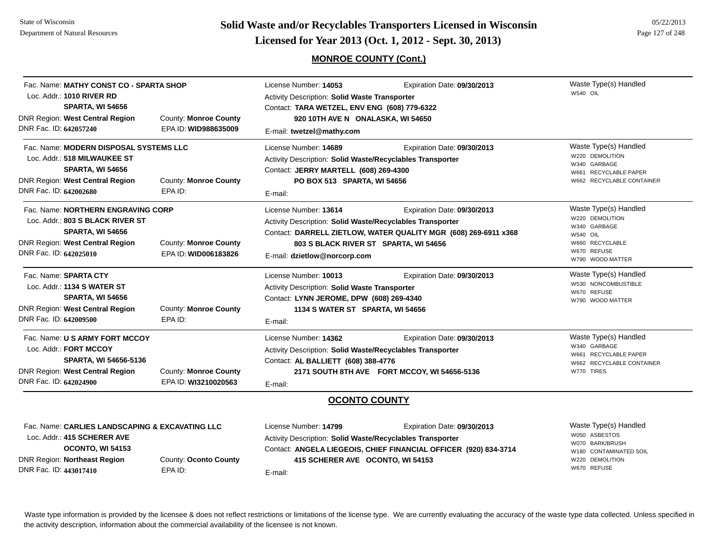**Page 127 of 248 <b>Licensed for Year 2013 (Oct. 1, 2012 - Sept. 30, 2013) Page 127 of 248 Licensed for Year 2013 (Oct. 1, 2012 - Sept. 30, 2013)** 

**MONROE COUNTY (Cont.)**

| Fac. Name: MATHY CONST CO - SPARTA SHOP<br>Loc. Addr.: 1010 RIVER RD<br><b>SPARTA, WI 54656</b>                                                                       |                                                      | Expiration Date: 09/30/2013<br>License Number: 14053<br>Activity Description: Solid Waste Transporter<br>Contact: TARA WETZEL, ENV ENG (608) 779-6322                                                                                                         |                                                                                                 | Waste Type(s) Handled<br><b>W540 OIL</b>                                                                                          |
|-----------------------------------------------------------------------------------------------------------------------------------------------------------------------|------------------------------------------------------|---------------------------------------------------------------------------------------------------------------------------------------------------------------------------------------------------------------------------------------------------------------|-------------------------------------------------------------------------------------------------|-----------------------------------------------------------------------------------------------------------------------------------|
| <b>DNR Region: West Central Region</b><br>DNR Fac. ID: 642057240                                                                                                      | <b>County: Monroe County</b><br>EPA ID: WID988635009 | 920 10TH AVE N ONALASKA, WI 54650<br>E-mail: twetzel@mathy.com                                                                                                                                                                                                |                                                                                                 |                                                                                                                                   |
| Fac. Name: MODERN DISPOSAL SYSTEMS LLC<br>Loc. Addr.: 518 MILWAUKEE ST<br><b>SPARTA, WI 54656</b><br><b>DNR Region: West Central Region</b><br>DNR Fac. ID: 642002680 | County: Monroe County<br>EPA ID:                     | License Number: 14689<br>Activity Description: Solid Waste/Recyclables Transporter<br>Contact: JERRY MARTELL (608) 269-4300<br>PO BOX 513 SPARTA, WI 54656<br>E-mail:                                                                                         | Expiration Date: 09/30/2013                                                                     | Waste Type(s) Handled<br>W220 DEMOLITION<br>W340 GARBAGE<br>W661 RECYCLABLE PAPER<br>W662 RECYCLABLE CONTAINER                    |
| Fac. Name: NORTHERN ENGRAVING CORP<br>Loc. Addr.: 803 S BLACK RIVER ST<br><b>SPARTA, WI 54656</b><br><b>DNR Region: West Central Region</b><br>DNR Fac. ID: 642025010 | <b>County: Monroe County</b><br>EPA ID: WID006183826 | License Number: 13614<br>Expiration Date: 09/30/2013<br>Activity Description: Solid Waste/Recyclables Transporter<br>Contact: DARRELL ZIETLOW, WATER QUALITY MGR (608) 269-6911 x368<br>803 S BLACK RIVER ST SPARTA, WI 54656<br>E-mail: dzietlow@norcorp.com |                                                                                                 | Waste Type(s) Handled<br>W220 DEMOLITION<br>W340 GARBAGE<br><b>W540 OIL</b><br>W660 RECYCLABLE<br>W670 REFUSE<br>W790 WOOD MATTER |
| Fac. Name: SPARTA CTY<br>Loc. Addr.: 1134 S WATER ST<br><b>SPARTA, WI 54656</b><br><b>DNR Region: West Central Region</b><br>DNR Fac. ID: 642009500                   | County: Monroe County<br>EPA ID:                     | License Number: 10013<br>Activity Description: Solid Waste Transporter<br>Contact: LYNN JEROME, DPW (608) 269-4340<br>1134 S WATER ST SPARTA, WI 54656<br>E-mail:                                                                                             | Expiration Date: 09/30/2013                                                                     | Waste Type(s) Handled<br>W530 NONCOMBUSTIBLE<br>W670 REFUSE<br>W790 WOOD MATTER                                                   |
| Fac. Name: U S ARMY FORT MCCOY<br>Loc. Addr.: FORT MCCOY<br>SPARTA, WI 54656-5136<br><b>DNR Region: West Central Region</b><br>DNR Fac. ID: 642024900                 | County: Monroe County<br>EPA ID: WI3210020563        | License Number: 14362<br>Activity Description: Solid Waste/Recyclables Transporter<br>Contact: AL BALLIETT (608) 388-4776<br>E-mail:                                                                                                                          | Expiration Date: 09/30/2013<br>2171 SOUTH 8TH AVE FORT MCCOY, WI 54656-5136                     | Waste Type(s) Handled<br>W340 GARBAGE<br>W661 RECYCLABLE PAPER<br>W662 RECYCLABLE CONTAINER<br>W770 TIRES                         |
|                                                                                                                                                                       |                                                      | <b>OCONTO COUNTY</b>                                                                                                                                                                                                                                          |                                                                                                 |                                                                                                                                   |
| Fac. Name: CARLIES LANDSCAPING & EXCAVATING LLC<br>Loc. Addr.: 415 SCHERER AVE<br>OCONTO, WI 54153<br><b>DNR Region: Northeast Region</b>                             | County: Oconto County                                | License Number: 14799<br>Activity Description: Solid Waste/Recyclables Transporter<br>415 SCHERER AVE OCONTO, WI 54153                                                                                                                                        | Expiration Date: 09/30/2013<br>Contact: ANGELA LIEGEOIS, CHIEF FINANCIAL OFFICER (920) 834-3714 | Waste Type(s) Handled<br>W050 ASBESTOS<br>W070 BARK/BRUSH<br>W180 CONTAMINATED SOIL<br>W220 DEMOLITION                            |

DNR Fac. ID: **443017410**

EPA ID:

E-mail: **415 SCHERER AVE OCONTO, WI 54153** W670 REFUSE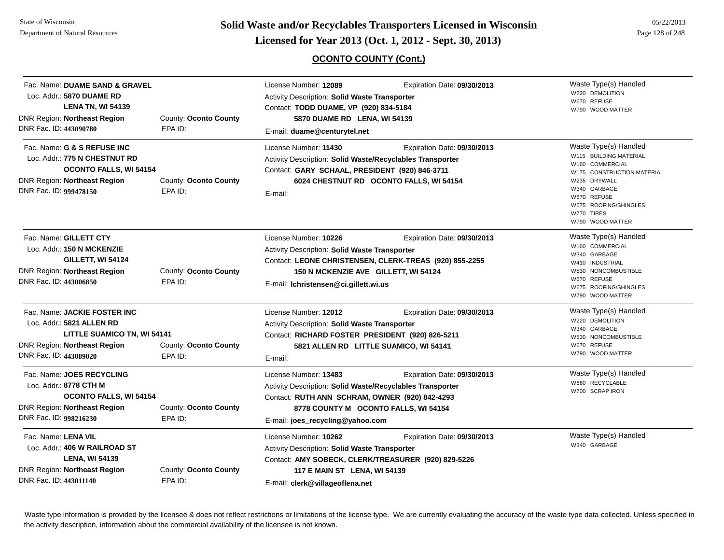#### State of WisconsinDepartment of Natural Resources

**Page 128 of 248 <b>Licensed for Year 2013 (Oct. 1, 2012 - Sept. 30, 2013) Page 128 of 248 Licensed for Year 2013 (Oct. 1, 2012 - Sept. 30, 2013)** 

## **OCONTO COUNTY (Cont.)**

05/22/2013

| Fac. Name: DUAME SAND & GRAVEL<br>Loc. Addr.: 5870 DUAME RD<br><b>LENA TN, WI 54139</b><br><b>DNR Region: Northeast Region</b><br>DNR Fac. ID: 443090780         | County: Oconto County<br>EPA ID: | License Number: 12089<br>Expiration Date: 09/30/2013<br>Activity Description: Solid Waste Transporter<br>Contact: TODD DUAME, VP (920) 834-5184<br>5870 DUAME RD LENA, WI 54139<br>E-mail: duame@centurytel.net                                  | Waste Type(s) Handled<br>W220 DEMOLITION<br>W670 REFUSE<br>W790 WOOD MATTER                                                                                                                                |
|------------------------------------------------------------------------------------------------------------------------------------------------------------------|----------------------------------|--------------------------------------------------------------------------------------------------------------------------------------------------------------------------------------------------------------------------------------------------|------------------------------------------------------------------------------------------------------------------------------------------------------------------------------------------------------------|
| Fac. Name: G & S REFUSE INC<br>Loc. Addr.: 775 N CHESTNUT RD<br><b>OCONTO FALLS, WI 54154</b><br><b>DNR Region: Northeast Region</b><br>DNR Fac. ID: 999478150   | County: Oconto County<br>EPA ID: | License Number: 11430<br>Expiration Date: 09/30/2013<br>Activity Description: Solid Waste/Recyclables Transporter<br>Contact: GARY SCHAAL, PRESIDENT (920) 846-3711<br>6024 CHESTNUT RD OCONTO FALLS, WI 54154<br>E-mail:                        | Waste Type(s) Handled<br>W115 BUILDING MATERIAL<br>W160 COMMERCIAL<br>W175 CONSTRUCTION MATERIAL<br>W235 DRYWALL<br>W340 GARBAGE<br>W670 REFUSE<br>W675 ROOFING/SHINGLES<br>W770 TIRES<br>W790 WOOD MATTER |
| Fac. Name: GILLETT CTY<br>Loc. Addr.: 150 N MCKENZIE<br><b>GILLETT, WI 54124</b><br><b>DNR Region: Northeast Region</b><br>DNR Fac. ID: 443006850                | County: Oconto County<br>EPA ID: | License Number: 10226<br>Expiration Date: 09/30/2013<br>Activity Description: Solid Waste Transporter<br>Contact: LEONE CHRISTENSEN, CLERK-TREAS (920) 855-2255<br>150 N MCKENZIE AVE GILLETT, WI 54124<br>E-mail: Ichristensen@ci.gillett.wi.us | Waste Type(s) Handled<br>W160 COMMERCIAL<br>W340 GARBAGE<br>W410 INDUSTRIAL<br>W530 NONCOMBUSTIBLE<br>W670 REFUSE<br>W675 ROOFING/SHINGLES<br>W790 WOOD MATTER                                             |
| Fac. Name: JACKIE FOSTER INC<br>Loc. Addr.: 5821 ALLEN RD<br><b>LITTLE SUAMICO TN, WI 54141</b><br><b>DNR Region: Northeast Region</b><br>DNR Fac. ID: 443089020 | County: Oconto County<br>EPA ID: | License Number: 12012<br>Expiration Date: 09/30/2013<br>Activity Description: Solid Waste Transporter<br>Contact: RICHARD FOSTER PRESIDENT (920) 826-5211<br>5821 ALLEN RD LITTLE SUAMICO, WI 54141<br>E-mail:                                   | Waste Type(s) Handled<br>W220 DEMOLITION<br>W340 GARBAGE<br>W530 NONCOMBUSTIBLE<br>W670 REFUSE<br>W790 WOOD MATTER                                                                                         |
| Fac. Name: JOES RECYCLING<br>Loc. Addr.: 8778 CTH M<br><b>OCONTO FALLS, WI 54154</b><br><b>DNR Region: Northeast Region</b><br>DNR Fac. ID: 998216230            | County: Oconto County<br>EPA ID: | License Number: 13483<br>Expiration Date: 09/30/2013<br>Activity Description: Solid Waste/Recyclables Transporter<br>Contact: RUTH ANN SCHRAM, OWNER (920) 842-4293<br>8778 COUNTY M OCONTO FALLS, WI 54154<br>E-mail: joes_recycling@yahoo.com  | Waste Type(s) Handled<br>W660 RECYCLABLE<br>W700 SCRAP IRON                                                                                                                                                |
| Fac. Name: LENA VIL<br>Loc. Addr.: 406 W RAILROAD ST<br><b>LENA, WI 54139</b><br>DNR Region: Northeast Region<br>DNR Fac. ID: 443011140                          | County: Oconto County<br>EPA ID: | License Number: 10262<br>Expiration Date: 09/30/2013<br><b>Activity Description: Solid Waste Transporter</b><br>Contact: AMY SOBECK, CLERK/TREASURER (920) 829-5226<br>117 E MAIN ST LENA, WI 54139<br>E-mail: clerk@villageoflena.net           | Waste Type(s) Handled<br>W340 GARBAGE                                                                                                                                                                      |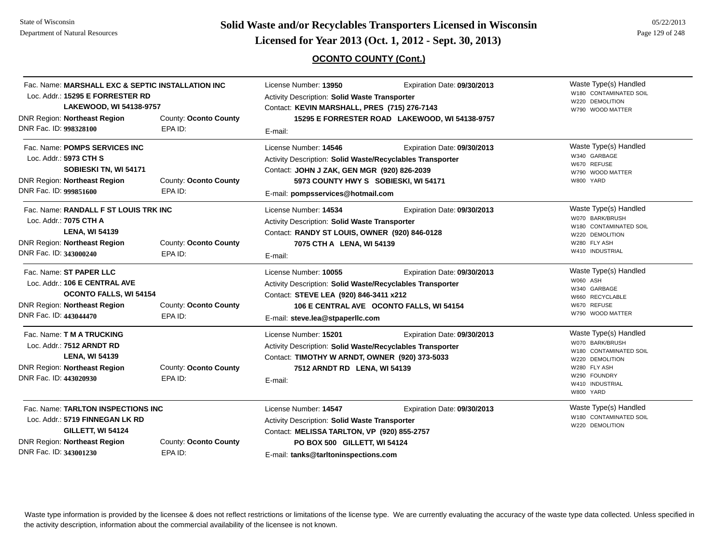#### State of WisconsinDepartment of Natural Resources

**Page 129 of 248 <b>Licensed for Year 2013 (Oct. 1, 2012 - Sept. 30, 2013) Page 129 of 248 Licensed for Year 2013 (Oct. 1, 2012 - Sept. 30, 2013)** 

## **OCONTO COUNTY (Cont.)**

05/22/2013

| Fac. Name: MARSHALL EXC & SEPTIC INSTALLATION INC<br>Loc. Addr.: 15295 E FORRESTER RD<br>LAKEWOOD, WI 54138-9757                                                                                       |                                  | License Number: 13950<br>Expiration Date: 09/30/2013<br><b>Activity Description: Solid Waste Transporter</b><br>Contact: KEVIN MARSHALL, PRES (715) 276-7143                                                                                  | Waste Type(s) Handled<br>W180 CONTAMINATED SOIL<br>W220 DEMOLITION<br>W790 WOOD MATTER                                                                |
|--------------------------------------------------------------------------------------------------------------------------------------------------------------------------------------------------------|----------------------------------|-----------------------------------------------------------------------------------------------------------------------------------------------------------------------------------------------------------------------------------------------|-------------------------------------------------------------------------------------------------------------------------------------------------------|
| <b>DNR Region: Northeast Region</b><br>DNR Fac. ID: 998328100                                                                                                                                          | County: Oconto County<br>EPA ID: | 15295 E FORRESTER ROAD LAKEWOOD, WI 54138-9757<br>E-mail:                                                                                                                                                                                     |                                                                                                                                                       |
| Fac. Name: POMPS SERVICES INC<br>Loc. Addr.: 5973 CTH S<br>SOBIESKI TN, WI 54171<br><b>DNR Region: Northeast Region</b><br>DNR Fac. ID: 999851600                                                      | County: Oconto County<br>EPA ID: | License Number: 14546<br>Expiration Date: 09/30/2013<br>Activity Description: Solid Waste/Recyclables Transporter<br>Contact: JOHN J ZAK, GEN MGR (920) 826-2039<br>5973 COUNTY HWY S SOBIESKI, WI 54171<br>E-mail: pompsservices@hotmail.com | Waste Type(s) Handled<br>W340 GARBAGE<br>W670 REFUSE<br>W790 WOOD MATTER<br>W800 YARD                                                                 |
| Fac. Name: RANDALL F ST LOUIS TRK INC<br>Loc. Addr.: 7075 CTH A<br><b>LENA, WI 54139</b><br><b>DNR Region: Northeast Region</b><br>DNR Fac. ID: 343000240                                              | County: Oconto County<br>EPA ID: | License Number: 14534<br>Expiration Date: 09/30/2013<br>Activity Description: Solid Waste Transporter<br>Contact: RANDY ST LOUIS, OWNER (920) 846-0128<br>7075 CTH A LENA, WI 54139<br>E-mail:                                                | Waste Type(s) Handled<br>W070 BARK/BRUSH<br>W180 CONTAMINATED SOIL<br>W220 DEMOLITION<br>W280 FLY ASH<br>W410 INDUSTRIAL                              |
| Fac. Name: ST PAPER LLC<br>Loc. Addr.: 106 E CENTRAL AVE<br><b>OCONTO FALLS, WI 54154</b><br><b>DNR Region: Northeast Region</b><br>DNR Fac. ID: 443044470                                             | County: Oconto County<br>EPA ID: | License Number: 10055<br>Expiration Date: 09/30/2013<br>Activity Description: Solid Waste/Recyclables Transporter<br>Contact: STEVE LEA (920) 846-3411 x212<br>106 E CENTRAL AVE OCONTO FALLS, WI 54154<br>E-mail: steve.lea@stpaperllc.com   | Waste Type(s) Handled<br>W060 ASH<br>W340 GARBAGE<br>W660 RECYCLABLE<br>W670 REFUSE<br>W790 WOOD MATTER                                               |
| Fac. Name: T M A TRUCKING<br>Loc. Addr.: 7512 ARNDT RD<br><b>LENA, WI 54139</b><br>DNR Region: Northeast Region<br>DNR Fac. ID: 443020930                                                              | County: Oconto County<br>EPA ID: | License Number: 15201<br>Expiration Date: 09/30/2013<br>Activity Description: Solid Waste/Recyclables Transporter<br>Contact: TIMOTHY W ARNDT, OWNER (920) 373-5033<br>7512 ARNDT RD LENA, WI 54139<br>E-mail:                                | Waste Type(s) Handled<br>W070 BARK/BRUSH<br>W180 CONTAMINATED SOIL<br>W220 DEMOLITION<br>W280 FLY ASH<br>W290 FOUNDRY<br>W410 INDUSTRIAL<br>W800 YARD |
| Fac. Name: TARLTON INSPECTIONS INC<br>Loc. Addr.: 5719 FINNEGAN LK RD<br><b>GILLETT, WI 54124</b><br><b>DNR Region: Northeast Region</b><br>County: Oconto County<br>DNR Fac. ID: 343001230<br>EPA ID: |                                  | License Number: 14547<br>Expiration Date: 09/30/2013<br>Activity Description: Solid Waste Transporter<br>Contact: MELISSA TARLTON, VP (920) 855-2757<br>PO BOX 500 GILLETT, WI 54124<br>E-mail: tanks@tarltoninspections.com                  | Waste Type(s) Handled<br>W180 CONTAMINATED SOIL<br>W220 DEMOLITION                                                                                    |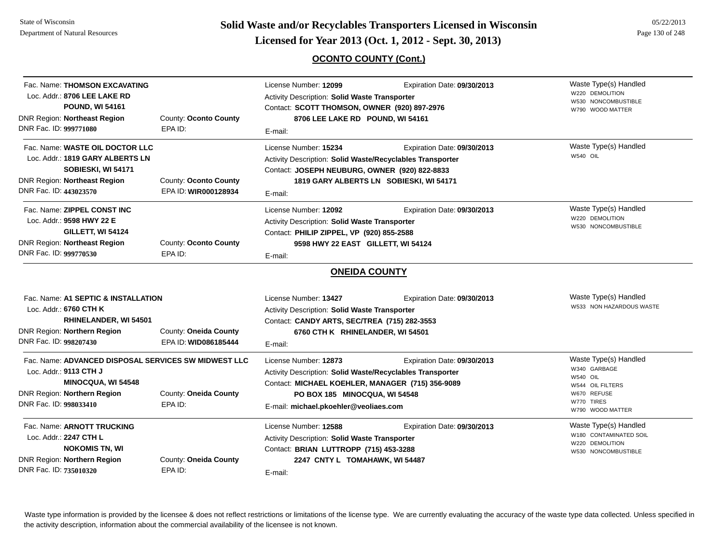State of WisconsinDepartment of Natural Resources

**Page 130 of 248 <b>Licensed for Year 2013 (Oct. 1, 2012 - Sept. 30, 2013) Page 130 of 248 Licensed for Year 2013 (Oct. 1, 2012 - Sept. 30, 2013)** 

## **OCONTO COUNTY (Cont.)**

| Fac. Name: THOMSON EXCAVATING                                                 |                       | License Number: 12099                                     | Expiration Date: 09/30/2013             | Waste Type(s) Handled                   |
|-------------------------------------------------------------------------------|-----------------------|-----------------------------------------------------------|-----------------------------------------|-----------------------------------------|
| Loc. Addr.: 8706 LEE LAKE RD<br>Activity Description: Solid Waste Transporter |                       |                                                           |                                         | W220 DEMOLITION                         |
| <b>POUND, WI 54161</b>                                                        |                       | Contact: SCOTT THOMSON, OWNER (920) 897-2976              |                                         | W530 NONCOMBUSTIBLE<br>W790 WOOD MATTER |
| <b>DNR Region: Northeast Region</b>                                           | County: Oconto County | 8706 LEE LAKE RD POUND, WI 54161                          |                                         |                                         |
| DNR Fac. ID: 999771080                                                        | EPA ID:               | E-mail:                                                   |                                         |                                         |
|                                                                               |                       |                                                           |                                         |                                         |
| Fac. Name: WASTE OIL DOCTOR LLC                                               |                       | License Number: 15234                                     | Expiration Date: 09/30/2013             | Waste Type(s) Handled<br>W540 OIL       |
| Loc. Addr.: 1819 GARY ALBERTS LN                                              |                       | Activity Description: Solid Waste/Recyclables Transporter |                                         |                                         |
| SOBIESKI, WI 54171                                                            |                       | Contact: JOSEPH NEUBURG, OWNER (920) 822-8833             |                                         |                                         |
| <b>DNR Region: Northeast Region</b>                                           | County: Oconto County |                                                           | 1819 GARY ALBERTS LN SOBIESKI, WI 54171 |                                         |
| DNR Fac. ID: 443023570                                                        | EPA ID: WIR000128934  | E-mail:                                                   |                                         |                                         |
| Fac. Name: ZIPPEL CONST INC                                                   |                       | License Number: 12092                                     | Expiration Date: 09/30/2013             | Waste Type(s) Handled                   |
| Loc. Addr.: 9598 HWY 22 E                                                     |                       | Activity Description: Solid Waste Transporter             |                                         | W220 DEMOLITION                         |
| GILLETT, WI 54124                                                             |                       | Contact: PHILIP ZIPPEL, VP (920) 855-2588                 |                                         | W530 NONCOMBUSTIBLE                     |
| <b>DNR Region: Northeast Region</b>                                           | County: Oconto County | 9598 HWY 22 EAST GILLETT, WI 54124                        |                                         |                                         |
| DNR Fac. ID: 999770530                                                        | EPA ID:               | E-mail:                                                   |                                         |                                         |
|                                                                               |                       |                                                           |                                         |                                         |
|                                                                               |                       | <b>ONEIDA COUNTY</b>                                      |                                         |                                         |
| Fac. Name: A1 SEPTIC & INSTALLATION                                           |                       | License Number: 13427                                     | Expiration Date: 09/30/2013             | Waste Type(s) Handled                   |
| Loc. Addr.: 6760 CTH K                                                        |                       | Activity Description: Solid Waste Transporter             |                                         | W533 NON HAZARDOUS WASTE                |
| RHINELANDER, WI 54501                                                         |                       | Contact: CANDY ARTS, SEC/TREA (715) 282-3553              |                                         |                                         |
|                                                                               |                       |                                                           |                                         |                                         |
| DNR Region: Northern Region<br>DNR Fac. ID: 998207430                         | County: Oneida County | 6760 CTH K RHINELANDER, WI 54501                          |                                         |                                         |
|                                                                               | EPA ID: WID086185444  | E-mail:                                                   |                                         |                                         |
| Fac. Name: ADVANCED DISPOSAL SERVICES SW MIDWEST LLC                          |                       | License Number: 12873                                     | Expiration Date: 09/30/2013             | Waste Type(s) Handled                   |
| Loc. Addr.: 9113 CTH J                                                        |                       | Activity Description: Solid Waste/Recyclables Transporter |                                         | W340 GARBAGE                            |
| MINOCQUA, WI 54548                                                            |                       | Contact: MICHAEL KOEHLER, MANAGER (715) 356-9089          |                                         | <b>W540 OIL</b><br>W544 OIL FILTERS     |
| <b>DNR Region: Northern Region</b>                                            | County: Oneida County | PO BOX 185 MINOCQUA, WI 54548                             |                                         | W670 REFUSE                             |
| DNR Fac. ID: 998033410                                                        | EPA ID:               |                                                           |                                         | W770 TIRES                              |
|                                                                               |                       | E-mail: michael.pkoehler@veoliaes.com                     |                                         | W790 WOOD MATTER                        |
| Fac. Name: ARNOTT TRUCKING                                                    |                       | License Number: 12588                                     | Expiration Date: 09/30/2013             | Waste Type(s) Handled                   |
| Loc. Addr.: 2247 CTH L                                                        |                       | Activity Description: Solid Waste Transporter             |                                         | W180 CONTAMINATED SOIL                  |
| <b>NOKOMIS TN, WI</b>                                                         |                       | Contact: BRIAN LUTTROPP (715) 453-3288                    |                                         | W220 DEMOLITION<br>W530 NONCOMBUSTIBLE  |
| <b>DNR Region: Northern Region</b>                                            | County: Oneida County | 2247 CNTY L TOMAHAWK, WI 54487                            |                                         |                                         |
| DNR Fac. ID: 735010320                                                        | EPA ID:               | E-mail:                                                   |                                         |                                         |
|                                                                               |                       |                                                           |                                         |                                         |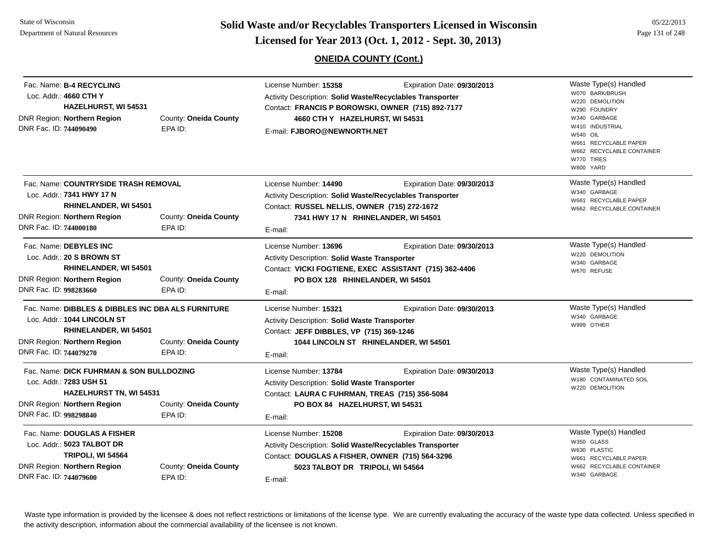#### State of WisconsinDepartment of Natural Resources

**Page 131 of 248 <b>Licensed for Year 2013 (Oct. 1, 2012 - Sept. 30, 2013) Page 131 of 248 Licensed for Year 2013 (Oct. 1, 2012 - Sept. 30, 2013)** 

**ONEIDA COUNTY (Cont.)**

| Fac. Name: B-4 RECYCLING<br>Loc. Addr.: 4660 CTH Y<br>DNR Region: Northern Region<br>DNR Fac. ID: 744090490  | <b>HAZELHURST, WI 54531</b>                                                 | County: Oneida County<br>EPA ID: | License Number: 15358<br>Activity Description: Solid Waste/Recyclables Transporter<br>Contact: FRANCIS P BOROWSKI, OWNER (715) 892-7177<br>4660 CTH Y HAZELHURST, WI 54531<br>E-mail: FJBORO@NEWNORTH.NET | Expiration Date: 09/30/2013 | Waste Type(s) Handled<br>W070 BARK/BRUSH<br>W220 DEMOLITION<br>W290 FOUNDRY<br>W340 GARBAGE<br>W410 INDUSTRIAL<br><b>W540 OIL</b><br>W661 RECYCLABLE PAPER<br>W662 RECYCLABLE CONTAINER<br>W770 TIRES<br>W800 YARD |
|--------------------------------------------------------------------------------------------------------------|-----------------------------------------------------------------------------|----------------------------------|-----------------------------------------------------------------------------------------------------------------------------------------------------------------------------------------------------------|-----------------------------|--------------------------------------------------------------------------------------------------------------------------------------------------------------------------------------------------------------------|
| Loc. Addr.: 7341 HWY 17 N<br>DNR Region: Northern Region<br>DNR Fac. ID: 744000180                           | Fac. Name: COUNTRYSIDE TRASH REMOVAL<br>RHINELANDER, WI 54501               | County: Oneida County<br>EPA ID: | License Number: 14490<br>Activity Description: Solid Waste/Recyclables Transporter<br>Contact: RUSSEL NELLIS, OWNER (715) 272-1672<br>7341 HWY 17 N RHINELANDER, WI 54501<br>E-mail:                      | Expiration Date: 09/30/2013 | Waste Type(s) Handled<br>W340 GARBAGE<br>W661 RECYCLABLE PAPER<br>W662 RECYCLABLE CONTAINER                                                                                                                        |
| Fac. Name: DEBYLES INC<br>Loc. Addr.: 20 S BROWN ST<br>DNR Region: Northern Region<br>DNR Fac. ID: 998283660 | RHINELANDER, WI 54501                                                       | County: Oneida County<br>EPA ID: | License Number: 13696<br>Activity Description: Solid Waste Transporter<br>Contact: VICKI FOGTIENE, EXEC ASSISTANT (715) 362-4406<br>PO BOX 128 RHINELANDER, WI 54501<br>E-mail:                           | Expiration Date: 09/30/2013 | Waste Type(s) Handled<br>W220 DEMOLITION<br>W340 GARBAGE<br>W670 REFUSE                                                                                                                                            |
| Loc. Addr.: 1044 LINCOLN ST<br>DNR Region: <b>Northern Region</b><br>DNR Fac. ID: 744079270                  | Fac. Name: DIBBLES & DIBBLES INC DBA ALS FURNITURE<br>RHINELANDER, WI 54501 | County: Oneida County<br>EPA ID: | License Number: 15321<br>Activity Description: Solid Waste Transporter<br>Contact: JEFF DIBBLES, VP (715) 369-1246<br>1044 LINCOLN ST RHINELANDER, WI 54501<br>E-mail:                                    | Expiration Date: 09/30/2013 | Waste Type(s) Handled<br>W340 GARBAGE<br>W999 OTHER                                                                                                                                                                |
| Loc. Addr.: 7283 USH 51<br>DNR Region: Northern Region<br>DNR Fac. ID: 998298840                             | Fac. Name: DICK FUHRMAN & SON BULLDOZING<br><b>HAZELHURST TN, WI 54531</b>  | County: Oneida County<br>EPA ID: | License Number: 13784<br>Activity Description: Solid Waste Transporter<br>Contact: LAURA C FUHRMAN, TREAS (715) 356-5084<br>PO BOX 84 HAZELHURST, WI 54531<br>E-mail:                                     | Expiration Date: 09/30/2013 | Waste Type(s) Handled<br>W180 CONTAMINATED SOIL<br>W220 DEMOLITION                                                                                                                                                 |
| Loc. Addr.: 5023 TALBOT DR<br>DNR Region: Northern Region<br>DNR Fac. ID: 744079600                          | Fac. Name: DOUGLAS A FISHER<br>TRIPOLI, WI 54564                            | County: Oneida County<br>EPA ID: | License Number: 15208<br>Activity Description: Solid Waste/Recyclables Transporter<br>Contact: DOUGLAS A FISHER, OWNER (715) 564-3296<br>5023 TALBOT DR TRIPOLI, WI 54564<br>E-mail:                      | Expiration Date: 09/30/2013 | Waste Type(s) Handled<br>W350 GLASS<br>W630 PLASTIC<br>W661 RECYCLABLE PAPER<br>W662 RECYCLABLE CONTAINER<br>W340 GARBAGE                                                                                          |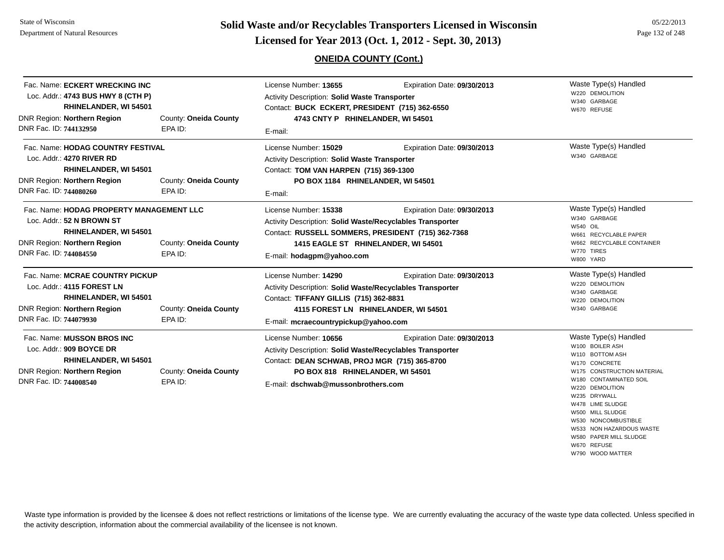**Page 132 of 248 <b>Licensed for Year 2013 (Oct. 1, 2012 - Sept. 30, 2013) Page 132 of 248 Licensed for Year 2013 (Oct. 1, 2012 - Sept. 30, 2013)** 

#### **ONEIDA COUNTY (Cont.)**

W580 PAPER MILL SLUDGE

W670 REFUSEW790 WOOD MATTER

| Fac. Name: ECKERT WRECKING INC<br>Loc. Addr.: 4743 BUS HWY 8 (CTH P)<br>RHINELANDER, WI 54501<br>DNR Region: Northern Region<br>County: Oneida County   |                                  | License Number: 13655<br>Expiration Date: 09/30/2013<br>Activity Description: Solid Waste Transporter<br>Contact: BUCK ECKERT, PRESIDENT (715) 362-6550<br>4743 CNTY P RHINELANDER, WI 54501                  |                             | Waste Type(s) Handled<br>W220 DEMOLITION<br>W340 GARBAGE<br>W670 REFUSE                                                                                                                                                                                            |
|---------------------------------------------------------------------------------------------------------------------------------------------------------|----------------------------------|---------------------------------------------------------------------------------------------------------------------------------------------------------------------------------------------------------------|-----------------------------|--------------------------------------------------------------------------------------------------------------------------------------------------------------------------------------------------------------------------------------------------------------------|
| DNR Fac. ID: 744132950                                                                                                                                  | EPA ID:                          | E-mail:                                                                                                                                                                                                       |                             |                                                                                                                                                                                                                                                                    |
| Fac. Name: HODAG COUNTRY FESTIVAL<br>Loc. Addr.: 4270 RIVER RD<br>RHINELANDER, WI 54501<br>DNR Region: Northern Region<br>DNR Fac. ID: 744080260        | County: Oneida County<br>EPA ID: | License Number: 15029<br>Activity Description: Solid Waste Transporter<br>Contact: TOM VAN HARPEN (715) 369-1300<br>PO BOX 1184 RHINELANDER, WI 54501<br>E-mail:                                              | Expiration Date: 09/30/2013 | Waste Type(s) Handled<br>W340 GARBAGE                                                                                                                                                                                                                              |
| Fac. Name: HODAG PROPERTY MANAGEMENT LLC<br>Loc. Addr.: 52 N BROWN ST<br>RHINELANDER, WI 54501<br>DNR Region: Northern Region<br>DNR Fac. ID: 744084550 | County: Oneida County<br>EPA ID: | License Number: 15338<br>Activity Description: Solid Waste/Recyclables Transporter<br>Contact: RUSSELL SOMMERS, PRESIDENT (715) 362-7368<br>1415 EAGLE ST RHINELANDER, WI 54501<br>E-mail: hodagpm@yahoo.com  | Expiration Date: 09/30/2013 | Waste Type(s) Handled<br>W340 GARBAGE<br>W540 OIL<br>W661 RECYCLABLE PAPER<br>W662 RECYCLABLE CONTAINER<br>W770 TIRES<br>W800 YARD                                                                                                                                 |
| Fac. Name: MCRAE COUNTRY PICKUP<br>Loc. Addr.: 4115 FOREST LN<br>RHINELANDER, WI 54501<br>DNR Region: Northern Region<br>DNR Fac. ID: 744079930         | County: Oneida County<br>EPA ID: | License Number: 14290<br>Activity Description: Solid Waste/Recyclables Transporter<br>Contact: TIFFANY GILLIS (715) 362-8831<br>4115 FOREST LN RHINELANDER, WI 54501<br>E-mail: mcraecountrypickup@yahoo.com  | Expiration Date: 09/30/2013 | Waste Type(s) Handled<br>W220 DEMOLITION<br>W340 GARBAGE<br>W220 DEMOLITION<br>W340 GARBAGE                                                                                                                                                                        |
| Fac. Name: MUSSON BROS INC<br>Loc. Addr.: 909 BOYCE DR<br>RHINELANDER, WI 54501<br>DNR Region: Northern Region<br>DNR Fac. ID: 744008540                | County: Oneida County<br>EPA ID: | License Number: 10656<br>Activity Description: Solid Waste/Recyclables Transporter<br>Contact: DEAN SCHWAB, PROJ MGR (715) 365-8700<br>PO BOX 818 RHINELANDER, WI 54501<br>E-mail: dschwab@mussonbrothers.com | Expiration Date: 09/30/2013 | Waste Type(s) Handled<br>W100 BOILER ASH<br>W110 BOTTOM ASH<br>W170 CONCRETE<br>W175 CONSTRUCTION MATERIAL<br>W180 CONTAMINATED SOIL<br>W220 DEMOLITION<br>W235 DRYWALL<br>W478 LIME SLUDGE<br>W500 MILL SLUDGE<br>W530 NONCOMBUSTIBLE<br>W533 NON HAZARDOUS WASTE |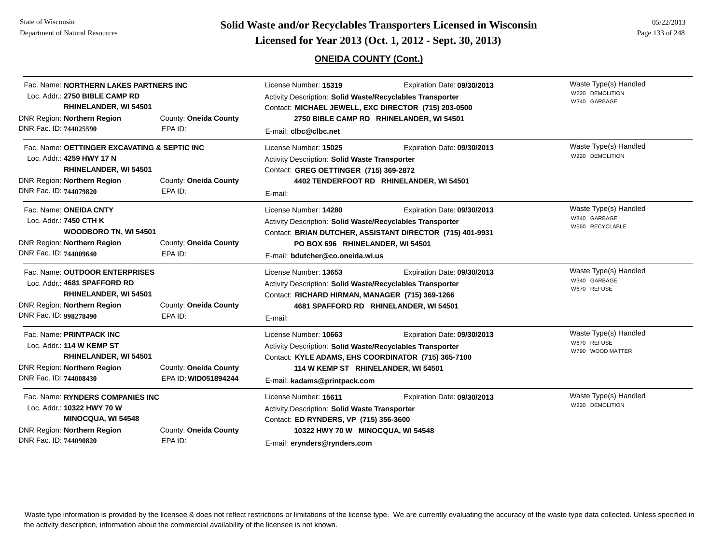# **Page 133 of 248 <b>Licensed for Year 2013 (Oct. 1, 2012 - Sept. 30, 2013) Page 133 of 248 Licensed for Year 2013 (Oct. 1, 2012 - Sept. 30, 2013)**

# **ONEIDA COUNTY (Cont.)**

| Fac. Name: NORTHERN LAKES PARTNERS INC<br>Loc. Addr.: 2750 BIBLE CAMP RD<br><b>RHINELANDER, WI 54501</b><br>DNR Region: Northern Region<br>DNR Fac. ID: 744025590                               | County: Oneida County<br>EPA ID:              | License Number: 15319<br><b>Activity Description: Solid Waste/Recyclables Transporter</b><br>Contact: MICHAEL JEWELL, EXC DIRECTOR (715) 203-0500<br>2750 BIBLE CAMP RD RHINELANDER, WI 54501<br>E-mail: clbc@clbc.net | Waste Type(s) Handled<br>W220 DEMOLITION<br>W340 GARBAGE                                 |                                                          |
|-------------------------------------------------------------------------------------------------------------------------------------------------------------------------------------------------|-----------------------------------------------|------------------------------------------------------------------------------------------------------------------------------------------------------------------------------------------------------------------------|------------------------------------------------------------------------------------------|----------------------------------------------------------|
| Fac. Name: OETTINGER EXCAVATING & SEPTIC INC<br>Loc. Addr.: 4259 HWY 17 N<br>RHINELANDER, WI 54501<br>DNR Region: Northern Region<br>County: Oneida County<br>DNR Fac. ID: 744079820<br>EPA ID: |                                               | License Number: 15025<br>Activity Description: Solid Waste Transporter<br>Contact: GREG OETTINGER (715) 369-2872<br>E-mail:                                                                                            | Expiration Date: 09/30/2013<br>4402 TENDERFOOT RD RHINELANDER, WI 54501                  | Waste Type(s) Handled<br>W220 DEMOLITION                 |
| Fac. Name: ONEIDA CNTY<br>Loc. Addr.: 7450 CTH K<br><b>WOODBORO TN, WI 54501</b><br>DNR Region: Northern Region<br>DNR Fac. ID: 744009640                                                       | County: Oneida County<br>EPA ID:              | License Number: 14280<br>Activity Description: Solid Waste/Recyclables Transporter<br>PO BOX 696 RHINELANDER, WI 54501<br>E-mail: bdutcher@co.oneida.wi.us                                                             | Expiration Date: 09/30/2013<br>Contact: BRIAN DUTCHER, ASSISTANT DIRECTOR (715) 401-9931 | Waste Type(s) Handled<br>W340 GARBAGE<br>W660 RECYCLABLE |
| Fac. Name: OUTDOOR ENTERPRISES<br>Loc. Addr.: 4681 SPAFFORD RD<br>RHINELANDER, WI 54501<br>DNR Region: Northern Region<br>DNR Fac. ID: 998278490                                                | County: Oneida County<br>EPA ID:              | License Number: 13653<br>Activity Description: Solid Waste/Recyclables Transporter<br>Contact: RICHARD HIRMAN, MANAGER (715) 369-1266<br>E-mail:                                                                       | Expiration Date: 09/30/2013<br>4681 SPAFFORD RD RHINELANDER, WI 54501                    | Waste Type(s) Handled<br>W340 GARBAGE<br>W670 REFUSE     |
| Fac. Name: PRINTPACK INC<br>Loc. Addr.: 114 W KEMP ST<br><b>RHINELANDER, WI 54501</b><br>DNR Region: Northern Region<br>DNR Fac. ID: 744008430                                                  | County: Oneida County<br>EPA ID: WID051894244 | License Number: 10663<br>Activity Description: Solid Waste/Recyclables Transporter<br>Contact: KYLE ADAMS, EHS COORDINATOR (715) 365-7100<br>114 W KEMP ST RHINELANDER, WI 54501<br>E-mail: kadams@printpack.com       | Expiration Date: 09/30/2013                                                              | Waste Type(s) Handled<br>W670 REFUSE<br>W790 WOOD MATTER |
| Fac. Name: RYNDERS COMPANIES INC<br>Loc. Addr.: 10322 HWY 70 W<br><b>MINOCQUA, WI 54548</b><br>DNR Region: Northern Region<br>County: Oneida County<br>DNR Fac. ID: 744090820<br>EPA ID:        |                                               | License Number: 15611<br>Activity Description: Solid Waste Transporter<br>Contact: ED RYNDERS, VP (715) 356-3600<br>10322 HWY 70 W MINOCQUA, WI 54548<br>E-mail: erynders@rynders.com                                  | Expiration Date: 09/30/2013                                                              | Waste Type(s) Handled<br>W220 DEMOLITION                 |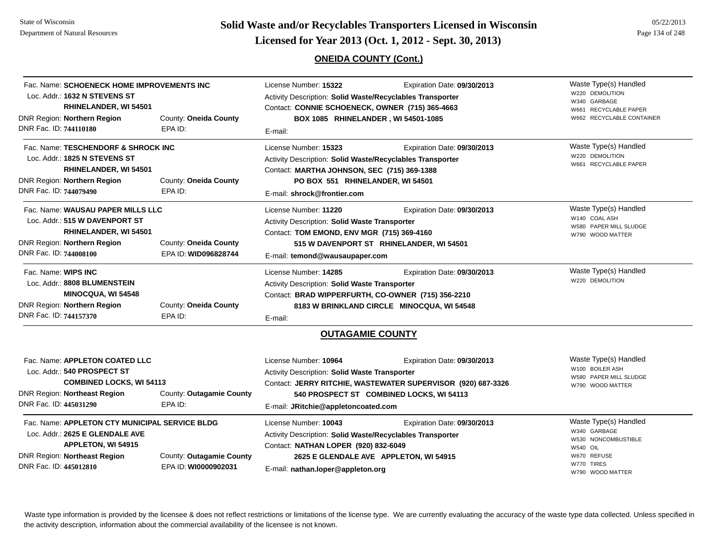**Page 134 of 248 <b>Licensed for Year 2013 (Oct. 1, 2012 - Sept. 30, 2013) Page 134 of 248 Licensed for Year 2013 (Oct. 1, 2012 - Sept. 30, 2013)** 

## **ONEIDA COUNTY (Cont.)**

| DNR Fac. ID: 744110180                        | Fac. Name: SCHOENECK HOME IMPROVEMENTS INC<br>Loc. Addr.: 1632 N STEVENS ST<br>RHINELANDER, WI 54501<br>DNR Region: Northern Region            | County: Oneida County<br>EPA ID:                 | License Number: 15322<br>Activity Description: Solid Waste/Recyclables Transporter<br>Contact: CONNIE SCHOENECK, OWNER (715) 365-4663<br>BOX 1085 RHINELANDER, WI 54501-1085<br>E-mail:                   | Expiration Date: 09/30/2013                                                                 | Waste Type(s) Handled<br>W220 DEMOLITION<br>W340 GARBAGE<br>W661 RECYCLABLE PAPER<br>W662 RECYCLABLE CONTAINER                   |
|-----------------------------------------------|------------------------------------------------------------------------------------------------------------------------------------------------|--------------------------------------------------|-----------------------------------------------------------------------------------------------------------------------------------------------------------------------------------------------------------|---------------------------------------------------------------------------------------------|----------------------------------------------------------------------------------------------------------------------------------|
| DNR Fac. ID: 744079490                        | Fac. Name: TESCHENDORF & SHROCK INC<br>Loc. Addr.: 1825 N STEVENS ST<br>RHINELANDER, WI 54501<br>DNR Region: Northern Region                   | County: Oneida County<br>EPA ID:                 | License Number: 15323<br>Activity Description: Solid Waste/Recyclables Transporter<br>Contact: MARTHA JOHNSON, SEC (715) 369-1388<br>PO BOX 551 RHINELANDER, WI 54501<br>E-mail: shrock@frontier.com      | Expiration Date: 09/30/2013                                                                 | Waste Type(s) Handled<br>W220 DEMOLITION<br>W661 RECYCLABLE PAPER                                                                |
| DNR Fac. ID: 744008100                        | Fac. Name: WAUSAU PAPER MILLS LLC<br>Loc. Addr.: 515 W DAVENPORT ST<br>RHINELANDER, WI 54501<br>DNR Region: Northern Region                    | County: Oneida County<br>EPA ID: WID096828744    | License Number: 11220<br>Activity Description: Solid Waste Transporter<br>Contact: TOM EMOND, ENV MGR (715) 369-4160<br>515 W DAVENPORT ST RHINELANDER, WI 54501<br>E-mail: temond@wausaupaper.com        | Expiration Date: 09/30/2013                                                                 | Waste Type(s) Handled<br>W140 COAL ASH<br>W580 PAPER MILL SLUDGE<br>W790 WOOD MATTER                                             |
| Fac. Name: WIPS INC<br>DNR Fac. ID: 744157370 | Loc. Addr.: 8808 BLUMENSTEIN<br><b>MINOCQUA, WI 54548</b><br>DNR Region: Northern Region                                                       | County: Oneida County<br>EPA ID:                 | License Number: 14285<br>Activity Description: Solid Waste Transporter<br>Contact: BRAD WIPPERFURTH, CO-OWNER (715) 356-2210<br>E-mail:                                                                   | Expiration Date: 09/30/2013<br>8183 W BRINKLAND CIRCLE MINOCQUA, WI 54548                   | Waste Type(s) Handled<br>W220 DEMOLITION                                                                                         |
|                                               |                                                                                                                                                |                                                  | <b>OUTAGAMIE COUNTY</b>                                                                                                                                                                                   |                                                                                             |                                                                                                                                  |
| DNR Fac. ID: 445031290                        | Fac. Name: APPLETON COATED LLC<br>Loc. Addr.: 540 PROSPECT ST<br><b>COMBINED LOCKS, WI 54113</b><br><b>DNR Region: Northeast Region</b>        | County: Outagamie County<br>EPA ID:              | License Number: 10964<br>Activity Description: Solid Waste Transporter<br>540 PROSPECT ST COMBINED LOCKS, WI 54113<br>E-mail: JRitchie@appletoncoated.com                                                 | Expiration Date: 09/30/2013<br>Contact: JERRY RITCHIE, WASTEWATER SUPERVISOR (920) 687-3326 | Waste Type(s) Handled<br>W100 BOILER ASH<br>W580 PAPER MILL SLUDGE<br>W790 WOOD MATTER                                           |
| DNR Fac. ID: 445012810                        | Fac. Name: APPLETON CTY MUNICIPAL SERVICE BLDG<br>Loc. Addr.: 2625 E GLENDALE AVE<br>APPLETON, WI 54915<br><b>DNR Region: Northeast Region</b> | County: Outagamie County<br>EPA ID: WI0000902031 | License Number: 10043<br>Activity Description: Solid Waste/Recyclables Transporter<br>Contact: NATHAN LOPER (920) 832-6049<br>2625 E GLENDALE AVE APPLETON, WI 54915<br>E-mail: nathan.loper@appleton.org | Expiration Date: 09/30/2013                                                                 | Waste Type(s) Handled<br>W340 GARBAGE<br>W530 NONCOMBUSTIBLE<br><b>W540 OIL</b><br>W670 REFUSE<br>W770 TIRES<br>W790 WOOD MATTER |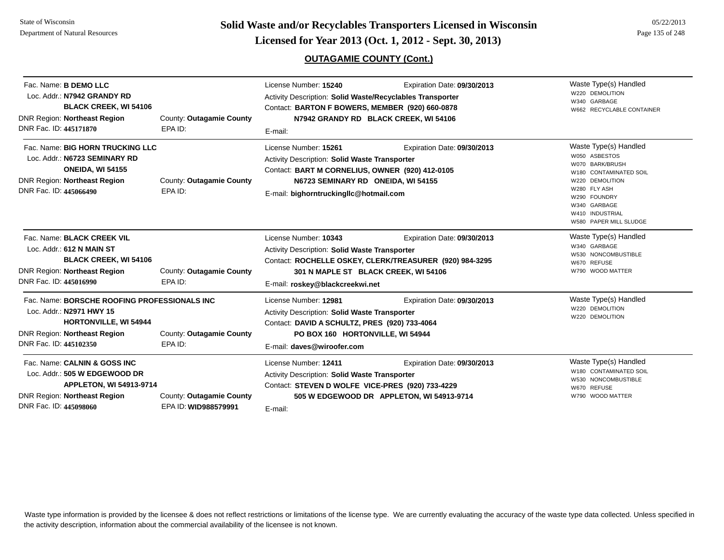# **OUTAGAMIE COUNTY (Cont.)**

| Fac. Name: <b>B DEMO LLC</b><br>Loc. Addr.: N7942 GRANDY RD<br><b>BLACK CREEK, WI 54106</b><br><b>DNR Region: Northeast Region</b><br>DNR Fac. ID: 445171870       | County: Outagamie County<br>EPA ID:              | License Number: 15240<br>Activity Description: Solid Waste/Recyclables Transporter<br>Contact: BARTON F BOWERS, MEMBER (920) 660-0878<br>E-mail:                                                          | Expiration Date: 09/30/2013<br>N7942 GRANDY RD BLACK CREEK, WI 54106                                                           | Waste Type(s) Handled<br>W220 DEMOLITION<br>W340 GARBAGE<br>W662 RECYCLABLE CONTAINER                                                                                                               |
|--------------------------------------------------------------------------------------------------------------------------------------------------------------------|--------------------------------------------------|-----------------------------------------------------------------------------------------------------------------------------------------------------------------------------------------------------------|--------------------------------------------------------------------------------------------------------------------------------|-----------------------------------------------------------------------------------------------------------------------------------------------------------------------------------------------------|
| Fac. Name: BIG HORN TRUCKING LLC<br>Loc. Addr.: N6723 SEMINARY RD<br><b>ONEIDA, WI 54155</b><br><b>DNR Region: Northeast Region</b><br>DNR Fac. ID: 445066490      | County: Outagamie County<br>EPA ID:              | License Number: 15261<br>Activity Description: Solid Waste Transporter<br>Contact: BART M CORNELIUS, OWNER (920) 412-0105<br>N6723 SEMINARY RD ONEIDA, WI 54155<br>E-mail: bighorntruckingllc@hotmail.com | Expiration Date: 09/30/2013                                                                                                    | Waste Type(s) Handled<br>W050 ASBESTOS<br>W070 BARK/BRUSH<br>W180 CONTAMINATED SOIL<br>W220 DEMOLITION<br>W280 FLY ASH<br>W290 FOUNDRY<br>W340 GARBAGE<br>W410 INDUSTRIAL<br>W580 PAPER MILL SLUDGE |
| Fac. Name: BLACK CREEK VIL<br>Loc. Addr.: 612 N MAIN ST<br><b>BLACK CREEK, WI 54106</b><br><b>DNR Region: Northeast Region</b><br>DNR Fac. ID: 445016990           | County: Outagamie County<br>EPA ID:              | License Number: 10343<br>Activity Description: Solid Waste Transporter<br>E-mail: roskey@blackcreekwi.net                                                                                                 | Expiration Date: 09/30/2013<br>Contact: ROCHELLE OSKEY, CLERK/TREASURER (920) 984-3295<br>301 N MAPLE ST BLACK CREEK, WI 54106 | Waste Type(s) Handled<br>W340 GARBAGE<br>W530 NONCOMBUSTIBLE<br>W670 REFUSE<br>W790 WOOD MATTER                                                                                                     |
| Fac. Name: BORSCHE ROOFING PROFESSIONALS INC<br>Loc. Addr.: N2971 HWY 15<br><b>HORTONVILLE, WI 54944</b><br>DNR Region: Northeast Region<br>DNR Fac. ID: 445102350 | County: Outagamie County<br>EPA ID:              | License Number: 12981<br>Activity Description: Solid Waste Transporter<br>Contact: DAVID A SCHULTZ, PRES (920) 733-4064<br>PO BOX 160 HORTONVILLE, WI 54944<br>E-mail: daves@wiroofer.com                 | Expiration Date: 09/30/2013                                                                                                    | Waste Type(s) Handled<br>W220 DEMOLITION<br>W220 DEMOLITION                                                                                                                                         |
| Fac. Name: CALNIN & GOSS INC<br>Loc. Addr.: 505 W EDGEWOOD DR<br>APPLETON, WI 54913-9714<br><b>DNR Region: Northeast Region</b><br>DNR Fac. ID: 445098060          | County: Outagamie County<br>EPA ID: WID988579991 | License Number: 12411<br><b>Activity Description: Solid Waste Transporter</b><br>Contact: STEVEN D WOLFE VICE-PRES (920) 733-4229<br>E-mail:                                                              | Expiration Date: 09/30/2013<br>505 W EDGEWOOD DR APPLETON, WI 54913-9714                                                       | Waste Type(s) Handled<br>W180 CONTAMINATED SOIL<br>W530 NONCOMBUSTIBLE<br>W670 REFUSE<br>W790 WOOD MATTER                                                                                           |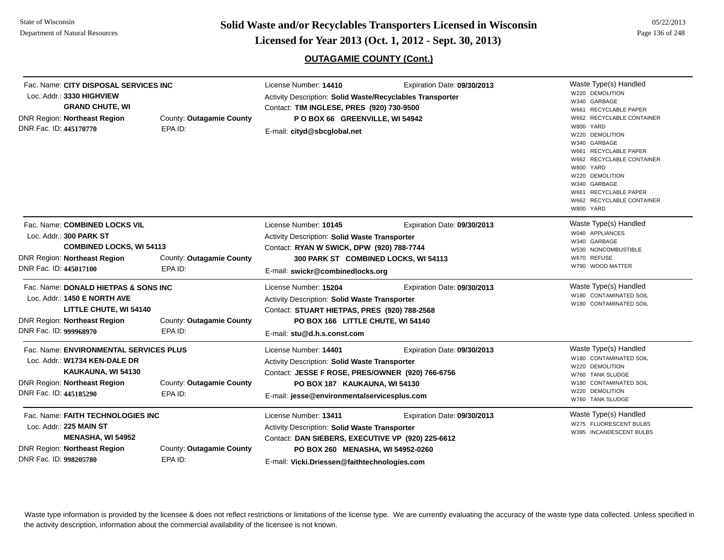**Page 136 of 248 <b>Licensed for Year 2013 (Oct. 1, 2012 - Sept. 30, 2013) Page 136 of 248 Licensed for Year 2013 (Oct. 1, 2012 - Sept. 30, 2013)** 

# **OUTAGAMIE COUNTY (Cont.)**

| Fac. Name: CITY DISPOSAL SERVICES INC<br>Loc. Addr.: 3330 HIGHVIEW<br><b>GRAND CHUTE, WI</b><br><b>DNR Region: Northeast Region</b><br>DNR Fac. ID: 445170770   | County: Outagamie County<br>EPA ID: | License Number: 14410<br>Activity Description: Solid Waste/Recyclables Transporter<br>Contact: TIM INGLESE, PRES (920) 730-9500<br>POBOX 66 GREENVILLE, WI 54942<br>E-mail: cityd@sbcglobal.net                         | Expiration Date: 09/30/2013     | Waste Type(s) Handled<br>W220 DEMOLITION<br>W340 GARBAGE<br>W661 RECYCLABLE PAPER<br>W662 RECYCLABLE CONTAINER<br>W800 YARD<br>W220 DEMOLITION<br>W340 GARBAGE<br>W661 RECYCLABLE PAPER<br>W662 RECYCLABLE CONTAINER<br>W800 YARD<br>W220 DEMOLITION<br>W340 GARBAGE<br>W661 RECYCLABLE PAPER<br>W662 RECYCLABLE CONTAINER<br>W800 YARD |
|-----------------------------------------------------------------------------------------------------------------------------------------------------------------|-------------------------------------|-------------------------------------------------------------------------------------------------------------------------------------------------------------------------------------------------------------------------|---------------------------------|-----------------------------------------------------------------------------------------------------------------------------------------------------------------------------------------------------------------------------------------------------------------------------------------------------------------------------------------|
| Fac. Name: COMBINED LOCKS VIL<br>Loc. Addr.: 300 PARK ST<br><b>COMBINED LOCKS, WI 54113</b>                                                                     |                                     | License Number: 10145<br>Expiration Date: 09/30/2013<br><b>Activity Description: Solid Waste Transporter</b><br>Contact: RYAN W SWICK, DPW (920) 788-7744                                                               |                                 | Waste Type(s) Handled<br>W040 APPLIANCES<br>W340 GARBAGE<br>W530 NONCOMBUSTIBLE                                                                                                                                                                                                                                                         |
| <b>DNR Region: Northeast Region</b><br>DNR Fac. ID: 445017100                                                                                                   | County: Outagamie County<br>EPA ID: | 300 PARK ST COMBINED LOCKS, WI 54113<br>E-mail: swickr@combinedlocks.org                                                                                                                                                | W670 REFUSE<br>W790 WOOD MATTER |                                                                                                                                                                                                                                                                                                                                         |
| Fac. Name: DONALD HIETPAS & SONS INC<br>Loc. Addr.: 1450 E NORTH AVE<br>LITTLE CHUTE, WI 54140<br><b>DNR Region: Northeast Region</b><br>DNR Fac. ID: 999968970 | County: Outagamie County<br>EPA ID: | License Number: 15204<br>Activity Description: Solid Waste Transporter<br>Contact: STUART HIETPAS, PRES (920) 788-2568<br>PO BOX 166 LITTLE CHUTE, WI 54140<br>E-mail: stu@d.h.s.const.com                              | Expiration Date: 09/30/2013     | Waste Type(s) Handled<br>W180 CONTAMINATED SOIL<br>W180 CONTAMINATED SOIL                                                                                                                                                                                                                                                               |
| Fac. Name: ENVIRONMENTAL SERVICES PLUS<br>Loc. Addr.: W1734 KEN-DALE DR<br>KAUKAUNA, WI 54130<br><b>DNR Region: Northeast Region</b><br>DNR Fac. ID: 445185290  | County: Outagamie County<br>EPA ID: | License Number: 14401<br>Activity Description: Solid Waste Transporter<br>Contact: JESSE F ROSE, PRES/OWNER (920) 766-6756<br>PO BOX 187 KAUKAUNA, WI 54130<br>E-mail: jesse@environmentalservicesplus.com              | Expiration Date: 09/30/2013     | Waste Type(s) Handled<br>W180 CONTAMINATED SOIL<br>W220 DEMOLITION<br>W760 TANK SLUDGE<br>W180 CONTAMINATED SOIL<br>W220 DEMOLITION<br>W760 TANK SLUDGE                                                                                                                                                                                 |
| Fac. Name: FAITH TECHNOLOGIES INC<br>Loc. Addr.: 225 MAIN ST<br><b>MENASHA, WI 54952</b><br><b>DNR Region: Northeast Region</b><br>DNR Fac. ID: 998205780       | County: Outagamie County<br>EPA ID: | License Number: 13411<br><b>Activity Description: Solid Waste Transporter</b><br>Contact: DAN SIEBERS, EXECUTIVE VP (920) 225-6612<br>PO BOX 260 MENASHA, WI 54952-0260<br>E-mail: Vicki Driessen@faithtechnologies.com | Expiration Date: 09/30/2013     | Waste Type(s) Handled<br>W275 FLUORESCENT BULBS<br>W395 INCANDESCENT BULBS                                                                                                                                                                                                                                                              |

E-mail: **Vicki.Driessen@faithtechnologies.com**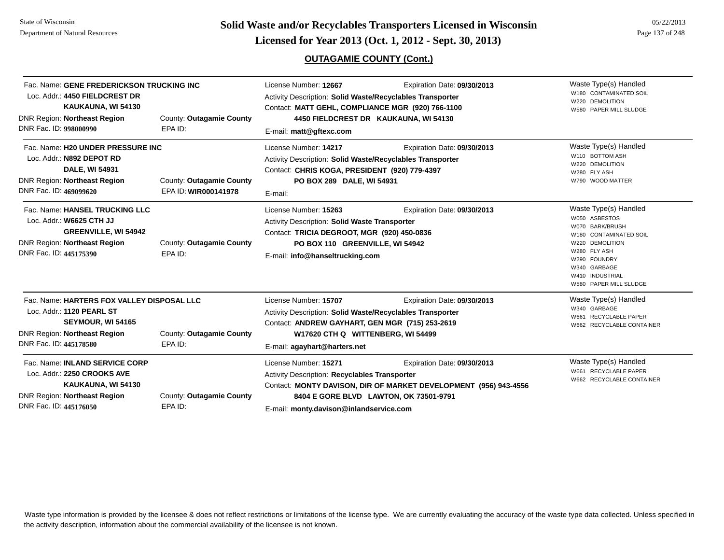**Page 137 of 248 <b>Licensed for Year 2013 (Oct. 1, 2012 - Sept. 30, 2013) Page 137 of 248 Licensed for Year 2013 (Oct. 1, 2012 - Sept. 30, 2013)** 

## **OUTAGAMIE COUNTY (Cont.)**

| Fac. Name: GENE FREDERICKSON TRUCKING INC<br>Loc. Addr.: 4450 FIELDCREST DR<br>KAUKAUNA, WI 54130<br><b>DNR Region: Northeast Region</b><br>DNR Fac. ID: 998000990 | County: Outagamie County<br>EPA ID:              | License Number: 12667<br>Activity Description: Solid Waste/Recyclables Transporter<br>Contact: MATT GEHL, COMPLIANCE MGR (920) 766-1100<br>E-mail: matt@gftexc.com                                         | Expiration Date: 09/30/2013<br>4450 FIELDCREST DR KAUKAUNA, WI 54130                                                                      | Waste Type(s) Handled<br>W180 CONTAMINATED SOIL<br>W220 DEMOLITION<br>W580 PAPER MILL SLUDGE                                                                                                        |
|--------------------------------------------------------------------------------------------------------------------------------------------------------------------|--------------------------------------------------|------------------------------------------------------------------------------------------------------------------------------------------------------------------------------------------------------------|-------------------------------------------------------------------------------------------------------------------------------------------|-----------------------------------------------------------------------------------------------------------------------------------------------------------------------------------------------------|
| Fac. Name: H20 UNDER PRESSURE INC<br>Loc. Addr.: N892 DEPOT RD<br>DALE, WI 54931<br><b>DNR Region: Northeast Region</b><br>DNR Fac. ID: 469099620                  | County: Outagamie County<br>EPA ID: WIR000141978 | License Number: 14217<br>Activity Description: Solid Waste/Recyclables Transporter<br>Contact: CHRIS KOGA, PRESIDENT (920) 779-4397<br>PO BOX 289 DALE, WI 54931<br>E-mail:                                | Expiration Date: 09/30/2013                                                                                                               | Waste Type(s) Handled<br>W110 BOTTOM ASH<br>W220 DEMOLITION<br>W280 FLY ASH<br>W790 WOOD MATTER                                                                                                     |
| Fac. Name: HANSEL TRUCKING LLC<br>Loc. Addr.: W6625 CTH JJ<br><b>GREENVILLE, WI 54942</b><br><b>DNR Region: Northeast Region</b><br>DNR Fac. ID: 445175390         | County: Outagamie County<br>EPA ID:              | License Number: 15263<br>Activity Description: Solid Waste Transporter<br>Contact: TRICIA DEGROOT, MGR (920) 450-0836<br>PO BOX 110 GREENVILLE, WI 54942<br>E-mail: info@hanseltrucking.com                | Expiration Date: 09/30/2013                                                                                                               | Waste Type(s) Handled<br>W050 ASBESTOS<br>W070 BARK/BRUSH<br>W180 CONTAMINATED SOIL<br>W220 DEMOLITION<br>W280 FLY ASH<br>W290 FOUNDRY<br>W340 GARBAGE<br>W410 INDUSTRIAL<br>W580 PAPER MILL SLUDGE |
| Fac. Name: HARTERS FOX VALLEY DISPOSAL LLC<br>Loc. Addr.: 1120 PEARL ST<br>SEYMOUR, WI 54165<br><b>DNR Region: Northeast Region</b><br>DNR Fac. ID: 445178580      | County: Outagamie County<br>EPA ID:              | License Number: 15707<br>Activity Description: Solid Waste/Recyclables Transporter<br>Contact: ANDREW GAYHART, GEN MGR (715) 253-2619<br>W17620 CTH Q WITTENBERG, WI 54499<br>E-mail: agayhart@harters.net | Expiration Date: 09/30/2013                                                                                                               | Waste Type(s) Handled<br>W340 GARBAGE<br>W661 RECYCLABLE PAPER<br>W662 RECYCLABLE CONTAINER                                                                                                         |
| Fac. Name: INLAND SERVICE CORP<br>Loc. Addr.: 2250 CROOKS AVE<br>KAUKAUNA, WI 54130<br><b>DNR Region: Northeast Region</b><br>DNR Fac. ID: 445176050               | County: Outagamie County<br>EPA ID:              | License Number: 15271<br><b>Activity Description: Recyclables Transporter</b><br>E-mail: monty.davison@inlandservice.com                                                                                   | Expiration Date: 09/30/2013<br>Contact: MONTY DAVISON, DIR OF MARKET DEVELOPMENT (956) 943-4556<br>8404 E GORE BLVD LAWTON, OK 73501-9791 | Waste Type(s) Handled<br>W661 RECYCLABLE PAPER<br>W662 RECYCLABLE CONTAINER                                                                                                                         |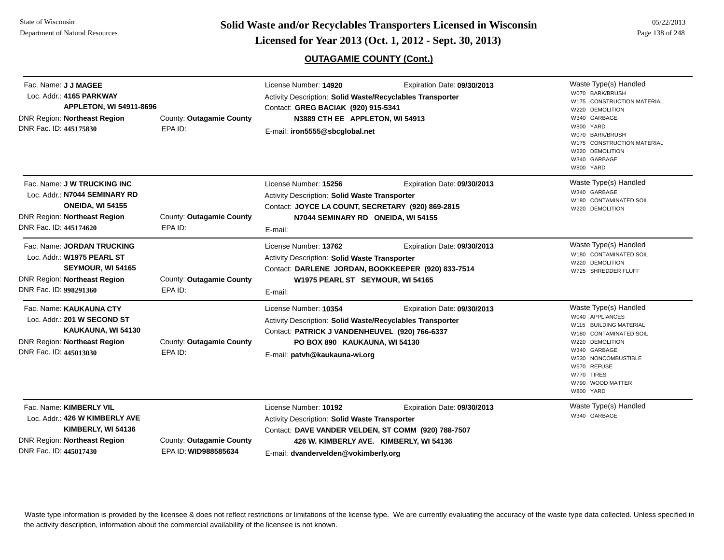**Page 138 of 248 <b>Licensed for Year 2013 (Oct. 1, 2012 - Sept. 30, 2013) Page 138 of 248 Licensed for Year 2013 (Oct. 1, 2012 - Sept. 30, 2013)** 

## **OUTAGAMIE COUNTY (Cont.)**

| Fac. Name: J J MAGEE<br>Loc. Addr.: 4165 PARKWAY<br><b>APPLETON, WI 54911-8696</b><br><b>DNR Region: Northeast Region</b><br>DNR Fac. ID: 445175830      | County: Outagamie County<br>EPA ID:              | License Number: 14920<br>Activity Description: Solid Waste/Recyclables Transporter<br>Contact: GREG BACIAK (920) 915-5341<br>N3889 CTH EE APPLETON, WI 54913<br>E-mail: iron5555@sbcqlobal.net         | Expiration Date: 09/30/2013                                            | Waste Type(s) Handled<br>W070 BARK/BRUSH<br>W175 CONSTRUCTION MATERIAL<br>W220 DEMOLITION<br>GARBAGE<br>W340<br>W800 YARD<br>W070 BARK/BRUSH<br>W175 CONSTRUCTION MATERIAL<br>W220 DEMOLITION<br>GARBAGE<br>W340<br>W800 YARD |
|----------------------------------------------------------------------------------------------------------------------------------------------------------|--------------------------------------------------|--------------------------------------------------------------------------------------------------------------------------------------------------------------------------------------------------------|------------------------------------------------------------------------|-------------------------------------------------------------------------------------------------------------------------------------------------------------------------------------------------------------------------------|
| Fac. Name: J W TRUCKING INC<br>Loc. Addr.: N7044 SEMINARY RD<br><b>ONEIDA, WI 54155</b><br><b>DNR Region: Northeast Region</b><br>DNR Fac. ID: 445174620 | County: Outagamie County<br>EPA ID:              | License Number: 15256<br>Activity Description: Solid Waste Transporter<br>Contact: JOYCE LA COUNT, SECRETARY (920) 869-2815<br>N7044 SEMINARY RD ONEIDA, WI 54155<br>E-mail:                           | Expiration Date: 09/30/2013                                            | Waste Type(s) Handled<br>W340 GARBAGE<br>W180 CONTAMINATED SOIL<br>W220 DEMOLITION                                                                                                                                            |
| Fac. Name: JORDAN TRUCKING<br>Loc. Addr.: W1975 PEARL ST<br>SEYMOUR, WI 54165<br><b>DNR Region: Northeast Region</b><br>DNR Fac. ID: 998291360           | County: Outagamie County<br>EPA ID:              | License Number: 13762<br>Activity Description: Solid Waste Transporter<br>Contact: DARLENE JORDAN, BOOKKEEPER (920) 833-7514<br>W1975 PEARL ST SEYMOUR, WI 54165<br>E-mail:                            | Expiration Date: 09/30/2013                                            | Waste Type(s) Handled<br>W180 CONTAMINATED SOIL<br>W220 DEMOLITION<br>W725 SHREDDER FLUFF                                                                                                                                     |
| Fac. Name: KAUKAUNA CTY<br>Loc. Addr.: 201 W SECOND ST<br>KAUKAUNA, WI 54130<br><b>DNR Region: Northeast Region</b><br>DNR Fac. ID: 445013030            | County: Outagamie County<br>EPA ID:              | License Number: 10354<br>Activity Description: Solid Waste/Recyclables Transporter<br>Contact: PATRICK J VANDENHEUVEL (920) 766-6337<br>PO BOX 890 KAUKAUNA, WI 54130<br>E-mail: patvh@kaukauna-wi.org | Expiration Date: 09/30/2013                                            | Waste Type(s) Handled<br>W040 APPLIANCES<br>W115 BUILDING MATERIAL<br>W180 CONTAMINATED SOIL<br>W220 DEMOLITION<br>W340 GARBAGE<br>W530 NONCOMBUSTIBLE<br>W670 REFUSE<br>W770 TIRES<br>W790 WOOD MATTER<br>W800 YARD          |
| Fac. Name: KIMBERLY VIL<br>Loc. Addr.: 426 W KIMBERLY AVE<br>KIMBERLY, WI 54136<br><b>DNR Region: Northeast Region</b><br>DNR Fac. ID: 445017430         | County: Outagamie County<br>EPA ID: WID988585634 | License Number: 10192<br>Activity Description: Solid Waste Transporter<br>Contact: DAVE VANDER VELDEN, ST COMM (920) 788-7507<br>E-mail: dvandervelden@vokimberly.org                                  | Expiration Date: 09/30/2013<br>426 W. KIMBERLY AVE. KIMBERLY, WI 54136 | Waste Type(s) Handled<br>W340 GARBAGE                                                                                                                                                                                         |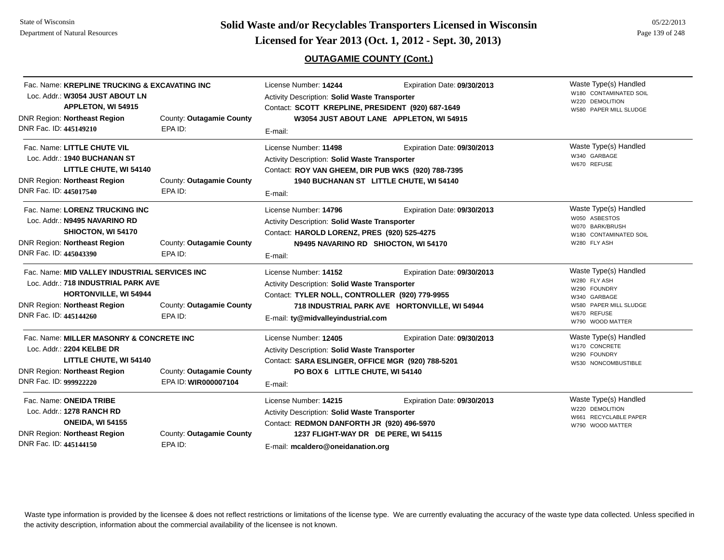**Page 139 of 248 <b>Licensed for Year 2013 (Oct. 1, 2012 - Sept. 30, 2013) Example 139 of 248 Licensed for Year 2013 (Oct. 1, 2012 - Sept. 30, 2013)** 

# **OUTAGAMIE COUNTY (Cont.)**

| Fac. Name: KREPLINE TRUCKING & EXCAVATING INC<br>Loc. Addr.: W3054 JUST ABOUT LN<br>APPLETON, WI 54915<br>DNR Region: Northeast Region<br>DNR Fac. ID: 445149210                                                      | County: Outagamie County<br>EPA ID:              | License Number: 14244<br>Activity Description: Solid Waste Transporter<br>Contact: SCOTT KREPLINE, PRESIDENT (920) 687-1649<br>E-mail:                                                            | Expiration Date: 09/30/2013<br>W3054 JUST ABOUT LANE APPLETON, WI 54915      | Waste Type(s) Handled<br>W180 CONTAMINATED SOIL<br>W220 DEMOLITION<br>W580 PAPER MILL SLUDGE                                       |
|-----------------------------------------------------------------------------------------------------------------------------------------------------------------------------------------------------------------------|--------------------------------------------------|---------------------------------------------------------------------------------------------------------------------------------------------------------------------------------------------------|------------------------------------------------------------------------------|------------------------------------------------------------------------------------------------------------------------------------|
| Fac. Name: LITTLE CHUTE VIL<br>Loc. Addr.: 1940 BUCHANAN ST<br>LITTLE CHUTE, WI 54140<br><b>DNR Region: Northeast Region</b><br>DNR Fac. ID: 445017540                                                                | County: Outagamie County<br>EPA ID:              | License Number: 11498<br>Activity Description: Solid Waste Transporter<br>Contact: ROY VAN GHEEM, DIR PUB WKS (920) 788-7395<br>E-mail:                                                           | Expiration Date: 09/30/2013<br>1940 BUCHANAN ST LITTLE CHUTE, WI 54140       | Waste Type(s) Handled<br>W340 GARBAGE<br>W670 REFUSE                                                                               |
| Fac. Name: LORENZ TRUCKING INC<br>Loc. Addr.: N9495 NAVARINO RD<br>SHIOCTON, WI 54170<br><b>DNR Region: Northeast Region</b><br>DNR Fac. ID: 445043390                                                                | County: Outagamie County<br>EPA ID:              | License Number: 14796<br>Activity Description: Solid Waste Transporter<br>Contact: HAROLD LORENZ, PRES (920) 525-4275<br>E-mail:                                                                  | Expiration Date: 09/30/2013<br>N9495 NAVARINO RD SHIOCTON, WI 54170          | Waste Type(s) Handled<br>W050 ASBESTOS<br>W070 BARK/BRUSH<br>W180 CONTAMINATED SOIL<br>W280 FLY ASH                                |
| Fac. Name: MID VALLEY INDUSTRIAL SERVICES INC<br>Loc. Addr.: 718 INDUSTRIAL PARK AVE<br><b>HORTONVILLE, WI 54944</b><br>DNR Region: Northeast Region<br>County: Outagamie County<br>DNR Fac. ID: 445144260<br>EPA ID: |                                                  | License Number: 14152<br>Activity Description: Solid Waste Transporter<br>Contact: TYLER NOLL, CONTROLLER (920) 779-9955<br>E-mail: ty@midvalleyindustrial.com                                    | Expiration Date: 09/30/2013<br>718 INDUSTRIAL PARK AVE HORTONVILLE, WI 54944 | Waste Type(s) Handled<br>W280 FLY ASH<br>W290 FOUNDRY<br>W340 GARBAGE<br>W580 PAPER MILL SLUDGE<br>W670 REFUSE<br>W790 WOOD MATTER |
| Fac. Name: MILLER MASONRY & CONCRETE INC<br>Loc. Addr.: 2204 KELBE DR<br>LITTLE CHUTE, WI 54140<br><b>DNR Region: Northeast Region</b><br>DNR Fac. ID: 999922220                                                      | County: Outagamie County<br>EPA ID: WIR000007104 | License Number: 12405<br>Activity Description: Solid Waste Transporter<br>Contact: SARA ESLINGER, OFFICE MGR (920) 788-5201<br>PO BOX 6 LITTLE CHUTE, WI 54140<br>E-mail:                         | Expiration Date: 09/30/2013                                                  | Waste Type(s) Handled<br>W170 CONCRETE<br>W290 FOUNDRY<br>W530 NONCOMBUSTIBLE                                                      |
| Fac. Name: ONEIDA TRIBE<br>Loc. Addr.: 1278 RANCH RD<br><b>ONEIDA, WI 54155</b><br>DNR Region: Northeast Region<br>DNR Fac. ID: 445144150                                                                             | County: Outagamie County<br>EPA ID:              | License Number: 14215<br>Activity Description: Solid Waste Transporter<br>Contact: REDMON DANFORTH JR (920) 496-5970<br>1237 FLIGHT-WAY DR DE PERE, WI 54115<br>E-mail: mcaldero@oneidanation.org | Expiration Date: 09/30/2013                                                  | Waste Type(s) Handled<br>W220 DEMOLITION<br>W661 RECYCLABLE PAPER<br>W790 WOOD MATTER                                              |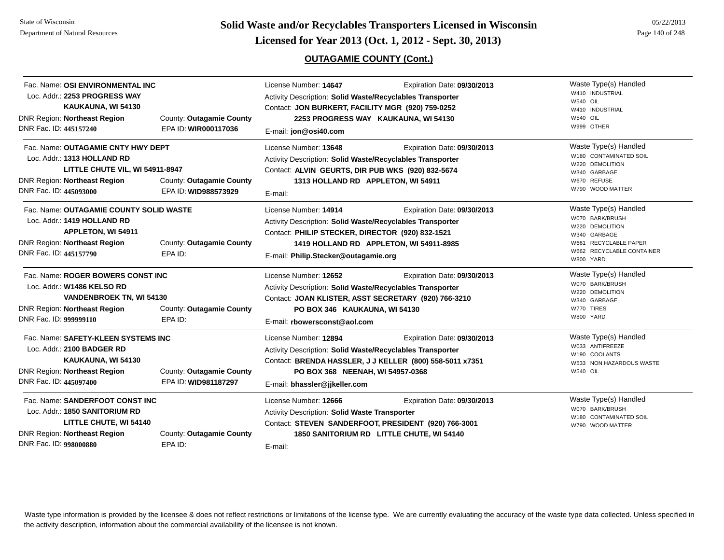**Page 140 of 248 <b>Licensed for Year 2013 (Oct. 1, 2012 - Sept. 30, 2013) Page 140 of 248 Licensed for Year 2013 (Oct. 1, 2012 - Sept. 30, 2013)** 

# **OUTAGAMIE COUNTY (Cont.)**

| Fac. Name: OSI ENVIRONMENTAL INC<br>Loc. Addr.: 2253 PROGRESS WAY<br>KAUKAUNA, WI 54130<br><b>DNR Region: Northeast Region</b><br>DNR Fac. ID: 445157240              | County: Outagamie County<br>EPA ID: WIR000117036 | License Number: 14647<br>Expiration Date: 09/30/2013<br>Activity Description: Solid Waste/Recyclables Transporter<br>Contact: JON BURKERT, FACILITY MGR (920) 759-0252<br>2253 PROGRESS WAY KAUKAUNA, WI 54130<br>E-mail: jon@osi40.com                  | Waste Type(s) Handled<br>W410 INDUSTRIAL<br><b>W540 OIL</b><br>W410 INDUSTRIAL<br><b>W540 OIL</b><br>W999 OTHER                                |
|-----------------------------------------------------------------------------------------------------------------------------------------------------------------------|--------------------------------------------------|----------------------------------------------------------------------------------------------------------------------------------------------------------------------------------------------------------------------------------------------------------|------------------------------------------------------------------------------------------------------------------------------------------------|
| Fac. Name: OUTAGAMIE CNTY HWY DEPT<br>Loc. Addr.: 1313 HOLLAND RD<br>LITTLE CHUTE VIL, WI 54911-8947<br><b>DNR Region: Northeast Region</b><br>DNR Fac. ID: 445093000 | County: Outagamie County<br>EPA ID: WID988573929 | License Number: 13648<br>Expiration Date: 09/30/2013<br>Activity Description: Solid Waste/Recyclables Transporter<br>Contact: ALVIN GEURTS, DIR PUB WKS (920) 832-5674<br>1313 HOLLAND RD APPLETON, WI 54911<br>E-mail:                                  | Waste Type(s) Handled<br>W180 CONTAMINATED SOIL<br>W220 DEMOLITION<br>W340 GARBAGE<br>W670 REFUSE<br>W790 WOOD MATTER                          |
| Fac. Name: OUTAGAMIE COUNTY SOLID WASTE<br>Loc. Addr.: 1419 HOLLAND RD<br><b>APPLETON, WI 54911</b><br><b>DNR Region: Northeast Region</b><br>DNR Fac. ID: 445157790  | County: Outagamie County<br>EPA ID:              | License Number: 14914<br>Expiration Date: 09/30/2013<br>Activity Description: Solid Waste/Recyclables Transporter<br>Contact: PHILIP STECKER, DIRECTOR (920) 832-1521<br>1419 HOLLAND RD APPLETON, WI 54911-8985<br>E-mail: Philip.Stecker@outagamie.org | Waste Type(s) Handled<br>W070 BARK/BRUSH<br>W220 DEMOLITION<br>W340 GARBAGE<br>W661 RECYCLABLE PAPER<br>W662 RECYCLABLE CONTAINER<br>W800 YARD |
| Fac. Name: ROGER BOWERS CONST INC<br>Loc. Addr.: W1486 KELSO RD<br><b>VANDENBROEK TN, WI 54130</b><br><b>DNR Region: Northeast Region</b><br>DNR Fac. ID: 999999110   | County: Outagamie County<br>EPA ID:              | License Number: 12652<br>Expiration Date: 09/30/2013<br>Activity Description: Solid Waste/Recyclables Transporter<br>Contact: JOAN KLISTER, ASST SECRETARY (920) 766-3210<br>PO BOX 346 KAUKAUNA, WI 54130<br>E-mail: rbowersconst@aol.com               | Waste Type(s) Handled<br>W070 BARK/BRUSH<br>W220 DEMOLITION<br>W340 GARBAGE<br>W770 TIRES<br>W800 YARD                                         |
| Fac. Name: SAFETY-KLEEN SYSTEMS INC<br>Loc. Addr.: 2100 BADGER RD<br>KAUKAUNA, WI 54130<br><b>DNR Region: Northeast Region</b><br>DNR Fac. ID: 445097400              | County: Outagamie County<br>EPA ID: WID981187297 | License Number: 12894<br>Expiration Date: 09/30/2013<br>Activity Description: Solid Waste/Recyclables Transporter<br>Contact: BRENDA HASSLER, J J KELLER (800) 558-5011 x7351<br>PO BOX 368 NEENAH, WI 54957-0368<br>E-mail: bhassler@jjkeller.com       | Waste Type(s) Handled<br>W033 ANTIFREEZE<br>W190 COOLANTS<br>W533 NON HAZARDOUS WASTE<br><b>W540 OIL</b>                                       |
| Fac. Name: SANDERFOOT CONST INC<br>Loc. Addr.: 1850 SANITORIUM RD<br>LITTLE CHUTE, WI 54140<br><b>DNR Region: Northeast Region</b><br>DNR Fac. ID: 998000880          | County: Outagamie County<br>EPA ID:              | License Number: 12666<br>Expiration Date: 09/30/2013<br>Activity Description: Solid Waste Transporter<br>Contact: STEVEN SANDERFOOT, PRESIDENT (920) 766-3001<br>1850 SANITORIUM RD LITTLE CHUTE, WI 54140<br>E-mail:                                    | Waste Type(s) Handled<br>W070 BARK/BRUSH<br>W180 CONTAMINATED SOIL<br>W790 WOOD MATTER                                                         |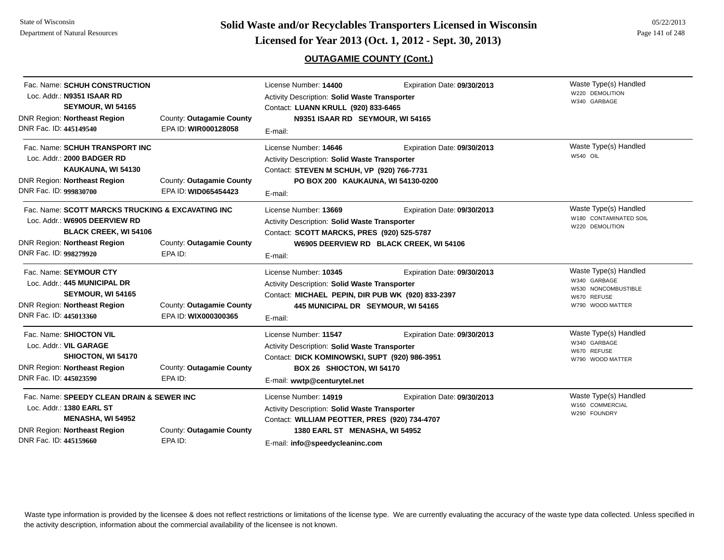# **OUTAGAMIE COUNTY (Cont.)**

| Fac. Name: SCHUH CONSTRUCTION<br>Loc. Addr.: N9351 ISAAR RD<br>SEYMOUR, WI 54165<br><b>DNR Region: Northeast Region</b><br>DNR Fac. ID: 445149540                                   | County: Outagamie County<br>EPA ID: WIR000128058 | License Number: 14400<br><b>Activity Description: Solid Waste Transporter</b><br>Contact: LUANN KRULL (920) 833-6465<br>N9351 ISAAR RD SEYMOUR, WI 54165<br>E-mail:                                 | Expiration Date: 09/30/2013                                            | Waste Type(s) Handled<br>W220 DEMOLITION<br>W340 GARBAGE                                        |
|-------------------------------------------------------------------------------------------------------------------------------------------------------------------------------------|--------------------------------------------------|-----------------------------------------------------------------------------------------------------------------------------------------------------------------------------------------------------|------------------------------------------------------------------------|-------------------------------------------------------------------------------------------------|
| Fac. Name: SCHUH TRANSPORT INC<br>Loc. Addr.: 2000 BADGER RD<br>KAUKAUNA, WI 54130<br><b>DNR Region: Northeast Region</b><br>DNR Fac. ID: 999830700                                 | County: Outagamie County<br>EPA ID: WID065454423 | License Number: 14646<br><b>Activity Description: Solid Waste Transporter</b><br>Contact: STEVEN M SCHUH, VP (920) 766-7731<br>PO BOX 200 KAUKAUNA, WI 54130-0200<br>E-mail:                        | Expiration Date: 09/30/2013                                            | Waste Type(s) Handled<br><b>W540 OIL</b>                                                        |
| Fac. Name: SCOTT MARCKS TRUCKING & EXCAVATING INC<br>Loc. Addr.: W6905 DEERVIEW RD<br><b>BLACK CREEK, WI 54106</b><br><b>DNR Region: Northeast Region</b><br>DNR Fac. ID: 998279920 | County: Outagamie County<br>EPA ID:              | License Number: 13669<br>Activity Description: Solid Waste Transporter<br>Contact: SCOTT MARCKS, PRES (920) 525-5787<br>E-mail:                                                                     | Expiration Date: 09/30/2013<br>W6905 DEERVIEW RD BLACK CREEK, WI 54106 | Waste Type(s) Handled<br>W180 CONTAMINATED SOIL<br>W220 DEMOLITION                              |
| Fac. Name: SEYMOUR CTY<br>Loc. Addr.: 445 MUNICIPAL DR<br>SEYMOUR, WI 54165<br><b>DNR Region: Northeast Region</b><br>DNR Fac. ID: 445013360                                        | County: Outagamie County<br>EPA ID: WIX000300365 | License Number: 10345<br>Activity Description: Solid Waste Transporter<br>Contact: MICHAEL PEPIN, DIR PUB WK (920) 833-2397<br>445 MUNICIPAL DR SEYMOUR, WI 54165<br>E-mail:                        | Expiration Date: 09/30/2013                                            | Waste Type(s) Handled<br>W340 GARBAGE<br>W530 NONCOMBUSTIBLE<br>W670 REFUSE<br>W790 WOOD MATTER |
| Fac. Name: SHIOCTON VIL<br>Loc. Addr.: VIL GARAGE<br>SHIOCTON, WI 54170<br><b>DNR Region: Northeast Region</b><br>DNR Fac. ID: 445023590                                            | County: Outagamie County<br>EPA ID:              | License Number: 11547<br>Activity Description: Solid Waste Transporter<br>Contact: DICK KOMINOWSKI, SUPT (920) 986-3951<br>BOX 26 SHIOCTON, WI 54170<br>E-mail: wwtp@centurytel.net                 | Expiration Date: 09/30/2013                                            | Waste Type(s) Handled<br>W340 GARBAGE<br>W670 REFUSE<br>W790 WOOD MATTER                        |
| Fac. Name: SPEEDY CLEAN DRAIN & SEWER INC<br>Loc. Addr.: 1380 EARL ST<br><b>MENASHA, WI 54952</b><br>DNR Region: Northeast Region<br>DNR Fac. ID: 445159660                         | County: Outagamie County<br>EPA ID:              | License Number: 14919<br><b>Activity Description: Solid Waste Transporter</b><br>Contact: WILLIAM PEOTTER, PRES (920) 734-4707<br>1380 EARL ST MENASHA, WI 54952<br>E-mail: info@speedycleaninc.com | Expiration Date: 09/30/2013                                            | Waste Type(s) Handled<br>W160 COMMERCIAL<br>W290 FOUNDRY                                        |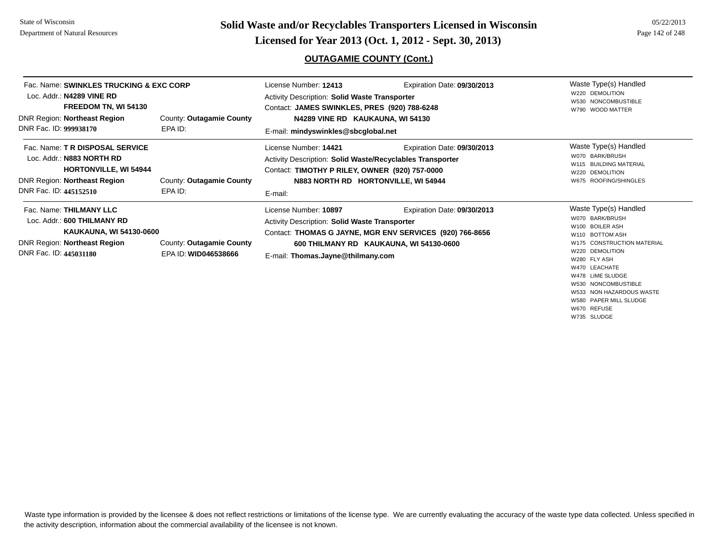**Page 142 of 248 <b>Licensed for Year 2013 (Oct. 1, 2012 - Sept. 30, 2013) Page 142 of 248 Licensed for Year 2013 (Oct. 1, 2012 - Sept. 30, 2013)** 

## **OUTAGAMIE COUNTY (Cont.)**

| Fac. Name: SWINKLES TRUCKING & EXC CORP<br>Loc. Addr.: N4289 VINE RD<br>FREEDOM TN, WI 54130<br><b>DNR Region: Northeast Region</b><br>DNR Fac. ID: 999938170 | County: Outagamie County<br>EPA ID:              | License Number: 12413<br><b>Activity Description: Solid Waste Transporter</b><br>Contact: JAMES SWINKLES, PRES (920) 788-6248<br>N4289 VINE RD KAUKAUNA, WI 54130<br>E-mail: mindyswinkles@sbcqlobal.net | Expiration Date: 09/30/2013                                                                                                        | Waste Type(s) Handled<br>W220 DEMOLITION<br>W530 NONCOMBUSTIBLE<br>W790 WOOD MATTER                                                                                                                                     |
|---------------------------------------------------------------------------------------------------------------------------------------------------------------|--------------------------------------------------|----------------------------------------------------------------------------------------------------------------------------------------------------------------------------------------------------------|------------------------------------------------------------------------------------------------------------------------------------|-------------------------------------------------------------------------------------------------------------------------------------------------------------------------------------------------------------------------|
| Fac. Name: T R DISPOSAL SERVICE<br>Loc. Addr.: N883 NORTH RD<br><b>HORTONVILLE, WI 54944</b><br><b>DNR Region: Northeast Region</b><br>DNR Fac. ID: 445152510 | County: Outagamie County<br>EPA ID:              | License Number: 14421<br>Activity Description: Solid Waste/Recyclables Transporter<br>Contact: TIMOTHY P RILEY, OWNER (920) 757-0000<br>N883 NORTH RD HORTONVILLE, WI 54944<br>E-mail:                   | Expiration Date: 09/30/2013                                                                                                        | Waste Type(s) Handled<br>W070 BARK/BRUSH<br><b>BUILDING MATERIAL</b><br><b>DEMOLITION</b><br>W220<br>ROOFING/SHINGLES<br>W675                                                                                           |
| Fac. Name: THILMANY LLC<br>Loc. Addr.: 600 THILMANY RD<br>KAUKAUNA, WI 54130-0600<br><b>DNR Region: Northeast Region</b><br>DNR Fac. ID: 445031180            | County: Outagamie County<br>EPA ID: WID046538666 | License Number: 10897<br><b>Activity Description: Solid Waste Transporter</b><br>E-mail: Thomas.Jayne@thilmany.com                                                                                       | Expiration Date: 09/30/2013<br>Contact: THOMAS G JAYNE, MGR ENV SERVICES (920) 766-8656<br>600 THILMANY RD KAUKAUNA, WI 54130-0600 | Waste Type(s) Handled<br>W070 BARK/BRUSH<br>W100 BOILER ASH<br>W110 BOTTOM ASH<br>W175 CONSTRUCTION MATERIAL<br>W220 DEMOLITION<br>W280 FLY ASH<br>W470 LEACHATE<br>W478 LIME SLUDGE<br><b>INIESO NIONICOMPLICTIBLE</b> |

W530 NONCOMBUSTIBLE W533 NON HAZARDOUS WASTE W580 PAPER MILL SLUDGEW670 REFUSE

W735 SLUDGE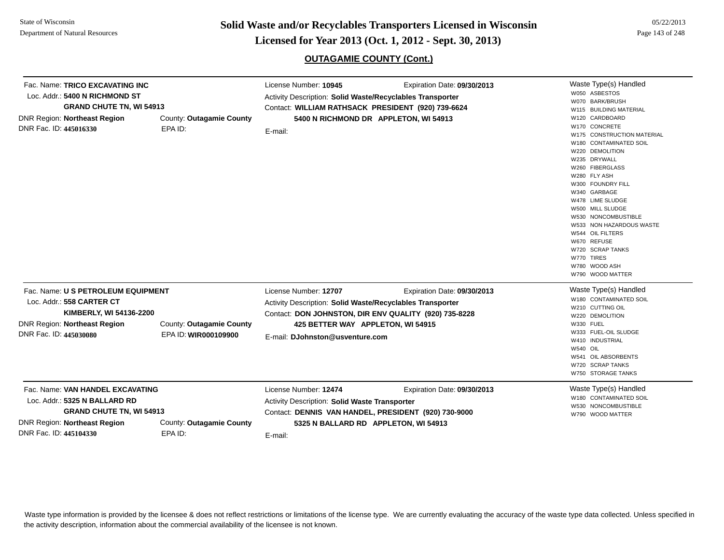**Page 143 of 22/2013 <b>Licensed for Year 2013 (Oct. 1, 2012 - Sept. 30, 2013)** Page 143 of 248 **Licensed for Year 2013 (Oct. 1, 2012 - Sept. 30, 2013)** 

# **OUTAGAMIE COUNTY (Cont.)**

| Fac. Name: TRICO EXCAVATING INC<br>Loc. Addr.: 5400 N RICHMOND ST<br><b>DNR Region: Northeast Region</b><br>DNR Fac. ID: 445016330 | <b>GRAND CHUTE TN, WI 54913</b> | County: Outagamie County<br>EPA ID:              | License Number: 10945<br>Activity Description: Solid Waste/Recyclables Transporter<br>Contact: WILLIAM RATHSACK PRESIDENT (920) 739-6624<br>5400 N RICHMOND DR APPLETON, WI 54913<br>E-mail:                        | Expiration Date: 09/30/2013 | Waste Type(s) Handled<br>W050 ASBESTOS<br>W070 BARK/BRUSH<br>W115 BUILDING MATERIAL<br>W120 CARDBOARD<br>W170 CONCRETE<br>W175 CONSTRUCTION MATERIAL<br>W180 CONTAMINATED SOIL<br>W220 DEMOLITION<br>W235 DRYWALL<br>W260 FIBERGLASS<br>W280 FLY ASH<br>W300 FOUNDRY FILL<br>W340 GARBAGE<br>W478 LIME SLUDGE<br>W500 MILL SLUDGE<br>W530 NONCOMBUSTIBLE<br>W533 NON HAZARDOUS WASTE<br>W544 OIL FILTERS<br>W670 REFUSE<br>W720 SCRAP TANKS<br>W770 TIRES<br>W780 WOOD ASH<br>W790 WOOD MATTER |
|------------------------------------------------------------------------------------------------------------------------------------|---------------------------------|--------------------------------------------------|---------------------------------------------------------------------------------------------------------------------------------------------------------------------------------------------------------------------|-----------------------------|------------------------------------------------------------------------------------------------------------------------------------------------------------------------------------------------------------------------------------------------------------------------------------------------------------------------------------------------------------------------------------------------------------------------------------------------------------------------------------------------|
| Fac. Name: U S PETROLEUM EQUIPMENT<br>Loc. Addr.: 558 CARTER CT<br><b>DNR Region: Northeast Region</b><br>DNR Fac. ID: 445030080   | KIMBERLY, WI 54136-2200         | County: Outagamie County<br>EPA ID: WIR000109900 | License Number: 12707<br>Activity Description: Solid Waste/Recyclables Transporter<br>Contact: DON JOHNSTON, DIR ENV QUALITY (920) 735-8228<br>425 BETTER WAY APPLETON, WI 54915<br>E-mail: DJohnston@usventure.com | Expiration Date: 09/30/2013 | Waste Type(s) Handled<br>W180 CONTAMINATED SOIL<br>W210 CUTTING OIL<br>W220 DEMOLITION<br><b>W330 FUEL</b><br>W333 FUEL-OIL SLUDGE<br>W410 INDUSTRIAL<br><b>W540 OIL</b><br>W541 OIL ABSORBENTS<br>W720 SCRAP TANKS<br>W750 STORAGE TANKS                                                                                                                                                                                                                                                      |
| Fac. Name: VAN HANDEL EXCAVATING<br>Loc. Addr.: 5325 N BALLARD RD<br><b>DNR Region: Northeast Region</b><br>DNR Fac. ID: 445104330 | <b>GRAND CHUTE TN, WI 54913</b> | County: Outagamie County<br>EPA ID:              | License Number: 12474<br><b>Activity Description: Solid Waste Transporter</b><br>Contact: DENNIS VAN HANDEL, PRESIDENT (920) 730-9000<br>5325 N BALLARD RD APPLETON, WI 54913<br>E-mail:                            | Expiration Date: 09/30/2013 | Waste Type(s) Handled<br>W180 CONTAMINATED SOIL<br>W530 NONCOMBUSTIBLE<br>W790 WOOD MATTER                                                                                                                                                                                                                                                                                                                                                                                                     |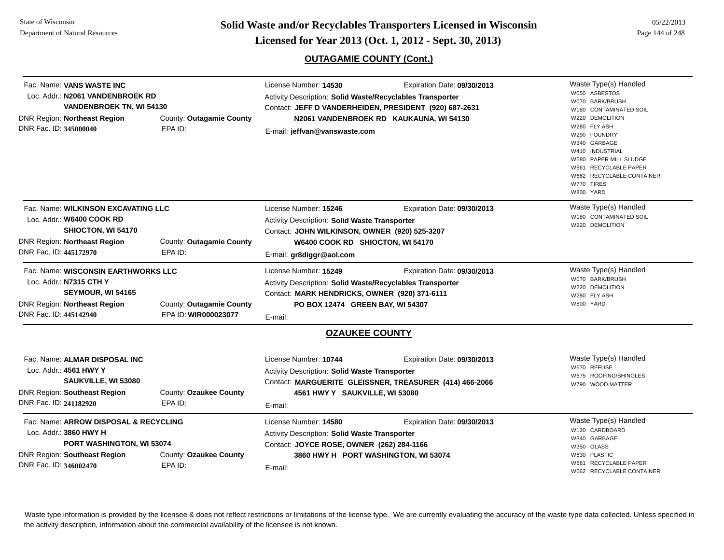State of WisconsinDepartment of Natural Resources

**Page 144 of 248 <b>Licensed for Year 2013 (Oct. 1, 2012 - Sept. 30, 2013) Page 144 of 248 Licensed for Year 2013 (Oct. 1, 2012 - Sept. 30, 2013)** 

#### **OUTAGAMIE COUNTY (Cont.)**

| <b>Can Name: ADDOM DICDOCAL &amp; DECVOLINO</b> | Lissana Museles 44500                                                                               | $F_{i,j}$                        | Waste Tyne(s) Handled                                                                                                                                                                                                                                                                                                                                                                                                                                                                                                                                                                                                                                                                         |
|-------------------------------------------------|-----------------------------------------------------------------------------------------------------|----------------------------------|-----------------------------------------------------------------------------------------------------------------------------------------------------------------------------------------------------------------------------------------------------------------------------------------------------------------------------------------------------------------------------------------------------------------------------------------------------------------------------------------------------------------------------------------------------------------------------------------------------------------------------------------------------------------------------------------------|
| County: Ozaukee County<br>EPA ID:               | License Number: 10744<br>E-mail:                                                                    | Expiration Date: 09/30/2013      | Waste Type(s) Handled<br>W670 REFUSE<br>W675 ROOFING/SHINGLES<br>W790 WOOD MATTER                                                                                                                                                                                                                                                                                                                                                                                                                                                                                                                                                                                                             |
|                                                 |                                                                                                     |                                  |                                                                                                                                                                                                                                                                                                                                                                                                                                                                                                                                                                                                                                                                                               |
| EPA ID: WIR000023077                            |                                                                                                     |                                  |                                                                                                                                                                                                                                                                                                                                                                                                                                                                                                                                                                                                                                                                                               |
|                                                 |                                                                                                     |                                  | W280 FLY ASH<br>W800 YARD                                                                                                                                                                                                                                                                                                                                                                                                                                                                                                                                                                                                                                                                     |
|                                                 |                                                                                                     |                                  | W220 DEMOLITION                                                                                                                                                                                                                                                                                                                                                                                                                                                                                                                                                                                                                                                                               |
| Fac. Name: WISCONSIN EARTHWORKS LLC             | License Number: 15249                                                                               | Expiration Date: 09/30/2013      | Waste Type(s) Handled<br>W070 BARK/BRUSH                                                                                                                                                                                                                                                                                                                                                                                                                                                                                                                                                                                                                                                      |
| EPA ID:                                         | E-mail: gr8diggr@aol.com                                                                            |                                  |                                                                                                                                                                                                                                                                                                                                                                                                                                                                                                                                                                                                                                                                                               |
| County: Outagamie County                        |                                                                                                     |                                  |                                                                                                                                                                                                                                                                                                                                                                                                                                                                                                                                                                                                                                                                                               |
|                                                 |                                                                                                     |                                  | W220 DEMOLITION                                                                                                                                                                                                                                                                                                                                                                                                                                                                                                                                                                                                                                                                               |
|                                                 |                                                                                                     |                                  | W180 CONTAMINATED SOIL                                                                                                                                                                                                                                                                                                                                                                                                                                                                                                                                                                                                                                                                        |
|                                                 |                                                                                                     |                                  | Waste Type(s) Handled                                                                                                                                                                                                                                                                                                                                                                                                                                                                                                                                                                                                                                                                         |
| EPA ID:                                         |                                                                                                     |                                  | W280 FLY ASH<br>W290 FOUNDRY<br>W340 GARBAGE<br>W410 INDUSTRIAL<br>W580 PAPER MILL SLUDGE<br>W661 RECYCLABLE PAPER<br>W662 RECYCLABLE CONTAINER<br>W770 TIRES<br>W800 YARD                                                                                                                                                                                                                                                                                                                                                                                                                                                                                                                    |
| County: Outagamie County                        |                                                                                                     |                                  | W220 DEMOLITION                                                                                                                                                                                                                                                                                                                                                                                                                                                                                                                                                                                                                                                                               |
| <b>VANDENBROEK TN, WI 54130</b>                 |                                                                                                     |                                  | W070 BARK/BRUSH<br>W180 CONTAMINATED SOIL                                                                                                                                                                                                                                                                                                                                                                                                                                                                                                                                                                                                                                                     |
|                                                 |                                                                                                     |                                  | W050 ASBESTOS                                                                                                                                                                                                                                                                                                                                                                                                                                                                                                                                                                                                                                                                                 |
|                                                 | Loc. Addr.: N2061 VANDENBROEK RD<br>Fac. Name: WILKINSON EXCAVATING LLC<br>County: Outagamie County | License Number: 15246<br>E-mail: | Activity Description: Solid Waste/Recyclables Transporter<br>Contact: JEFF D VANDERHEIDEN, PRESIDENT (920) 687-2631<br>N2061 VANDENBROEK RD KAUKAUNA, WI 54130<br>E-mail: jeffvan@vanswaste.com<br>Expiration Date: 09/30/2013<br>Activity Description: Solid Waste Transporter<br>Contact: JOHN WILKINSON, OWNER (920) 525-3207<br>W6400 COOK RD SHIOCTON, WI 54170<br>Activity Description: Solid Waste/Recyclables Transporter<br>Contact: MARK HENDRICKS, OWNER (920) 371-6111<br>PO BOX 12474 GREEN BAY, WI 54307<br><b>OZAUKEE COUNTY</b><br>Activity Description: Solid Waste Transporter<br>Contact: MARGUERITE GLEISSNER, TREASURER (414) 466-2066<br>4561 HWY Y SAUKVILLE, WI 53080 |

| Fac. Name: ARROW DISPOSAL & RECYCLING |                        | License Number: 14580                                | Expiration Date: 09/30/2013 | Waste Type(s) Handled      |
|---------------------------------------|------------------------|------------------------------------------------------|-----------------------------|----------------------------|
| Loc. Addr.: 3860 HWY H                |                        | <b>Activity Description: Solid Waste Transporter</b> |                             | W120 CARDBOARD             |
| <b>PORT WASHINGTON, WI 53074</b>      |                        | Contact: JOYCE ROSE, OWNER (262) 284-1166            |                             | W340 GARBAGE<br>W350 GLASS |
| DNR Region: Southeast Region          | County: Ozaukee County | 3860 HWY H PORT WASHINGTON, WI 53074                 |                             | W630 PLASTIC               |
| DNR Fac. ID: 346002470                | EPA ID:                | E-mail:                                              |                             | W661 RECYCLABLE PAPER      |
|                                       |                        |                                                      |                             | W662 RECYCLABLE CONTAINER  |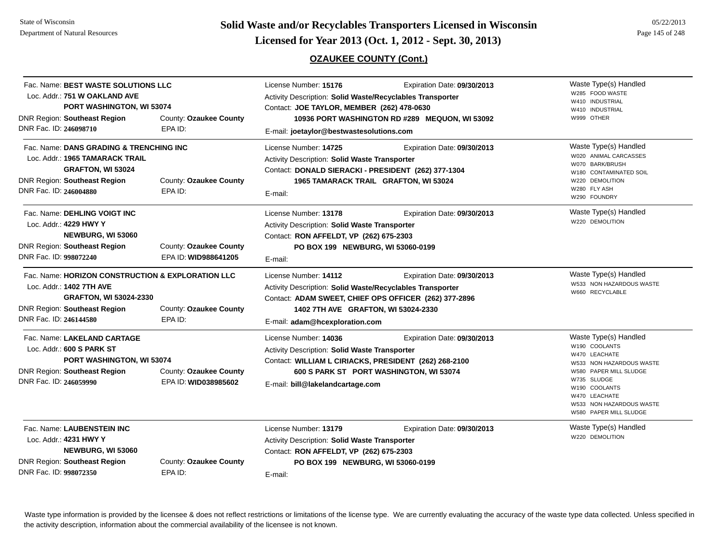**Page 145 of 22/2013 <b>Licensed for Year 2013 (Oct. 1, 2012 - Sept. 30, 2013)** Page 145 of 248 **Licensed for Year 2013 (Oct. 1, 2012 - Sept. 30, 2013)** 

## **OZAUKEE COUNTY (Cont.)**

| Fac. Name: BEST WASTE SOLUTIONS LLC<br>Loc. Addr.: 751 W OAKLAND AVE<br><b>PORT WASHINGTON, WI 53074</b>                  |                                                                                                                  | License Number: 15176<br>Expiration Date: 09/30/2013<br>Activity Description: Solid Waste/Recyclables Transporter<br>Contact: JOE TAYLOR, MEMBER (262) 478-0630                                                                                      | Waste Type(s) Handled<br>W285 FOOD WASTE<br>W410 INDUSTRIAL<br>W410 INDUSTRIAL                                                                                                                                       |
|---------------------------------------------------------------------------------------------------------------------------|------------------------------------------------------------------------------------------------------------------|------------------------------------------------------------------------------------------------------------------------------------------------------------------------------------------------------------------------------------------------------|----------------------------------------------------------------------------------------------------------------------------------------------------------------------------------------------------------------------|
| <b>DNR Region: Southeast Region</b><br>DNR Fac. ID: 246098710                                                             | County: Ozaukee County<br>EPA ID:                                                                                | 10936 PORT WASHINGTON RD #289 MEQUON, WI 53092<br>E-mail: joetaylor@bestwastesolutions.com                                                                                                                                                           | W999 OTHER                                                                                                                                                                                                           |
| Loc. Addr.: 1965 TAMARACK TRAIL<br><b>DNR Region: Southeast Region</b><br>DNR Fac. ID: 246004880                          | Fac. Name: DANS GRADING & TRENCHING INC<br>GRAFTON, WI 53024<br>County: Ozaukee County<br>EPA ID:                | License Number: 14725<br>Expiration Date: 09/30/2013<br>Activity Description: Solid Waste Transporter<br>Contact: DONALD SIERACKI - PRESIDENT (262) 377-1304<br>1965 TAMARACK TRAIL GRAFTON, WI 53024<br>E-mail:                                     | Waste Type(s) Handled<br>W020 ANIMAL CARCASSES<br>W070 BARK/BRUSH<br>W180 CONTAMINATED SOIL<br>W220 DEMOLITION<br>W280 FLY ASH<br>W290 FOUNDRY                                                                       |
| Fac. Name: DEHLING VOIGT INC<br>Loc. Addr.: 4229 HWY Y<br><b>DNR Region: Southeast Region</b><br>DNR Fac. ID: 998072240   | NEWBURG, WI 53060<br>County: Ozaukee County<br>EPA ID: WID988641205                                              | License Number: 13178<br>Expiration Date: 09/30/2013<br>Activity Description: Solid Waste Transporter<br>Contact: RON AFFELDT, VP (262) 675-2303<br>PO BOX 199 NEWBURG, WI 53060-0199<br>E-mail:                                                     | Waste Type(s) Handled<br>W220 DEMOLITION                                                                                                                                                                             |
| Loc. Addr.: 1402 7TH AVE<br><b>DNR Region: Southeast Region</b><br>DNR Fac. ID: 246144580                                 | Fac. Name: HORIZON CONSTRUCTION & EXPLORATION LLC<br>GRAFTON, WI 53024-2330<br>County: Ozaukee County<br>EPA ID: | License Number: 14112<br>Expiration Date: 09/30/2013<br>Activity Description: Solid Waste/Recyclables Transporter<br>Contact: ADAM SWEET, CHIEF OPS OFFICER (262) 377-2896<br>1402 7TH AVE GRAFTON, WI 53024-2330<br>E-mail: adam@hcexploration.com  | Waste Type(s) Handled<br>W533 NON HAZARDOUS WASTE<br>W660 RECYCLABLE                                                                                                                                                 |
| Fac. Name: LAKELAND CARTAGE<br>Loc. Addr.: 600 S PARK ST<br><b>DNR Region: Southeast Region</b><br>DNR Fac. ID: 246059990 | PORT WASHINGTON, WI 53074<br>County: Ozaukee County<br>EPA ID: WID038985602                                      | License Number: 14036<br>Expiration Date: 09/30/2013<br><b>Activity Description: Solid Waste Transporter</b><br>Contact: WILLIAM L CIRIACKS, PRESIDENT (262) 268-2100<br>600 S PARK ST PORT WASHINGTON, WI 53074<br>E-mail: bill@lakelandcartage.com | Waste Type(s) Handled<br>W190 COOLANTS<br>W470 LEACHATE<br>W533 NON HAZARDOUS WASTE<br>W580 PAPER MILL SLUDGE<br>W735 SLUDGE<br>W190 COOLANTS<br>W470 LEACHATE<br>W533 NON HAZARDOUS WASTE<br>W580 PAPER MILL SLUDGE |
| Fac. Name: LAUBENSTEIN INC<br>Loc. Addr.: 4231 HWY Y<br><b>DNR Region: Southeast Region</b><br>DNR Fac. ID: 998072350     | NEWBURG, WI 53060<br>County: Ozaukee County<br>EPA ID:                                                           | License Number: 13179<br>Expiration Date: 09/30/2013<br>Activity Description: Solid Waste Transporter<br>Contact: RON AFFELDT, VP (262) 675-2303<br>PO BOX 199 NEWBURG, WI 53060-0199<br>E-mail:                                                     | Waste Type(s) Handled<br>W220 DEMOLITION                                                                                                                                                                             |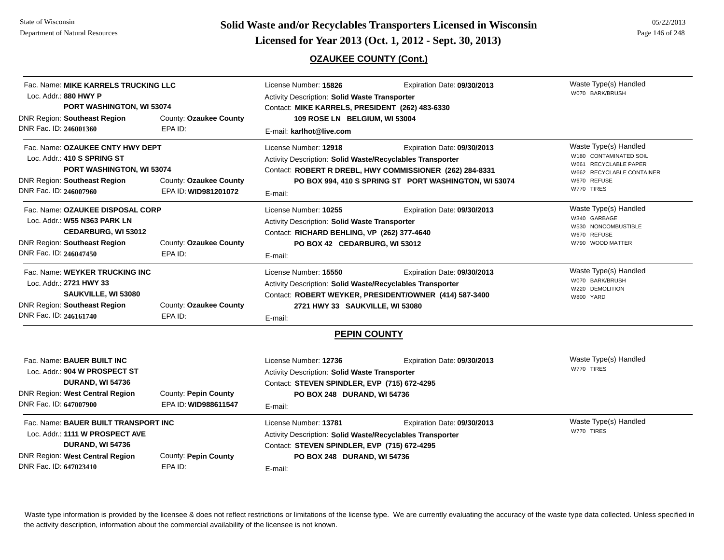**Page 146 of 248 <b>Licensed for Year 2013 (Oct. 1, 2012 - Sept. 30, 2013) Page 146 of 248 Licensed for Year 2013 (Oct. 1, 2012 - Sept. 30, 2013)** 

**OZAUKEE COUNTY (Cont.)**

| Fac. Name: MIKE KARRELS TRUCKING LLC<br>Loc. Addr.: 880 HWY P<br>PORT WASHINGTON, WI 53074                                                                                                                      |                                              | License Number: 15826<br><b>Activity Description: Solid Waste Transporter</b><br>Contact: MIKE KARRELS, PRESIDENT (262) 483-6330                                                                                          | Expiration Date: 09/30/2013                                                                                                                      | Waste Type(s) Handled<br>W070 BARK/BRUSH                                                                                           |
|-----------------------------------------------------------------------------------------------------------------------------------------------------------------------------------------------------------------|----------------------------------------------|---------------------------------------------------------------------------------------------------------------------------------------------------------------------------------------------------------------------------|--------------------------------------------------------------------------------------------------------------------------------------------------|------------------------------------------------------------------------------------------------------------------------------------|
| <b>DNR Region: Southeast Region</b><br>DNR Fac. ID: 246001360                                                                                                                                                   | County: Ozaukee County<br>EPA ID:            | 109 ROSE LN BELGIUM, WI 53004<br>E-mail: karlhot@live.com                                                                                                                                                                 |                                                                                                                                                  |                                                                                                                                    |
| Fac. Name: OZAUKEE CNTY HWY DEPT<br>Loc. Addr.: 410 S SPRING ST<br>PORT WASHINGTON, WI 53074<br><b>DNR Region: Southeast Region</b><br>County: Ozaukee County<br>DNR Fac. ID: 246007960<br>EPA ID: WID981201072 |                                              | License Number: 12918<br>Activity Description: Solid Waste/Recyclables Transporter<br>E-mail:                                                                                                                             | Expiration Date: 09/30/2013<br>Contact: ROBERT R DREBL, HWY COMMISSIONER (262) 284-8331<br>PO BOX 994, 410 S SPRING ST PORT WASHINGTON, WI 53074 | Waste Type(s) Handled<br>W180 CONTAMINATED SOIL<br>W661 RECYCLABLE PAPER<br>W662 RECYCLABLE CONTAINER<br>W670 REFUSE<br>W770 TIRES |
| Fac. Name: OZAUKEE DISPOSAL CORP<br>Loc. Addr.: W55 N363 PARK LN<br>CEDARBURG, WI 53012<br>County: Ozaukee County<br><b>DNR Region: Southeast Region</b><br>DNR Fac. ID: 246047450<br>EPA ID:                   |                                              | Expiration Date: 09/30/2013<br>License Number: 10255<br>Activity Description: Solid Waste Transporter<br>Contact: RICHARD BEHLING, VP (262) 377-4640<br>PO BOX 42 CEDARBURG, WI 53012<br>E-mail:                          |                                                                                                                                                  | Waste Type(s) Handled<br>W340 GARBAGE<br>W530 NONCOMBUSTIBLE<br>W670 REFUSE<br>W790 WOOD MATTER                                    |
| Fac. Name: WEYKER TRUCKING INC<br>Loc. Addr.: 2721 HWY 33<br>SAUKVILLE, WI 53080<br><b>DNR Region: Southeast Region</b><br>DNR Fac. ID: 246161740                                                               | County: Ozaukee County<br>EPA ID:            | License Number: 15550<br>Expiration Date: 09/30/2013<br>Activity Description: Solid Waste/Recyclables Transporter<br>Contact: ROBERT WEYKER, PRESIDENT/OWNER (414) 587-3400<br>2721 HWY 33 SAUKVILLE, WI 53080<br>E-mail: |                                                                                                                                                  | Waste Type(s) Handled<br>W070 BARK/BRUSH<br>W220 DEMOLITION<br>W800 YARD                                                           |
|                                                                                                                                                                                                                 |                                              | <b>PEPIN COUNTY</b>                                                                                                                                                                                                       |                                                                                                                                                  |                                                                                                                                    |
| Fac. Name: BAUER BUILT INC<br>Loc. Addr.: 904 W PROSPECT ST<br><b>DURAND, WI 54736</b><br><b>DNR Region: West Central Region</b><br>DNR Fac. ID: 647007900                                                      | County: Pepin County<br>EPA ID: WID988611547 | License Number: 12736<br>Expiration Date: 09/30/2013<br>Activity Description: Solid Waste Transporter<br>Contact: STEVEN SPINDLER, EVP (715) 672-4295<br>PO BOX 248 DURAND, WI 54736<br>E-mail:                           |                                                                                                                                                  | Waste Type(s) Handled<br>W770 TIRES                                                                                                |
| Fac. Name: BAUER BUILT TRANSPORT INC<br>Loc. Addr.: 1111 W PROSPECT AVE<br><b>DURAND, WI 54736</b><br><b>DNR Region: West Central Region</b><br>County: Pepin County<br>DNR Fac. ID: 647023410<br>EPA ID:       |                                              | License Number: 13781<br><b>Activity Description: Solid Waste/Recyclables Transporter</b><br>Contact: STEVEN SPINDLER, EVP (715) 672-4295<br>PO BOX 248 DURAND, WI 54736<br>E-mail:                                       | Expiration Date: 09/30/2013                                                                                                                      | Waste Type(s) Handled<br>W770 TIRES                                                                                                |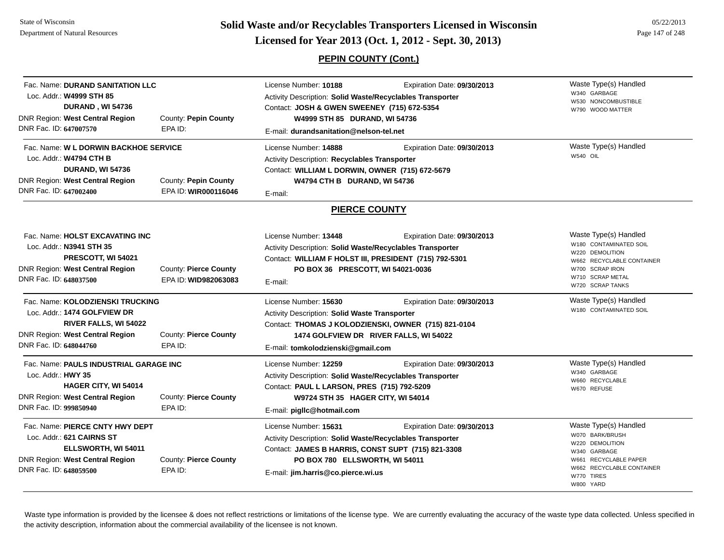**Page 147 of 248 <b>Licensed for Year 2013 (Oct. 1, 2012 - Sept. 30, 2013) Page 147 of 248 Licensed for Year 2013 (Oct. 1, 2012 - Sept. 30, 2013)** 

## **PEPIN COUNTY (Cont.)**

| Fac. Name: DURAND SANITATION LLC<br>Loc. Addr.: W4999 STH 85<br>DURAND, WI 54736<br>DNR Region: West Central Region<br>DNR Fac. ID: 647007570                                                                   | County: Pepin County<br>EPA ID:  | License Number: 10188<br>Expiration Date: 09/30/2013<br>Activity Description: Solid Waste/Recyclables Transporter<br>Contact: JOSH & GWEN SWEENEY (715) 672-5354<br>W4999 STH 85 DURAND, WI 54736<br>E-mail: durandsanitation@nelson-tel.net    | Waste Type(s) Handled<br>W340 GARBAGE<br>W530 NONCOMBUSTIBLE<br>W790 WOOD MATTER                                                                             |
|-----------------------------------------------------------------------------------------------------------------------------------------------------------------------------------------------------------------|----------------------------------|-------------------------------------------------------------------------------------------------------------------------------------------------------------------------------------------------------------------------------------------------|--------------------------------------------------------------------------------------------------------------------------------------------------------------|
| Fac. Name: W L DORWIN BACKHOE SERVICE<br>Loc. Addr.: W4794 CTH B<br><b>DURAND, WI 54736</b><br><b>DNR Region: West Central Region</b><br>County: Pepin County<br>DNR Fac. ID: 647002400<br>EPA ID: WIR000116046 |                                  | License Number: 14888<br>Expiration Date: 09/30/2013<br>Activity Description: Recyclables Transporter<br>Contact: WILLIAM L DORWIN, OWNER (715) 672-5679<br>W4794 CTH B DURAND, WI 54736<br>E-mail:                                             | Waste Type(s) Handled<br>W540 OIL                                                                                                                            |
|                                                                                                                                                                                                                 |                                  | <b>PIERCE COUNTY</b>                                                                                                                                                                                                                            |                                                                                                                                                              |
| Fac. Name: HOLST EXCAVATING INC<br>Loc. Addr.: N3941 STH 35<br>PRESCOTT, WI 54021<br>DNR Region: West Central Region<br>County: Pierce County<br>DNR Fac. ID: 648037500<br>EPA ID: WID982063083                 |                                  | License Number: 13448<br>Expiration Date: 09/30/2013<br>Activity Description: Solid Waste/Recyclables Transporter<br>Contact: WILLIAM F HOLST III, PRESIDENT (715) 792-5301<br>PO BOX 36 PRESCOTT, WI 54021-0036<br>E-mail:                     | Waste Type(s) Handled<br>W180 CONTAMINATED SOIL<br>W220 DEMOLITION<br>W662 RECYCLABLE CONTAINER<br>W700 SCRAP IRON<br>W710 SCRAP METAL<br>W720 SCRAP TANKS   |
| Fac. Name: KOLODZIENSKI TRUCKING<br>Loc. Addr.: 1474 GOLFVIEW DR<br><b>RIVER FALLS, WI 54022</b><br><b>DNR Region: West Central Region</b><br>DNR Fac. ID: 648044760                                            | County: Pierce County<br>EPA ID: | License Number: 15630<br>Expiration Date: 09/30/2013<br>Activity Description: Solid Waste Transporter<br>Contact: THOMAS J KOLODZIENSKI, OWNER (715) 821-0104<br>1474 GOLFVIEW DR RIVER FALLS, WI 54022<br>E-mail: tomkolodzienski@gmail.com    | Waste Type(s) Handled<br>W180 CONTAMINATED SOIL                                                                                                              |
| Fac. Name: PAULS INDUSTRIAL GARAGE INC<br>Loc. Addr.: HWY 35<br>HAGER CITY, WI 54014<br>DNR Region: West Central Region<br><b>County: Pierce County</b><br>DNR Fac. ID: 999850940<br>EPA ID:                    |                                  | License Number: 12259<br>Expiration Date: 09/30/2013<br>Activity Description: Solid Waste/Recyclables Transporter<br>Contact: PAUL L LARSON, PRES (715) 792-5209<br>W9724 STH 35 HAGER CITY, WI 54014<br>E-mail: pigllc@hotmail.com             | Waste Type(s) Handled<br>W340 GARBAGE<br>W660 RECYCLABLE<br>W670 REFUSE                                                                                      |
| Fac. Name: PIERCE CNTY HWY DEPT<br>Loc. Addr.: 621 CAIRNS ST<br>ELLSWORTH, WI 54011<br>DNR Region: West Central Region<br>DNR Fac. ID: 648059500                                                                | County: Pierce County<br>EPA ID: | License Number: 15631<br>Expiration Date: 09/30/2013<br>Activity Description: Solid Waste/Recyclables Transporter<br>Contact: JAMES B HARRIS, CONST SUPT (715) 821-3308<br>PO BOX 780 ELLSWORTH, WI 54011<br>E-mail: jim.harris@co.pierce.wi.us | Waste Type(s) Handled<br>W070 BARK/BRUSH<br>W220 DEMOLITION<br>W340 GARBAGE<br>W661 RECYCLABLE PAPER<br>W662 RECYCLABLE CONTAINER<br>W770 TIRES<br>W800 YARD |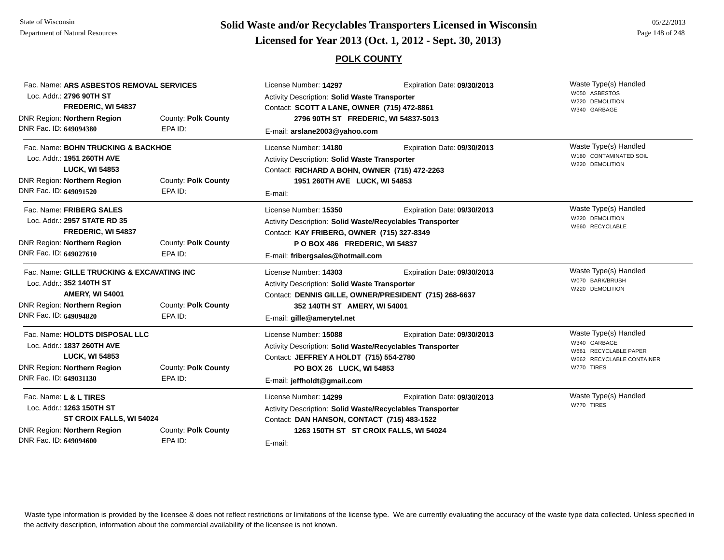# **Page 148 of 248 <b>Licensed for Year 2013 (Oct. 1, 2012 - Sept. 30, 2013) Page 148 of 248 Licensed for Year 2013 (Oct. 1, 2012 - Sept. 30, 2013)**

### **POLK COUNTY**

| Fac. Name: ARS ASBESTOS REMOVAL SERVICES<br>Loc. Addr.: 2796 90TH ST<br>FREDERIC, WI 54837                                                         |                     | License Number: 14297<br>Expiration Date: 09/30/2013<br>Activity Description: Solid Waste Transporter<br>Contact: SCOTT A LANE, OWNER (715) 472-8861      |                                                                                      | Waste Type(s) Handled<br>W050 ASBESTOS<br>W220 DEMOLITION<br>W340 GARBAGE                                 |
|----------------------------------------------------------------------------------------------------------------------------------------------------|---------------------|-----------------------------------------------------------------------------------------------------------------------------------------------------------|--------------------------------------------------------------------------------------|-----------------------------------------------------------------------------------------------------------|
| DNR Region: Northern Region                                                                                                                        | County: Polk County | 2796 90TH ST FREDERIC, WI 54837-5013                                                                                                                      |                                                                                      |                                                                                                           |
| DNR Fac. ID: 649094380                                                                                                                             | EPA ID:             | E-mail: arslane2003@yahoo.com                                                                                                                             |                                                                                      |                                                                                                           |
| Fac. Name: BOHN TRUCKING & BACKHOE<br>Loc. Addr.: 1951 260TH AVE                                                                                   |                     | License Number: 14180<br><b>Activity Description: Solid Waste Transporter</b>                                                                             | Expiration Date: 09/30/2013                                                          | Waste Type(s) Handled<br>W180 CONTAMINATED SOIL                                                           |
| <b>LUCK, WI 54853</b>                                                                                                                              |                     | Contact: RICHARD A BOHN, OWNER (715) 472-2263                                                                                                             |                                                                                      | W220 DEMOLITION                                                                                           |
| DNR Region: Northern Region                                                                                                                        | County: Polk County | 1951 260TH AVE LUCK, WI 54853                                                                                                                             |                                                                                      |                                                                                                           |
| DNR Fac. ID: 649091520                                                                                                                             | EPA ID:             | E-mail:                                                                                                                                                   |                                                                                      |                                                                                                           |
| Fac. Name: FRIBERG SALES<br>Loc. Addr.: 2957 STATE RD 35                                                                                           |                     | License Number: 15350<br>Activity Description: Solid Waste/Recyclables Transporter                                                                        | Expiration Date: 09/30/2013                                                          | Waste Type(s) Handled<br>W220 DEMOLITION<br>W660 RECYCLABLE                                               |
| FREDERIC, WI 54837<br><b>DNR Region: Northern Region</b><br>County: Polk County                                                                    |                     | Contact: KAY FRIBERG, OWNER (715) 327-8349                                                                                                                |                                                                                      |                                                                                                           |
|                                                                                                                                                    |                     | P O BOX 486 FREDERIC, WI 54837                                                                                                                            |                                                                                      |                                                                                                           |
| DNR Fac. ID: 649027610                                                                                                                             | EPA ID:             | E-mail: fribergsales@hotmail.com                                                                                                                          |                                                                                      |                                                                                                           |
| Fac. Name: GILLE TRUCKING & EXCAVATING INC<br>Loc. Addr.: 352 140TH ST<br><b>AMERY, WI 54001</b>                                                   |                     | License Number: 14303<br><b>Activity Description: Solid Waste Transporter</b>                                                                             | Expiration Date: 09/30/2013<br>Contact: DENNIS GILLE, OWNER/PRESIDENT (715) 268-6637 | Waste Type(s) Handled<br>W070 BARK/BRUSH<br>W220 DEMOLITION                                               |
| DNR Region: Northern Region                                                                                                                        | County: Polk County | 352 140TH ST AMERY, WI 54001                                                                                                                              |                                                                                      |                                                                                                           |
| DNR Fac. ID: 649094820                                                                                                                             | EPA ID:             | E-mail: gille@amerytel.net                                                                                                                                |                                                                                      |                                                                                                           |
| Fac. Name: HOLDTS DISPOSAL LLC<br>Loc. Addr.: 1837 260TH AVE<br><b>LUCK, WI 54853</b><br><b>DNR Region: Northern Region</b><br>County: Polk County |                     | License Number: 15088<br>Activity Description: Solid Waste/Recyclables Transporter<br>Contact: JEFFREY A HOLDT (715) 554-2780<br>PO BOX 26 LUCK, WI 54853 | Expiration Date: 09/30/2013                                                          | Waste Type(s) Handled<br>W340 GARBAGE<br>W661 RECYCLABLE PAPER<br>W662 RECYCLABLE CONTAINER<br>W770 TIRES |
| DNR Fac. ID: 649031130                                                                                                                             | EPA ID:             | E-mail: jeffholdt@gmail.com                                                                                                                               |                                                                                      |                                                                                                           |
| Fac. Name: L & L TIRES<br>Loc. Addr.: 1263 150TH ST<br>ST CROIX FALLS, WI 54024                                                                    |                     | License Number: 14299<br><b>Activity Description: Solid Waste/Recyclables Transporter</b><br>Contact: DAN HANSON, CONTACT (715) 483-1522                  | Expiration Date: 09/30/2013                                                          | Waste Type(s) Handled<br>W770 TIRES                                                                       |
| DNR Region: Northern Region                                                                                                                        | County: Polk County |                                                                                                                                                           | 1263 150TH ST ST CROIX FALLS, WI 54024                                               |                                                                                                           |
| DNR Fac. ID: 649094600                                                                                                                             | EPA ID:             | E-mail:                                                                                                                                                   |                                                                                      |                                                                                                           |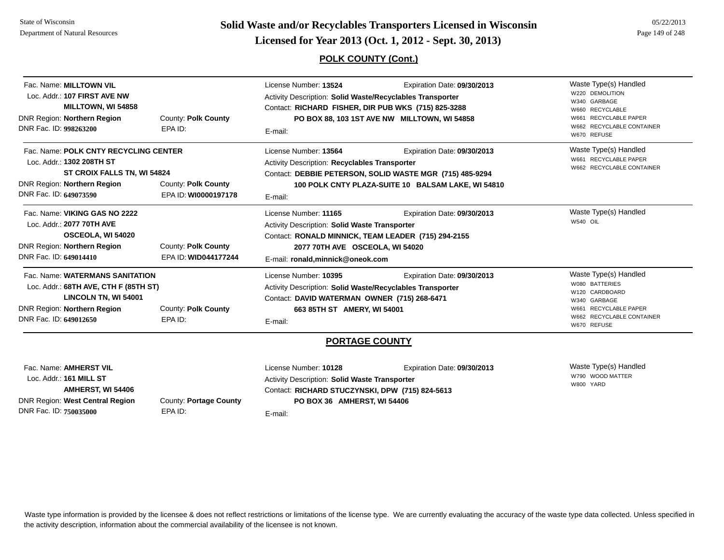**Page 149 of 22/2013 <b>Licensed for Year 2013 (Oct. 1, 2012 - Sept. 30, 2013)** Page 149 of 248 **Licensed for Year 2013 (Oct. 1, 2012 - Sept. 30, 2013)** 

### **POLK COUNTY (Cont.)**

| Fac. Name: MILLTOWN VIL<br>Loc. Addr.: 107 FIRST AVE NW<br><b>MILLTOWN, WI 54858</b><br>DNR Region: Northern Region<br>County: Polk County                                                                |                                             | License Number: 13524<br>Expiration Date: 09/30/2013<br>Activity Description: Solid Waste/Recyclables Transporter<br>Contact: RICHARD FISHER, DIR PUB WKS (715) 825-3288<br>PO BOX 88, 103 1ST AVE NW MILLTOWN, WI 54858 |                                                                                                                                               | Waste Type(s) Handled<br>W220 DEMOLITION<br>W340 GARBAGE<br>W660 RECYCLABLE<br>W661 RECYCLABLE PAPER                                           |
|-----------------------------------------------------------------------------------------------------------------------------------------------------------------------------------------------------------|---------------------------------------------|--------------------------------------------------------------------------------------------------------------------------------------------------------------------------------------------------------------------------|-----------------------------------------------------------------------------------------------------------------------------------------------|------------------------------------------------------------------------------------------------------------------------------------------------|
| DNR Fac. ID: 998263200                                                                                                                                                                                    | EPA ID:                                     | E-mail:                                                                                                                                                                                                                  | W662 RECYCLABLE CONTAINER<br>W670 REFUSE                                                                                                      |                                                                                                                                                |
| Fac. Name: POLK CNTY RECYCLING CENTER<br>Loc. Addr.: 1302 208TH ST<br>ST CROIX FALLS TN, WI 54824<br>DNR Region: Northern Region<br>County: Polk County<br>DNR Fac. ID: 649073590<br>EPA ID: WI0000197178 |                                             | License Number: 13564<br>Activity Description: Recyclables Transporter<br>E-mail:                                                                                                                                        | Expiration Date: 09/30/2013<br>Contact: DEBBIE PETERSON, SOLID WASTE MGR (715) 485-9294<br>100 POLK CNTY PLAZA-SUITE 10 BALSAM LAKE, WI 54810 | Waste Type(s) Handled<br>W661 RECYCLABLE PAPER<br>W662 RECYCLABLE CONTAINER                                                                    |
| Fac. Name: VIKING GAS NO 2222<br>Loc. Addr.: 2077 70TH AVE<br><b>OSCEOLA, WI 54020</b><br>DNR Region: Northern Region<br>DNR Fac. ID: 649014410                                                           | County: Polk County<br>EPA ID: WID044177244 | License Number: 11165<br><b>Activity Description: Solid Waste Transporter</b><br>Contact: RONALD MINNICK, TEAM LEADER (715) 294-2155<br>2077 70TH AVE OSCEOLA, WI 54020<br>E-mail: ronald, minnick@oneok.com             | Expiration Date: 09/30/2013                                                                                                                   | Waste Type(s) Handled<br><b>W540 OIL</b>                                                                                                       |
| Fac. Name: WATERMANS SANITATION<br>Loc. Addr.: 68TH AVE, CTH F (85TH ST)<br>LINCOLN TN, WI 54001<br>County: Polk County<br>DNR Region: Northern Region<br>DNR Fac. ID: 649012650<br>EPA ID:               |                                             | License Number: 10395<br>Activity Description: Solid Waste/Recyclables Transporter<br>Contact: DAVID WATERMAN OWNER (715) 268-6471<br>663 85TH ST AMERY, WI 54001<br>E-mail:                                             | Expiration Date: 09/30/2013                                                                                                                   | Waste Type(s) Handled<br>W080 BATTERIES<br>W120 CARDBOARD<br>W340 GARBAGE<br>W661 RECYCLABLE PAPER<br>W662 RECYCLABLE CONTAINER<br>W670 REFUSE |
|                                                                                                                                                                                                           |                                             | <b>PORTAGE COUNTY</b>                                                                                                                                                                                                    |                                                                                                                                               |                                                                                                                                                |
| Fac. Name: AMHERST VIL<br>Loc. Addr.: 161 MILL ST<br>AMHERST, WI 54406<br><b>DNR Region: West Central Region</b>                                                                                          | County: Portage County                      | License Number: 10128<br>Expiration Date: 09/30/2013<br><b>Activity Description: Solid Waste Transporter</b><br>Contact: RICHARD STUCZYNSKI, DPW (715) 824-5613<br>PO BOX 36 AMHERST, WI 54406                           |                                                                                                                                               | Waste Type(s) Handled<br>W790 WOOD MATTER<br>W800 YARD                                                                                         |

DNR Fac. ID: **750035000**

County: **Portage County** EPA ID:

E-mail: **PO BOX 36 AMHERST, WI 54406**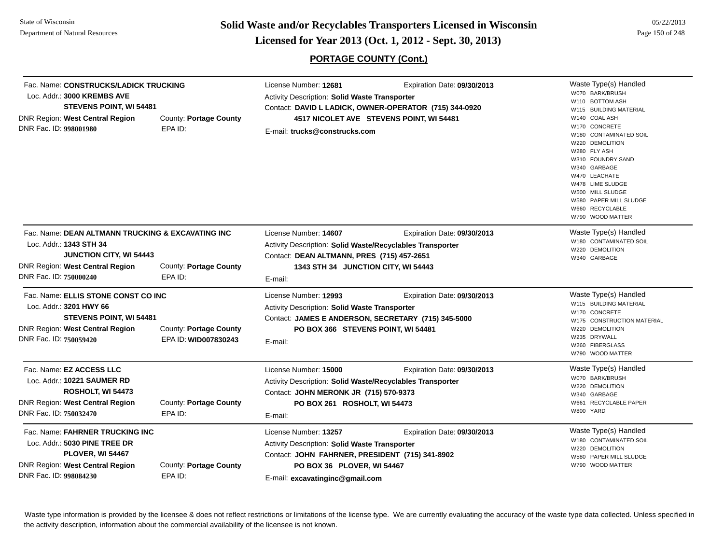State of WisconsinDepartment of Natural Resources

**Page 150 of 248 <b>Licensed for Year 2013 (Oct. 1, 2012 - Sept. 30, 2013) Page 150 of 248 Licensed for Year 2013 (Oct. 1, 2012 - Sept. 30, 2013)** 

05/22/2013

## **PORTAGE COUNTY (Cont.)**

| Fac. Name: CONSTRUCKS/LADICK TRUCKING<br>Loc. Addr.: 3000 KREMBS AVE<br>STEVENS POINT, WI 54481<br><b>DNR Region: West Central Region</b><br>DNR Fac. ID: 998001980 | County: Portage County<br>EPA ID: | License Number: 12681<br><b>Activity Description: Solid Waste Transporter</b><br>Contact: DAVID L LADICK, OWNER-OPERATOR (715) 344-0920<br>4517 NICOLET AVE STEVENS POINT, WI 54481<br>E-mail: trucks@construcks.com | Waste Type(s) Handled<br>W070 BARK/BRUSH<br>W110 BOTTOM ASH<br>W115 BUILDING MATERIAL<br>W140 COAL ASH<br>W170 CONCRETE<br>W180 CONTAMINATED SOIL<br>W220 DEMOLITION<br>W280 FLY ASH<br>W310 FOUNDRY SAND<br>W340 GARBAGE<br>W470 LEACHATE<br>W478 LIME SLUDGE<br>W500 MILL SLUDGE<br>W580 PAPER MILL SLUDGE<br>W660 RECYCLABLE<br>W790 WOOD MATTER |                                           |
|---------------------------------------------------------------------------------------------------------------------------------------------------------------------|-----------------------------------|----------------------------------------------------------------------------------------------------------------------------------------------------------------------------------------------------------------------|-----------------------------------------------------------------------------------------------------------------------------------------------------------------------------------------------------------------------------------------------------------------------------------------------------------------------------------------------------|-------------------------------------------|
| Fac. Name: DEAN ALTMANN TRUCKING & EXCAVATING INC                                                                                                                   |                                   | License Number: 14607                                                                                                                                                                                                | Expiration Date: 09/30/2013                                                                                                                                                                                                                                                                                                                         | Waste Type(s) Handled                     |
| Loc. Addr.: 1343 STH 34                                                                                                                                             |                                   | Activity Description: Solid Waste/Recyclables Transporter                                                                                                                                                            |                                                                                                                                                                                                                                                                                                                                                     | W180 CONTAMINATED SOIL<br>W220 DEMOLITION |
| <b>JUNCTION CITY, WI 54443</b>                                                                                                                                      |                                   | Contact: DEAN ALTMANN, PRES (715) 457-2651                                                                                                                                                                           |                                                                                                                                                                                                                                                                                                                                                     | W340 GARBAGE                              |
| DNR Region: West Central Region                                                                                                                                     | County: Portage County            | 1343 STH 34 JUNCTION CITY, WI 54443                                                                                                                                                                                  |                                                                                                                                                                                                                                                                                                                                                     |                                           |
| DNR Fac. ID: 750000240                                                                                                                                              | EPA ID:                           | E-mail:                                                                                                                                                                                                              |                                                                                                                                                                                                                                                                                                                                                     |                                           |
| Fac. Name: ELLIS STONE CONST CO INC                                                                                                                                 |                                   | License Number: 12993                                                                                                                                                                                                | Expiration Date: 09/30/2013                                                                                                                                                                                                                                                                                                                         | Waste Type(s) Handled                     |
| Loc. Addr.: 3201 HWY 66                                                                                                                                             |                                   | Activity Description: Solid Waste Transporter                                                                                                                                                                        | W115 BUILDING MATERIAL<br>W170 CONCRETE<br>W175 CONSTRUCTION MATERIAL                                                                                                                                                                                                                                                                               |                                           |
| <b>STEVENS POINT, WI 54481</b>                                                                                                                                      |                                   | Contact: JAMES E ANDERSON, SECRETARY (715) 345-5000                                                                                                                                                                  |                                                                                                                                                                                                                                                                                                                                                     |                                           |
| DNR Region: West Central Region                                                                                                                                     | County: Portage County            | PO BOX 366 STEVENS POINT, WI 54481                                                                                                                                                                                   |                                                                                                                                                                                                                                                                                                                                                     | W220 DEMOLITION                           |
| DNR Fac. ID: 750059420                                                                                                                                              | EPA ID: WID007830243              | E-mail:                                                                                                                                                                                                              |                                                                                                                                                                                                                                                                                                                                                     | W235 DRYWALL                              |
|                                                                                                                                                                     |                                   |                                                                                                                                                                                                                      |                                                                                                                                                                                                                                                                                                                                                     | W260 FIBERGLASS<br>W790 WOOD MATTER       |
| Fac. Name: EZ ACCESS LLC                                                                                                                                            |                                   | License Number: 15000                                                                                                                                                                                                | Expiration Date: 09/30/2013                                                                                                                                                                                                                                                                                                                         | Waste Type(s) Handled                     |
| Loc. Addr.: 10221 SAUMER RD                                                                                                                                         |                                   | Activity Description: Solid Waste/Recyclables Transporter                                                                                                                                                            |                                                                                                                                                                                                                                                                                                                                                     | W070 BARK/BRUSH                           |
| ROSHOLT, WI 54473                                                                                                                                                   |                                   | Contact: JOHN MERONK JR (715) 570-9373                                                                                                                                                                               |                                                                                                                                                                                                                                                                                                                                                     | W220 DEMOLITION<br>W340 GARBAGE           |
| <b>DNR Region: West Central Region</b>                                                                                                                              | County: Portage County            | PO BOX 261 ROSHOLT, WI 54473                                                                                                                                                                                         |                                                                                                                                                                                                                                                                                                                                                     | W661 RECYCLABLE PAPER                     |
| DNR Fac. ID: 750032470                                                                                                                                              | EPA ID:                           | E-mail:                                                                                                                                                                                                              |                                                                                                                                                                                                                                                                                                                                                     | W800 YARD                                 |
| Fac. Name: FAHRNER TRUCKING INC<br>Loc. Addr.: 5030 PINE TREE DR                                                                                                    |                                   | License Number: 13257                                                                                                                                                                                                | Expiration Date: 09/30/2013                                                                                                                                                                                                                                                                                                                         | Waste Type(s) Handled                     |
|                                                                                                                                                                     |                                   | <b>Activity Description: Solid Waste Transporter</b>                                                                                                                                                                 | W180 CONTAMINATED SOIL                                                                                                                                                                                                                                                                                                                              |                                           |
| PLOVER, WI 54467                                                                                                                                                    |                                   | Contact: JOHN FAHRNER, PRESIDENT (715) 341-8902                                                                                                                                                                      |                                                                                                                                                                                                                                                                                                                                                     | W220 DEMOLITION<br>W580 PAPER MILL SLUDGE |
| <b>DNR Region: West Central Region</b>                                                                                                                              | County: Portage County            | PO BOX 36 PLOVER, WI 54467                                                                                                                                                                                           |                                                                                                                                                                                                                                                                                                                                                     | W790 WOOD MATTER                          |
| DNR Fac. ID: 998084230                                                                                                                                              | EPA ID:                           | E-mail: excavatinginc@gmail.com                                                                                                                                                                                      |                                                                                                                                                                                                                                                                                                                                                     |                                           |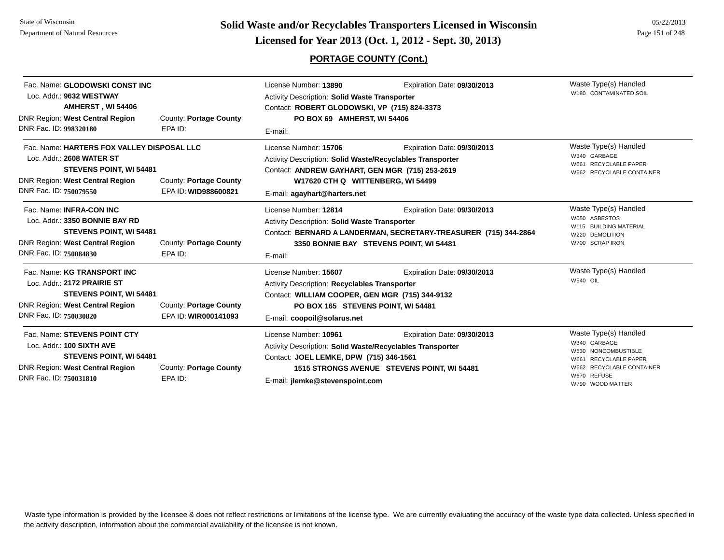**Page 151 of 248 <b>Licensed for Year 2013 (Oct. 1, 2012 - Sept. 30, 2013) Page 151 of 248 Licensed for Year 2013 (Oct. 1, 2012 - Sept. 30, 2013)** 

## **PORTAGE COUNTY (Cont.)**

| Fac. Name: GLODOWSKI CONST INC<br>Loc. Addr.: 9632 WESTWAY<br>AMHERST, WI 54406<br>DNR Region: West Central Region<br>DNR Fac. ID: 998320180                    | County: Portage County<br>EPA ID:              | License Number: 13890<br><b>Activity Description: Solid Waste Transporter</b><br>Contact: ROBERT GLODOWSKI, VP (715) 824-3373<br>PO BOX 69 AMHERST, WI 54406                                                          | Expiration Date: 09/30/2013                                                                                                                | Waste Type(s) Handled<br>W180 CONTAMINATED SOIL                                                                                                          |
|-----------------------------------------------------------------------------------------------------------------------------------------------------------------|------------------------------------------------|-----------------------------------------------------------------------------------------------------------------------------------------------------------------------------------------------------------------------|--------------------------------------------------------------------------------------------------------------------------------------------|----------------------------------------------------------------------------------------------------------------------------------------------------------|
| Fac. Name: HARTERS FOX VALLEY DISPOSAL LLC<br>Loc. Addr.: 2608 WATER ST<br>STEVENS POINT, WI 54481<br>DNR Region: West Central Region<br>DNR Fac. ID: 750079550 | County: Portage County<br>EPA ID: WID988600821 | E-mail:<br>License Number: 15706<br>Activity Description: Solid Waste/Recyclables Transporter<br>Contact: ANDREW GAYHART, GEN MGR (715) 253-2619<br>W17620 CTH Q WITTENBERG, WI 54499<br>E-mail: agayhart@harters.net | Expiration Date: 09/30/2013                                                                                                                | Waste Type(s) Handled<br>W340 GARBAGE<br>W661 RECYCLABLE PAPER<br>W662 RECYCLABLE CONTAINER                                                              |
| Fac. Name: INFRA-CON INC<br>Loc. Addr.: 3350 BONNIE BAY RD<br><b>STEVENS POINT, WI 54481</b><br>DNR Region: West Central Region<br>DNR Fac. ID: 750084830       | County: Portage County<br>EPA ID:              | License Number: 12814<br><b>Activity Description: Solid Waste Transporter</b><br>E-mail:                                                                                                                              | Expiration Date: 09/30/2013<br>Contact: BERNARD A LANDERMAN, SECRETARY-TREASURER (715) 344-2864<br>3350 BONNIE BAY STEVENS POINT, WI 54481 | Waste Type(s) Handled<br>W050 ASBESTOS<br>W115 BUILDING MATERIAL<br>W220 DEMOLITION<br>W700 SCRAP IRON                                                   |
| Fac. Name: KG TRANSPORT INC<br>Loc. Addr.: 2172 PRAIRIE ST<br><b>STEVENS POINT, WI 54481</b><br>DNR Region: West Central Region<br>DNR Fac. ID: 750030820       | County: Portage County<br>EPA ID: WIR000141093 | License Number: 15607<br>Activity Description: Recyclables Transporter<br>Contact: WILLIAM COOPER, GEN MGR (715) 344-9132<br>PO BOX 165 STEVENS POINT, WI 54481<br>E-mail: coopoil@solarus.net                        | Expiration Date: 09/30/2013                                                                                                                | Waste Type(s) Handled<br><b>W540 OIL</b>                                                                                                                 |
| Fac. Name: STEVENS POINT CTY<br>Loc. Addr.: 100 SIXTH AVE<br><b>STEVENS POINT, WI 54481</b><br><b>DNR Region: West Central Region</b><br>DNR Fac. ID: 750031810 | County: Portage County<br>EPA ID:              | License Number: 10961<br>Activity Description: Solid Waste/Recyclables Transporter<br>Contact: JOEL LEMKE, DPW (715) 346-1561<br>E-mail: jlemke@stevenspoint.com                                                      | Expiration Date: 09/30/2013<br>1515 STRONGS AVENUE STEVENS POINT, WI 54481                                                                 | Waste Type(s) Handled<br>W340 GARBAGE<br>W530 NONCOMBUSTIBLE<br>RECYCLABLE PAPER<br>W661<br>W662 RECYCLABLE CONTAINER<br>W670 REFUSE<br>W790 WOOD MATTER |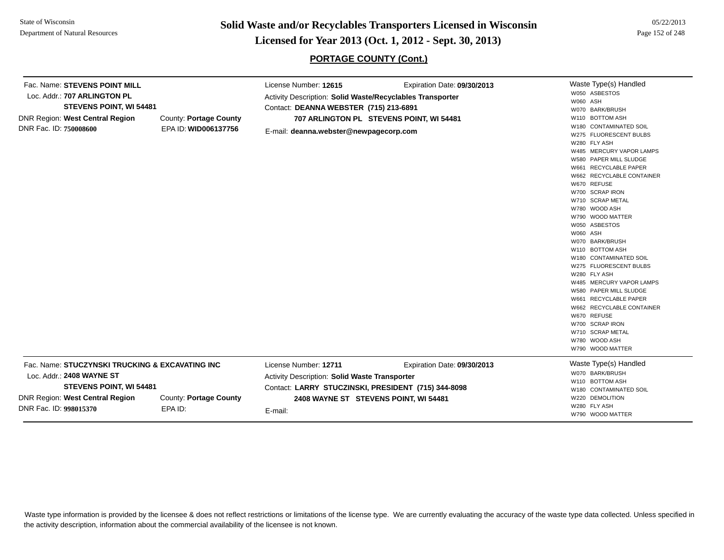**Page 152 of 248 <b>Example 152 of 248 Licensed for Year 2013 (Oct. 1, 2012 - Sept. 30, 2013) Page 152 of 248 Licensed for Year 2013 (Oct. 1, 2012 - Sept. 30, 2013)** 

#### **PORTAGE COUNTY (Cont.)**

Waste Type(s) Handled W050 ASBESTOSW060 ASHW070 BARK/BRUSHW110 BOTTOM ASHW180 CONTAMINATED SOILW275 FLUORESCENT BULBSW280 FLY ASHW485 MERCURY VAPOR LAMPSW580 PAPER MILL SLUDGEW661 RECYCLABLE PAPERW662 RECYCLABLE CONTAINERW670 REFUSEW700 SCRAP IRONW710 SCRAP METALW780 WOOD ASHW790 WOOD MATTERW050 ASBESTOSW060 ASHW070 BARK/BRUSHW110 BOTTOM ASHW180 CONTAMINATED SOILW275 FLUORESCENT BULBSW280 FLY ASHW485 MERCURY VAPOR LAMPSW580 PAPER MILL SLUDGEW661 RECYCLABLE PAPERW662 RECYCLABLE CONTAINERW670 REFUSEW700 SCRAP IRONW710 SCRAP METALW780 WOOD ASHW790 WOOD MATTERFac. Name: **STEVENS POINT MILL**Loc. Addr.: **707 ARLINGTON PLSTEVENS POINT, WI 54481** DNR Region: **West Central Region** DNR Fac. ID: **750008600**County: **Portage County** EPA ID: **WID006137756**License Number: **12615** Expiration Date: **09/30/2013**  Activity Description: **Solid Waste/Recyclables Transporter** Contact: **DEANNA WEBSTER (715) 213-6891** E-mail: **deanna.webster@newpagecorp.com 707 ARLINGTON PL STEVENS POINT, WI 54481** Waste Type(s) Handled W070 BARK/BRUSHW110 BOTTOM ASHW180 CONTAMINATED SOILW220 DEMOLITIONW280 FLY ASHW790 WOOD MATTERFac. Name: **STUCZYNSKI TRUCKING & EXCAVATING INC**Loc. Addr.: **2408 WAYNE STSTEVENS POINT, WI 54481** DNR Region: **West Central Region** DNR Fac. ID: **998015370**County: **Portage County** EPA ID:License Number: **12711** Expiration Date: **09/30/2013**  Activity Description: **Solid Waste Transporter** Contact: **LARRY STUCZINSKI, PRESIDENT (715) 344-8098** E-mail: **2408 WAYNE ST STEVENS POINT, WI 54481**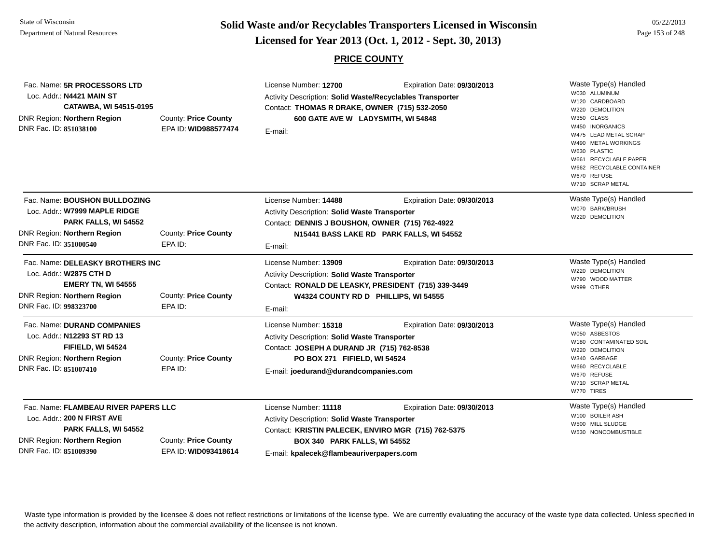# **Page 153 of 248 <b>Licensed for Year 2013 (Oct. 1, 2012 - Sept. 30, 2013) Page 153 of 248 Licensed for Year 2013 (Oct. 1, 2012 - Sept. 30, 2013)**

#### **PRICE COUNTY**

| Fac. Name: 5R PROCESSORS LTD<br>Loc. Addr.: N4421 MAIN ST<br>CATAWBA, WI 54515-0195<br>DNR Region: Northern Region<br>DNR Fac. ID: 851038100                                                                | <b>County: Price County</b><br>EPA ID: WID988577474 | License Number: 12700<br>Activity Description: Solid Waste/Recyclables Transporter<br>Contact: THOMAS R DRAKE, OWNER (715) 532-2050<br>600 GATE AVE W LADYSMITH, WI 54848<br>E-mail:                      | Expiration Date: 09/30/2013                                             | Waste Type(s) Handled<br>W030 ALUMINUM<br>W120 CARDBOARD<br>W220 DEMOLITION<br>W350 GLASS<br>W450 INORGANICS<br>W475 LEAD METAL SCRAP<br>W490 METAL WORKINGS<br>W630 PLASTIC<br>W661 RECYCLABLE PAPER<br>W662 RECYCLABLE CONTAINER<br>W670 REFUSE<br>W710 SCRAP METAL |
|-------------------------------------------------------------------------------------------------------------------------------------------------------------------------------------------------------------|-----------------------------------------------------|-----------------------------------------------------------------------------------------------------------------------------------------------------------------------------------------------------------|-------------------------------------------------------------------------|-----------------------------------------------------------------------------------------------------------------------------------------------------------------------------------------------------------------------------------------------------------------------|
| Fac. Name: BOUSHON BULLDOZING<br>Loc. Addr.: W7999 MAPLE RIDGE<br>PARK FALLS, WI 54552<br>DNR Region: Northern Region<br>DNR Fac. ID: 351000540                                                             | County: Price County<br>EPA ID:                     | License Number: 14488<br><b>Activity Description: Solid Waste Transporter</b><br>Contact: DENNIS J BOUSHON, OWNER (715) 762-4922<br>E-mail:                                                               | Expiration Date: 09/30/2013<br>N15441 BASS LAKE RD PARK FALLS, WI 54552 | Waste Type(s) Handled<br>W070 BARK/BRUSH<br>W220 DEMOLITION                                                                                                                                                                                                           |
| Fac. Name: DELEASKY BROTHERS INC<br>Loc. Addr.: W2875 CTH D<br><b>EMERY TN, WI 54555</b><br>DNR Region: Northern Region<br>DNR Fac. ID: 998323700                                                           | County: Price County<br>EPA ID:                     | License Number: 13909<br><b>Activity Description: Solid Waste Transporter</b><br>Contact: RONALD DE LEASKY, PRESIDENT (715) 339-3449<br>W4324 COUNTY RD D PHILLIPS, WI 54555<br>E-mail:                   | Expiration Date: 09/30/2013                                             | Waste Type(s) Handled<br>W220 DEMOLITION<br>W790 WOOD MATTER<br>W999 OTHER                                                                                                                                                                                            |
| Fac. Name: DURAND COMPANIES<br>Loc. Addr.: N12293 ST RD 13<br>FIFIELD, WI 54524<br>DNR Region: Northern Region<br>DNR Fac. ID: 851007410                                                                    | County: Price County<br>EPA ID:                     | License Number: 15318<br><b>Activity Description: Solid Waste Transporter</b><br>Contact: JOSEPH A DURAND JR (715) 762-8538<br>PO BOX 271 FIFIELD, WI 54524<br>E-mail: joedurand@durandcompanies.com      | Expiration Date: 09/30/2013                                             | Waste Type(s) Handled<br>W050 ASBESTOS<br>W180 CONTAMINATED SOIL<br>W220 DEMOLITION<br>W340 GARBAGE<br>W660 RECYCLABLE<br>W670 REFUSE<br>W710 SCRAP METAL<br>W770 TIRES                                                                                               |
| Fac. Name: FLAMBEAU RIVER PAPERS LLC<br>Loc. Addr.: 200 N FIRST AVE<br>PARK FALLS, WI 54552<br>DNR Region: Northern Region<br><b>County: Price County</b><br>DNR Fac. ID: 851009390<br>EPA ID: WID093418614 |                                                     | License Number: 11118<br>Activity Description: Solid Waste Transporter<br>Contact: KRISTIN PALECEK, ENVIRO MGR (715) 762-5375<br>BOX 340 PARK FALLS, WI 54552<br>E-mail: kpalecek@flambeauriverpapers.com | Expiration Date: 09/30/2013                                             | Waste Type(s) Handled<br>W100 BOILER ASH<br>W500 MILL SLUDGE<br>W530 NONCOMBUSTIBLE                                                                                                                                                                                   |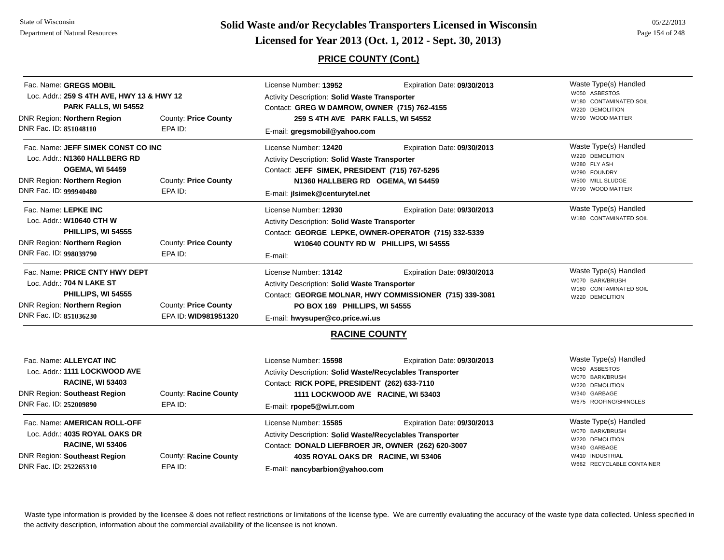**Page 154 of 248 <b>Licensed for Year 2013 (Oct. 1, 2012 - Sept. 30, 2013) Page 154 of 248 Licensed for Year 2013 (Oct. 1, 2012 - Sept. 30, 2013)** 

## **PRICE COUNTY (Cont.)**

| Fac. Name: GREGS MOBIL<br>Loc. Addr.: 259 S 4TH AVE, HWY 13 & HWY 12<br>PARK FALLS, WI 54552                                                                                                                                                                                                                                                                                                                                                       |                                              | License Number: 13952<br>Expiration Date: 09/30/2013<br>Activity Description: Solid Waste Transporter<br>Contact: GREG W DAMROW, OWNER (715) 762-4155                                                                                |                                                                                                                  | Waste Type(s) Handled<br>W050 ASBESTOS<br>W180 CONTAMINATED SOIL<br>W220 DEMOLITION                                             |
|----------------------------------------------------------------------------------------------------------------------------------------------------------------------------------------------------------------------------------------------------------------------------------------------------------------------------------------------------------------------------------------------------------------------------------------------------|----------------------------------------------|--------------------------------------------------------------------------------------------------------------------------------------------------------------------------------------------------------------------------------------|------------------------------------------------------------------------------------------------------------------|---------------------------------------------------------------------------------------------------------------------------------|
| <b>DNR Region: Northern Region</b><br>DNR Fac. ID: 851048110                                                                                                                                                                                                                                                                                                                                                                                       | <b>County: Price County</b><br>EPA ID:       | 259 S 4TH AVE PARK FALLS, WI 54552<br>E-mail: gregsmobil@yahoo.com                                                                                                                                                                   |                                                                                                                  | W790 WOOD MATTER                                                                                                                |
| Fac. Name: JEFF SIMEK CONST CO INC<br>Loc. Addr.: N1360 HALLBERG RD<br><b>OGEMA, WI 54459</b><br>DNR Region: Northern Region<br>DNR Fac. ID: 999940480                                                                                                                                                                                                                                                                                             | <b>County: Price County</b><br>EPA ID:       | License Number: 12420<br>Activity Description: Solid Waste Transporter<br>Contact: JEFF SIMEK, PRESIDENT (715) 767-5295<br>N1360 HALLBERG RD OGEMA, WI 54459<br>E-mail: jlsimek@centurytel.net                                       | Waste Type(s) Handled<br>W220 DEMOLITION<br>W280 FLY ASH<br>W290 FOUNDRY<br>W500 MILL SLUDGE<br>W790 WOOD MATTER |                                                                                                                                 |
| Fac. Name: LEPKE INC<br>Loc. Addr.: W10640 CTH W<br>PHILLIPS, WI 54555<br><b>DNR Region: Northern Region</b><br>DNR Fac. ID: 998039790                                                                                                                                                                                                                                                                                                             | County: Price County<br>EPA ID:              | License Number: 12930<br>Activity Description: Solid Waste Transporter<br>Contact: GEORGE LEPKE, OWNER-OPERATOR (715) 332-5339<br>W10640 COUNTY RD W PHILLIPS, WI 54555<br>E-mail:                                                   | Waste Type(s) Handled<br>W180 CONTAMINATED SOIL                                                                  |                                                                                                                                 |
| Fac. Name: PRICE CNTY HWY DEPT<br>Loc. Addr.: 704 N LAKE ST<br>PHILLIPS, WI 54555<br><b>DNR Region: Northern Region</b><br>DNR Fac. ID: 851036230                                                                                                                                                                                                                                                                                                  | County: Price County<br>EPA ID: WID981951320 | License Number: 13142<br>Expiration Date: 09/30/2013<br>Activity Description: Solid Waste Transporter<br>Contact: GEORGE MOLNAR, HWY COMMISSIONER (715) 339-3081<br>PO BOX 169 PHILLIPS, WI 54555<br>E-mail: hwysuper@co.price.wi.us |                                                                                                                  | Waste Type(s) Handled<br>W070 BARK/BRUSH<br>W180 CONTAMINATED SOIL<br>W220 DEMOLITION                                           |
|                                                                                                                                                                                                                                                                                                                                                                                                                                                    |                                              | <b>RACINE COUNTY</b>                                                                                                                                                                                                                 |                                                                                                                  |                                                                                                                                 |
| Fac. Name: ALLEYCAT INC<br>Loc. Addr.: 1111 LOCKWOOD AVE<br><b>RACINE, WI 53403</b><br><b>DNR Region: Southeast Region</b><br>DNR Fac. ID: 252009890                                                                                                                                                                                                                                                                                               | County: Racine County<br>EPA ID:             | License Number: 15598<br>Expiration Date: 09/30/2013<br>Activity Description: Solid Waste/Recyclables Transporter<br>Contact: RICK POPE, PRESIDENT (262) 633-7110<br>1111 LOCKWOOD AVE RACINE, WI 53403<br>E-mail: rpope5@wi.rr.com  |                                                                                                                  | Waste Type(s) Handled<br>W050 ASBESTOS<br><b>BARK/BRUSH</b><br>W070<br>W220 DEMOLITION<br>W340 GARBAGE<br>W675 ROOFING/SHINGLES |
| Fac. Name: AMERICAN ROLL-OFF<br>License Number: 15585<br>Expiration Date: 09/30/2013<br>Loc. Addr.: 4035 ROYAL OAKS DR<br>Activity Description: Solid Waste/Recyclables Transporter<br><b>RACINE, WI 53406</b><br>Contact: DONALD LIEFBROER JR, OWNER (262) 620-3007<br><b>DNR Region: Southeast Region</b><br>County: Racine County<br>4035 ROYAL OAKS DR RACINE, WI 53406<br>DNR Fac. ID: 252265310<br>EPA ID:<br>E-mail: nancybarbion@yahoo.com |                                              | Waste Type(s) Handled<br>W070 BARK/BRUSH<br>W220 DEMOLITION<br>W340 GARBAGE<br>W410 INDUSTRIAL<br>W662 RECYCLABLE CONTAINER                                                                                                          |                                                                                                                  |                                                                                                                                 |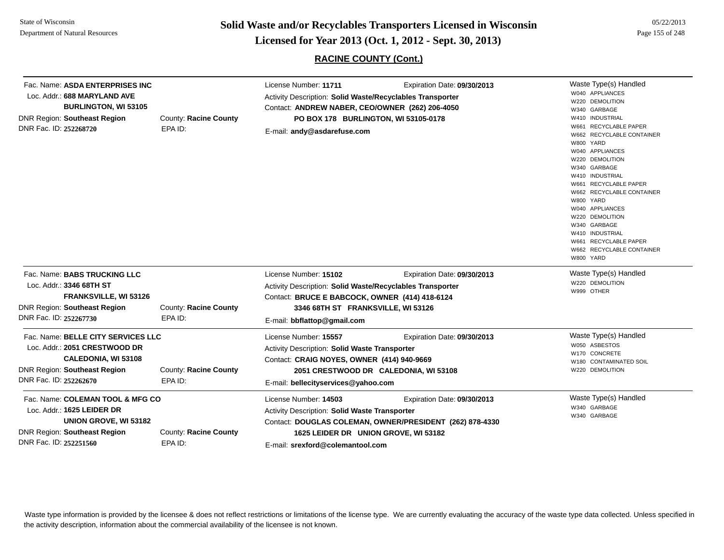**Page 155 of 248 <b>Licensed for Year 2013 (Oct. 1, 2012 - Sept. 30, 2013) Page 155 of 248 Licensed for Year 2013 (Oct. 1, 2012 - Sept. 30, 2013)** 

**RACINE COUNTY (Cont.)**

| Fac. Name: ASDA ENTERPRISES INC<br>Loc. Addr.: 688 MARYLAND AVE<br><b>BURLINGTON, WI 53105</b><br>DNR Region: Southeast Region<br>DNR Fac. ID: 252268720    | County: Racine County<br>EPA ID: | License Number: 11711<br>Activity Description: Solid Waste/Recyclables Transporter<br>Contact: ANDREW NABER, CEO/OWNER (262) 206-4050<br>PO BOX 178 BURLINGTON, WI 53105-0178<br>E-mail: andy@asdarefuse.com | Expiration Date: 09/30/2013                                                             | Waste Type(s) Handled<br>W040 APPLIANCES<br>W220 DEMOLITION<br>W340 GARBAGE<br>W410 INDUSTRIAL<br>W661 RECYCLABLE PAPER<br>W662 RECYCLABLE CONTAINER<br>W800 YARD<br>W040 APPLIANCES<br>W220 DEMOLITION<br>W340 GARBAGE<br>W410 INDUSTRIAL<br>W661 RECYCLABLE PAPER<br>W662 RECYCLABLE CONTAINER<br>W800 YARD<br>W040 APPLIANCES<br>W220 DEMOLITION<br>W340 GARBAGE<br>W410 INDUSTRIAL<br>W661 RECYCLABLE PAPER<br>W662 RECYCLABLE CONTAINER<br>W800 YARD |
|-------------------------------------------------------------------------------------------------------------------------------------------------------------|----------------------------------|--------------------------------------------------------------------------------------------------------------------------------------------------------------------------------------------------------------|-----------------------------------------------------------------------------------------|-----------------------------------------------------------------------------------------------------------------------------------------------------------------------------------------------------------------------------------------------------------------------------------------------------------------------------------------------------------------------------------------------------------------------------------------------------------|
| Fac. Name: BABS TRUCKING LLC<br>Loc. Addr.: 3346 68TH ST<br><b>FRANKSVILLE, WI 53126</b><br>DNR Region: Southeast Region<br>DNR Fac. ID: 252267730          | County: Racine County<br>EPA ID: | License Number: 15102<br>Activity Description: Solid Waste/Recyclables Transporter<br>Contact: BRUCE E BABCOCK, OWNER (414) 418-6124<br>3346 68TH ST FRANKSVILLE, WI 53126<br>E-mail: bbflattop@gmail.com    | Expiration Date: 09/30/2013                                                             | Waste Type(s) Handled<br>W220 DEMOLITION<br>W999 OTHER                                                                                                                                                                                                                                                                                                                                                                                                    |
| Fac. Name: BELLE CITY SERVICES LLC<br>Loc. Addr.: 2051 CRESTWOOD DR<br><b>CALEDONIA, WI 53108</b><br>DNR Region: Southeast Region<br>DNR Fac. ID: 252262670 | County: Racine County<br>EPA ID: | License Number: 15557<br>Activity Description: Solid Waste Transporter<br>Contact: CRAIG NOYES, OWNER (414) 940-9669<br>E-mail: bellecityservices@yahoo.com                                                  | Expiration Date: 09/30/2013<br>2051 CRESTWOOD DR CALEDONIA, WI 53108                    | Waste Type(s) Handled<br>W050 ASBESTOS<br>W170 CONCRETE<br>W180 CONTAMINATED SOIL<br>W220 DEMOLITION                                                                                                                                                                                                                                                                                                                                                      |
| Fac. Name: COLEMAN TOOL & MFG CO<br>Loc. Addr.: 1625 LEIDER DR<br>UNION GROVE, WI 53182<br>DNR Region: Southeast Region<br>DNR Fac. ID: 252251560           | County: Racine County<br>EPA ID: | License Number: 14503<br><b>Activity Description: Solid Waste Transporter</b><br>1625 LEIDER DR UNION GROVE, WI 53182<br>E-mail: srexford@colemantool.com                                                    | Expiration Date: 09/30/2013<br>Contact: DOUGLAS COLEMAN, OWNER/PRESIDENT (262) 878-4330 | Waste Type(s) Handled<br>W340 GARBAGE<br>W340 GARBAGE                                                                                                                                                                                                                                                                                                                                                                                                     |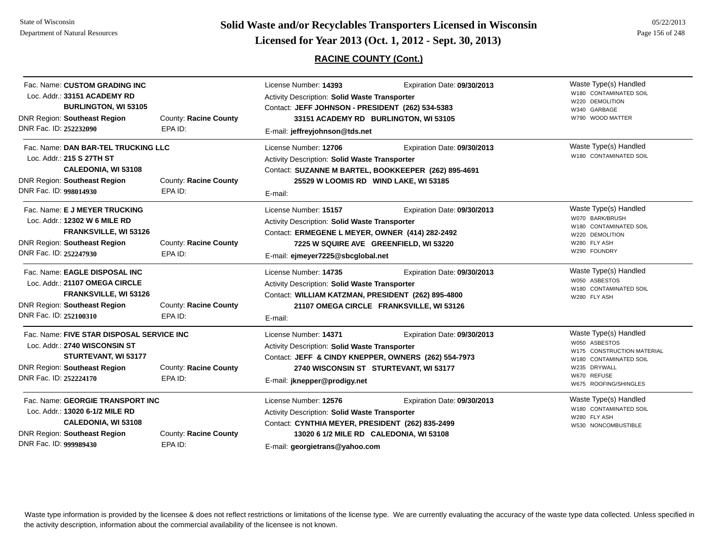State of WisconsinDepartment of Natural Resources

# **Page 156 of 248 <b>Licensed for Year 2013 (Oct. 1, 2012 - Sept. 30, 2013) Page 156 of 248 Licensed for Year 2013 (Oct. 1, 2012 - Sept. 30, 2013)**

## **RACINE COUNTY (Cont.)**

| Fac. Name: CUSTOM GRADING INC<br>Loc. Addr.: 33151 ACADEMY RD<br><b>BURLINGTON, WI 53105</b><br><b>DNR Region: Southeast Region</b><br>DNR Fac. ID: 252232090       | County: Racine County<br>EPA ID: | License Number: 14393<br>Activity Description: Solid Waste Transporter<br>Contact: JEFF JOHNSON - PRESIDENT (262) 534-5383<br>33151 ACADEMY RD BURLINGTON, WI 53105<br>E-mail: jeffreyjohnson@tds.net | Waste Type(s) Handled<br>W180 CONTAMINATED SOIL<br>W220 DEMOLITION<br>W340 GARBAGE<br>W790 WOOD MATTER                       |                                                                                                                                                        |
|---------------------------------------------------------------------------------------------------------------------------------------------------------------------|----------------------------------|-------------------------------------------------------------------------------------------------------------------------------------------------------------------------------------------------------|------------------------------------------------------------------------------------------------------------------------------|--------------------------------------------------------------------------------------------------------------------------------------------------------|
| Fac. Name: DAN BAR-TEL TRUCKING LLC<br>Loc. Addr.: 215 S 27TH ST<br><b>CALEDONIA, WI 53108</b><br><b>DNR Region: Southeast Region</b><br>DNR Fac. ID: 998014930     | County: Racine County<br>EPA ID: | License Number: 12706<br>Activity Description: Solid Waste Transporter<br>E-mail:                                                                                                                     | Expiration Date: 09/30/2013<br>Contact: SUZANNE M BARTEL, BOOKKEEPER (262) 895-4691<br>25529 W LOOMIS RD WIND LAKE, WI 53185 | Waste Type(s) Handled<br>W180 CONTAMINATED SOIL                                                                                                        |
| Fac. Name: E J MEYER TRUCKING<br>Loc. Addr.: 12302 W 6 MILE RD<br><b>FRANKSVILLE, WI 53126</b><br><b>DNR Region: Southeast Region</b><br>DNR Fac. ID: 252247930     | County: Racine County<br>EPA ID: | License Number: 15157<br>Activity Description: Solid Waste Transporter<br>Contact: ERMEGENE L MEYER, OWNER (414) 282-2492<br>E-mail: ejmeyer7225@sbcglobal.net                                        | Expiration Date: 09/30/2013<br>7225 W SQUIRE AVE GREENFIELD, WI 53220                                                        | Waste Type(s) Handled<br>W070 BARK/BRUSH<br>W180 CONTAMINATED SOIL<br>W220 DEMOLITION<br>W280 FLY ASH<br>W290 FOUNDRY                                  |
| Fac. Name: EAGLE DISPOSAL INC<br>Loc. Addr.: 21107 OMEGA CIRCLE<br>FRANKSVILLE, WI 53126<br><b>DNR Region: Southeast Region</b><br>DNR Fac. ID: 252100310           | County: Racine County<br>EPA ID: | License Number: 14735<br>Activity Description: Solid Waste Transporter<br>Contact: WILLIAM KATZMAN, PRESIDENT (262) 895-4800<br>E-mail:                                                               | Expiration Date: 09/30/2013<br>21107 OMEGA CIRCLE FRANKSVILLE, WI 53126                                                      | Waste Type(s) Handled<br>W050 ASBESTOS<br>W180 CONTAMINATED SOIL<br>W280 FLY ASH                                                                       |
| Fac. Name: FIVE STAR DISPOSAL SERVICE INC<br>Loc. Addr.: 2740 WISCONSIN ST<br>STURTEVANT, WI 53177<br><b>DNR Region: Southeast Region</b><br>DNR Fac. ID: 252224170 | County: Racine County<br>EPA ID: | License Number: 14371<br>Activity Description: Solid Waste Transporter<br>Contact: JEFF & CINDY KNEPPER, OWNERS (262) 554-7973<br>E-mail: jknepper@prodigy.net                                        | Expiration Date: 09/30/2013<br>2740 WISCONSIN ST STURTEVANT, WI 53177                                                        | Waste Type(s) Handled<br>W050 ASBESTOS<br>W175 CONSTRUCTION MATERIAL<br>W180 CONTAMINATED SOIL<br>W235 DRYWALL<br>W670 REFUSE<br>W675 ROOFING/SHINGLES |
| Fac. Name: GEORGIE TRANSPORT INC<br>Loc. Addr.: 13020 6-1/2 MILE RD<br><b>CALEDONIA, WI 53108</b><br>DNR Region: Southeast Region<br>DNR Fac. ID: 999989430         | County: Racine County<br>EPA ID: | License Number: 12576<br><b>Activity Description: Solid Waste Transporter</b><br>Contact: CYNTHIA MEYER, PRESIDENT (262) 835-2499<br>E-mail: georgietrans@yahoo.com                                   | Expiration Date: 09/30/2013<br>13020 6 1/2 MILE RD CALEDONIA, WI 53108                                                       | Waste Type(s) Handled<br>W180 CONTAMINATED SOIL<br>W280 FLY ASH<br>W530 NONCOMBUSTIBLE                                                                 |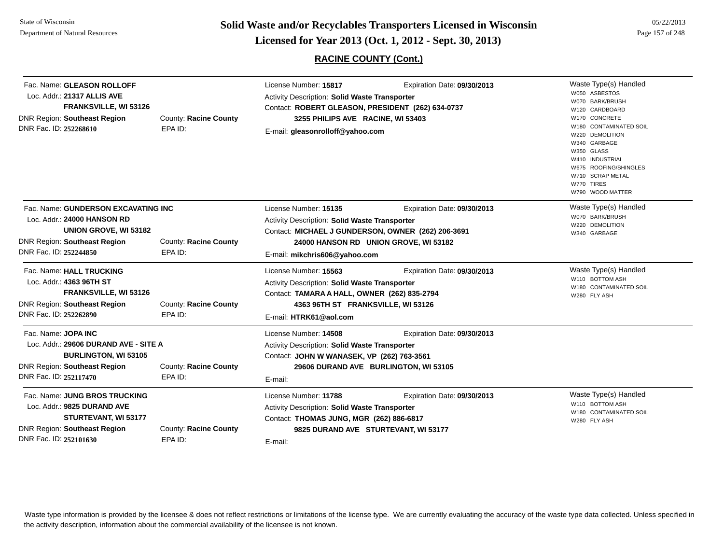**Page 157 of 248 <b>Licensed for Year 2013 (Oct. 1, 2012 - Sept. 30, 2013) Page 157 of 248 Licensed for Year 2013 (Oct. 1, 2012 - Sept. 30, 2013)** 

05/22/2013

## **RACINE COUNTY (Cont.)**

| Fac. Name: GLEASON ROLLOFF<br>Loc. Addr.: 21317 ALLIS AVE<br>FRANKSVILLE, WI 53126<br><b>DNR Region: Southeast Region</b><br>DNR Fac. ID: 252268610          | County: Racine County<br>EPA ID: | License Number: 15817<br>Activity Description: Solid Waste Transporter<br>Contact: ROBERT GLEASON, PRESIDENT (262) 634-0737<br>3255 PHILIPS AVE RACINE, WI 53403<br>E-mail: gleasonrolloff@yahoo.com | Expiration Date: 09/30/2013                                          | Waste Type(s) Handled<br>W050 ASBESTOS<br>W070 BARK/BRUSH<br>W120 CARDBOARD<br>W170 CONCRETE<br>W180 CONTAMINATED SOIL<br>W220 DEMOLITION<br>W340 GARBAGE<br>W350 GLASS<br>W410 INDUSTRIAL<br>W675 ROOFING/SHINGLES<br>W710 SCRAP METAL<br>W770 TIRES<br>W790 WOOD MATTER |
|--------------------------------------------------------------------------------------------------------------------------------------------------------------|----------------------------------|------------------------------------------------------------------------------------------------------------------------------------------------------------------------------------------------------|----------------------------------------------------------------------|---------------------------------------------------------------------------------------------------------------------------------------------------------------------------------------------------------------------------------------------------------------------------|
| Fac. Name: GUNDERSON EXCAVATING INC<br>Loc. Addr.: 24000 HANSON RD<br>UNION GROVE, WI 53182<br><b>DNR Region: Southeast Region</b><br>DNR Fac. ID: 252244850 | County: Racine County<br>EPA ID: | License Number: 15135<br><b>Activity Description: Solid Waste Transporter</b><br>Contact: MICHAEL J GUNDERSON, OWNER (262) 206-3691<br>E-mail: mikchris606@yahoo.com                                 | Expiration Date: 09/30/2013<br>24000 HANSON RD UNION GROVE, WI 53182 | Waste Type(s) Handled<br>W070 BARK/BRUSH<br>W220 DEMOLITION<br>W340 GARBAGE                                                                                                                                                                                               |
| Fac. Name: HALL TRUCKING<br>Loc. Addr.: 4363 96TH ST<br><b>FRANKSVILLE, WI 53126</b><br><b>DNR Region: Southeast Region</b><br>DNR Fac. ID: 252262890        | County: Racine County<br>EPA ID: | License Number: 15563<br>Activity Description: Solid Waste Transporter<br>Contact: TAMARA A HALL, OWNER (262) 835-2794<br>4363 96TH ST FRANKSVILLE, WI 53126<br>E-mail: HTRK61@aol.com               | Expiration Date: 09/30/2013                                          | Waste Type(s) Handled<br>W110 BOTTOM ASH<br>W180 CONTAMINATED SOIL<br>W280 FLY ASH                                                                                                                                                                                        |
| Fac. Name: JOPA INC<br>Loc. Addr.: 29606 DURAND AVE - SITE A<br><b>BURLINGTON, WI 53105</b><br><b>DNR Region: Southeast Region</b><br>DNR Fac. ID: 252117470 | County: Racine County<br>EPA ID: | License Number: 14508<br><b>Activity Description: Solid Waste Transporter</b><br>Contact: JOHN W WANASEK, VP (262) 763-3561<br>E-mail:                                                               | Expiration Date: 09/30/2013<br>29606 DURAND AVE BURLINGTON, WI 53105 |                                                                                                                                                                                                                                                                           |
| Fac. Name: JUNG BROS TRUCKING<br>Loc. Addr.: 9825 DURAND AVE<br><b>STURTEVANT, WI 53177</b><br><b>DNR Region: Southeast Region</b><br>DNR Fac. ID: 252101630 | County: Racine County<br>EPA ID: | License Number: 11788<br>Activity Description: Solid Waste Transporter<br>Contact: THOMAS JUNG, MGR (262) 886-6817<br>E-mail:                                                                        | Expiration Date: 09/30/2013<br>9825 DURAND AVE STURTEVANT, WI 53177  | Waste Type(s) Handled<br>W110 BOTTOM ASH<br>W180 CONTAMINATED SOIL<br>W280 FLY ASH                                                                                                                                                                                        |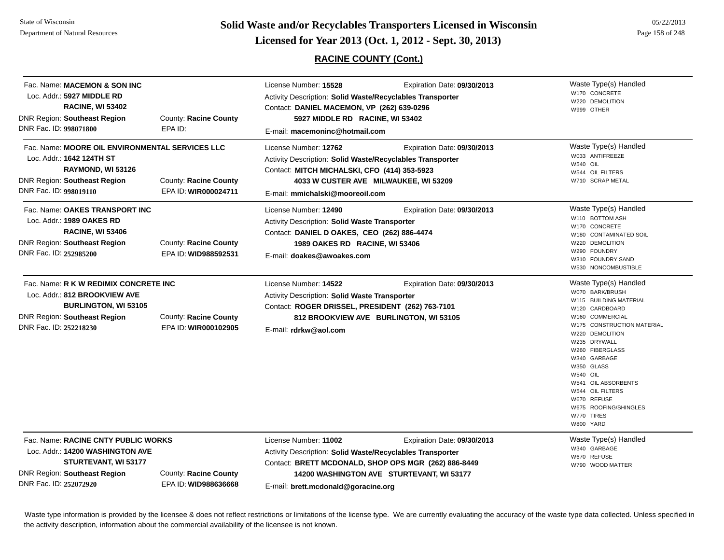# **Page 158 of 248 <b>Licensed for Year 2013 (Oct. 1, 2012 - Sept. 30, 2013) Page 158 of 248 Licensed for Year 2013 (Oct. 1, 2012 - Sept. 30, 2013)**

## **RACINE COUNTY (Cont.)**

| Fac. Name: MACEMON & SON INC<br>Loc. Addr.: 5927 MIDDLE RD<br><b>RACINE, WI 53402</b><br>DNR Region: Southeast Region<br>DNR Fac. ID: 998071800                        | County: Racine County<br>EPA ID:              | License Number: 15528<br><b>Activity Description: Solid Waste/Recyclables Transporter</b><br>Contact: DANIEL MACEMON, VP (262) 639-0296<br>5927 MIDDLE RD RACINE, WI 53402<br>E-mail: macemoninc@hotmail.com | Expiration Date: 09/30/2013                                                                                                      | Waste Type(s) Handled<br>W170 CONCRETE<br>W220 DEMOLITION<br>W999 OTHER                                                                                                                                                                                                                                                                             |
|------------------------------------------------------------------------------------------------------------------------------------------------------------------------|-----------------------------------------------|--------------------------------------------------------------------------------------------------------------------------------------------------------------------------------------------------------------|----------------------------------------------------------------------------------------------------------------------------------|-----------------------------------------------------------------------------------------------------------------------------------------------------------------------------------------------------------------------------------------------------------------------------------------------------------------------------------------------------|
| Fac. Name: MOORE OIL ENVIRONMENTAL SERVICES LLC<br>Loc. Addr.: 1642 124TH ST<br>RAYMOND, WI 53126<br><b>DNR Region: Southeast Region</b><br>DNR Fac. ID: 998019110     | County: Racine County<br>EPA ID: WIR000024711 | License Number: 12762<br>Activity Description: Solid Waste/Recyclables Transporter<br>Contact: MITCH MICHALSKI, CFO (414) 353-5923<br>E-mail: mmichalski@mooreoil.com                                        | Expiration Date: 09/30/2013<br>4033 W CUSTER AVE MILWAUKEE, WI 53209                                                             | Waste Type(s) Handled<br>W033 ANTIFREEZE<br><b>W540 OIL</b><br>W544 OIL FILTERS<br>W710 SCRAP METAL                                                                                                                                                                                                                                                 |
| Fac. Name: OAKES TRANSPORT INC<br>Loc. Addr.: 1989 OAKES RD<br><b>RACINE, WI 53406</b><br><b>DNR Region: Southeast Region</b><br>DNR Fac. ID: 252985200                | County: Racine County<br>EPA ID: WID988592531 | License Number: 12490<br><b>Activity Description: Solid Waste Transporter</b><br>Contact: DANIEL D OAKES, CEO (262) 886-4474<br>1989 OAKES RD RACINE, WI 53406<br>E-mail: doakes@awoakes.com                 | Expiration Date: 09/30/2013                                                                                                      | Waste Type(s) Handled<br>W110 BOTTOM ASH<br>W170 CONCRETE<br>W180 CONTAMINATED SOIL<br>W220 DEMOLITION<br>W290 FOUNDRY<br>W310 FOUNDRY SAND<br>W530 NONCOMBUSTIBLE                                                                                                                                                                                  |
| Fac. Name: R K W REDIMIX CONCRETE INC<br>Loc. Addr.: 812 BROOKVIEW AVE<br><b>BURLINGTON, WI 53105</b><br><b>DNR Region: Southeast Region</b><br>DNR Fac. ID: 252218230 | County: Racine County<br>EPA ID: WIR000102905 | License Number: 14522<br>Activity Description: Solid Waste Transporter<br>Contact: ROGER DRISSEL, PRESIDENT (262) 763-7101<br>E-mail: rdrkw@aol.com                                                          | Expiration Date: 09/30/2013<br>812 BROOKVIEW AVE BURLINGTON, WI 53105                                                            | Waste Type(s) Handled<br>W070 BARK/BRUSH<br>W115 BUILDING MATERIAL<br>W120 CARDBOARD<br>W160 COMMERCIAL<br>W175 CONSTRUCTION MATERIAL<br>W220 DEMOLITION<br>W235 DRYWALL<br>W260 FIBERGLASS<br>W340 GARBAGE<br>W350 GLASS<br>W540 OIL<br>W541 OIL ABSORBENTS<br>W544 OIL FILTERS<br>W670 REFUSE<br>W675 ROOFING/SHINGLES<br>W770 TIRES<br>W800 YARD |
| Fac. Name: RACINE CNTY PUBLIC WORKS<br>Loc. Addr.: 14200 WASHINGTON AVE<br>STURTEVANT, WI 53177<br><b>DNR Region: Southeast Region</b><br>DNR Fac. ID: 252072920       | County: Racine County<br>EPA ID: WID988636668 | License Number: 11002<br>Activity Description: Solid Waste/Recyclables Transporter<br>E-mail: brett.mcdonald@goracine.org                                                                                    | Expiration Date: 09/30/2013<br>Contact: BRETT MCDONALD, SHOP OPS MGR (262) 886-8449<br>14200 WASHINGTON AVE STURTEVANT, WI 53177 | Waste Type(s) Handled<br>W340 GARBAGE<br>W670 REFUSE<br>W790 WOOD MATTER                                                                                                                                                                                                                                                                            |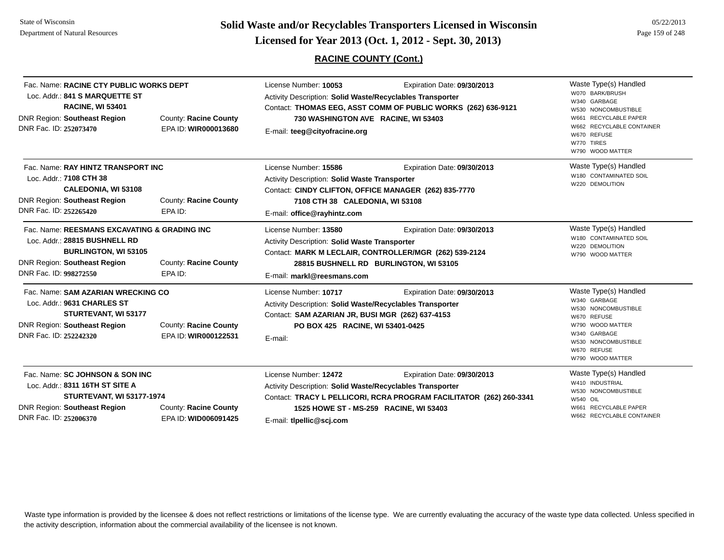State of WisconsinDepartment of Natural Resources

**Page 159 of 248 <b>Licensed for Year 2013 (Oct. 1, 2012 - Sept. 30, 2013) Page 159 of 248 Licensed for Year 2013 (Oct. 1, 2012 - Sept. 30, 2013)** 

## **RACINE COUNTY (Cont.)**

| Fac. Name: RACINE CTY PUBLIC WORKS DEPT<br>Loc. Addr.: 841 S MARQUETTE ST<br><b>RACINE, WI 53401</b><br>DNR Region: Southeast Region<br>DNR Fac. ID: 252073470                | County: Racine County<br>EPA ID: WIR000013680 | License Number: 10053<br>Activity Description: Solid Waste/Recyclables Transporter<br>730 WASHINGTON AVE RACINE, WI 53403<br>E-mail: teeg@cityofracine.org                                        | Expiration Date: 09/30/2013<br>Contact: THOMAS EEG, ASST COMM OF PUBLIC WORKS (262) 636-9121                                    | Waste Type(s) Handled<br>W070 BARK/BRUSH<br>W340 GARBAGE<br>W530 NONCOMBUSTIBLE<br>W661 RECYCLABLE PAPER<br>W662 RECYCLABLE CONTAINER<br>W670 REFUSE<br>W770 TIRES<br>W790 WOOD MATTER |
|-------------------------------------------------------------------------------------------------------------------------------------------------------------------------------|-----------------------------------------------|---------------------------------------------------------------------------------------------------------------------------------------------------------------------------------------------------|---------------------------------------------------------------------------------------------------------------------------------|----------------------------------------------------------------------------------------------------------------------------------------------------------------------------------------|
| Fac. Name: RAY HINTZ TRANSPORT INC<br>Loc. Addr.: 7108 CTH 38<br><b>CALEDONIA, WI 53108</b><br><b>DNR Region: Southeast Region</b><br>DNR Fac. ID: 252265420                  | County: Racine County<br>EPA ID:              | License Number: 15586<br>Activity Description: Solid Waste Transporter<br>Contact: CINDY CLIFTON, OFFICE MANAGER (262) 835-7770<br>7108 CTH 38 CALEDONIA, WI 53108<br>E-mail: office@rayhintz.com | Expiration Date: 09/30/2013                                                                                                     | Waste Type(s) Handled<br>W180 CONTAMINATED SOIL<br>W220 DEMOLITION                                                                                                                     |
| Fac. Name: REESMANS EXCAVATING & GRADING INC<br>Loc. Addr.: 28815 BUSHNELL RD<br><b>BURLINGTON, WI 53105</b><br><b>DNR Region: Southeast Region</b><br>DNR Fac. ID: 998272550 | County: Racine County<br>EPA ID:              | License Number: 13580<br>Activity Description: Solid Waste Transporter<br>E-mail: markl@reesmans.com                                                                                              | Expiration Date: 09/30/2013<br>Contact: MARK M LECLAIR, CONTROLLER/MGR (262) 539-2124<br>28815 BUSHNELL RD BURLINGTON, WI 53105 | Waste Type(s) Handled<br>W180 CONTAMINATED SOIL<br>W220 DEMOLITION<br>W790 WOOD MATTER                                                                                                 |
| Fac. Name: SAM AZARIAN WRECKING CO<br>Loc. Addr.: 9631 CHARLES ST<br><b>STURTEVANT, WI 53177</b><br><b>DNR Region: Southeast Region</b><br>DNR Fac. ID: 252242320             | County: Racine County<br>EPA ID: WIR000122531 | License Number: 10717<br>Activity Description: Solid Waste/Recyclables Transporter<br>Contact: SAM AZARIAN JR, BUSI MGR (262) 637-4153<br>PO BOX 425 RACINE, WI 53401-0425<br>E-mail:             | Expiration Date: 09/30/2013                                                                                                     | Waste Type(s) Handled<br>W340 GARBAGE<br>W530 NONCOMBUSTIBLE<br>W670 REFUSE<br>W790 WOOD MATTER<br>W340 GARBAGE<br>W530 NONCOMBUSTIBLE<br>W670 REFUSE<br>W790 WOOD MATTER              |
| Fac. Name: SC JOHNSON & SON INC<br>Loc. Addr.: 8311 16TH ST SITE A<br><b>STURTEVANT, WI 53177-1974</b><br><b>DNR Region: Southeast Region</b><br>DNR Fac. ID: 252006370       | County: Racine County<br>EPA ID: WID006091425 | License Number: 12472<br>Activity Description: Solid Waste/Recyclables Transporter<br>1525 HOWE ST - MS-259 RACINE, WI 53403<br>E-mail: tlpellic@scj.com                                          | Expiration Date: 09/30/2013<br>Contact: TRACY L PELLICORI, RCRA PROGRAM FACILITATOR (262) 260-3341                              | Waste Type(s) Handled<br>W410 INDUSTRIAL<br>W530 NONCOMBUSTIBLE<br>W540 OIL<br>W661 RECYCLABLE PAPER<br>W662 RECYCLABLE CONTAINER                                                      |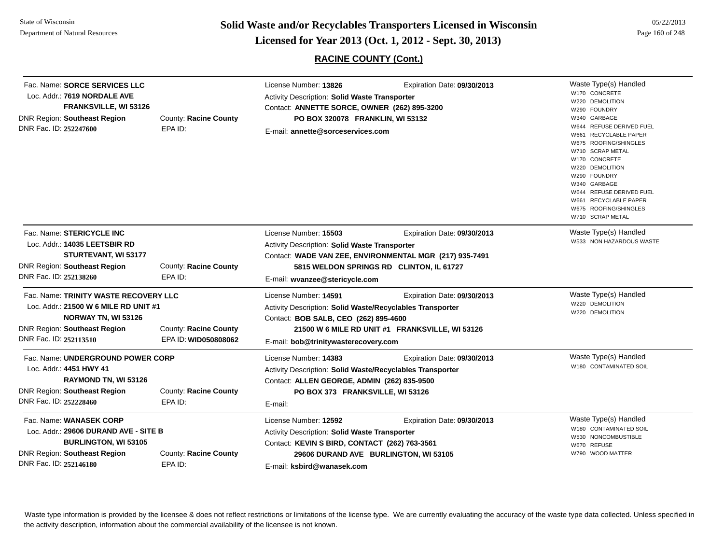**Page 160 of 248 <b>Licensed for Year 2013 (Oct. 1, 2012 - Sept. 30, 2013) Page 160 of 248 Licensed for Year 2013 (Oct. 1, 2012 - Sept. 30, 2013)** 

**RACINE COUNTY (Cont.)**

| DNR Fac. ID: 252247600 | Fac. Name: SORCE SERVICES LLC<br>Loc. Addr.: 7619 NORDALE AVE<br>FRANKSVILLE, WI 53126<br>DNR Region: Southeast Region                | County: Racine County<br>EPA ID:              | License Number: 13826<br>Activity Description: Solid Waste Transporter<br>Contact: ANNETTE SORCE, OWNER (262) 895-3200<br>PO BOX 320078 FRANKLIN, WI 53132<br>E-mail: annette@sorceservices.com | Expiration Date: 09/30/2013                                                                                                        | Waste Type(s) Handled<br>W170 CONCRETE<br>W220 DEMOLITION<br>W290 FOUNDRY<br>W340 GARBAGE<br>W644 REFUSE DERIVED FUEL<br>W661 RECYCLABLE PAPER<br>W675 ROOFING/SHINGLES<br>W710 SCRAP METAL<br>W170 CONCRETE<br>W220 DEMOLITION<br>W290 FOUNDRY<br>W340 GARBAGE<br>W644 REFUSE DERIVED FUEL<br>W661 RECYCLABLE PAPER<br>W675 ROOFING/SHINGLES<br>W710 SCRAP METAL |
|------------------------|---------------------------------------------------------------------------------------------------------------------------------------|-----------------------------------------------|-------------------------------------------------------------------------------------------------------------------------------------------------------------------------------------------------|------------------------------------------------------------------------------------------------------------------------------------|-------------------------------------------------------------------------------------------------------------------------------------------------------------------------------------------------------------------------------------------------------------------------------------------------------------------------------------------------------------------|
| DNR Fac. ID: 252138260 | Fac. Name: STERICYCLE INC<br>Loc. Addr.: 14035 LEETSBIR RD<br>STURTEVANT, WI 53177<br>DNR Region: Southeast Region                    | County: Racine County<br>EPA ID:              | License Number: 15503<br><b>Activity Description: Solid Waste Transporter</b><br>E-mail: wvanzee@stericycle.com                                                                                 | Expiration Date: 09/30/2013<br>Contact: WADE VAN ZEE, ENVIRONMENTAL MGR (217) 935-7491<br>5815 WELDON SPRINGS RD CLINTON, IL 61727 | Waste Type(s) Handled<br>W533 NON HAZARDOUS WASTE                                                                                                                                                                                                                                                                                                                 |
| DNR Fac. ID: 252113510 | Fac. Name: TRINITY WASTE RECOVERY LLC<br>Loc. Addr.: 21500 W 6 MILE RD UNIT #1<br>NORWAY TN, WI 53126<br>DNR Region: Southeast Region | County: Racine County<br>EPA ID: WID050808062 | License Number: 14591<br>Activity Description: Solid Waste/Recyclables Transporter<br>Contact: BOB SALB, CEO (262) 895-4600<br>E-mail: bob@trinitywasterecovery.com                             | Expiration Date: 09/30/2013<br>21500 W 6 MILE RD UNIT #1 FRANKSVILLE, WI 53126                                                     | Waste Type(s) Handled<br>W220 DEMOLITION<br>W220 DEMOLITION                                                                                                                                                                                                                                                                                                       |
| DNR Fac. ID: 252228460 | Fac. Name: UNDERGROUND POWER CORP<br>Loc. Addr.: 4451 HWY 41<br>RAYMOND TN, WI 53126<br>DNR Region: Southeast Region                  | County: Racine County<br>EPA ID:              | License Number: 14383<br>Activity Description: Solid Waste/Recyclables Transporter<br>Contact: ALLEN GEORGE, ADMIN (262) 835-9500<br>PO BOX 373 FRANKSVILLE, WI 53126<br>E-mail:                | Expiration Date: 09/30/2013                                                                                                        | Waste Type(s) Handled<br>W180 CONTAMINATED SOIL                                                                                                                                                                                                                                                                                                                   |
| DNR Fac. ID: 252146180 | Fac. Name: WANASEK CORP<br>Loc. Addr.: 29606 DURAND AVE - SITE B<br><b>BURLINGTON, WI 53105</b><br>DNR Region: Southeast Region       | County: Racine County<br>EPA ID:              | License Number: 12592<br>Activity Description: Solid Waste Transporter<br>Contact: KEVIN S BIRD, CONTACT (262) 763-3561<br>E-mail: ksbird@wanasek.com                                           | Expiration Date: 09/30/2013<br>29606 DURAND AVE BURLINGTON, WI 53105                                                               | Waste Type(s) Handled<br>W180 CONTAMINATED SOIL<br>W530 NONCOMBUSTIBLE<br>W670 REFUSE<br>W790 WOOD MATTER                                                                                                                                                                                                                                                         |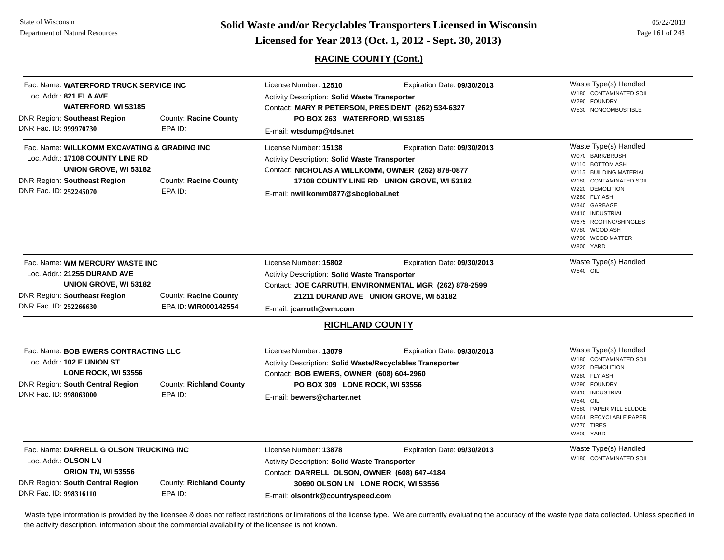**Page 161 of 248 <b>Licensed for Year 2013 (Oct. 1, 2012 - Sept. 30, 2013) Example 161 of 248 Licensed for Year 2013 (Oct. 1, 2012 - Sept. 30, 2013)** 

05/22/2013

## **RACINE COUNTY (Cont.)**

| Fac. Name: WATERFORD TRUCK SERVICE INC<br>Loc. Addr.: 821 ELA AVE<br><b>WATERFORD, WI 53185</b><br>DNR Region: Southeast Region<br>DNR Fac. ID: 999970730                                        | <b>County: Racine County</b><br>EPA ID:              | License Number: 12510<br><b>Activity Description: Solid Waste Transporter</b><br>Contact: MARY R PETERSON, PRESIDENT (262) 534-6327<br>PO BOX 263 WATERFORD, WI 53185<br>E-mail: wtsdump@tds.net                         | Expiration Date: 09/30/2013                                                                                                     | Waste Type(s) Handled<br>W180 CONTAMINATED SOIL<br>W290 FOUNDRY<br>W530 NONCOMBUSTIBLE                                                                                                                                                                           |
|--------------------------------------------------------------------------------------------------------------------------------------------------------------------------------------------------|------------------------------------------------------|--------------------------------------------------------------------------------------------------------------------------------------------------------------------------------------------------------------------------|---------------------------------------------------------------------------------------------------------------------------------|------------------------------------------------------------------------------------------------------------------------------------------------------------------------------------------------------------------------------------------------------------------|
| Fac. Name: WILLKOMM EXCAVATING & GRADING INC<br>Loc. Addr.: 17108 COUNTY LINE RD<br>UNION GROVE, WI 53182<br>DNR Region: Southeast Region<br>DNR Fac. ID: 252245070                              | <b>County: Racine County</b><br>EPA ID:              | License Number: 15138<br><b>Activity Description: Solid Waste Transporter</b><br>Contact: NICHOLAS A WILLKOMM, OWNER (262) 878-0877<br>E-mail: nwillkomm0877@sbcglobal.net                                               | Expiration Date: 09/30/2013<br>17108 COUNTY LINE RD UNION GROVE, WI 53182                                                       | Waste Type(s) Handled<br>W070 BARK/BRUSH<br>W110 BOTTOM ASH<br>W115 BUILDING MATERIAL<br>W180 CONTAMINATED SOIL<br>W220 DEMOLITION<br>W280 FLY ASH<br>W340 GARBAGE<br>W410 INDUSTRIAL<br>W675 ROOFING/SHINGLES<br>W780 WOOD ASH<br>W790 WOOD MATTER<br>W800 YARD |
| Fac. Name: WM MERCURY WASTE INC<br>Loc. Addr.: 21255 DURAND AVE<br>UNION GROVE, WI 53182<br><b>DNR Region: Southeast Region</b><br>DNR Fac. ID: 252266630                                        | <b>County: Racine County</b><br>EPA ID: WIR000142554 | License Number: 15802<br><b>Activity Description: Solid Waste Transporter</b><br>E-mail: jcarruth@wm.com                                                                                                                 | Expiration Date: 09/30/2013<br>Contact: JOE CARRUTH, ENVIRONMENTAL MGR (262) 878-2599<br>21211 DURAND AVE UNION GROVE, WI 53182 | Waste Type(s) Handled<br>W540 OIL                                                                                                                                                                                                                                |
| Fac. Name: BOB EWERS CONTRACTING LLC<br>Loc. Addr.: 102 E UNION ST<br>LONE ROCK, WI 53556<br>DNR Region: South Central Region<br>DNR Fac. ID: 998063000                                          | County: Richland County<br>EPA ID:                   | <b>RICHLAND COUNTY</b><br>License Number: 13079<br>Activity Description: Solid Waste/Recyclables Transporter<br>Contact: BOB EWERS, OWNER (608) 604-2960<br>PO BOX 309 LONE ROCK, WI 53556<br>E-mail: bewers@charter.net | Expiration Date: 09/30/2013                                                                                                     | Waste Type(s) Handled<br>W180 CONTAMINATED SOIL<br>W220 DEMOLITION<br>W280 FLY ASH<br>W290 FOUNDRY<br>W410 INDUSTRIAL<br>W540 OIL<br>W580 PAPER MILL SLUDGE<br>W661 RECYCLABLE PAPER<br>W770 TIRES<br>W800 YARD                                                  |
| Fac. Name: DARRELL G OLSON TRUCKING INC<br>Loc. Addr.: OLSON LN<br><b>ORION TN, WI 53556</b><br>DNR Region: South Central Region<br>County: Richland County<br>DNR Fac. ID: 998316110<br>EPA ID: |                                                      | License Number: 13878<br>Activity Description: Solid Waste Transporter<br>Contact: DARRELL OLSON, OWNER (608) 647-4184<br>30690 OLSON LN LONE ROCK, WI 53556<br>E-mail: olsontrk@countryspeed.com                        | Expiration Date: 09/30/2013                                                                                                     | Waste Type(s) Handled<br>W180 CONTAMINATED SOIL                                                                                                                                                                                                                  |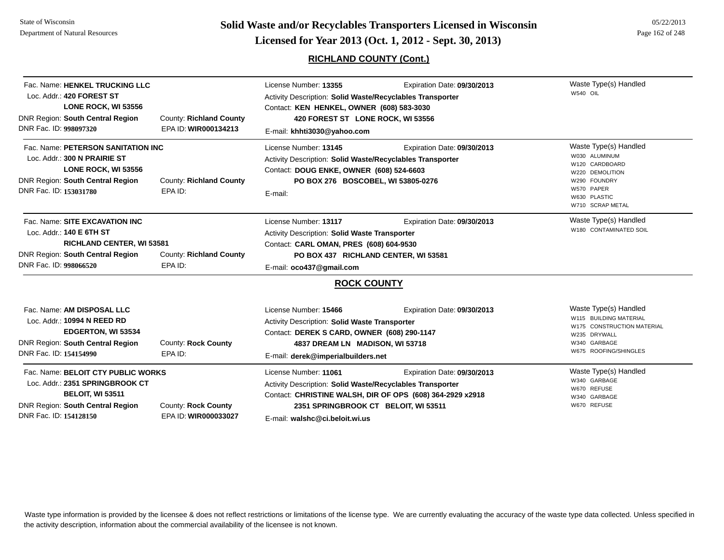# **Page 162 of 248 <b>Licensed for Year 2013 (Oct. 1, 2012 - Sept. 30, 2013) Page 162 of 248 Licensed for Year 2013 (Oct. 1, 2012 - Sept. 30, 2013)**

## **RICHLAND COUNTY (Cont.)**

| Fac. Name: HENKEL TRUCKING LLC<br>Loc. Addr.: 420 FOREST ST<br>LONE ROCK, WI 53556<br><b>DNR Region: South Central Region</b><br>DNR Fac. ID: 998097320               | <b>County: Richland County</b><br>EPA ID: WIR000134213 | License Number: 13355<br>Activity Description: Solid Waste/Recyclables Transporter<br>Contact: KEN HENKEL, OWNER (608) 583-3030<br>420 FOREST ST LONE ROCK, WI 53556<br>E-mail: khhti3030@yahoo.com   | Expiration Date: 09/30/2013                                                              | Waste Type(s) Handled<br>W540 OIL                                                                                                             |
|-----------------------------------------------------------------------------------------------------------------------------------------------------------------------|--------------------------------------------------------|-------------------------------------------------------------------------------------------------------------------------------------------------------------------------------------------------------|------------------------------------------------------------------------------------------|-----------------------------------------------------------------------------------------------------------------------------------------------|
| Fac. Name: PETERSON SANITATION INC<br>Loc. Addr.: 300 N PRAIRIE ST<br>LONE ROCK, WI 53556<br><b>DNR Region: South Central Region</b><br>DNR Fac. ID: 153031780        | County: Richland County<br>EPA ID:                     | License Number: 13145<br>Activity Description: Solid Waste/Recyclables Transporter<br>Contact: DOUG ENKE, OWNER (608) 524-6603<br>PO BOX 276 BOSCOBEL, WI 53805-0276<br>E-mail:                       | Expiration Date: 09/30/2013                                                              | Waste Type(s) Handled<br>W030 ALUMINUM<br>W120 CARDBOARD<br>W220 DEMOLITION<br>W290 FOUNDRY<br>W570 PAPER<br>W630 PLASTIC<br>W710 SCRAP METAL |
| Fac. Name: SITE EXCAVATION INC<br>Loc. Addr.: 140 E 6TH ST<br><b>RICHLAND CENTER, WI 53581</b><br><b>DNR Region: South Central Region</b><br>DNR Fac. ID: 998066520   | <b>County: Richland County</b><br>EPA ID:              | License Number: 13117<br>Activity Description: Solid Waste Transporter<br>Contact: CARL OMAN, PRES (608) 604-9530<br>PO BOX 437 RICHLAND CENTER, WI 53581<br>E-mail: oco437@gmail.com                 | Expiration Date: 09/30/2013                                                              | Waste Type(s) Handled<br>W180 CONTAMINATED SOIL                                                                                               |
|                                                                                                                                                                       |                                                        | <b>ROCK COUNTY</b>                                                                                                                                                                                    |                                                                                          |                                                                                                                                               |
| Fac. Name: AM DISPOSAL LLC<br>Loc. Addr.: 10994 N REED RD<br>EDGERTON, WI 53534<br><b>DNR Region: South Central Region</b><br>DNR Fac. ID: 154154990                  | <b>County: Rock County</b><br>EPA ID:                  | License Number: 15466<br><b>Activity Description: Solid Waste Transporter</b><br>Contact: DEREK S CARD, OWNER (608) 290-1147<br>4837 DREAM LN MADISON, WI 53718<br>E-mail: derek@imperialbuilders.net | Expiration Date: 09/30/2013                                                              | Waste Type(s) Handled<br>W115 BUILDING MATERIAL<br>W175 CONSTRUCTION MATERIAL<br>W235 DRYWALL<br>W340 GARBAGE<br>W675 ROOFING/SHINGLES        |
| Fac. Name: BELOIT CTY PUBLIC WORKS<br>Loc. Addr.: 2351 SPRINGBROOK CT<br><b>BELOIT, WI 53511</b><br><b>DNR Region: South Central Region</b><br>DNR Fac. ID: 154128150 | <b>County: Rock County</b><br>EPA ID: WIR000033027     | License Number: 11061<br><b>Activity Description: Solid Waste/Recyclables Transporter</b><br>2351 SPRINGBROOK CT BELOIT, WI 53511<br>E-mail: walshc@ci.beloit.wi.us                                   | Expiration Date: 09/30/2013<br>Contact: CHRISTINE WALSH, DIR OF OPS (608) 364-2929 x2918 | Waste Type(s) Handled<br>W340 GARBAGE<br>W670 REFUSE<br>W340 GARBAGE<br>W670 REFUSE                                                           |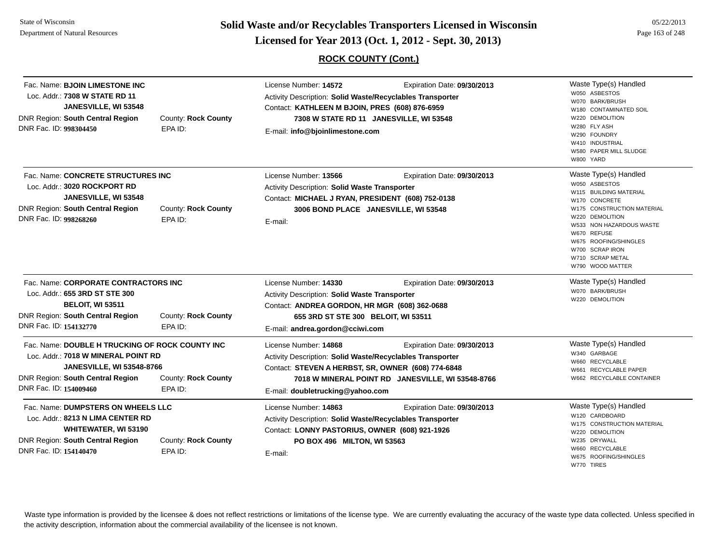**Page 163 of 248 <b>Licensed for Year 2013 (Oct. 1, 2012 - Sept. 30, 2013) Page 163 of 248 Licensed for Year 2013 (Oct. 1, 2012 - Sept. 30, 2013)** 

## **ROCK COUNTY (Cont.)**

| Fac. Name: BJOIN LIMESTONE INC<br>Loc. Addr.: 7308 W STATE RD 11<br>JANESVILLE, WI 53548<br>DNR Region: South Central Region<br>DNR Fac. ID: 998304450                                   | County: Rock County<br>EPA ID:        | License Number: 14572<br>Activity Description: Solid Waste/Recyclables Transporter<br>Contact: KATHLEEN M BJOIN, PRES (608) 876-6959<br>E-mail: info@bjoinlimestone.com                           | Expiration Date: 09/30/2013<br>7308 W STATE RD 11 JANESVILLE, WI 53548           | Waste Type(s) Handled<br>W050 ASBESTOS<br>W070 BARK/BRUSH<br>W180 CONTAMINATED SOIL<br>W220 DEMOLITION<br>W280 FLY ASH<br>W290 FOUNDRY<br>W410 INDUSTRIAL<br>W580 PAPER MILL SLUDGE<br>W800 YARD                                                                  |
|------------------------------------------------------------------------------------------------------------------------------------------------------------------------------------------|---------------------------------------|---------------------------------------------------------------------------------------------------------------------------------------------------------------------------------------------------|----------------------------------------------------------------------------------|-------------------------------------------------------------------------------------------------------------------------------------------------------------------------------------------------------------------------------------------------------------------|
| Fac. Name: CONCRETE STRUCTURES INC<br>Loc. Addr.: 3020 ROCKPORT RD<br>JANESVILLE, WI 53548<br><b>DNR Region: South Central Region</b><br>DNR Fac. ID: 998268260                          | County: Rock County<br>EPA ID:        | License Number: 13566<br><b>Activity Description: Solid Waste Transporter</b><br>Contact: MICHAEL J RYAN, PRESIDENT (608) 752-0138<br>3006 BOND PLACE JANESVILLE, WI 53548<br>E-mail:             | Expiration Date: 09/30/2013                                                      | Waste Type(s) Handled<br>W050 ASBESTOS<br>W115 BUILDING MATERIAL<br>W170 CONCRETE<br>W175 CONSTRUCTION MATERIAL<br>W220 DEMOLITION<br>W533 NON HAZARDOUS WASTE<br>W670 REFUSE<br>W675 ROOFING/SHINGLES<br>W700 SCRAP IRON<br>W710 SCRAP METAL<br>W790 WOOD MATTER |
| Fac. Name: CORPORATE CONTRACTORS INC<br>Loc. Addr.: 655 3RD ST STE 300<br><b>BELOIT, WI 53511</b><br>DNR Region: South Central Region<br>DNR Fac. ID: 154132770                          | County: Rock County<br>EPA ID:        | License Number: 14330<br>Activity Description: Solid Waste Transporter<br>Contact: ANDREA GORDON, HR MGR (608) 362-0688<br>655 3RD ST STE 300 BELOIT, WI 53511<br>E-mail: andrea.gordon@cciwi.com | Expiration Date: 09/30/2013                                                      | Waste Type(s) Handled<br>W070 BARK/BRUSH<br>W220 DEMOLITION                                                                                                                                                                                                       |
| Fac. Name: DOUBLE H TRUCKING OF ROCK COUNTY INC<br>Loc. Addr.: 7018 W MINERAL POINT RD<br><b>JANESVILLE, WI 53548-8766</b><br>DNR Region: South Central Region<br>DNR Fac. ID: 154009460 | <b>County: Rock County</b><br>EPA ID: | License Number: 14868<br>Activity Description: Solid Waste/Recyclables Transporter<br>Contact: STEVEN A HERBST, SR, OWNER (608) 774-6848<br>E-mail: doubletrucking@yahoo.com                      | Expiration Date: 09/30/2013<br>7018 W MINERAL POINT RD JANESVILLE, WI 53548-8766 | Waste Type(s) Handled<br>W340 GARBAGE<br>W660 RECYCLABLE<br>W661 RECYCLABLE PAPER<br>W662 RECYCLABLE CONTAINER                                                                                                                                                    |
| Fac. Name: DUMPSTERS ON WHEELS LLC<br>Loc. Addr.: 8213 N LIMA CENTER RD<br>WHITEWATER, WI 53190<br>DNR Region: South Central Region<br>DNR Fac. ID: 154140470                            | County: Rock County<br>EPA ID:        | License Number: 14863<br>Activity Description: Solid Waste/Recyclables Transporter<br>Contact: LONNY PASTORIUS, OWNER (608) 921-1926<br>PO BOX 496 MILTON, WI 53563<br>E-mail:                    | Expiration Date: 09/30/2013                                                      | Waste Type(s) Handled<br>W120 CARDBOARD<br>W175 CONSTRUCTION MATERIAL<br>W220 DEMOLITION<br>W235 DRYWALL<br>W660 RECYCLABLE<br>W675 ROOFING/SHINGLES<br>W770 TIRES                                                                                                |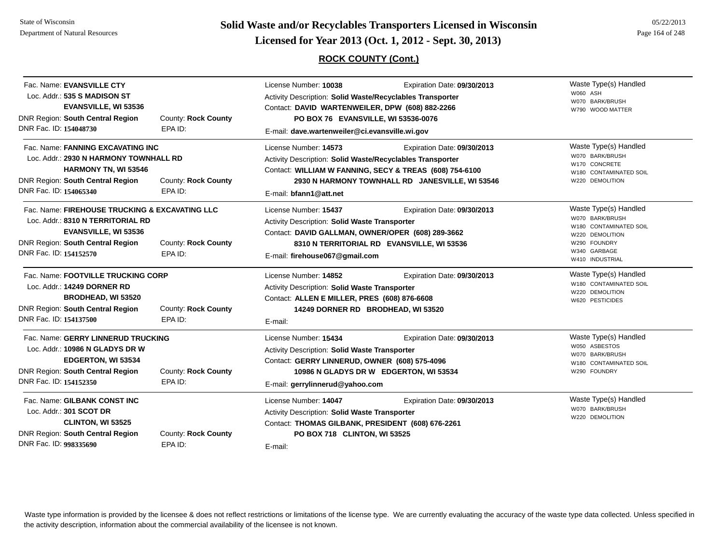State of WisconsinDepartment of Natural Resources

**Page 164 of 248 <b>Licensed for Year 2013 (Oct. 1, 2012 - Sept. 30, 2013) Page 164 of 248 Licensed for Year 2013 (Oct. 1, 2012 - Sept. 30, 2013)** 

## **ROCK COUNTY (Cont.)**

| Fac. Name: EVANSVILLE CTY<br>Loc. Addr.: 535 S MADISON ST<br><b>EVANSVILLE, WI 53536</b><br><b>DNR Region: South Central Region</b><br>DNR Fac. ID: 154048730                           | <b>County: Rock County</b><br>EPA ID: | License Number: 10038<br>Expiration Date: 09/30/2013<br>Activity Description: Solid Waste/Recyclables Transporter<br>Contact: DAVID WARTENWEILER, DPW (608) 882-2266<br>PO BOX 76 EVANSVILLE, WI 53536-0076<br>E-mail: dave.wartenweiler@ci.evansville.wi.gov | Waste Type(s) Handled<br>W060 ASH<br>W070 BARK/BRUSH<br>W790 WOOD MATTER                                                                 |
|-----------------------------------------------------------------------------------------------------------------------------------------------------------------------------------------|---------------------------------------|---------------------------------------------------------------------------------------------------------------------------------------------------------------------------------------------------------------------------------------------------------------|------------------------------------------------------------------------------------------------------------------------------------------|
| Fac. Name: FANNING EXCAVATING INC<br>Loc. Addr.: 2930 N HARMONY TOWNHALL RD<br><b>HARMONY TN, WI 53546</b><br><b>DNR Region: South Central Region</b><br>DNR Fac. ID: 154065340         | County: Rock County<br>EPA ID:        | License Number: 14573<br>Expiration Date: 09/30/2013<br>Activity Description: Solid Waste/Recyclables Transporter<br>Contact: WILLIAM W FANNING, SECY & TREAS (608) 754-6100<br>2930 N HARMONY TOWNHALL RD JANESVILLE, WI 53546<br>E-mail: bfann1@att.net     | Waste Type(s) Handled<br>W070 BARK/BRUSH<br>W170 CONCRETE<br>W180 CONTAMINATED SOIL<br>W220 DEMOLITION                                   |
| Fac. Name: FIREHOUSE TRUCKING & EXCAVATING LLC<br>Loc. Addr.: 8310 N TERRITORIAL RD<br><b>EVANSVILLE, WI 53536</b><br><b>DNR Region: South Central Region</b><br>DNR Fac. ID: 154152570 | County: Rock County<br>EPA ID:        | License Number: 15437<br>Expiration Date: 09/30/2013<br>Activity Description: Solid Waste Transporter<br>Contact: DAVID GALLMAN, OWNER/OPER (608) 289-3662<br>8310 N TERRITORIAL RD EVANSVILLE, WI 53536<br>E-mail: firehouse067@gmail.com                    | Waste Type(s) Handled<br>W070 BARK/BRUSH<br>W180 CONTAMINATED SOIL<br>W220 DEMOLITION<br>W290 FOUNDRY<br>W340 GARBAGE<br>W410 INDUSTRIAL |
| Fac. Name: FOOTVILLE TRUCKING CORP<br>Loc. Addr.: 14249 DORNER RD<br><b>BRODHEAD, WI 53520</b><br><b>DNR Region: South Central Region</b><br>DNR Fac. ID: 154137500                     | <b>County: Rock County</b><br>EPA ID: | License Number: 14852<br>Expiration Date: 09/30/2013<br><b>Activity Description: Solid Waste Transporter</b><br>Contact: ALLEN E MILLER, PRES (608) 876-6608<br>14249 DORNER RD BRODHEAD, WI 53520<br>E-mail:                                                 | Waste Type(s) Handled<br>W180 CONTAMINATED SOIL<br>W220 DEMOLITION<br>W620 PESTICIDES                                                    |
| Fac. Name: GERRY LINNERUD TRUCKING<br>Loc. Addr.: 10986 N GLADYS DR W<br>EDGERTON, WI 53534<br><b>DNR Region: South Central Region</b><br>DNR Fac. ID: 154152350                        | County: Rock County<br>EPA ID:        | License Number: 15434<br>Expiration Date: 09/30/2013<br>Activity Description: Solid Waste Transporter<br>Contact: GERRY LINNERUD, OWNER (608) 575-4096<br>10986 N GLADYS DR W EDGERTON, WI 53534<br>E-mail: gerrylinnerud@yahoo.com                           | Waste Type(s) Handled<br>W050 ASBESTOS<br>W070 BARK/BRUSH<br>W180 CONTAMINATED SOIL<br>W290 FOUNDRY                                      |
| Fac. Name: GILBANK CONST INC<br>Loc. Addr.: 301 SCOT DR<br>CLINTON, WI 53525<br><b>DNR Region: South Central Region</b><br>DNR Fac. ID: 998335690                                       | <b>County: Rock County</b><br>EPA ID: | License Number: 14047<br>Expiration Date: 09/30/2013<br>Activity Description: Solid Waste Transporter<br>Contact: THOMAS GILBANK, PRESIDENT (608) 676-2261<br>PO BOX 718 CLINTON, WI 53525<br>E-mail:                                                         | Waste Type(s) Handled<br>W070 BARK/BRUSH<br>W220 DEMOLITION                                                                              |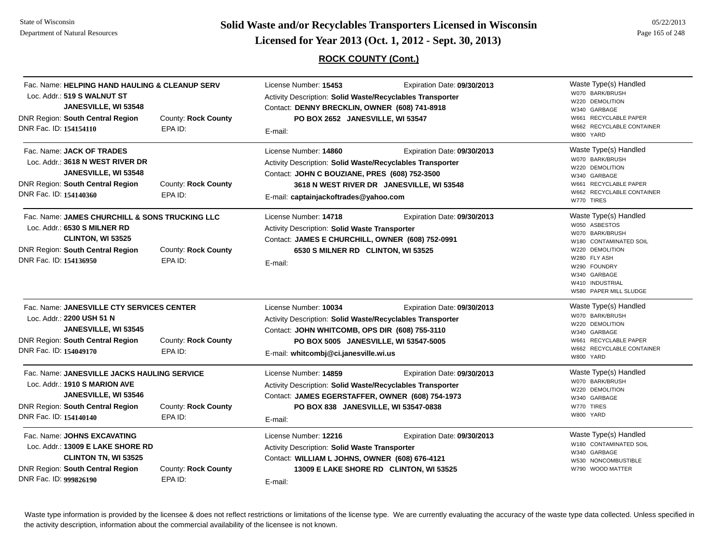**Page 165 of 248 <b>Licensed for Year 2013 (Oct. 1, 2012 - Sept. 30, 2013) Page 165 of 248 Licensed for Year 2013 (Oct. 1, 2012 - Sept. 30, 2013)** 

## **ROCK COUNTY (Cont.)**

| Fac. Name: HELPING HAND HAULING & CLEANUP SERV<br>Loc. Addr.: 519 S WALNUT ST<br>JANESVILLE, WI 53548<br><b>DNR Region: South Central Region</b><br>DNR Fac. ID: 154154110                             | <b>County: Rock County</b><br>EPA ID: | License Number: 15453<br>Expiration Date: 09/30/2013<br>Activity Description: Solid Waste/Recyclables Transporter<br>Contact: DENNY BRECKLIN, OWNER (608) 741-8918<br>PO BOX 2652 JANESVILLE, WI 53547<br>E-mail:                                            | Waste Type(s) Handled<br>W070 BARK/BRUSH<br>W220 DEMOLITION<br>W340 GARBAGE<br>W661 RECYCLABLE PAPER<br>W662 RECYCLABLE CONTAINER<br>W800 YARD                                                      |
|--------------------------------------------------------------------------------------------------------------------------------------------------------------------------------------------------------|---------------------------------------|--------------------------------------------------------------------------------------------------------------------------------------------------------------------------------------------------------------------------------------------------------------|-----------------------------------------------------------------------------------------------------------------------------------------------------------------------------------------------------|
| Fac. Name: JACK OF TRADES<br>Loc. Addr.: 3618 N WEST RIVER DR<br>JANESVILLE, WI 53548<br><b>DNR Region: South Central Region</b><br>DNR Fac. ID: 154140360                                             | <b>County: Rock County</b><br>EPA ID: | License Number: 14860<br>Expiration Date: 09/30/2013<br>Activity Description: Solid Waste/Recyclables Transporter<br>Contact: JOHN C BOUZIANE, PRES (608) 752-3500<br>3618 N WEST RIVER DR JANESVILLE, WI 53548<br>E-mail: captainjackoftrades@yahoo.com     | Waste Type(s) Handled<br>W070 BARK/BRUSH<br>W220 DEMOLITION<br>W340 GARBAGE<br>W661 RECYCLABLE PAPER<br>W662 RECYCLABLE CONTAINER<br>W770 TIRES                                                     |
| Fac. Name: JAMES CHURCHILL & SONS TRUCKING LLC<br>Loc. Addr.: 6530 S MILNER RD<br>CLINTON, WI 53525<br><b>DNR Region: South Central Region</b><br>DNR Fac. ID: 154136950                               | County: Rock County<br>EPA ID:        | License Number: 14718<br>Expiration Date: 09/30/2013<br>Activity Description: Solid Waste Transporter<br>Contact: JAMES E CHURCHILL, OWNER (608) 752-0991<br>6530 S MILNER RD CLINTON, WI 53525<br>E-mail:                                                   | Waste Type(s) Handled<br>W050 ASBESTOS<br>W070 BARK/BRUSH<br>W180 CONTAMINATED SOIL<br>W220 DEMOLITION<br>W280 FLY ASH<br>W290 FOUNDRY<br>W340 GARBAGE<br>W410 INDUSTRIAL<br>W580 PAPER MILL SLUDGE |
| Fac. Name: JANESVILLE CTY SERVICES CENTER<br>Loc. Addr.: 2200 USH 51 N<br>JANESVILLE, WI 53545<br><b>DNR Region: South Central Region</b><br>County: Rock County<br>DNR Fac. ID: 154049170<br>EPA ID:  |                                       | License Number: 10034<br>Expiration Date: 09/30/2013<br><b>Activity Description: Solid Waste/Recyclables Transporter</b><br>Contact: JOHN WHITCOMB, OPS DIR (608) 755-3110<br>PO BOX 5005 JANESVILLE, WI 53547-5005<br>E-mail: whitcombj@ci.janesville.wi.us | Waste Type(s) Handled<br>W070 BARK/BRUSH<br>W220 DEMOLITION<br>W340 GARBAGE<br>W661 RECYCLABLE PAPER<br>W662 RECYCLABLE CONTAINER<br>W800 YARD                                                      |
| Fac. Name: JANESVILLE JACKS HAULING SERVICE<br>Loc. Addr.: 1910 S MARION AVE<br>JANESVILLE, WI 53546<br>DNR Region: South Central Region<br>DNR Fac. ID: 154140140                                     | <b>County: Rock County</b><br>EPA ID: | License Number: 14859<br>Expiration Date: 09/30/2013<br>Activity Description: Solid Waste/Recyclables Transporter<br>Contact: JAMES EGERSTAFFER, OWNER (608) 754-1973<br>PO BOX 838 JANESVILLE, WI 53547-0838<br>E-mail:                                     | Waste Type(s) Handled<br>W070 BARK/BRUSH<br>W220 DEMOLITION<br>W340 GARBAGE<br>W770 TIRES<br>W800 YARD                                                                                              |
| Fac. Name: JOHNS EXCAVATING<br>Loc. Addr.: 13009 E LAKE SHORE RD<br>CLINTON TN, WI 53525<br><b>DNR Region: South Central Region</b><br><b>County: Rock County</b><br>DNR Fac. ID: 999826190<br>EPA ID: |                                       | License Number: 12216<br>Expiration Date: 09/30/2013<br>Activity Description: Solid Waste Transporter<br>Contact: WILLIAM L JOHNS, OWNER (608) 676-4121<br>13009 E LAKE SHORE RD CLINTON, WI 53525<br>E-mail:                                                | Waste Type(s) Handled<br>W180 CONTAMINATED SOIL<br>W340 GARBAGE<br>W530 NONCOMBUSTIBLE<br>W790 WOOD MATTER                                                                                          |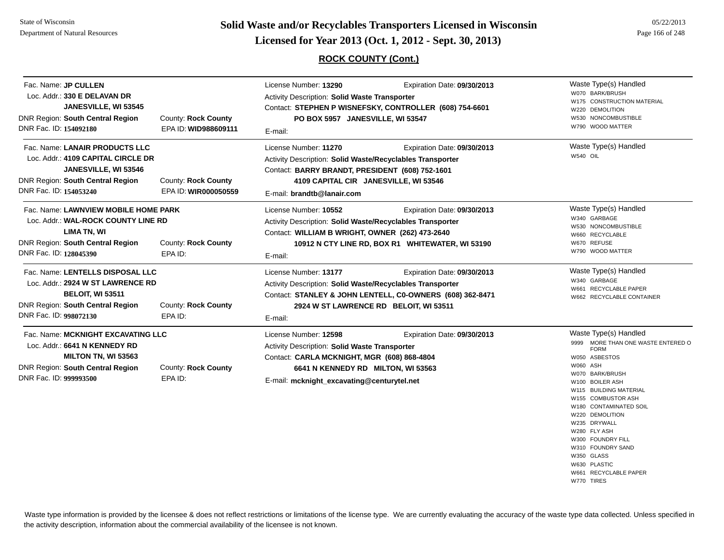**Page 166 of 248 <b>Licensed for Year 2013 (Oct. 1, 2012 - Sept. 30, 2013) Page 166 of 248 Licensed for Year 2013 (Oct. 1, 2012 - Sept. 30, 2013)** 

## **ROCK COUNTY (Cont.)**

05/22/2013

| Fac. Name: JP CULLEN<br>Loc. Addr.: 330 E DELAVAN DR<br>JANESVILLE, WI 53545<br><b>DNR Region: South Central Region</b><br>DNR Fac. ID: 154092180                                                               | <b>County: Rock County</b><br>EPA ID: WID988609111 | License Number: 13290<br>Expiration Date: 09/30/2013<br><b>Activity Description: Solid Waste Transporter</b><br>Contact: STEPHEN P WISNEFSKY, CONTROLLER (608) 754-6601<br>PO BOX 5957 JANESVILLE, WI 53547<br>E-mail:                      | Waste Type(s) Handled<br>W070 BARK/BRUSH<br>W175 CONSTRUCTION MATERIAL<br>W220 DEMOLITION<br>W530 NONCOMBUSTIBLE<br>W790 WOOD MATTER                                                                                                                                                                                                                                                         |
|-----------------------------------------------------------------------------------------------------------------------------------------------------------------------------------------------------------------|----------------------------------------------------|---------------------------------------------------------------------------------------------------------------------------------------------------------------------------------------------------------------------------------------------|----------------------------------------------------------------------------------------------------------------------------------------------------------------------------------------------------------------------------------------------------------------------------------------------------------------------------------------------------------------------------------------------|
| Fac. Name: LANAIR PRODUCTS LLC<br>Loc. Addr.: 4109 CAPITAL CIRCLE DR<br>JANESVILLE, WI 53546<br><b>DNR Region: South Central Region</b><br>DNR Fac. ID: 154053240                                               | <b>County: Rock County</b><br>EPA ID: WIR000050559 | License Number: 11270<br>Expiration Date: 09/30/2013<br>Activity Description: Solid Waste/Recyclables Transporter<br>Contact: BARRY BRANDT, PRESIDENT (608) 752-1601<br>4109 CAPITAL CIR JANESVILLE, WI 53546<br>E-mail: brandtb@lanair.com | Waste Type(s) Handled<br>W540 OIL                                                                                                                                                                                                                                                                                                                                                            |
| Fac. Name: LAWNVIEW MOBILE HOME PARK<br>Loc. Addr.: WAL-ROCK COUNTY LINE RD<br><b>LIMA TN, WI</b><br><b>DNR Region: South Central Region</b><br><b>County: Rock County</b><br>DNR Fac. ID: 128045390<br>EPA ID: |                                                    | License Number: 10552<br>Expiration Date: 09/30/2013<br>Activity Description: Solid Waste/Recyclables Transporter<br>Contact: WILLIAM B WRIGHT, OWNER (262) 473-2640<br>10912 N CTY LINE RD, BOX R1 WHITEWATER, WI 53190<br>E-mail:         | Waste Type(s) Handled<br>W340 GARBAGE<br>W530 NONCOMBUSTIBLE<br>W660 RECYCLABLE<br>W670 REFUSE<br>W790 WOOD MATTER                                                                                                                                                                                                                                                                           |
| Fac. Name: LENTELLS DISPOSAL LLC<br>Loc. Addr.: 2924 W ST LAWRENCE RD<br><b>BELOIT, WI 53511</b><br><b>DNR Region: South Central Region</b><br>DNR Fac. ID: 998072130                                           | County: Rock County<br>EPA ID:                     | License Number: 13177<br>Expiration Date: 09/30/2013<br>Activity Description: Solid Waste/Recyclables Transporter<br>Contact: STANLEY & JOHN LENTELL, C0-OWNERS (608) 362-8471<br>2924 W ST LAWRENCE RD BELOIT, WI 53511<br>E-mail:         | Waste Type(s) Handled<br>W340 GARBAGE<br>W661 RECYCLABLE PAPER<br>W662 RECYCLABLE CONTAINER                                                                                                                                                                                                                                                                                                  |
| Fac. Name: MCKNIGHT EXCAVATING LLC<br>Loc. Addr.: 6641 N KENNEDY RD<br><b>MILTON TN, WI 53563</b><br><b>DNR Region: South Central Region</b><br>DNR Fac. ID: 999993500                                          | <b>County: Rock County</b><br>EPA ID:              | Expiration Date: 09/30/2013<br>License Number: 12598<br>Activity Description: Solid Waste Transporter<br>Contact: CARLA MCKNIGHT, MGR (608) 868-4804<br>6641 N KENNEDY RD MILTON, WI 53563<br>E-mail: mcknight_excavating@centurytel.net    | Waste Type(s) Handled<br>MORE THAN ONE WASTE ENTERED O<br>9999<br><b>FORM</b><br>W050 ASBESTOS<br>W060 ASH<br>W070 BARK/BRUSH<br>W100 BOILER ASH<br>W115 BUILDING MATERIAL<br>W155 COMBUSTOR ASH<br>W180 CONTAMINATED SOIL<br>W220 DEMOLITION<br>W235 DRYWALL<br>W280 FLY ASH<br>W300 FOUNDRY FILL<br>W310 FOUNDRY SAND<br>W350 GLASS<br>W630 PLASTIC<br>W661 RECYCLABLE PAPER<br>W770 TIRES |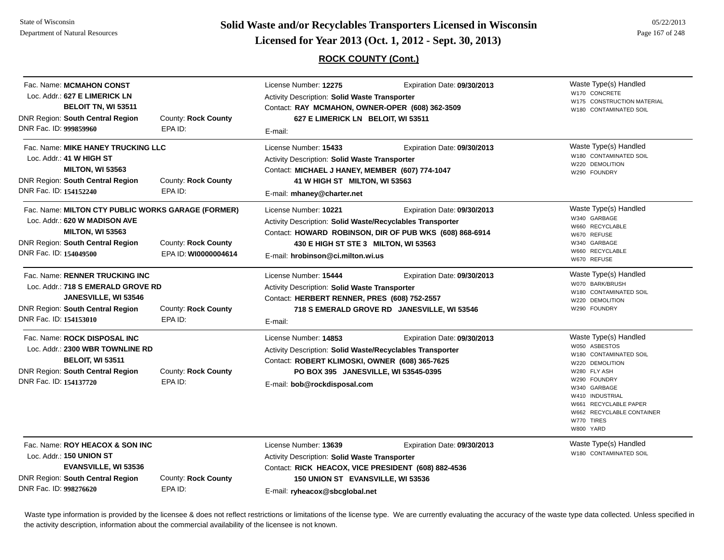Fac. Name: **MCMAHON CONST**Loc. Addr.: **627 E LIMERICK LN**

DNR Region: **South Central Region**

Loc. Addr.: **41 W HIGH ST**

DNR Region: **South Central Region**

DNR Fac. ID: **999859960**

DNR Fac. ID: **154152240**

**BELOIT TN, WI 53511**

Fac. Name: **MIKE HANEY TRUCKING LLC**

**MILTON, WI 53563**

**Page 167 of 248 <b>EXECUTE:** Solid Waste and/or Recyclables Transporters Licensed in Wisconsin<br> **Licensed for Year 2013 (Oct. 1, 2012 - Sept. 30, 2013)** Page 167 of 248

Activity Description: **Solid Waste/Recyclables Transporter**

**430 E HIGH ST STE 3 MILTON, WI 53563**

Contact: **HOWARD ROBINSON, DIR OF PUB WKS (608) 868-6914**

|                                                                                                                                                                        | $\alpha$ and $\alpha$ is the same of $\alpha$ is the same of $\alpha$ is $\alpha$ |                                                                                                |
|------------------------------------------------------------------------------------------------------------------------------------------------------------------------|-----------------------------------------------------------------------------------|------------------------------------------------------------------------------------------------|
| <b>ROCK COUNTY (Cont.)</b>                                                                                                                                             |                                                                                   |                                                                                                |
| License Number: 12275<br><b>Activity Description: Solid Waste Transporter</b><br>Contact: RAY MCMAHON, OWNER-OPER (608) 362-3509<br>627 E LIMERICK LN BELOIT, WI 53511 | Expiration Date: 09/30/2013                                                       | Waste Type(s) Handled<br>W170 CONCRETE<br>W175 CONSTRUCTION MATERIAL<br>W180 CONTAMINATED SOIL |
| E-mail:<br>License Number: 15433                                                                                                                                       | Expiration Date: 09/30/2013                                                       | Waste Type(s) Handled                                                                          |
| <b>Activity Description: Solid Waste Transporter</b><br>Contact: MICHAEL J HANEY, MEMBER (607) 774-1047<br>41 W HIGH ST MILTON, WI 53563                               |                                                                                   | W180 CONTAMINATED SOIL<br>W220 DEMOLITION<br>W290 FOUNDRY                                      |
| E-mail: mhaney@charter.net                                                                                                                                             |                                                                                   |                                                                                                |

Expiration Date: **09/30/2013** 

Expiration Date: **09/30/2013** 

Fac. Name: **MILTON CTY PUBLIC WORKS GARAGE (FORMER)** Loc. Addr.: **620 W MADISON AVEMILTON, WI 53563** DNR Region: **South Central Region** DNR Fac. ID: **154049500**County: **Rock County** EPA ID: **WI0000004614**

Waste Type(s) Handled W070 BARK/BRUSHFac. Name: **RENNER TRUCKING INC**Loc. Addr.: **718 S EMERALD GROVE RDJANESVILLE, WI 53546** DNR Region: **South Central Region** DNR Fac. ID: **154153010**County: **Rock County** EPA ID:License Number: **15444** Expiration Date: **09/30/2013**  Activity Description: **Solid Waste Transporter** Contact: **HERBERT RENNER, PRES (608) 752-2557** E-mail: **718 S EMERALD GROVE RD JANESVILLE, WI 53546** Fac. Name: **ROCK DISPOSAL INC**Loc. Addr.: **2300 WBR TOWNLINE RDBELOIT, WI 53511** DNR Region: **South Central Region** DNR Fac. ID: **154137720**County: **Rock County** EPA ID:License Number: **14853** Expiration Date: **09/30/2013**  Activity Description: **Solid Waste/Recyclables Transporter** Contact: **ROBERT KLIMOSKI, OWNER (608) 365-7625** E-mail: **bob@rockdisposal.com PO BOX 395 JANESVILLE, WI 53545-0395**

License Number: **13639**

License Number: **10221**

E-mail: **hrobinson@ci.milton.wi.us**

W180 CONTAMINATED SOILW220 DEMOLITIONW290 FOUNDRYWaste Type(s) Handled W050 ASBESTOSW180 CONTAMINATED SOILW220 DEMOLITIONW280 FLY ASHW290 FOUNDRYW340 GARBAGEW410 INDUSTRIALW661 RECYCLABLE PAPERW662 RECYCLABLE CONTAINER

Waste Type(s) Handled W180 CONTAMINATED SOIL

W770 TIRESW800 YARD

Waste Type(s) Handled W340 GARBAGEW660 RECYCLABLEW670 REFUSEW340 GARBAGEW660 RECYCLABLEW670 REFUSE

Fac. Name: **ROY HEACOX & SON INC**Loc. Addr.: **150 UNION STEVANSVILLE, WI 53536** DNR Region: **South Central Region** DNR Fac. ID: **998276620**

County: **Rock County** EPA ID:

County: **Rock County**

County: **Rock County**

EPA ID:

EPA ID:

Activity Description: **Solid Waste Transporter** Contact: **RICK HEACOX, VICE PRESIDENT (608) 882-4536** E-mail: **ryheacox@sbcglobal.net 150 UNION ST EVANSVILLE, WI 53536**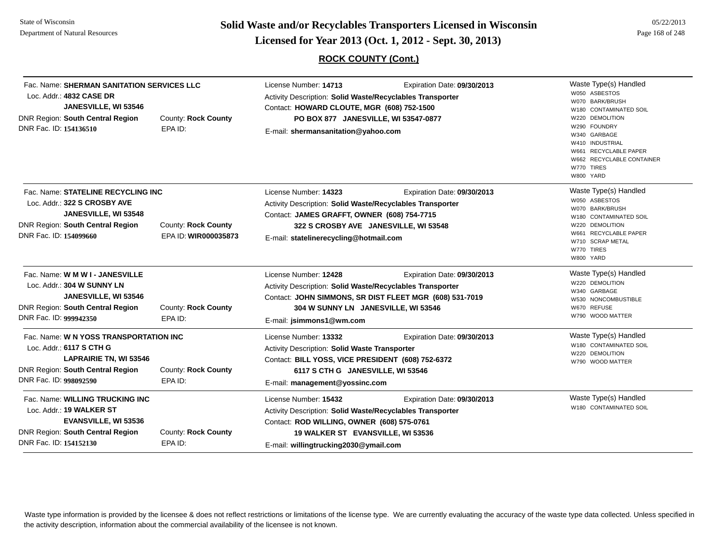**Solid Waste and/or Recyclables Transporters Licensed in Wisconsin<br>Licensed for Year 2013 (Oct. 1, 2012 - Sept. 30, 2013)** 

## **ROCK COUNTY (Cont.)**

| 05/22/2013      |
|-----------------|
| Page 168 of 248 |

| Fac. Name: SHERMAN SANITATION SERVICES LLC<br>Loc. Addr.: 4832 CASE DR<br>JANESVILLE, WI 53546<br>DNR Region: South Central Region<br>DNR Fac. ID: 154136510      | <b>County: Rock County</b><br>EPA ID:       | License Number: 14713<br>Activity Description: Solid Waste/Recyclables Transporter<br>Contact: HOWARD CLOUTE, MGR (608) 752-1500<br>PO BOX 877 JANESVILLE, WI 53547-0877<br>E-mail: shermansanitation@yahoo.com      | Expiration Date: 09/30/2013                                                            | Waste Type(s) Handled<br>W050 ASBESTOS<br>W070 BARK/BRUSH<br>W180 CONTAMINATED SOIL<br><b>DEMOLITION</b><br>W220<br>W290 FOUNDRY<br>W340 GARBAGE<br>W410 INDUSTRIAL<br>W661 RECYCLABLE PAPER<br>W662 RECYCLABLE CONTAINER<br>W770 TIRES<br>W800 YARD |
|-------------------------------------------------------------------------------------------------------------------------------------------------------------------|---------------------------------------------|----------------------------------------------------------------------------------------------------------------------------------------------------------------------------------------------------------------------|----------------------------------------------------------------------------------------|------------------------------------------------------------------------------------------------------------------------------------------------------------------------------------------------------------------------------------------------------|
| Fac. Name: STATELINE RECYCLING INC<br>Loc. Addr.: 322 S CROSBY AVE<br>JANESVILLE, WI 53548<br>DNR Region: South Central Region<br>DNR Fac. ID: 154099660          | County: Rock County<br>EPA ID: WIR000035873 | License Number: 14323<br>Activity Description: Solid Waste/Recyclables Transporter<br>Contact: JAMES GRAFFT, OWNER (608) 754-7715<br>322 S CROSBY AVE JANESVILLE, WI 53548<br>E-mail: statelinerecycling@hotmail.com | Expiration Date: 09/30/2013                                                            | Waste Type(s) Handled<br>W050 ASBESTOS<br>W070 BARK/BRUSH<br>W180 CONTAMINATED SOIL<br>W220 DEMOLITION<br><b>RECYCLABLE PAPER</b><br>W661<br>W710 SCRAP METAL<br>W770 TIRES<br>W800 YARD                                                             |
| Fac. Name: W M W I - JANESVILLE<br>Loc. Addr.: 304 W SUNNY LN<br>JANESVILLE, WI 53546<br>DNR Region: South Central Region<br>DNR Fac. ID: 999942350               | County: Rock County<br>EPA ID:              | License Number: 12428<br>Activity Description: Solid Waste/Recyclables Transporter<br>304 W SUNNY LN JANESVILLE, WI 53546<br>E-mail: jsimmons1@wm.com                                                                | Expiration Date: 09/30/2013<br>Contact: JOHN SIMMONS, SR DIST FLEET MGR (608) 531-7019 | Waste Type(s) Handled<br>W220 DEMOLITION<br>W340 GARBAGE<br>W530 NONCOMBUSTIBLE<br>W670 REFUSE<br>W790 WOOD MATTER                                                                                                                                   |
| Fac. Name: W N YOSS TRANSPORTATION INC<br>Loc. Addr.: 6117 S CTH G<br><b>LAPRAIRIE TN, WI 53546</b><br>DNR Region: South Central Region<br>DNR Fac. ID: 998092590 | County: Rock County<br>EPA ID:              | License Number: 13332<br>Activity Description: Solid Waste Transporter<br>Contact: BILL YOSS, VICE PRESIDENT (608) 752-6372<br>6117 S CTH G JANESVILLE, WI 53546<br>E-mail: management@yossinc.com                   | Expiration Date: 09/30/2013                                                            | Waste Type(s) Handled<br>W180 CONTAMINATED SOIL<br>W220 DEMOLITION<br>W790 WOOD MATTER                                                                                                                                                               |
| Fac. Name: WILLING TRUCKING INC<br>Loc. Addr.: 19 WALKER ST<br><b>EVANSVILLE, WI 53536</b><br>DNR Region: South Central Region<br>DNR Fac. ID: 154152130          | County: Rock County<br>EPA ID:              | License Number: 15432<br>Activity Description: Solid Waste/Recyclables Transporter<br>Contact: ROD WILLING, OWNER (608) 575-0761<br>19 WALKER ST EVANSVILLE, WI 53536<br>E-mail: willingtrucking2030@ymail.com       | Expiration Date: 09/30/2013                                                            | Waste Type(s) Handled<br>W180 CONTAMINATED SOIL                                                                                                                                                                                                      |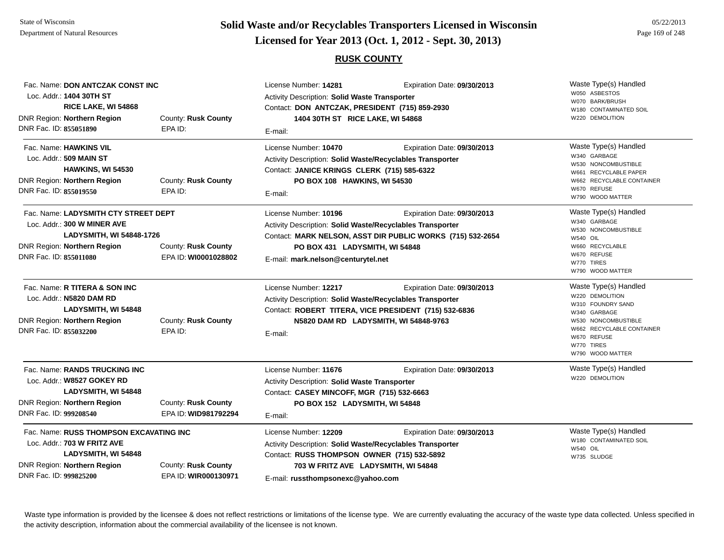# **Page 169 of 248 <b>Licensed for Year 2013 (Oct. 1, 2012 - Sept. 30, 2013) Page 169 of 248 Licensed for Year 2013 (Oct. 1, 2012 - Sept. 30, 2013)**

### **RUSK COUNTY**

| Fac. Name: DON ANTCZAK CONST INC<br>Loc. Addr.: 1404 30TH ST<br>RICE LAKE, WI 54868<br>DNR Region: Northern Region                                       | County: Rusk County                         | License Number: 14281<br>Activity Description: Solid Waste Transporter<br>Contact: DON ANTCZAK, PRESIDENT (715) 859-2930<br>1404 30TH ST RICE LAKE, WI 54868                                                  | Expiration Date: 09/30/2013                                                               | Waste Type(s) Handled<br>W050 ASBESTOS<br>W070 BARK/BRUSH<br>W180 CONTAMINATED SOIL<br>W220 DEMOLITION                                                                             |
|----------------------------------------------------------------------------------------------------------------------------------------------------------|---------------------------------------------|---------------------------------------------------------------------------------------------------------------------------------------------------------------------------------------------------------------|-------------------------------------------------------------------------------------------|------------------------------------------------------------------------------------------------------------------------------------------------------------------------------------|
| DNR Fac. ID: 855051890                                                                                                                                   | EPA ID:                                     | E-mail:                                                                                                                                                                                                       |                                                                                           |                                                                                                                                                                                    |
| Fac. Name: HAWKINS VIL<br>Loc. Addr.: 509 MAIN ST<br>HAWKINS, WI 54530<br><b>DNR Region: Northern Region</b><br>DNR Fac. ID: 855019550                   | County: Rusk County<br>EPA ID:              | License Number: 10470<br>Activity Description: Solid Waste/Recyclables Transporter<br>Contact: JANICE KRINGS CLERK (715) 585-6322<br>PO BOX 108 HAWKINS, WI 54530<br>E-mail:                                  | Expiration Date: 09/30/2013                                                               | Waste Type(s) Handled<br>W340 GARBAGE<br>W530 NONCOMBUSTIBLE<br>W661 RECYCLABLE PAPER<br>W662 RECYCLABLE CONTAINER<br>W670 REFUSE<br>W790 WOOD MATTER                              |
| Fac. Name: LADYSMITH CTY STREET DEPT<br>Loc. Addr.: 300 W MINER AVE<br>LADYSMITH, WI 54848-1726<br>DNR Region: Northern Region<br>DNR Fac. ID: 855011080 | County: Rusk County<br>EPA ID: WI0001028802 | License Number: 10196<br>Activity Description: Solid Waste/Recyclables Transporter<br>PO BOX 431 LADYSMITH, WI 54848<br>E-mail: mark.nelson@centurytel.net                                                    | Expiration Date: 09/30/2013<br>Contact: MARK NELSON, ASST DIR PUBLIC WORKS (715) 532-2654 | Waste Type(s) Handled<br>W340 GARBAGE<br>W530 NONCOMBUSTIBLE<br><b>W540 OIL</b><br>W660 RECYCLABLE<br>W670 REFUSE<br>W770 TIRES<br>W790 WOOD MATTER                                |
| Fac. Name: R TITERA & SON INC<br>Loc. Addr.: N5820 DAM RD<br>LADYSMITH, WI 54848<br>DNR Region: Northern Region<br>DNR Fac. ID: 855032200                | County: Rusk County<br>EPA ID:              | License Number: 12217<br>Activity Description: Solid Waste/Recyclables Transporter<br>Contact: ROBERT TITERA, VICE PRESIDENT (715) 532-6836<br>N5820 DAM RD LADYSMITH, WI 54848-9763<br>E-mail:               | Expiration Date: 09/30/2013                                                               | Waste Type(s) Handled<br>W220 DEMOLITION<br>W310 FOUNDRY SAND<br>W340 GARBAGE<br>W530 NONCOMBUSTIBLE<br>W662 RECYCLABLE CONTAINER<br>W670 REFUSE<br>W770 TIRES<br>W790 WOOD MATTER |
| Fac. Name: RANDS TRUCKING INC<br>Loc. Addr.: W8527 GOKEY RD<br>LADYSMITH, WI 54848<br>DNR Region: Northern Region<br>DNR Fac. ID: 999208540              | County: Rusk County<br>EPA ID: WID981792294 | License Number: 11676<br>Activity Description: Solid Waste Transporter<br>Contact: CASEY MINCOFF, MGR (715) 532-6663<br>PO BOX 152 LADYSMITH, WI 54848<br>E-mail:                                             | Expiration Date: 09/30/2013                                                               | Waste Type(s) Handled<br>W220 DEMOLITION                                                                                                                                           |
| Fac. Name: RUSS THOMPSON EXCAVATING INC<br>Loc. Addr.: 703 W FRITZ AVE<br>LADYSMITH, WI 54848<br>DNR Region: Northern Region<br>DNR Fac. ID: 999825200   | County: Rusk County<br>EPA ID: WIR000130971 | License Number: 12209<br>Activity Description: Solid Waste/Recyclables Transporter<br>Contact: RUSS THOMPSON OWNER (715) 532-5892<br>703 W FRITZ AVE LADYSMITH, WI 54848<br>E-mail: russthompsonexc@yahoo.com | Expiration Date: 09/30/2013                                                               | Waste Type(s) Handled<br>W180 CONTAMINATED SOIL<br>W540 OIL<br>W735 SLUDGE                                                                                                         |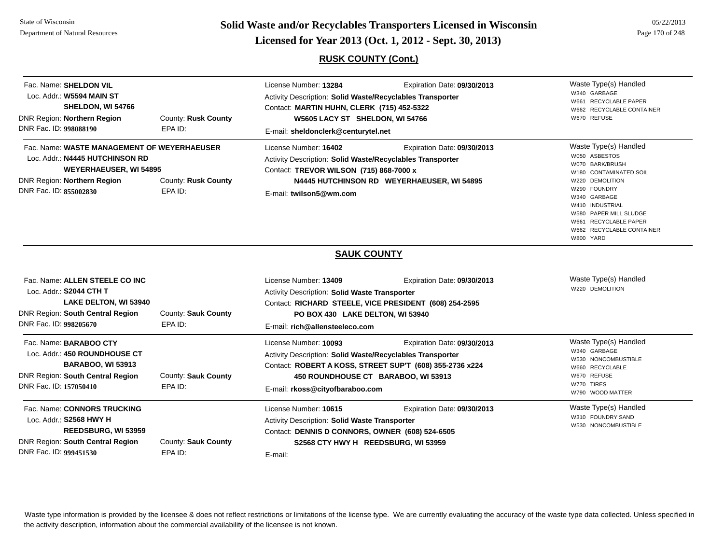**Page 170 of 248 <b>Licensed for Year 2013 (Oct. 1, 2012 - Sept. 30, 2013) Example 170 of 248 Licensed for Year 2013 (Oct. 1, 2012 - Sept. 30, 2013)** 

## **RUSK COUNTY (Cont.)**

| Fac. Name: SHELDON VIL<br>Loc. Addr.: W5594 MAIN ST<br>SHELDON, WI 54766<br>DNR Region: Northern Region<br>DNR Fac. ID: 998088190                                        | County: Rusk County<br>EPA ID: | License Number: 13284<br>Expiration Date: 09/30/2013<br>Activity Description: Solid Waste/Recyclables Transporter<br>Contact: MARTIN HUHN, CLERK (715) 452-5322<br>W5605 LACY ST SHELDON, WI 54766<br>E-mail: sheldonclerk@centurytel.net               | Waste Type(s) Handled<br>W340 GARBAGE<br>W661 RECYCLABLE PAPER<br>W662 RECYCLABLE CONTAINER<br>W670 REFUSE                                                                                                                                             |
|--------------------------------------------------------------------------------------------------------------------------------------------------------------------------|--------------------------------|---------------------------------------------------------------------------------------------------------------------------------------------------------------------------------------------------------------------------------------------------------|--------------------------------------------------------------------------------------------------------------------------------------------------------------------------------------------------------------------------------------------------------|
| Fac. Name: WASTE MANAGEMENT OF WEYERHAEUSER<br>Loc. Addr.: N4445 HUTCHINSON RD<br><b>WEYERHAEUSER, WI 54895</b><br>DNR Region: Northern Region<br>DNR Fac. ID: 855002830 | County: Rusk County<br>EPA ID: | License Number: 16402<br>Expiration Date: 09/30/2013<br>Activity Description: Solid Waste/Recyclables Transporter<br>Contact: TREVOR WILSON (715) 868-7000 x<br>N4445 HUTCHINSON RD WEYERHAEUSER, WI 54895<br>E-mail: twilson5@wm.com                   | Waste Type(s) Handled<br>W050 ASBESTOS<br>W070 BARK/BRUSH<br>W180 CONTAMINATED SOIL<br>W220 DEMOLITION<br>W290 FOUNDRY<br>W340 GARBAGE<br>W410 INDUSTRIAL<br>W580 PAPER MILL SLUDGE<br>W661 RECYCLABLE PAPER<br>W662 RECYCLABLE CONTAINER<br>W800 YARD |
| Fac. Name: ALLEN STEELE CO INC<br>Loc. Addr.: S2044 CTH T<br>LAKE DELTON, WI 53940                                                                                       |                                | <b>SAUK COUNTY</b><br>License Number: 13409<br>Expiration Date: 09/30/2013<br>Activity Description: Solid Waste Transporter<br>Contact: RICHARD STEELE, VICE PRESIDENT (608) 254-2595                                                                   | Waste Type(s) Handled<br>W220 DEMOLITION                                                                                                                                                                                                               |
| DNR Region: South Central Region<br>DNR Fac. ID: 998205670                                                                                                               | County: Sauk County<br>EPA ID: | PO BOX 430 LAKE DELTON, WI 53940<br>E-mail: rich@allensteeleco.com                                                                                                                                                                                      |                                                                                                                                                                                                                                                        |
| Fac. Name: BARABOO CTY<br>Loc. Addr.: 450 ROUNDHOUSE CT<br><b>BARABOO, WI 53913</b><br>DNR Region: South Central Region<br>DNR Fac. ID: 157050410                        | County: Sauk County<br>EPA ID: | License Number: 10093<br>Expiration Date: 09/30/2013<br>Activity Description: Solid Waste/Recyclables Transporter<br>Contact: ROBERT A KOSS, STREET SUP'T (608) 355-2736 x224<br>450 ROUNDHOUSE CT BARABOO, WI 53913<br>E-mail: rkoss@cityofbaraboo.com | Waste Type(s) Handled<br>W340 GARBAGE<br>W530 NONCOMBUSTIBLE<br>W660 RECYCLABLE<br>W670 REFUSE<br>W770 TIRES<br>W790 WOOD MATTER                                                                                                                       |
| Fac. Name: CONNORS TRUCKING<br>Loc. Addr.: S2568 HWY H<br>REEDSBURG, WI 53959<br><b>DNR Region: South Central Region</b><br>DNR Fac. ID: 999451530                       | County: Sauk County<br>EPA ID: | License Number: 10615<br>Expiration Date: 09/30/2013<br>Activity Description: Solid Waste Transporter<br>Contact: DENNIS D CONNORS, OWNER (608) 524-6505<br>S2568 CTY HWY H REEDSBURG, WI 53959<br>E-mail:                                              | Waste Type(s) Handled<br>W310 FOUNDRY SAND<br>W530 NONCOMBUSTIBLE                                                                                                                                                                                      |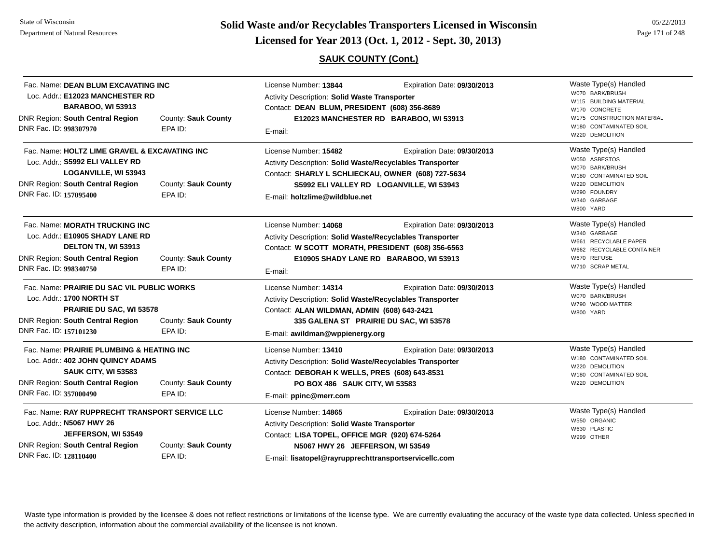State of WisconsinDepartment of Natural Resources

**Page 171 of 248 <b>Licensed for Year 2013 (Oct. 1, 2012 - Sept. 30, 2013) Page 171 of 248 Licensed for Year 2013 (Oct. 1, 2012 - Sept. 30, 2013)** 

## **SAUK COUNTY (Cont.)**

| Fac. Name: DEAN BLUM EXCAVATING INC<br>Loc. Addr.: E12023 MANCHESTER RD<br><b>BARABOO, WI 53913</b><br><b>DNR Region: South Central Region</b><br>DNR Fac. ID: 998307970                                 | County: Sauk County<br>EPA ID: | License Number: 13844<br>Expiration Date: 09/30/2013<br><b>Activity Description: Solid Waste Transporter</b><br>Contact: DEAN BLUM, PRESIDENT (608) 356-8689<br>E12023 MANCHESTER RD BARABOO, WI 53913                       |                                                                         | Waste Type(s) Handled<br>W070 BARK/BRUSH<br>W115 BUILDING MATERIAL<br>W170 CONCRETE<br>W175 CONSTRUCTION MATERIAL<br>W180 CONTAMINATED SOIL                            |
|----------------------------------------------------------------------------------------------------------------------------------------------------------------------------------------------------------|--------------------------------|------------------------------------------------------------------------------------------------------------------------------------------------------------------------------------------------------------------------------|-------------------------------------------------------------------------|------------------------------------------------------------------------------------------------------------------------------------------------------------------------|
| Fac. Name: HOLTZ LIME GRAVEL & EXCAVATING INC<br>Loc. Addr.: S5992 ELI VALLEY RD<br><b>LOGANVILLE, WI 53943</b><br><b>DNR Region: South Central Region</b><br>DNR Fac. ID: 157095400                     | County: Sauk County<br>EPA ID: | E-mail:<br>License Number: 15482<br>Activity Description: Solid Waste/Recyclables Transporter<br>Contact: SHARLY L SCHLIECKAU, OWNER (608) 727-5634<br>E-mail: holtzlime@wildblue.net                                        | Expiration Date: 09/30/2013<br>S5992 ELI VALLEY RD LOGANVILLE, WI 53943 | W220 DEMOLITION<br>Waste Type(s) Handled<br>W050 ASBESTOS<br>W070 BARK/BRUSH<br>W180 CONTAMINATED SOIL<br>W220 DEMOLITION<br>W290 FOUNDRY<br>W340 GARBAGE<br>W800 YARD |
| Fac. Name: MORATH TRUCKING INC<br>Loc. Addr.: E10905 SHADY LANE RD<br>DELTON TN, WI 53913<br>DNR Region: South Central Region<br>DNR Fac. ID: 998340750                                                  | County: Sauk County<br>EPA ID: | License Number: 14068<br>Activity Description: Solid Waste/Recyclables Transporter<br>Contact: W SCOTT MORATH, PRESIDENT (608) 356-6563<br>E-mail:                                                                           | Expiration Date: 09/30/2013<br>E10905 SHADY LANE RD BARABOO, WI 53913   | Waste Type(s) Handled<br>W340 GARBAGE<br>W661 RECYCLABLE PAPER<br>W662 RECYCLABLE CONTAINER<br>W670 REFUSE<br>W710 SCRAP METAL                                         |
| Fac. Name: PRAIRIE DU SAC VIL PUBLIC WORKS<br>Loc. Addr.: 1700 NORTH ST<br><b>PRAIRIE DU SAC, WI 53578</b><br><b>DNR Region: South Central Region</b><br>DNR Fac. ID: 157101230                          | County: Sauk County<br>EPA ID: | License Number: 14314<br>Activity Description: Solid Waste/Recyclables Transporter<br>Contact: ALAN WILDMAN, ADMIN (608) 643-2421<br>E-mail: awildman@wppienergy.org                                                         | Expiration Date: 09/30/2013<br>335 GALENA ST PRAIRIE DU SAC, WI 53578   | Waste Type(s) Handled<br>W070 BARK/BRUSH<br>W790 WOOD MATTER<br>W800 YARD                                                                                              |
| Fac. Name: PRAIRIE PLUMBING & HEATING INC<br>Loc. Addr.: 402 JOHN QUINCY ADAMS<br><b>SAUK CITY, WI 53583</b><br><b>DNR Region: South Central Region</b><br>DNR Fac. ID: 357000490                        | County: Sauk County<br>EPA ID: | License Number: 13410<br>Activity Description: Solid Waste/Recyclables Transporter<br>Contact: DEBORAH K WELLS, PRES (608) 643-8531<br>PO BOX 486 SAUK CITY, WI 53583<br>E-mail: ppinc@merr.com                              | Expiration Date: 09/30/2013                                             | Waste Type(s) Handled<br>W180 CONTAMINATED SOIL<br>W220 DEMOLITION<br>W180 CONTAMINATED SOIL<br>W220 DEMOLITION                                                        |
| Fac. Name: RAY RUPPRECHT TRANSPORT SERVICE LLC<br>Loc. Addr.: N5067 HWY 26<br>JEFFERSON, WI 53549<br><b>DNR Region: South Central Region</b><br>County: Sauk County<br>DNR Fac. ID: 128110400<br>EPA ID: |                                | License Number: 14865<br><b>Activity Description: Solid Waste Transporter</b><br>Contact: LISA TOPEL, OFFICE MGR (920) 674-5264<br>N5067 HWY 26 JEFFERSON, WI 53549<br>E-mail: lisatopel@rayrupprechttransportservicellc.com | Expiration Date: 09/30/2013                                             | Waste Type(s) Handled<br>W550 ORGANIC<br>W630 PLASTIC<br>W999 OTHER                                                                                                    |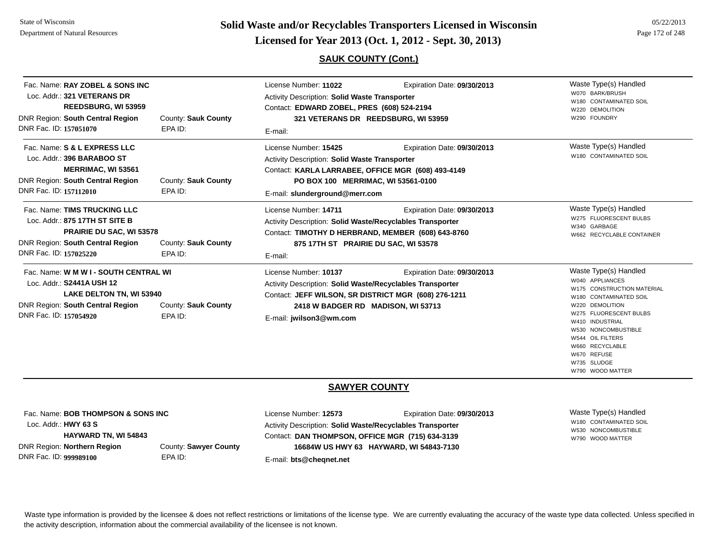**Page 172 of 248 <b>Licensed for Year 2013 (Oct. 1, 2012 - Sept. 30, 2013) Page 172 of 248 Licensed for Year 2013 (Oct. 1, 2012 - Sept. 30, 2013)** 

### **SAUK COUNTY (Cont.)**

05/22/2013

| Fac. Name: RAY ZOBEL & SONS INC<br>Loc. Addr.: 321 VETERANS DR<br><b>REEDSBURG, WI 53959</b><br><b>DNR Region: South Central Region</b><br>DNR Fac. ID: 157051070      | County: Sauk County<br>EPA ID: | License Number: 11022<br><b>Activity Description: Solid Waste Transporter</b><br>Contact: EDWARD ZOBEL, PRES (608) 524-2194<br>321 VETERANS DR REEDSBURG, WI 53959<br>E-mail:                                      | Expiration Date: 09/30/2013 | Waste Type(s) Handled<br>W070 BARK/BRUSH<br>W180 CONTAMINATED SOIL<br>W220 DEMOLITION<br>W290 FOUNDRY                                                                                                                                                        |
|------------------------------------------------------------------------------------------------------------------------------------------------------------------------|--------------------------------|--------------------------------------------------------------------------------------------------------------------------------------------------------------------------------------------------------------------|-----------------------------|--------------------------------------------------------------------------------------------------------------------------------------------------------------------------------------------------------------------------------------------------------------|
| Fac. Name: S & L EXPRESS LLC<br>Loc. Addr.: 396 BARABOO ST<br><b>MERRIMAC, WI 53561</b><br><b>DNR Region: South Central Region</b><br>DNR Fac. ID: 157112010           | County: Sauk County<br>EPA ID: | License Number: 15425<br><b>Activity Description: Solid Waste Transporter</b><br>Contact: KARLA LARRABEE, OFFICE MGR (608) 493-4149<br>PO BOX 100 MERRIMAC, WI 53561-0100<br>E-mail: slunderground@merr.com        | Expiration Date: 09/30/2013 | Waste Type(s) Handled<br>W180 CONTAMINATED SOIL                                                                                                                                                                                                              |
| Fac. Name: TIMS TRUCKING LLC<br>Loc. Addr.: 875 17TH ST SITE B<br><b>PRAIRIE DU SAC, WI 53578</b><br><b>DNR Region: South Central Region</b><br>DNR Fac. ID: 157025220 | County: Sauk County<br>EPA ID: | License Number: 14711<br><b>Activity Description: Solid Waste/Recyclables Transporter</b><br>Contact: TIMOTHY D HERBRAND, MEMBER (608) 643-8760<br>875 17TH ST PRAIRIE DU SAC, WI 53578<br>E-mail:                 | Expiration Date: 09/30/2013 | Waste Type(s) Handled<br>W275 FLUORESCENT BULBS<br>W340 GARBAGE<br>W662 RECYCLABLE CONTAINER                                                                                                                                                                 |
| Fac. Name: W M W I - SOUTH CENTRAL WI<br>Loc. Addr.: S2441A USH 12<br>LAKE DELTON TN, WI 53940<br><b>DNR Region: South Central Region</b><br>DNR Fac. ID: 157054920    | County: Sauk County<br>EPA ID: | License Number: 10137<br><b>Activity Description: Solid Waste/Recyclables Transporter</b><br>Contact: JEFF WILSON, SR DISTRICT MGR (608) 276-1211<br>2418 W BADGER RD MADISON, WI 53713<br>E-mail: jwilson3@wm.com | Expiration Date: 09/30/2013 | Waste Type(s) Handled<br>W040 APPLIANCES<br>W175 CONSTRUCTION MATERIAL<br>W180 CONTAMINATED SOIL<br>W220 DEMOLITION<br>W275 FLUORESCENT BULBS<br>W410 INDUSTRIAL<br>W530 NONCOMBUSTIBLE<br>W544 OIL FILTERS<br>W660 RECYCLABLE<br>W670 REFUSE<br>W735 SLUDGE |

#### **SAWYER COUNTY**

| Fac. Name: BOB THOMPSON & SONS INC |                       |   |
|------------------------------------|-----------------------|---|
| Loc. Addr.: $HWY$ 63 S             |                       | А |
| <b>HAYWARD TN, WI 54843</b>        |                       | C |
| DNR Region: Northern Region        | County: Sawyer County |   |
| DNR Fac. ID: 999989100             | FPA ID:               | F |

License Number: **12573** Expiration Date: **09/30/2013**  Activity Description: **Solid Waste/Recyclables Transporter** Contact: **DAN THOMPSON, OFFICE MGR (715) 634-3139** E-mail: **bts@cheqnet.net 16684W US HWY 63 HAYWARD, WI 54843-7130**

Waste Type(s) Handled W180 CONTAMINATED SOILW530 NONCOMBUSTIBLEW790 WOOD MATTER

W790 WOOD MATTER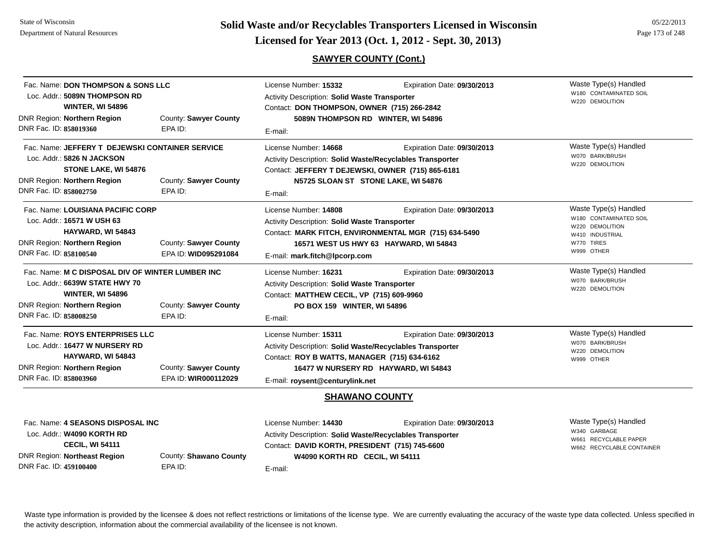**Page 173 of 248 <b>Licensed for Year 2013 (Oct. 1, 2012 - Sept. 30, 2013) Page 173 of 248 Licensed for Year 2013 (Oct. 1, 2012 - Sept. 30, 2013)** 

## **SAWYER COUNTY (Cont.)**

| Fac. Name: DON THOMPSON & SONS LLC<br>Loc. Addr.: 5089N THOMPSON RD<br><b>WINTER, WI 54896</b><br>County: Sawyer County<br>DNR Region: Northern Region                                          |                                               | License Number: 15332<br>Expiration Date: 09/30/2013<br>Activity Description: Solid Waste Transporter<br>Contact: DON THOMPSON, OWNER (715) 266-2842<br>5089N THOMPSON RD WINTER, WI 54896                                                       |                             | Waste Type(s) Handled<br>W180 CONTAMINATED SOIL<br>W220 DEMOLITION                                                |
|-------------------------------------------------------------------------------------------------------------------------------------------------------------------------------------------------|-----------------------------------------------|--------------------------------------------------------------------------------------------------------------------------------------------------------------------------------------------------------------------------------------------------|-----------------------------|-------------------------------------------------------------------------------------------------------------------|
| DNR Fac. ID: 858019360                                                                                                                                                                          | EPA ID:                                       | E-mail:                                                                                                                                                                                                                                          |                             |                                                                                                                   |
| Fac. Name: JEFFERY T DEJEWSKI CONTAINER SERVICE<br>Loc. Addr.: 5826 N JACKSON<br>STONE LAKE, WI 54876<br><b>DNR Region: Northern Region</b><br>DNR Fac. ID: 858002750                           | County: Sawyer County<br>EPA ID:              | License Number: 14668<br>Activity Description: Solid Waste/Recyclables Transporter<br>Contact: JEFFERY T DEJEWSKI, OWNER (715) 865-6181<br>N5725 SLOAN ST STONE LAKE, WI 54876<br>E-mail:                                                        | Expiration Date: 09/30/2013 | Waste Type(s) Handled<br>W070 BARK/BRUSH<br>W220 DEMOLITION                                                       |
| Fac. Name: LOUISIANA PACIFIC CORP<br>Loc. Addr.: 16571 W USH 63<br>HAYWARD, WI 54843<br>DNR Region: Northern Region<br>DNR Fac. ID: 858100540                                                   | County: Sawyer County<br>EPA ID: WID095291084 | Expiration Date: 09/30/2013<br>License Number: 14808<br><b>Activity Description: Solid Waste Transporter</b><br>Contact: MARK FITCH, ENVIRONMENTAL MGR (715) 634-5490<br>16571 WEST US HWY 63 HAYWARD, WI 54843<br>E-mail: mark.fitch@lpcorp.com |                             | Waste Type(s) Handled<br>W180 CONTAMINATED SOIL<br>W220 DEMOLITION<br>W410 INDUSTRIAL<br>W770 TIRES<br>W999 OTHER |
| Fac. Name: M C DISPOSAL DIV OF WINTER LUMBER INC<br>Loc. Addr.: 6639W STATE HWY 70<br><b>WINTER, WI 54896</b><br><b>DNR Region: Northern Region</b><br>DNR Fac. ID: 858008250                   | County: Sawyer County<br>EPA ID:              | License Number: 16231<br>Expiration Date: 09/30/2013<br>Activity Description: Solid Waste Transporter<br>Contact: MATTHEW CECIL, VP (715) 609-9960<br>PO BOX 159 WINTER, WI 54896<br>E-mail:                                                     |                             | Waste Type(s) Handled<br>W070 BARK/BRUSH<br>W220 DEMOLITION                                                       |
| Fac. Name: ROYS ENTERPRISES LLC<br>Loc. Addr.: 16477 W NURSERY RD<br>HAYWARD, WI 54843<br>DNR Region: Northern Region<br>DNR Fac. ID: 858003960                                                 | County: Sawyer County<br>EPA ID: WIR000112029 | License Number: 15311<br>Expiration Date: 09/30/2013<br>Activity Description: Solid Waste/Recyclables Transporter<br>Contact: ROY B WATTS, MANAGER (715) 634-6162<br>16477 W NURSERY RD HAYWARD, WI 54843<br>E-mail: roysent@centurylink.net     |                             | Waste Type(s) Handled<br>W070 BARK/BRUSH<br>W220 DEMOLITION<br>W999 OTHER                                         |
|                                                                                                                                                                                                 |                                               |                                                                                                                                                                                                                                                  | <b>SHAWANO COUNTY</b>       |                                                                                                                   |
| Fac. Name: 4 SEASONS DISPOSAL INC<br>Loc. Addr.: W4090 KORTH RD<br><b>CECIL, WI 54111</b><br><b>DNR Region: Northeast Region</b><br>County: Shawano County<br>DNR Fac. ID: 459100400<br>EPA ID: |                                               | License Number: 14430<br>Activity Description: Solid Waste/Recyclables Transporter<br>Contact: DAVID KORTH, PRESIDENT (715) 745-6600<br>W4090 KORTH RD CECIL, WI 54111<br>E-mail:                                                                | Expiration Date: 09/30/2013 | Waste Type(s) Handled<br>W340 GARBAGE<br>W661 RECYCLABLE PAPER<br>W662 RECYCLABLE CONTAINER                       |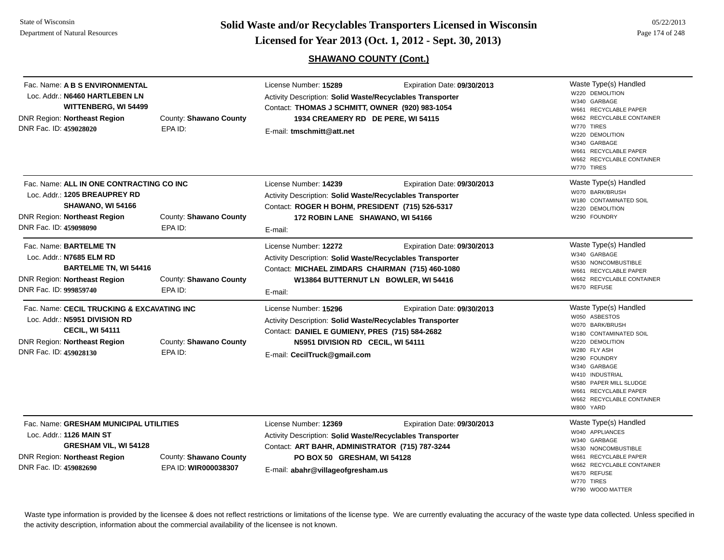DNR Region: **Northeast Region** DNR Fac. ID: **459028020**

DNR Region: **Northeast Region** DNR Fac. ID: **459098090**

DNR Region: **Northeast Region** DNR Fac. ID: **999859740**

DNR Region: **Northeast Region** DNR Fac. ID: **459028130**

**Page 174 of 248 <b>Colid Waste and/or Recyclables Transporters Licensed in Wisconsin Exercised for Year 2013 (Oct. 1, 2012 - Sept. 30, 2013)** Page 174 of 248

## **SHAWANO COUNTY (Cont.)**

|                                                                                                                                                                |                                   | <b>SHAWANO COUNTY (Cont.)</b>                                                                                                                                                                            |                             |                                                                                                                                                                                                                                     |
|----------------------------------------------------------------------------------------------------------------------------------------------------------------|-----------------------------------|----------------------------------------------------------------------------------------------------------------------------------------------------------------------------------------------------------|-----------------------------|-------------------------------------------------------------------------------------------------------------------------------------------------------------------------------------------------------------------------------------|
| Fac. Name: <b>A B S ENVIRONMENTAL</b><br>Loc. Addr.: N6460 HARTLEBEN LN<br><b>WITTENBERG, WI 54499</b><br>NR Region: Northeast Region<br>NR Fac. ID: 459028020 | County: Shawano County<br>EPA ID: | License Number: 15289<br>Activity Description: Solid Waste/Recyclables Transporter<br>Contact: THOMAS J SCHMITT, OWNER (920) 983-1054<br>1934 CREAMERY RD DE PERE, WI 54115<br>E-mail: tmschmitt@att.net | Expiration Date: 09/30/2013 | Waste Type(s) Handled<br>W220 DEMOLITION<br>W340 GARBAGE<br>W661 RECYCLABLE PAPER<br>W662 RECYCLABLE CONTAINER<br>W770 TIRES<br>W220 DEMOLITION<br>W340 GARBAGE<br>W661 RECYCLABLE PAPER<br>W662 RECYCLABLE CONTAINER<br>W770 TIRES |
| Fac. Name: <b>ALL IN ONE CONTRACTING CO INC</b><br>Loc. Addr.: 1205 BREAUPREY RD<br>SHAWANO, WI 54166<br>NR Region: Northeast Region<br>NR Fac. ID: 459098090  | County: Shawano County<br>EPA ID: | License Number: 14239<br>Activity Description: Solid Waste/Recyclables Transporter<br>Contact: ROGER H BOHM, PRESIDENT (715) 526-5317<br>172 ROBIN LANE SHAWANO, WI 54166<br>E-mail:                     | Expiration Date: 09/30/2013 | Waste Type(s) Handled<br>W070 BARK/BRUSH<br>W180 CONTAMINATED SOIL<br>W220 DEMOLITION<br>W290 FOUNDRY                                                                                                                               |
| Fac. Name: <b>BARTELME TN</b><br>Loc. Addr.: N7685 ELM RD<br><b>BARTELME TN, WI 54416</b><br>NR Region: Northeast Region<br>NR Fac. ID: 999859740              | County: Shawano County<br>EPA ID: | License Number: 12272<br>Activity Description: Solid Waste/Recyclables Transporter<br>Contact: MICHAEL ZIMDARS CHAIRMAN (715) 460-1080<br>W13864 BUTTERNUT LN BOWLER, WI 54416<br>E-mail:                | Expiration Date: 09/30/2013 | Waste Type(s) Handled<br>W340 GARBAGE<br>W530 NONCOMBUSTIBLE<br>W661 RECYCLABLE PAPER<br>W662 RECYCLABLE CONTAINER<br>W670 REFUSE                                                                                                   |
| Fac. Name: CECIL TRUCKING & EXCAVATING INC<br>Loc. Addr.: N5951 DIVISION RD<br><b>CECIL, WI 54111</b><br>NR Region: Northeast Region                           | County: Shawano County            | License Number: 15296<br>Activity Description: Solid Waste/Recyclables Transporter<br>Contact: DANIEL E GUMIENY, PRES (715) 584-2682<br>N5951 DIVISION RD CECIL, WI 54111                                | Expiration Date: 09/30/2013 | Waste Type(s) Handled<br>W050 ASBESTOS<br>W070 BARK/BRUSH<br>W180 CONTAMINATED SOIL<br>W220 DEMOLITION                                                                                                                              |

Expiration Date: **09/30/2013** 

| Fac. Name: GRESHAM MUNICIPAL UTILITIES |           |
|----------------------------------------|-----------|
| Loc. Addr.: 1126 MAIN ST               |           |
| <b>GRESHAM VIL. WI 54128</b>           |           |
| <b>DNR Region: Northeast Region</b>    | County: S |
| DNR Fac. ID: 459082690                 | EPA ID: W |

hawano County **WIR000038307**

EPA ID:

Activity Description: **Solid Waste/Recyclables Transporter** Contact: **ART BAHR, ADMINISTRATOR (715) 787-3244** E-mail: **abahr@villageofgresham.us PO BOX 50 GRESHAM, WI 54128**

E-mail: **CecilTruck@gmail.com**

License Number: **12369**

Waste Type(s) Handled W040 APPLIANCESW340 GARBAGEW530 NONCOMBUSTIBLEW661 RECYCLABLE PAPERW662 RECYCLABLE CONTAINERW670 REFUSEW770 TIRESW790 WOOD MATTER

W280 FLY ASHW290 FOUNDRYW340 GARBAGEW410 INDUSTRIALW580 PAPER MILL SLUDGEW661 RECYCLABLE PAPERW662 RECYCLABLE CONTAINER

W800 YARD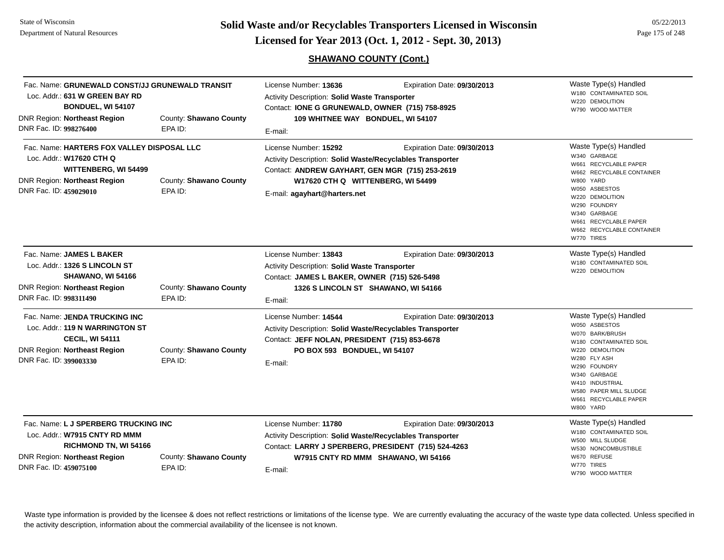**Page 175 of 248 <b>Licensed for Year 2013 (Oct. 1, 2012 - Sept. 30, 2013) Page 175 of 248 Licensed for Year 2013 (Oct. 1, 2012 - Sept. 30, 2013)** 

**SHAWANO COUNTY (Cont.)**

| Loc. Addr.: 631 W GREEN BAY RD<br>BONDUEL, WI 54107<br>DNR Region: Northeast Region<br>DNR Fac. ID: 998276400                                            | Fac. Name: GRUNEWALD CONST/JJ GRUNEWALD TRANSIT<br>County: Shawano County<br>EPA ID: | License Number: 13636<br>Activity Description: Solid Waste Transporter<br>Contact: IONE G GRUNEWALD, OWNER (715) 758-8925<br>109 WHITNEE WAY BONDUEL, WI 54107<br>E-mail:                                  | Expiration Date: 09/30/2013                                        | Waste Type(s) Handled<br>W180 CONTAMINATED SOIL<br>W220 DEMOLITION<br>W790 WOOD MATTER                                                                                                                                                           |
|----------------------------------------------------------------------------------------------------------------------------------------------------------|--------------------------------------------------------------------------------------|------------------------------------------------------------------------------------------------------------------------------------------------------------------------------------------------------------|--------------------------------------------------------------------|--------------------------------------------------------------------------------------------------------------------------------------------------------------------------------------------------------------------------------------------------|
| Fac. Name: HARTERS FOX VALLEY DISPOSAL LLC<br>Loc. Addr.: W17620 CTH Q<br>WITTENBERG, WI 54499<br>DNR Region: Northeast Region<br>DNR Fac. ID: 459029010 | County: Shawano County<br>EPA ID:                                                    | License Number: 15292<br>Activity Description: Solid Waste/Recyclables Transporter<br>Contact: ANDREW GAYHART, GEN MGR (715) 253-2619<br>W17620 CTH Q WITTENBERG, WI 54499<br>E-mail: agayhart@harters.net | Expiration Date: 09/30/2013                                        | Waste Type(s) Handled<br>W340 GARBAGE<br>W661 RECYCLABLE PAPER<br>W662 RECYCLABLE CONTAINER<br>W800 YARD<br>W050 ASBESTOS<br>W220 DEMOLITION<br>W290 FOUNDRY<br>W340 GARBAGE<br>W661 RECYCLABLE PAPER<br>W662 RECYCLABLE CONTAINER<br>W770 TIRES |
| Fac. Name: JAMES L BAKER<br>Loc. Addr.: 1326 S LINCOLN ST<br>SHAWANO, WI 54166<br>DNR Region: Northeast Region<br>DNR Fac. ID: 998311490                 | County: Shawano County<br>EPA ID:                                                    | License Number: 13843<br>Activity Description: Solid Waste Transporter<br>Contact: JAMES L BAKER, OWNER (715) 526-5498<br>1326 S LINCOLN ST SHAWANO, WI 54166<br>E-mail:                                   | Expiration Date: 09/30/2013                                        | Waste Type(s) Handled<br>W180 CONTAMINATED SOIL<br>W220 DEMOLITION                                                                                                                                                                               |
| Fac. Name: JENDA TRUCKING INC<br>Loc. Addr.: 119 N WARRINGTON ST<br><b>CECIL, WI 54111</b><br>DNR Region: Northeast Region<br>DNR Fac. ID: 399003330     | County: Shawano County<br>EPA ID:                                                    | License Number: 14544<br>Activity Description: Solid Waste/Recyclables Transporter<br>Contact: JEFF NOLAN, PRESIDENT (715) 853-6678<br>PO BOX 593 BONDUEL, WI 54107<br>E-mail:                             | Expiration Date: 09/30/2013                                        | Waste Type(s) Handled<br>W050 ASBESTOS<br>W070 BARK/BRUSH<br>W180 CONTAMINATED SOIL<br>W220 DEMOLITION<br>W280 FLY ASH<br>W290 FOUNDRY<br>W340 GARBAGE<br>W410 INDUSTRIAL<br>W580 PAPER MILL SLUDGE<br>W661 RECYCLABLE PAPER<br>W800 YARD        |
| Fac. Name: L J SPERBERG TRUCKING INC<br>Loc. Addr.: W7915 CNTY RD MMM<br>RICHMOND TN, WI 54166<br>DNR Region: Northeast Region<br>DNR Fac. ID: 459075100 | County: Shawano County<br>EPA ID:                                                    | License Number: 11780<br>Activity Description: Solid Waste/Recyclables Transporter<br>Contact: LARRY J SPERBERG, PRESIDENT (715) 524-4263<br>E-mail:                                                       | Expiration Date: 09/30/2013<br>W7915 CNTY RD MMM SHAWANO, WI 54166 | Waste Type(s) Handled<br>W180 CONTAMINATED SOIL<br>W500 MILL SLUDGE<br>W530 NONCOMBUSTIBLE<br>W670 REFUSE<br>W770 TIRES<br>W790 WOOD MATTER                                                                                                      |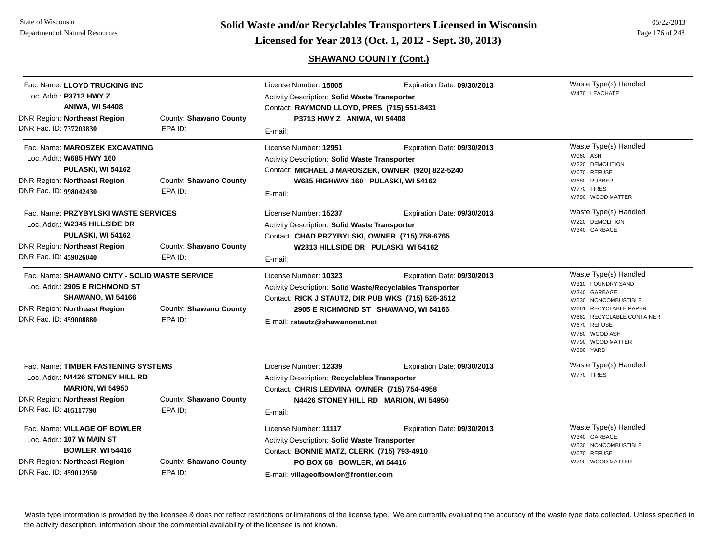## **SHAWANO COUNTY (Cont.)**

| Fac. Name: LLOYD TRUCKING INC<br>Loc. Addr.: P3713 HWY Z<br><b>ANIWA, WI 54408</b><br>DNR Region: Northeast Region                                                  | County: Shawano County            | License Number: 15005<br>Activity Description: Solid Waste Transporter<br>Contact: RAYMOND LLOYD, PRES (715) 551-8431<br>P3713 HWY Z ANIWA, WI 54408                                                      | Expiration Date: 09/30/2013                                          | Waste Type(s) Handled<br>W470 LEACHATE                                                                                                                                                                   |
|---------------------------------------------------------------------------------------------------------------------------------------------------------------------|-----------------------------------|-----------------------------------------------------------------------------------------------------------------------------------------------------------------------------------------------------------|----------------------------------------------------------------------|----------------------------------------------------------------------------------------------------------------------------------------------------------------------------------------------------------|
| DNR Fac. ID: 737203830                                                                                                                                              | EPA ID:                           | E-mail:                                                                                                                                                                                                   |                                                                      |                                                                                                                                                                                                          |
| Fac. Name: MAROSZEK EXCAVATING<br>Loc. Addr.: W685 HWY 160<br>PULASKI, WI 54162<br><b>DNR Region: Northeast Region</b><br>DNR Fac. ID: 998042430                    | County: Shawano County<br>EPA ID: | License Number: 12951<br>Activity Description: Solid Waste Transporter<br>Contact: MICHAEL J MAROSZEK, OWNER (920) 822-5240<br>W685 HIGHWAY 160 PULASKI, WI 54162<br>E-mail:                              | Expiration Date: 09/30/2013                                          | Waste Type(s) Handled<br>W060 ASH<br>W220 DEMOLITION<br>W670 REFUSE<br>W680 RUBBER<br>W770 TIRES<br>W790 WOOD MATTER                                                                                     |
| Fac. Name: PRZYBYLSKI WASTE SERVICES<br>Loc. Addr.: W2345 HILLSIDE DR<br>PULASKI, WI 54162<br><b>DNR Region: Northeast Region</b><br>DNR Fac. ID: 459026040         | County: Shawano County<br>EPA ID: | License Number: 15237<br>Expiration Date: 09/30/2013<br>Activity Description: Solid Waste Transporter<br>Contact: CHAD PRZYBYLSKI, OWNER (715) 758-6765<br>W2313 HILLSIDE DR PULASKI, WI 54162<br>E-mail: |                                                                      | Waste Type(s) Handled<br>W220 DEMOLITION<br>W340 GARBAGE                                                                                                                                                 |
| Fac. Name: SHAWANO CNTY - SOLID WASTE SERVICE<br>Loc. Addr.: 2905 E RICHMOND ST<br>SHAWANO, WI 54166<br>DNR Region: Northeast Region<br>DNR Fac. ID: 459008880      | County: Shawano County<br>EPA ID: | License Number: 10323<br>Activity Description: Solid Waste/Recyclables Transporter<br>Contact: RICK J STAUTZ, DIR PUB WKS (715) 526-3512<br>E-mail: rstautz@shawanonet.net                                | Expiration Date: 09/30/2013<br>2905 E RICHMOND ST SHAWANO, WI 54166  | Waste Type(s) Handled<br>W310 FOUNDRY SAND<br>W340 GARBAGE<br>W530 NONCOMBUSTIBLE<br>W661 RECYCLABLE PAPER<br>W662 RECYCLABLE CONTAINER<br>W670 REFUSE<br>W780 WOOD ASH<br>W790 WOOD MATTER<br>W800 YARD |
| Fac. Name: TIMBER FASTENING SYSTEMS<br>Loc. Addr.: N4426 STONEY HILL RD<br><b>MARION, WI 54950</b><br><b>DNR Region: Northeast Region</b><br>DNR Fac. ID: 405117790 | County: Shawano County<br>EPA ID: | License Number: 12339<br>Activity Description: Recyclables Transporter<br>Contact: CHRIS LEDVINA OWNER (715) 754-4958<br>E-mail:                                                                          | Expiration Date: 09/30/2013<br>N4426 STONEY HILL RD MARION, WI 54950 | Waste Type(s) Handled<br>W770 TIRES                                                                                                                                                                      |
| Fac. Name: VILLAGE OF BOWLER<br>Loc. Addr.: 107 W MAIN ST<br><b>BOWLER, WI 54416</b><br><b>DNR Region: Northeast Region</b><br>DNR Fac. ID: 459012950               | County: Shawano County<br>EPA ID: | License Number: 11117<br>Activity Description: Solid Waste Transporter<br>Contact: BONNIE MATZ, CLERK (715) 793-4910<br>PO BOX 68 BOWLER, WI 54416<br>E-mail: villageofbowler@frontier.com                | Expiration Date: 09/30/2013                                          | Waste Type(s) Handled<br>W340 GARBAGE<br>W530 NONCOMBUSTIBLE<br>W670 REFUSE<br>W790 WOOD MATTER                                                                                                          |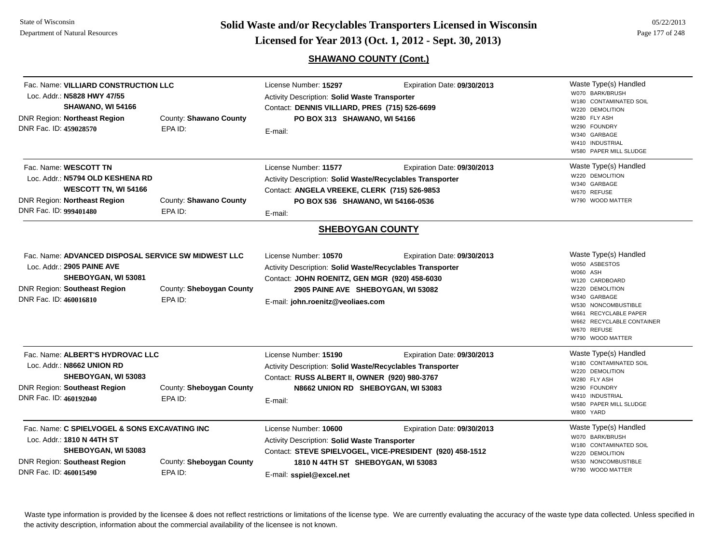**Page 177 of 248 <b>Licensed for Year 2013 (Oct. 1, 2012 - Sept. 30, 2013) Page 177 of 248 Licensed for Year 2013 (Oct. 1, 2012 - Sept. 30, 2013)** 

**SHAWANO COUNTY (Cont.)**

| Fac. Name: VILLIARD CONSTRUCTION LLC<br>Loc. Addr.: N5828 HWY 47/55<br>SHAWANO, WI 54166<br><b>DNR Region: Northeast Region</b><br>DNR Fac. ID: 459028570                 | County: Shawano County<br>EPA ID:   | License Number: 15297<br>Expiration Date: 09/30/2013<br>Activity Description: Solid Waste Transporter<br>Contact: DENNIS VILLIARD, PRES (715) 526-6699<br>PO BOX 313 SHAWANO, WI 54166<br>E-mail: |                                                                                                                               | Waste Type(s) Handled<br>W070 BARK/BRUSH<br>W180 CONTAMINATED SOIL<br>W220 DEMOLITION<br>W280 FLY ASH<br>W290 FOUNDRY<br>W340 GARBAGE<br>W410 INDUSTRIAL<br>W580 PAPER MILL SLUDGE                                      |
|---------------------------------------------------------------------------------------------------------------------------------------------------------------------------|-------------------------------------|---------------------------------------------------------------------------------------------------------------------------------------------------------------------------------------------------|-------------------------------------------------------------------------------------------------------------------------------|-------------------------------------------------------------------------------------------------------------------------------------------------------------------------------------------------------------------------|
| Fac. Name: WESCOTT TN<br>Loc. Addr.: N5794 OLD KESHENA RD<br><b>WESCOTT TN, WI 54166</b><br><b>DNR Region: Northeast Region</b><br>DNR Fac. ID: 999401480                 | County: Shawano County<br>EPA ID:   | License Number: 11577<br>Activity Description: Solid Waste/Recyclables Transporter<br>Contact: ANGELA VREEKE, CLERK (715) 526-9853<br>PO BOX 536 SHAWANO, WI 54166-0536<br>E-mail:                | Expiration Date: 09/30/2013                                                                                                   | Waste Type(s) Handled<br>W220 DEMOLITION<br>W340 GARBAGE<br>W670 REFUSE<br>W790 WOOD MATTER                                                                                                                             |
|                                                                                                                                                                           |                                     |                                                                                                                                                                                                   | <b>SHEBOYGAN COUNTY</b>                                                                                                       |                                                                                                                                                                                                                         |
| Fac. Name: ADVANCED DISPOSAL SERVICE SW MIDWEST LLC<br>Loc. Addr.: 2905 PAINE AVE<br>SHEBOYGAN, WI 53081<br><b>DNR Region: Southeast Region</b><br>DNR Fac. ID: 460016810 | County: Sheboygan County<br>EPA ID: | License Number: 10570<br>Activity Description: Solid Waste/Recyclables Transporter<br>Contact: JOHN ROENITZ, GEN MGR (920) 458-6030<br>E-mail: john.roenitz@veoliaes.com                          | Expiration Date: 09/30/2013<br>2905 PAINE AVE SHEBOYGAN, WI 53082                                                             | Waste Type(s) Handled<br>W050 ASBESTOS<br>W060 ASH<br>W120 CARDBOARD<br>W220 DEMOLITION<br>W340 GARBAGE<br>W530 NONCOMBUSTIBLE<br>W661 RECYCLABLE PAPER<br>W662 RECYCLABLE CONTAINER<br>W670 REFUSE<br>W790 WOOD MATTER |
| Fac. Name: ALBERT'S HYDROVAC LLC<br>Loc. Addr.: N8662 UNION RD<br>SHEBOYGAN, WI 53083<br><b>DNR Region: Southeast Region</b><br>DNR Fac. ID: 460192040                    | County: Sheboygan County<br>EPA ID: | License Number: 15190<br>Activity Description: Solid Waste/Recyclables Transporter<br>Contact: RUSS ALBERT II, OWNER (920) 980-3767<br>E-mail:                                                    | Expiration Date: 09/30/2013<br>N8662 UNION RD SHEBOYGAN, WI 53083                                                             | Waste Type(s) Handled<br>W180 CONTAMINATED SOIL<br>W220 DEMOLITION<br>W280 FLY ASH<br>W290 FOUNDRY<br>W410 INDUSTRIAL<br>W580 PAPER MILL SLUDGE<br>W800 YARD                                                            |
| Fac. Name: C SPIELVOGEL & SONS EXCAVATING INC<br>Loc. Addr.: 1810 N 44TH ST<br>SHEBOYGAN, WI 53083<br>DNR Region: Southeast Region<br>DNR Fac. ID: 460015490              | County: Sheboygan County<br>EPA ID: | License Number: 10600<br>Activity Description: Solid Waste Transporter<br>E-mail: sspiel@excel.net                                                                                                | Expiration Date: 09/30/2013<br>Contact: STEVE SPIELVOGEL, VICE-PRESIDENT (920) 458-1512<br>1810 N 44TH ST SHEBOYGAN, WI 53083 | Waste Type(s) Handled<br>W070 BARK/BRUSH<br>W180 CONTAMINATED SOIL<br>W220 DEMOLITION<br>W530 NONCOMBUSTIBLE<br>W790 WOOD MATTER                                                                                        |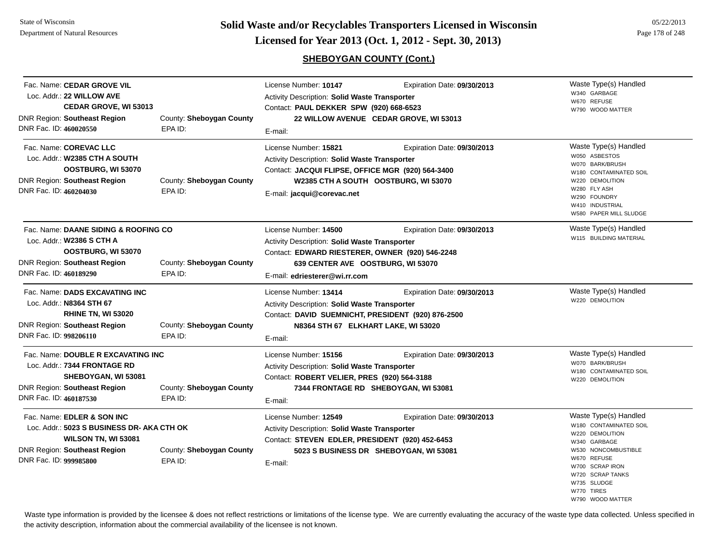State of Wisconsin Department of Natural Resources

**Page 178 of 248 <b>Licensed for Year 2013 (Oct. 1, 2012 - Sept. 30, 2013) Page 178 of 248 Licensed for Year 2013 (Oct. 1, 2012 - Sept. 30, 2013)** 

## **SHEBOYGAN COUNTY (Cont.)**

|                                                                                   | E-mail:                                                | Contact: PAUL DEKKER SPW (920) 668-6523<br>22 WILLOW AVENUE CEDAR GROVE, WI 53013 | W790 WOOD MATTER                                                                                                                                                                                                                                                                                                                                                                                                                                                                                                                                                                                                                                                                                                                      |
|-----------------------------------------------------------------------------------|--------------------------------------------------------|-----------------------------------------------------------------------------------|---------------------------------------------------------------------------------------------------------------------------------------------------------------------------------------------------------------------------------------------------------------------------------------------------------------------------------------------------------------------------------------------------------------------------------------------------------------------------------------------------------------------------------------------------------------------------------------------------------------------------------------------------------------------------------------------------------------------------------------|
| County: Sheboygan County<br>EPA ID:                                               | License Number: 15821<br>E-mail: jacqui@corevac.net    | Expiration Date: 09/30/2013                                                       | Waste Type(s) Handled<br>W050 ASBESTOS<br>W070 BARK/BRUSH<br>W180 CONTAMINATED SOIL<br>W220 DEMOLITION<br>W280 FLY ASH<br>W290 FOUNDRY<br>W410 INDUSTRIAL<br>W580 PAPER MILL SLUDGE                                                                                                                                                                                                                                                                                                                                                                                                                                                                                                                                                   |
| County: Sheboygan County<br>EPA ID:                                               | License Number: 14500<br>E-mail: edriesterer@wi.rr.com | Expiration Date: 09/30/2013                                                       | Waste Type(s) Handled<br>W115 BUILDING MATERIAL                                                                                                                                                                                                                                                                                                                                                                                                                                                                                                                                                                                                                                                                                       |
| County: Sheboygan County<br>EPA ID:                                               | License Number: 13414<br>E-mail:                       | Expiration Date: 09/30/2013                                                       | Waste Type(s) Handled<br>W220 DEMOLITION                                                                                                                                                                                                                                                                                                                                                                                                                                                                                                                                                                                                                                                                                              |
| County: Sheboygan County<br>EPA ID:                                               | License Number: 15156<br>E-mail:                       | Expiration Date: 09/30/2013                                                       | Waste Type(s) Handled<br>W070 BARK/BRUSH<br>W180 CONTAMINATED SOIL<br>W220 DEMOLITION                                                                                                                                                                                                                                                                                                                                                                                                                                                                                                                                                                                                                                                 |
| Loc. Addr.: 5023 S BUSINESS DR- AKA CTH OK<br>County: Sheboygan County<br>EPA ID: | License Number: 12549<br>E-mail:                       | Expiration Date: 09/30/2013                                                       | Waste Type(s) Handled<br>W180 CONTAMINATED SOIL<br>W220 DEMOLITION<br>W340 GARBAGE<br>W530 NONCOMBUSTIBLE<br>W670 REFUSE<br>W700 SCRAP IRON<br>W720 SCRAP TANKS<br>W735 SLUDGE                                                                                                                                                                                                                                                                                                                                                                                                                                                                                                                                                        |
|                                                                                   |                                                        |                                                                                   | Activity Description: Solid Waste Transporter<br>Contact: JACQUI FLIPSE, OFFICE MGR (920) 564-3400<br>W2385 CTH A SOUTH OOSTBURG, WI 53070<br>Activity Description: Solid Waste Transporter<br>Contact: EDWARD RIESTERER, OWNER (920) 546-2248<br>639 CENTER AVE OOSTBURG, WI 53070<br><b>Activity Description: Solid Waste Transporter</b><br>Contact: DAVID SUEMNICHT, PRESIDENT (920) 876-2500<br>N8364 STH 67 ELKHART LAKE, WI 53020<br><b>Activity Description: Solid Waste Transporter</b><br>Contact: ROBERT VELIER, PRES (920) 564-3188<br>7344 FRONTAGE RD SHEBOYGAN, WI 53081<br>Activity Description: Solid Waste Transporter<br>Contact: STEVEN EDLER, PRESIDENT (920) 452-6453<br>5023 S BUSINESS DR SHEBOYGAN, WI 53081 |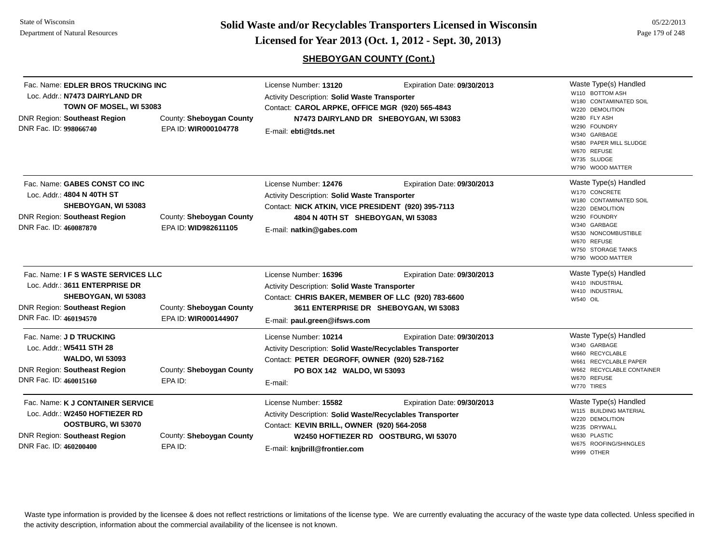**Page 179 of 248 <b>Licensed for Year 2013 (Oct. 1, 2012 - Sept. 30, 2013) Example 179 of 248 Licensed for Year 2013 (Oct. 1, 2012 - Sept. 30, 2013)** 

**SHEBOYGAN COUNTY (Cont.)**

| Fac. Name: EDLER BROS TRUCKING INC<br>Loc. Addr.: N7473 DAIRYLAND DR<br>TOWN OF MOSEL, WI 53083<br>DNR Region: Southeast Region<br>DNR Fac. ID: 998066740                                                         | County: Sheboygan County<br>EPA ID: WIR000104778 | License Number: 13120<br><b>Activity Description: Solid Waste Transporter</b><br>Contact: CAROL ARPKE, OFFICE MGR (920) 565-4843<br>E-mail: ebti@tds.net                                              | Expiration Date: 09/30/2013<br>N7473 DAIRYLAND DR SHEBOYGAN, WI 53083 | Waste Type(s) Handled<br>W110 BOTTOM ASH<br>W180 CONTAMINATED SOIL<br>W220 DEMOLITION<br>W280 FLY ASH<br>W290 FOUNDRY<br>W340 GARBAGE<br>W580 PAPER MILL SLUDGE<br>W670 REFUSE<br>W735 SLUDGE<br>W790 WOOD MATTER |
|-------------------------------------------------------------------------------------------------------------------------------------------------------------------------------------------------------------------|--------------------------------------------------|-------------------------------------------------------------------------------------------------------------------------------------------------------------------------------------------------------|-----------------------------------------------------------------------|-------------------------------------------------------------------------------------------------------------------------------------------------------------------------------------------------------------------|
| Fac. Name: GABES CONST CO INC<br>Loc. Addr.: 4804 N 40TH ST<br>SHEBOYGAN, WI 53083<br>DNR Region: Southeast Region<br>DNR Fac. ID: 460087870                                                                      | County: Sheboygan County<br>EPA ID: WID982611105 | License Number: 12476<br><b>Activity Description: Solid Waste Transporter</b><br>Contact: NICK ATKIN, VICE PRESIDENT (920) 395-7113<br>4804 N 40TH ST SHEBOYGAN, WI 53083<br>E-mail: natkin@gabes.com | Expiration Date: 09/30/2013                                           | Waste Type(s) Handled<br>W170 CONCRETE<br>W180 CONTAMINATED SOIL<br>W220 DEMOLITION<br>W290 FOUNDRY<br>W340 GARBAGE<br>W530 NONCOMBUSTIBLE<br>W670 REFUSE<br>W750 STORAGE TANKS<br>W790 WOOD MATTER               |
| Fac. Name: I F S WASTE SERVICES LLC<br>Loc. Addr.: 3611 ENTERPRISE DR<br>SHEBOYGAN, WI 53083<br><b>DNR Region: Southeast Region</b><br>County: Sheboygan County<br>DNR Fac. ID: 460194570<br>EPA ID: WIR000144907 |                                                  | License Number: 16396<br>Activity Description: Solid Waste Transporter<br>Contact: CHRIS BAKER, MEMBER OF LLC (920) 783-6600<br>E-mail: paul.green@ifsws.com                                          | Expiration Date: 09/30/2013<br>3611 ENTERPRISE DR SHEBOYGAN, WI 53083 | Waste Type(s) Handled<br>W410 INDUSTRIAL<br>W410 INDUSTRIAL<br><b>W540 OIL</b>                                                                                                                                    |
| Fac. Name: J D TRUCKING<br>Loc. Addr.: W5411 STH 28<br><b>WALDO, WI 53093</b><br><b>DNR Region: Southeast Region</b><br>DNR Fac. ID: 460015160                                                                    | County: Sheboygan County<br>EPA ID:              | License Number: 10214<br>Activity Description: Solid Waste/Recyclables Transporter<br>Contact: PETER DEGROFF, OWNER (920) 528-7162<br>PO BOX 142 WALDO, WI 53093<br>E-mail:                           | Expiration Date: 09/30/2013                                           | Waste Type(s) Handled<br>W340 GARBAGE<br>W660 RECYCLABLE<br>W661 RECYCLABLE PAPER<br>W662 RECYCLABLE CONTAINER<br>W670 REFUSE<br>W770 TIRES                                                                       |
| Fac. Name: K J CONTAINER SERVICE<br>Loc. Addr.: W2450 HOFTIEZER RD<br>OOSTBURG, WI 53070<br>DNR Region: Southeast Region<br>DNR Fac. ID: 460200400                                                                | County: Sheboygan County<br>EPA ID:              | License Number: 15582<br>Activity Description: Solid Waste/Recyclables Transporter<br>Contact: KEVIN BRILL, OWNER (920) 564-2058<br>E-mail: knjbrill@frontier.com                                     | Expiration Date: 09/30/2013<br>W2450 HOFTIEZER RD OOSTBURG, WI 53070  | Waste Type(s) Handled<br>W115 BUILDING MATERIAL<br>W220 DEMOLITION<br>W235 DRYWALL<br>W630 PLASTIC<br>W675 ROOFING/SHINGLES<br>W999 OTHER                                                                         |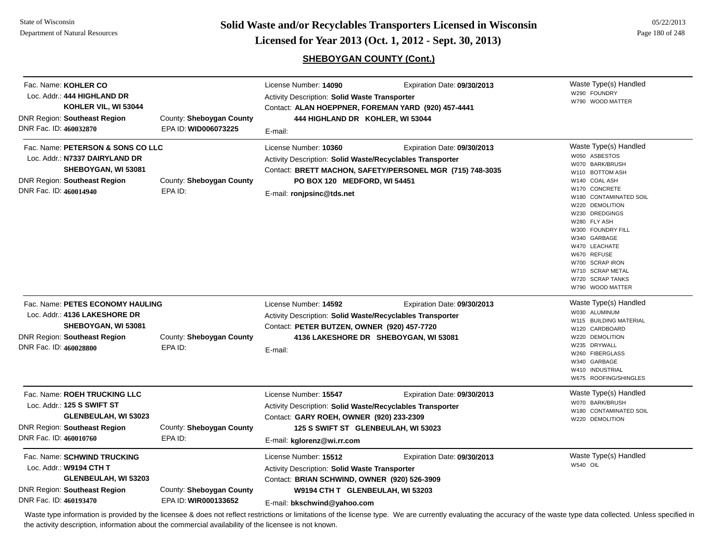State of WisconsinDepartment of Natural Resources

**Page 180 of 248 <b>Licensed for Year 2013 (Oct. 1, 2012 - Sept. 30, 2013) Page 180 of 248 Licensed for Year 2013 (Oct. 1, 2012 - Sept. 30, 2013)** 

## **SHEBOYGAN COUNTY (Cont.)**

| Fac. Name: KOHLER CO<br>Loc. Addr.: 444 HIGHLAND DR<br>KOHLER VIL, WI 53044<br><b>DNR Region: Southeast Region</b><br>DNR Fac. ID: 460032870                | County: Sheboygan County<br>EPA ID: WID006073225 | License Number: 14090<br><b>Activity Description: Solid Waste Transporter</b><br>444 HIGHLAND DR KOHLER, WI 53044<br>E-mail:                                                                               | Expiration Date: 09/30/2013<br>Contact: ALAN HOEPPNER, FOREMAN YARD (920) 457-4441       | Waste Type(s) Handled<br>W290 FOUNDRY<br>W790 WOOD MATTER                                                                                                                                                                                                                                                                                                   |
|-------------------------------------------------------------------------------------------------------------------------------------------------------------|--------------------------------------------------|------------------------------------------------------------------------------------------------------------------------------------------------------------------------------------------------------------|------------------------------------------------------------------------------------------|-------------------------------------------------------------------------------------------------------------------------------------------------------------------------------------------------------------------------------------------------------------------------------------------------------------------------------------------------------------|
| Fac. Name: PETERSON & SONS CO LLC<br>Loc. Addr.: N7337 DAIRYLAND DR<br>SHEBOYGAN, WI 53081<br><b>DNR Region: Southeast Region</b><br>DNR Fac. ID: 460014940 | County: Sheboygan County<br>EPA ID:              | License Number: 10360<br>Activity Description: Solid Waste/Recyclables Transporter<br>PO BOX 120 MEDFORD, WI 54451<br>E-mail: ronjpsinc@tds.net                                                            | Expiration Date: 09/30/2013<br>Contact: BRETT MACHON, SAFETY/PERSONEL MGR (715) 748-3035 | Waste Type(s) Handled<br>W050 ASBESTOS<br>W070 BARK/BRUSH<br><b>BOTTOM ASH</b><br>W110<br>W140 COAL ASH<br>W170 CONCRETE<br>W180 CONTAMINATED SOIL<br>W220 DEMOLITION<br>W230 DREDGINGS<br>W280 FLY ASH<br>W300 FOUNDRY FILL<br>W340 GARBAGE<br>W470 LEACHATE<br>W670 REFUSE<br>W700 SCRAP IRON<br>W710 SCRAP METAL<br>W720 SCRAP TANKS<br>W790 WOOD MATTER |
| Fac. Name: PETES ECONOMY HAULING<br>Loc. Addr.: 4136 LAKESHORE DR<br>SHEBOYGAN, WI 53081<br><b>DNR Region: Southeast Region</b><br>DNR Fac. ID: 460028800   | County: Sheboygan County<br>EPA ID:              | License Number: 14592<br><b>Activity Description: Solid Waste/Recyclables Transporter</b><br>Contact: PETER BUTZEN, OWNER (920) 457-7720<br>E-mail:                                                        | Expiration Date: 09/30/2013<br>4136 LAKESHORE DR SHEBOYGAN, WI 53081                     | Waste Type(s) Handled<br>W030 ALUMINUM<br>W115 BUILDING MATERIAL<br>W120 CARDBOARD<br>W220 DEMOLITION<br>W235 DRYWALL<br>W260 FIBERGLASS<br>W340 GARBAGE<br>W410 INDUSTRIAL<br>W675 ROOFING/SHINGLES                                                                                                                                                        |
| Fac. Name: ROEH TRUCKING LLC<br>Loc. Addr.: 125 S SWIFT ST<br>GLENBEULAH, WI 53023<br><b>DNR Region: Southeast Region</b><br>DNR Fac. ID: 460010760         | County: Sheboygan County<br>EPA ID:              | License Number: 15547<br><b>Activity Description: Solid Waste/Recyclables Transporter</b><br>Contact: GARY ROEH, OWNER (920) 233-2309<br>125 S SWIFT ST GLENBEULAH, WI 53023<br>E-mail: kglorenz@wi.rr.com | Expiration Date: 09/30/2013                                                              | Waste Type(s) Handled<br>W070 BARK/BRUSH<br>W180 CONTAMINATED SOIL<br>W220 DEMOLITION                                                                                                                                                                                                                                                                       |
| Fac. Name: SCHWIND TRUCKING<br>Loc. Addr.: W9194 CTH T<br>GLENBEULAH, WI 53203<br><b>DNR Region: Southeast Region</b><br>DNR Fac. ID: 460193470             | County: Sheboygan County<br>EPA ID: WIR000133652 | License Number: 15512<br><b>Activity Description: Solid Waste Transporter</b><br>Contact: BRIAN SCHWIND, OWNER (920) 526-3909<br>W9194 CTH T GLENBEULAH, WI 53203<br>E-mail: bkschwind@yahoo.com           | Expiration Date: 09/30/2013                                                              | Waste Type(s) Handled<br><b>W540 OIL</b>                                                                                                                                                                                                                                                                                                                    |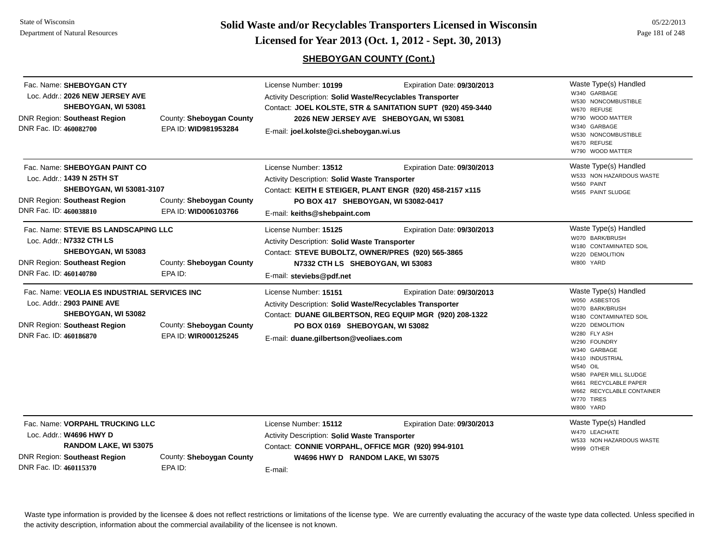**Page 181 of 248 <b>Licensed for Year 2013 (Oct. 1, 2012 - Sept. 30, 2013) Example 181 of 248 Licensed for Year 2013 (Oct. 1, 2012 - Sept. 30, 2013)** 

# **SHEBOYGAN COUNTY (Cont.)**

| Fac. Name: SHEBOYGAN CTY<br>Loc. Addr.: 2026 NEW JERSEY AVE<br>SHEBOYGAN, WI 53081<br><b>DNR Region: Southeast Region</b><br>DNR Fac. ID: 460082700                | County: Sheboygan County<br>EPA ID: WID981953284 | License Number: 10199<br>Activity Description: Solid Waste/Recyclables Transporter<br>E-mail: joel.kolste@ci.sheboygan.wi.us                                                                       | Expiration Date: 09/30/2013<br>Contact: JOEL KOLSTE, STR & SANITATION SUPT (920) 459-3440<br>2026 NEW JERSEY AVE SHEBOYGAN, WI 53081 | Waste Type(s) Handled<br>W340 GARBAGE<br>W530 NONCOMBUSTIBLE<br>W670 REFUSE<br>W790 WOOD MATTER<br>W340 GARBAGE<br>W530 NONCOMBUSTIBLE<br>W670 REFUSE<br>W790 WOOD MATTER                                                                                                                        |
|--------------------------------------------------------------------------------------------------------------------------------------------------------------------|--------------------------------------------------|----------------------------------------------------------------------------------------------------------------------------------------------------------------------------------------------------|--------------------------------------------------------------------------------------------------------------------------------------|--------------------------------------------------------------------------------------------------------------------------------------------------------------------------------------------------------------------------------------------------------------------------------------------------|
| Fac. Name: SHEBOYGAN PAINT CO<br>Loc. Addr.: 1439 N 25TH ST<br>SHEBOYGAN, WI 53081-3107<br>DNR Region: Southeast Region<br>DNR Fac. ID: 460038810                  | County: Sheboygan County<br>EPA ID: WID006103766 | License Number: 13512<br>Activity Description: Solid Waste Transporter<br>E-mail: keiths@shebpaint.com                                                                                             | Expiration Date: 09/30/2013<br>Contact: KEITH E STEIGER, PLANT ENGR (920) 458-2157 x115<br>PO BOX 417 SHEBOYGAN, WI 53082-0417       | Waste Type(s) Handled<br>W533 NON HAZARDOUS WASTE<br>W560 PAINT<br>W565 PAINT SLUDGE                                                                                                                                                                                                             |
| Fac. Name: STEVIE BS LANDSCAPING LLC<br>Loc. Addr.: N7332 CTH LS<br>SHEBOYGAN, WI 53083<br><b>DNR Region: Southeast Region</b><br>DNR Fac. ID: 460140780           | County: Sheboygan County<br>EPA ID:              | License Number: 15125<br><b>Activity Description: Solid Waste Transporter</b><br>Contact: STEVE BUBOLTZ, OWNER/PRES (920) 565-3865<br>N7332 CTH LS SHEBOYGAN, WI 53083<br>E-mail: steviebs@pdf.net | Expiration Date: 09/30/2013                                                                                                          | Waste Type(s) Handled<br>W070 BARK/BRUSH<br>W180 CONTAMINATED SOIL<br>W220 DEMOLITION<br>W800 YARD                                                                                                                                                                                               |
| Fac. Name: VEOLIA ES INDUSTRIAL SERVICES INC<br>Loc. Addr.: 2903 PAINE AVE<br>SHEBOYGAN, WI 53082<br><b>DNR Region: Southeast Region</b><br>DNR Fac. ID: 460186870 | County: Sheboygan County<br>EPA ID: WIR000125245 | License Number: 15151<br>Activity Description: Solid Waste/Recyclables Transporter<br>PO BOX 0169 SHEBOYGAN, WI 53082<br>E-mail: duane.gilbertson@veoliaes.com                                     | Expiration Date: 09/30/2013<br>Contact: DUANE GILBERTSON, REG EQUIP MGR (920) 208-1322                                               | Waste Type(s) Handled<br>W050 ASBESTOS<br>W070 BARK/BRUSH<br>W180 CONTAMINATED SOIL<br>W220 DEMOLITION<br>W280 FLY ASH<br>W290 FOUNDRY<br>W340 GARBAGE<br>W410 INDUSTRIAL<br>W540 OIL<br>W580 PAPER MILL SLUDGE<br>W661 RECYCLABLE PAPER<br>W662 RECYCLABLE CONTAINER<br>W770 TIRES<br>W800 YARD |
| Fac. Name: VORPAHL TRUCKING LLC<br>Loc. Addr.: W4696 HWY D<br>RANDOM LAKE, WI 53075<br><b>DNR Region: Southeast Region</b><br>DNR Fac. ID: 460115370               | County: Sheboygan County<br>EPA ID:              | License Number: 15112<br>Activity Description: Solid Waste Transporter<br>Contact: CONNIE VORPAHL, OFFICE MGR (920) 994-9101<br>W4696 HWY D RANDOM LAKE, WI 53075<br>E-mail:                       | Expiration Date: 09/30/2013                                                                                                          | Waste Type(s) Handled<br>W470 LEACHATE<br>W533 NON HAZARDOUS WASTE<br>W999 OTHER                                                                                                                                                                                                                 |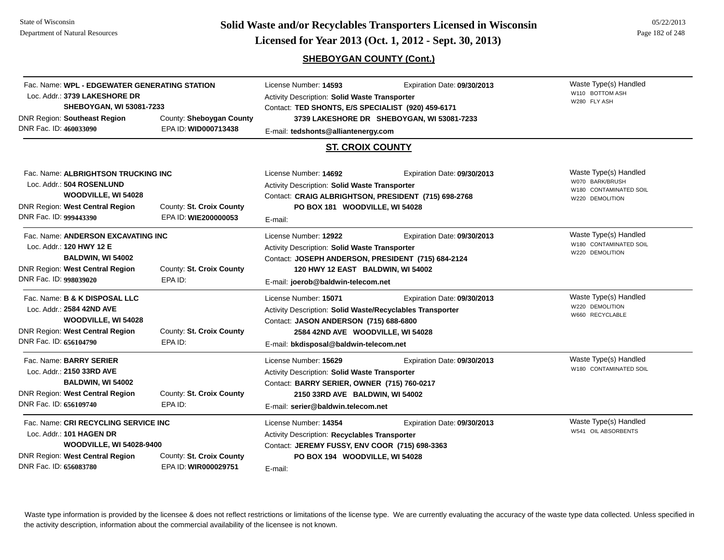**Page 182 of 248 <b>Licensed for Year 2013 (Oct. 1, 2012 - Sept. 30, 2013) Page 182 of 248 Licensed for Year 2013 (Oct. 1, 2012 - Sept. 30, 2013)** 

# **SHEBOYGAN COUNTY (Cont.)**

| Fac. Name: WPL - EDGEWATER GENERATING STATION<br>Loc. Addr.: 3739 LAKESHORE DR<br>SHEBOYGAN, WI 53081-7233<br><b>DNR Region: Southeast Region</b><br>County: Sheboygan County                                               |                                                                                                                                   | License Number: 14593<br>Expiration Date: 09/30/2013<br>Activity Description: Solid Waste Transporter<br>Contact: TED SHONTS, E/S SPECIALIST (920) 459-6171<br>3739 LAKESHORE DR SHEBOYGAN, WI 53081-7233 |                                                                                                                                                                                                                                        | Waste Type(s) Handled<br>W110 BOTTOM ASH<br>W280 FLY ASH |                                                                                       |
|-----------------------------------------------------------------------------------------------------------------------------------------------------------------------------------------------------------------------------|-----------------------------------------------------------------------------------------------------------------------------------|-----------------------------------------------------------------------------------------------------------------------------------------------------------------------------------------------------------|----------------------------------------------------------------------------------------------------------------------------------------------------------------------------------------------------------------------------------------|----------------------------------------------------------|---------------------------------------------------------------------------------------|
| DNR Fac. ID: 460033090                                                                                                                                                                                                      |                                                                                                                                   | EPA ID: WID000713438                                                                                                                                                                                      | E-mail: tedshonts@alliantenergy.com                                                                                                                                                                                                    |                                                          |                                                                                       |
|                                                                                                                                                                                                                             |                                                                                                                                   |                                                                                                                                                                                                           | <b>ST. CROIX COUNTY</b>                                                                                                                                                                                                                |                                                          |                                                                                       |
| DNR Fac. ID: 999443390                                                                                                                                                                                                      | Fac. Name: ALBRIGHTSON TRUCKING INC<br>Loc. Addr.: 504 ROSENLUND<br>WOODVILLE, WI 54028<br><b>DNR Region: West Central Region</b> | County: St. Croix County<br>EPA ID: WIE200000053                                                                                                                                                          | License Number: 14692<br>Expiration Date: 09/30/2013<br>Activity Description: Solid Waste Transporter<br>Contact: CRAIG ALBRIGHTSON, PRESIDENT (715) 698-2768<br>PO BOX 181 WOODVILLE, WI 54028<br>E-mail:                             |                                                          | Waste Type(s) Handled<br>W070 BARK/BRUSH<br>W180 CONTAMINATED SOIL<br>W220 DEMOLITION |
| DNR Fac. ID: 998039020                                                                                                                                                                                                      | Fac. Name: ANDERSON EXCAVATING INC<br>Loc. Addr.: 120 HWY 12 E<br>BALDWIN, WI 54002<br>DNR Region: West Central Region            | County: St. Croix County<br>EPA ID:                                                                                                                                                                       | License Number: 12922<br>Expiration Date: 09/30/2013<br>Activity Description: Solid Waste Transporter<br>Contact: JOSEPH ANDERSON, PRESIDENT (715) 684-2124<br>120 HWY 12 EAST BALDWIN, WI 54002<br>E-mail: joerob@baldwin-telecom.net |                                                          | Waste Type(s) Handled<br>W180 CONTAMINATED SOIL<br>W220 DEMOLITION                    |
| DNR Fac. ID: 656104790                                                                                                                                                                                                      | Fac. Name: B & K DISPOSAL LLC<br>Loc. Addr.: 2584 42ND AVE<br>WOODVILLE, WI 54028<br><b>DNR Region: West Central Region</b>       | County: St. Croix County<br>EPA ID:                                                                                                                                                                       | License Number: 15071<br>Activity Description: Solid Waste/Recyclables Transporter<br>Contact: JASON ANDERSON (715) 688-6800<br>2584 42ND AVE WOODVILLE, WI 54028<br>E-mail: bkdisposal@baldwin-telecom.net                            | Expiration Date: 09/30/2013                              | Waste Type(s) Handled<br>W220 DEMOLITION<br>W660 RECYCLABLE                           |
| DNR Fac. ID: 656109740                                                                                                                                                                                                      | Fac. Name: BARRY SERIER<br>Loc. Addr.: 2150 33RD AVE<br>BALDWIN, WI 54002<br><b>DNR Region: West Central Region</b>               | County: St. Croix County<br>EPA ID:                                                                                                                                                                       | License Number: 15629<br>Expiration Date: 09/30/2013<br>Activity Description: Solid Waste Transporter<br>Contact: BARRY SERIER, OWNER (715) 760-0217<br>2150 33RD AVE BALDWIN, WI 54002<br>E-mail: serier@baldwin.telecom.net          |                                                          | Waste Type(s) Handled<br>W180 CONTAMINATED SOIL                                       |
| Fac. Name: CRI RECYCLING SERVICE INC<br>Loc. Addr.: 101 HAGEN DR<br><b>WOODVILLE, WI 54028-9400</b><br><b>DNR Region: West Central Region</b><br>County: St. Croix County<br>DNR Fac. ID: 656083780<br>EPA ID: WIR000029751 |                                                                                                                                   | License Number: 14354<br>Activity Description: Recyclables Transporter<br>Contact: JEREMY FUSSY, ENV COOR (715) 698-3363<br>PO BOX 194 WOODVILLE, WI 54028<br>E-mail:                                     | Expiration Date: 09/30/2013                                                                                                                                                                                                            | Waste Type(s) Handled<br>W541 OIL ABSORBENTS             |                                                                                       |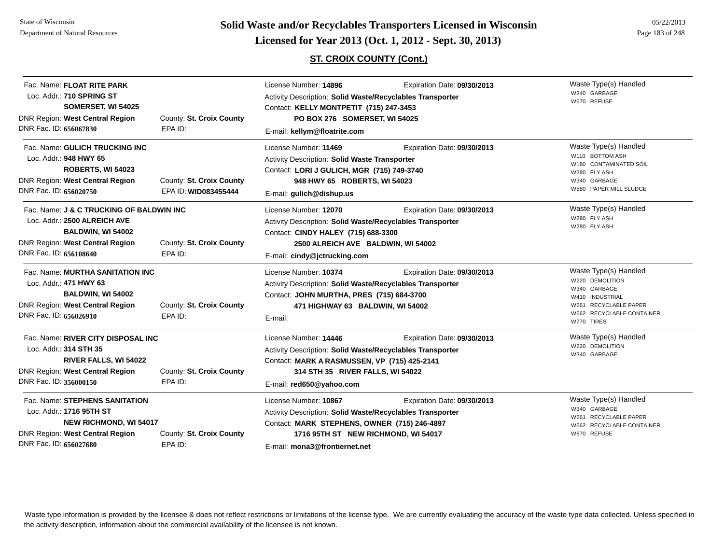**Page 183 of 248 <b>Licensed for Year 2013 (Oct. 1, 2012 - Sept. 30, 2013) Page 183 of 248 Licensed for Year 2013 (Oct. 1, 2012 - Sept. 30, 2013)** 

# **ST. CROIX COUNTY (Cont.)**

| Fac. Name: FLOAT RITE PARK<br>Loc. Addr.: 710 SPRING ST<br>SOMERSET, WI 54025<br><b>DNR Region: West Central Region</b><br>DNR Fac. ID: 656067830                                                      | County: St. Croix County<br>EPA ID:              | License Number: 14896<br>Activity Description: Solid Waste/Recyclables Transporter<br>Contact: KELLY MONTPETIT (715) 247-3453<br>PO BOX 276 SOMERSET, WI 54025<br>E-mail: kellym@floatrite.com             | Expiration Date: 09/30/2013 | Waste Type(s) Handled<br>W340 GARBAGE<br>W670 REFUSE                                                                                            |
|--------------------------------------------------------------------------------------------------------------------------------------------------------------------------------------------------------|--------------------------------------------------|------------------------------------------------------------------------------------------------------------------------------------------------------------------------------------------------------------|-----------------------------|-------------------------------------------------------------------------------------------------------------------------------------------------|
| Fac. Name: GULICH TRUCKING INC<br>Loc. Addr.: 948 HWY 65<br><b>ROBERTS, WI 54023</b><br><b>DNR Region: West Central Region</b><br>DNR Fac. ID: 656020750                                               | County: St. Croix County<br>EPA ID: WID083455444 | License Number: 11469<br>Activity Description: Solid Waste Transporter<br>Contact: LORI J GULICH, MGR (715) 749-3740<br>948 HWY 65 ROBERTS, WI 54023<br>E-mail: gulich@dishup.us                           | Expiration Date: 09/30/2013 | Waste Type(s) Handled<br>W110 BOTTOM ASH<br>W180 CONTAMINATED SOIL<br>W280 FLY ASH<br>W340 GARBAGE<br>W580 PAPER MILL SLUDGE                    |
| Fac. Name: J & C TRUCKING OF BALDWIN INC<br>Loc. Addr.: 2500 ALREICH AVE<br>BALDWIN, WI 54002<br><b>DNR Region: West Central Region</b><br>DNR Fac. ID: 656108640                                      | County: St. Croix County<br>EPA ID:              | License Number: 12070<br>Activity Description: Solid Waste/Recyclables Transporter<br>Contact: CINDY HALEY (715) 688-3300<br>2500 ALREICH AVE BALDWIN, WI 54002<br>E-mail: cindy@jctrucking.com            | Expiration Date: 09/30/2013 | Waste Type(s) Handled<br>W280 FLY ASH<br>W280 FLY ASH                                                                                           |
| Fac. Name: MURTHA SANITATION INC<br>Loc. Addr.: 471 HWY 63<br>BALDWIN, WI 54002<br><b>DNR Region: West Central Region</b><br>DNR Fac. ID: 656026910                                                    | County: St. Croix County<br>EPA ID:              | License Number: 10374<br>Activity Description: Solid Waste/Recyclables Transporter<br>Contact: JOHN MURTHA, PRES (715) 684-3700<br>471 HIGHWAY 63 BALDWIN, WI 54002<br>E-mail:                             | Expiration Date: 09/30/2013 | Waste Type(s) Handled<br>W220 DEMOLITION<br>W340 GARBAGE<br>W410 INDUSTRIAL<br>W661 RECYCLABLE PAPER<br>W662 RECYCLABLE CONTAINER<br>W770 TIRES |
| Fac. Name: RIVER CITY DISPOSAL INC<br>Loc. Addr.: 314 STH 35<br><b>RIVER FALLS, WI 54022</b><br>DNR Region: West Central Region<br>DNR Fac. ID: 356000150                                              | County: St. Croix County<br>EPA ID:              | License Number: 14446<br>Activity Description: Solid Waste/Recyclables Transporter<br>Contact: MARK A RASMUSSEN, VP (715) 425-2141<br>314 STH 35 RIVER FALLS, WI 54022<br>E-mail: red650@yahoo.com         | Expiration Date: 09/30/2013 | Waste Type(s) Handled<br>W220 DEMOLITION<br>W340 GARBAGE                                                                                        |
| Fac. Name: STEPHENS SANITATION<br>Loc. Addr.: 1716 95TH ST<br><b>NEW RICHMOND, WI 54017</b><br><b>DNR Region: West Central Region</b><br>County: St. Croix County<br>DNR Fac. ID: 656027680<br>EPA ID: |                                                  | License Number: 10867<br>Activity Description: Solid Waste/Recyclables Transporter<br>Contact: MARK STEPHENS, OWNER (715) 246-4897<br>1716 95TH ST NEW RICHMOND, WI 54017<br>E-mail: mona3@frontiernet.net | Expiration Date: 09/30/2013 | Waste Type(s) Handled<br>W340 GARBAGE<br>W661 RECYCLABLE PAPER<br>W662 RECYCLABLE CONTAINER<br>W670 REFUSE                                      |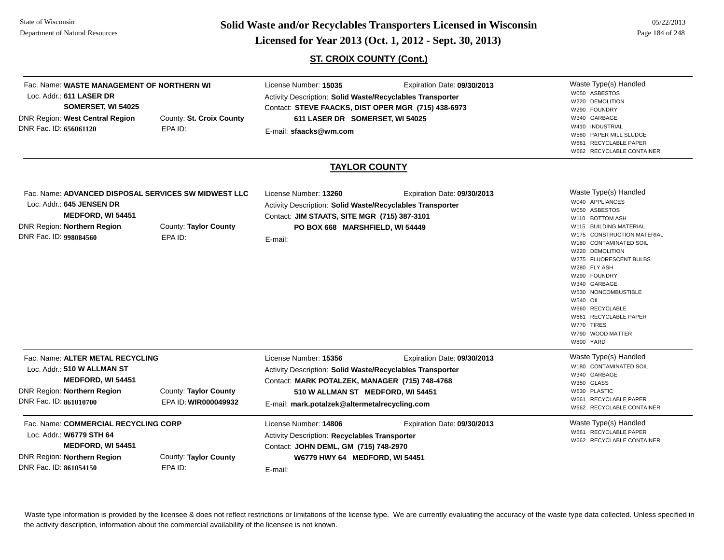**Page 184 of 248 <b>Licensed for Year 2013 (Oct. 1, 2012 - Sept. 30, 2013) Page 184 of 248 Licensed for Year 2013 (Oct. 1, 2012 - Sept. 30, 2013)** 

**ST. CROIX COUNTY (Cont.)**

| Fac. Name: WASTE MANAGEMENT OF NORTHERN WI<br>Loc. Addr.: 611 LASER DR<br>SOMERSET, WI 54025<br><b>DNR Region: West Central Region</b><br>DNR Fac. ID: 656061120                   | County: St. Croix County<br>EPA ID:           | License Number: 15035<br>Expiration Date: 09/30/2013<br>Activity Description: Solid Waste/Recyclables Transporter<br>Contact: STEVE FAACKS, DIST OPER MGR (715) 438-6973<br>611 LASER DR SOMERSET, WI 54025<br>E-mail: sfaacks@wm.com<br><b>TAYLOR COUNTY</b> |                             | Waste Type(s) Handled<br>W050 ASBESTOS<br>W220 DEMOLITION<br>W290 FOUNDRY<br>W340 GARBAGE<br>W410 INDUSTRIAL<br>W580 PAPER MILL SLUDGE<br>W661 RECYCLABLE PAPER<br>W662 RECYCLABLE CONTAINER                                                                                                                                        |
|------------------------------------------------------------------------------------------------------------------------------------------------------------------------------------|-----------------------------------------------|---------------------------------------------------------------------------------------------------------------------------------------------------------------------------------------------------------------------------------------------------------------|-----------------------------|-------------------------------------------------------------------------------------------------------------------------------------------------------------------------------------------------------------------------------------------------------------------------------------------------------------------------------------|
| Fac. Name: ADVANCED DISPOSAL SERVICES SW MIDWEST LLC<br>Loc. Addr.: 645 JENSEN DR<br><b>MEDFORD, WI 54451</b>                                                                      |                                               | License Number: 13260<br><b>Activity Description: Solid Waste/Recyclables Transporter</b><br>Contact: JIM STAATS, SITE MGR (715) 387-3101                                                                                                                     | Expiration Date: 09/30/2013 | Waste Type(s) Handled<br>W040 APPLIANCES<br>W050 ASBESTOS                                                                                                                                                                                                                                                                           |
| <b>DNR Region: Northern Region</b><br>DNR Fac. ID: 998084560                                                                                                                       | County: Taylor County<br>EPA ID:              | PO BOX 668 MARSHFIELD, WI 54449<br>E-mail:                                                                                                                                                                                                                    |                             | W110 BOTTOM ASH<br>W115 BUILDING MATERIAL<br>W175 CONSTRUCTION MATERIAL<br>W180 CONTAMINATED SOIL<br>W220 DEMOLITION<br>W275 FLUORESCENT BULBS<br>W280 FLY ASH<br>W290 FOUNDRY<br>W340 GARBAGE<br>W530 NONCOMBUSTIBLE<br><b>W540 OIL</b><br>W660 RECYCLABLE<br>W661 RECYCLABLE PAPER<br>W770 TIRES<br>W790 WOOD MATTER<br>W800 YARD |
| Fac. Name: ALTER METAL RECYCLING<br>Loc. Addr.: 510 W ALLMAN ST<br><b>MEDFORD, WI 54451</b><br>DNR Region: Northern Region<br>DNR Fac. ID: 861010700                               | County: Taylor County<br>EPA ID: WIR000049932 | License Number: 15356<br>Activity Description: Solid Waste/Recyclables Transporter<br>Contact: MARK POTALZEK, MANAGER (715) 748-4768<br>510 W ALLMAN ST MEDFORD, WI 54451<br>E-mail: mark.potalzek@altermetalrecycling.com                                    | Expiration Date: 09/30/2013 | Waste Type(s) Handled<br>W180 CONTAMINATED SOIL<br>W340 GARBAGE<br>W350 GLASS<br>W630 PLASTIC<br>W661 RECYCLABLE PAPER<br>W662 RECYCLABLE CONTAINER                                                                                                                                                                                 |
| Fac. Name: COMMERCIAL RECYCLING CORP<br>Loc. Addr.: W6779 STH 64<br>MEDFORD, WI 54451<br>DNR Region: Northern Region<br>County: Taylor County<br>DNR Fac. ID: 861054150<br>EPA ID: |                                               | License Number: 14806<br>Activity Description: Recyclables Transporter<br>Contact: JOHN DEML, GM (715) 748-2970<br>W6779 HWY 64 MEDFORD, WI 54451<br>E-mail:                                                                                                  | Expiration Date: 09/30/2013 | Waste Type(s) Handled<br>W661 RECYCLABLE PAPER<br>W662 RECYCLABLE CONTAINER                                                                                                                                                                                                                                                         |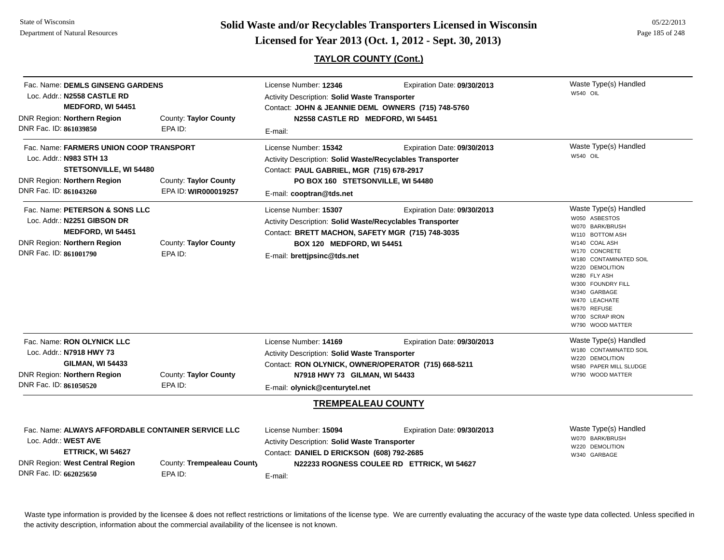**Page 185 of 248 <b>Licensed for Year 2013 (Oct. 1, 2012 - Sept. 30, 2013) Page 185 of 248 Licensed for Year 2013 (Oct. 1, 2012 - Sept. 30, 2013)** 

05/22/2013

# **TAYLOR COUNTY (Cont.)**

| Fac. Name: DEMLS GINSENG GARDENS<br>Loc. Addr.: N2558 CASTLE RD<br>MEDFORD, WI 54451<br>DNR Region: Northern Region<br>DNR Fac. ID: 861039850                                                         | County: Taylor County<br>EPA ID:              | License Number: 12346<br>Activity Description: Solid Waste Transporter<br>Contact: JOHN & JEANNIE DEML OWNERS (715) 748-5760<br>N2558 CASTLE RD MEDFORD, WI 54451<br>E-mail:                                                  | Waste Type(s) Handled<br><b>W540 OIL</b>                                  |                                                                                                                                                                                                                                                                                         |
|-------------------------------------------------------------------------------------------------------------------------------------------------------------------------------------------------------|-----------------------------------------------|-------------------------------------------------------------------------------------------------------------------------------------------------------------------------------------------------------------------------------|---------------------------------------------------------------------------|-----------------------------------------------------------------------------------------------------------------------------------------------------------------------------------------------------------------------------------------------------------------------------------------|
| Fac. Name: FARMERS UNION COOP TRANSPORT<br>Loc. Addr.: N983 STH 13<br>STETSONVILLE, WI 54480<br>DNR Region: Northern Region<br>DNR Fac. ID: 861043260                                                 | County: Taylor County<br>EPA ID: WIR000019257 | License Number: 15342<br>Activity Description: Solid Waste/Recyclables Transporter<br>Contact: PAUL GABRIEL, MGR (715) 678-2917<br>PO BOX 160 STETSONVILLE, WI 54480<br>E-mail: cooptran@tds.net                              | Expiration Date: 09/30/2013                                               | Waste Type(s) Handled<br>W540 OIL                                                                                                                                                                                                                                                       |
| Fac. Name: PETERSON & SONS LLC<br>Loc. Addr.: N2251 GIBSON DR<br>MEDFORD, WI 54451<br>DNR Region: Northern Region<br>DNR Fac. ID: 861001790                                                           | County: Taylor County<br>EPA ID:              | License Number: 15307<br>Activity Description: Solid Waste/Recyclables Transporter<br>Contact: BRETT MACHON, SAFETY MGR (715) 748-3035<br>BOX 120 MEDFORD, WI 54451<br>E-mail: brettjpsinc@tds.net                            | Expiration Date: 09/30/2013                                               | Waste Type(s) Handled<br>W050 ASBESTOS<br>W070 BARK/BRUSH<br>W110 BOTTOM ASH<br>W140 COAL ASH<br>W170 CONCRETE<br>W180 CONTAMINATED SOIL<br>W220 DEMOLITION<br>W280 FLY ASH<br>W300 FOUNDRY FILL<br>W340 GARBAGE<br>W470 LEACHATE<br>W670 REFUSE<br>W700 SCRAP IRON<br>W790 WOOD MATTER |
| Fac. Name: RON OLYNICK LLC<br>Loc. Addr.: N7918 HWY 73<br><b>GILMAN, WI 54433</b><br>DNR Region: Northern Region<br>DNR Fac. ID: 861050520                                                            | County: Taylor County<br>EPA ID:              | License Number: 14169<br>Activity Description: Solid Waste Transporter<br>Contact: RON OLYNICK, OWNER/OPERATOR (715) 668-5211<br>N7918 HWY 73 GILMAN, WI 54433<br>E-mail: olynick@centurytel.net<br><b>TREMPEALEAU COUNTY</b> | Expiration Date: 09/30/2013                                               | Waste Type(s) Handled<br>W180 CONTAMINATED SOIL<br>W220 DEMOLITION<br>W580 PAPER MILL SLUDGE<br>W790 WOOD MATTER                                                                                                                                                                        |
| Fac. Name: ALWAYS AFFORDABLE CONTAINER SERVICE LLC<br>Loc. Addr.: WEST AVE<br>ETTRICK, WI 54627<br>DNR Region: West Central Region<br>County: Trempealeau County<br>DNR Fac. ID: 662025650<br>EPA ID: |                                               | License Number: 15094<br>Activity Description: Solid Waste Transporter<br>Contact: DANIEL D ERICKSON (608) 792-2685<br>E-mail:                                                                                                | Expiration Date: 09/30/2013<br>N22233 ROGNESS COULEE RD ETTRICK, WI 54627 | Waste Type(s) Handled<br>W070 BARK/BRUSH<br>W220 DEMOLITION<br>W340 GARBAGE                                                                                                                                                                                                             |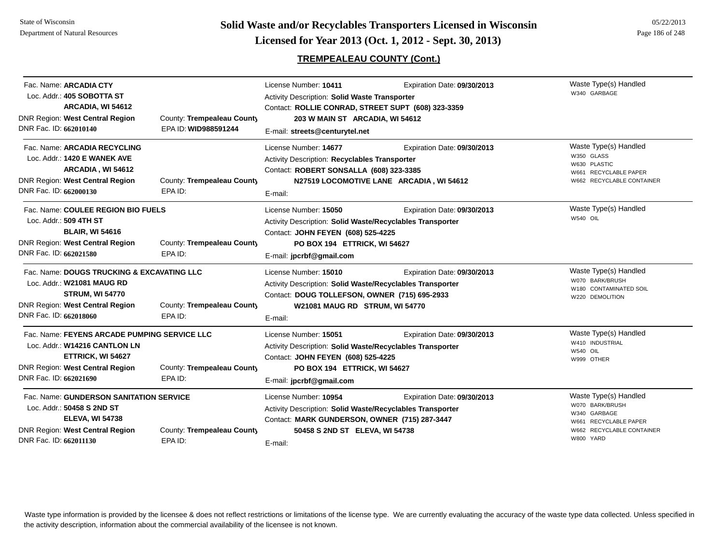# **TREMPEALEAU COUNTY (Cont.)**

| Fac. Name: ARCADIA CTY<br>Loc. Addr.: 405 SOBOTTA ST<br>ARCADIA, WI 54612<br><b>DNR Region: West Central Region</b><br>DNR Fac. ID: 662010140                          | County: Trempealeau County<br>EPA ID: WID988591244 | License Number: 10411<br>Activity Description: Solid Waste Transporter<br>Contact: ROLLIE CONRAD, STREET SUPT (608) 323-3359<br>203 W MAIN ST ARCADIA, WI 54612<br>E-mail: streets@centurytel.net | Expiration Date: 09/30/2013                                             | Waste Type(s) Handled<br>W340 GARBAGE                                                                                       |
|------------------------------------------------------------------------------------------------------------------------------------------------------------------------|----------------------------------------------------|---------------------------------------------------------------------------------------------------------------------------------------------------------------------------------------------------|-------------------------------------------------------------------------|-----------------------------------------------------------------------------------------------------------------------------|
| Fac. Name: ARCADIA RECYCLING<br>Loc. Addr.: 1420 E WANEK AVE<br>ARCADIA, WI 54612<br>DNR Region: West Central Region<br>DNR Fac. ID: 662000130                         | County: Trempealeau County<br>EPA ID:              | License Number: 14677<br><b>Activity Description: Recyclables Transporter</b><br>Contact: ROBERT SONSALLA (608) 323-3385<br>E-mail:                                                               | Expiration Date: 09/30/2013<br>N27519 LOCOMOTIVE LANE ARCADIA, WI 54612 | Waste Type(s) Handled<br>W350 GLASS<br>W630 PLASTIC<br>W661 RECYCLABLE PAPER<br>W662 RECYCLABLE CONTAINER                   |
| Fac. Name: COULEE REGION BIO FUELS<br>Loc. Addr.: 509 4TH ST<br><b>BLAIR, WI 54616</b><br><b>DNR Region: West Central Region</b><br>DNR Fac. ID: 662021580             | County: Trempealeau County<br>EPA ID:              | License Number: 15050<br>Activity Description: Solid Waste/Recyclables Transporter<br>Contact: JOHN FEYEN (608) 525-4225<br>PO BOX 194 ETTRICK, WI 54627<br>E-mail: jpcrbf@gmail.com              | Expiration Date: 09/30/2013                                             | Waste Type(s) Handled<br><b>W540 OIL</b>                                                                                    |
| Fac. Name: DOUGS TRUCKING & EXCAVATING LLC<br>Loc. Addr.: W21081 MAUG RD<br><b>STRUM, WI 54770</b><br><b>DNR Region: West Central Region</b><br>DNR Fac. ID: 662018060 | County: Trempealeau County<br>EPA ID:              | License Number: 15010<br>Activity Description: Solid Waste/Recyclables Transporter<br>Contact: DOUG TOLLEFSON, OWNER (715) 695-2933<br>W21081 MAUG RD STRUM, WI 54770<br>E-mail:                  | Expiration Date: 09/30/2013                                             | Waste Type(s) Handled<br>W070 BARK/BRUSH<br>W180 CONTAMINATED SOIL<br>W220 DEMOLITION                                       |
| Fac. Name: FEYENS ARCADE PUMPING SERVICE LLC<br>Loc. Addr.: W14216 CANTLON LN<br>ETTRICK, WI 54627<br>DNR Region: West Central Region<br>DNR Fac. ID: 662021690        | County: Trempealeau County<br>EPA ID:              | License Number: 15051<br>Activity Description: Solid Waste/Recyclables Transporter<br>Contact: JOHN FEYEN (608) 525-4225<br>PO BOX 194 ETTRICK, WI 54627<br>E-mail: jpcrbf@gmail.com              | Expiration Date: 09/30/2013                                             | Waste Type(s) Handled<br>W410 INDUSTRIAL<br><b>W540 OIL</b><br>W999 OTHER                                                   |
| Fac. Name: GUNDERSON SANITATION SERVICE<br>Loc. Addr.: 50458 S 2ND ST<br><b>ELEVA, WI 54738</b><br><b>DNR Region: West Central Region</b><br>DNR Fac. ID: 662011130    | County: Trempealeau County<br>EPA ID:              | License Number: 10954<br><b>Activity Description: Solid Waste/Recyclables Transporter</b><br>Contact: MARK GUNDERSON, OWNER (715) 287-3447<br>50458 S 2ND ST ELEVA, WI 54738<br>E-mail:           | Expiration Date: 09/30/2013                                             | Waste Type(s) Handled<br>W070 BARK/BRUSH<br>W340 GARBAGE<br>W661 RECYCLABLE PAPER<br>W662 RECYCLABLE CONTAINER<br>W800 YARD |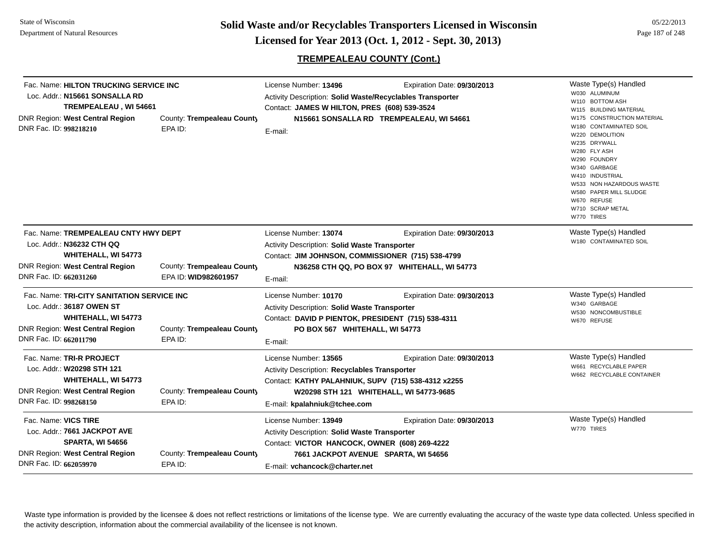# **TREMPEALEAU COUNTY (Cont.)**

| Fac. Name: HILTON TRUCKING SERVICE INC<br>Loc. Addr.: N15661 SONSALLA RD<br>TREMPEALEAU, WI 54661<br><b>DNR Region: West Central Region</b><br>DNR Fac. ID: 998218210 | County: Trempealeau County<br>EPA ID:              | License Number: 13496<br>Activity Description: Solid Waste/Recyclables Transporter<br>Contact: JAMES W HILTON, PRES (608) 539-3524<br>E-mail:                                                            | Expiration Date: 09/30/2013<br>N15661 SONSALLA RD TREMPEALEAU, WI 54661     | Waste Type(s) Handled<br>W030 ALUMINUM<br>W110 BOTTOM ASH<br>W115 BUILDING MATERIAL<br>W175 CONSTRUCTION MATERIAL<br>W180 CONTAMINATED SOIL<br>W220 DEMOLITION<br>W235 DRYWALL<br>W280 FLY ASH<br>W290 FOUNDRY<br>W340 GARBAGE<br>W410 INDUSTRIAL<br>W533 NON HAZARDOUS WASTE<br>W580 PAPER MILL SLUDGE<br>W670 REFUSE<br>W710 SCRAP METAL<br>W770 TIRES |
|-----------------------------------------------------------------------------------------------------------------------------------------------------------------------|----------------------------------------------------|----------------------------------------------------------------------------------------------------------------------------------------------------------------------------------------------------------|-----------------------------------------------------------------------------|----------------------------------------------------------------------------------------------------------------------------------------------------------------------------------------------------------------------------------------------------------------------------------------------------------------------------------------------------------|
| Fac. Name: TREMPEALEAU CNTY HWY DEPT<br>Loc. Addr.: N36232 CTH QQ<br>WHITEHALL, WI 54773<br><b>DNR Region: West Central Region</b><br>DNR Fac. ID: 662031260          | County: Trempealeau County<br>EPA ID: WID982601957 | License Number: 13074<br>Activity Description: Solid Waste Transporter<br>Contact: JIM JOHNSON, COMMISSIONER (715) 538-4799<br>E-mail:                                                                   | Expiration Date: 09/30/2013<br>N36258 CTH QQ, PO BOX 97 WHITEHALL, WI 54773 | Waste Type(s) Handled<br>W180 CONTAMINATED SOIL                                                                                                                                                                                                                                                                                                          |
| Fac. Name: TRI-CITY SANITATION SERVICE INC<br>Loc. Addr.: 36187 OWEN ST<br>WHITEHALL, WI 54773<br><b>DNR Region: West Central Region</b><br>DNR Fac. ID: 662011790    | County: Trempealeau County<br>EPA ID:              | License Number: 10170<br><b>Activity Description: Solid Waste Transporter</b><br>Contact: DAVID P PIENTOK, PRESIDENT (715) 538-4311<br>PO BOX 567 WHITEHALL, WI 54773<br>E-mail:                         | Expiration Date: 09/30/2013                                                 | Waste Type(s) Handled<br>W340 GARBAGE<br>W530 NONCOMBUSTIBLE<br>W670 REFUSE                                                                                                                                                                                                                                                                              |
| Fac. Name: TRI-R PROJECT<br>Loc. Addr.: W20298 STH 121<br><b>WHITEHALL, WI 54773</b><br>DNR Region: West Central Region<br>DNR Fac. ID: 998268150                     | County: Trempealeau County<br>EPA ID:              | License Number: 13565<br>Activity Description: Recyclables Transporter<br>Contact: KATHY PALAHNIUK, SUPV (715) 538-4312 x2255<br>W20298 STH 121 WHITEHALL, WI 54773-9685<br>E-mail: kpalahniuk@tchee.com | Expiration Date: 09/30/2013                                                 | Waste Type(s) Handled<br>W661 RECYCLABLE PAPER<br>W662 RECYCLABLE CONTAINER                                                                                                                                                                                                                                                                              |
| Fac. Name: VICS TIRE<br>Loc. Addr.: 7661 JACKPOT AVE<br>SPARTA, WI 54656<br><b>DNR Region: West Central Region</b><br>DNR Fac. ID: 662059970                          | County: Trempealeau County<br>EPA ID:              | License Number: 13949<br>Activity Description: Solid Waste Transporter<br>Contact: VICTOR HANCOCK, OWNER (608) 269-4222<br>7661 JACKPOT AVENUE SPARTA, WI 54656<br>E-mail: vchancock@charter.net         | Expiration Date: 09/30/2013                                                 | Waste Type(s) Handled<br>W770 TIRES                                                                                                                                                                                                                                                                                                                      |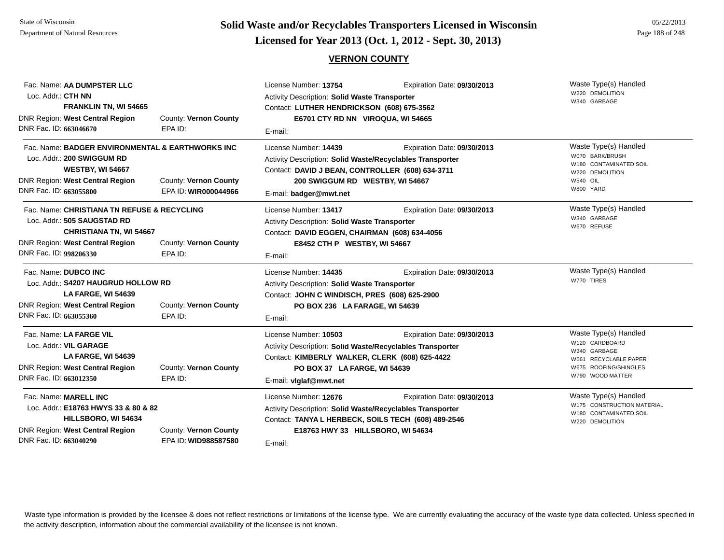# **Page 188 of 248 <b>Licensed for Year 2013 (Oct. 1, 2012 - Sept. 30, 2013) Page 188 of 248 Licensed for Year 2013 (Oct. 1, 2012 - Sept. 30, 2013)**

### **VERNON COUNTY**

| Fac. Name: AA DUMPSTER LLC<br>Loc. Addr.: CTH NN<br>FRANKLIN TN, WI 54665<br>DNR Region: West Central Region<br>County: Vernon County                                                              |                                               | License Number: 13754<br>Expiration Date: 09/30/2013<br>Activity Description: Solid Waste Transporter<br>Contact: LUTHER HENDRICKSON (608) 675-3562<br>E6701 CTY RD NN VIROQUA, WI 54665       |                                 | Waste Type(s) Handled<br>W220 DEMOLITION<br>W340 GARBAGE                                                                      |  |
|----------------------------------------------------------------------------------------------------------------------------------------------------------------------------------------------------|-----------------------------------------------|------------------------------------------------------------------------------------------------------------------------------------------------------------------------------------------------|---------------------------------|-------------------------------------------------------------------------------------------------------------------------------|--|
| DNR Fac. ID: 663046670                                                                                                                                                                             | EPA ID:                                       | E-mail:                                                                                                                                                                                        |                                 |                                                                                                                               |  |
| Fac. Name: BADGER ENVIRONMENTAL & EARTHWORKS INC<br>Loc. Addr.: 200 SWIGGUM RD<br><b>WESTBY, WI 54667</b>                                                                                          |                                               | License Number: 14439<br>Activity Description: Solid Waste/Recyclables Transporter<br>Contact: DAVID J BEAN, CONTROLLER (608) 634-3711                                                         | Expiration Date: 09/30/2013     | Waste Type(s) Handled<br>W070 BARK/BRUSH<br>W180 CONTAMINATED SOIL<br>W220 DEMOLITION<br>W540 OIL                             |  |
| <b>DNR Region: West Central Region</b><br>DNR Fac. ID: 663055800                                                                                                                                   | County: Vernon County<br>EPA ID: WIR000044966 | E-mail: badger@mwt.net                                                                                                                                                                         | 200 SWIGGUM RD WESTBY, WI 54667 |                                                                                                                               |  |
| Fac. Name: CHRISTIANA TN REFUSE & RECYCLING<br>Loc. Addr.: 505 SAUGSTAD RD<br><b>CHRISTIANA TN, WI 54667</b>                                                                                       |                                               | License Number: 13417<br>Activity Description: Solid Waste Transporter<br>Contact: DAVID EGGEN, CHAIRMAN (608) 634-4056                                                                        | Expiration Date: 09/30/2013     | Waste Type(s) Handled<br>W340 GARBAGE<br>W670 REFUSE                                                                          |  |
| <b>DNR Region: West Central Region</b><br>DNR Fac. ID: 998206330                                                                                                                                   | County: Vernon County<br>EPA ID:              | E8452 CTH P WESTBY, WI 54667<br>E-mail:                                                                                                                                                        |                                 |                                                                                                                               |  |
| Fac. Name: DUBCO INC<br>Loc. Addr.: \$4207 HAUGRUD HOLLOW RD<br>LA FARGE, WI 54639<br><b>DNR Region: West Central Region</b><br>County: Vernon County<br>DNR Fac. ID: 663055360<br>EPA ID:         |                                               | License Number: 14435<br>Activity Description: Solid Waste Transporter<br>Contact: JOHN C WINDISCH, PRES (608) 625-2900<br>PO BOX 236 LA FARAGE, WI 54639<br>E-mail:                           | Expiration Date: 09/30/2013     | Waste Type(s) Handled<br>W770 TIRES                                                                                           |  |
| Fac. Name: LA FARGE VIL<br>Loc. Addr.: VIL GARAGE<br><b>LA FARGE, WI 54639</b><br><b>DNR Region: West Central Region</b><br>DNR Fac. ID: 663012350                                                 | County: Vernon County<br>EPA ID:              | License Number: 10503<br>Activity Description: Solid Waste/Recyclables Transporter<br>Contact: KIMBERLY WALKER, CLERK (608) 625-4422<br>PO BOX 37 LA FARGE, WI 54639<br>E-mail: viglaf@mwt.net | Expiration Date: 09/30/2013     | Waste Type(s) Handled<br>W120 CARDBOARD<br>W340 GARBAGE<br>W661 RECYCLABLE PAPER<br>W675 ROOFING/SHINGLES<br>W790 WOOD MATTER |  |
| Fac. Name: MARELL INC<br>Loc. Addr.: E18763 HWYS 33 & 80 & 82<br>HILLSBORO, WI 54634<br>DNR Region: West Central Region<br>County: Vernon County<br>DNR Fac. ID: 663040290<br>EPA ID: WID988587580 |                                               | License Number: 12676<br>Activity Description: Solid Waste/Recyclables Transporter<br>Contact: TANYA L HERBECK, SOILS TECH (608) 489-2546<br>E18763 HWY 33 HILLSBORO, WI 54634<br>E-mail:      | Expiration Date: 09/30/2013     | Waste Type(s) Handled<br>W175 CONSTRUCTION MATERIAL<br>W180 CONTAMINATED SOIL<br>W220 DEMOLITION                              |  |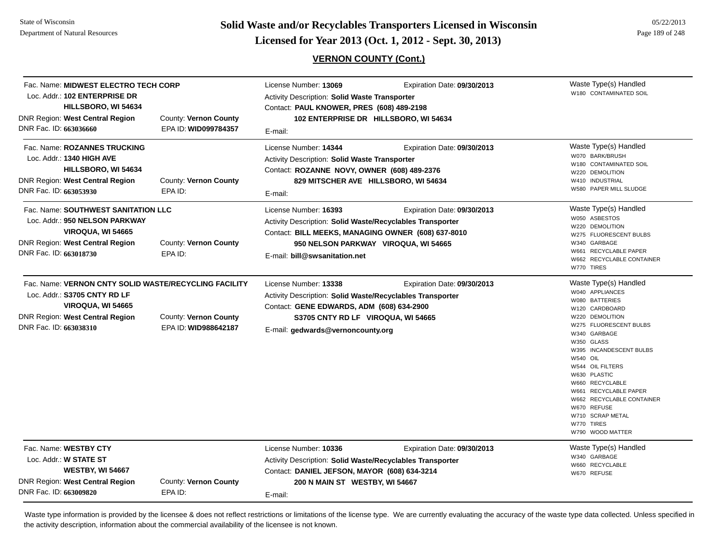**Page 189 of 248 <b>Licensed for Year 2013 (Oct. 1, 2012 - Sept. 30, 2013) Page 189 of 248 Licensed for Year 2013 (Oct. 1, 2012 - Sept. 30, 2013)** 

# **VERNON COUNTY (Cont.)**

|                        | Fac. Name: MIDWEST ELECTRO TECH CORP<br>Loc. Addr.: 102 ENTERPRISE DR<br>HILLSBORO, WI 54634                                  |                                                                                                        | License Number: 13069<br><b>Activity Description: Solid Waste Transporter</b><br>Contact: PAUL KNOWER, PRES (608) 489-2198                                                                                        | Expiration Date: 09/30/2013                                         | Waste Type(s) Handled<br>W180 CONTAMINATED SOIL                                                                                                                                                                                                                                                                                                                                         |
|------------------------|-------------------------------------------------------------------------------------------------------------------------------|--------------------------------------------------------------------------------------------------------|-------------------------------------------------------------------------------------------------------------------------------------------------------------------------------------------------------------------|---------------------------------------------------------------------|-----------------------------------------------------------------------------------------------------------------------------------------------------------------------------------------------------------------------------------------------------------------------------------------------------------------------------------------------------------------------------------------|
| DNR Fac. ID: 663036660 | <b>DNR Region: West Central Region</b>                                                                                        | County: Vernon County<br>EPA ID: WID099784357                                                          | E-mail:                                                                                                                                                                                                           | 102 ENTERPRISE DR HILLSBORO, WI 54634                               |                                                                                                                                                                                                                                                                                                                                                                                         |
| DNR Fac. ID: 663053930 | Fac. Name: ROZANNES TRUCKING<br>Loc. Addr.: 1340 HIGH AVE<br>HILLSBORO, WI 54634<br><b>DNR Region: West Central Region</b>    | County: Vernon County<br>EPA ID:                                                                       | License Number: 14344<br>Activity Description: Solid Waste Transporter<br>Contact: ROZANNE NOVY, OWNER (608) 489-2376<br>829 MITSCHER AVE HILLSBORO, WI 54634<br>E-mail:                                          | Expiration Date: 09/30/2013                                         | Waste Type(s) Handled<br>W070 BARK/BRUSH<br>W180 CONTAMINATED SOIL<br>W220 DEMOLITION<br>W410 INDUSTRIAL<br>W580 PAPER MILL SLUDGE                                                                                                                                                                                                                                                      |
| DNR Fac. ID: 663018730 | Fac. Name: SOUTHWEST SANITATION LLC<br>Loc. Addr.: 950 NELSON PARKWAY<br>VIROQUA, WI 54665<br>DNR Region: West Central Region | County: Vernon County<br>EPA ID:                                                                       | License Number: 16393<br>Activity Description: Solid Waste/Recyclables Transporter<br>Contact: BILL MEEKS, MANAGING OWNER (608) 637-8010<br>E-mail: bill@swsanitation.net                                         | Expiration Date: 09/30/2013<br>950 NELSON PARKWAY VIROQUA, WI 54665 | Waste Type(s) Handled<br>W050 ASBESTOS<br>W220 DEMOLITION<br>W275 FLUORESCENT BULBS<br>W340 GARBAGE<br>W661 RECYCLABLE PAPER<br>W662 RECYCLABLE CONTAINER<br>W770 TIRES                                                                                                                                                                                                                 |
| DNR Fac. ID: 663038310 | Loc. Addr.: S3705 CNTY RD LF<br>VIROQUA, WI 54665<br>DNR Region: West Central Region                                          | Fac. Name: VERNON CNTY SOLID WASTE/RECYCLING FACILITY<br>County: Vernon County<br>EPA ID: WID988642187 | License Number: 13338<br><b>Activity Description: Solid Waste/Recyclables Transporter</b><br>Contact: GENE EDWARDS, ADM (608) 634-2900<br>S3705 CNTY RD LF VIROQUA, WI 54665<br>E-mail: gedwards@vernoncounty.org | Expiration Date: 09/30/2013                                         | Waste Type(s) Handled<br>W040 APPLIANCES<br>W080 BATTERIES<br>W120 CARDBOARD<br>W220 DEMOLITION<br>W275 FLUORESCENT BULBS<br>W340 GARBAGE<br>W350 GLASS<br>W395 INCANDESCENT BULBS<br><b>W540 OIL</b><br>W544 OIL FILTERS<br>W630 PLASTIC<br>W660 RECYCLABLE<br>W661 RECYCLABLE PAPER<br>W662 RECYCLABLE CONTAINER<br>W670 REFUSE<br>W710 SCRAP METAL<br>W770 TIRES<br>W790 WOOD MATTER |
| DNR Fac. ID: 663009820 | Fac. Name: WESTBY CTY<br>Loc. Addr.: W STATE ST<br><b>WESTBY, WI 54667</b><br>DNR Region: West Central Region                 | County: Vernon County<br>EPA ID:                                                                       | License Number: 10336<br><b>Activity Description: Solid Waste/Recyclables Transporter</b><br>Contact: DANIEL JEFSON, MAYOR (608) 634-3214<br>200 N MAIN ST WESTBY, WI 54667<br>E-mail:                            | Expiration Date: 09/30/2013                                         | Waste Type(s) Handled<br>W340 GARBAGE<br>W660 RECYCLABLE<br>W670 REFUSE                                                                                                                                                                                                                                                                                                                 |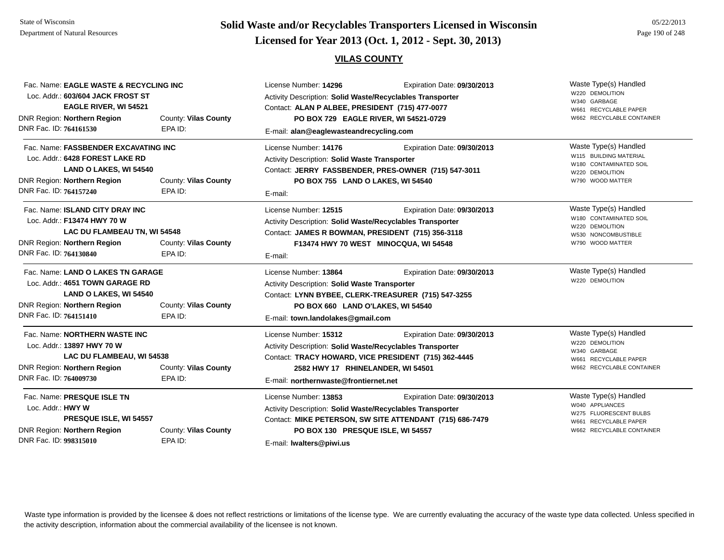# **Page 190 of 248 <b>Licensed for Year 2013 (Oct. 1, 2012 - Sept. 30, 2013) Example 190 of 248 Licensed for Year 2013 (Oct. 1, 2012 - Sept. 30, 2013)**

#### **VILAS COUNTY**

| Fac. Name: EAGLE WASTE & RECYCLING INC<br>Loc. Addr.: 603/604 JACK FROST ST<br><b>EAGLE RIVER, WI 54521</b>                                                           |                                 | License Number: 14296<br>Expiration Date: 09/30/2013<br>Activity Description: Solid Waste/Recyclables Transporter<br>Contact: ALAN P ALBEE, PRESIDENT (715) 477-0077                                  |                                                                                         | Waste Type(s) Handled<br>W220 DEMOLITION<br>W340 GARBAGE<br>W661 RECYCLABLE PAPER                                        |
|-----------------------------------------------------------------------------------------------------------------------------------------------------------------------|---------------------------------|-------------------------------------------------------------------------------------------------------------------------------------------------------------------------------------------------------|-----------------------------------------------------------------------------------------|--------------------------------------------------------------------------------------------------------------------------|
| DNR Region: Northern Region<br>DNR Fac. ID: 764161530                                                                                                                 | County: Vilas County<br>EPA ID: | E-mail: alan@eaglewasteandrecycling.com                                                                                                                                                               | PO BOX 729 EAGLE RIVER, WI 54521-0729                                                   | W662 RECYCLABLE CONTAINER                                                                                                |
| Fac. Name: FASSBENDER EXCAVATING INC<br>Loc. Addr.: 6428 FOREST LAKE RD<br><b>LAND O LAKES, WI 54540</b><br>DNR Region: Northern Region<br>County: Vilas County       |                                 | License Number: 14176<br><b>Activity Description: Solid Waste Transporter</b><br>PO BOX 755 LAND O LAKES, WI 54540                                                                                    | Expiration Date: 09/30/2013<br>Contact: JERRY FASSBENDER, PRES-OWNER (715) 547-3011     | Waste Type(s) Handled<br>W115 BUILDING MATERIAL<br>W180 CONTAMINATED SOIL<br>W220 DEMOLITION<br>W790 WOOD MATTER         |
| DNR Fac. ID: 764157240                                                                                                                                                | EPA ID:                         | E-mail:                                                                                                                                                                                               |                                                                                         |                                                                                                                          |
| Fac. Name: ISLAND CITY DRAY INC<br>Loc. Addr.: F13474 HWY 70 W<br>LAC DU FLAMBEAU TN, WI 54548<br>DNR Region: Northern Region<br>DNR Fac. ID: 764130840               | County: Vilas County<br>EPA ID: | License Number: 12515<br><b>Activity Description: Solid Waste/Recyclables Transporter</b><br>Contact: JAMES R BOWMAN, PRESIDENT (715) 356-3118<br>E-mail:                                             | Expiration Date: 09/30/2013<br>F13474 HWY 70 WEST MINOCQUA, WI 54548                    | Waste Type(s) Handled<br>W180 CONTAMINATED SOIL<br>W220 DEMOLITION<br>W530 NONCOMBUSTIBLE<br>W790 WOOD MATTER            |
| Fac. Name: LAND O LAKES TN GARAGE<br>Loc. Addr.: 4651 TOWN GARAGE RD<br>LAND O LAKES, WI 54540<br>DNR Region: Northern Region<br>DNR Fac. ID: 764151410               | County: Vilas County<br>EPA ID: | License Number: 13864<br>Activity Description: Solid Waste Transporter<br>PO BOX 660 LAND O'LAKES, WI 54540                                                                                           | Expiration Date: 09/30/2013<br>Contact: LYNN BYBEE, CLERK-TREASURER (715) 547-3255      | Waste Type(s) Handled<br>W220 DEMOLITION                                                                                 |
| Fac. Name: NORTHERN WASTE INC<br>Loc. Addr.: 13897 HWY 70 W<br>LAC DU FLAMBEAU, WI 54538<br><b>DNR Region: Northern Region</b><br>DNR Fac. ID: 764009730              | County: Vilas County<br>EPA ID: | E-mail: town.landolakes@gmail.com<br>License Number: 15312<br>Activity Description: Solid Waste/Recyclables Transporter<br>2582 HWY 17 RHINELANDER, WI 54501<br>E-mail: northernwaste@frontiernet.net | Expiration Date: 09/30/2013<br>Contact: TRACY HOWARD, VICE PRESIDENT (715) 362-4445     | Waste Type(s) Handled<br>W220 DEMOLITION<br>W340 GARBAGE<br>W661 RECYCLABLE PAPER<br>W662 RECYCLABLE CONTAINER           |
| Fac. Name: PRESQUE ISLE TN<br>Loc. Addr.: HWY W<br>PRESQUE ISLE, WI 54557<br>DNR Region: Northern Region<br>County: Vilas County<br>DNR Fac. ID: 998315010<br>EPA ID: |                                 | License Number: 13853<br><b>Activity Description: Solid Waste/Recyclables Transporter</b><br>PO BOX 130 PRESQUE ISLE, WI 54557<br>E-mail: Iwalters@piwi.us                                            | Expiration Date: 09/30/2013<br>Contact: MIKE PETERSON, SW SITE ATTENDANT (715) 686-7479 | Waste Type(s) Handled<br>W040 APPLIANCES<br>W275 FLUORESCENT BULBS<br>W661 RECYCLABLE PAPER<br>W662 RECYCLABLE CONTAINER |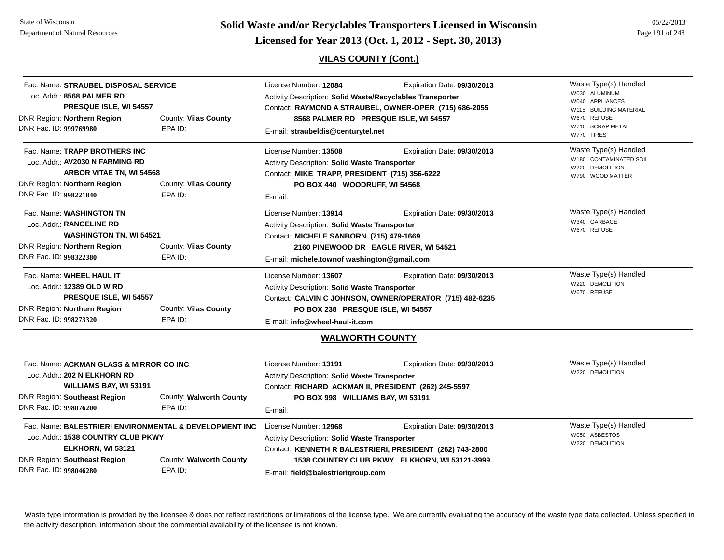**Page 191 of 248 <b>Licensed for Year 2013 (Oct. 1, 2012 - Sept. 30, 2013) Example 191 of 248 Licensed for Year 2013 (Oct. 1, 2012 - Sept. 30, 2013)** 

# **VILAS COUNTY (Cont.)**

| Fac. Name: STRAUBEL DISPOSAL SERVICE<br>Loc. Addr.: 8568 PALMER RD<br>PRESQUE ISLE, WI 54557                                                                                                                             |                                    | License Number: 12084<br>Activity Description: Solid Waste/Recyclables Transporter                                                                                                                                                        | Expiration Date: 09/30/2013<br>Contact: RAYMOND A STRAUBEL, OWNER-OPER (715) 686-2055                                                    | Waste Type(s) Handled<br>W030 ALUMINUM<br>W040 APPLIANCES<br>W115 BUILDING MATERIAL    |
|--------------------------------------------------------------------------------------------------------------------------------------------------------------------------------------------------------------------------|------------------------------------|-------------------------------------------------------------------------------------------------------------------------------------------------------------------------------------------------------------------------------------------|------------------------------------------------------------------------------------------------------------------------------------------|----------------------------------------------------------------------------------------|
| DNR Region: Northern Region<br>DNR Fac. ID: 999769980                                                                                                                                                                    | County: Vilas County<br>EPA ID:    | E-mail: straubeldis@centurytel.net                                                                                                                                                                                                        | 8568 PALMER RD PRESQUE ISLE, WI 54557                                                                                                    | W670 REFUSE<br>W710 SCRAP METAL<br>W770 TIRES                                          |
| Fac. Name: TRAPP BROTHERS INC<br>Loc. Addr.: AV2030 N FARMING RD<br>ARBOR VITAE TN, WI 54568<br>DNR Region: Northern Region<br>DNR Fac. ID: 998221840                                                                    | County: Vilas County<br>EPA ID:    | License Number: 13508<br>Activity Description: Solid Waste Transporter<br>Contact: MIKE TRAPP, PRESIDENT (715) 356-6222<br>PO BOX 440 WOODRUFF, WI 54568<br>E-mail:                                                                       | Expiration Date: 09/30/2013                                                                                                              | Waste Type(s) Handled<br>W180 CONTAMINATED SOIL<br>W220 DEMOLITION<br>W790 WOOD MATTER |
| Fac. Name: WASHINGTON TN<br>Loc. Addr.: RANGELINE RD<br><b>WASHINGTON TN, WI 54521</b><br>DNR Region: Northern Region<br>DNR Fac. ID: 998322380                                                                          | County: Vilas County<br>EPA ID:    | License Number: 13914<br>Expiration Date: 09/30/2013<br>Activity Description: Solid Waste Transporter<br>Contact: MICHELE SANBORN (715) 479-1669<br>2160 PINEWOOD DR EAGLE RIVER, WI 54521<br>E-mail: michele.townof washington@gmail.com |                                                                                                                                          | Waste Type(s) Handled<br>W340 GARBAGE<br>W670 REFUSE                                   |
| Fac. Name: WHEEL HAUL IT<br>Loc. Addr.: 12389 OLD W RD<br>PRESQUE ISLE, WI 54557<br>DNR Region: Northern Region<br>DNR Fac. ID: 998273320                                                                                | County: Vilas County<br>EPA ID:    | License Number: 13607<br>Activity Description: Solid Waste Transporter<br>PO BOX 238 PRESQUE ISLE, WI 54557<br>E-mail: info@wheel-haul-it.com                                                                                             | Expiration Date: 09/30/2013<br>Contact: CALVIN C JOHNSON, OWNER/OPERATOR (715) 482-6235                                                  | Waste Type(s) Handled<br>W220 DEMOLITION<br>W670 REFUSE                                |
|                                                                                                                                                                                                                          |                                    |                                                                                                                                                                                                                                           | <b>WALWORTH COUNTY</b>                                                                                                                   |                                                                                        |
| Fac. Name: ACKMAN GLASS & MIRROR CO INC<br>Loc. Addr.: 202 N ELKHORN RD<br>WILLIAMS BAY, WI 53191<br><b>DNR Region: Southeast Region</b><br>DNR Fac. ID: 998076200                                                       | County: Walworth County<br>EPA ID: | License Number: 13191<br>Expiration Date: 09/30/2013<br>Activity Description: Solid Waste Transporter<br>Contact: RICHARD ACKMAN II, PRESIDENT (262) 245-5597<br>PO BOX 998 WILLIAMS BAY, WI 53191<br>E-mail:                             |                                                                                                                                          | Waste Type(s) Handled<br>W220 DEMOLITION                                               |
| Fac. Name: BALESTRIERI ENVIRONMENTAL & DEVELOPMENT INC<br>Loc. Addr.: 1538 COUNTRY CLUB PKWY<br>ELKHORN, WI 53121<br><b>DNR Region: Southeast Region</b><br>County: Walworth County<br>DNR Fac. ID: 998046280<br>EPA ID: |                                    | License Number: 12968<br>Activity Description: Solid Waste Transporter<br>E-mail: field@balestrierigroup.com                                                                                                                              | Expiration Date: 09/30/2013<br>Contact: KENNETH R BALESTRIERI, PRESIDENT (262) 743-2800<br>1538 COUNTRY CLUB PKWY ELKHORN, WI 53121-3999 | Waste Type(s) Handled<br>W050 ASBESTOS<br>W220 DEMOLITION                              |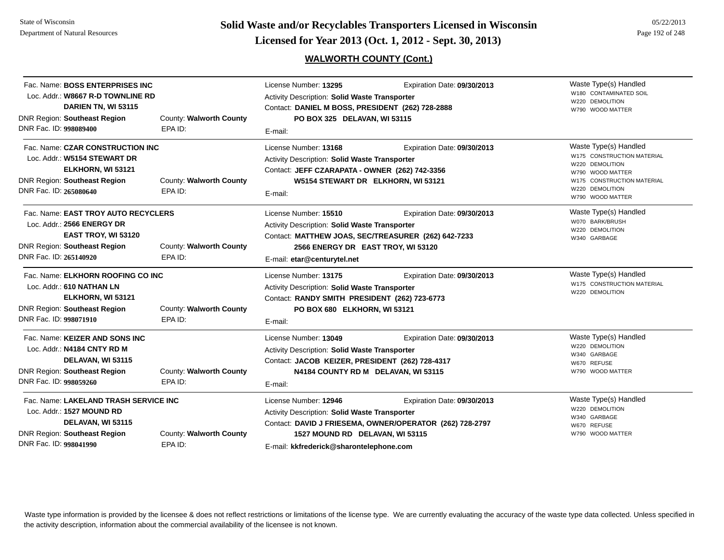**Page 192 of 248 <b>Licensed for Year 2013 (Oct. 1, 2012 - Sept. 30, 2013) Page 192 of 248 Licensed for Year 2013 (Oct. 1, 2012 - Sept. 30, 2013)** 

# **WALWORTH COUNTY (Cont.)**

| Fac. Name: BOSS ENTERPRISES INC<br>Loc. Addr.: W8667 R-D TOWNLINE RD<br>DARIEN TN, WI 53115<br><b>DNR Region: Southeast Region</b><br>DNR Fac. ID: 998089400 | County: Walworth County<br>EPA ID: | License Number: 13295<br>Activity Description: Solid Waste Transporter<br>Contact: DANIEL M BOSS, PRESIDENT (262) 728-2888<br>PO BOX 325 DELAVAN, WI 53115<br>E-mail:                              | Expiration Date: 09/30/2013                                                             | Waste Type(s) Handled<br>W180 CONTAMINATED SOIL<br>W220 DEMOLITION<br>W790 WOOD MATTER                                                                          |
|--------------------------------------------------------------------------------------------------------------------------------------------------------------|------------------------------------|----------------------------------------------------------------------------------------------------------------------------------------------------------------------------------------------------|-----------------------------------------------------------------------------------------|-----------------------------------------------------------------------------------------------------------------------------------------------------------------|
| Fac. Name: CZAR CONSTRUCTION INC<br>Loc. Addr.: W5154 STEWART DR<br>ELKHORN, WI 53121<br><b>DNR Region: Southeast Region</b><br>DNR Fac. ID: 265080640       | County: Walworth County<br>EPA ID: | License Number: 13168<br><b>Activity Description: Solid Waste Transporter</b><br>Contact: JEFF CZARAPATA - OWNER (262) 742-3356<br>W5154 STEWART DR ELKHORN, WI 53121<br>E-mail:                   | Expiration Date: 09/30/2013                                                             | Waste Type(s) Handled<br>W175 CONSTRUCTION MATERIAL<br>W220 DEMOLITION<br>W790 WOOD MATTER<br>W175 CONSTRUCTION MATERIAL<br>W220 DEMOLITION<br>W790 WOOD MATTER |
| Fac. Name: EAST TROY AUTO RECYCLERS<br>Loc. Addr.: 2566 ENERGY DR<br>EAST TROY, WI 53120<br><b>DNR Region: Southeast Region</b><br>DNR Fac. ID: 265140920    | County: Walworth County<br>EPA ID: | License Number: 15510<br>Activity Description: Solid Waste Transporter<br>Contact: MATTHEW JOAS, SEC/TREASURER (262) 642-7233<br>2566 ENERGY DR EAST TROY, WI 53120<br>E-mail: etar@centurytel.net | Expiration Date: 09/30/2013                                                             | Waste Type(s) Handled<br>W070 BARK/BRUSH<br>W220 DEMOLITION<br>W340 GARBAGE                                                                                     |
| Fac. Name: ELKHORN ROOFING CO INC<br>Loc. Addr.: 610 NATHAN LN<br>ELKHORN, WI 53121<br><b>DNR Region: Southeast Region</b><br>DNR Fac. ID: 998071910         | County: Walworth County<br>EPA ID: | License Number: 13175<br><b>Activity Description: Solid Waste Transporter</b><br>Contact: RANDY SMITH PRESIDENT (262) 723-6773<br>PO BOX 680 ELKHORN, WI 53121<br>E-mail:                          | Expiration Date: 09/30/2013                                                             | Waste Type(s) Handled<br>W175 CONSTRUCTION MATERIAL<br>W220 DEMOLITION                                                                                          |
| Fac. Name: KEIZER AND SONS INC<br>Loc. Addr.: N4184 CNTY RD M<br>DELAVAN, WI 53115<br><b>DNR Region: Southeast Region</b><br>DNR Fac. ID: 998059260          | County: Walworth County<br>EPA ID: | License Number: 13049<br><b>Activity Description: Solid Waste Transporter</b><br>Contact: JACOB KEIZER, PRESIDENT (262) 728-4317<br>N4184 COUNTY RD M DELAVAN, WI 53115<br>E-mail:                 | Expiration Date: 09/30/2013                                                             | Waste Type(s) Handled<br>W220 DEMOLITION<br>W340 GARBAGE<br>W670 REFUSE<br>W790 WOOD MATTER                                                                     |
| Fac. Name: LAKELAND TRASH SERVICE INC<br>Loc. Addr.: 1527 MOUND RD<br>DELAVAN, WI 53115<br><b>DNR Region: Southeast Region</b><br>DNR Fac. ID: 998041990     | County: Walworth County<br>EPA ID: | License Number: 12946<br>Activity Description: Solid Waste Transporter<br>1527 MOUND RD DELAVAN, WI 53115<br>E-mail: kkfrederick@sharontelephone.com                                               | Expiration Date: 09/30/2013<br>Contact: DAVID J FRIESEMA, OWNER/OPERATOR (262) 728-2797 | Waste Type(s) Handled<br>W220 DEMOLITION<br>W340 GARBAGE<br>W670 REFUSE<br>W790 WOOD MATTER                                                                     |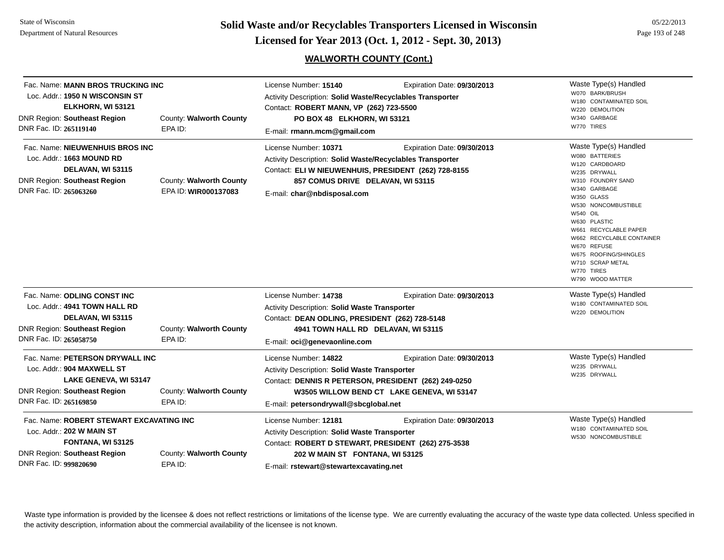State of WisconsinDepartment of Natural Resources

**Solid Waste and/or Recyclables Transporters Licensed in Wisconsin<br>Licensed for Year 2013 (Oct. 1, 2012 - Sept. 30, 2013)** 

# **WALWORTH COUNTY (Cont.)**

| 05/22/2013      |
|-----------------|
| Page 193 of 248 |

| Fac. Name: MANN BROS TRUCKING INC<br>Loc. Addr.: 1950 N WISCONSIN ST<br>ELKHORN, WI 53121<br><b>DNR Region: Southeast Region</b><br>DNR Fac. ID: 265119140                                        | County: Walworth County<br>EPA ID:              | License Number: 15140<br>Activity Description: Solid Waste/Recyclables Transporter<br>Contact: ROBERT MANN, VP (262) 723-5500<br>PO BOX 48 ELKHORN, WI 53121<br>E-mail: rmann.mcm@gmail.com                       | Expiration Date: 09/30/2013                                               | Waste Type(s) Handled<br>W070 BARK/BRUSH<br>W180 CONTAMINATED SOIL<br>W220 DEMOLITION<br>W340 GARBAGE<br>W770 TIRES                                                                                                                                                                                                                        |
|---------------------------------------------------------------------------------------------------------------------------------------------------------------------------------------------------|-------------------------------------------------|-------------------------------------------------------------------------------------------------------------------------------------------------------------------------------------------------------------------|---------------------------------------------------------------------------|--------------------------------------------------------------------------------------------------------------------------------------------------------------------------------------------------------------------------------------------------------------------------------------------------------------------------------------------|
| Fac. Name: NIEUWENHUIS BROS INC<br>Loc. Addr.: 1663 MOUND RD<br>DELAVAN, WI 53115<br><b>DNR Region: Southeast Region</b><br>DNR Fac. ID: 265063260                                                | County: Walworth County<br>EPA ID: WIR000137083 | License Number: 10371<br>Activity Description: Solid Waste/Recyclables Transporter<br>Contact: ELI W NIEUWENHUIS, PRESIDENT (262) 728-8155<br>857 COMUS DRIVE DELAVAN, WI 53115<br>E-mail: char@nbdisposal.com    | Expiration Date: 09/30/2013                                               | Waste Type(s) Handled<br>W080 BATTERIES<br>W120 CARDBOARD<br>W235 DRYWALL<br>W310 FOUNDRY SAND<br>W340 GARBAGE<br>W350 GLASS<br>W530 NONCOMBUSTIBLE<br><b>W540 OIL</b><br>W630 PLASTIC<br>W661 RECYCLABLE PAPER<br>W662 RECYCLABLE CONTAINER<br>W670 REFUSE<br>W675 ROOFING/SHINGLES<br>W710 SCRAP METAL<br>W770 TIRES<br>W790 WOOD MATTER |
| Fac. Name: ODLING CONST INC<br>Loc. Addr.: 4941 TOWN HALL RD<br>DELAVAN, WI 53115<br><b>DNR Region: Southeast Region</b><br>DNR Fac. ID: 265058750                                                | County: Walworth County<br>EPA ID:              | License Number: 14738<br>Activity Description: Solid Waste Transporter<br>Contact: DEAN ODLING, PRESIDENT (262) 728-5148<br>4941 TOWN HALL RD DELAVAN, WI 53115<br>E-mail: oci@genevaonline.com                   | Expiration Date: 09/30/2013                                               | Waste Type(s) Handled<br>W180 CONTAMINATED SOIL<br>W220 DEMOLITION                                                                                                                                                                                                                                                                         |
| Fac. Name: PETERSON DRYWALL INC<br>Loc. Addr.: 904 MAXWELL ST<br>LAKE GENEVA, WI 53147<br><b>DNR Region: Southeast Region</b><br>DNR Fac. ID: 265169850                                           | County: Walworth County<br>EPA ID:              | License Number: 14822<br>Activity Description: Solid Waste Transporter<br>Contact: DENNIS R PETERSON, PRESIDENT (262) 249-0250<br>E-mail: petersondrywall@sbcglobal.net                                           | Expiration Date: 09/30/2013<br>W3505 WILLOW BEND CT LAKE GENEVA, WI 53147 | Waste Type(s) Handled<br>W235 DRYWALL<br>W235 DRYWALL                                                                                                                                                                                                                                                                                      |
| Fac. Name: ROBERT STEWART EXCAVATING INC<br>Loc. Addr.: 202 W MAIN ST<br>FONTANA, WI 53125<br><b>DNR Region: Southeast Region</b><br>County: Walworth County<br>DNR Fac. ID: 999820690<br>EPA ID: |                                                 | License Number: 12181<br><b>Activity Description: Solid Waste Transporter</b><br>Contact: ROBERT D STEWART, PRESIDENT (262) 275-3538<br>202 W MAIN ST FONTANA, WI 53125<br>E-mail: rstewart@stewartexcavating.net | Expiration Date: 09/30/2013                                               | Waste Type(s) Handled<br>W180 CONTAMINATED SOIL<br>W530 NONCOMBUSTIBLE                                                                                                                                                                                                                                                                     |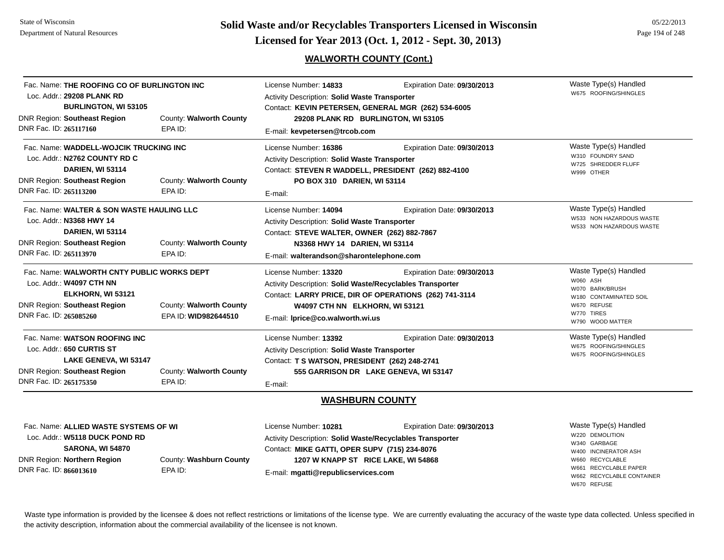# **Page 194 of 248 <b>Licensed for Year 2013 (Oct. 1, 2012 - Sept. 30, 2013) Page 194 of 248 Licensed for Year 2013 (Oct. 1, 2012 - Sept. 30, 2013)**

# **WALWORTH COUNTY (Cont.)**

| Fac. Name: THE ROOFING CO OF BURLINGTON INC |                         | License Number: 14833                                            | Expiration Date: 09/30/2013                   | Waste Type(s) Handled                                |  |
|---------------------------------------------|-------------------------|------------------------------------------------------------------|-----------------------------------------------|------------------------------------------------------|--|
| Loc. Addr.: 29208 PLANK RD                  |                         | <b>Activity Description: Solid Waste Transporter</b>             |                                               | W675 ROOFING/SHINGLES                                |  |
| <b>BURLINGTON, WI 53105</b>                 |                         | Contact: KEVIN PETERSEN, GENERAL MGR (262) 534-6005              |                                               |                                                      |  |
| <b>DNR Region: Southeast Region</b>         | County: Walworth County | 29208 PLANK RD BURLINGTON, WI 53105                              |                                               |                                                      |  |
| DNR Fac. ID: 265117160                      | EPA ID:                 | E-mail: kevpetersen@trcob.com                                    |                                               |                                                      |  |
| Fac. Name: WADDELL-WOJCIK TRUCKING INC      |                         | License Number: 16386                                            | Expiration Date: 09/30/2013                   | Waste Type(s) Handled                                |  |
| Loc. Addr.: N2762 COUNTY RD C               |                         | Activity Description: Solid Waste Transporter                    |                                               | W310 FOUNDRY SAND<br>W725 SHREDDER FLUFF             |  |
| <b>DARIEN, WI 53114</b>                     |                         | Contact: STEVEN R WADDELL, PRESIDENT (262) 882-4100              |                                               | W999 OTHER                                           |  |
| <b>DNR Region: Southeast Region</b>         | County: Walworth County | PO BOX 310 DARIEN, WI 53114                                      |                                               |                                                      |  |
| DNR Fac. ID: 265113200                      | EPA ID:                 | E-mail:                                                          |                                               |                                                      |  |
| Fac. Name: WALTER & SON WASTE HAULING LLC   |                         | License Number: 14094                                            | Expiration Date: 09/30/2013                   | Waste Type(s) Handled                                |  |
| Loc. Addr.: N3368 HWY 14                    |                         | <b>Activity Description: Solid Waste Transporter</b>             |                                               | W533 NON HAZARDOUS WASTE<br>W533 NON HAZARDOUS WASTE |  |
| DARIEN, WI 53114                            |                         |                                                                  | Contact: STEVE WALTER, OWNER (262) 882-7867   |                                                      |  |
| <b>DNR Region: Southeast Region</b>         | County: Walworth County | N3368 HWY 14 DARIEN, WI 53114                                    |                                               |                                                      |  |
| DNR Fac. ID: 265113970                      | EPA ID:                 | E-mail: walterandson@sharontelephone.com                         |                                               |                                                      |  |
| Fac. Name: WALWORTH CNTY PUBLIC WORKS DEPT  |                         | License Number: 13320                                            | Expiration Date: 09/30/2013                   | Waste Type(s) Handled                                |  |
| Loc. Addr.: W4097 CTH NN                    |                         | <b>Activity Description: Solid Waste/Recyclables Transporter</b> |                                               | W060 ASH<br>W070 BARK/BRUSH                          |  |
| ELKHORN, WI 53121                           |                         | Contact: LARRY PRICE, DIR OF OPERATIONS (262) 741-3114           |                                               | W180 CONTAMINATED SOIL                               |  |
| DNR Region: Southeast Region                | County: Walworth County | W4097 CTH NN ELKHORN, WI 53121                                   |                                               | W670 REFUSE                                          |  |
| DNR Fac. ID: 265085260                      | EPA ID: WID982644510    | E-mail: Iprice@co.walworth.wi.us                                 |                                               | W770 TIRES<br>W790 WOOD MATTER                       |  |
| Fac. Name: WATSON ROOFING INC               |                         | License Number: 13392                                            | Expiration Date: 09/30/2013                   | Waste Type(s) Handled                                |  |
| Loc. Addr.: 650 CURTIS ST                   |                         | <b>Activity Description: Solid Waste Transporter</b>             |                                               | W675 ROOFING/SHINGLES<br>W675 ROOFING/SHINGLES       |  |
| LAKE GENEVA, WI 53147                       |                         |                                                                  | Contact: T S WATSON, PRESIDENT (262) 248-2741 |                                                      |  |
|                                             | County: Walworth County |                                                                  | 555 GARRISON DR LAKE GENEVA, WI 53147         |                                                      |  |
| <b>DNR Region: Southeast Region</b>         |                         |                                                                  |                                               |                                                      |  |

Waste Type(s) Handled W220 DEMOLITIONW340 GARBAGEW400 INCINERATOR ASHW660 RECYCLABLEW661 RECYCLABLE PAPERW662 RECYCLABLE CONTAINERW670 REFUSEFac. Name: **ALLIED WASTE SYSTEMS OF WI**Loc. Addr.: **W5118 DUCK POND RD SARONA, WI 54870** DNR Region: **Northern Region** DNR Fac. ID: **866013610**County: **Washburn County** EPA ID:License Number: **10281** Expiration Date: **09/30/2013**  Activity Description: **Solid Waste/Recyclables Transporter** Contact: **MIKE GATTI, OPER SUPV (715) 234-8076** E-mail: **mgatti@republicservices.com 1207 W KNAPP ST RICE LAKE, WI 54868**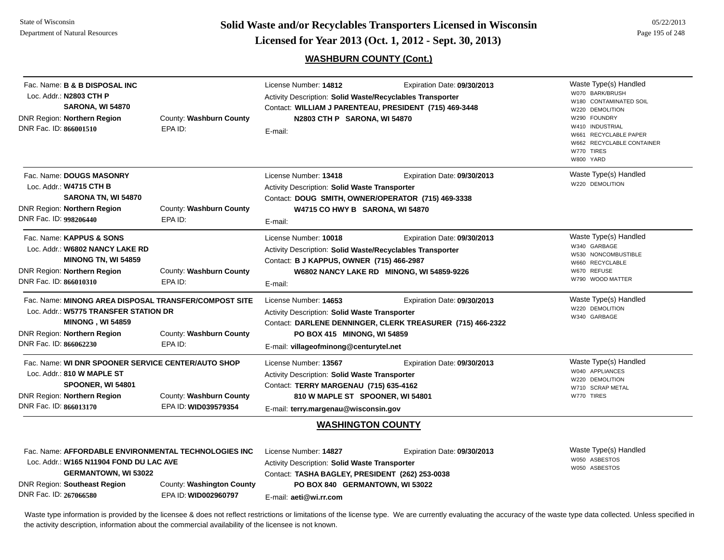DNR Fac. ID: **267066580**

EPA ID: **WID002960797**

**Page 195 of 248 <b>Licensed for Year 2013 (Oct. 1, 2012 - Sept. 30, 2013) Page 195 of 248 Licensed for Year 2013 (Oct. 1, 2012 - Sept. 30, 2013)** 

**WASHBURN COUNTY (Cont.)**

05/22/2013

| Fac. Name: <b>B &amp; B DISPOSAL INC</b><br>Loc. Addr.: N2803 CTH P<br><b>SARONA, WI 54870</b><br>DNR Region: Northern Region<br>DNR Fac. ID: 866001510                            | County: Washburn County<br>EPA ID:              | License Number: 14812<br>Activity Description: Solid Waste/Recyclables Transporter<br>N2803 CTH P SARONA, WI 54870<br>E-mail:                                                                | Expiration Date: 09/30/2013<br>Contact: WILLIAM J PARENTEAU, PRESIDENT (715) 469-3448     | Waste Type(s) Handled<br>W070 BARK/BRUSH<br>W180 CONTAMINATED SOIL<br>W220 DEMOLITION<br>W290 FOUNDRY<br>W410 INDUSTRIAL<br>W661 RECYCLABLE PAPER<br>W662 RECYCLABLE CONTAINER<br>W770 TIRES<br>W800 YARD |
|------------------------------------------------------------------------------------------------------------------------------------------------------------------------------------|-------------------------------------------------|----------------------------------------------------------------------------------------------------------------------------------------------------------------------------------------------|-------------------------------------------------------------------------------------------|-----------------------------------------------------------------------------------------------------------------------------------------------------------------------------------------------------------|
| Fac. Name: DOUGS MASONRY<br>Loc. Addr.: W4715 CTH B<br>SARONA TN, WI 54870<br>DNR Region: Northern Region<br>DNR Fac. ID: 998206440                                                | County: Washburn County<br>EPA ID:              | License Number: 13418<br>Activity Description: Solid Waste Transporter<br>Contact: DOUG SMITH, OWNER/OPERATOR (715) 469-3338<br>W4715 CO HWY B SARONA, WI 54870<br>E-mail:                   | Expiration Date: 09/30/2013                                                               | Waste Type(s) Handled<br>W220 DEMOLITION                                                                                                                                                                  |
| Fac. Name: KAPPUS & SONS<br>Loc. Addr.: W6802 NANCY LAKE RD<br><b>MINONG TN, WI 54859</b><br>DNR Region: Northern Region<br>DNR Fac. ID: 866010310                                 | County: Washburn County<br>EPA ID:              | License Number: 10018<br>Activity Description: Solid Waste/Recyclables Transporter<br>Contact: B J KAPPUS, OWNER (715) 466-2987<br>E-mail:                                                   | Expiration Date: 09/30/2013<br>W6802 NANCY LAKE RD MINONG, WI 54859-9226                  | Waste Type(s) Handled<br>W340 GARBAGE<br>W530 NONCOMBUSTIBLE<br>W660 RECYCLABLE<br>W670 REFUSE<br>W790 WOOD MATTER                                                                                        |
| Fac. Name: MINONG AREA DISPOSAL TRANSFER/COMPOST SITE<br>Loc. Addr.: W5775 TRANSFER STATION DR<br><b>MINONG, WI 54859</b><br>DNR Region: Northern Region<br>DNR Fac. ID: 866062230 | County: Washburn County<br>EPA ID:              | License Number: 14653<br>Activity Description: Solid Waste Transporter<br>PO BOX 415 MINONG, WI 54859<br>E-mail: villageofminong@centurytel.net                                              | Expiration Date: 09/30/2013<br>Contact: DARLENE DENNINGER, CLERK TREASURER (715) 466-2322 | Waste Type(s) Handled<br>W220 DEMOLITION<br>W340 GARBAGE                                                                                                                                                  |
| Fac. Name: WI DNR SPOONER SERVICE CENTER/AUTO SHOP<br>Loc. Addr.: 810 W MAPLE ST<br>SPOONER, WI 54801<br>DNR Region: Northern Region<br>DNR Fac. ID: 866013170                     | County: Washburn County<br>EPA ID: WID039579354 | License Number: 13567<br>Activity Description: Solid Waste Transporter<br>Contact: TERRY MARGENAU (715) 635-4162<br>810 W MAPLE ST SPOONER, WI 54801<br>E-mail: terry.margenau@wisconsin.gov | Expiration Date: 09/30/2013                                                               | Waste Type(s) Handled<br>W040 APPLIANCES<br>W220 DEMOLITION<br>W710 SCRAP METAL<br>W770 TIRES                                                                                                             |
|                                                                                                                                                                                    |                                                 | <b>WASHINGTON COUNTY</b>                                                                                                                                                                     |                                                                                           |                                                                                                                                                                                                           |
| Fac. Name: AFFORDABLE ENVIRONMENTAL TECHNOLOGIES INC<br>Loc. Addr.: W165 N11904 FOND DU LAC AVE<br><b>GERMANTOWN, WI 53022</b><br><b>DNR Region: Southeast Region</b>              | County: Washington County                       | License Number: 14827<br>Activity Description: Solid Waste Transporter<br>Contact: TASHA BAGLEY, PRESIDENT (262) 253-0038<br>PO BOX 840 GERMANTOWN, WI 53022                                 | Expiration Date: 09/30/2013                                                               | Waste Type(s) Handled<br>W050 ASBESTOS<br>W050 ASBESTOS                                                                                                                                                   |

Waste type information is provided by the licensee & does not reflect restrictions or limitations of the license type. We are currently evaluating the accuracy of the waste type data collected. Unless specified in the activity description, information about the commercial availability of the licensee is not known.

E-mail: **aeti@wi.rr.com**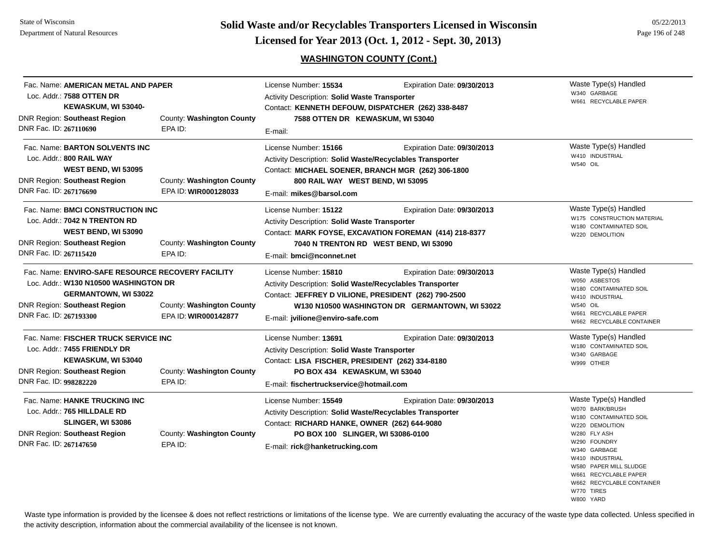**Page 196 of 248 <b>Licensed for Year 2013 (Oct. 1, 2012 - Sept. 30, 2013) Page 196 of 248 Licensed for Year 2013 (Oct. 1, 2012 - Sept. 30, 2013)** 

# **WASHINGTON COUNTY (Cont.)**

| Fac. Name: AMERICAN METAL AND PAPER<br>Loc. Addr.: 7588 OTTEN DR<br>KEWASKUM, WI 53040-<br><b>DNR Region: Southeast Region</b><br>County: Washington County                         |                                                   | License Number: 15534<br>Expiration Date: 09/30/2013<br><b>Activity Description: Solid Waste Transporter</b><br>Contact: KENNETH DEFOUW, DISPATCHER (262) 338-8487<br>7588 OTTEN DR KEWASKUM, WI 53040       |                                                                                                                                | Waste Type(s) Handled<br>W340 GARBAGE<br>W661 RECYCLABLE PAPER                                                                                                                                                                                                      |
|-------------------------------------------------------------------------------------------------------------------------------------------------------------------------------------|---------------------------------------------------|--------------------------------------------------------------------------------------------------------------------------------------------------------------------------------------------------------------|--------------------------------------------------------------------------------------------------------------------------------|---------------------------------------------------------------------------------------------------------------------------------------------------------------------------------------------------------------------------------------------------------------------|
| DNR Fac. ID: 267110690                                                                                                                                                              | EPA ID:                                           | E-mail:                                                                                                                                                                                                      |                                                                                                                                |                                                                                                                                                                                                                                                                     |
| Fac. Name: BARTON SOLVENTS INC<br>Loc. Addr.: 800 RAIL WAY<br>WEST BEND, WI 53095<br>DNR Region: Southeast Region<br>DNR Fac. ID: 267176690                                         | County: Washington County<br>EPA ID: WIR000128033 | License Number: 15166<br>Activity Description: Solid Waste/Recyclables Transporter<br>Contact: MICHAEL SOENER, BRANCH MGR (262) 306-1800<br>800 RAIL WAY WEST BEND, WI 53095<br>E-mail: mikes@barsol.com     | Expiration Date: 09/30/2013                                                                                                    | Waste Type(s) Handled<br>W410 INDUSTRIAL<br>W540 OIL                                                                                                                                                                                                                |
| Fac. Name: BMCI CONSTRUCTION INC<br>Loc. Addr.: 7042 N TRENTON RD<br>WEST BEND, WI 53090<br><b>DNR Region: Southeast Region</b><br>DNR Fac. ID: 267115420                           | County: Washington County<br>EPA ID:              | License Number: 15122<br>Activity Description: Solid Waste Transporter<br>E-mail: bmci@nconnet.net                                                                                                           | Expiration Date: 09/30/2013<br>Contact: MARK FOYSE, EXCAVATION FOREMAN (414) 218-8377<br>7040 N TRENTON RD WEST BEND, WI 53090 | Waste Type(s) Handled<br>W175 CONSTRUCTION MATERIAL<br>W180 CONTAMINATED SOIL<br>W220 DEMOLITION                                                                                                                                                                    |
| Fac. Name: ENVIRO-SAFE RESOURCE RECOVERY FACILITY<br>Loc. Addr.: W130 N10500 WASHINGTON DR<br><b>GERMANTOWN, WI 53022</b><br>DNR Region: Southeast Region<br>DNR Fac. ID: 267193300 | County: Washington County<br>EPA ID: WIR000142877 | License Number: 15810<br>Activity Description: Solid Waste/Recyclables Transporter<br>Contact: JEFFREY D VILIONE, PRESIDENT (262) 790-2500<br>E-mail: jvilione@enviro-safe.com                               | Expiration Date: 09/30/2013<br>W130 N10500 WASHINGTON DR GERMANTOWN, WI 53022                                                  | Waste Type(s) Handled<br>W050 ASBESTOS<br>W180 CONTAMINATED SOIL<br>W410 INDUSTRIAL<br><b>W540 OIL</b><br>W661 RECYCLABLE PAPER<br>W662 RECYCLABLE CONTAINER                                                                                                        |
| Fac. Name: FISCHER TRUCK SERVICE INC<br>Loc. Addr.: 7455 FRIENDLY DR<br>KEWASKUM, WI 53040<br><b>DNR Region: Southeast Region</b><br>DNR Fac. ID: 998282220                         | County: Washington County<br>EPA ID:              | License Number: 13691<br><b>Activity Description: Solid Waste Transporter</b><br>Contact: LISA FISCHER, PRESIDENT (262) 334-8180<br>PO BOX 434 KEWASKUM, WI 53040<br>E-mail: fischertruckservice@hotmail.com | Expiration Date: 09/30/2013                                                                                                    | Waste Type(s) Handled<br>W180 CONTAMINATED SOIL<br>W340 GARBAGE<br>W999 OTHER                                                                                                                                                                                       |
| Fac. Name: HANKE TRUCKING INC<br>Loc. Addr.: 765 HILLDALE RD<br><b>SLINGER, WI 53086</b><br><b>DNR Region: Southeast Region</b><br>DNR Fac. ID: 267147650                           | County: Washington County<br>EPA ID:              | License Number: 15549<br>Activity Description: Solid Waste/Recyclables Transporter<br>Contact: RICHARD HANKE, OWNER (262) 644-9080<br>PO BOX 100 SLINGER, WI 53086-0100<br>E-mail: rick@hanketrucking.com    | Expiration Date: 09/30/2013                                                                                                    | Waste Type(s) Handled<br>W070 BARK/BRUSH<br>W180 CONTAMINATED SOIL<br>W220 DEMOLITION<br>W280 FLY ASH<br>W290 FOUNDRY<br>W340 GARBAGE<br>W410 INDUSTRIAL<br>W580 PAPER MILL SLUDGE<br>W661 RECYCLABLE PAPER<br>W662 RECYCLABLE CONTAINER<br>W770 TIRES<br>W800 YARD |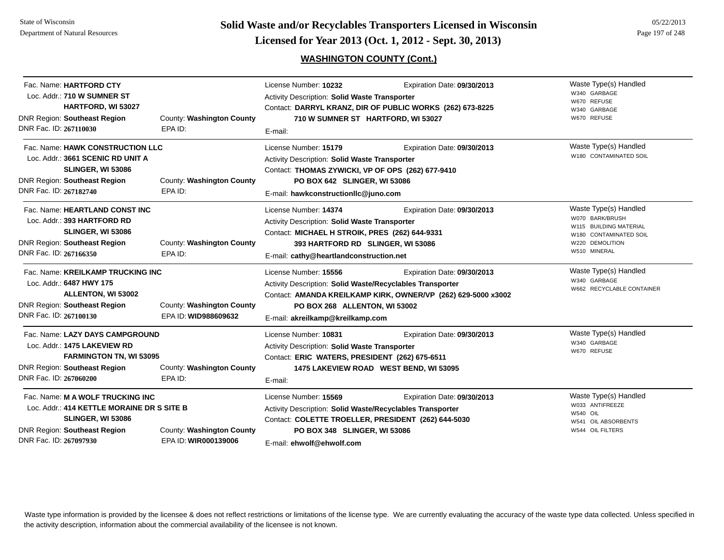**Page 197 of 248 <b>Licensed for Year 2013 (Oct. 1, 2012 - Sept. 30, 2013) Page 197 of 248 Licensed for Year 2013 (Oct. 1, 2012 - Sept. 30, 2013)** 

# **WASHINGTON COUNTY (Cont.)**

| DNR Fac. ID: 267110030 | Fac. Name: HARTFORD CTY<br>Loc. Addr.: 710 W SUMNER ST<br><b>HARTFORD, WI 53027</b><br><b>DNR Region: Southeast Region</b>                        | County: Washington County<br>EPA ID:              | License Number: 10232<br><b>Activity Description: Solid Waste Transporter</b><br>710 W SUMNER ST HARTFORD, WI 53027<br>E-mail:                                                                                  | Expiration Date: 09/30/2013<br>Contact: DARRYL KRANZ, DIR OF PUBLIC WORKS (262) 673-8225     | Waste Type(s) Handled<br>W340 GARBAGE<br>W670 REFUSE<br>W340 GARBAGE<br>W670 REFUSE                                             |
|------------------------|---------------------------------------------------------------------------------------------------------------------------------------------------|---------------------------------------------------|-----------------------------------------------------------------------------------------------------------------------------------------------------------------------------------------------------------------|----------------------------------------------------------------------------------------------|---------------------------------------------------------------------------------------------------------------------------------|
| DNR Fac. ID: 267182740 | Fac. Name: HAWK CONSTRUCTION LLC<br>Loc. Addr.: 3661 SCENIC RD UNIT A<br><b>SLINGER, WI 53086</b><br><b>DNR Region: Southeast Region</b>          | County: Washington County<br>EPA ID:              | License Number: 15179<br><b>Activity Description: Solid Waste Transporter</b><br>Contact: THOMAS ZYWICKI, VP OF OPS (262) 677-9410<br>PO BOX 642 SLINGER, WI 53086<br>E-mail: hawkconstructionllc@juno.com      | Expiration Date: 09/30/2013                                                                  | Waste Type(s) Handled<br>W180 CONTAMINATED SOIL                                                                                 |
| DNR Fac. ID: 267166350 | Fac. Name: HEARTLAND CONST INC<br>Loc. Addr.: 393 HARTFORD RD<br><b>SLINGER, WI 53086</b><br><b>DNR Region: Southeast Region</b>                  | County: Washington County<br>EPA ID:              | License Number: 14374<br><b>Activity Description: Solid Waste Transporter</b><br>Contact: MICHAEL H STROIK, PRES (262) 644-9331<br>393 HARTFORD RD SLINGER, WI 53086<br>E-mail: cathy@heartlandconstruction.net | Expiration Date: 09/30/2013                                                                  | Waste Type(s) Handled<br>W070 BARK/BRUSH<br>W115 BUILDING MATERIAL<br>W180 CONTAMINATED SOIL<br>W220 DEMOLITION<br>W510 MINERAL |
| DNR Fac. ID: 267100130 | Fac. Name: KREILKAMP TRUCKING INC<br>Loc. Addr.: 6487 HWY 175<br>ALLENTON, WI 53002<br><b>DNR Region: Southeast Region</b>                        | County: Washington County<br>EPA ID: WID988609632 | License Number: 15556<br>Activity Description: Solid Waste/Recyclables Transporter<br>PO BOX 268 ALLENTON, WI 53002<br>E-mail: akreilkamp@kreilkamp.com                                                         | Expiration Date: 09/30/2013<br>Contact: AMANDA KREILKAMP KIRK, OWNER/VP (262) 629-5000 x3002 | Waste Type(s) Handled<br>W340 GARBAGE<br>W662 RECYCLABLE CONTAINER                                                              |
| DNR Fac. ID: 267060200 | Fac. Name: LAZY DAYS CAMPGROUND<br>Loc. Addr.: 1475 LAKEVIEW RD<br><b>FARMINGTON TN, WI 53095</b><br><b>DNR Region: Southeast Region</b>          | County: Washington County<br>EPA ID:              | License Number: 10831<br>Activity Description: Solid Waste Transporter<br>Contact: ERIC WATERS, PRESIDENT (262) 675-6511<br>E-mail:                                                                             | Expiration Date: 09/30/2013<br>1475 LAKEVIEW ROAD WEST BEND, WI 53095                        | Waste Type(s) Handled<br>W340 GARBAGE<br>W670 REFUSE                                                                            |
| DNR Fac. ID: 267097930 | Fac. Name: M A WOLF TRUCKING INC<br>Loc. Addr.: 414 KETTLE MORAINE DR S SITE B<br><b>SLINGER, WI 53086</b><br><b>DNR Region: Southeast Region</b> | County: Washington County<br>EPA ID: WIR000139006 | License Number: 15569<br>Activity Description: Solid Waste/Recyclables Transporter<br>Contact: COLETTE TROELLER, PRESIDENT (262) 644-5030<br>PO BOX 348 SLINGER, WI 53086<br>E-mail: ehwolf@ehwolf.com          | Expiration Date: 09/30/2013                                                                  | Waste Type(s) Handled<br>W033 ANTIFREEZE<br><b>W540 OIL</b><br>W541 OIL ABSORBENTS<br>W544 OIL FILTERS                          |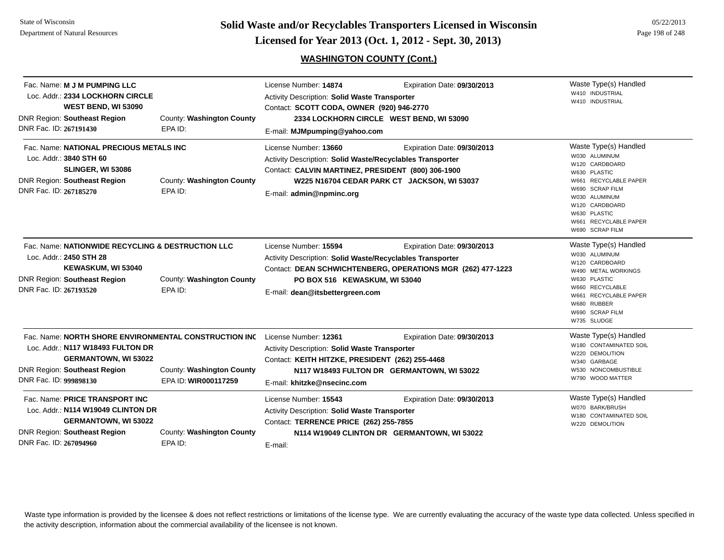**Page 198 of 248 Colid Waste and/or Recyclables Transporters Licensed in Wisconsin**  $\frac{05/22/2013}{\text{Page }198 \text{ of }248}}$ 

# **WASHINGTON COUNTY (Cont.)**

| Fac. Name: M J M PUMPING LLC<br>Loc. Addr.: 2334 LOCKHORN CIRCLE<br>WEST BEND, WI 53090<br><b>DNR Region: Southeast Region</b><br>DNR Fac. ID: 267191430                            | County: Washington County<br>EPA ID:              | License Number: 14874<br>Activity Description: Solid Waste Transporter<br>Contact: SCOTT CODA, OWNER (920) 946-2770<br>E-mail: MJMpumping@yahoo.com                  | Expiration Date: 09/30/2013<br>2334 LOCKHORN CIRCLE WEST BEND, WI 53090                    | Waste Type(s) Handled<br>W410 INDUSTRIAL<br>W410 INDUSTRIAL                                                                                                                                                         |
|-------------------------------------------------------------------------------------------------------------------------------------------------------------------------------------|---------------------------------------------------|----------------------------------------------------------------------------------------------------------------------------------------------------------------------|--------------------------------------------------------------------------------------------|---------------------------------------------------------------------------------------------------------------------------------------------------------------------------------------------------------------------|
| Fac. Name: NATIONAL PRECIOUS METALS INC<br>Loc. Addr.: 3840 STH 60<br><b>SLINGER, WI 53086</b><br><b>DNR Region: Southeast Region</b><br>DNR Fac. ID: 267185270                     | County: Washington County<br>EPA ID:              | License Number: 13660<br>Activity Description: Solid Waste/Recyclables Transporter<br>Contact: CALVIN MARTINEZ, PRESIDENT (800) 306-1900<br>E-mail: admin@npminc.org | Expiration Date: 09/30/2013<br>W225 N16704 CEDAR PARK CT JACKSON, WI 53037                 | Waste Type(s) Handled<br>W030 ALUMINUM<br>W120 CARDBOARD<br>W630 PLASTIC<br>W661 RECYCLABLE PAPER<br>W690 SCRAP FILM<br>W030 ALUMINUM<br>W120 CARDBOARD<br>W630 PLASTIC<br>W661 RECYCLABLE PAPER<br>W690 SCRAP FILM |
| Fac. Name: NATIONWIDE RECYCLING & DESTRUCTION LLC<br>Loc. Addr.: 2450 STH 28<br>KEWASKUM, WI 53040<br><b>DNR Region: Southeast Region</b><br>DNR Fac. ID: 267193520                 | County: Washington County<br>EPA ID:              | License Number: 15594<br>Activity Description: Solid Waste/Recyclables Transporter<br>PO BOX 516 KEWASKUM, WI 53040<br>E-mail: dean@itsbettergreen.com               | Expiration Date: 09/30/2013<br>Contact: DEAN SCHWICHTENBERG, OPERATIONS MGR (262) 477-1223 | Waste Type(s) Handled<br>W030 ALUMINUM<br>W120 CARDBOARD<br>W490 METAL WORKINGS<br>W630 PLASTIC<br>W660 RECYCLABLE<br>W661 RECYCLABLE PAPER<br>W680 RUBBER<br>W690 SCRAP FILM<br>W735 SLUDGE                        |
| Fac. Name: NORTH SHORE ENVIRONMENTAL CONSTRUCTION INC<br>Loc. Addr.: N117 W18493 FULTON DR<br><b>GERMANTOWN, WI 53022</b><br>DNR Region: Southeast Region<br>DNR Fac. ID: 999898130 | County: Washington County<br>EPA ID: WIR000117259 | License Number: 12361<br>Activity Description: Solid Waste Transporter<br>Contact: KEITH HITZKE, PRESIDENT (262) 255-4468<br>E-mail: khitzke@nsecinc.com             | Expiration Date: 09/30/2013<br>N117 W18493 FULTON DR GERMANTOWN, WI 53022                  | Waste Type(s) Handled<br>W180 CONTAMINATED SOIL<br>W220 DEMOLITION<br>W340 GARBAGE<br>W530 NONCOMBUSTIBLE<br>W790 WOOD MATTER                                                                                       |
| Fac. Name: PRICE TRANSPORT INC<br>Loc. Addr.: N114 W19049 CLINTON DR<br><b>GERMANTOWN, WI 53022</b><br><b>DNR Region: Southeast Region</b><br>DNR Fac. ID: 267094960                | County: Washington County<br>EPA ID:              | License Number: 15543<br><b>Activity Description: Solid Waste Transporter</b><br>Contact: TERRENCE PRICE (262) 255-7855<br>E-mail:                                   | Expiration Date: 09/30/2013<br>N114 W19049 CLINTON DR GERMANTOWN, WI 53022                 | Waste Type(s) Handled<br>W070 BARK/BRUSH<br>W180 CONTAMINATED SOIL<br>W220 DEMOLITION                                                                                                                               |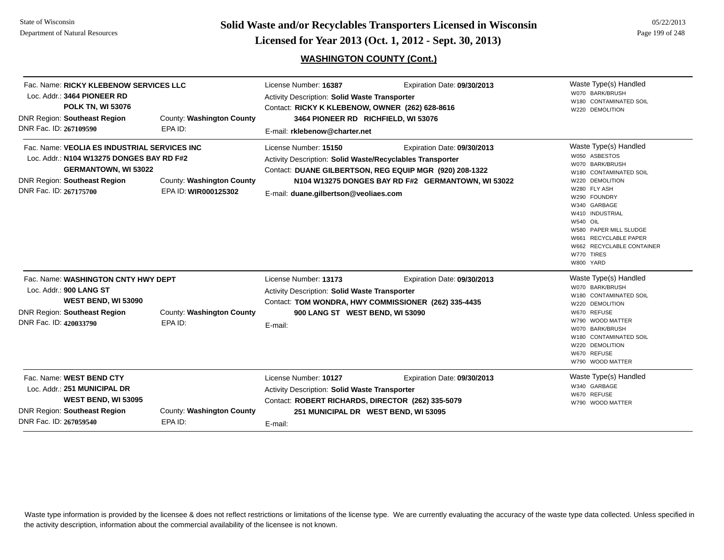**Page 199 of 248 <b>Licensed for Year 2013 (Oct. 1, 2012 - Sept. 30, 2013) Example 199 of 248 Licensed for Year 2013 (Oct. 1, 2012 - Sept. 30, 2013)** 

# **WASHINGTON COUNTY (Cont.)**

| Fac. Name: RICKY KLEBENOW SERVICES LLC<br>Loc. Addr.: 3464 PIONEER RD<br><b>POLK TN, WI 53076</b><br><b>DNR Region: Southeast Region</b><br>DNR Fac. ID: 267109590                        | County: Washington County<br>EPA ID:              | License Number: 16387<br>Activity Description: Solid Waste Transporter<br>Contact: RICKY K KLEBENOW, OWNER (262) 628-8616<br>3464 PIONEER RD RICHFIELD, WI 53076<br>E-mail: rklebenow@charter.net | Expiration Date: 09/30/2013                                                                                                                  | Waste Type(s) Handled<br>W070 BARK/BRUSH<br>W180 CONTAMINATED SOIL<br>W220 DEMOLITION                                                                                                                                                                                                            |
|-------------------------------------------------------------------------------------------------------------------------------------------------------------------------------------------|---------------------------------------------------|---------------------------------------------------------------------------------------------------------------------------------------------------------------------------------------------------|----------------------------------------------------------------------------------------------------------------------------------------------|--------------------------------------------------------------------------------------------------------------------------------------------------------------------------------------------------------------------------------------------------------------------------------------------------|
| Fac. Name: VEOLIA ES INDUSTRIAL SERVICES INC<br>Loc. Addr.: N104 W13275 DONGES BAY RD F#2<br><b>GERMANTOWN, WI 53022</b><br><b>DNR Region: Southeast Region</b><br>DNR Fac. ID: 267175700 | County: Washington County<br>EPA ID: WIR000125302 | License Number: 15150<br>Activity Description: Solid Waste/Recyclables Transporter<br>E-mail: duane.gilbertson@veoliaes.com                                                                       | Expiration Date: 09/30/2013<br>Contact: DUANE GILBERTSON, REG EQUIP MGR (920) 208-1322<br>N104 W13275 DONGES BAY RD F#2 GERMANTOWN, WI 53022 | Waste Type(s) Handled<br>W050 ASBESTOS<br>W070 BARK/BRUSH<br>W180 CONTAMINATED SOIL<br>W220 DEMOLITION<br>W280 FLY ASH<br>W290 FOUNDRY<br>W340 GARBAGE<br>W410 INDUSTRIAL<br>W540 OIL<br>W580 PAPER MILL SLUDGE<br>W661 RECYCLABLE PAPER<br>W662 RECYCLABLE CONTAINER<br>W770 TIRES<br>W800 YARD |
| Fac. Name: WASHINGTON CNTY HWY DEPT<br>Loc. Addr.: 900 LANG ST<br>WEST BEND, WI 53090<br><b>DNR Region: Southeast Region</b><br>DNR Fac. ID: 420033790                                    | County: Washington County<br>EPA ID:              | License Number: 13173<br><b>Activity Description: Solid Waste Transporter</b><br>900 LANG ST WEST BEND, WI 53090<br>E-mail:                                                                       | Expiration Date: 09/30/2013<br>Contact: TOM WONDRA, HWY COMMISSIONER (262) 335-4435                                                          | Waste Type(s) Handled<br>W070 BARK/BRUSH<br>W180 CONTAMINATED SOIL<br>W220 DEMOLITION<br>W670 REFUSE<br>W790 WOOD MATTER<br>W070 BARK/BRUSH<br>W180 CONTAMINATED SOIL<br>W220 DEMOLITION<br>W670 REFUSE<br>W790 WOOD MATTER                                                                      |
| Fac. Name: WEST BEND CTY<br>Loc. Addr.: 251 MUNICIPAL DR<br>WEST BEND, WI 53095<br><b>DNR Region: Southeast Region</b><br>DNR Fac. ID: 267059540                                          | County: Washington County<br>EPA ID:              | License Number: 10127<br>Activity Description: Solid Waste Transporter<br>Contact: ROBERT RICHARDS, DIRECTOR (262) 335-5079<br>251 MUNICIPAL DR WEST BEND, WI 53095<br>E-mail:                    | Expiration Date: 09/30/2013                                                                                                                  | Waste Type(s) Handled<br>W340 GARBAGE<br>W670 REFUSE<br>W790 WOOD MATTER                                                                                                                                                                                                                         |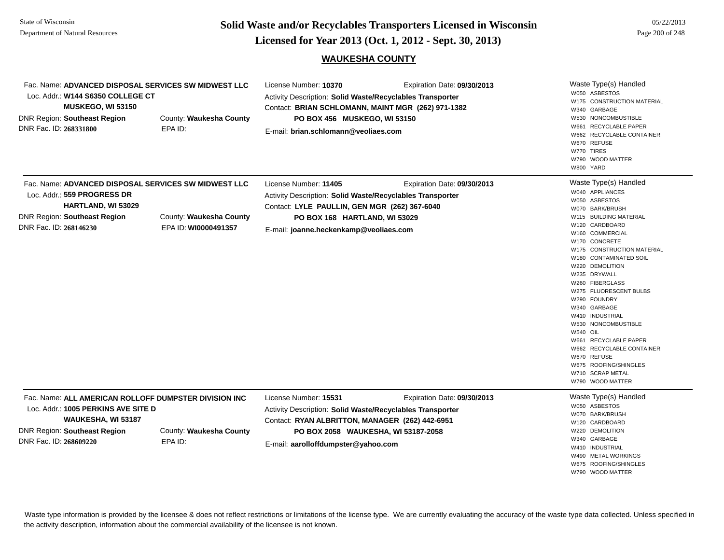**Page 200 of 248 <b>Licensed for Year 2013 (Oct. 1, 2012 - Sept. 30, 2013) Page 200 of 248 Licensed for Year 2013 (Oct. 1, 2012 - Sept. 30, 2013)** 

#### **WAUKESHA COUNTY**

| Fac. Name: ADVANCED DISPOSAL SERVICES SW MIDWEST LLC<br>Loc. Addr.: W144 S6350 COLLEGE CT<br><b>MUSKEGO, WI 53150</b><br><b>DNR Region: Southeast Region</b><br>DNR Fac. ID: 268331800 | County: Waukesha County<br>EPA ID:              | License Number: 10370<br>Expiration Date: 09/30/2013<br>Activity Description: Solid Waste/Recyclables Transporter<br>Contact: BRIAN SCHLOMANN, MAINT MGR (262) 971-1382<br>PO BOX 456 MUSKEGO, WI 53150<br>E-mail: brian.schlomann@veoliaes.com    | Waste Type(s) Handled<br>W050 ASBESTOS<br>W175 CONSTRUCTION MATERIAL<br>W340 GARBAGE<br>W530 NONCOMBUSTIBLE<br>W661 RECYCLABLE PAPER<br>W662 RECYCLABLE CONTAINER<br>W670 REFUSE<br>W770 TIRES<br>W790 WOOD MATTER<br>W800 YARD                                                                                                                                                                                                                                                                                                         |
|----------------------------------------------------------------------------------------------------------------------------------------------------------------------------------------|-------------------------------------------------|----------------------------------------------------------------------------------------------------------------------------------------------------------------------------------------------------------------------------------------------------|-----------------------------------------------------------------------------------------------------------------------------------------------------------------------------------------------------------------------------------------------------------------------------------------------------------------------------------------------------------------------------------------------------------------------------------------------------------------------------------------------------------------------------------------|
| Fac. Name: ADVANCED DISPOSAL SERVICES SW MIDWEST LLC<br>Loc. Addr.: 559 PROGRESS DR<br><b>HARTLAND, WI 53029</b><br><b>DNR Region: Southeast Region</b><br>DNR Fac. ID: 268146230      | County: Waukesha County<br>EPA ID: WI0000491357 | License Number: 11405<br>Expiration Date: 09/30/2013<br>Activity Description: Solid Waste/Recyclables Transporter<br>Contact: LYLE PAULLIN, GEN MGR (262) 367-6040<br>PO BOX 168 HARTLAND, WI 53029<br>E-mail: joanne.heckenkamp@veoliaes.com      | Waste Type(s) Handled<br>W040 APPLIANCES<br>W050 ASBESTOS<br>W070 BARK/BRUSH<br>W115 BUILDING MATERIAL<br>W120 CARDBOARD<br>W160 COMMERCIAL<br>W170 CONCRETE<br>W175 CONSTRUCTION MATERIAL<br>W180 CONTAMINATED SOIL<br>W220 DEMOLITION<br>W235 DRYWALL<br>W260 FIBERGLASS<br>W275 FLUORESCENT BULBS<br>W290 FOUNDRY<br>W340 GARBAGE<br>W410 INDUSTRIAL<br>W530 NONCOMBUSTIBLE<br><b>W540 OIL</b><br>W661 RECYCLABLE PAPER<br>W662 RECYCLABLE CONTAINER<br>W670 REFUSE<br>W675 ROOFING/SHINGLES<br>W710 SCRAP METAL<br>W790 WOOD MATTER |
| Fac. Name: ALL AMERICAN ROLLOFF DUMPSTER DIVISION INC<br>Loc. Addr.: 1005 PERKINS AVE SITE D<br>WAUKESHA, WI 53187<br><b>DNR Region: Southeast Region</b><br>DNR Fac. ID: 268609220    | County: Waukesha County<br>EPA ID:              | License Number: 15531<br>Expiration Date: 09/30/2013<br>Activity Description: Solid Waste/Recyclables Transporter<br>Contact: RYAN ALBRITTON, MANAGER (262) 442-6951<br>PO BOX 2058 WAUKESHA, WI 53187-2058<br>E-mail: aarolloffdumpster@yahoo.com | Waste Type(s) Handled<br>W050 ASBESTOS<br>W070 BARK/BRUSH<br>W120 CARDBOARD<br>W220 DEMOLITION<br>W340 GARBAGE<br>W410 INDUSTRIAL<br>W490 METAL WORKINGS<br>W675 ROOFING/SHINGLES<br>W790 WOOD MATTER                                                                                                                                                                                                                                                                                                                                   |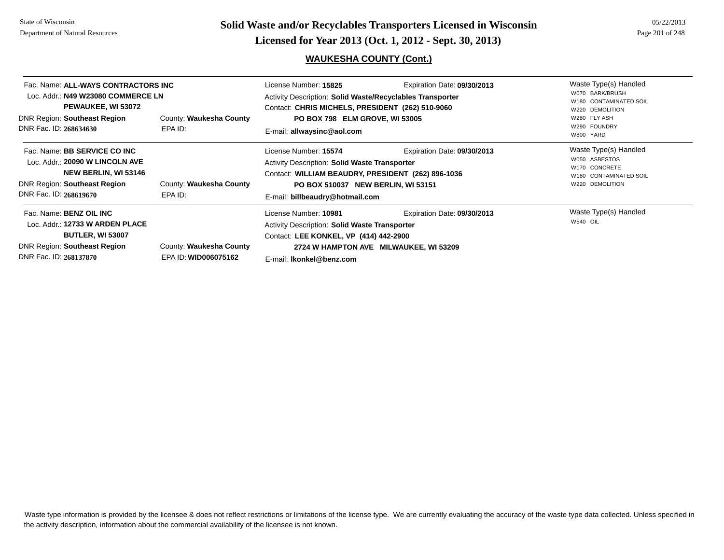DNR Fac. ID: **268137870**

EPA ID: **WID006075162**

**Page 201 of 248 <b>Licensed for Year 2013 (Oct. 1, 2012 - Sept. 30, 2013) Page 201 of 248 Licensed for Year 2013 (Oct. 1, 2012 - Sept. 30, 2013)** 

# **WAUKESHA COUNTY (Cont.)**

| Fac. Name: ALL-WAYS CONTRACTORS INC<br>Loc. Addr.: N49 W23080 COMMERCE LN<br>PEWAUKEE, WI 53072<br><b>DNR Region: Southeast Region</b><br>DNR Fac. ID: 268634630       | County: Waukesha County<br>EPA ID: | Expiration Date: 09/30/2013<br>License Number: 15825<br>Activity Description: Solid Waste/Recyclables Transporter<br>Contact: CHRIS MICHELS, PRESIDENT (262) 510-9060<br>PO BOX 798 ELM GROVE, WI 53005<br>E-mail: allwaysinc@aol.com |                                                                       | Waste Type(s) Handled<br>W070 BARK/BRUSH<br>W180 CONTAMINATED SOIL<br>W220 DEMOLITION<br>W280 FLY ASH<br>W290 FOUNDRY<br>W800 YARD |
|------------------------------------------------------------------------------------------------------------------------------------------------------------------------|------------------------------------|---------------------------------------------------------------------------------------------------------------------------------------------------------------------------------------------------------------------------------------|-----------------------------------------------------------------------|------------------------------------------------------------------------------------------------------------------------------------|
| Fac. Name: <b>BB SERVICE CO INC</b><br>Loc. Addr.: 20090 W LINCOLN AVE<br><b>NEW BERLIN, WI 53146</b><br><b>DNR Region: Southeast Region</b><br>DNR Fac. ID: 268619670 | County: Waukesha County<br>EPA ID: | License Number: 15574<br><b>Activity Description: Solid Waste Transporter</b><br>Contact: WILLIAM BEAUDRY, PRESIDENT (262) 896-1036<br>PO BOX 510037 NEW BERLIN, WI 53151<br>E-mail: billbeaudry@hotmail.com                          | Expiration Date: 09/30/2013                                           | Waste Type(s) Handled<br>W050 ASBESTOS<br>W170 CONCRETE<br>W180 CONTAMINATED SOIL<br>W220 DEMOLITION                               |
| Fac. Name: <b>BENZ OIL INC</b><br>Loc. Addr.: 12733 W ARDEN PLACE<br><b>BUTLER, WI 53007</b><br><b>DNR Region: Southeast Region</b>                                    | County: Waukesha County            | License Number: 10981<br><b>Activity Description: Solid Waste Transporter</b><br>Contact: LEE KONKEL, VP (414) 442-2900                                                                                                               | Expiration Date: 09/30/2013<br>2724 W HAMPTON AVE MILWAUKEE, WI 53209 | Waste Type(s) Handled<br><b>W540 OIL</b>                                                                                           |

E-mail: **lkonkel@benz.com**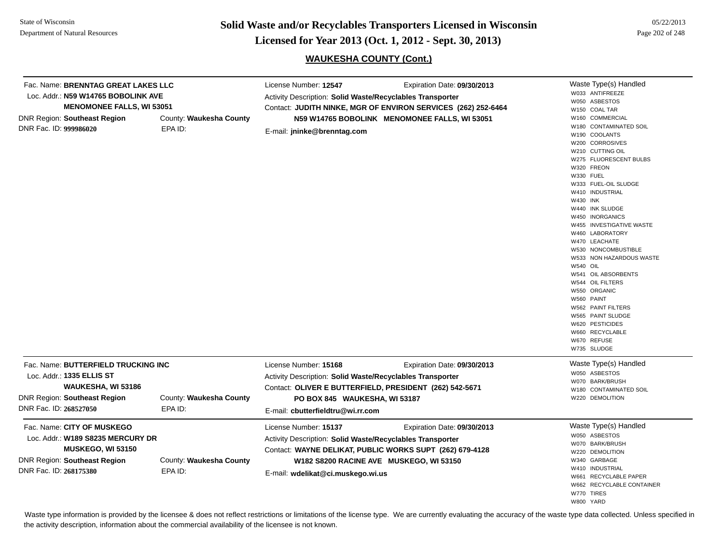**Page 202 of 248 <b>Licensed for Year 2013 (Oct. 1, 2012 - Sept. 30, 2013) Page 202 of 248 Licensed for Year 2013 (Oct. 1, 2012 - Sept. 30, 2013)** 

# **WAUKESHA COUNTY (Cont.)**

| Fac. Name: BRENNTAG GREAT LAKES LLC<br>Loc. Addr.: N59 W14765 BOBOLINK AVE<br><b>MENOMONEE FALLS, WI 53051</b><br><b>DNR Region: Southeast Region</b><br>DNR Fac. ID: 999986020 | County: Waukesha County<br>EPA ID: | License Number: 12547<br>Activity Description: Solid Waste/Recyclables Transporter<br>E-mail: jninke@brenntag.com                                        | Expiration Date: 09/30/2013<br>Contact: JUDITH NINKE, MGR OF ENVIRON SERVICES (262) 252-6464<br>N59 W14765 BOBOLINK MENOMONEE FALLS, WI 53051 | Waste Type(s) Handled<br>W033 ANTIFREEZE<br>W050 ASBESTOS<br>W150 COAL TAR<br>W160 COMMERCIAL<br>W180 CONTAMINATED SOIL<br>W190 COOLANTS<br>W200 CORROSIVES<br>W210 CUTTING OIL<br>W275 FLUORESCENT BULBS<br>W320 FREON<br>W330 FUEL<br>W333 FUEL-OIL SLUDGE<br>W410 INDUSTRIAL<br>W430 INK<br>W440 INK SLUDGE<br>W450 INORGANICS<br>W455 INVESTIGATIVE WASTE<br>W460 LABORATORY<br>W470 LEACHATE<br>W530 NONCOMBUSTIBLE<br>W533 NON HAZARDOUS WASTE<br><b>W540 OIL</b><br>W541 OIL ABSORBENTS<br>W544 OIL FILTERS<br>W550 ORGANIC<br>W560 PAINT<br>W562 PAINT FILTERS<br>W565 PAINT SLUDGE<br>W620 PESTICIDES<br>W660 RECYCLABLE<br>W670 REFUSE<br>W735 SLUDGE |
|---------------------------------------------------------------------------------------------------------------------------------------------------------------------------------|------------------------------------|----------------------------------------------------------------------------------------------------------------------------------------------------------|-----------------------------------------------------------------------------------------------------------------------------------------------|-----------------------------------------------------------------------------------------------------------------------------------------------------------------------------------------------------------------------------------------------------------------------------------------------------------------------------------------------------------------------------------------------------------------------------------------------------------------------------------------------------------------------------------------------------------------------------------------------------------------------------------------------------------------|
| Fac. Name: BUTTERFIELD TRUCKING INC<br>Loc. Addr.: 1335 ELLIS ST<br>WAUKESHA, WI 53186<br><b>DNR Region: Southeast Region</b><br>DNR Fac. ID: 268527050                         | County: Waukesha County<br>EPA ID: | License Number: 15168<br>Activity Description: Solid Waste/Recyclables Transporter<br>PO BOX 845 WAUKESHA, WI 53187<br>E-mail: cbutterfieldtru@wi.rr.com | Expiration Date: 09/30/2013<br>Contact: OLIVER E BUTTERFIELD, PRESIDENT (262) 542-5671                                                        | Waste Type(s) Handled<br>W050 ASBESTOS<br>W070 BARK/BRUSH<br>W180 CONTAMINATED SOIL<br>W220 DEMOLITION                                                                                                                                                                                                                                                                                                                                                                                                                                                                                                                                                          |
| Fac. Name: CITY OF MUSKEGO<br>Loc. Addr.: W189 S8235 MERCURY DR<br>MUSKEGO, WI 53150<br><b>DNR Region: Southeast Region</b><br>DNR Fac. ID: 268175380                           | County: Waukesha County<br>EPA ID: | License Number: 15137<br><b>Activity Description: Solid Waste/Recyclables Transporter</b><br>E-mail: wdelikat@ci.muskego.wi.us                           | Expiration Date: 09/30/2013<br>Contact: WAYNE DELIKAT, PUBLIC WORKS SUPT (262) 679-4128<br>W182 S8200 RACINE AVE MUSKEGO, WI 53150            | Waste Type(s) Handled<br>W050 ASBESTOS<br>W070 BARK/BRUSH<br>W220 DEMOLITION<br>W340 GARBAGE<br>W410 INDUSTRIAL<br>W661 RECYCLABLE PAPER<br>W662 RECYCLABLE CONTAINER<br>W770 TIRES<br>W800 YARD                                                                                                                                                                                                                                                                                                                                                                                                                                                                |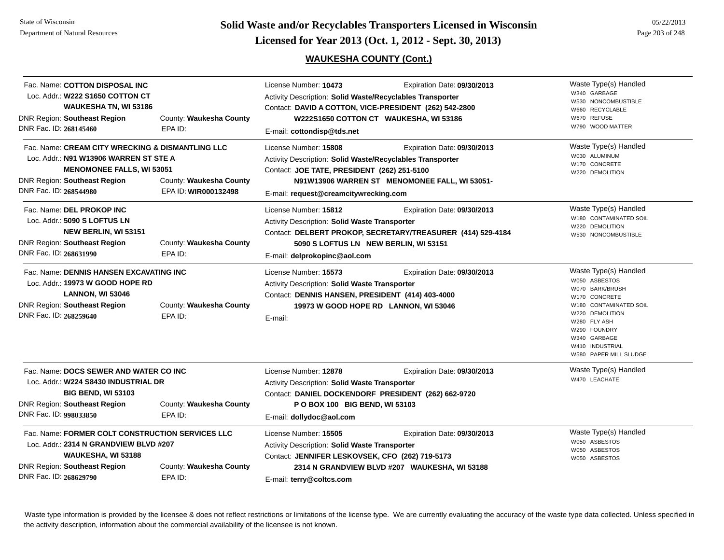**Page 203 of 248 <b>Licensed for Year 2013 (Oct. 1, 2012 - Sept. 30, 2013) Page 203 of 248 Licensed for Year 2013 (Oct. 1, 2012 - Sept. 30, 2013)** 

# **WAUKESHA COUNTY (Cont.)**

| DNR Fac. ID: 268145460 | Fac. Name: COTTON DISPOSAL INC<br>Loc. Addr.: W222 S1650 COTTON CT<br><b>WAUKESHA TN, WI 53186</b><br><b>DNR Region: Southeast Region</b>                             | County: Waukesha County<br>EPA ID:              | License Number: 10473<br>Activity Description: Solid Waste/Recyclables Transporter<br>Contact: DAVID A COTTON, VICE-PRESIDENT (262) 542-2800<br>W222S1650 COTTON CT WAUKESHA, WI 53186<br>E-mail: cottondisp@tds.net        | Expiration Date: 09/30/2013 | Waste Type(s) Handled<br>W340 GARBAGE<br>W530 NONCOMBUSTIBLE<br>W660 RECYCLABLE<br>W670 REFUSE<br>W790 WOOD MATTER                                                                                                   |
|------------------------|-----------------------------------------------------------------------------------------------------------------------------------------------------------------------|-------------------------------------------------|-----------------------------------------------------------------------------------------------------------------------------------------------------------------------------------------------------------------------------|-----------------------------|----------------------------------------------------------------------------------------------------------------------------------------------------------------------------------------------------------------------|
| DNR Fac. ID: 268544980 | Fac. Name: CREAM CITY WRECKING & DISMANTLING LLC<br>Loc. Addr.: N91 W13906 WARREN ST STE A<br><b>MENOMONEE FALLS, WI 53051</b><br><b>DNR Region: Southeast Region</b> | County: Waukesha County<br>EPA ID: WIR000132498 | License Number: 15808<br>Activity Description: Solid Waste/Recyclables Transporter<br>Contact: JOE TATE, PRESIDENT (262) 251-5100<br>N91W13906 WARREN ST MENOMONEE FALL, WI 53051-<br>E-mail: request@creamcitywrecking.com | Expiration Date: 09/30/2013 | Waste Type(s) Handled<br>W030 ALUMINUM<br>W170 CONCRETE<br>W220 DEMOLITION                                                                                                                                           |
| DNR Fac. ID: 268631990 | Fac. Name: DEL PROKOP INC<br>Loc. Addr.: 5090 S LOFTUS LN<br><b>NEW BERLIN, WI 53151</b><br><b>DNR Region: Southeast Region</b>                                       | County: Waukesha County<br>EPA ID:              | License Number: 15812<br>Activity Description: Solid Waste Transporter<br>Contact: DELBERT PROKOP, SECRETARY/TREASURER (414) 529-4184<br>5090 S LOFTUS LN NEW BERLIN, WI 53151<br>E-mail: delprokopinc@aol.com              | Expiration Date: 09/30/2013 | Waste Type(s) Handled<br>W180 CONTAMINATED SOIL<br>W220 DEMOLITION<br>W530 NONCOMBUSTIBLE                                                                                                                            |
| DNR Fac. ID: 268259640 | Fac. Name: DENNIS HANSEN EXCAVATING INC<br>Loc. Addr.: 19973 W GOOD HOPE RD<br><b>LANNON, WI 53046</b><br><b>DNR Region: Southeast Region</b>                         | County: Waukesha County<br>EPA ID:              | License Number: 15573<br>Activity Description: Solid Waste Transporter<br>Contact: DENNIS HANSEN, PRESIDENT (414) 403-4000<br>19973 W GOOD HOPE RD LANNON, WI 53046<br>E-mail:                                              | Expiration Date: 09/30/2013 | Waste Type(s) Handled<br>W050 ASBESTOS<br>W070 BARK/BRUSH<br>W170 CONCRETE<br>W180 CONTAMINATED SOIL<br>W220 DEMOLITION<br>W280 FLY ASH<br>W290 FOUNDRY<br>W340 GARBAGE<br>W410 INDUSTRIAL<br>W580 PAPER MILL SLUDGE |
| DNR Fac. ID: 998033850 | Fac. Name: DOCS SEWER AND WATER CO INC<br>Loc. Addr.: W224 S8430 INDUSTRIAL DR<br><b>BIG BEND, WI 53103</b><br><b>DNR Region: Southeast Region</b>                    | County: Waukesha County<br>EPA ID:              | License Number: 12878<br>Activity Description: Solid Waste Transporter<br>Contact: DANIEL DOCKENDORF PRESIDENT (262) 662-9720<br>P O BOX 100 BIG BEND, WI 53103<br>E-mail: dollydoc@aol.com                                 | Expiration Date: 09/30/2013 | Waste Type(s) Handled<br>W470 LEACHATE                                                                                                                                                                               |
| DNR Fac. ID: 268629790 | Fac. Name: FORMER COLT CONSTRUCTION SERVICES LLC<br>Loc. Addr.: 2314 N GRANDVIEW BLVD #207<br>WAUKESHA, WI 53188<br><b>DNR Region: Southeast Region</b>               | County: Waukesha County<br>EPA ID:              | License Number: 15505<br>Activity Description: Solid Waste Transporter<br>Contact: JENNIFER LESKOVSEK, CFO (262) 719-5173<br>2314 N GRANDVIEW BLVD #207 WAUKESHA, WI 53188<br>E-mail: terry@coltcs.com                      | Expiration Date: 09/30/2013 | Waste Type(s) Handled<br>W050 ASBESTOS<br>W050 ASBESTOS<br>W050 ASBESTOS                                                                                                                                             |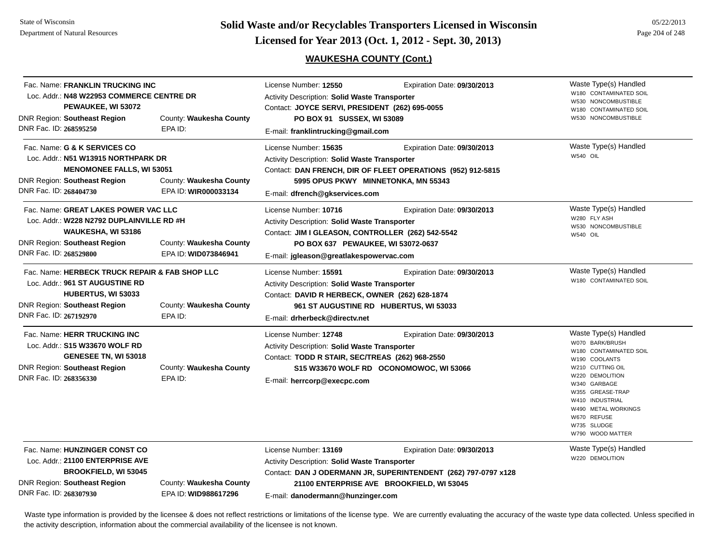**Page 204 of 248 <b>Licensed for Year 2013 (Oct. 1, 2012 - Sept. 30, 2013) Page 204 of 248 Licensed for Year 2013 (Oct. 1, 2012 - Sept. 30, 2013)** 

# **WAUKESHA COUNTY (Cont.)**

| Fac. Name: FRANKLIN TRUCKING INC<br>Loc. Addr.: N48 W22953 COMMERCE CENTRE DR<br>PEWAUKEE, WI 53072<br>County: Waukesha County<br><b>DNR Region: Southeast Region</b><br>DNR Fac. ID: 268595250<br>EPA ID:           |                                                 | License Number: 12550<br>Expiration Date: 09/30/2013<br>Activity Description: Solid Waste Transporter<br>Contact: JOYCE SERVI, PRESIDENT (262) 695-0055<br>PO BOX 91 SUSSEX, WI 53089<br>E-mail: franklintrucking@gmail.com                                                          |                                                                                                                                            | Waste Type(s) Handled<br>W180 CONTAMINATED SOIL<br>W530 NONCOMBUSTIBLE<br>W180 CONTAMINATED SOIL<br>W530 NONCOMBUSTIBLE                                                                                                                                    |
|----------------------------------------------------------------------------------------------------------------------------------------------------------------------------------------------------------------------|-------------------------------------------------|--------------------------------------------------------------------------------------------------------------------------------------------------------------------------------------------------------------------------------------------------------------------------------------|--------------------------------------------------------------------------------------------------------------------------------------------|------------------------------------------------------------------------------------------------------------------------------------------------------------------------------------------------------------------------------------------------------------|
| Fac. Name: G & K SERVICES CO<br>Loc. Addr.: N51 W13915 NORTHPARK DR<br><b>MENOMONEE FALLS, WI 53051</b><br>DNR Region: Southeast Region<br>County: Waukesha County<br>DNR Fac. ID: 268404730<br>EPA ID: WIR000033134 |                                                 | License Number: 15635<br>Expiration Date: 09/30/2013<br><b>Activity Description: Solid Waste Transporter</b><br>Contact: DAN FRENCH, DIR OF FLEET OPERATIONS (952) 912-5815<br>5995 OPUS PKWY MINNETONKA, MN 55343                                                                   |                                                                                                                                            | Waste Type(s) Handled<br>W540 OIL                                                                                                                                                                                                                          |
| Fac. Name: GREAT LAKES POWER VAC LLC<br>Loc. Addr.: W228 N2792 DUPLAINVILLE RD #H<br>WAUKESHA, WI 53186<br>DNR Region: Southeast Region<br>DNR Fac. ID: 268529800                                                    | County: Waukesha County<br>EPA ID: WID073846941 | E-mail: dfrench@gkservices.com<br>License Number: 10716<br>Expiration Date: 09/30/2013<br><b>Activity Description: Solid Waste Transporter</b><br>Contact: JIM I GLEASON, CONTROLLER (262) 542-5542<br>PO BOX 637 PEWAUKEE, WI 53072-0637<br>E-mail: jgleason@greatlakespowervac.com |                                                                                                                                            | Waste Type(s) Handled<br>W280 FLY ASH<br>W530 NONCOMBUSTIBLE<br>W540 OIL                                                                                                                                                                                   |
| Fac. Name: HERBECK TRUCK REPAIR & FAB SHOP LLC<br>Loc. Addr.: 961 ST AUGUSTINE RD<br>HUBERTUS, WI 53033<br><b>DNR Region: Southeast Region</b><br>DNR Fac. ID: 267192970                                             | County: Waukesha County<br>EPA ID:              | License Number: 15591<br><b>Activity Description: Solid Waste Transporter</b><br>Contact: DAVID R HERBECK, OWNER (262) 628-1874<br>E-mail: drherbeck@directv.net                                                                                                                     | Expiration Date: 09/30/2013<br>961 ST AUGUSTINE RD HUBERTUS, WI 53033                                                                      | Waste Type(s) Handled<br>W180 CONTAMINATED SOIL                                                                                                                                                                                                            |
| Fac. Name: HERR TRUCKING INC<br>Loc. Addr.: \$15 W33670 WOLF RD<br>GENESEE TN, WI 53018<br>DNR Region: Southeast Region<br>DNR Fac. ID: 268356330                                                                    | County: Waukesha County<br>EPA ID:              | License Number: 12748<br><b>Activity Description: Solid Waste Transporter</b><br>Contact: TODD R STAIR, SEC/TREAS (262) 968-2550<br>E-mail: herrcorp@execpc.com                                                                                                                      | Expiration Date: 09/30/2013<br>S15 W33670 WOLF RD OCONOMOWOC, WI 53066                                                                     | Waste Type(s) Handled<br>W070 BARK/BRUSH<br>W180 CONTAMINATED SOIL<br>W190 COOLANTS<br>W210 CUTTING OIL<br>W220 DEMOLITION<br>W340 GARBAGE<br>W355 GREASE-TRAP<br>W410 INDUSTRIAL<br>W490 METAL WORKINGS<br>W670 REFUSE<br>W735 SLUDGE<br>W790 WOOD MATTER |
| Fac. Name: HUNZINGER CONST CO<br>Loc. Addr.: 21100 ENTERPRISE AVE<br><b>BROOKFIELD, WI 53045</b><br><b>DNR Region: Southeast Region</b><br>DNR Fac. ID: 268307930                                                    | County: Waukesha County<br>EPA ID: WID988617296 | License Number: 13169<br>Activity Description: Solid Waste Transporter<br>E-mail: danodermann@hunzinger.com                                                                                                                                                                          | Expiration Date: 09/30/2013<br>Contact: DAN J ODERMANN JR, SUPERINTENDENT (262) 797-0797 x128<br>21100 ENTERPRISE AVE BROOKFIELD, WI 53045 | Waste Type(s) Handled<br>W220 DEMOLITION                                                                                                                                                                                                                   |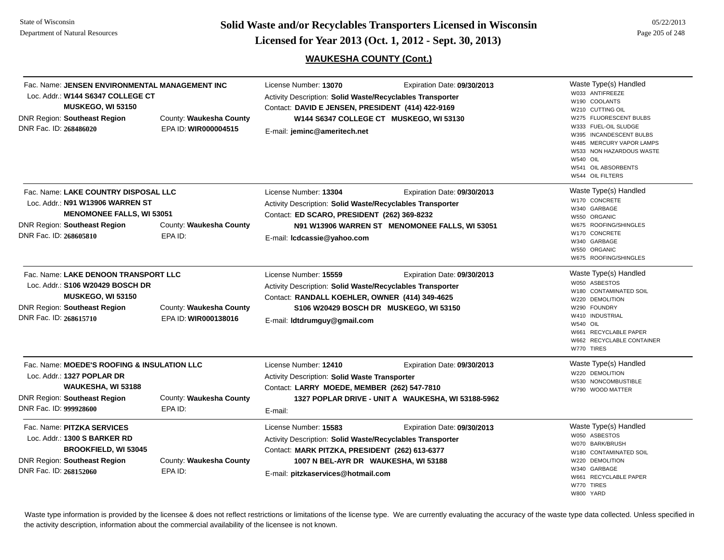**Page 205 of 248 <b>Licensed for Year 2013 (Oct. 1, 2012 - Sept. 30, 2013) Page 205 of 248 Licensed for Year 2013 (Oct. 1, 2012 - Sept. 30, 2013)** 

# **WAUKESHA COUNTY (Cont.)**

05/22/2013

| Fac. Name: JENSEN ENVIRONMENTAL MANAGEMENT INC<br>Loc. Addr.: W144 S6347 COLLEGE CT<br><b>MUSKEGO, WI 53150</b><br><b>DNR Region: Southeast Region</b><br>DNR Fac. ID: 268486020 | County: Waukesha County<br>EPA ID: WIR000004515 | License Number: 13070<br>Activity Description: Solid Waste/Recyclables Transporter<br>Contact: DAVID E JENSEN, PRESIDENT (414) 422-9169<br>E-mail: jeminc@ameritech.net                                            | Expiration Date: 09/30/2013<br>W144 S6347 COLLEGE CT MUSKEGO, WI 53130            | Waste Type(s) Handled<br>W033 ANTIFREEZE<br>W190 COOLANTS<br>W210 CUTTING OIL<br>W275 FLUORESCENT BULBS<br>W333 FUEL-OIL SLUDGE<br>W395 INCANDESCENT BULBS<br>W485 MERCURY VAPOR LAMPS<br>W533 NON HAZARDOUS WASTE<br><b>W540 OIL</b><br>W541 OIL ABSORBENTS<br>W544 OIL FILTERS |
|----------------------------------------------------------------------------------------------------------------------------------------------------------------------------------|-------------------------------------------------|--------------------------------------------------------------------------------------------------------------------------------------------------------------------------------------------------------------------|-----------------------------------------------------------------------------------|----------------------------------------------------------------------------------------------------------------------------------------------------------------------------------------------------------------------------------------------------------------------------------|
| Fac. Name: LAKE COUNTRY DISPOSAL LLC<br>Loc. Addr.: N91 W13906 WARREN ST<br><b>MENOMONEE FALLS, WI 53051</b><br><b>DNR Region: Southeast Region</b><br>DNR Fac. ID: 268605810    | County: Waukesha County<br>EPA ID:              | License Number: 13304<br>Activity Description: Solid Waste/Recyclables Transporter<br>Contact: ED SCARO, PRESIDENT (262) 369-8232<br>E-mail: Icdcassie@yahoo.com                                                   | Expiration Date: 09/30/2013<br>N91 W13906 WARREN ST MENOMONEE FALLS, WI 53051     | Waste Type(s) Handled<br>W170 CONCRETE<br>W340 GARBAGE<br>W550 ORGANIC<br>W675 ROOFING/SHINGLES<br>W170 CONCRETE<br>W340 GARBAGE<br>W550 ORGANIC<br>W675 ROOFING/SHINGLES                                                                                                        |
| Fac. Name: LAKE DENOON TRANSPORT LLC<br>Loc. Addr.: \$106 W20429 BOSCH DR<br><b>MUSKEGO, WI 53150</b><br><b>DNR Region: Southeast Region</b><br>DNR Fac. ID: 268615710           | County: Waukesha County<br>EPA ID: WIR000138016 | License Number: 15559<br>Activity Description: Solid Waste/Recyclables Transporter<br>Contact: RANDALL KOEHLER, OWNER (414) 349-4625<br>E-mail: Idtdrumguy@gmail.com                                               | Expiration Date: 09/30/2013<br>S106 W20429 BOSCH DR MUSKEGO, WI 53150             | Waste Type(s) Handled<br>W050 ASBESTOS<br>W180 CONTAMINATED SOIL<br>W220 DEMOLITION<br>W290 FOUNDRY<br>W410 INDUSTRIAL<br><b>W540 OIL</b><br>W661 RECYCLABLE PAPER<br>W662 RECYCLABLE CONTAINER<br>W770 TIRES                                                                    |
| Fac. Name: MOEDE'S ROOFING & INSULATION LLC<br>Loc. Addr.: 1327 POPLAR DR<br>WAUKESHA, WI 53188<br><b>DNR Region: Southeast Region</b><br>DNR Fac. ID: 999928600                 | County: Waukesha County<br>EPA ID:              | License Number: 12410<br>Activity Description: Solid Waste Transporter<br>Contact: LARRY MOEDE, MEMBER (262) 547-7810<br>E-mail:                                                                                   | Expiration Date: 09/30/2013<br>1327 POPLAR DRIVE - UNIT A WAUKESHA, WI 53188-5962 | Waste Type(s) Handled<br>W220 DEMOLITION<br>W530 NONCOMBUSTIBLE<br>W790 WOOD MATTER                                                                                                                                                                                              |
| Fac. Name: PITZKA SERVICES<br>Loc. Addr.: 1300 S BARKER RD<br><b>BROOKFIELD, WI 53045</b><br><b>DNR Region: Southeast Region</b><br>DNR Fac. ID: 268152060                       | County: Waukesha County<br>EPA ID:              | License Number: 15583<br>Activity Description: Solid Waste/Recyclables Transporter<br>Contact: MARK PITZKA, PRESIDENT (262) 613-6377<br>1007 N BEL-AYR DR WAUKESHA, WI 53188<br>E-mail: pitzkaservices@hotmail.com | Expiration Date: 09/30/2013                                                       | Waste Type(s) Handled<br>W050 ASBESTOS<br>W070 BARK/BRUSH<br>W180 CONTAMINATED SOIL<br>W220 DEMOLITION<br>W340 GARBAGE<br>W661 RECYCLABLE PAPER<br>W770 TIRES<br>W800 YARD                                                                                                       |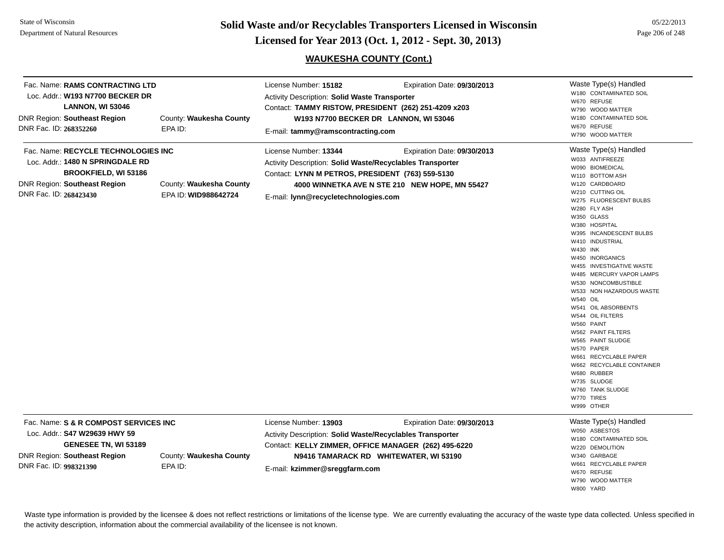State of Wisconsin Department of Natural Resources

**Page 206 of 248 <b>Licensed for Year 2013 (Oct. 1, 2012 - Sept. 30, 2013) Page 206 of 248 Licensed for Year 2013 (Oct. 1, 2012 - Sept. 30, 2013)** 

# **WAUKESHA COUNTY (Cont.)**

| Fac. Name: RAMS CONTRACTING LTD<br>Loc. Addr.: W193 N7700 BECKER DR<br><b>LANNON, WI 53046</b><br><b>DNR Region: Southeast Region</b><br>DNR Fac. ID: 268352260         | County: Waukesha County<br>EPA ID:              | License Number: 15182<br><b>Activity Description: Solid Waste Transporter</b><br>Contact: TAMMY RISTOW, PRESIDENT (262) 251-4209 x203<br>W193 N7700 BECKER DR LANNON, WI 53046<br>E-mail: tammy@ramscontracting.com   | Expiration Date: 09/30/2013                                                   | Waste Type(s) Handled<br>W180 CONTAMINATED SOIL<br>W670 REFUSE<br>W790 WOOD MATTER<br>W180 CONTAMINATED SOIL<br>W670 REFUSE<br>W790 WOOD MATTER                                                                                                                                                                                                                                                                                                                                                                                                                                                                                                  |
|-------------------------------------------------------------------------------------------------------------------------------------------------------------------------|-------------------------------------------------|-----------------------------------------------------------------------------------------------------------------------------------------------------------------------------------------------------------------------|-------------------------------------------------------------------------------|--------------------------------------------------------------------------------------------------------------------------------------------------------------------------------------------------------------------------------------------------------------------------------------------------------------------------------------------------------------------------------------------------------------------------------------------------------------------------------------------------------------------------------------------------------------------------------------------------------------------------------------------------|
| Fac. Name: RECYCLE TECHNOLOGIES INC<br>Loc. Addr.: 1480 N SPRINGDALE RD<br><b>BROOKFIELD, WI 53186</b><br><b>DNR Region: Southeast Region</b><br>DNR Fac. ID: 268423430 | County: Waukesha County<br>EPA ID: WID988642724 | License Number: 13344<br>Activity Description: Solid Waste/Recyclables Transporter<br>Contact: LYNN M PETROS, PRESIDENT (763) 559-5130<br>E-mail: lynn@recycletechnologies.com                                        | Expiration Date: 09/30/2013<br>4000 WINNETKA AVE N STE 210 NEW HOPE, MN 55427 | Waste Type(s) Handled<br>W033 ANTIFREEZE<br>W090 BIOMEDICAL<br>W110 BOTTOM ASH<br>W120 CARDBOARD<br>W210 CUTTING OIL<br>W275 FLUORESCENT BULBS<br>W280 FLY ASH<br>W350 GLASS<br>W380 HOSPITAL<br>W395 INCANDESCENT BULBS<br>W410 INDUSTRIAL<br>W430 INK<br>W450 INORGANICS<br>W455 INVESTIGATIVE WASTE<br>W485 MERCURY VAPOR LAMPS<br>W530 NONCOMBUSTIBLE<br>W533 NON HAZARDOUS WASTE<br><b>W540 OIL</b><br>W541 OIL ABSORBENTS<br>W544 OIL FILTERS<br>W560 PAINT<br>W562 PAINT FILTERS<br>W565 PAINT SLUDGE<br>W570 PAPER<br>W661 RECYCLABLE PAPER<br>W662 RECYCLABLE CONTAINER<br>W680 RUBBER<br>W735 SLUDGE<br>W760 TANK SLUDGE<br>W770 TIRES |
| Fac. Name: S & R COMPOST SERVICES INC<br>Loc. Addr.: S47 W29639 HWY 59<br>GENESEE TN, WI 53189<br><b>DNR Region: Southeast Region</b><br>DNR Fac. ID: 998321390         | County: Waukesha County<br>EPA ID:              | License Number: 13903<br>Activity Description: Solid Waste/Recyclables Transporter<br>Contact: KELLY ZIMMER, OFFICE MANAGER (262) 495-6220<br>N9416 TAMARACK RD WHITEWATER, WI 53190<br>E-mail: kzimmer@sreggfarm.com | Expiration Date: 09/30/2013                                                   | W999 OTHER<br>Waste Type(s) Handled<br>W050 ASBESTOS<br>W180 CONTAMINATED SOIL<br>W220 DEMOLITION<br>W340 GARBAGE<br>W661 RECYCLABLE PAPER<br>W670 REFUSE                                                                                                                                                                                                                                                                                                                                                                                                                                                                                        |

Waste type information is provided by the licensee & does not reflect restrictions or limitations of the license type. We are currently evaluating the accuracy of the waste type data collected. Unless specified in the activity description, information about the commercial availability of the licensee is not known.

 W790 WOOD MATTERW800 YARD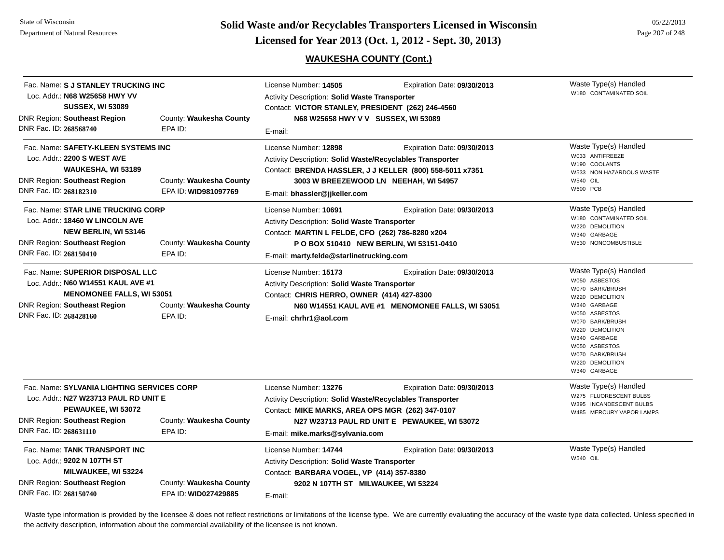**Page 207 of 248 <b>Licensed for Year 2013 (Oct. 1, 2012 - Sept. 30, 2013) Page 207 of 248 Licensed for Year 2013 (Oct. 1, 2012 - Sept. 30, 2013)** 

# **WAUKESHA COUNTY (Cont.)**

| Fac. Name: S J STANLEY TRUCKING INC<br>Loc. Addr.: N68 W25658 HWY VV<br><b>SUSSEX, WI 53089</b>                                                                             |                                                 | License Number: 14505<br><b>Activity Description: Solid Waste Transporter</b><br>Contact: VICTOR STANLEY, PRESIDENT (262) 246-4560                                                                   | Expiration Date: 09/30/2013                                                                                                      | Waste Type(s) Handled<br>W180 CONTAMINATED SOIL                                                                                                                                                                                            |
|-----------------------------------------------------------------------------------------------------------------------------------------------------------------------------|-------------------------------------------------|------------------------------------------------------------------------------------------------------------------------------------------------------------------------------------------------------|----------------------------------------------------------------------------------------------------------------------------------|--------------------------------------------------------------------------------------------------------------------------------------------------------------------------------------------------------------------------------------------|
| <b>DNR Region: Southeast Region</b><br>DNR Fac. ID: 268568740                                                                                                               | County: Waukesha County<br>EPA ID:              | N68 W25658 HWY V V SUSSEX, WI 53089<br>E-mail:                                                                                                                                                       |                                                                                                                                  |                                                                                                                                                                                                                                            |
| Fac. Name: SAFETY-KLEEN SYSTEMS INC<br>Loc. Addr.: 2200 S WEST AVE<br>WAUKESHA, WI 53189<br>DNR Region: Southeast Region<br>DNR Fac. ID: 268182310                          | County: Waukesha County<br>EPA ID: WID981097769 | License Number: 12898<br><b>Activity Description: Solid Waste/Recyclables Transporter</b><br>E-mail: bhassler@jjkeller.com                                                                           | Expiration Date: 09/30/2013<br>Contact: BRENDA HASSLER, J J KELLER (800) 558-5011 x7351<br>3003 W BREEZEWOOD LN NEEHAH, WI 54957 | Waste Type(s) Handled<br>W033 ANTIFREEZE<br>W190 COOLANTS<br>W533 NON HAZARDOUS WASTE<br>W540 OIL<br><b>W600 PCB</b>                                                                                                                       |
| Fac. Name: STAR LINE TRUCKING CORP<br>Loc. Addr.: 18460 W LINCOLN AVE<br><b>NEW BERLIN, WI 53146</b><br><b>DNR Region: Southeast Region</b><br>DNR Fac. ID: 268150410       | County: Waukesha County<br>EPA ID:              | License Number: 10691<br>Activity Description: Solid Waste Transporter<br>Contact: MARTIN L FELDE, CFO (262) 786-8280 x204<br>E-mail: marty.felde@starlinetrucking.com                               | Expiration Date: 09/30/2013<br>P O BOX 510410 NEW BERLIN, WI 53151-0410                                                          | Waste Type(s) Handled<br>W180 CONTAMINATED SOIL<br>W220 DEMOLITION<br>W340 GARBAGE<br>W530 NONCOMBUSTIBLE                                                                                                                                  |
| Fac. Name: SUPERIOR DISPOSAL LLC<br>Loc. Addr.: N60 W14551 KAUL AVE #1<br><b>MENOMONEE FALLS, WI 53051</b><br><b>DNR Region: Southeast Region</b><br>DNR Fac. ID: 268428160 | County: Waukesha County<br>EPA ID:              | License Number: 15173<br>Activity Description: Solid Waste Transporter<br>Contact: CHRIS HERRO, OWNER (414) 427-8300<br>E-mail: chrhr1@aol.com                                                       | Expiration Date: 09/30/2013<br>N60 W14551 KAUL AVE #1 MENOMONEE FALLS, WI 53051                                                  | Waste Type(s) Handled<br>W050 ASBESTOS<br>W070 BARK/BRUSH<br>W220 DEMOLITION<br>W340 GARBAGE<br>W050 ASBESTOS<br>W070 BARK/BRUSH<br>W220 DEMOLITION<br>W340 GARBAGE<br>W050 ASBESTOS<br>W070 BARK/BRUSH<br>W220 DEMOLITION<br>W340 GARBAGE |
| Fac. Name: SYLVANIA LIGHTING SERVICES CORP<br>Loc. Addr.: N27 W23713 PAUL RD UNIT E<br>PEWAUKEE, WI 53072<br><b>DNR Region: Southeast Region</b><br>DNR Fac. ID: 268631110  | County: Waukesha County<br>EPA ID:              | License Number: 13276<br>Activity Description: Solid Waste/Recyclables Transporter<br>Contact: MIKE MARKS, AREA OPS MGR (262) 347-0107<br>E-mail: mike.marks@sylvania.com                            | Expiration Date: 09/30/2013<br>N27 W23713 PAUL RD UNIT E PEWAUKEE, WI 53072                                                      | Waste Type(s) Handled<br>W275 FLUORESCENT BULBS<br>W395 INCANDESCENT BULBS<br>W485 MERCURY VAPOR LAMPS                                                                                                                                     |
| Fac. Name: TANK TRANSPORT INC<br>Loc. Addr.: 9202 N 107TH ST<br><b>MILWAUKEE, WI 53224</b><br><b>DNR Region: Southeast Region</b><br>DNR Fac. ID: 268150740                 | County: Waukesha County<br>EPA ID: WID027429885 | License Number: 14744<br>Expiration Date: 09/30/2013<br>Activity Description: Solid Waste Transporter<br>Contact: BARBARA VOGEL, VP (414) 357-8380<br>9202 N 107TH ST MILWAUKEE, WI 53224<br>E-mail: |                                                                                                                                  | Waste Type(s) Handled<br><b>W540 OIL</b>                                                                                                                                                                                                   |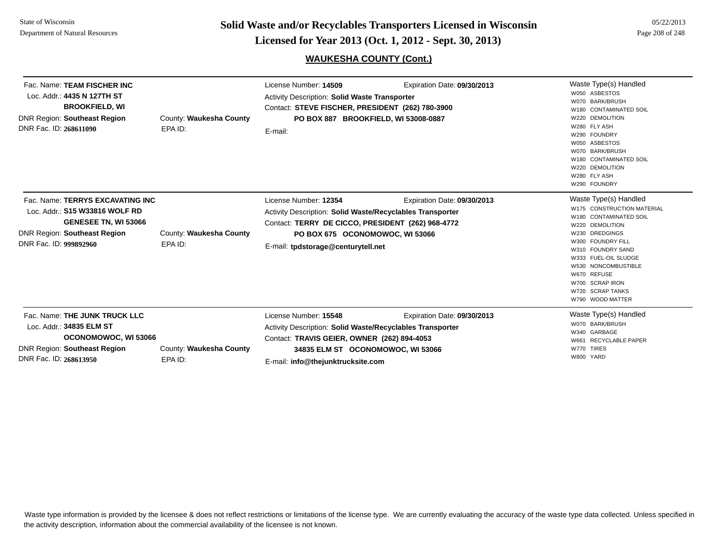DNR Fac. ID: **268613950**

EPA ID:

**Page 208 of 248 <b>Licensed for Year 2013 (Oct. 1, 2012 - Sept. 30, 2013) Page 208 of 248 Licensed for Year 2013 (Oct. 1, 2012 - Sept. 30, 2013)** 

### **WAUKESHA COUNTY (Cont.)**

| Fac. Name: TEAM FISCHER INC<br>Loc. Addr.: 4435 N 127TH ST<br><b>BROOKFIELD, WI</b><br><b>DNR Region: Southeast Region</b><br>DNR Fac. ID: 268611090                      | County: Waukesha County<br>EPA ID: | License Number: 14509<br><b>Activity Description: Solid Waste Transporter</b><br>Contact: STEVE FISCHER, PRESIDENT (262) 780-3900<br>PO BOX 887 BROOKFIELD, WI 53008-0887<br>E-mail:                             | Expiration Date: 09/30/2013 | Waste Type(s) Handled<br>W050 ASBESTOS<br>W070 BARK/BRUSH<br>W180 CONTAMINATED SOIL<br>W220 DEMOLITION<br>W280 FLY ASH<br>W290 FOUNDRY<br>W050 ASBESTOS<br>W070 BARK/BRUSH<br>W180 CONTAMINATED SOIL<br>W220 DEMOLITION<br>W280 FLY ASH<br>W290 FOUNDRY                               |
|---------------------------------------------------------------------------------------------------------------------------------------------------------------------------|------------------------------------|------------------------------------------------------------------------------------------------------------------------------------------------------------------------------------------------------------------|-----------------------------|---------------------------------------------------------------------------------------------------------------------------------------------------------------------------------------------------------------------------------------------------------------------------------------|
| Fac. Name: TERRYS EXCAVATING INC<br>Loc. Addr.: <b>S15 W33816 WOLF RD</b><br><b>GENESEE TN, WI 53066</b><br><b>DNR Region: Southeast Region</b><br>DNR Fac. ID: 999892960 | County: Waukesha County<br>EPA ID: | License Number: 12354<br>Activity Description: Solid Waste/Recyclables Transporter<br>Contact: TERRY DE CICCO, PRESIDENT (262) 968-4772<br>PO BOX 675 OCONOMOWOC, WI 53066<br>E-mail: tpdstorage@centurytell.net | Expiration Date: 09/30/2013 | Waste Type(s) Handled<br>W175 CONSTRUCTION MATERIAL<br>W180 CONTAMINATED SOIL<br>W220 DEMOLITION<br>W230 DREDGINGS<br>W300 FOUNDRY FILL<br>W310 FOUNDRY SAND<br>W333 FUEL-OIL SLUDGE<br>W530 NONCOMBUSTIBLE<br>W670 REFUSE<br>W700 SCRAP IRON<br>W720 SCRAP TANKS<br>W790 WOOD MATTER |
| Fac. Name: THE JUNK TRUCK LLC<br>Loc. Addr.: 34835 ELM ST<br>OCONOMOWOC, WI 53066<br><b>DNR Region: Southeast Region</b><br>DND Eng. ID: acocanoso                        | County: Waukesha County<br>FDA IN. | License Number: 15548<br><b>Activity Description: Solid Waste/Recyclables Transporter</b><br>Contact: TRAVIS GEIER, OWNER (262) 894-4053<br>34835 ELM ST OCONOMOWOC, WI 53066                                    | Expiration Date: 09/30/2013 | Waste Type(s) Handled<br>W070 BARK/BRUSH<br>W340 GARBAGE<br>W661 RECYCLABLE PAPER<br>W770 TIRES<br>W800 YARD                                                                                                                                                                          |

E-mail: **info@thejunktrucksite.com**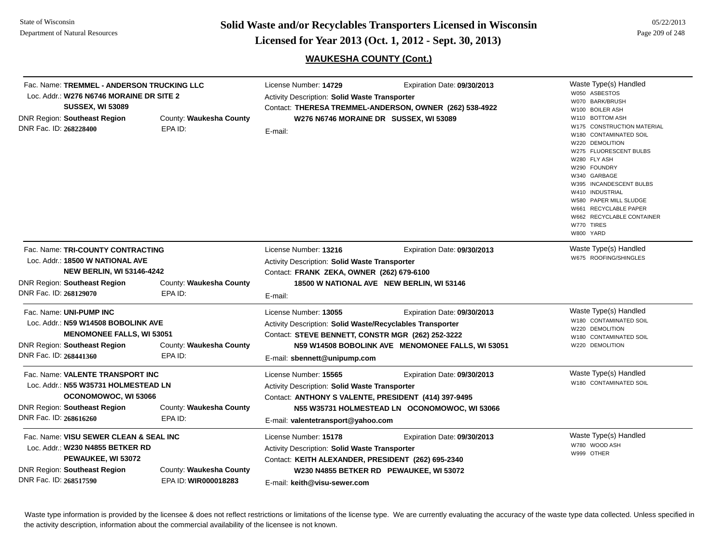**Page 209 of 248 <b>Licensed for Year 2013 (Oct. 1, 2012 - Sept. 30, 2013) Page 209 of 248 Licensed for Year 2013 (Oct. 1, 2012 - Sept. 30, 2013)** 

05/22/2013

# **WAUKESHA COUNTY (Cont.)**

| Fac. Name: TREMMEL - ANDERSON TRUCKING LLC<br>Loc. Addr.: W276 N6746 MORAINE DR SITE 2<br><b>SUSSEX, WI 53089</b><br><b>DNR Region: Southeast Region</b><br>DNR Fac. ID: 268228400                               | County: Waukesha County<br>EPA ID:              | License Number: 14729<br>Activity Description: Solid Waste Transporter<br>Contact: THERESA TREMMEL-ANDERSON, OWNER (262) 538-4922<br>W276 N6746 MORAINE DR SUSSEX, WI 53089<br>E-mail:                                       | Expiration Date: 09/30/2013 | Waste Type(s) Handled<br>W050 ASBESTOS<br>W070 BARK/BRUSH<br>W100 BOILER ASH<br>W110 BOTTOM ASH<br>W175 CONSTRUCTION MATERIAL<br>W180 CONTAMINATED SOIL<br>W220 DEMOLITION<br>W275 FLUORESCENT BULBS<br>W280 FLY ASH<br>W290 FOUNDRY<br>W340 GARBAGE<br>W395 INCANDESCENT BULBS<br>W410 INDUSTRIAL<br>W580 PAPER MILL SLUDGE<br>W661 RECYCLABLE PAPER<br>W662 RECYCLABLE CONTAINER<br>W770 TIRES<br>W800 YARD |
|------------------------------------------------------------------------------------------------------------------------------------------------------------------------------------------------------------------|-------------------------------------------------|------------------------------------------------------------------------------------------------------------------------------------------------------------------------------------------------------------------------------|-----------------------------|---------------------------------------------------------------------------------------------------------------------------------------------------------------------------------------------------------------------------------------------------------------------------------------------------------------------------------------------------------------------------------------------------------------|
| Fac. Name: TRI-COUNTY CONTRACTING<br>Loc. Addr.: 18500 W NATIONAL AVE<br><b>NEW BERLIN, WI 53146-4242</b><br><b>DNR Region: Southeast Region</b><br>County: Waukesha County<br>DNR Fac. ID: 268129070<br>EPA ID: |                                                 | License Number: 13216<br>Activity Description: Solid Waste Transporter<br>Contact: FRANK ZEKA, OWNER (262) 679-6100<br>18500 W NATIONAL AVE NEW BERLIN, WI 53146<br>E-mail:                                                  | Expiration Date: 09/30/2013 | Waste Type(s) Handled<br>W675 ROOFING/SHINGLES                                                                                                                                                                                                                                                                                                                                                                |
| Fac. Name: UNI-PUMP INC<br>Loc. Addr.: N59 W14508 BOBOLINK AVE<br><b>MENOMONEE FALLS, WI 53051</b><br><b>DNR Region: Southeast Region</b><br>DNR Fac. ID: 268441360                                              | County: Waukesha County<br>EPA ID:              | License Number: 13055<br>Activity Description: Solid Waste/Recyclables Transporter<br>Contact: STEVE BENNETT, CONSTR MGR (262) 252-3222<br>N59 W14508 BOBOLINK AVE MENOMONEE FALLS, WI 53051<br>E-mail: sbennett@unipump.com | Expiration Date: 09/30/2013 | Waste Type(s) Handled<br>W180 CONTAMINATED SOIL<br>W220 DEMOLITION<br>W180 CONTAMINATED SOIL<br>W220 DEMOLITION                                                                                                                                                                                                                                                                                               |
| Fac. Name: VALENTE TRANSPORT INC<br>Loc. Addr.: N55 W35731 HOLMESTEAD LN<br>OCONOMOWOC, WI 53066<br>DNR Region: Southeast Region<br>DNR Fac. ID: 268616260                                                       | County: Waukesha County<br>EPA ID:              | License Number: 15565<br>Activity Description: Solid Waste Transporter<br>Contact: ANTHONY S VALENTE, PRESIDENT (414) 397-9495<br>N55 W35731 HOLMESTEAD LN OCONOMOWOC, WI 53066<br>E-mail: valentetransport@yahoo.com        | Expiration Date: 09/30/2013 | Waste Type(s) Handled<br>W180 CONTAMINATED SOIL                                                                                                                                                                                                                                                                                                                                                               |
| Fac. Name: VISU SEWER CLEAN & SEAL INC<br>Loc. Addr.: W230 N4855 BETKER RD<br>PEWAUKEE, WI 53072<br><b>DNR Region: Southeast Region</b><br>DNR Fac. ID: 268517590                                                | County: Waukesha County<br>EPA ID: WIR000018283 | License Number: 15178<br>Activity Description: Solid Waste Transporter<br>Contact: KEITH ALEXANDER, PRESIDENT (262) 695-2340<br>W230 N4855 BETKER RD PEWAUKEE, WI 53072<br>E-mail: keith@visu-sewer.com                      | Expiration Date: 09/30/2013 | Waste Type(s) Handled<br>W780 WOOD ASH<br>W999 OTHER                                                                                                                                                                                                                                                                                                                                                          |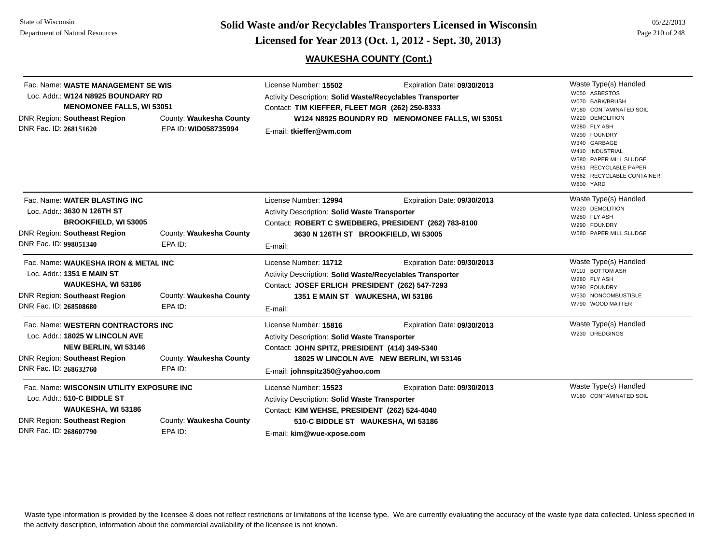**Page 210 of 248 <b>Licensed for Year 2013 (Oct. 1, 2012 - Sept. 30, 2013) Page 210 of 248 Licensed for Year 2013 (Oct. 1, 2012 - Sept. 30, 2013)** 

# **WAUKESHA COUNTY (Cont.)**

| DNR Fac. ID: 268151620 | Fac. Name: WASTE MANAGEMENT SE WIS<br>Loc. Addr.: W124 N8925 BOUNDARY RD<br><b>MENOMONEE FALLS, WI 53051</b><br>DNR Region: Southeast Region | County: Waukesha County<br>EPA ID: WID058735994 | License Number: 15502<br>Activity Description: Solid Waste/Recyclables Transporter<br>Contact: TIM KIEFFER, FLEET MGR (262) 250-8333<br>E-mail: tkieffer@wm.com                                  | Expiration Date: 09/30/2013<br>W124 N8925 BOUNDRY RD MENOMONEE FALLS, WI 53051 | Waste Type(s) Handled<br>W050 ASBESTOS<br>W070 BARK/BRUSH<br>W180 CONTAMINATED SOIL<br>W220 DEMOLITION<br>W280 FLY ASH<br>W290 FOUNDRY<br>W340 GARBAGE<br>W410 INDUSTRIAL<br>W580 PAPER MILL SLUDGE<br>W661 RECYCLABLE PAPER<br>W662 RECYCLABLE CONTAINER<br>W800 YARD |
|------------------------|----------------------------------------------------------------------------------------------------------------------------------------------|-------------------------------------------------|--------------------------------------------------------------------------------------------------------------------------------------------------------------------------------------------------|--------------------------------------------------------------------------------|------------------------------------------------------------------------------------------------------------------------------------------------------------------------------------------------------------------------------------------------------------------------|
| DNR Fac. ID: 998051340 | Fac. Name: WATER BLASTING INC<br>Loc. Addr.: 3630 N 126TH ST<br><b>BROOKFIELD, WI 53005</b><br>DNR Region: Southeast Region                  | County: Waukesha County<br>EPA ID:              | License Number: 12994<br><b>Activity Description: Solid Waste Transporter</b><br>Contact: ROBERT C SWEDBERG, PRESIDENT (262) 783-8100<br>3630 N 126TH ST BROOKFIELD, WI 53005<br>E-mail:         | Expiration Date: 09/30/2013                                                    | Waste Type(s) Handled<br>W220 DEMOLITION<br>W280 FLY ASH<br>W290 FOUNDRY<br>W580 PAPER MILL SLUDGE                                                                                                                                                                     |
| DNR Fac. ID: 268508680 | Fac. Name: WAUKESHA IRON & METAL INC<br>Loc. Addr.: 1351 E MAIN ST<br>WAUKESHA, WI 53186<br>DNR Region: Southeast Region                     | County: Waukesha County<br>EPA ID:              | License Number: 11712<br>Activity Description: Solid Waste/Recyclables Transporter<br>Contact: JOSEF ERLICH PRESIDENT (262) 547-7293<br>1351 E MAIN ST WAUKESHA, WI 53186<br>E-mail:             | Expiration Date: 09/30/2013                                                    | Waste Type(s) Handled<br>W110 BOTTOM ASH<br>W280 FLY ASH<br>W290 FOUNDRY<br>W530 NONCOMBUSTIBLE<br>W790 WOOD MATTER                                                                                                                                                    |
| DNR Fac. ID: 268632760 | Fac. Name: WESTERN CONTRACTORS INC<br>Loc. Addr.: 18025 W LINCOLN AVE<br><b>NEW BERLIN, WI 53146</b><br>DNR Region: Southeast Region         | County: Waukesha County<br>EPA ID:              | License Number: 15816<br>Activity Description: Solid Waste Transporter<br>Contact: JOHN SPITZ, PRESIDENT (414) 349-5340<br>E-mail: johnspitz350@yahoo.com                                        | Expiration Date: 09/30/2013<br>18025 W LINCOLN AVE NEW BERLIN, WI 53146        | Waste Type(s) Handled<br>W230 DREDGINGS                                                                                                                                                                                                                                |
| DNR Fac. ID: 268607790 | Fac. Name: WISCONSIN UTILITY EXPOSURE INC<br>Loc. Addr.: 510-C BIDDLE ST<br>WAUKESHA, WI 53186<br>DNR Region: Southeast Region               | County: Waukesha County<br>EPA ID:              | License Number: 15523<br><b>Activity Description: Solid Waste Transporter</b><br>Contact: KIM WEHSE, PRESIDENT (262) 524-4040<br>510-C BIDDLE ST WAUKESHA, WI 53186<br>E-mail: kim@wue-xpose.com | Expiration Date: 09/30/2013                                                    | Waste Type(s) Handled<br>W180 CONTAMINATED SOIL                                                                                                                                                                                                                        |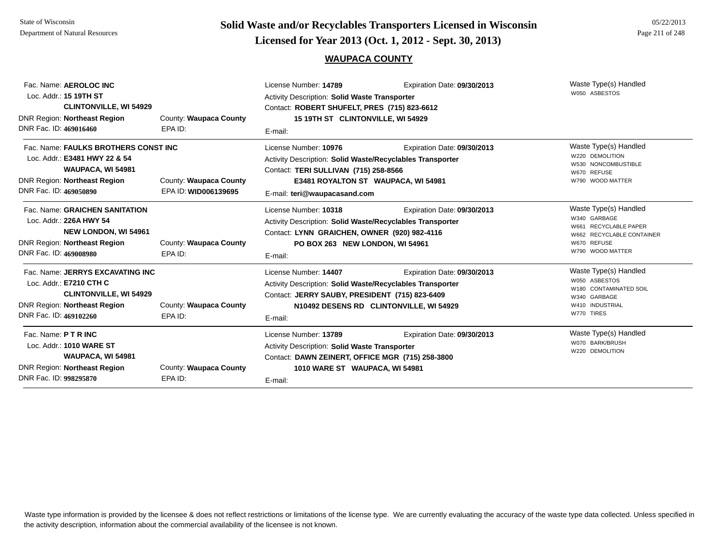# **Page 211 of 248 <b>Licensed for Year 2013 (Oct. 1, 2012 - Sept. 30, 2013) Page 211 of 248 Licensed for Year 2013 (Oct. 1, 2012 - Sept. 30, 2013)**

#### **WAUPACA COUNTY**

| Fac. Name: AEROLOC INC<br>Loc. Addr.: 15 19TH ST<br><b>CLINTONVILLE, WI 54929</b>                                                                             |                                                | License Number: 14789<br>Expiration Date: 09/30/2013<br>Activity Description: Solid Waste Transporter<br>Contact: ROBERT SHUFELT, PRES (715) 823-6612                                                     |                                                                        | Waste Type(s) Handled<br>W050 ASBESTOS                                                                                         |
|---------------------------------------------------------------------------------------------------------------------------------------------------------------|------------------------------------------------|-----------------------------------------------------------------------------------------------------------------------------------------------------------------------------------------------------------|------------------------------------------------------------------------|--------------------------------------------------------------------------------------------------------------------------------|
| <b>DNR Region: Northeast Region</b><br>DNR Fac. ID: 469016460                                                                                                 | County: Waupaca County<br>EPA ID:              | 15 19TH ST CLINTONVILLE, WI 54929<br>E-mail:                                                                                                                                                              |                                                                        |                                                                                                                                |
| Fac. Name: FAULKS BROTHERS CONST INC<br>Loc. Addr.: E3481 HWY 22 & 54<br>WAUPACA, WI 54981<br>DNR Region: Northeast Region<br>DNR Fac. ID: 469050890          | County: Waupaca County<br>EPA ID: WID006139695 | License Number: 10976<br><b>Activity Description: Solid Waste/Recyclables Transporter</b><br>Contact: TERI SULLIVAN (715) 258-8566<br>E3481 ROYALTON ST WAUPACA, WI 54981<br>E-mail: teri@waupacasand.com | Expiration Date: 09/30/2013                                            | Waste Type(s) Handled<br>W220 DEMOLITION<br>W530 NONCOMBUSTIBLE<br>W670 REFUSE<br>W790 WOOD MATTER                             |
| Fac. Name: GRAICHEN SANITATION<br>Loc. Addr.: 226A HWY 54<br><b>NEW LONDON, WI 54961</b><br><b>DNR Region: Northeast Region</b><br>DNR Fac. ID: 469008980     | County: Waupaca County<br>EPA ID:              | License Number: 10318<br><b>Activity Description: Solid Waste/Recyclables Transporter</b><br>Contact: LYNN GRAICHEN, OWNER (920) 982-4116<br>PO BOX 263 NEW LONDON, WI 54961<br>E-mail:                   | Expiration Date: 09/30/2013                                            | Waste Type(s) Handled<br>W340 GARBAGE<br>W661 RECYCLABLE PAPER<br>W662 RECYCLABLE CONTAINER<br>W670 REFUSE<br>W790 WOOD MATTER |
| Fac. Name: JERRYS EXCAVATING INC<br>Loc. Addr.: E7210 CTH C<br><b>CLINTONVILLE, WI 54929</b><br><b>DNR Region: Northeast Region</b><br>DNR Fac. ID: 469102260 | County: Waupaca County<br>EPA ID:              | License Number: 14407<br><b>Activity Description: Solid Waste/Recyclables Transporter</b><br>Contact: JERRY SAUBY, PRESIDENT (715) 823-6409<br>E-mail:                                                    | Expiration Date: 09/30/2013<br>N10492 DESENS RD CLINTONVILLE, WI 54929 | Waste Type(s) Handled<br>W050 ASBESTOS<br>W180 CONTAMINATED SOIL<br>W340 GARBAGE<br>W410 INDUSTRIAL<br>W770 TIRES              |
| Fac. Name: P T R INC<br>Loc. Addr.: 1010 WARE ST<br>WAUPACA, WI 54981<br><b>DNR Region: Northeast Region</b><br>DNR Fac. ID: 998295870                        | County: Waupaca County<br>EPA ID:              | License Number: 13789<br><b>Activity Description: Solid Waste Transporter</b><br>Contact: DAWN ZEINERT, OFFICE MGR (715) 258-3800<br>1010 WARE ST WAUPACA, WI 54981<br>E-mail:                            | Expiration Date: 09/30/2013                                            | Waste Type(s) Handled<br>W070 BARK/BRUSH<br>W220 DEMOLITION                                                                    |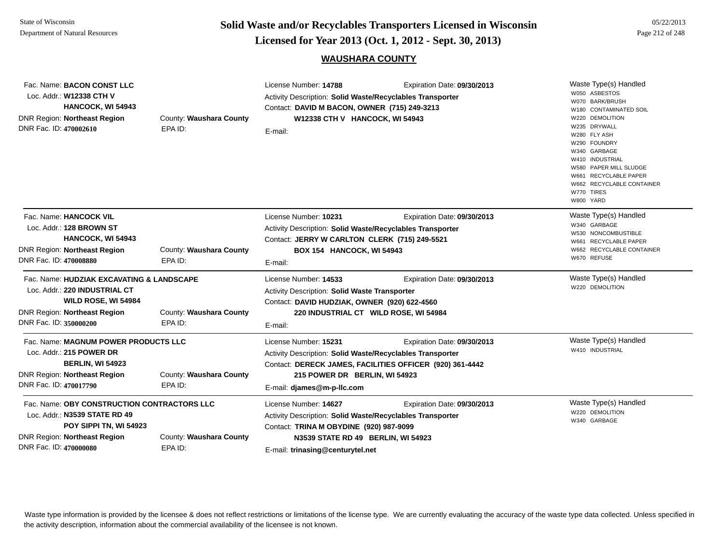**Page 212 of 248 <b>Licensed for Year 2013 (Oct. 1, 2012 - Sept. 30, 2013) Page 212 of 248 Licensed for Year 2013 (Oct. 1, 2012 - Sept. 30, 2013)** 

### **WAUSHARA COUNTY**

| Fac. Name: <b>BACON CONST LLC</b><br>Loc. Addr.: W12338 CTH V<br>HANCOCK, WI 54943<br><b>DNR Region: Northeast Region</b><br>DNR Fac. ID: 470002610                                                      | County: Waushara County<br>EPA ID: | License Number: 14788<br>Activity Description: Solid Waste/Recyclables Transporter<br>Contact: DAVID M BACON, OWNER (715) 249-3213<br>W12338 CTH V HANCOCK, WI 54943<br>E-mail:                         | Expiration Date: 09/30/2013                                                             | Waste Type(s) Handled<br>W050 ASBESTOS<br>W070 BARK/BRUSH<br>W180 CONTAMINATED SOIL<br>W220 DEMOLITION<br>W235 DRYWALL<br>W280 FLY ASH<br>W290 FOUNDRY<br>W340 GARBAGE<br>W410 INDUSTRIAL<br>W580 PAPER MILL SLUDGE<br>W661 RECYCLABLE PAPER<br>W662 RECYCLABLE CONTAINER<br>W770 TIRES<br>W800 YARD |
|----------------------------------------------------------------------------------------------------------------------------------------------------------------------------------------------------------|------------------------------------|---------------------------------------------------------------------------------------------------------------------------------------------------------------------------------------------------------|-----------------------------------------------------------------------------------------|------------------------------------------------------------------------------------------------------------------------------------------------------------------------------------------------------------------------------------------------------------------------------------------------------|
| Fac. Name: HANCOCK VIL<br>Loc. Addr.: 128 BROWN ST<br>HANCOCK, WI 54943                                                                                                                                  |                                    | License Number: 10231<br>Activity Description: Solid Waste/Recyclables Transporter<br>Contact: JERRY W CARLTON CLERK (715) 249-5521                                                                     | Expiration Date: 09/30/2013                                                             | Waste Type(s) Handled<br>W340 GARBAGE<br>W530 NONCOMBUSTIBLE<br>W661 RECYCLABLE PAPER                                                                                                                                                                                                                |
| <b>DNR Region: Northeast Region</b><br>DNR Fac. ID: 470008880                                                                                                                                            | County: Waushara County<br>EPA ID: | BOX 154 HANCOCK, WI 54943<br>E-mail:                                                                                                                                                                    |                                                                                         | W662 RECYCLABLE CONTAINER<br>W670 REFUSE                                                                                                                                                                                                                                                             |
| Fac. Name: HUDZIAK EXCAVATING & LANDSCAPE<br>Loc. Addr.: 220 INDUSTRIAL CT<br>WILD ROSE, WI 54984<br><b>DNR Region: Northeast Region</b><br>County: Waushara County<br>DNR Fac. ID: 350000200<br>EPA ID: |                                    | License Number: 14533<br>Activity Description: Solid Waste Transporter<br>Contact: DAVID HUDZIAK, OWNER (920) 622-4560<br>E-mail:                                                                       | Expiration Date: 09/30/2013<br>220 INDUSTRIAL CT WILD ROSE, WI 54984                    | Waste Type(s) Handled<br>W220 DEMOLITION                                                                                                                                                                                                                                                             |
| Fac. Name: MAGNUM POWER PRODUCTS LLC<br>Loc. Addr.: 215 POWER DR<br><b>BERLIN, WI 54923</b><br><b>DNR Region: Northeast Region</b><br>DNR Fac. ID: 470017790                                             | County: Waushara County<br>EPA ID: | License Number: 15231<br>Activity Description: Solid Waste/Recyclables Transporter<br>215 POWER DR BERLIN, WI 54923<br>E-mail: djames@m-p-Ilc.com                                                       | Expiration Date: 09/30/2013<br>Contact: DERECK JAMES, FACILITIES OFFICER (920) 361-4442 | Waste Type(s) Handled<br>W410 INDUSTRIAL                                                                                                                                                                                                                                                             |
| Fac. Name: OBY CONSTRUCTION CONTRACTORS LLC<br>Loc. Addr.: N3539 STATE RD 49<br>POY SIPPI TN, WI 54923<br>DNR Region: Northeast Region<br>County: Waushara County<br>DNR Fac. ID: 470000080<br>EPA ID:   |                                    | License Number: 14627<br>Activity Description: Solid Waste/Recyclables Transporter<br>Contact: TRINA M OBYDINE (920) 987-9099<br>N3539 STATE RD 49 BERLIN, WI 54923<br>E-mail: trinasing@centurytel.net | Expiration Date: 09/30/2013                                                             | Waste Type(s) Handled<br>W220 DEMOLITION<br>W340 GARBAGE                                                                                                                                                                                                                                             |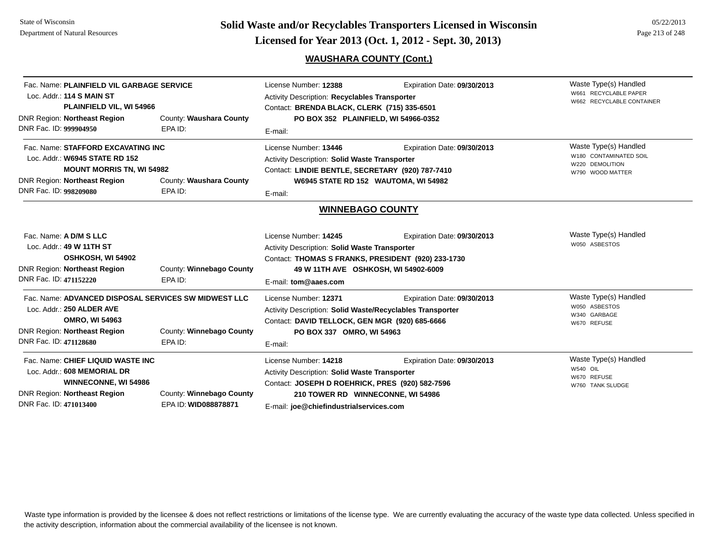# **WAUSHARA COUNTY (Cont.)**

| DNR Fac. ID: 999904950 | Fac. Name: PLAINFIELD VIL GARBAGE SERVICE<br>Loc. Addr.: 114 S MAIN ST<br>PLAINFIELD VIL, WI 54966<br><b>DNR Region: Northeast Region</b>         | County: Waushara County<br>EPA ID:               | License Number: 12388<br>Activity Description: Recyclables Transporter<br>Contact: BRENDA BLACK, CLERK (715) 335-6501<br>PO BOX 352 PLAINFIELD, WI 54966-0352<br>E-mail:                                  | Expiration Date: 09/30/2013                                         | Waste Type(s) Handled<br>W661 RECYCLABLE PAPER<br>W662 RECYCLABLE CONTAINER            |
|------------------------|---------------------------------------------------------------------------------------------------------------------------------------------------|--------------------------------------------------|-----------------------------------------------------------------------------------------------------------------------------------------------------------------------------------------------------------|---------------------------------------------------------------------|----------------------------------------------------------------------------------------|
| DNR Fac. ID: 998209080 | Fac. Name: STAFFORD EXCAVATING INC<br>Loc. Addr.: W6945 STATE RD 152<br><b>MOUNT MORRIS TN, WI 54982</b><br><b>DNR Region: Northeast Region</b>   | County: Waushara County<br>EPA ID:               | License Number: 13446<br><b>Activity Description: Solid Waste Transporter</b><br>Contact: LINDIE BENTLE, SECRETARY (920) 787-7410<br>E-mail:                                                              | Expiration Date: 09/30/2013<br>W6945 STATE RD 152 WAUTOMA, WI 54982 | Waste Type(s) Handled<br>W180 CONTAMINATED SOIL<br>W220 DEMOLITION<br>W790 WOOD MATTER |
|                        |                                                                                                                                                   |                                                  | <b>WINNEBAGO COUNTY</b>                                                                                                                                                                                   |                                                                     |                                                                                        |
| DNR Fac. ID: 471152220 | Fac. Name: A D/M S LLC<br>Loc. Addr.: 49 W 11TH ST<br>OSHKOSH, WI 54902<br><b>DNR Region: Northeast Region</b>                                    | County: Winnebago County<br>EPA ID:              | License Number: 14245<br><b>Activity Description: Solid Waste Transporter</b><br>Contact: THOMAS S FRANKS, PRESIDENT (920) 233-1730<br>49 W 11TH AVE OSHKOSH, WI 54902-6009<br>E-mail: tom@aaes.com       | Expiration Date: 09/30/2013                                         | Waste Type(s) Handled<br>W050 ASBESTOS                                                 |
| DNR Fac. ID: 471128680 | Fac. Name: ADVANCED DISPOSAL SERVICES SW MIDWEST LLC<br>Loc. Addr.: 250 ALDER AVE<br><b>OMRO, WI 54963</b><br><b>DNR Region: Northeast Region</b> | County: Winnebago County<br>EPA ID:              | License Number: 12371<br>Activity Description: Solid Waste/Recyclables Transporter<br>Contact: DAVID TELLOCK, GEN MGR (920) 685-6666<br>PO BOX 337 OMRO, WI 54963<br>E-mail:                              | Expiration Date: 09/30/2013                                         | Waste Type(s) Handled<br>W050 ASBESTOS<br>W340 GARBAGE<br>W670 REFUSE                  |
| DNR Fac. ID: 471013400 | Fac. Name: CHIEF LIQUID WASTE INC<br>Loc. Addr.: 608 MEMORIAL DR<br><b>WINNECONNE, WI 54986</b><br><b>DNR Region: Northeast Region</b>            | County: Winnebago County<br>EPA ID: WID088878871 | License Number: 14218<br>Activity Description: Solid Waste Transporter<br>Contact: JOSEPH D ROEHRICK, PRES (920) 582-7596<br>210 TOWER RD WINNECONNE, WI 54986<br>E-mail: joe@chiefindustrialservices.com | Expiration Date: 09/30/2013                                         | Waste Type(s) Handled<br>W540 OIL<br>W670 REFUSE<br>W760 TANK SLUDGE                   |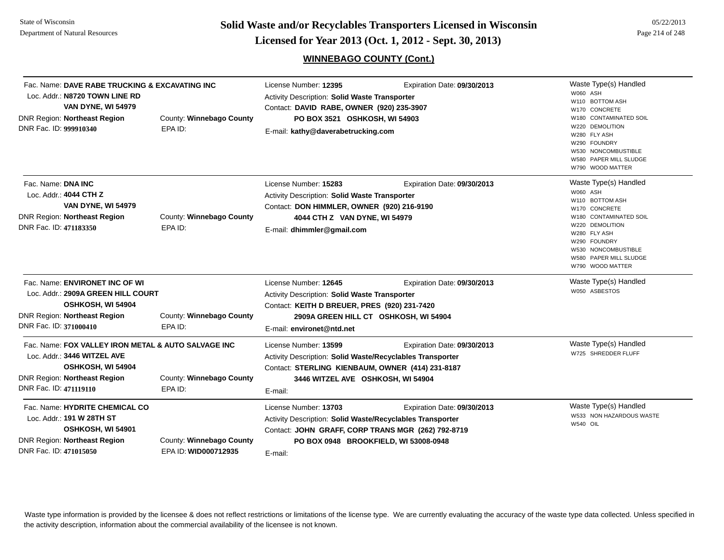**Page 214 of 248 <b>Licensed for Year 2013 (Oct. 1, 2012 - Sept. 30, 2013) Page 214 of 248 Licensed for Year 2013 (Oct. 1, 2012 - Sept. 30, 2013)** 

# **WINNEBAGO COUNTY (Cont.)**

| Fac. Name: DAVE RABE TRUCKING & EXCAVATING INC<br>Loc. Addr.: N8720 TOWN LINE RD<br><b>VAN DYNE, WI 54979</b><br><b>DNR Region: Northeast Region</b><br>DNR Fac. ID: 999910340             | County: Winnebago County<br>EPA ID:              | License Number: 12395<br><b>Activity Description: Solid Waste Transporter</b><br>Contact: DAVID RABE, OWNER (920) 235-3907<br>PO BOX 3521 OSHKOSH, WI 54903<br>E-mail: kathy@daverabetrucking.com | Expiration Date: 09/30/2013                                          | Waste Type(s) Handled<br>W060 ASH<br>W110 BOTTOM ASH<br>W170 CONCRETE<br>W180 CONTAMINATED SOIL<br>W220 DEMOLITION<br>W280 FLY ASH<br>W290 FOUNDRY<br>W530 NONCOMBUSTIBLE<br>W580 PAPER MILL SLUDGE<br>W790 WOOD MATTER |
|--------------------------------------------------------------------------------------------------------------------------------------------------------------------------------------------|--------------------------------------------------|---------------------------------------------------------------------------------------------------------------------------------------------------------------------------------------------------|----------------------------------------------------------------------|-------------------------------------------------------------------------------------------------------------------------------------------------------------------------------------------------------------------------|
| Fac. Name: DNA INC<br>Loc. Addr.: 4044 CTH Z<br><b>VAN DYNE, WI 54979</b><br><b>DNR Region: Northeast Region</b><br>DNR Fac. ID: 471183350                                                 | County: Winnebago County<br>EPA ID:              | License Number: 15283<br>Activity Description: Solid Waste Transporter<br>Contact: DON HIMMLER, OWNER (920) 216-9190<br>4044 CTH Z VAN DYNE, WI 54979<br>E-mail: dhimmler@gmail.com               | Expiration Date: 09/30/2013                                          | Waste Type(s) Handled<br>W060 ASH<br>W110 BOTTOM ASH<br>W170 CONCRETE<br>W180 CONTAMINATED SOIL<br>W220 DEMOLITION<br>W280 FLY ASH<br>W290 FOUNDRY<br>W530 NONCOMBUSTIBLE<br>W580 PAPER MILL SLUDGE<br>W790 WOOD MATTER |
| Fac. Name: ENVIRONET INC OF WI<br>Loc. Addr.: 2909A GREEN HILL COURT<br>OSHKOSH, WI 54904<br>DNR Region: Northeast Region<br>County: Winnebago County<br>DNR Fac. ID: 371000410<br>EPA ID: |                                                  | License Number: 12645<br><b>Activity Description: Solid Waste Transporter</b><br>Contact: KEITH D BREUER, PRES (920) 231-7420<br>E-mail: environet@ntd.net                                        | Expiration Date: 09/30/2013<br>2909A GREEN HILL CT OSHKOSH, WI 54904 | Waste Type(s) Handled<br>W050 ASBESTOS                                                                                                                                                                                  |
| Fac. Name: FOX VALLEY IRON METAL & AUTO SALVAGE INC<br>Loc. Addr.: 3446 WITZEL AVE<br>OSHKOSH, WI 54904<br>DNR Region: Northeast Region<br>DNR Fac. ID: 471119110                          | County: Winnebago County<br>EPA ID:              | License Number: 13599<br>Activity Description: Solid Waste/Recyclables Transporter<br>Contact: STERLING KIENBAUM, OWNER (414) 231-8187<br>3446 WITZEL AVE OSHKOSH, WI 54904<br>E-mail:            | Expiration Date: 09/30/2013                                          | Waste Type(s) Handled<br>W725 SHREDDER FLUFF                                                                                                                                                                            |
| Fac. Name: HYDRITE CHEMICAL CO<br>Loc. Addr.: 191 W 28TH ST<br>OSHKOSH, WI 54901<br><b>DNR Region: Northeast Region</b><br>DNR Fac. ID: 471015050                                          | County: Winnebago County<br>EPA ID: WID000712935 | License Number: 13703<br>Activity Description: Solid Waste/Recyclables Transporter<br>Contact: JOHN GRAFF, CORP TRANS MGR (262) 792-8719<br>E-mail:                                               | Expiration Date: 09/30/2013<br>PO BOX 0948 BROOKFIELD, WI 53008-0948 | Waste Type(s) Handled<br>W533 NON HAZARDOUS WASTE<br><b>W540 OIL</b>                                                                                                                                                    |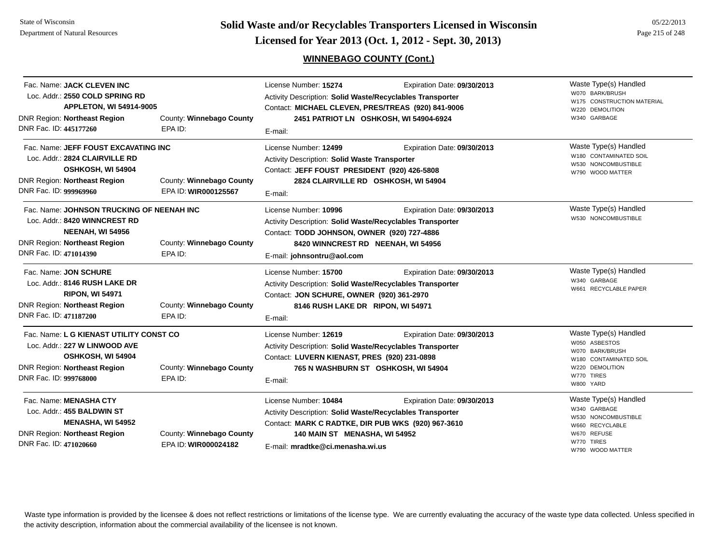**Page 215 of 248 <b>Licensed for Year 2013 (Oct. 1, 2012 - Sept. 30, 2013) Page 215 of 248 Licensed for Year 2013 (Oct. 1, 2012 - Sept. 30, 2013)** 

# **WINNEBAGO COUNTY (Cont.)**

| Fac. Name: JACK CLEVEN INC<br>Loc. Addr.: 2550 COLD SPRING RD<br><b>APPLETON, WI 54914-9005</b><br><b>DNR Region: Northeast Region</b><br>DNR Fac. ID: 445177260       | County: Winnebago County<br>EPA ID:              | License Number: 15274<br><b>Activity Description: Solid Waste/Recyclables Transporter</b><br>Contact: MICHAEL CLEVEN, PRES/TREAS (920) 841-9006<br>E-mail:                                                           | Expiration Date: 09/30/2013<br>2451 PATRIOT LN OSHKOSH, WI 54904-6924 | Waste Type(s) Handled<br>W070 BARK/BRUSH<br>W175 CONSTRUCTION MATERIAL<br><b>DEMOLITION</b><br>W220<br>W340 GARBAGE               |
|------------------------------------------------------------------------------------------------------------------------------------------------------------------------|--------------------------------------------------|----------------------------------------------------------------------------------------------------------------------------------------------------------------------------------------------------------------------|-----------------------------------------------------------------------|-----------------------------------------------------------------------------------------------------------------------------------|
| Fac. Name: JEFF FOUST EXCAVATING INC<br>Loc. Addr.: 2824 CLAIRVILLE RD<br>OSHKOSH, WI 54904<br><b>DNR Region: Northeast Region</b><br>DNR Fac. ID: 999969960           | County: Winnebago County<br>EPA ID: WIR000125567 | License Number: 12499<br>Activity Description: Solid Waste Transporter<br>Contact: JEFF FOUST PRESIDENT (920) 426-5808<br>E-mail:                                                                                    | Expiration Date: 09/30/2013<br>2824 CLAIRVILLE RD OSHKOSH, WI 54904   | Waste Type(s) Handled<br>W180 CONTAMINATED SOIL<br>W530 NONCOMBUSTIBLE<br>W790 WOOD MATTER                                        |
| Fac. Name: JOHNSON TRUCKING OF NEENAH INC<br>Loc. Addr.: 8420 WINNCREST RD<br><b>NEENAH, WI 54956</b><br><b>DNR Region: Northeast Region</b><br>DNR Fac. ID: 471014390 | County: Winnebago County<br>EPA ID:              | License Number: 10996<br>Activity Description: Solid Waste/Recyclables Transporter<br>Contact: TODD JOHNSON, OWNER (920) 727-4886<br>8420 WINNCREST RD NEENAH, WI 54956<br>E-mail: johnsontru@aol.com                | Expiration Date: 09/30/2013                                           | Waste Type(s) Handled<br>W530 NONCOMBUSTIBLE                                                                                      |
| Fac. Name: JON SCHURE<br>Loc. Addr.: 8146 RUSH LAKE DR<br><b>RIPON, WI 54971</b><br><b>DNR Region: Northeast Region</b><br>DNR Fac. ID: 471187200                      | County: Winnebago County<br>EPA ID:              | License Number: 15700<br>Activity Description: Solid Waste/Recyclables Transporter<br>Contact: JON SCHURE, OWNER (920) 361-2970<br>8146 RUSH LAKE DR RIPON, WI 54971<br>E-mail:                                      | Expiration Date: 09/30/2013                                           | Waste Type(s) Handled<br>W340 GARBAGE<br>W661 RECYCLABLE PAPER                                                                    |
| Fac. Name: L G KIENAST UTILITY CONST CO<br>Loc. Addr.: 227 W LINWOOD AVE<br>OSHKOSH, WI 54904<br>DNR Region: Northeast Region<br>DNR Fac. ID: 999768000                | County: Winnebago County<br>EPA ID:              | License Number: 12619<br>Activity Description: Solid Waste/Recyclables Transporter<br>Contact: LUVERN KIENAST, PRES (920) 231-0898<br>E-mail:                                                                        | Expiration Date: 09/30/2013<br>765 N WASHBURN ST OSHKOSH, WI 54904    | Waste Type(s) Handled<br>W050 ASBESTOS<br>W070 BARK/BRUSH<br>W180 CONTAMINATED SOIL<br>W220 DEMOLITION<br>W770 TIRES<br>W800 YARD |
| Fac. Name: MENASHA CTY<br>Loc. Addr.: 455 BALDWIN ST<br><b>MENASHA, WI 54952</b><br>DNR Region: Northeast Region<br>DNR Fac. ID: 471020660                             | County: Winnebago County<br>EPA ID: WIR000024182 | License Number: 10484<br><b>Activity Description: Solid Waste/Recyclables Transporter</b><br>Contact: MARK C RADTKE, DIR PUB WKS (920) 967-3610<br>140 MAIN ST MENASHA, WI 54952<br>E-mail: mradtke@ci.menasha.wi.us | Expiration Date: 09/30/2013                                           | Waste Type(s) Handled<br>W340 GARBAGE<br>W530 NONCOMBUSTIBLE<br>W660 RECYCLABLE<br>W670 REFUSE<br>W770 TIRES<br>W790 WOOD MATTER  |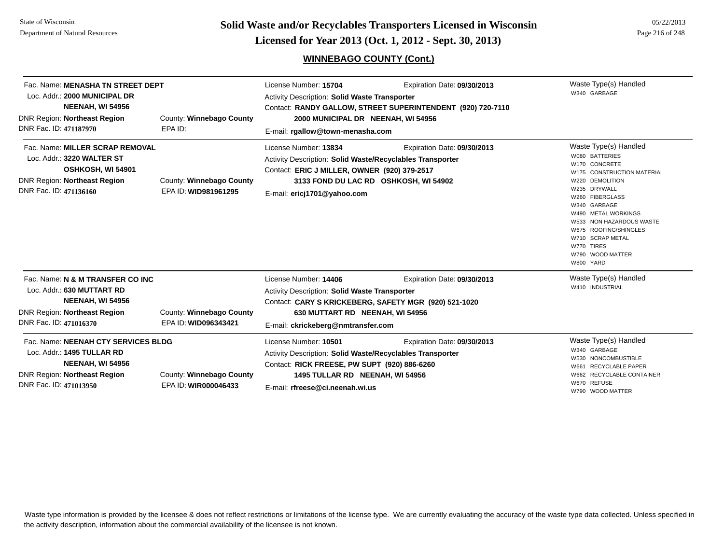State of WisconsinDepartment of Natural Resources

**Page 216 of 248 <b>Licensed for Year 2013 (Oct. 1, 2012 - Sept. 30, 2013) Example 216 of 248 Licensed for Year 2013 (Oct. 1, 2012 - Sept. 30, 2013)** 

# **WINNEBAGO COUNTY (Cont.)**

| Fac. Name: MENASHA TN STREET DEPT<br>Loc. Addr.: 2000 MUNICIPAL DR<br><b>NEENAH, WI 54956</b><br>County: Winnebago County<br>DNR Region: Northeast Region<br>DNR Fac. ID: 471187970<br>EPA ID:                    |                                                  | License Number: 15704<br>Expiration Date: 09/30/2013<br><b>Activity Description: Solid Waste Transporter</b><br>Contact: RANDY GALLOW, STREET SUPERINTENDENT (920) 720-7110<br>2000 MUNICIPAL DR NEENAH, WI 54956<br>E-mail: rgallow@town-menasha.com |                                                                      | Waste Type(s) Handled<br>W340 GARBAGE                                                                                                                                                                                                                                                                       |
|-------------------------------------------------------------------------------------------------------------------------------------------------------------------------------------------------------------------|--------------------------------------------------|-------------------------------------------------------------------------------------------------------------------------------------------------------------------------------------------------------------------------------------------------------|----------------------------------------------------------------------|-------------------------------------------------------------------------------------------------------------------------------------------------------------------------------------------------------------------------------------------------------------------------------------------------------------|
| Fac. Name: MILLER SCRAP REMOVAL<br>Loc. Addr.: 3220 WALTER ST<br>OSHKOSH, WI 54901<br><b>DNR Region: Northeast Region</b><br>DNR Fac. ID: 471136160                                                               | County: Winnebago County<br>EPA ID: WID981961295 | License Number: 13834<br>Activity Description: Solid Waste/Recyclables Transporter<br>Contact: ERIC J MILLER, OWNER (920) 379-2517<br>E-mail: ericj1701@yahoo.com                                                                                     | Expiration Date: 09/30/2013<br>3133 FOND DU LAC RD OSHKOSH, WI 54902 | Waste Type(s) Handled<br>W080 BATTERIES<br>W170 CONCRETE<br>W175 CONSTRUCTION MATERIAL<br>W220 DEMOLITION<br>W235 DRYWALL<br>W260 FIBERGLASS<br>W340 GARBAGE<br>W490 METAL WORKINGS<br>W533 NON HAZARDOUS WASTE<br>W675 ROOFING/SHINGLES<br>W710 SCRAP METAL<br>W770 TIRES<br>W790 WOOD MATTER<br>W800 YARD |
| Fac. Name: N & M TRANSFER CO INC<br>Loc. Addr.: 630 MUTTART RD<br><b>NEENAH, WI 54956</b><br><b>DNR Region: Northeast Region</b><br>DNR Fac. ID: 471016370                                                        | County: Winnebago County<br>EPA ID: WID096343421 | License Number: 14406<br>Expiration Date: 09/30/2013<br><b>Activity Description: Solid Waste Transporter</b><br>Contact: CARY S KRICKEBERG, SAFETY MGR (920) 521-1020<br>630 MUTTART RD NEENAH, WI 54956<br>E-mail: ckrickeberg@nmtransfer.com        |                                                                      | Waste Type(s) Handled<br>W410 INDUSTRIAL                                                                                                                                                                                                                                                                    |
| Fac. Name: NEENAH CTY SERVICES BLDG<br>Loc. Addr.: 1495 TULLAR RD<br><b>NEENAH, WI 54956</b><br>County: Winnebago County<br><b>DNR Region: Northeast Region</b><br>DNR Fac. ID: 471013950<br>EPA ID: WIR000046433 |                                                  | License Number: 10501<br>Expiration Date: 09/30/2013<br>Activity Description: Solid Waste/Recyclables Transporter<br>Contact: RICK FREESE, PW SUPT (920) 886-6260<br>1495 TULLAR RD NEENAH, WI 54956<br>E-mail: rfreese@ci.neenah.wi.us               |                                                                      | Waste Type(s) Handled<br>W340 GARBAGE<br>W530 NONCOMBUSTIBLE<br><b>RECYCLABLE PAPER</b><br>W661<br>W662 RECYCLABLE CONTAINER<br>W670 REFUSE<br>W790 WOOD MATTER                                                                                                                                             |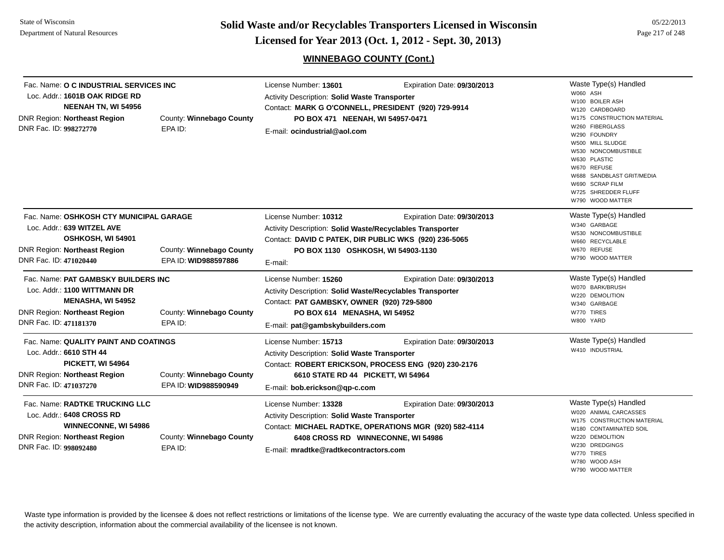**Page 217 of 248 <b>Licensed for Year 2013 (Oct. 1, 2012 - Sept. 30, 2013) Page 217 of 248 Licensed for Year 2013 (Oct. 1, 2012 - Sept. 30, 2013)** 

05/22/2013

#### **WINNEBAGO COUNTY (Cont.)**

| Fac. Name: O C INDUSTRIAL SERVICES INC<br>Loc. Addr.: 1601B OAK RIDGE RD<br>NEENAH TN, WI 54956<br><b>DNR Region: Northeast Region</b><br>DNR Fac. ID: 998272770                                        | County: Winnebago County<br>EPA ID:              | License Number: 13601<br>Activity Description: Solid Waste Transporter<br>Contact: MARK G O'CONNELL, PRESIDENT (920) 729-9914<br>PO BOX 471 NEENAH, WI 54957-0471<br>E-mail: ocindustrial@aol.com   | Expiration Date: 09/30/2013                                                                            | Waste Type(s) Handled<br>W060 ASH<br>W100 BOILER ASH<br>W120 CARDBOARD<br>W175 CONSTRUCTION MATERIAL<br>W260 FIBERGLASS<br>W290 FOUNDRY<br>W500 MILL SLUDGE<br>W530 NONCOMBUSTIBLE<br>W630 PLASTIC<br>W670 REFUSE<br>W688 SANDBLAST GRIT/MEDIA<br>W690 SCRAP FILM<br>W725 SHREDDER FLUFF<br>W790 WOOD MATTER |
|---------------------------------------------------------------------------------------------------------------------------------------------------------------------------------------------------------|--------------------------------------------------|-----------------------------------------------------------------------------------------------------------------------------------------------------------------------------------------------------|--------------------------------------------------------------------------------------------------------|--------------------------------------------------------------------------------------------------------------------------------------------------------------------------------------------------------------------------------------------------------------------------------------------------------------|
| Fac. Name: OSHKOSH CTY MUNICIPAL GARAGE<br>Loc. Addr.: 639 WITZEL AVE<br>OSHKOSH, WI 54901<br><b>DNR Region: Northeast Region</b><br>DNR Fac. ID: 471020440                                             | County: Winnebago County<br>EPA ID: WID988597886 | License Number: 10312<br>Activity Description: Solid Waste/Recyclables Transporter<br>Contact: DAVID C PATEK, DIR PUBLIC WKS (920) 236-5065<br>PO BOX 1130 OSHKOSH, WI 54903-1130<br>E-mail:        | Expiration Date: 09/30/2013                                                                            | Waste Type(s) Handled<br>W340 GARBAGE<br>W530 NONCOMBUSTIBLE<br>W660 RECYCLABLE<br>W670 REFUSE<br>W790 WOOD MATTER                                                                                                                                                                                           |
| Fac. Name: PAT GAMBSKY BUILDERS INC<br>Loc. Addr.: 1100 WITTMANN DR<br><b>MENASHA, WI 54952</b><br><b>DNR Region: Northeast Region</b><br>County: Winnebago County<br>DNR Fac. ID: 471181370<br>EPA ID: |                                                  | License Number: 15260<br>Activity Description: Solid Waste/Recyclables Transporter<br>Contact: PAT GAMBSKY, OWNER (920) 729-5800<br>PO BOX 614 MENASHA, WI 54952<br>E-mail: pat@gambskybuilders.com | Waste Type(s) Handled<br>W070 BARK/BRUSH<br>W220 DEMOLITION<br>W340 GARBAGE<br>W770 TIRES<br>W800 YARD |                                                                                                                                                                                                                                                                                                              |
| Fac. Name: QUALITY PAINT AND COATINGS<br>Loc. Addr.: 6610 STH 44<br><b>PICKETT, WI 54964</b><br><b>DNR Region: Northeast Region</b><br>DNR Fac. ID: 471037270                                           | County: Winnebago County<br>EPA ID: WID988590949 | License Number: 15713<br>Activity Description: Solid Waste Transporter<br>6610 STATE RD 44 PICKETT, WI 54964<br>E-mail: bob.erickson@qp-c.com                                                       | Expiration Date: 09/30/2013<br>Contact: ROBERT ERICKSON, PROCESS ENG (920) 230-2176                    | Waste Type(s) Handled<br>W410 INDUSTRIAL                                                                                                                                                                                                                                                                     |
| Fac. Name: RADTKE TRUCKING LLC<br>Loc. Addr.: 6408 CROSS RD<br><b>WINNECONNE, WI 54986</b><br><b>DNR Region: Northeast Region</b><br>DNR Fac. ID: 998092480                                             | County: Winnebago County<br>EPA ID:              | License Number: 13328<br><b>Activity Description: Solid Waste Transporter</b><br>6408 CROSS RD WINNECONNE, WI 54986<br>E-mail: mradtke@radtkecontractors.com                                        | Expiration Date: 09/30/2013<br>Contact: MICHAEL RADTKE, OPERATIONS MGR (920) 582-4114                  | Waste Type(s) Handled<br>W020 ANIMAL CARCASSES<br>W175 CONSTRUCTION MATERIAL<br>W180 CONTAMINATED SOIL<br>W220 DEMOLITION<br>W230 DREDGINGS<br>W770 TIRES<br>W780 WOOD ASH<br>W790 WOOD MATTER                                                                                                               |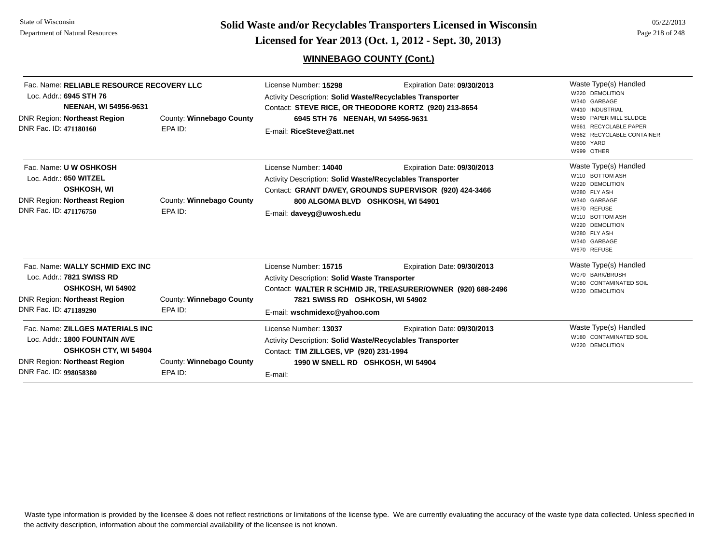**Page 218 of 248 <b>Licensed for Year 2013 (Oct. 1, 2012 - Sept. 30, 2013) Example 218 of 248 Licensed for Year 2013 (Oct. 1, 2012 - Sept. 30, 2013)** 

#### **WINNEBAGO COUNTY (Cont.)**

| Fac. Name: RELIABLE RESOURCE RECOVERY LLC<br>Loc. Addr.: 6945 STH 76<br><b>NEENAH, WI 54956-9631</b><br><b>DNR Region: Northeast Region</b><br>County: Winnebago County<br>DNR Fac. ID: 471180160<br>EPA ID: |                                     | License Number: 15298<br>Expiration Date: 09/30/2013<br>Activity Description: Solid Waste/Recyclables Transporter<br>Contact: STEVE RICE, OR THEODORE KORTZ (920) 213-8654<br>6945 STH 76 NEENAH, WI 54956-9631<br>E-mail: RiceSteve@att.net |                                                                                            | Waste Type(s) Handled<br>W220 DEMOLITION<br>W340 GARBAGE<br>W410 INDUSTRIAL<br>W580 PAPER MILL SLUDGE<br><b>RECYCLABLE PAPER</b>                                                                |
|--------------------------------------------------------------------------------------------------------------------------------------------------------------------------------------------------------------|-------------------------------------|----------------------------------------------------------------------------------------------------------------------------------------------------------------------------------------------------------------------------------------------|--------------------------------------------------------------------------------------------|-------------------------------------------------------------------------------------------------------------------------------------------------------------------------------------------------|
|                                                                                                                                                                                                              |                                     |                                                                                                                                                                                                                                              |                                                                                            | W662 RECYCLABLE CONTAINER<br>W800 YARD<br>W999 OTHER                                                                                                                                            |
| Fac. Name: U W OSHKOSH<br>Loc. Addr.: 650 WITZEL<br><b>OSHKOSH, WI</b><br>DNR Region: Northeast Region<br>DNR Fac. ID: 471176750                                                                             | County: Winnebago County<br>EPA ID: | License Number: 14040<br><b>Activity Description: Solid Waste/Recyclables Transporter</b><br>800 ALGOMA BLVD OSHKOSH, WI 54901<br>E-mail: daveyg@uwosh.edu                                                                                   | Expiration Date: 09/30/2013<br>Contact: GRANT DAVEY, GROUNDS SUPERVISOR (920) 424-3466     | Waste Type(s) Handled<br>W110 BOTTOM ASH<br>W220 DEMOLITION<br>W280 FLY ASH<br>W340 GARBAGE<br>W670 REFUSE<br>W110 BOTTOM ASH<br>W220 DEMOLITION<br>W280 FLY ASH<br>W340 GARBAGE<br>W670 REFUSE |
| Fac. Name: WALLY SCHMID EXC INC<br>Loc. Addr.: 7821 SWISS RD<br>OSHKOSH, WI 54902<br>DNR Region: Northeast Region<br>DNR Fac. ID: 471189290                                                                  | County: Winnebago County<br>EPA ID: | License Number: 15715<br>Activity Description: Solid Waste Transporter<br>7821 SWISS RD OSHKOSH, WI 54902                                                                                                                                    | Expiration Date: 09/30/2013<br>Contact: WALTER R SCHMID JR, TREASURER/OWNER (920) 688-2496 | Waste Type(s) Handled<br>W070 BARK/BRUSH<br>W180 CONTAMINATED SOIL<br>W220 DEMOLITION                                                                                                           |
| <b>Eag Nome: 70 LOES MATERIALS INC.</b>                                                                                                                                                                      |                                     | E-mail: wschmidexc@yahoo.com<br>Licopoo Number 42027                                                                                                                                                                                         | Evoiration Data: 00/20/2012                                                                | Maste Tyne(s) Handled                                                                                                                                                                           |

| Fac. Name: ZILLGES MATERIALS INC |                          | License Number: 13037                                     | Expiration Date: 09/30/2013       | Waste Type(s) Handled                     |
|----------------------------------|--------------------------|-----------------------------------------------------------|-----------------------------------|-------------------------------------------|
| Loc. Addr.: 1800 FOUNTAIN AVE    |                          | Activity Description: Solid Waste/Recyclables Transporter |                                   | W180 CONTAMINATED SOIL<br>W220 DEMOLITION |
| <b>OSHKOSH CTY, WI 54904</b>     |                          | Contact: TIM ZILLGES, VP (920) 231-1994                   |                                   |                                           |
| DNR Region: Northeast Region     | County: Winnebago County |                                                           | 1990 W SNELL RD OSHKOSH, WI 54904 |                                           |
| DNR Fac. ID: 998058380           | EPA ID:                  | E-mail:                                                   |                                   |                                           |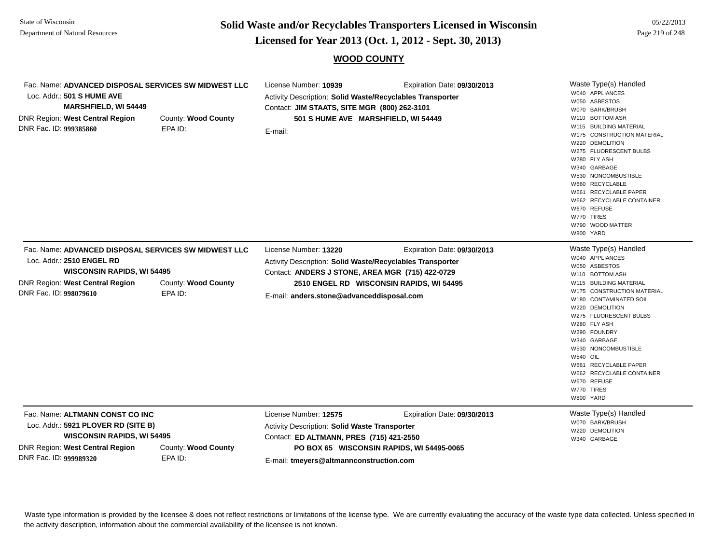**Page 219 of 248 <b>Licensed for Year 2013 (Oct. 1, 2012 - Sept. 30, 2013) Page 219 of 248 Licensed for Year 2013 (Oct. 1, 2012 - Sept. 30, 2013)** 

#### **WOOD COUNTY**

| Fac. Name: ADVANCED DISPOSAL SERVICES SW MIDWEST LLC<br>Loc. Addr.: 501 S HUME AVE<br><b>MARSHFIELD, WI 54449</b><br><b>DNR Region: West Central Region</b><br>DNR Fac. ID: 999385860 | County: Wood County<br>EPA ID: | License Number: 10939<br>Activity Description: Solid Waste/Recyclables Transporter<br>Contact: JIM STAATS, SITE MGR (800) 262-3101<br>501 S HUME AVE MARSHFIELD, WI 54449<br>E-mail: | Expiration Date: 09/30/2013                                              | Waste Type(s) Handled<br>W040 APPLIANCES<br>W050 ASBESTOS<br>W070 BARK/BRUSH<br>W110 BOTTOM ASH<br>W115 BUILDING MATERIAL<br>W175 CONSTRUCTION MATERIAL<br>W220 DEMOLITION<br>W275 FLUORESCENT BULBS<br>W280 FLY ASH<br>W340 GARBAGE<br>W530 NONCOMBUSTIBLE<br>W660 RECYCLABLE<br>W661 RECYCLABLE PAPER<br>W662 RECYCLABLE CONTAINER<br>W670 REFUSE<br>W770 TIRES<br>W790 WOOD MATTER<br>W800 YARD    |
|---------------------------------------------------------------------------------------------------------------------------------------------------------------------------------------|--------------------------------|--------------------------------------------------------------------------------------------------------------------------------------------------------------------------------------|--------------------------------------------------------------------------|-------------------------------------------------------------------------------------------------------------------------------------------------------------------------------------------------------------------------------------------------------------------------------------------------------------------------------------------------------------------------------------------------------|
| Fac. Name: ADVANCED DISPOSAL SERVICES SW MIDWEST LLC<br>Loc. Addr.: 2510 ENGEL RD<br><b>WISCONSIN RAPIDS, WI 54495</b><br>DNR Region: West Central Region<br>DNR Fac. ID: 998079610   | County: Wood County<br>EPA ID: | License Number: 13220<br>Activity Description: Solid Waste/Recyclables Transporter<br>Contact: ANDERS J STONE, AREA MGR (715) 422-0729<br>E-mail: anders.stone@advanceddisposal.com  | Expiration Date: 09/30/2013<br>2510 ENGEL RD WISCONSIN RAPIDS, WI 54495  | Waste Type(s) Handled<br>W040 APPLIANCES<br>W050 ASBESTOS<br>W110 BOTTOM ASH<br>W115 BUILDING MATERIAL<br>W175 CONSTRUCTION MATERIAL<br>W180 CONTAMINATED SOIL<br>W220 DEMOLITION<br>W275 FLUORESCENT BULBS<br>W280 FLY ASH<br>W290 FOUNDRY<br>W340 GARBAGE<br>W530 NONCOMBUSTIBLE<br><b>W540 OIL</b><br>W661 RECYCLABLE PAPER<br>W662 RECYCLABLE CONTAINER<br>W670 REFUSE<br>W770 TIRES<br>W800 YARD |
| Fac. Name: ALTMANN CONST CO INC<br>Loc. Addr.: 5921 PLOVER RD (SITE B)<br><b>WISCONSIN RAPIDS, WI 54495</b><br><b>DNR Region: West Central Region</b><br>DNR Fac. ID: 999989320       | County: Wood County<br>EPA ID: | License Number: 12575<br><b>Activity Description: Solid Waste Transporter</b><br>Contact: ED ALTMANN, PRES (715) 421-2550<br>E-mail: tmeyers@altmannconstruction.com                 | Expiration Date: 09/30/2013<br>PO BOX 65 WISCONSIN RAPIDS, WI 54495-0065 | Waste Type(s) Handled<br>W070 BARK/BRUSH<br>W220 DEMOLITION<br>W340 GARBAGE                                                                                                                                                                                                                                                                                                                           |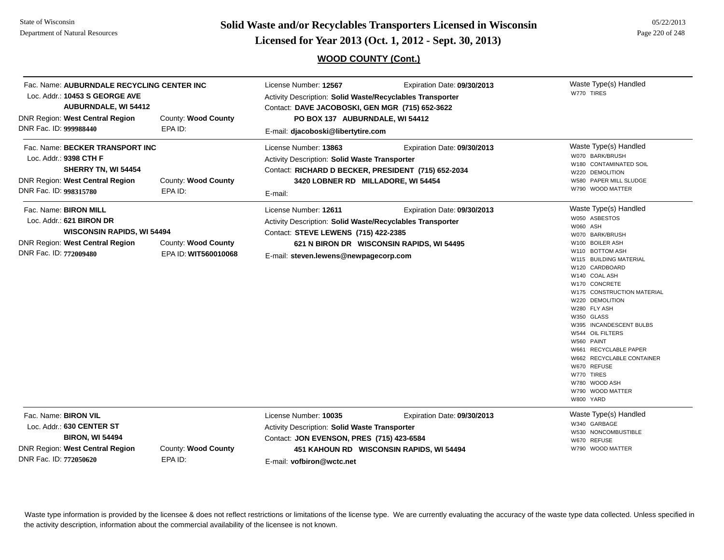**Page 220 of 248 <b>Licensed for Year 2013 (Oct. 1, 2012 - Sept. 30, 2013) Page 220 of 248 Licensed for Year 2013 (Oct. 1, 2012 - Sept. 30, 2013)** 

#### **WOOD COUNTY (Cont.)**

| Loc. Addr.: 10453 S GEORGE AVE<br><b>DNR Region: West Central Region</b><br>DNR Fac. ID: 999988440                                                  | Fac. Name: AUBURNDALE RECYCLING CENTER INC<br>License Number: 12567<br>Activity Description: Solid Waste/Recyclables Transporter<br><b>AUBURNDALE, WI 54412</b><br>Contact: DAVE JACOBOSKI, GEN MGR (715) 652-3622<br>County: Wood County<br>PO BOX 137 AUBURNDALE, WI 54412<br>EPA ID:<br>E-mail: djacoboski@libertytire.com |                                                                                                                                                                                       | Expiration Date: 09/30/2013                                              | Waste Type(s) Handled<br>W770 TIRES                                                                                                                                                                                                                                                                                                                                                                                                                                        |
|-----------------------------------------------------------------------------------------------------------------------------------------------------|-------------------------------------------------------------------------------------------------------------------------------------------------------------------------------------------------------------------------------------------------------------------------------------------------------------------------------|---------------------------------------------------------------------------------------------------------------------------------------------------------------------------------------|--------------------------------------------------------------------------|----------------------------------------------------------------------------------------------------------------------------------------------------------------------------------------------------------------------------------------------------------------------------------------------------------------------------------------------------------------------------------------------------------------------------------------------------------------------------|
| Fac. Name: BECKER TRANSPORT INC<br>Loc. Addr.: 9398 CTH F<br>SHERRY TN, WI 54454<br>DNR Region: West Central Region<br>DNR Fac. ID: 998315780       | County: Wood County<br>EPA ID:                                                                                                                                                                                                                                                                                                | License Number: 13863<br><b>Activity Description: Solid Waste Transporter</b><br>Contact: RICHARD D BECKER, PRESIDENT (715) 652-2034<br>3420 LOBNER RD MILLADORE, WI 54454<br>E-mail: | Expiration Date: 09/30/2013                                              | Waste Type(s) Handled<br>W070 BARK/BRUSH<br>W180 CONTAMINATED SOIL<br>W220 DEMOLITION<br>W580 PAPER MILL SLUDGE<br>W790 WOOD MATTER                                                                                                                                                                                                                                                                                                                                        |
| Fac. Name: BIRON MILL<br>Loc. Addr.: 621 BIRON DR<br><b>WISCONSIN RAPIDS, WI 54494</b><br>DNR Region: West Central Region<br>DNR Fac. ID: 772009480 | County: Wood County<br>EPA ID: WIT560010068                                                                                                                                                                                                                                                                                   | License Number: 12611<br>Activity Description: Solid Waste/Recyclables Transporter<br>Contact: STEVE LEWENS (715) 422-2385<br>E-mail: steven.lewens@newpagecorp.com                   | Expiration Date: 09/30/2013<br>621 N BIRON DR WISCONSIN RAPIDS, WI 54495 | Waste Type(s) Handled<br>W050 ASBESTOS<br>W060 ASH<br>W070 BARK/BRUSH<br>W100 BOILER ASH<br>W110 BOTTOM ASH<br>W115 BUILDING MATERIAL<br>W120 CARDBOARD<br>W140 COAL ASH<br>W170 CONCRETE<br>W175 CONSTRUCTION MATERIAL<br>W220 DEMOLITION<br>W280 FLY ASH<br>W350 GLASS<br>W395 INCANDESCENT BULBS<br>W544 OIL FILTERS<br>W560 PAINT<br>W661 RECYCLABLE PAPER<br>W662 RECYCLABLE CONTAINER<br>W670 REFUSE<br>W770 TIRES<br>W780 WOOD ASH<br>W790 WOOD MATTER<br>W800 YARD |
| Fac. Name: BIRON VIL<br>Loc. Addr.: 630 CENTER ST<br><b>BIRON, WI 54494</b><br><b>DNR Region: West Central Region</b><br>DNR Fac. ID: 772050620     | County: Wood County<br>EPA ID:                                                                                                                                                                                                                                                                                                | License Number: 10035<br>Activity Description: Solid Waste Transporter<br>Contact: JON EVENSON, PRES (715) 423-6584<br>E-mail: vofbiron@wctc.net                                      | Expiration Date: 09/30/2013<br>451 KAHOUN RD WISCONSIN RAPIDS, WI 54494  | Waste Type(s) Handled<br>W340 GARBAGE<br>W530 NONCOMBUSTIBLE<br>W670 REFUSE<br>W790 WOOD MATTER                                                                                                                                                                                                                                                                                                                                                                            |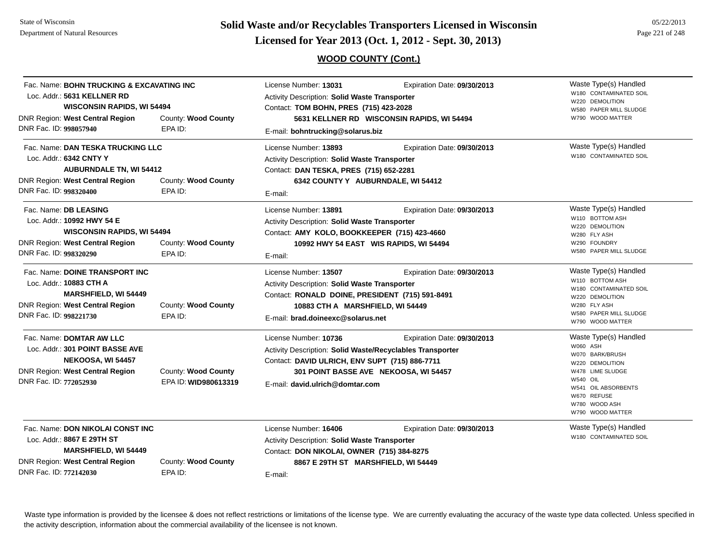**Page 221 of 248 <b>Licensed for Year 2013 (Oct. 1, 2012 - Sept. 30, 2013) Page 221 of 248 Licensed for Year 2013 (Oct. 1, 2012 - Sept. 30, 2013)** 

#### **WOOD COUNTY (Cont.)**

| Fac. Name: BOHN TRUCKING & EXCAVATING INC<br>Loc. Addr.: 5631 KELLNER RD<br><b>WISCONSIN RAPIDS, WI 54494</b><br>DNR Region: West Central Region<br>County: Wood County |                                             | License Number: 13031<br>Expiration Date: 09/30/2013<br>Activity Description: Solid Waste Transporter<br>Contact: TOM BOHN, PRES (715) 423-2028<br>5631 KELLNER RD WISCONSIN RAPIDS, WI 54494                     |                                                                      | Waste Type(s) Handled<br>W180 CONTAMINATED SOIL<br>W220 DEMOLITION<br>W580 PAPER MILL SLUDGE<br>W790 WOOD MATTER                                                                          |
|-------------------------------------------------------------------------------------------------------------------------------------------------------------------------|---------------------------------------------|-------------------------------------------------------------------------------------------------------------------------------------------------------------------------------------------------------------------|----------------------------------------------------------------------|-------------------------------------------------------------------------------------------------------------------------------------------------------------------------------------------|
| DNR Fac. ID: 998057940                                                                                                                                                  | EPA ID:                                     | E-mail: bohntrucking@solarus.biz                                                                                                                                                                                  |                                                                      |                                                                                                                                                                                           |
| Fac. Name: DAN TESKA TRUCKING LLC<br>Loc. Addr.: 6342 CNTY Y<br><b>AUBURNDALE TN, WI 54412</b><br><b>DNR Region: West Central Region</b><br>DNR Fac. ID: 998320400      | County: Wood County<br>EPA ID:              | License Number: 13893<br><b>Activity Description: Solid Waste Transporter</b><br>Contact: DAN TESKA, PRES (715) 652-2281<br>6342 COUNTY Y AUBURNDALE, WI 54412<br>E-mail:                                         | Expiration Date: 09/30/2013                                          | Waste Type(s) Handled<br>W180 CONTAMINATED SOIL                                                                                                                                           |
| Fac. Name: DB LEASING<br>Loc. Addr.: 10992 HWY 54 E<br><b>WISCONSIN RAPIDS, WI 54494</b><br><b>DNR Region: West Central Region</b><br>DNR Fac. ID: 998320290            | County: Wood County<br>EPA ID:              | License Number: 13891<br>Expiration Date: 09/30/2013<br><b>Activity Description: Solid Waste Transporter</b><br>Contact: AMY KOLO, BOOKKEEPER (715) 423-4660<br>10992 HWY 54 EAST WIS RAPIDS, WI 54494<br>E-mail: |                                                                      | Waste Type(s) Handled<br>W110 BOTTOM ASH<br>W220 DEMOLITION<br>W280 FLY ASH<br>W290 FOUNDRY<br>W580 PAPER MILL SLUDGE                                                                     |
| Fac. Name: DOINE TRANSPORT INC<br>Loc. Addr.: 10883 CTH A<br><b>MARSHFIELD, WI 54449</b><br><b>DNR Region: West Central Region</b><br>DNR Fac. ID: 998221730            | County: Wood County<br>EPA ID:              | License Number: 13507<br>Activity Description: Solid Waste Transporter<br>Contact: RONALD DOINE, PRESIDENT (715) 591-8491<br>10883 CTH A MARSHFIELD, WI 54449<br>E-mail: brad.doineexc@solarus.net                | Expiration Date: 09/30/2013                                          | Waste Type(s) Handled<br>W110 BOTTOM ASH<br>W180 CONTAMINATED SOIL<br>W220 DEMOLITION<br>W280 FLY ASH<br>W580 PAPER MILL SLUDGE<br>W790 WOOD MATTER                                       |
| Fac. Name: DOMTAR AW LLC<br>Loc. Addr.: 301 POINT BASSE AVE<br>NEKOOSA, WI 54457<br>DNR Region: West Central Region<br>DNR Fac. ID: 772052930                           | County: Wood County<br>EPA ID: WID980613319 | License Number: 10736<br>Activity Description: Solid Waste/Recyclables Transporter<br>Contact: DAVID ULRICH, ENV SUPT (715) 886-7711<br>E-mail: david.ulrich@domtar.com                                           | Expiration Date: 09/30/2013<br>301 POINT BASSE AVE NEKOOSA, WI 54457 | Waste Type(s) Handled<br>W060 ASH<br>W070 BARK/BRUSH<br>W220 DEMOLITION<br>W478 LIME SLUDGE<br><b>W540 OIL</b><br>W541 OIL ABSORBENTS<br>W670 REFUSE<br>W780 WOOD ASH<br>W790 WOOD MATTER |
| Fac. Name: DON NIKOLAI CONST INC<br>Loc. Addr.: 8867 E 29TH ST<br><b>MARSHFIELD, WI 54449</b><br><b>DNR Region: West Central Region</b><br>DNR Fac. ID: 772142030       | County: Wood County<br>EPA ID:              | License Number: 16406<br>Activity Description: Solid Waste Transporter<br>Contact: DON NIKOLAI, OWNER (715) 384-8275<br>8867 E 29TH ST MARSHFIELD, WI 54449<br>E-mail:                                            | Expiration Date: 09/30/2013                                          | Waste Type(s) Handled<br>W180 CONTAMINATED SOIL                                                                                                                                           |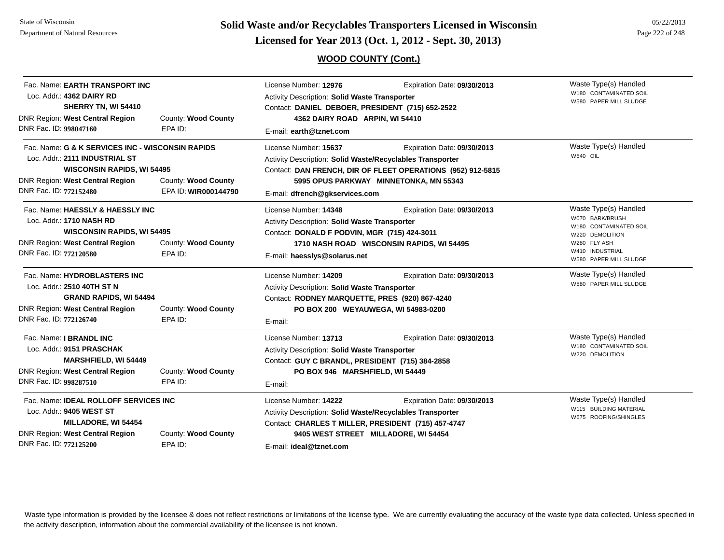**Page 222 of 248 <b>Licensed for Year 2013 (Oct. 1, 2012 - Sept. 30, 2013) Page 222 of 248 Licensed for Year 2013 (Oct. 1, 2012 - Sept. 30, 2013)** 

**WOOD COUNTY (Cont.)**

| Fac. Name: EARTH TRANSPORT INC<br>Loc. Addr.: 4362 DAIRY RD<br>SHERRY TN, WI 54410<br>DNR Region: West Central Region<br>DNR Fac. ID: 998047160                                                                                     | County: Wood County<br>EPA ID: | License Number: 12976<br>Activity Description: Solid Waste Transporter<br>Contact: DANIEL DEBOER, PRESIDENT (715) 652-2522<br>4362 DAIRY ROAD ARPIN, WI 54410<br>E-mail: earth@tznet.com                                                                     | Expiration Date: 09/30/2013                                              | Waste Type(s) Handled<br>W180 CONTAMINATED SOIL<br>W580 PAPER MILL SLUDGE                                                                          |
|-------------------------------------------------------------------------------------------------------------------------------------------------------------------------------------------------------------------------------------|--------------------------------|--------------------------------------------------------------------------------------------------------------------------------------------------------------------------------------------------------------------------------------------------------------|--------------------------------------------------------------------------|----------------------------------------------------------------------------------------------------------------------------------------------------|
| Fac. Name: G & K SERVICES INC - WISCONSIN RAPIDS<br>Loc. Addr.: 2111 INDUSTRIAL ST<br><b>WISCONSIN RAPIDS, WI 54495</b><br>DNR Region: West Central Region<br>County: Wood County<br>DNR Fac. ID: 772152480<br>EPA ID: WIR000144790 |                                | License Number: 15637<br>Expiration Date: 09/30/2013<br>Activity Description: Solid Waste/Recyclables Transporter<br>Contact: DAN FRENCH, DIR OF FLEET OPERATIONS (952) 912-5815<br>5995 OPUS PARKWAY MINNETONKA, MN 55343<br>E-mail: dfrench@qkservices.com |                                                                          | Waste Type(s) Handled<br>W540 OIL                                                                                                                  |
| Fac. Name: HAESSLY & HAESSLY INC<br>Loc. Addr.: 1710 NASH RD<br><b>WISCONSIN RAPIDS, WI 54495</b><br>DNR Region: West Central Region<br>DNR Fac. ID: 772120580                                                                      | County: Wood County<br>EPA ID: | License Number: 14348<br>Activity Description: Solid Waste Transporter<br>Contact: DONALD F PODVIN, MGR (715) 424-3011<br>E-mail: haesslys@solarus.net                                                                                                       | Expiration Date: 09/30/2013<br>1710 NASH ROAD WISCONSIN RAPIDS, WI 54495 | Waste Type(s) Handled<br>W070 BARK/BRUSH<br>W180 CONTAMINATED SOIL<br>W220 DEMOLITION<br>W280 FLY ASH<br>W410 INDUSTRIAL<br>W580 PAPER MILL SLUDGE |
| Fac. Name: HYDROBLASTERS INC<br>Loc. Addr.: 2510 40TH ST N<br><b>GRAND RAPIDS, WI 54494</b><br>DNR Region: West Central Region<br>DNR Fac. ID: 772126740                                                                            | County: Wood County<br>EPA ID: | License Number: 14209<br>Activity Description: Solid Waste Transporter<br>Contact: RODNEY MARQUETTE, PRES (920) 867-4240<br>PO BOX 200 WEYAUWEGA, WI 54983-0200<br>E-mail:                                                                                   | Expiration Date: 09/30/2013                                              | Waste Type(s) Handled<br>W580 PAPER MILL SLUDGE                                                                                                    |
| Fac. Name: I BRANDL INC<br>Loc. Addr.: 9151 PRASCHAK<br><b>MARSHFIELD, WI 54449</b><br>DNR Region: West Central Region<br>DNR Fac. ID: 998287510                                                                                    | County: Wood County<br>EPA ID: | License Number: 13713<br><b>Activity Description: Solid Waste Transporter</b><br>Contact: GUY C BRANDL, PRESIDENT (715) 384-2858<br>PO BOX 946 MARSHFIELD, WI 54449<br>E-mail:                                                                               | Expiration Date: 09/30/2013                                              | Waste Type(s) Handled<br>W180 CONTAMINATED SOIL<br>W220 DEMOLITION                                                                                 |
| Fac. Name: <b>IDEAL ROLLOFF SERVICES INC</b><br>Loc. Addr.: 9405 WEST ST<br>MILLADORE, WI 54454<br><b>DNR Region: West Central Region</b><br>County: Wood County<br>DNR Fac. ID: 772125200<br>EPA ID:                               |                                | License Number: 14222<br>Activity Description: Solid Waste/Recyclables Transporter<br>Contact: CHARLES T MILLER, PRESIDENT (715) 457-4747<br>E-mail: ideal@tznet.com                                                                                         | Expiration Date: 09/30/2013<br>9405 WEST STREET MILLADORE, WI 54454      | Waste Type(s) Handled<br>W115 BUILDING MATERIAL<br>W675 ROOFING/SHINGLES                                                                           |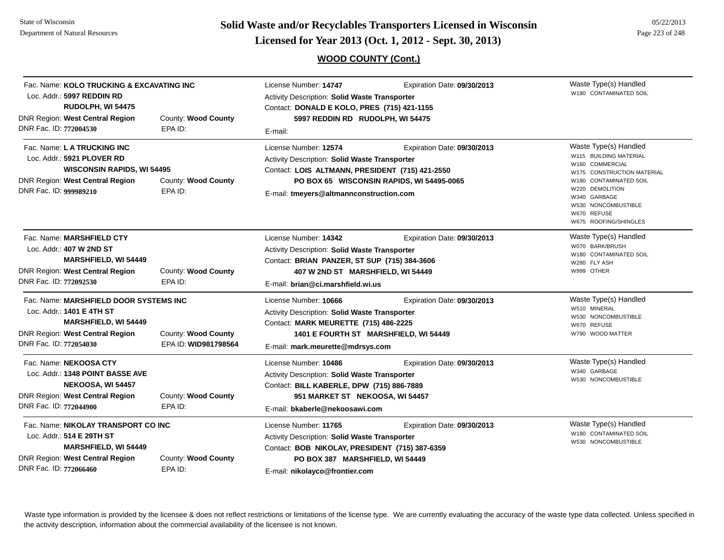**Page 223 of 248 <b>Licensed for Year 2013 (Oct. 1, 2012 - Sept. 30, 2013)** Page 223 of 248 **Licensed for Year 2013 (Oct. 1, 2012 - Sept. 30, 2013)** 

**WOOD COUNTY (Cont.)**

| Fac. Name: KOLO TRUCKING & EXCAVATING INC<br>Loc. Addr.: 5997 REDDIN RD<br>RUDOLPH, WI 54475<br><b>DNR Region: West Central Region</b><br>DNR Fac. ID: 772004530       | County: Wood County<br>EPA ID:              | License Number: 14747<br>Expiration Date: 09/30/2013<br><b>Activity Description: Solid Waste Transporter</b><br>Contact: DONALD E KOLO, PRES (715) 421-1155<br>5997 REDDIN RD RUDOLPH, WI 54475<br>E-mail:                                       | Waste Type(s) Handled<br>W180 CONTAMINATED SOIL                                                                                                                                                                              |
|------------------------------------------------------------------------------------------------------------------------------------------------------------------------|---------------------------------------------|--------------------------------------------------------------------------------------------------------------------------------------------------------------------------------------------------------------------------------------------------|------------------------------------------------------------------------------------------------------------------------------------------------------------------------------------------------------------------------------|
| Fac. Name: L A TRUCKING INC<br>Loc. Addr.: 5921 PLOVER RD<br><b>WISCONSIN RAPIDS, WI 54495</b><br><b>DNR Region: West Central Region</b><br>DNR Fac. ID: 999989210     | County: Wood County<br>EPA ID:              | License Number: 12574<br>Expiration Date: 09/30/2013<br>Activity Description: Solid Waste Transporter<br>Contact: LOIS ALTMANN, PRESIDENT (715) 421-2550<br>PO BOX 65 WISCONSIN RAPIDS, WI 54495-0065<br>E-mail: tmeyers@altmannconstruction.com | Waste Type(s) Handled<br>W115 BUILDING MATERIAL<br>W160 COMMERCIAL<br>W175 CONSTRUCTION MATERIAL<br>W180 CONTAMINATED SOIL<br>W220 DEMOLITION<br>W340 GARBAGE<br>W530 NONCOMBUSTIBLE<br>W670 REFUSE<br>W675 ROOFING/SHINGLES |
| Fac. Name: MARSHFIELD CTY<br>Loc. Addr.: 407 W 2ND ST<br>MARSHFIELD, WI 54449<br><b>DNR Region: West Central Region</b><br>DNR Fac. ID: 772092530                      | County: Wood County<br>EPA ID:              | License Number: 14342<br>Expiration Date: 09/30/2013<br><b>Activity Description: Solid Waste Transporter</b><br>Contact: BRIAN PANZER, ST SUP (715) 384-3606<br>407 W 2ND ST MARSHFIELD, WI 54449<br>E-mail: brian@ci.marshfield.wi.us           | Waste Type(s) Handled<br>W070 BARK/BRUSH<br>W180 CONTAMINATED SOIL<br>W280 FLY ASH<br>W999 OTHER                                                                                                                             |
| Fac. Name: MARSHFIELD DOOR SYSTEMS INC<br>Loc. Addr.: 1401 E 4TH ST<br><b>MARSHFIELD, WI 54449</b><br><b>DNR Region: West Central Region</b><br>DNR Fac. ID: 772054030 | County: Wood County<br>EPA ID: WID981798564 | License Number: 10666<br>Expiration Date: 09/30/2013<br>Activity Description: Solid Waste Transporter<br>Contact: MARK MEURETTE (715) 486-2225<br>1401 E FOURTH ST MARSHFIELD, WI 54449<br>E-mail: mark.meurette@mdrsys.com                      | Waste Type(s) Handled<br>W510 MINERAL<br>W530 NONCOMBUSTIBLE<br>W670 REFUSE<br>W790 WOOD MATTER                                                                                                                              |
| Fac. Name: NEKOOSA CTY<br>Loc. Addr.: 1348 POINT BASSE AVE<br>NEKOOSA, WI 54457<br><b>DNR Region: West Central Region</b><br>DNR Fac. ID: 772044900                    | County: Wood County<br>EPA ID:              | License Number: 10486<br>Expiration Date: 09/30/2013<br>Activity Description: Solid Waste Transporter<br>Contact: BILL KABERLE, DPW (715) 886-7889<br>951 MARKET ST NEKOOSA, WI 54457<br>E-mail: bkaberle@nekoosawi.com                          | Waste Type(s) Handled<br>W340 GARBAGE<br>W530 NONCOMBUSTIBLE                                                                                                                                                                 |
| Fac. Name: NIKOLAY TRANSPORT CO INC<br>Loc. Addr.: 514 E 29TH ST<br><b>MARSHFIELD, WI 54449</b><br><b>DNR Region: West Central Region</b><br>DNR Fac. ID: 772066460    | County: Wood County<br>EPA ID:              | License Number: 11765<br>Expiration Date: 09/30/2013<br>Activity Description: Solid Waste Transporter<br>Contact: BOB NIKOLAY, PRESIDENT (715) 387-6359<br>PO BOX 387 MARSHFIELD, WI 54449<br>E-mail: nikolayco@frontier.com                     | Waste Type(s) Handled<br>W180 CONTAMINATED SOIL<br>W530 NONCOMBUSTIBLE                                                                                                                                                       |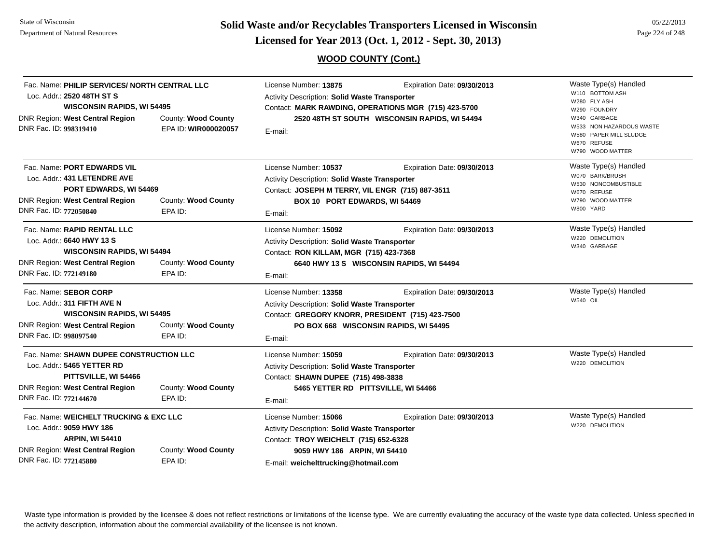**Page 224 of 248 <b>Licensed for Year 2013 (Oct. 1, 2012 - Sept. 30, 2013) Page 224 of 248 Licensed for Year 2013 (Oct. 1, 2012 - Sept. 30, 2013)** 

## **WOOD COUNTY (Cont.)**

| Fac. Name: PHILIP SERVICES/ NORTH CENTRAL LLC<br>Loc. Addr.: 2520 48TH ST S<br><b>WISCONSIN RAPIDS, WI 54495</b><br><b>DNR Region: West Central Region</b><br>DNR Fac. ID: 998319410 | County: Wood County<br>EPA ID: WIR000020057 | License Number: 13875<br>Activity Description: Solid Waste Transporter<br>E-mail:                                                                                                       | Expiration Date: 09/30/2013<br>Contact: MARK RAWDING, OPERATIONS MGR (715) 423-5700<br>2520 48TH ST SOUTH WISCONSIN RAPIDS, WI 54494 | Waste Type(s) Handled<br>W110 BOTTOM ASH<br>W280 FLY ASH<br>W290 FOUNDRY<br>W340 GARBAGE<br>W533 NON HAZARDOUS WASTE<br>W580 PAPER MILL SLUDGE<br>W670 REFUSE<br>W790 WOOD MATTER |
|--------------------------------------------------------------------------------------------------------------------------------------------------------------------------------------|---------------------------------------------|-----------------------------------------------------------------------------------------------------------------------------------------------------------------------------------------|--------------------------------------------------------------------------------------------------------------------------------------|-----------------------------------------------------------------------------------------------------------------------------------------------------------------------------------|
| Fac. Name: PORT EDWARDS VIL<br>Loc. Addr.: 431 LETENDRE AVE<br>PORT EDWARDS, WI 54469<br><b>DNR Region: West Central Region</b><br>DNR Fac. ID: 772050840                            | County: Wood County<br>EPA ID:              | License Number: 10537<br>Activity Description: Solid Waste Transporter<br>Contact: JOSEPH M TERRY, VIL ENGR (715) 887-3511<br>BOX 10 PORT EDWARDS, WI 54469<br>E-mail:                  | Expiration Date: 09/30/2013                                                                                                          | Waste Type(s) Handled<br>W070 BARK/BRUSH<br>W530 NONCOMBUSTIBLE<br>W670 REFUSE<br>W790 WOOD MATTER<br>W800 YARD                                                                   |
| Fac. Name: RAPID RENTAL LLC<br>Loc. Addr.: 6640 HWY 13 S<br><b>WISCONSIN RAPIDS, WI 54494</b><br><b>DNR Region: West Central Region</b><br>DNR Fac. ID: 772149180                    | County: Wood County<br>EPA ID:              | License Number: 15092<br>Activity Description: Solid Waste Transporter<br>Contact: RON KILLAM, MGR (715) 423-7368<br>E-mail:                                                            | Expiration Date: 09/30/2013<br>6640 HWY 13 S WISCONSIN RAPIDS, WI 54494                                                              | Waste Type(s) Handled<br>W220 DEMOLITION<br>W340 GARBAGE                                                                                                                          |
| Fac. Name: SEBOR CORP<br>Loc. Addr.: 311 FIFTH AVE N<br><b>WISCONSIN RAPIDS, WI 54495</b><br><b>DNR Region: West Central Region</b><br>DNR Fac. ID: 998097540                        | County: Wood County<br>EPA ID:              | License Number: 13358<br>Activity Description: Solid Waste Transporter<br>Contact: GREGORY KNORR, PRESIDENT (715) 423-7500<br>E-mail:                                                   | Expiration Date: 09/30/2013<br>PO BOX 668 WISCONSIN RAPIDS, WI 54495                                                                 | Waste Type(s) Handled<br>W540 OIL                                                                                                                                                 |
| Fac. Name: SHAWN DUPEE CONSTRUCTION LLC<br>Loc. Addr.: 5465 YETTER RD<br>PITTSVILLE, WI 54466<br><b>DNR Region: West Central Region</b><br>DNR Fac. ID: 772144670                    | County: Wood County<br>EPA ID:              | License Number: 15059<br>Activity Description: Solid Waste Transporter<br>Contact: SHAWN DUPEE (715) 498-3838<br>5465 YETTER RD PITTSVILLE, WI 54466<br>E-mail:                         | Expiration Date: 09/30/2013                                                                                                          | Waste Type(s) Handled<br>W220 DEMOLITION                                                                                                                                          |
| Fac. Name: WEICHELT TRUCKING & EXC LLC<br>Loc. Addr.: 9059 HWY 186<br><b>ARPIN, WI 54410</b><br><b>DNR Region: West Central Region</b><br>DNR Fac. ID: 772145880                     | County: Wood County<br>EPA ID:              | License Number: 15066<br>Activity Description: Solid Waste Transporter<br>Contact: TROY WEICHELT (715) 652-6328<br>9059 HWY 186 ARPIN, WI 54410<br>E-mail: weichelttrucking@hotmail.com | Expiration Date: 09/30/2013                                                                                                          | Waste Type(s) Handled<br>W220 DEMOLITION                                                                                                                                          |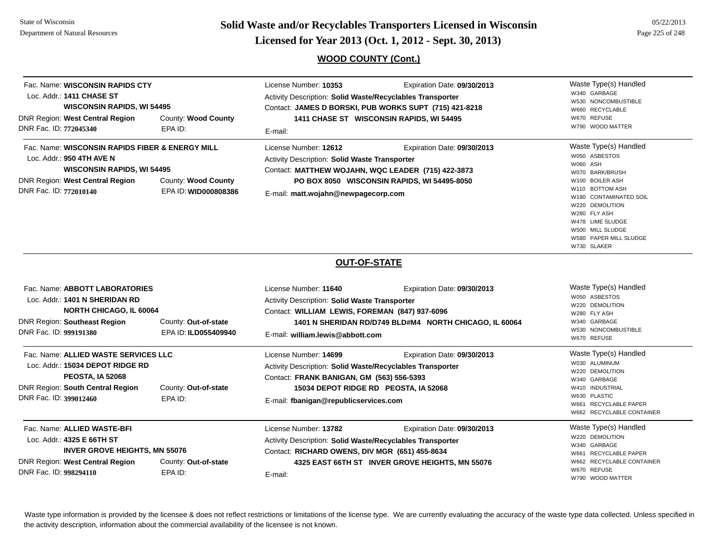**Page 225 of 248 <b>Licensed for Year 2013 (Oct. 1, 2012 - Sept. 30, 2013) Page 225 of 248 Licensed for Year 2013 (Oct. 1, 2012 - Sept. 30, 2013)** 

## **WOOD COUNTY (Cont.)**

| Fac. Name: WISCONSIN RAPIDS CTY<br>Loc. Addr.: 1411 CHASE ST<br>DNR Region: West Central Region<br>DNR Fac. ID: 772045340                                           | <b>WISCONSIN RAPIDS, WI 54495</b><br>County: Wood County<br>EPA ID:                                                                 | License Number: 10353<br>Expiration Date: 09/30/2013<br>Activity Description: Solid Waste/Recyclables Transporter<br>Contact: JAMES D BORSKI, PUB WORKS SUPT (715) 421-8218<br>1411 CHASE ST WISCONSIN RAPIDS, WI 54495<br>E-mail:                    | Waste Type(s) Handled<br>W340 GARBAGE<br>W530 NONCOMBUSTIBLE<br>W660 RECYCLABLE<br>W670 REFUSE<br>W790 WOOD MATTER                                                                                                                                        |
|---------------------------------------------------------------------------------------------------------------------------------------------------------------------|-------------------------------------------------------------------------------------------------------------------------------------|-------------------------------------------------------------------------------------------------------------------------------------------------------------------------------------------------------------------------------------------------------|-----------------------------------------------------------------------------------------------------------------------------------------------------------------------------------------------------------------------------------------------------------|
| Loc. Addr.: 950 4TH AVE N<br><b>DNR Region: West Central Region</b><br>DNR Fac. ID: 772010140                                                                       | Fac. Name: WISCONSIN RAPIDS FIBER & ENERGY MILL<br><b>WISCONSIN RAPIDS, WI 54495</b><br>County: Wood County<br>EPA ID: WID000808386 | License Number: 12612<br>Expiration Date: 09/30/2013<br>Activity Description: Solid Waste Transporter<br>Contact: MATTHEW WOJAHN, WQC LEADER (715) 422-3873<br>PO BOX 8050 WISCONSIN RAPIDS, WI 54495-8050<br>E-mail: matt.wojahn@newpagecorp.com     | Waste Type(s) Handled<br>W050 ASBESTOS<br>W060 ASH<br>W070 BARK/BRUSH<br>W100 BOILER ASH<br>W110 BOTTOM ASH<br>W180 CONTAMINATED SOIL<br>W220 DEMOLITION<br>W280 FLY ASH<br>W478 LIME SLUDGE<br>W500 MILL SLUDGE<br>W580 PAPER MILL SLUDGE<br>W730 SLAKER |
|                                                                                                                                                                     |                                                                                                                                     | <b>OUT-OF-STATE</b>                                                                                                                                                                                                                                   |                                                                                                                                                                                                                                                           |
| Fac. Name: ABBOTT LABORATORIES<br>Loc. Addr.: 1401 N SHERIDAN RD<br><b>NORTH CHICAGO, IL 60064</b><br><b>DNR Region: Southeast Region</b><br>DNR Fac. ID: 999191380 | County: Out-of-state<br>EPA ID: ILD055409940                                                                                        | License Number: 11640<br>Expiration Date: 09/30/2013<br>Activity Description: Solid Waste Transporter<br>Contact: WILLIAM LEWIS, FOREMAN (847) 937-6096<br>1401 N SHERIDAN RD/D749 BLD#M4 NORTH CHICAGO, IL 60064<br>E-mail: william.lewis@abbott.com | Waste Type(s) Handled<br>W050 ASBESTOS<br>W220 DEMOLITION<br>W280 FLY ASH<br>W340 GARBAGE<br>W530 NONCOMBUSTIBLE<br>W670 REFUSE                                                                                                                           |
| Fac. Name: ALLIED WASTE SERVICES LLC<br>Loc. Addr.: 15034 DEPOT RIDGE RD<br><b>PEOSTA, IA 52068</b><br>DNR Region: South Central Region<br>DNR Fac. ID: 399012460   | County: Out-of-state<br>EPA ID:                                                                                                     | License Number: 14699<br>Expiration Date: 09/30/2013<br>Activity Description: Solid Waste/Recyclables Transporter<br>Contact: FRANK BANIGAN, GM (563) 556-5393<br>15034 DEPOT RIDGE RD PEOSTA, IA 52068<br>E-mail: fbanigan@republicservices.com      | Waste Type(s) Handled<br>W030 ALUMINUM<br>W220 DEMOLITION<br>W340 GARBAGE<br>W410 INDUSTRIAL<br>W630 PLASTIC<br>W661 RECYCLABLE PAPER<br>W662 RECYCLABLE CONTAINER                                                                                        |
| Fac. Name: ALLIED WASTE-BFI<br>Loc. Addr.: 4325 E 66TH ST<br>DNR Region: West Central Region<br>DNR Fac. ID: 998294110                                              | <b>INVER GROVE HEIGHTS, MN 55076</b><br>County: Out-of-state<br>EPA ID:                                                             | License Number: 13782<br>Expiration Date: 09/30/2013<br>Activity Description: Solid Waste/Recyclables Transporter<br>Contact: RICHARD OWENS, DIV MGR (651) 455-8634<br>4325 EAST 66TH ST INVER GROVE HEIGHTS, MN 55076<br>E-mail:                     | Waste Type(s) Handled<br>W220 DEMOLITION<br>W340 GARBAGE<br>W661 RECYCLABLE PAPER<br>W662 RECYCLABLE CONTAINER<br>W670 REFUSE<br>W790 WOOD MATTER                                                                                                         |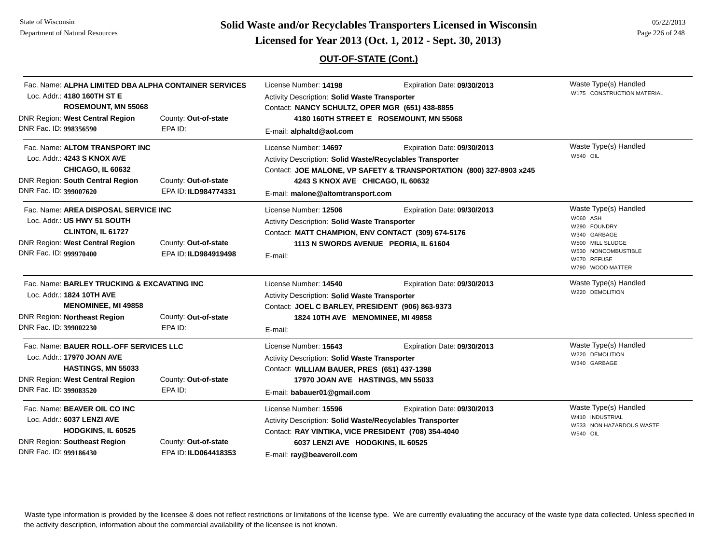# **Page 226 of 248 <b>Licensed for Year 2013 (Oct. 1, 2012 - Sept. 30, 2013) Page 226 of 248 Licensed for Year 2013 (Oct. 1, 2012 - Sept. 30, 2013)**

## **OUT-OF-STATE (Cont.)**

| Fac. Name: ALPHA LIMITED DBA ALPHA CONTAINER SERVICES<br>Loc. Addr.: 4180 160TH ST E<br><b>ROSEMOUNT, MN 55068</b>                                                                              |                                              | License Number: 14198<br>Activity Description: Solid Waste Transporter<br>Contact: NANCY SCHULTZ, OPER MGR (651) 438-8855                                                                                   | Expiration Date: 09/30/2013                                                                        | Waste Type(s) Handled<br>W175 CONSTRUCTION MATERIAL                                                                                             |
|-------------------------------------------------------------------------------------------------------------------------------------------------------------------------------------------------|----------------------------------------------|-------------------------------------------------------------------------------------------------------------------------------------------------------------------------------------------------------------|----------------------------------------------------------------------------------------------------|-------------------------------------------------------------------------------------------------------------------------------------------------|
| <b>DNR Region: West Central Region</b><br>DNR Fac. ID: 998356590                                                                                                                                | County: Out-of-state<br>EPA ID:              | E-mail: alphaltd@aol.com                                                                                                                                                                                    | 4180 160TH STREET E ROSEMOUNT, MN 55068                                                            |                                                                                                                                                 |
| Fac. Name: ALTOM TRANSPORT INC<br>Loc. Addr.: 4243 S KNOX AVE<br><b>CHICAGO, IL 60632</b><br><b>DNR Region: South Central Region</b>                                                            | County: Out-of-state                         | License Number: 14697<br>Activity Description: Solid Waste/Recyclables Transporter<br>4243 S KNOX AVE CHICAGO, IL 60632                                                                                     | Expiration Date: 09/30/2013<br>Contact: JOE MALONE, VP SAFETY & TRANSPORTATION (800) 327-8903 x245 | Waste Type(s) Handled<br>W540 OIL                                                                                                               |
| DNR Fac. ID: 399007620                                                                                                                                                                          | EPA ID: ILD984774331                         | E-mail: malone@altomtransport.com                                                                                                                                                                           |                                                                                                    |                                                                                                                                                 |
| Fac. Name: AREA DISPOSAL SERVICE INC<br>Loc. Addr.: US HWY 51 SOUTH<br>CLINTON, IL 61727<br><b>DNR Region: West Central Region</b><br>DNR Fac. ID: 999970400                                    | County: Out-of-state<br>EPA ID: ILD984919498 | License Number: 12506<br>Activity Description: Solid Waste Transporter<br>Contact: MATT CHAMPION, ENV CONTACT (309) 674-5176<br>E-mail:                                                                     | Expiration Date: 09/30/2013<br>1113 N SWORDS AVENUE PEORIA, IL 61604                               | Waste Type(s) Handled<br>W060 ASH<br>W290 FOUNDRY<br>W340 GARBAGE<br>W500 MILL SLUDGE<br>W530 NONCOMBUSTIBLE<br>W670 REFUSE<br>W790 WOOD MATTER |
| Fac. Name: BARLEY TRUCKING & EXCAVATING INC<br>Loc. Addr.: 1824 10TH AVE<br><b>MENOMINEE, MI 49858</b><br><b>DNR Region: Northeast Region</b><br>County: Out-of-state                           |                                              | License Number: 14540<br>Activity Description: Solid Waste Transporter<br>Contact: JOEL C BARLEY, PRESIDENT (906) 863-9373<br>1824 10TH AVE MENOMINEE, MI 49858                                             | Expiration Date: 09/30/2013                                                                        | Waste Type(s) Handled<br>W220 DEMOLITION                                                                                                        |
| DNR Fac. ID: 399002230<br>Fac. Name: BAUER ROLL-OFF SERVICES LLC<br>Loc. Addr.: 17970 JOAN AVE<br><b>HASTINGS, MN 55033</b><br><b>DNR Region: West Central Region</b><br>DNR Fac. ID: 399083520 | EPA ID:<br>County: Out-of-state<br>EPA ID:   | E-mail:<br>License Number: 15643<br>Activity Description: Solid Waste Transporter<br>Contact: WILLIAM BAUER, PRES (651) 437-1398<br>17970 JOAN AVE HASTINGS, MN 55033<br>E-mail: babauer01@gmail.com        | Expiration Date: 09/30/2013                                                                        | Waste Type(s) Handled<br>W220 DEMOLITION<br>W340 GARBAGE                                                                                        |
| Fac. Name: BEAVER OIL CO INC<br>Loc. Addr.: 6037 LENZI AVE<br>HODGKINS, IL 60525<br>DNR Region: Southeast Region<br>DNR Fac. ID: 999186430                                                      | County: Out-of-state<br>EPA ID: ILD064418353 | License Number: 15596<br>Activity Description: Solid Waste/Recyclables Transporter<br>Contact: RAY VINTIKA, VICE PRESIDENT (708) 354-4040<br>6037 LENZI AVE HODGKINS, IL 60525<br>E-mail: ray@beaveroil.com | Expiration Date: 09/30/2013                                                                        | Waste Type(s) Handled<br>W410 INDUSTRIAL<br>W533 NON HAZARDOUS WASTE<br><b>W540 OIL</b>                                                         |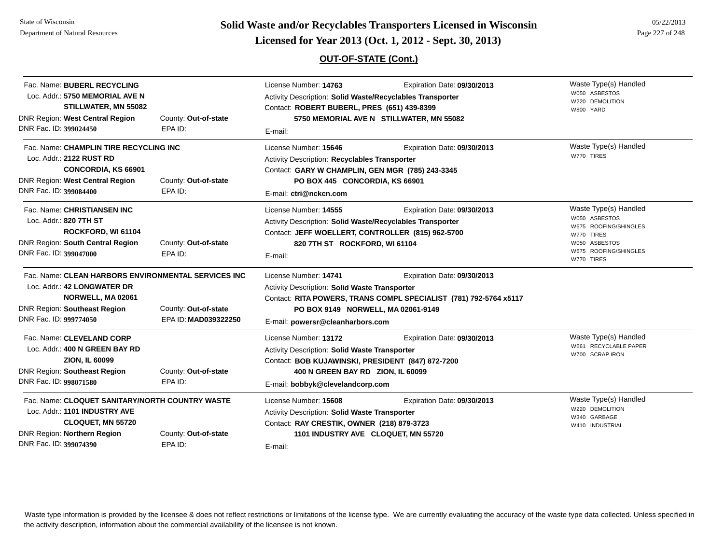State of WisconsinDepartment of Natural Resources

**Page 227 of 248 <b>Licensed for Year 2013 (Oct. 1, 2012 - Sept. 30, 2013) Page 227 of 248 Licensed for Year 2013 (Oct. 1, 2012 - Sept. 30, 2013)** 

## **OUT-OF-STATE (Cont.)**

| DNR Fac. ID: 399024450 | Fac. Name: BUBERL RECYCLING<br>Loc. Addr.: 5750 MEMORIAL AVE N<br>STILLWATER, MN 55082<br><b>DNR Region: West Central Region</b>            | County: Out-of-state<br>EPA ID:                                                                     | License Number: 14763<br>Activity Description: Solid Waste/Recyclables Transporter<br>Contact: ROBERT BUBERL, PRES (651) 439-8399<br>E-mail:                                                         | Expiration Date: 09/30/2013<br>5750 MEMORIAL AVE N STILLWATER, MN 55082                          | Waste Type(s) Handled<br>W050 ASBESTOS<br>W220 DEMOLITION<br>W800 YARD                                                                |
|------------------------|---------------------------------------------------------------------------------------------------------------------------------------------|-----------------------------------------------------------------------------------------------------|------------------------------------------------------------------------------------------------------------------------------------------------------------------------------------------------------|--------------------------------------------------------------------------------------------------|---------------------------------------------------------------------------------------------------------------------------------------|
| DNR Fac. ID: 399084400 | Fac. Name: CHAMPLIN TIRE RECYCLING INC<br>Loc. Addr.: 2122 RUST RD<br><b>CONCORDIA, KS 66901</b><br><b>DNR Region: West Central Region</b>  | County: Out-of-state<br>EPA ID:                                                                     | License Number: 15646<br><b>Activity Description: Recyclables Transporter</b><br>Contact: GARY W CHAMPLIN, GEN MGR (785) 243-3345<br>PO BOX 445 CONCORDIA, KS 66901<br>E-mail: ctri@nckcn.com        | Expiration Date: 09/30/2013                                                                      | Waste Type(s) Handled<br>W770 TIRES                                                                                                   |
| DNR Fac. ID: 399047000 | Fac. Name: CHRISTIANSEN INC<br>Loc. Addr.: 820 7TH ST<br>ROCKFORD, WI 61104<br><b>DNR Region: South Central Region</b>                      | County: Out-of-state<br>EPA ID:                                                                     | License Number: 14555<br>Activity Description: Solid Waste/Recyclables Transporter<br>Contact: JEFF WOELLERT, CONTROLLER (815) 962-5700<br>820 7TH ST ROCKFORD, WI 61104<br>E-mail:                  | Expiration Date: 09/30/2013                                                                      | Waste Type(s) Handled<br>W050 ASBESTOS<br>W675 ROOFING/SHINGLES<br>W770 TIRES<br>W050 ASBESTOS<br>W675 ROOFING/SHINGLES<br>W770 TIRES |
| DNR Fac. ID: 999774050 | Loc. Addr.: 42 LONGWATER DR<br>NORWELL, MA 02061<br><b>DNR Region: Southeast Region</b>                                                     | Fac. Name: CLEAN HARBORS ENVIRONMENTAL SERVICES INC<br>County: Out-of-state<br>EPA ID: MAD039322250 | License Number: 14741<br><b>Activity Description: Solid Waste Transporter</b><br>PO BOX 9149 NORWELL, MA 02061-9149<br>E-mail: powersr@cleanharbors.com                                              | Expiration Date: 09/30/2013<br>Contact: RITA POWERS, TRANS COMPL SPECIALIST (781) 792-5764 x5117 |                                                                                                                                       |
| DNR Fac. ID: 998071580 | Fac. Name: CLEVELAND CORP<br>Loc. Addr.: 400 N GREEN BAY RD<br><b>ZION, IL 60099</b><br><b>DNR Region: Southeast Region</b>                 | County: Out-of-state<br>EPA ID:                                                                     | License Number: 13172<br>Activity Description: Solid Waste Transporter<br>Contact: BOB KUJAWINSKI, PRESIDENT (847) 872-7200<br>400 N GREEN BAY RD ZION, IL 60099<br>E-mail: bobbyk@clevelandcorp.com | Expiration Date: 09/30/2013                                                                      | Waste Type(s) Handled<br>W661 RECYCLABLE PAPER<br>W700 SCRAP IRON                                                                     |
| DNR Fac. ID: 399074390 | Fac. Name: CLOQUET SANITARY/NORTH COUNTRY WASTE<br>Loc. Addr.: 1101 INDUSTRY AVE<br>CLOQUET, MN 55720<br><b>DNR Region: Northern Region</b> | County: Out-of-state<br>EPA ID:                                                                     | License Number: 15608<br>Activity Description: Solid Waste Transporter<br>Contact: RAY CRESTIK, OWNER (218) 879-3723<br>1101 INDUSTRY AVE CLOQUET, MN 55720<br>E-mail:                               | Expiration Date: 09/30/2013                                                                      | Waste Type(s) Handled<br>W220 DEMOLITION<br>W340 GARBAGE<br>W410 INDUSTRIAL                                                           |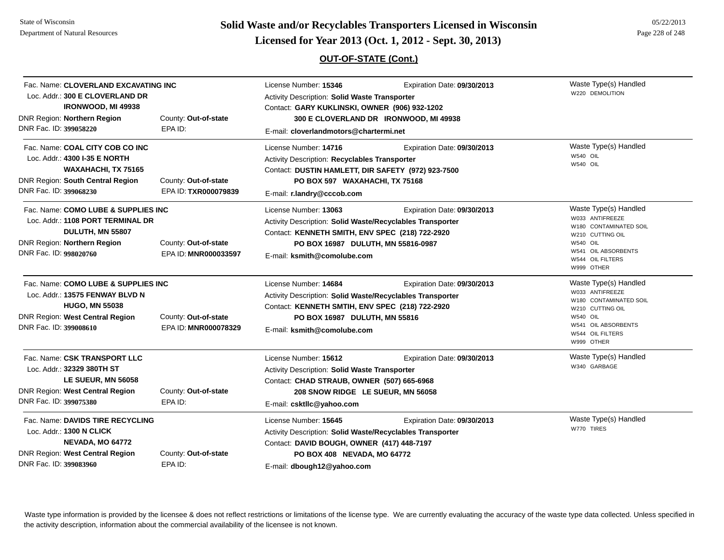State of WisconsinDepartment of Natural Resources

# **Page 228 of 248 <b>Licensed for Year 2013 (Oct. 1, 2012 - Sept. 30, 2013) Page 228 of 248 Licensed for Year 2013 (Oct. 1, 2012 - Sept. 30, 2013)**

## **OUT-OF-STATE (Cont.)**

| Fac. Name: CLOVERLAND EXCAVATING INC<br>Loc. Addr.: 300 E CLOVERLAND DR<br><b>IRONWOOD, MI 49938</b>                                                                |                                              | License Number: 15346<br>Activity Description: Solid Waste Transporter<br>Contact: GARY KUKLINSKI, OWNER (906) 932-1202                                                                                    | Expiration Date: 09/30/2013            | Waste Type(s) Handled<br>W220 DEMOLITION                                                                                                                           |
|---------------------------------------------------------------------------------------------------------------------------------------------------------------------|----------------------------------------------|------------------------------------------------------------------------------------------------------------------------------------------------------------------------------------------------------------|----------------------------------------|--------------------------------------------------------------------------------------------------------------------------------------------------------------------|
| DNR Region: Northern Region<br>DNR Fac. ID: 399058220                                                                                                               | County: Out-of-state<br>EPA ID:              | E-mail: cloverlandmotors@chartermi.net                                                                                                                                                                     | 300 E CLOVERLAND DR IRONWOOD, MI 49938 |                                                                                                                                                                    |
| Fac. Name: COAL CITY COB CO INC<br>Loc. Addr.: 4300 I-35 E NORTH<br><b>WAXAHACHI, TX 75165</b><br><b>DNR Region: South Central Region</b><br>DNR Fac. ID: 399068230 | County: Out-of-state<br>EPA ID: TXR000079839 | License Number: 14716<br>Activity Description: Recyclables Transporter<br>Contact: DUSTIN HAMLETT, DIR SAFETY (972) 923-7500<br>PO BOX 597 WAXAHACHI, TX 75168<br>E-mail: r.landry@cccob.com               | Expiration Date: 09/30/2013            | Waste Type(s) Handled<br>W540 OIL<br>W540 OIL                                                                                                                      |
| Fac. Name: COMO LUBE & SUPPLIES INC<br>Loc. Addr.: 1108 PORT TERMINAL DR<br>DULUTH, MN 55807<br>DNR Region: Northern Region<br>DNR Fac. ID: 998020760               | County: Out-of-state<br>EPA ID: MNR000033597 | License Number: 13063<br>Activity Description: Solid Waste/Recyclables Transporter<br>Contact: KENNETH SMITH, ENV SPEC (218) 722-2920<br>PO BOX 16987 DULUTH, MN 55816-0987<br>E-mail: ksmith@comolube.com | Expiration Date: 09/30/2013            | Waste Type(s) Handled<br>W033 ANTIFREEZE<br>W180 CONTAMINATED SOIL<br>W210 CUTTING OIL<br>W540 OIL<br>W541 OIL ABSORBENTS<br>W544 OIL FILTERS<br>W999 OTHER        |
| Fac. Name: COMO LUBE & SUPPLIES INC<br>Loc. Addr.: 13575 FENWAY BLVD N<br><b>HUGO, MN 55038</b><br>DNR Region: West Central Region<br>DNR Fac. ID: 399008610        | County: Out-of-state<br>EPA ID: MNR000078329 | License Number: 14684<br>Activity Description: Solid Waste/Recyclables Transporter<br>Contact: KENNETH SMTIH, ENV SPEC (218) 722-2920<br>PO BOX 16987 DULUTH, MN 55816<br>E-mail: ksmith@comolube.com      | Expiration Date: 09/30/2013            | Waste Type(s) Handled<br>W033 ANTIFREEZE<br>W180 CONTAMINATED SOIL<br>W210 CUTTING OIL<br><b>W540 OIL</b><br>W541 OIL ABSORBENTS<br>W544 OIL FILTERS<br>W999 OTHER |
| Fac. Name: CSK TRANSPORT LLC<br>Loc. Addr.: 32329 380TH ST<br>LE SUEUR, MN 56058<br>DNR Region: West Central Region<br>DNR Fac. ID: 399075380                       | County: Out-of-state<br>EPA ID:              | License Number: 15612<br>Activity Description: Solid Waste Transporter<br>Contact: CHAD STRAUB, OWNER (507) 665-6968<br>208 SNOW RIDGE LE SUEUR, MN 56058<br>E-mail: csktllc@yahoo.com                     | Expiration Date: 09/30/2013            | Waste Type(s) Handled<br>W340 GARBAGE                                                                                                                              |
| Fac. Name: DAVIDS TIRE RECYCLING<br>Loc. Addr.: 1300 N CLICK<br>NEVADA, MO 64772<br>DNR Region: West Central Region<br>DNR Fac. ID: 399083960                       | County: Out-of-state<br>EPA ID:              | License Number: 15645<br>Activity Description: Solid Waste/Recyclables Transporter<br>Contact: DAVID BOUGH, OWNER (417) 448-7197<br>PO BOX 408 NEVADA, MO 64772<br>E-mail: dbough12@yahoo.com              | Expiration Date: 09/30/2013            | Waste Type(s) Handled<br>W770 TIRES                                                                                                                                |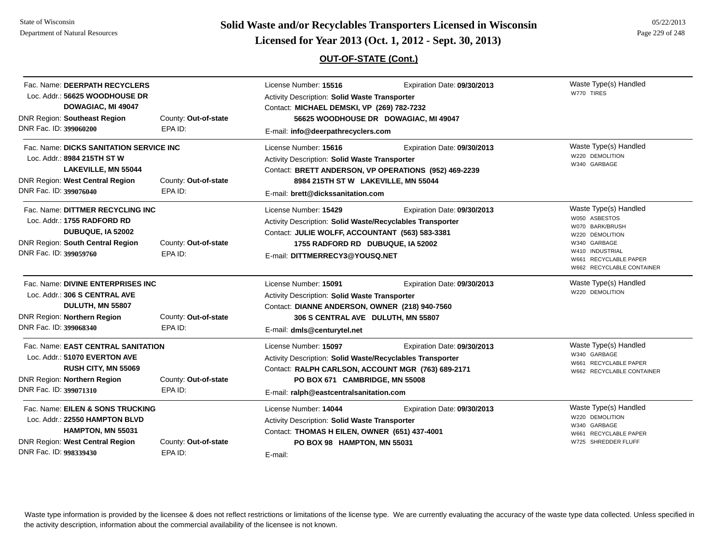State of WisconsinDepartment of Natural Resources

# **Page 229 of 248 <b>Licensed for Year 2013 (Oct. 1, 2012 - Sept. 30, 2013) Page 229 of 248 Licensed for Year 2013 (Oct. 1, 2012 - Sept. 30, 2013)**

## **OUT-OF-STATE (Cont.)**

| Fac. Name: DEERPATH RECYCLERS<br>Loc. Addr.: 56625 WOODHOUSE DR<br>DOWAGIAC, MI 49047<br><b>DNR Region: Southeast Region</b><br>DNR Fac. ID: 399060200      | County: Out-of-state<br>EPA ID: | License Number: 15516<br>Activity Description: Solid Waste Transporter<br>Contact: MICHAEL DEMSKI, VP (269) 782-7232<br>56625 WOODHOUSE DR DOWAGIAC, MI 49047<br>E-mail: info@deerpathrecyclers.com                   | Expiration Date: 09/30/2013 | Waste Type(s) Handled<br>W770 TIRES                                                                                                                                   |
|-------------------------------------------------------------------------------------------------------------------------------------------------------------|---------------------------------|-----------------------------------------------------------------------------------------------------------------------------------------------------------------------------------------------------------------------|-----------------------------|-----------------------------------------------------------------------------------------------------------------------------------------------------------------------|
| Fac. Name: DICKS SANITATION SERVICE INC<br>Loc. Addr.: 8984 215TH ST W<br>LAKEVILLE, MN 55044<br>DNR Region: West Central Region<br>DNR Fac. ID: 399076040  | County: Out-of-state<br>EPA ID: | License Number: 15616<br>Activity Description: Solid Waste Transporter<br>Contact: BRETT ANDERSON, VP OPERATIONS (952) 469-2239<br>8984 215TH ST W LAKEVILLE, MN 55044<br>E-mail: brett@dickssanitation.com           | Expiration Date: 09/30/2013 | Waste Type(s) Handled<br>W220 DEMOLITION<br>W340 GARBAGE                                                                                                              |
| Fac. Name: DITTMER RECYCLING INC<br>Loc. Addr.: 1755 RADFORD RD<br>DUBUQUE, IA 52002<br>DNR Region: South Central Region<br>DNR Fac. ID: 399059760          | County: Out-of-state<br>EPA ID: | License Number: 15429<br>Activity Description: Solid Waste/Recyclables Transporter<br>Contact: JULIE WOLFF, ACCOUNTANT (563) 583-3381<br>1755 RADFORD RD DUBUQUE, IA 52002<br>E-mail: DITTMERRECY3@YOUSQ.NET          | Expiration Date: 09/30/2013 | Waste Type(s) Handled<br>W050 ASBESTOS<br>W070 BARK/BRUSH<br>W220 DEMOLITION<br>W340 GARBAGE<br>W410 INDUSTRIAL<br>W661 RECYCLABLE PAPER<br>W662 RECYCLABLE CONTAINER |
| Fac. Name: DIVINE ENTERPRISES INC<br>Loc. Addr.: 306 S CENTRAL AVE<br>DULUTH, MN 55807<br><b>DNR Region: Northern Region</b><br>DNR Fac. ID: 399068340      | County: Out-of-state<br>EPA ID: | License Number: 15091<br>Activity Description: Solid Waste Transporter<br>Contact: DIANNE ANDERSON, OWNER (218) 940-7560<br>306 S CENTRAL AVE DULUTH, MN 55807<br>E-mail: dmls@centurytel.net                         | Expiration Date: 09/30/2013 | Waste Type(s) Handled<br>W220 DEMOLITION                                                                                                                              |
| Fac. Name: EAST CENTRAL SANITATION<br>Loc. Addr.: 51070 EVERTON AVE<br>RUSH CITY, MN 55069<br><b>DNR Region: Northern Region</b><br>DNR Fac. ID: 399071310  | County: Out-of-state<br>EPA ID: | License Number: 15097<br>Activity Description: Solid Waste/Recyclables Transporter<br>Contact: RALPH CARLSON, ACCOUNT MGR (763) 689-2171<br>PO BOX 671 CAMBRIDGE, MN 55008<br>E-mail: ralph@eastcentralsanitation.com | Expiration Date: 09/30/2013 | Waste Type(s) Handled<br>W340 GARBAGE<br>W661 RECYCLABLE PAPER<br>W662 RECYCLABLE CONTAINER                                                                           |
| Fac. Name: EILEN & SONS TRUCKING<br>Loc. Addr.: 22550 HAMPTON BLVD<br>HAMPTON, MN 55031<br><b>DNR Region: West Central Region</b><br>DNR Fac. ID: 998339430 | County: Out-of-state<br>EPA ID: | License Number: 14044<br>Activity Description: Solid Waste Transporter<br>Contact: THOMAS H EILEN, OWNER (651) 437-4001<br>PO BOX 98 HAMPTON, MN 55031<br>E-mail:                                                     | Expiration Date: 09/30/2013 | Waste Type(s) Handled<br>W220 DEMOLITION<br>W340 GARBAGE<br>W661 RECYCLABLE PAPER<br>W725 SHREDDER FLUFF                                                              |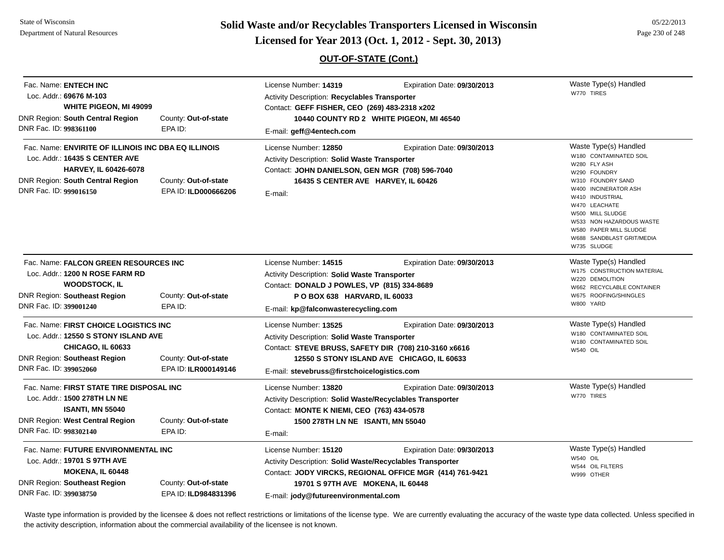**Page 230 of 248 <b>Licensed for Year 2013 (Oct. 1, 2012 - Sept. 30, 2013) Page 230 of 248 Licensed for Year 2013 (Oct. 1, 2012 - Sept. 30, 2013)** 

## **OUT-OF-STATE (Cont.)**

| Fac. Name: ENTECH INC<br>Loc. Addr.: 69676 M-103<br>WHITE PIGEON, MI 49099<br>DNR Region: South Central Region<br>DNR Fac. ID: 998361100                                            | County: Out-of-state<br>EPA ID:              | License Number: 14319<br><b>Activity Description: Recyclables Transporter</b><br>Contact: GEFF FISHER, CEO (269) 483-2318 x202<br>E-mail: geff@4entech.com                                           | Expiration Date: 09/30/2013<br>10440 COUNTY RD 2 WHITE PIGEON, MI 46540                 | Waste Type(s) Handled<br>W770 TIRES                                                                                                                                                                                                                                                    |
|-------------------------------------------------------------------------------------------------------------------------------------------------------------------------------------|----------------------------------------------|------------------------------------------------------------------------------------------------------------------------------------------------------------------------------------------------------|-----------------------------------------------------------------------------------------|----------------------------------------------------------------------------------------------------------------------------------------------------------------------------------------------------------------------------------------------------------------------------------------|
| Fac. Name: ENVIRITE OF ILLINOIS INC DBA EQ ILLINOIS<br>Loc. Addr.: 16435 S CENTER AVE<br><b>HARVEY, IL 60426-6078</b><br>DNR Region: South Central Region<br>DNR Fac. ID: 999016150 | County: Out-of-state<br>EPA ID: ILD000666206 | License Number: 12850<br><b>Activity Description: Solid Waste Transporter</b><br>Contact: JOHN DANIELSON, GEN MGR (708) 596-7040<br>16435 S CENTER AVE HARVEY, IL 60426<br>E-mail:                   | Expiration Date: 09/30/2013                                                             | Waste Type(s) Handled<br>W180 CONTAMINATED SOIL<br>W280 FLY ASH<br>W290 FOUNDRY<br>W310 FOUNDRY SAND<br>W400 INCINERATOR ASH<br>W410 INDUSTRIAL<br>W470 LEACHATE<br>W500 MILL SLUDGE<br>W533 NON HAZARDOUS WASTE<br>W580 PAPER MILL SLUDGE<br>W688 SANDBLAST GRIT/MEDIA<br>W735 SLUDGE |
| Fac. Name: FALCON GREEN RESOURCES INC<br>Loc. Addr.: 1200 N ROSE FARM RD<br><b>WOODSTOCK, IL</b><br><b>DNR Region: Southeast Region</b><br>DNR Fac. ID: 399001240                   | County: Out-of-state<br>EPA ID:              | License Number: 14515<br><b>Activity Description: Solid Waste Transporter</b><br>Contact: DONALD J POWLES, VP (815) 334-8689<br>P O BOX 638 HARVARD, IL 60033<br>E-mail: kp@falconwasterecycling.com | Expiration Date: 09/30/2013                                                             | Waste Type(s) Handled<br>W175 CONSTRUCTION MATERIAL<br>W220 DEMOLITION<br>W662 RECYCLABLE CONTAINER<br>W675 ROOFING/SHINGLES<br>W800 YARD                                                                                                                                              |
| Fac. Name: FIRST CHOICE LOGISTICS INC<br>Loc. Addr.: 12550 S STONY ISLAND AVE<br><b>CHICAGO, IL 60633</b><br><b>DNR Region: Southeast Region</b><br>DNR Fac. ID: 399052060          | County: Out-of-state<br>EPA ID: ILR000149146 | License Number: 13525<br><b>Activity Description: Solid Waste Transporter</b><br>Contact: STEVE BRUSS, SAFETY DIR (708) 210-3160 x6616<br>E-mail: stevebruss@firstchoicelogistics.com                | Expiration Date: 09/30/2013<br>12550 S STONY ISLAND AVE CHICAGO, IL 60633               | Waste Type(s) Handled<br>W180 CONTAMINATED SOIL<br>W180 CONTAMINATED SOIL<br><b>W540 OIL</b>                                                                                                                                                                                           |
| Fac. Name: FIRST STATE TIRE DISPOSAL INC<br>Loc. Addr.: 1500 278TH LN NE<br><b>ISANTI, MN 55040</b><br><b>DNR Region: West Central Region</b><br>DNR Fac. ID: 998302140             | County: Out-of-state<br>EPA ID:              | License Number: 13820<br><b>Activity Description: Solid Waste/Recyclables Transporter</b><br>Contact: MONTE K NIEMI, CEO (763) 434-0578<br>1500 278TH LN NE ISANTI, MN 55040<br>E-mail:              | Expiration Date: 09/30/2013                                                             | Waste Type(s) Handled<br>W770 TIRES                                                                                                                                                                                                                                                    |
| Fac. Name: FUTURE ENVIRONMENTAL INC<br>Loc. Addr.: 19701 S 97TH AVE<br><b>MOKENA, IL 60448</b><br><b>DNR Region: Southeast Region</b><br>DNR Fac. ID: 399038750                     | County: Out-of-state<br>EPA ID: ILD984831396 | License Number: 15120<br><b>Activity Description: Solid Waste/Recyclables Transporter</b><br>19701 S 97TH AVE MOKENA, IL 60448<br>E-mail: jody@futureenvironmental.com                               | Expiration Date: 09/30/2013<br>Contact: JODY VIRCKS, REGIONAL OFFICE MGR (414) 761-9421 | Waste Type(s) Handled<br><b>W540 OIL</b><br>W544 OIL FILTERS<br>W999 OTHER                                                                                                                                                                                                             |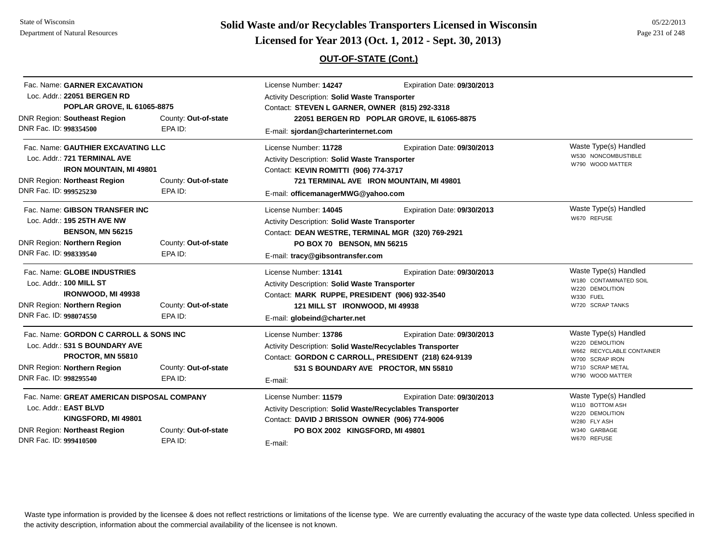State of WisconsinDepartment of Natural Resources

DNR Fac. ID: **999410500**

**Page 231 of 248 <b>Licensed for Year 2013 (Oct. 1, 2012 - Sept. 30, 2013) Page 231 of 248 Licensed for Year 2013 (Oct. 1, 2012 - Sept. 30, 2013)** 

## **OUT-OF-STATE (Cont.)**

| Fac. Name: GARNER EXCAVATION<br>Loc. Addr.: 22051 BERGEN RD<br><b>POPLAR GROVE, IL 61065-8875</b>                                                                                                        |                                 | License Number: 14247<br>Expiration Date: 09/30/2013<br>Activity Description: Solid Waste Transporter<br>Contact: STEVEN L GARNER, OWNER (815) 292-3318                                                                                                             |                                                                                                                                  |  |
|----------------------------------------------------------------------------------------------------------------------------------------------------------------------------------------------------------|---------------------------------|---------------------------------------------------------------------------------------------------------------------------------------------------------------------------------------------------------------------------------------------------------------------|----------------------------------------------------------------------------------------------------------------------------------|--|
| DNR Region: Southeast Region<br>DNR Fac. ID: 998354500                                                                                                                                                   | County: Out-of-state<br>EPA ID: | 22051 BERGEN RD POPLAR GROVE, IL 61065-8875<br>E-mail: sjordan@charterinternet.com                                                                                                                                                                                  |                                                                                                                                  |  |
| Fac. Name: GAUTHIER EXCAVATING LLC<br>Loc. Addr.: 721 TERMINAL AVE<br><b>IRON MOUNTAIN, MI 49801</b><br><b>DNR Region: Northeast Region</b><br>County: Out-of-state<br>DNR Fac. ID: 999525230<br>EPA ID: |                                 | License Number: 11728<br>Expiration Date: 09/30/2013<br><b>Activity Description: Solid Waste Transporter</b><br>Contact: KEVIN ROMITTI (906) 774-3717<br>721 TERMINAL AVE IRON MOUNTAIN, MI 49801                                                                   | Waste Type(s) Handled<br>W530 NONCOMBUSTIBLE<br>W790 WOOD MATTER                                                                 |  |
| Fac. Name: GIBSON TRANSFER INC<br>Loc. Addr.: 195 25TH AVE NW<br><b>BENSON, MN 56215</b><br>DNR Region: Northern Region<br>DNR Fac. ID: 998339540                                                        | County: Out-of-state<br>EPA ID: | E-mail: officemanagerMWG@yahoo.com<br>License Number: 14045<br>Expiration Date: 09/30/2013<br>Activity Description: Solid Waste Transporter<br>Contact: DEAN WESTRE, TERMINAL MGR (320) 769-2921<br>PO BOX 70 BENSON, MN 56215                                      | Waste Type(s) Handled<br>W670 REFUSE                                                                                             |  |
| Fac. Name: GLOBE INDUSTRIES<br>Loc. Addr.: 100 MILL ST<br><b>IRONWOOD, MI 49938</b><br><b>DNR Region: Northern Region</b><br>DNR Fac. ID: 998074550                                                      | County: Out-of-state<br>EPA ID: | E-mail: tracy@gibsontransfer.com<br>License Number: 13141<br>Expiration Date: 09/30/2013<br><b>Activity Description: Solid Waste Transporter</b><br>Contact: MARK RUPPE, PRESIDENT (906) 932-3540<br>121 MILL ST IRONWOOD, MI 49938<br>E-mail: globeind@charter.net | Waste Type(s) Handled<br>W180 CONTAMINATED SOIL<br>W220 DEMOLITION<br>W330 FUEL<br>W720 SCRAP TANKS                              |  |
| Fac. Name: GORDON C CARROLL & SONS INC<br>Loc. Addr.: 531 S BOUNDARY AVE<br>PROCTOR, MN 55810<br><b>DNR Region: Northern Region</b><br>DNR Fac. ID: 998295540                                            | County: Out-of-state<br>EPA ID: | License Number: 13786<br>Expiration Date: 09/30/2013<br>Activity Description: Solid Waste/Recyclables Transporter<br>Contact: GORDON C CARROLL, PRESIDENT (218) 624-9139<br>531 S BOUNDARY AVE PROCTOR, MN 55810<br>E-mail:                                         | Waste Type(s) Handled<br>W220 DEMOLITION<br>W662 RECYCLABLE CONTAINER<br>W700 SCRAP IRON<br>W710 SCRAP METAL<br>W790 WOOD MATTER |  |
| Fac. Name: GREAT AMERICAN DISPOSAL COMPANY<br>Loc. Addr.: EAST BLVD<br>KINGSFORD, MI 49801<br>DNR Region: Northeast Region<br>County: Out-of-state<br>$DND$ Eqq. $ID:000410500$<br>EDA ID.               |                                 | License Number: 11579<br>Expiration Date: 09/30/2013<br>Activity Description: Solid Waste/Recyclables Transporter<br>Contact: DAVID J BRISSON OWNER (906) 774-9006<br>PO BOX 2002 KINGSFORD, MI 49801                                                               | Waste Type(s) Handled<br>W110 BOTTOM ASH<br>W220 DEMOLITION<br>W280 FLY ASH<br>W340 GARBAGE<br>W670 REFUSE                       |  |

E-mail:

EPA ID: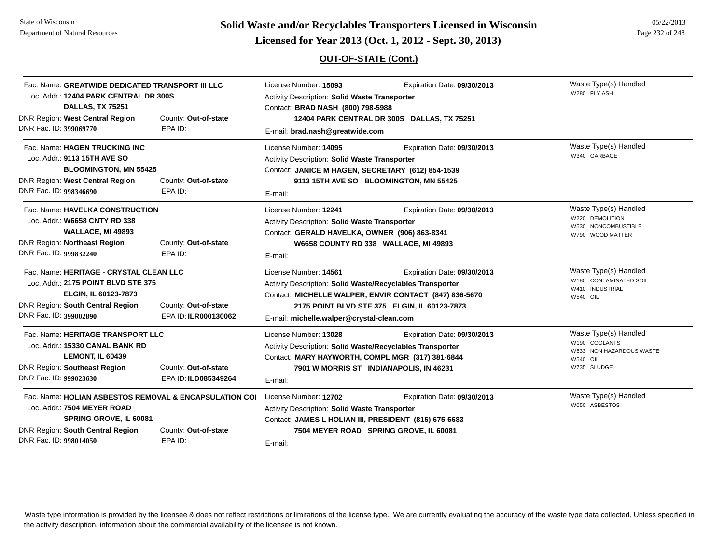# **Page 232 of 248 <b>Licensed for Year 2013 (Oct. 1, 2012 - Sept. 30, 2013) Page 232 of 248 Licensed for Year 2013 (Oct. 1, 2012 - Sept. 30, 2013)**

## **OUT-OF-STATE (Cont.)**

| Fac. Name: GREATWIDE DEDICATED TRANSPORT III LLC<br>Loc. Addr.: 12404 PARK CENTRAL DR 300S<br><b>DALLAS, TX 75251</b>                                                                                            |                                              | License Number: 15093<br>Activity Description: Solid Waste Transporter<br>Contact: BRAD NASH (800) 798-5988                                       | Expiration Date: 09/30/2013                                                                                                           | Waste Type(s) Handled<br>W280 FLY ASH                                                                |
|------------------------------------------------------------------------------------------------------------------------------------------------------------------------------------------------------------------|----------------------------------------------|---------------------------------------------------------------------------------------------------------------------------------------------------|---------------------------------------------------------------------------------------------------------------------------------------|------------------------------------------------------------------------------------------------------|
| <b>DNR Region: West Central Region</b><br>DNR Fac. ID: 399069770                                                                                                                                                 | County: Out-of-state<br>EPA ID:              | 12404 PARK CENTRAL DR 300S DALLAS, TX 75251<br>E-mail: brad.nash@greatwide.com                                                                    |                                                                                                                                       |                                                                                                      |
| Fac. Name: HAGEN TRUCKING INC<br>Loc. Addr.: 9113 15TH AVE SO<br><b>BLOOMINGTON, MN 55425</b><br>DNR Region: West Central Region<br>DNR Fac. ID: 998346690                                                       | County: Out-of-state<br>EPA ID:              | License Number: 14095<br>Activity Description: Solid Waste Transporter<br>Contact: JANICE M HAGEN, SECRETARY (612) 854-1539<br>E-mail:            | Expiration Date: 09/30/2013<br>9113 15TH AVE SO BLOOMINGTON, MN 55425                                                                 | Waste Type(s) Handled<br>W340 GARBAGE                                                                |
| Fac. Name: HAVELKA CONSTRUCTION<br>Loc. Addr.: W6658 CNTY RD 338<br>WALLACE, MI 49893<br><b>DNR Region: Northeast Region</b><br>DNR Fac. ID: 999832240                                                           | County: Out-of-state<br>EPA ID:              | License Number: 12241<br>Activity Description: Solid Waste Transporter<br>Contact: GERALD HAVELKA, OWNER (906) 863-8341<br>E-mail:                | Expiration Date: 09/30/2013<br>W6658 COUNTY RD 338 WALLACE, MI 49893                                                                  | Waste Type(s) Handled<br>W220 DEMOLITION<br>W530 NONCOMBUSTIBLE<br>W790 WOOD MATTER                  |
| Fac. Name: HERITAGE - CRYSTAL CLEAN LLC<br>Loc. Addr.: 2175 POINT BLVD STE 375<br>ELGIN, IL 60123-7873<br><b>DNR Region: South Central Region</b><br>DNR Fac. ID: 399002890                                      | County: Out-of-state<br>EPA ID: ILR000130062 | License Number: 14561<br>Activity Description: Solid Waste/Recyclables Transporter<br>E-mail: michelle.walper@crystal-clean.com                   | Expiration Date: 09/30/2013<br>Contact: MICHELLE WALPER, ENVIR CONTACT (847) 836-5670<br>2175 POINT BLVD STE 375 ELGIN, IL 60123-7873 | Waste Type(s) Handled<br>W180 CONTAMINATED SOIL<br>W410 INDUSTRIAL<br><b>W540 OIL</b>                |
| Fac. Name: HERITAGE TRANSPORT LLC<br>Loc. Addr.: 15330 CANAL BANK RD<br><b>LEMONT, IL 60439</b><br><b>DNR Region: Southeast Region</b><br>DNR Fac. ID: 999023630                                                 | County: Out-of-state<br>EPA ID: ILD085349264 | License Number: 13028<br>Activity Description: Solid Waste/Recyclables Transporter<br>Contact: MARY HAYWORTH, COMPL MGR (317) 381-6844<br>E-mail: | Expiration Date: 09/30/2013<br>7901 W MORRIS ST INDIANAPOLIS, IN 46231                                                                | Waste Type(s) Handled<br>W190 COOLANTS<br>W533 NON HAZARDOUS WASTE<br><b>W540 OIL</b><br>W735 SLUDGE |
| Fac. Name: HOLIAN ASBESTOS REMOVAL & ENCAPSULATION COL<br>Loc. Addr.: 7504 MEYER ROAD<br>SPRING GROVE, IL 60081<br>DNR Region: South Central Region<br>County: Out-of-state<br>DNR Fac. ID: 998014050<br>EPA ID: |                                              | License Number: 12702<br>Activity Description: Solid Waste Transporter<br>Contact: JAMES L HOLIAN III, PRESIDENT (815) 675-6683<br>E-mail:        | Expiration Date: 09/30/2013<br>7504 MEYER ROAD SPRING GROVE, IL 60081                                                                 | Waste Type(s) Handled<br>W050 ASBESTOS                                                               |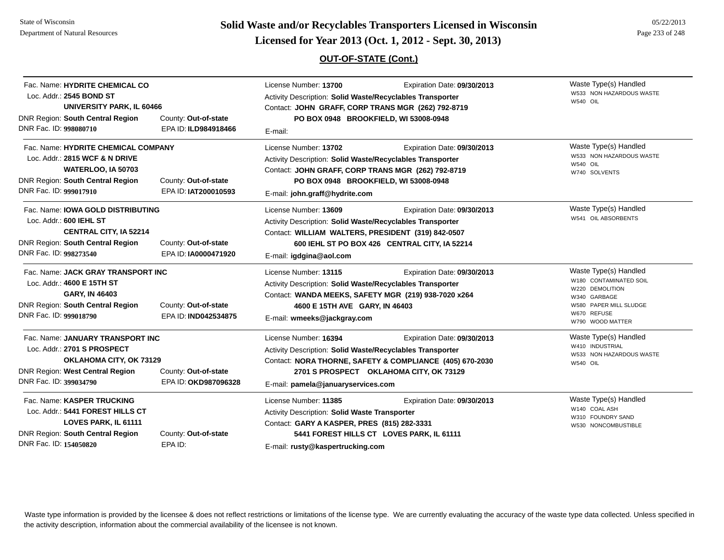State of WisconsinDepartment of Natural Resources

**Page 233 of 248 <b>Licensed for Year 2013 (Oct. 1, 2012 - Sept. 30, 2013) Page 233 of 248 Licensed for Year 2013 (Oct. 1, 2012 - Sept. 30, 2013)** 

## **OUT-OF-STATE (Cont.)**

| Fac. Name: HYDRITE CHEMICAL CO<br>Loc. Addr.: 2545 BOND ST<br><b>UNIVERSITY PARK, IL 60466</b>                                                                                                                   |                                              | License Number: 13700<br>Expiration Date: 09/30/2013<br>Activity Description: Solid Waste/Recyclables Transporter<br>Contact: JOHN GRAFF, CORP TRANS MGR (262) 792-8719                                                                    |                                                                                                                                    | Waste Type(s) Handled<br>W533 NON HAZARDOUS WASTE<br><b>W540 OIL</b>                                                                            |
|------------------------------------------------------------------------------------------------------------------------------------------------------------------------------------------------------------------|----------------------------------------------|--------------------------------------------------------------------------------------------------------------------------------------------------------------------------------------------------------------------------------------------|------------------------------------------------------------------------------------------------------------------------------------|-------------------------------------------------------------------------------------------------------------------------------------------------|
| DNR Region: South Central Region<br>DNR Fac. ID: 998080710                                                                                                                                                       | County: Out-of-state<br>EPA ID: ILD984918466 | PO BOX 0948 BROOKFIELD, WI 53008-0948<br>E-mail:                                                                                                                                                                                           |                                                                                                                                    |                                                                                                                                                 |
| Fac. Name: HYDRITE CHEMICAL COMPANY<br>Loc. Addr.: 2815 WCF & N DRIVE<br>WATERLOO, IA 50703<br><b>DNR Region: South Central Region</b><br>County: Out-of-state<br>DNR Fac. ID: 999017910<br>EPA ID: IAT200010593 |                                              | License Number: 13702<br>Activity Description: Solid Waste/Recyclables Transporter<br>Contact: JOHN GRAFF, CORP TRANS MGR (262) 792-8719<br>E-mail: john.graff@hydrite.com                                                                 | Expiration Date: 09/30/2013<br>PO BOX 0948 BROOKFIELD, WI 53008-0948                                                               | Waste Type(s) Handled<br>W533 NON HAZARDOUS WASTE<br><b>W540 OIL</b><br>W740 SOLVENTS                                                           |
| Fac. Name: <b>IOWA GOLD DISTRIBUTING</b><br>Loc. Addr.: 600 IEHL ST<br><b>CENTRAL CITY, IA 52214</b><br><b>DNR Region: South Central Region</b><br>DNR Fac. ID: 998273540                                        | County: Out-of-state<br>EPA ID: IA0000471920 | License Number: 13609<br>Activity Description: Solid Waste/Recyclables Transporter<br>Contact: WILLIAM WALTERS, PRESIDENT (319) 842-0507<br>E-mail: igdgina@aol.com                                                                        | Expiration Date: 09/30/2013<br>600 IEHL ST PO BOX 426 CENTRAL CITY, IA 52214                                                       | Waste Type(s) Handled<br>W541 OIL ABSORBENTS                                                                                                    |
| Fac. Name: JACK GRAY TRANSPORT INC<br>Loc. Addr.: 4600 E 15TH ST<br>GARY, IN 46403<br><b>DNR Region: South Central Region</b><br>DNR Fac. ID: 999018790                                                          | County: Out-of-state<br>EPA ID: IND042534875 | License Number: 13115<br>Expiration Date: 09/30/2013<br>Activity Description: Solid Waste/Recyclables Transporter<br>Contact: WANDA MEEKS, SAFETY MGR (219) 938-7020 x264<br>4600 E 15TH AVE GARY, IN 46403<br>E-mail: wmeeks@jackgray.com |                                                                                                                                    | Waste Type(s) Handled<br>W180 CONTAMINATED SOIL<br>W220 DEMOLITION<br>W340 GARBAGE<br>W580 PAPER MILL SLUDGE<br>W670 REFUSE<br>W790 WOOD MATTER |
| Fac. Name: JANUARY TRANSPORT INC<br>Loc. Addr.: 2701 S PROSPECT<br>OKLAHOMA CITY, OK 73129<br>DNR Region: West Central Region<br>DNR Fac. ID: 399034790                                                          | County: Out-of-state<br>EPA ID: OKD987096328 | License Number: 16394<br>Activity Description: Solid Waste/Recyclables Transporter<br>E-mail: pamela@januaryservices.com                                                                                                                   | Expiration Date: 09/30/2013<br>Contact: NORA THORNE, SAFETY & COMPLIANCE (405) 670-2030<br>2701 S PROSPECT OKLAHOMA CITY, OK 73129 | Waste Type(s) Handled<br>W410 INDUSTRIAL<br>W533 NON HAZARDOUS WASTE<br><b>W540 OIL</b>                                                         |
| Fac. Name: KASPER TRUCKING<br>Loc. Addr.: 5441 FOREST HILLS CT<br>LOVES PARK, IL 61111<br><b>DNR Region: South Central Region</b><br>DNR Fac. ID: 154050820                                                      | County: Out-of-state<br>EPA ID:              | License Number: 11385<br><b>Activity Description: Solid Waste Transporter</b><br>Contact: GARY A KASPER, PRES (815) 282-3331<br>E-mail: rusty@kaspertrucking.com                                                                           | Expiration Date: 09/30/2013<br>5441 FOREST HILLS CT LOVES PARK, IL 61111                                                           | Waste Type(s) Handled<br>W140 COAL ASH<br>W310 FOUNDRY SAND<br>W530 NONCOMBUSTIBLE                                                              |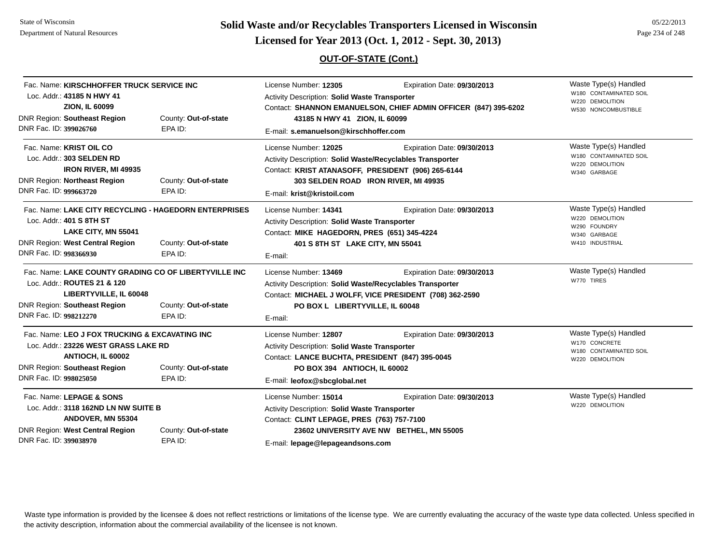State of WisconsinDepartment of Natural Resources

# **Page 234 of 248 <b>Licensed for Year 2013 (Oct. 1, 2012 - Sept. 30, 2013) Page 234 of 248 Licensed for Year 2013 (Oct. 1, 2012 - Sept. 30, 2013)**

## **OUT-OF-STATE (Cont.)**

| Fac. Name: KIRSCHHOFFER TRUCK SERVICE INC<br>Loc. Addr.: 43185 N HWY 41<br><b>ZION, IL 60099</b><br><b>DNR Region: Southeast Region</b><br>DNR Fac. ID: 399026760               | County: Out-of-state<br>EPA ID: | License Number: 12305<br><b>Activity Description: Solid Waste Transporter</b><br>43185 N HWY 41 ZION, IL 60099<br>E-mail: s.emanuelson@kirschhoffer.com                                                        | Expiration Date: 09/30/2013<br>Contact: SHANNON EMANUELSON, CHIEF ADMIN OFFICER (847) 395-6202 | Waste Type(s) Handled<br>W180 CONTAMINATED SOIL<br>W220 DEMOLITION<br>W530 NONCOMBUSTIBLE   |
|---------------------------------------------------------------------------------------------------------------------------------------------------------------------------------|---------------------------------|----------------------------------------------------------------------------------------------------------------------------------------------------------------------------------------------------------------|------------------------------------------------------------------------------------------------|---------------------------------------------------------------------------------------------|
| Fac. Name: KRIST OIL CO<br>Loc. Addr.: 303 SELDEN RD<br><b>IRON RIVER, MI 49935</b><br><b>DNR Region: Northeast Region</b><br>DNR Fac. ID: 999663720                            | County: Out-of-state<br>EPA ID: | License Number: 12025<br>Activity Description: Solid Waste/Recyclables Transporter<br>Contact: KRIST ATANASOFF, PRESIDENT (906) 265-6144<br>303 SELDEN ROAD IRON RIVER, MI 49935<br>E-mail: krist@kristoil.com | Expiration Date: 09/30/2013                                                                    | Waste Type(s) Handled<br>W180 CONTAMINATED SOIL<br>W220 DEMOLITION<br>W340 GARBAGE          |
| Fac. Name: LAKE CITY RECYCLING - HAGEDORN ENTERPRISES<br>Loc. Addr.: 401 S 8TH ST<br>LAKE CITY, MN 55041<br>DNR Region: West Central Region<br>DNR Fac. ID: 998366930           | County: Out-of-state<br>EPA ID: | License Number: 14341<br><b>Activity Description: Solid Waste Transporter</b><br>Contact: MIKE HAGEDORN, PRES (651) 345-4224<br>401 S 8TH ST LAKE CITY, MN 55041<br>E-mail:                                    | Expiration Date: 09/30/2013                                                                    | Waste Type(s) Handled<br>W220 DEMOLITION<br>W290 FOUNDRY<br>W340 GARBAGE<br>W410 INDUSTRIAL |
| Fac. Name: LAKE COUNTY GRADING CO OF LIBERTYVILLE INC<br>Loc. Addr.: ROUTES 21 & 120<br>LIBERTYVILLE, IL 60048<br><b>DNR Region: Southeast Region</b><br>DNR Fac. ID: 998212270 | County: Out-of-state<br>EPA ID: | License Number: 13469<br>Activity Description: Solid Waste/Recyclables Transporter<br>PO BOX L LIBERTYVILLE, IL 60048<br>E-mail:                                                                               | Expiration Date: 09/30/2013<br>Contact: MICHAEL J WOLFF, VICE PRESIDENT (708) 362-2590         | Waste Type(s) Handled<br>W770 TIRES                                                         |
| Fac. Name: LEO J FOX TRUCKING & EXCAVATING INC<br>Loc. Addr.: 23226 WEST GRASS LAKE RD<br>ANTIOCH, IL 60002<br><b>DNR Region: Southeast Region</b><br>DNR Fac. ID: 998025050    | County: Out-of-state<br>EPA ID: | License Number: 12807<br><b>Activity Description: Solid Waste Transporter</b><br>Contact: LANCE BUCHTA, PRESIDENT (847) 395-0045<br>PO BOX 394 ANTIOCH, IL 60002<br>E-mail: leofox@sbcglobal.net               | Expiration Date: 09/30/2013                                                                    | Waste Type(s) Handled<br>W170 CONCRETE<br>W180 CONTAMINATED SOIL<br>W220 DEMOLITION         |
| Fac. Name: LEPAGE & SONS<br>Loc. Addr.: 3118 162ND LN NW SUITE B<br>ANDOVER, MN 55304<br><b>DNR Region: West Central Region</b><br>DNR Fac. ID: 399038970                       | County: Out-of-state<br>EPA ID: | License Number: 15014<br>Activity Description: Solid Waste Transporter<br>Contact: CLINT LEPAGE, PRES (763) 757-7100<br>E-mail: lepage@lepageandsons.com                                                       | Expiration Date: 09/30/2013<br>23602 UNIVERSITY AVE NW BETHEL, MN 55005                        | Waste Type(s) Handled<br>W220 DEMOLITION                                                    |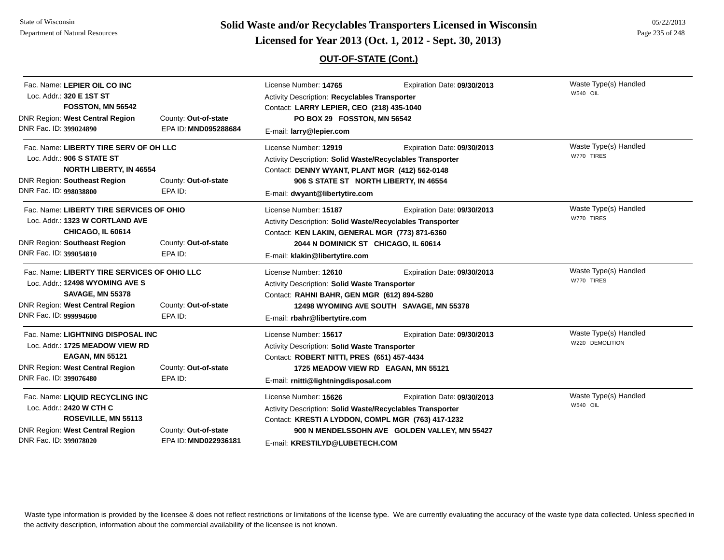# **Page 235 of 248 <b>Licensed for Year 2013 (Oct. 1, 2012 - Sept. 30, 2013) Page 235 of 248 Licensed for Year 2013 (Oct. 1, 2012 - Sept. 30, 2013)**

## **OUT-OF-STATE (Cont.)**

| Fac. Name: LEPIER OIL CO INC<br>Loc. Addr.: 320 E 1ST ST |                      | License Number: 14765<br>Activity Description: Recyclables Transporter | Expiration Date: 09/30/2013                    | Waste Type(s) Handled<br>W540 OIL |  |
|----------------------------------------------------------|----------------------|------------------------------------------------------------------------|------------------------------------------------|-----------------------------------|--|
| FOSSTON, MN 56542                                        |                      | Contact: LARRY LEPIER, CEO (218) 435-1040                              |                                                |                                   |  |
| <b>DNR Region: West Central Region</b>                   | County: Out-of-state | PO BOX 29 FOSSTON, MN 56542                                            |                                                |                                   |  |
| DNR Fac. ID: 399024890                                   | EPA ID: MND095288684 | E-mail: larry@lepier.com                                               |                                                |                                   |  |
| Fac. Name: LIBERTY TIRE SERV OF OH LLC                   |                      | License Number: 12919                                                  | Expiration Date: 09/30/2013                    | Waste Type(s) Handled             |  |
| Loc. Addr.: 906 S STATE ST                               |                      | Activity Description: Solid Waste/Recyclables Transporter              |                                                | W770 TIRES                        |  |
| <b>NORTH LIBERTY, IN 46554</b>                           |                      | Contact: DENNY WYANT, PLANT MGR (412) 562-0148                         |                                                |                                   |  |
| <b>DNR Region: Southeast Region</b>                      | County: Out-of-state |                                                                        | 906 S STATE ST NORTH LIBERTY, IN 46554         |                                   |  |
| DNR Fac. ID: 998038800                                   | EPA ID:              | E-mail: dwyant@libertytire.com                                         |                                                |                                   |  |
| Fac. Name: LIBERTY TIRE SERVICES OF OHIO                 |                      | License Number: 15187                                                  | Expiration Date: 09/30/2013                    | Waste Type(s) Handled             |  |
| Loc. Addr.: 1323 W CORTLAND AVE                          |                      | Activity Description: Solid Waste/Recyclables Transporter              |                                                | W770 TIRES                        |  |
| CHICAGO, IL 60614                                        |                      |                                                                        | Contact: KEN LAKIN, GENERAL MGR (773) 871-6360 |                                   |  |
| <b>DNR Region: Southeast Region</b>                      | County: Out-of-state | 2044 N DOMINICK ST CHICAGO, IL 60614                                   |                                                |                                   |  |
| DNR Fac. ID: 399054810                                   | EPA ID:              | E-mail: klakin@libertytire.com                                         |                                                |                                   |  |
| Fac. Name: LIBERTY TIRE SERVICES OF OHIO LLC             |                      | License Number: 12610                                                  | Expiration Date: 09/30/2013                    | Waste Type(s) Handled             |  |
| Loc. Addr.: 12498 WYOMING AVE S                          |                      | Activity Description: Solid Waste Transporter                          |                                                | W770 TIRES                        |  |
| <b>SAVAGE, MN 55378</b>                                  |                      | Contact: RAHNI BAHR, GEN MGR (612) 894-5280                            |                                                |                                   |  |
| DNR Region: West Central Region                          | County: Out-of-state |                                                                        | 12498 WYOMING AVE SOUTH SAVAGE, MN 55378       |                                   |  |
| DNR Fac. ID: 999994600                                   | EPA ID:              | E-mail: rbahr@libertytire.com                                          |                                                |                                   |  |
| Fac. Name: LIGHTNING DISPOSAL INC                        |                      | License Number: 15617                                                  | Expiration Date: 09/30/2013                    | Waste Type(s) Handled             |  |
| Loc. Addr.: 1725 MEADOW VIEW RD                          |                      | Activity Description: Solid Waste Transporter                          |                                                | W220 DEMOLITION                   |  |
| <b>EAGAN, MN 55121</b>                                   |                      | Contact: ROBERT NITTI, PRES (651) 457-4434                             |                                                |                                   |  |
| <b>DNR Region: West Central Region</b>                   | County: Out-of-state | 1725 MEADOW VIEW RD EAGAN, MN 55121                                    |                                                |                                   |  |
| DNR Fac. ID: 399076480                                   | EPA ID:              | E-mail: rnitti@lightningdisposal.com                                   |                                                |                                   |  |
| Fac. Name: LIQUID RECYCLING INC                          |                      | License Number: 15626                                                  | Expiration Date: 09/30/2013                    | Waste Type(s) Handled             |  |
| Loc. Addr.: 2420 W CTH C                                 |                      | Activity Description: Solid Waste/Recyclables Transporter              | <b>W540 OIL</b>                                |                                   |  |
| ROSEVILLE, MN 55113                                      |                      | Contact: KRESTI A LYDDON, COMPL MGR (763) 417-1232                     |                                                |                                   |  |
| <b>DNR Region: West Central Region</b>                   | County: Out-of-state |                                                                        | 900 N MENDELSSOHN AVE GOLDEN VALLEY, MN 55427  |                                   |  |
| DNR Fac. ID: 399078020                                   | EPA ID: MND022936181 | E-mail: KRESTILYD@LUBETECH.COM                                         |                                                |                                   |  |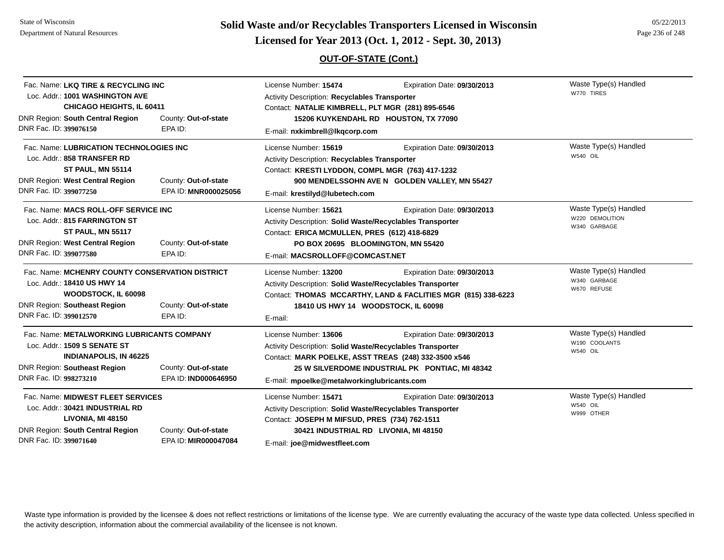# **Page 236 of 248 <b>Licensed for Year 2013 (Oct. 1, 2012 - Sept. 30, 2013) Page 236 of 248 Licensed for Year 2013 (Oct. 1, 2012 - Sept. 30, 2013)**

## **OUT-OF-STATE (Cont.)**

| Fac. Name: LKQ TIRE & RECYCLING INC             |                      | License Number: 15474                                            | Expiration Date: 09/30/2013                                   | Waste Type(s) Handled |
|-------------------------------------------------|----------------------|------------------------------------------------------------------|---------------------------------------------------------------|-----------------------|
| Loc. Addr.: 1001 WASHINGTON AVE                 |                      | Activity Description: Recyclables Transporter                    |                                                               | W770 TIRES            |
| CHICAGO HEIGHTS, IL 60411                       |                      | Contact: NATALIE KIMBRELL, PLT MGR (281) 895-6546                |                                                               |                       |
| DNR Region: South Central Region                | County: Out-of-state |                                                                  | 15206 KUYKENDAHL RD HOUSTON, TX 77090                         |                       |
| DNR Fac. ID: 399076150                          | EPA ID:              | E-mail: nxkimbrell@lkqcorp.com                                   |                                                               |                       |
| Fac. Name: LUBRICATION TECHNOLOGIES INC         |                      | License Number: 15619                                            | Expiration Date: 09/30/2013                                   | Waste Type(s) Handled |
| Loc. Addr.: 858 TRANSFER RD                     |                      | Activity Description: Recyclables Transporter                    |                                                               | W540 OIL              |
| <b>ST PAUL, MN 55114</b>                        |                      | Contact: KRESTI LYDDON, COMPL MGR (763) 417-1232                 |                                                               |                       |
| DNR Region: West Central Region                 | County: Out-of-state |                                                                  | 900 MENDELSSOHN AVE N GOLDEN VALLEY, MN 55427                 |                       |
| DNR Fac. ID: 399077250                          | EPA ID: MNR000025056 | E-mail: krestilyd@lubetech.com                                   |                                                               |                       |
| Fac. Name: MACS ROLL-OFF SERVICE INC            |                      | License Number: 15621                                            | Expiration Date: 09/30/2013                                   | Waste Type(s) Handled |
| Loc. Addr.: 815 FARRINGTON ST                   |                      | Activity Description: Solid Waste/Recyclables Transporter        | W220 DEMOLITION                                               |                       |
| ST PAUL, MN 55117                               |                      | Contact: ERICA MCMULLEN, PRES (612) 418-6829                     | W340 GARBAGE                                                  |                       |
| <b>DNR Region: West Central Region</b>          | County: Out-of-state | PO BOX 20695 BLOOMINGTON, MN 55420                               |                                                               |                       |
| DNR Fac. ID: 399077580                          | EPA ID:              | E-mail: MACSROLLOFF@COMCAST.NET                                  |                                                               |                       |
| Fac. Name: MCHENRY COUNTY CONSERVATION DISTRICT |                      | License Number: 13200                                            | Expiration Date: 09/30/2013                                   | Waste Type(s) Handled |
| Loc. Addr.: 18410 US HWY 14                     |                      | Activity Description: Solid Waste/Recyclables Transporter        |                                                               | W340 GARBAGE          |
| WOODSTOCK, IL 60098                             |                      |                                                                  | Contact: THOMAS MCCARTHY, LAND & FACLITIES MGR (815) 338-6223 | W670 REFUSE           |
| <b>DNR Region: Southeast Region</b>             | County: Out-of-state | 18410 US HWY 14 WOODSTOCK, IL 60098                              |                                                               |                       |
| DNR Fac. ID: 399012570                          | EPA ID:              | E-mail:                                                          |                                                               |                       |
| Fac. Name: METALWORKING LUBRICANTS COMPANY      |                      | License Number: 13606                                            | Expiration Date: 09/30/2013                                   | Waste Type(s) Handled |
| Loc. Addr.: 1509 S SENATE ST                    |                      | Activity Description: Solid Waste/Recyclables Transporter        |                                                               | W190 COOLANTS         |
| <b>INDIANAPOLIS, IN 46225</b>                   |                      | Contact: MARK POELKE, ASST TREAS (248) 332-3500 x546             |                                                               | W540 OIL              |
| <b>DNR Region: Southeast Region</b>             | County: Out-of-state |                                                                  | 25 W SILVERDOME INDUSTRIAL PK PONTIAC, MI 48342               |                       |
| DNR Fac. ID: 998273210                          | EPA ID: IND000646950 | E-mail: mpoelke@metalworkinglubricants.com                       |                                                               |                       |
| Fac. Name: MIDWEST FLEET SERVICES               |                      | License Number: 15471                                            | Expiration Date: 09/30/2013                                   | Waste Type(s) Handled |
| Loc. Addr.: 30421 INDUSTRIAL RD                 |                      | <b>Activity Description: Solid Waste/Recyclables Transporter</b> |                                                               | W540 OIL              |
| LIVONIA, MI 48150                               |                      | Contact: JOSEPH M MIFSUD, PRES (734) 762-1511                    |                                                               | W999 OTHER            |
| DNR Region: South Central Region                | County: Out-of-state | 30421 INDUSTRIAL RD LIVONIA, MI 48150                            |                                                               |                       |
| DNR Fac. ID: 399071640                          | EPA ID: MIR000047084 | E-mail: joe@midwestfleet.com                                     |                                                               |                       |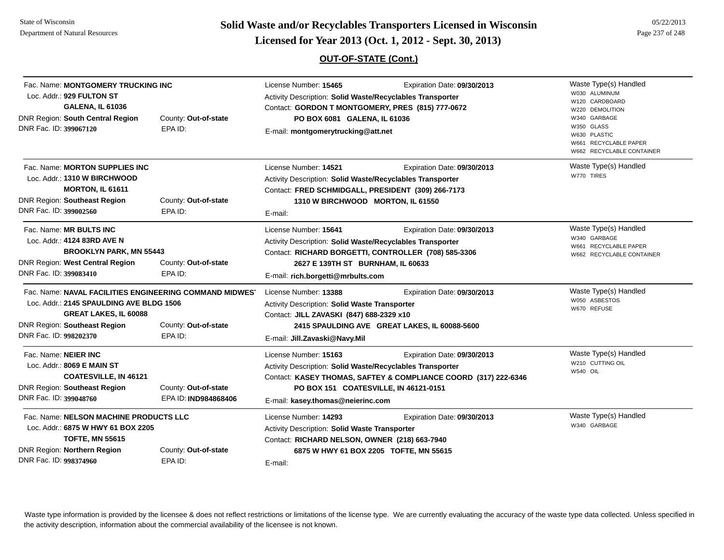State of WisconsinDepartment of Natural Resources

**Page 237 of 248 <b>Licensed for Year 2013 (Oct. 1, 2012 - Sept. 30, 2013) Page 237 of 248 Licensed for Year 2013 (Oct. 1, 2012 - Sept. 30, 2013)** 

| Fac. Name: MONTGOMERY TRUCKING INC<br>Loc. Addr.: 929 FULTON ST<br><b>GALENA, IL 61036</b><br>DNR Region: South Central Region<br>DNR Fac. ID: 399067120                                                  | County: Out-of-state<br>EPA ID:              | License Number: 15465<br>Activity Description: Solid Waste/Recyclables Transporter<br>Contact: GORDON T MONTGOMERY, PRES (815) 777-0672<br>PO BOX 6081 GALENA, IL 61036<br>E-mail: montgomerytrucking@att.net | Expiration Date: 09/30/2013                                                                    | Waste Type(s) Handled<br>W030 ALUMINUM<br>W120 CARDBOARD<br>W220 DEMOLITION<br>W340 GARBAGE<br>W350 GLASS<br>W630 PLASTIC<br>W661 RECYCLABLE PAPER<br>W662 RECYCLABLE CONTAINER |
|-----------------------------------------------------------------------------------------------------------------------------------------------------------------------------------------------------------|----------------------------------------------|---------------------------------------------------------------------------------------------------------------------------------------------------------------------------------------------------------------|------------------------------------------------------------------------------------------------|---------------------------------------------------------------------------------------------------------------------------------------------------------------------------------|
| Fac. Name: <b>MORTON SUPPLIES INC</b><br>Loc. Addr.: 1310 W BIRCHWOOD<br>MORTON, IL 61611<br><b>DNR Region: Southeast Region</b><br>DNR Fac. ID: 399002560                                                | County: Out-of-state<br>EPA ID:              | License Number: 14521<br>Activity Description: Solid Waste/Recyclables Transporter<br>Contact: FRED SCHMIDGALL, PRESIDENT (309) 266-7173<br>1310 W BIRCHWOOD MORTON, IL 61550<br>E-mail:                      | Expiration Date: 09/30/2013                                                                    | Waste Type(s) Handled<br>W770 TIRES                                                                                                                                             |
| Fac. Name: MR BULTS INC<br>Loc. Addr.: 4124 83RD AVE N<br><b>BROOKLYN PARK, MN 55443</b><br><b>DNR Region: West Central Region</b><br>DNR Fac. ID: 399083410                                              | County: Out-of-state<br>EPA ID:              | License Number: 15641<br>Activity Description: Solid Waste/Recyclables Transporter<br>2627 E 139TH ST BURNHAM, IL 60633<br>E-mail: rich.borgetti@mrbults.com                                                  | Expiration Date: 09/30/2013<br>Contact: RICHARD BORGETTI, CONTROLLER (708) 585-3306            | Waste Type(s) Handled<br>W340 GARBAGE<br>W661 RECYCLABLE PAPER<br>W662 RECYCLABLE CONTAINER                                                                                     |
| Fac. Name: NAVAL FACILITIES ENGINEERING COMMAND MIDWES'<br>Loc. Addr.: 2145 SPAULDING AVE BLDG 1506<br><b>GREAT LAKES, IL 60088</b><br><b>DNR Region: Southeast Region</b><br>DNR Fac. ID: 998202370      | County: Out-of-state<br>EPA ID:              | License Number: 13388<br><b>Activity Description: Solid Waste Transporter</b><br>Contact: JILL ZAVASKI (847) 688-2329 x10<br>E-mail: Jill.Zavaski@Navy.Mil                                                    | Expiration Date: 09/30/2013<br>2415 SPAULDING AVE GREAT LAKES, IL 60088-5600                   | Waste Type(s) Handled<br>W050 ASBESTOS<br>W670 REFUSE                                                                                                                           |
| Fac. Name: NEIER INC<br>Loc. Addr.: 8069 E MAIN ST<br><b>COATESVILLE, IN 46121</b><br><b>DNR Region: Southeast Region</b><br>DNR Fac. ID: 399048760                                                       | County: Out-of-state<br>EPA ID: IND984868406 | License Number: 15163<br>Activity Description: Solid Waste/Recyclables Transporter<br>PO BOX 151 COATESVILLE, IN 46121-0151<br>E-mail: kasey.thomas@neierinc.com                                              | Expiration Date: 09/30/2013<br>Contact: KASEY THOMAS, SAFTEY & COMPLIANCE COORD (317) 222-6346 | Waste Type(s) Handled<br>W210 CUTTING OIL<br><b>W540 OIL</b>                                                                                                                    |
| Fac. Name: NELSON MACHINE PRODUCTS LLC<br>Loc. Addr.: 6875 W HWY 61 BOX 2205<br><b>TOFTE, MN 55615</b><br><b>DNR Region: Northern Region</b><br>County: Out-of-state<br>DNR Fac. ID: 998374960<br>EPA ID: |                                              | License Number: 14293<br>Activity Description: Solid Waste Transporter<br>Contact: RICHARD NELSON, OWNER (218) 663-7940<br>E-mail:                                                                            | Expiration Date: 09/30/2013<br>6875 W HWY 61 BOX 2205 TOFTE, MN 55615                          | Waste Type(s) Handled<br>W340 GARBAGE                                                                                                                                           |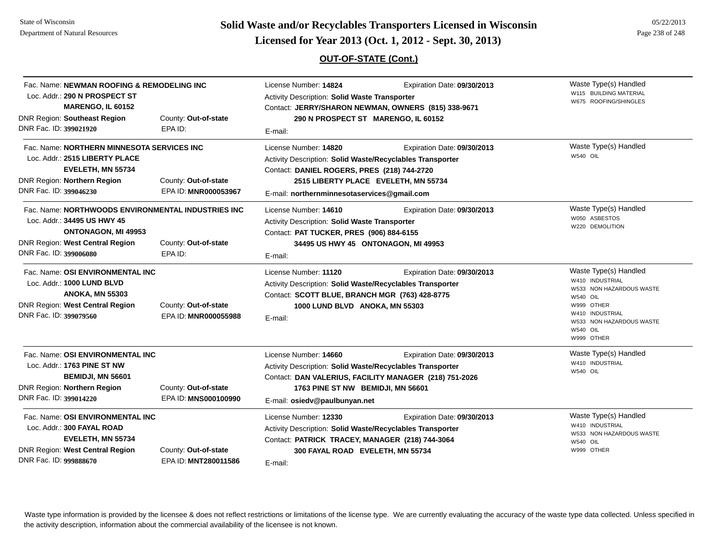# **Page 238 of 248 <b>Licensed for Year 2013 (Oct. 1, 2012 - Sept. 30, 2013) Page 238 of 248 Licensed for Year 2013 (Oct. 1, 2012 - Sept. 30, 2013)**

## **OUT-OF-STATE (Cont.)**

| Fac. Name: NEWMAN ROOFING & REMODELING INC<br>Loc. Addr.: 290 N PROSPECT ST<br>MARENGO, IL 60152<br><b>DNR Region: Southeast Region</b>                                                                  | County: Out-of-state                         | License Number: 14824<br><b>Activity Description: Solid Waste Transporter</b><br>Contact: JERRY/SHARON NEWMAN, OWNERS (815) 338-9671<br>290 N PROSPECT ST MARENGO, IL 60152                         | Waste Type(s) Handled<br>W115 BUILDING MATERIAL<br>W675 ROOFING/SHINGLES              |                                                                                                                                                                                       |
|----------------------------------------------------------------------------------------------------------------------------------------------------------------------------------------------------------|----------------------------------------------|-----------------------------------------------------------------------------------------------------------------------------------------------------------------------------------------------------|---------------------------------------------------------------------------------------|---------------------------------------------------------------------------------------------------------------------------------------------------------------------------------------|
| DNR Fac. ID: 399021920                                                                                                                                                                                   | EPA ID:                                      | E-mail:                                                                                                                                                                                             |                                                                                       |                                                                                                                                                                                       |
| Fac. Name: NORTHERN MINNESOTA SERVICES INC<br>Loc. Addr.: 2515 LIBERTY PLACE<br>EVELETH, MN 55734<br>DNR Region: Northern Region<br>DNR Fac. ID: 399046230                                               | County: Out-of-state<br>EPA ID: MNR000053967 | License Number: 14820<br>Activity Description: Solid Waste/Recyclables Transporter<br>Contact: DANIEL ROGERS, PRES (218) 744-2720<br>E-mail: northernminnesotaservices@gmail.com                    | Expiration Date: 09/30/2013<br>2515 LIBERTY PLACE EVELETH, MN 55734                   | Waste Type(s) Handled<br>W540 OIL                                                                                                                                                     |
| Fac. Name: NORTHWOODS ENVIRONMENTAL INDUSTRIES INC<br>Loc. Addr.: 34495 US HWY 45<br>ONTONAGON, MI 49953<br>DNR Region: West Central Region<br>County: Out-of-state<br>DNR Fac. ID: 399006080<br>EPA ID: |                                              | License Number: 14610<br>Expiration Date: 09/30/2013<br>Activity Description: Solid Waste Transporter<br>Contact: PAT TUCKER, PRES (906) 884-6155<br>34495 US HWY 45 ONTONAGON, MI 49953<br>E-mail: |                                                                                       | Waste Type(s) Handled<br>W050 ASBESTOS<br>W220 DEMOLITION                                                                                                                             |
| Fac. Name: OSI ENVIRONMENTAL INC<br>Loc. Addr.: 1000 LUND BLVD<br><b>ANOKA, MN 55303</b><br>DNR Region: West Central Region<br>DNR Fac. ID: 399079560                                                    | County: Out-of-state<br>EPA ID: MNR000055988 | License Number: 11120<br>Activity Description: Solid Waste/Recyclables Transporter<br>Contact: SCOTT BLUE, BRANCH MGR (763) 428-8775<br>1000 LUND BLVD ANOKA, MN 55303<br>E-mail:                   | Expiration Date: 09/30/2013                                                           | Waste Type(s) Handled<br>W410 INDUSTRIAL<br>W533 NON HAZARDOUS WASTE<br><b>W540 OIL</b><br>W999 OTHER<br>W410 INDUSTRIAL<br>W533 NON HAZARDOUS WASTE<br><b>W540 OIL</b><br>W999 OTHER |
| Fac. Name: OSI ENVIRONMENTAL INC<br>Loc. Addr.: 1763 PINE ST NW<br><b>BEMIDJI, MN 56601</b><br>DNR Region: Northern Region<br>DNR Fac. ID: 399014220                                                     | County: Out-of-state<br>EPA ID: MNS000100990 | License Number: 14660<br>Activity Description: Solid Waste/Recyclables Transporter<br>1763 PINE ST NW BEMIDJI, MN 56601<br>E-mail: osiedv@paulbunyan.net                                            | Expiration Date: 09/30/2013<br>Contact: DAN VALERIUS, FACILITY MANAGER (218) 751-2026 | Waste Type(s) Handled<br>W410 INDUSTRIAL<br><b>W540 OIL</b>                                                                                                                           |
| Fac. Name: OSI ENVIRONMENTAL INC<br>Loc. Addr.: 300 FAYAL ROAD<br>EVELETH, MN 55734<br><b>DNR Region: West Central Region</b><br>County: Out-of-state<br>DNR Fac. ID: 999888670<br>EPA ID: MNT280011586  |                                              | License Number: 12330<br>Activity Description: Solid Waste/Recyclables Transporter<br>Contact: PATRICK TRACEY, MANAGER (218) 744-3064<br>300 FAYAL ROAD EVELETH, MN 55734<br>E-mail:                | Expiration Date: 09/30/2013                                                           | Waste Type(s) Handled<br>W410 INDUSTRIAL<br>W533 NON HAZARDOUS WASTE<br><b>W540 OIL</b><br>W999 OTHER                                                                                 |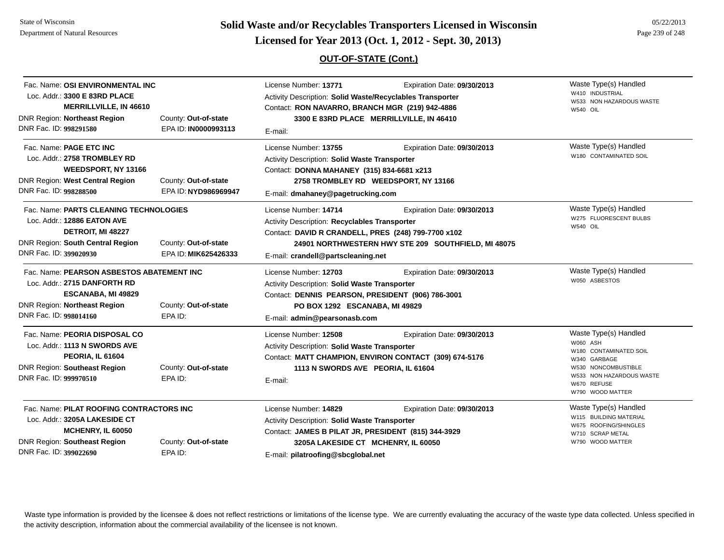State of WisconsinDepartment of Natural Resources

**Page 239 of 248 <b>Licensed for Year 2013 (Oct. 1, 2012 - Sept. 30, 2013) Page 239 of 248 Licensed for Year 2013 (Oct. 1, 2012 - Sept. 30, 2013)** 

## **OUT-OF-STATE (Cont.)**

| Fac. Name: OSI ENVIRONMENTAL INC<br>Loc. Addr.: 3300 E 83RD PLACE<br><b>MERRILLVILLE, IN 46610</b><br><b>DNR Region: Northeast Region</b><br>DNR Fac. ID: 998291580                                | County: Out-of-state<br>EPA ID: IN0000993113 | License Number: 13771<br>Activity Description: Solid Waste/Recyclables Transporter<br>Contact: RON NAVARRO, BRANCH MGR (219) 942-4886<br>E-mail:                                                                             | Expiration Date: 09/30/2013<br>3300 E 83RD PLACE MERRILLVILLE, IN 46410               | Waste Type(s) Handled<br>W410 INDUSTRIAL<br>W533 NON HAZARDOUS WASTE<br><b>W540 OIL</b>                                                                           |
|----------------------------------------------------------------------------------------------------------------------------------------------------------------------------------------------------|----------------------------------------------|------------------------------------------------------------------------------------------------------------------------------------------------------------------------------------------------------------------------------|---------------------------------------------------------------------------------------|-------------------------------------------------------------------------------------------------------------------------------------------------------------------|
| Fac. Name: <b>PAGE ETC INC</b><br>Loc. Addr.: 2758 TROMBLEY RD<br><b>WEEDSPORT, NY 13166</b><br><b>DNR Region: West Central Region</b><br>DNR Fac. ID: 998288500                                   | County: Out-of-state<br>EPA ID: NYD986969947 | License Number: 13755<br>Activity Description: Solid Waste Transporter<br>Contact: DONNA MAHANEY (315) 834-6681 x213<br>E-mail: dmahaney@pagetrucking.com                                                                    | Expiration Date: 09/30/2013<br>2758 TROMBLEY RD WEEDSPORT, NY 13166                   | Waste Type(s) Handled<br>W180 CONTAMINATED SOIL                                                                                                                   |
| Fac. Name: PARTS CLEANING TECHNOLOGIES<br>Loc. Addr.: 12886 EATON AVE<br>DETROIT, MI 48227<br><b>DNR Region: South Central Region</b><br>DNR Fac. ID: 399020930                                    | County: Out-of-state<br>EPA ID: MIK625426333 | License Number: 14714<br>Activity Description: Recyclables Transporter<br>Contact: DAVID R CRANDELL, PRES (248) 799-7700 x102<br>E-mail: crandell@partscleaning.net                                                          | Expiration Date: 09/30/2013<br>24901 NORTHWESTERN HWY STE 209 SOUTHFIELD, MI 48075    | Waste Type(s) Handled<br>W275 FLUORESCENT BULBS<br><b>W540 OIL</b>                                                                                                |
| Fac. Name: PEARSON ASBESTOS ABATEMENT INC<br>Loc. Addr.: 2715 DANFORTH RD<br><b>ESCANABA, MI 49829</b><br><b>DNR Region: Northeast Region</b><br>DNR Fac. ID: 998014160                            | County: Out-of-state<br>EPA ID:              | License Number: 12703<br>Expiration Date: 09/30/2013<br>Activity Description: Solid Waste Transporter<br>Contact: DENNIS PEARSON, PRESIDENT (906) 786-3001<br>PO BOX 1292 ESCANABA, MI 49829<br>E-mail: admin@pearsonasb.com |                                                                                       | Waste Type(s) Handled<br>W050 ASBESTOS                                                                                                                            |
| Fac. Name: PEORIA DISPOSAL CO<br>Loc. Addr.: 1113 N SWORDS AVE<br>PEORIA, IL 61604<br><b>DNR Region: Southeast Region</b><br>DNR Fac. ID: 999970510                                                | County: Out-of-state<br>EPA ID:              | License Number: 12508<br><b>Activity Description: Solid Waste Transporter</b><br>1113 N SWORDS AVE PEORIA, IL 61604<br>E-mail:                                                                                               | Expiration Date: 09/30/2013<br>Contact: MATT CHAMPION, ENVIRON CONTACT (309) 674-5176 | Waste Type(s) Handled<br>W060 ASH<br>W180 CONTAMINATED SOIL<br>W340 GARBAGE<br>W530 NONCOMBUSTIBLE<br>W533 NON HAZARDOUS WASTE<br>W670 REFUSE<br>W790 WOOD MATTER |
| Fac. Name: PILAT ROOFING CONTRACTORS INC<br>Loc. Addr.: 3205A LAKESIDE CT<br>MCHENRY, IL 60050<br><b>DNR Region: Southeast Region</b><br>County: Out-of-state<br>DNR Fac. ID: 399022690<br>EPA ID: |                                              | License Number: 14829<br>Activity Description: Solid Waste Transporter<br>Contact: JAMES B PILAT JR, PRESIDENT (815) 344-3929<br>3205A LAKESIDE CT MCHENRY, IL 60050<br>E-mail: pilatroofing@sbcglobal.net                   | Expiration Date: 09/30/2013                                                           | Waste Type(s) Handled<br>W115 BUILDING MATERIAL<br>W675 ROOFING/SHINGLES<br>W710 SCRAP METAL<br>W790 WOOD MATTER                                                  |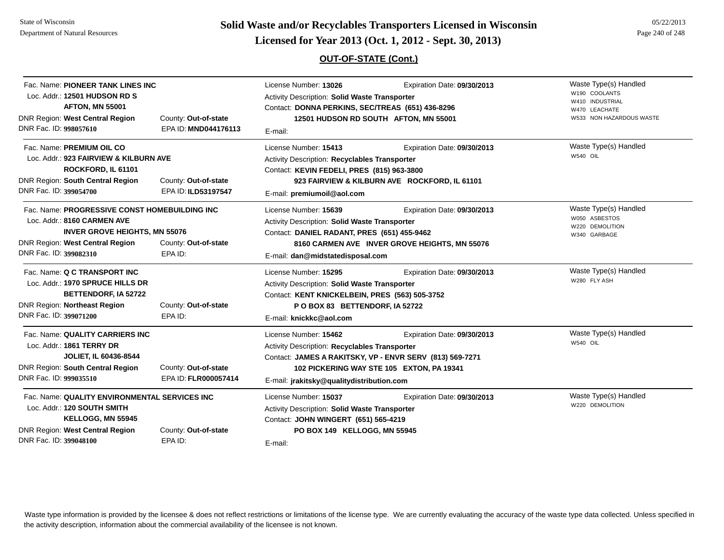State of WisconsinDepartment of Natural Resources

**Page 240 of 248 <b>Licensed for Year 2013 (Oct. 1, 2012 - Sept. 30, 2013) Page 240 of 248 Licensed for Year 2013 (Oct. 1, 2012 - Sept. 30, 2013)** 

## **OUT-OF-STATE (Cont.)**

| Fac. Name: PIONEER TANK LINES INC<br>Loc. Addr.: 12501 HUDSON RD S<br><b>AFTON, MN 55001</b><br>DNR Region: West Central Region<br>County: Out-of-state<br>DNR Fac. ID: 998057610<br>EPA ID: MND044176113<br>Fac. Name: PREMIUM OIL CO<br>Loc. Addr.: 923 FAIRVIEW & KILBURN AVE<br>ROCKFORD, IL 61101<br><b>DNR Region: South Central Region</b><br>County: Out-of-state<br>DNR Fac. ID: 399054700<br>EPA ID: ILD53197547 |                                              | License Number: 13026<br>Expiration Date: 09/30/2013<br><b>Activity Description: Solid Waste Transporter</b><br>Contact: DONNA PERKINS, SEC/TREAS (651) 436-8296<br>12501 HUDSON RD SOUTH AFTON, MN 55001<br>E-mail:<br>License Number: 15413<br>Expiration Date: 09/30/2013<br>Activity Description: Recyclables Transporter<br>Contact: KEVIN FEDELI, PRES (815) 963-3800<br>923 FAIRVIEW & KILBURN AVE ROCKFORD, IL 61101<br>E-mail: premiumoil@aol.com |                                                                                                                                      | Waste Type(s) Handled<br>W190 COOLANTS<br>W410 INDUSTRIAL<br>W470 LEACHATE<br>W533 NON HAZARDOUS WASTE<br>Waste Type(s) Handled<br>W540 OIL |
|----------------------------------------------------------------------------------------------------------------------------------------------------------------------------------------------------------------------------------------------------------------------------------------------------------------------------------------------------------------------------------------------------------------------------|----------------------------------------------|------------------------------------------------------------------------------------------------------------------------------------------------------------------------------------------------------------------------------------------------------------------------------------------------------------------------------------------------------------------------------------------------------------------------------------------------------------|--------------------------------------------------------------------------------------------------------------------------------------|---------------------------------------------------------------------------------------------------------------------------------------------|
|                                                                                                                                                                                                                                                                                                                                                                                                                            |                                              |                                                                                                                                                                                                                                                                                                                                                                                                                                                            |                                                                                                                                      |                                                                                                                                             |
| Fac. Name: Q C TRANSPORT INC<br>Loc. Addr.: 1970 SPRUCE HILLS DR<br><b>BETTENDORF, IA 52722</b><br><b>DNR Region: Northeast Region</b><br>DNR Fac. ID: 399071200                                                                                                                                                                                                                                                           | County: Out-of-state<br>EPA ID:              | License Number: 15295<br>Activity Description: Solid Waste Transporter<br>Contact: KENT KNICKELBEIN, PRES (563) 505-3752<br>PO BOX 83 BETTENDORF, IA 52722<br>E-mail: knickkc@aol.com                                                                                                                                                                                                                                                                      | Expiration Date: 09/30/2013                                                                                                          | Waste Type(s) Handled<br>W280 FLY ASH                                                                                                       |
| Fac. Name: QUALITY CARRIERS INC<br>Loc. Addr.: 1861 TERRY DR<br><b>JOLIET, IL 60436-8544</b><br><b>DNR Region: South Central Region</b><br>DNR Fac. ID: 999035510                                                                                                                                                                                                                                                          | County: Out-of-state<br>EPA ID: FLR000057414 | License Number: 15462<br>Activity Description: Recyclables Transporter<br>E-mail: jrakitsky@qualitydistribution.com                                                                                                                                                                                                                                                                                                                                        | Expiration Date: 09/30/2013<br>Contact: JAMES A RAKITSKY, VP - ENVR SERV (813) 569-7271<br>102 PICKERING WAY STE 105 EXTON, PA 19341 | Waste Type(s) Handled<br><b>W540 OIL</b>                                                                                                    |
| Fac. Name: QUALITY ENVIRONMENTAL SERVICES INC<br>Loc. Addr.: 120 SOUTH SMITH<br>KELLOGG, MN 55945<br>DNR Region: West Central Region<br>County: Out-of-state<br>DNR Fac. ID: 399048100<br>EPA ID:                                                                                                                                                                                                                          |                                              | License Number: 15037<br><b>Activity Description: Solid Waste Transporter</b><br>Contact: JOHN WINGERT (651) 565-4219<br>PO BOX 149 KELLOGG, MN 55945<br>E-mail:                                                                                                                                                                                                                                                                                           | Expiration Date: 09/30/2013                                                                                                          | Waste Type(s) Handled<br>W220 DEMOLITION                                                                                                    |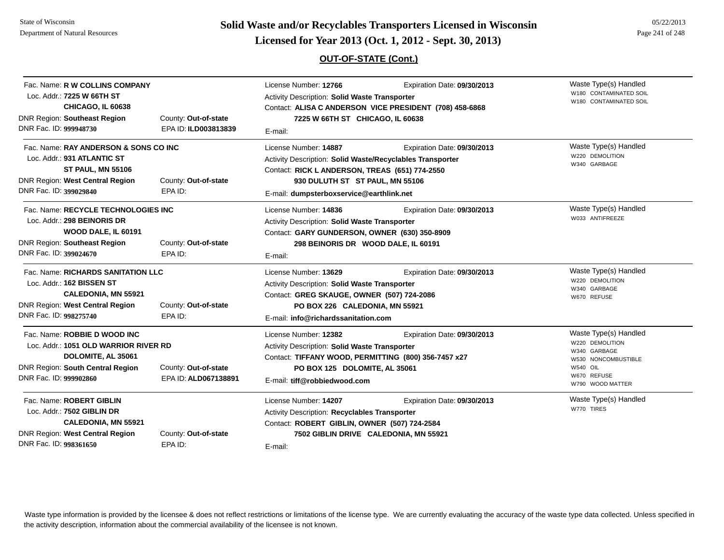# **Page 241 of 248 <b>Licensed for Year 2013 (Oct. 1, 2012 - Sept. 30, 2013) Page 241 of 248 Licensed for Year 2013 (Oct. 1, 2012 - Sept. 30, 2013)**

## **OUT-OF-STATE (Cont.)**

| Fac. Name: R W COLLINS COMPANY<br>Loc. Addr.: 7225 W 66TH ST<br>CHICAGO, IL 60638                                                                                                                       |                                              | License Number: 12766<br>Expiration Date: 09/30/2013<br>Activity Description: Solid Waste Transporter<br>Contact: ALISA C ANDERSON VICE PRESIDENT (708) 458-6868                                                    |                                                                      | Waste Type(s) Handled<br>W180 CONTAMINATED SOIL<br>W180 CONTAMINATED SOIL                                                      |
|---------------------------------------------------------------------------------------------------------------------------------------------------------------------------------------------------------|----------------------------------------------|---------------------------------------------------------------------------------------------------------------------------------------------------------------------------------------------------------------------|----------------------------------------------------------------------|--------------------------------------------------------------------------------------------------------------------------------|
| <b>DNR Region: Southeast Region</b>                                                                                                                                                                     | County: Out-of-state                         | 7225 W 66TH ST CHICAGO, IL 60638                                                                                                                                                                                    |                                                                      |                                                                                                                                |
| DNR Fac. ID: 999948730                                                                                                                                                                                  | EPA ID: ILD003813839                         | E-mail:                                                                                                                                                                                                             |                                                                      |                                                                                                                                |
| Fac. Name: RAY ANDERSON & SONS CO INC<br>Loc. Addr.: 931 ATLANTIC ST<br><b>ST PAUL, MN 55106</b><br><b>DNR Region: West Central Region</b><br>County: Out-of-state<br>DNR Fac. ID: 399029840<br>EPA ID: |                                              | License Number: 14887<br>Activity Description: Solid Waste/Recyclables Transporter<br>Contact: RICK L ANDERSON, TREAS (651) 774-2550<br>930 DULUTH ST ST PAUL, MN 55106<br>E-mail: dumpsterboxservice@earthlink.net | Expiration Date: 09/30/2013                                          | Waste Type(s) Handled<br>W220 DEMOLITION<br>W340 GARBAGE                                                                       |
| Fac. Name: RECYCLE TECHNOLOGIES INC<br>Loc. Addr.: 298 BEINORIS DR<br>WOOD DALE, IL 60191<br><b>DNR Region: Southeast Region</b><br>DNR Fac. ID: 399024670                                              | County: Out-of-state<br>EPA ID:              | License Number: 14836<br>Activity Description: Solid Waste Transporter<br>Contact: GARY GUNDERSON, OWNER (630) 350-8909<br>298 BEINORIS DR WOOD DALE, IL 60191<br>E-mail:                                           | Expiration Date: 09/30/2013                                          | Waste Type(s) Handled<br>W033 ANTIFREEZE                                                                                       |
| Fac. Name: RICHARDS SANITATION LLC<br>Loc. Addr.: 162 BISSEN ST<br><b>CALEDONIA, MN 55921</b><br>DNR Region: West Central Region<br>County: Out-of-state<br>DNR Fac. ID: 998275740<br>EPA ID:           |                                              | License Number: 13629<br>Activity Description: Solid Waste Transporter<br>Contact: GREG SKAUGE, OWNER (507) 724-2086<br>PO BOX 226 CALEDONIA, MN 55921<br>E-mail: info@richardssanitation.com                       | Expiration Date: 09/30/2013                                          | Waste Type(s) Handled<br>W220 DEMOLITION<br>W340 GARBAGE<br>W670 REFUSE                                                        |
| Fac. Name: ROBBIE D WOOD INC<br>Loc. Addr.: 1051 OLD WARRIOR RIVER RD<br>DOLOMITE, AL 35061<br><b>DNR Region: South Central Region</b><br>DNR Fac. ID: 999902860                                        | County: Out-of-state<br>EPA ID: ALD067138891 | License Number: 12382<br>Activity Description: Solid Waste Transporter<br>Contact: TIFFANY WOOD, PERMITTING (800) 356-7457 x27<br>PO BOX 125 DOLOMITE, AL 35061<br>E-mail: tiff@robbiedwood.com                     | Expiration Date: 09/30/2013                                          | Waste Type(s) Handled<br>W220 DEMOLITION<br>W340 GARBAGE<br>W530 NONCOMBUSTIBLE<br>W540 OIL<br>W670 REFUSE<br>W790 WOOD MATTER |
| Fac. Name: ROBERT GIBLIN<br>Loc. Addr.: 7502 GIBLIN DR<br>CALEDONIA, MN 55921<br><b>DNR Region: West Central Region</b><br>DNR Fac. ID: 998361650                                                       | County: Out-of-state<br>EPA ID:              | License Number: 14207<br>Activity Description: Recyclables Transporter<br>Contact: ROBERT GIBLIN, OWNER (507) 724-2584<br>E-mail:                                                                                   | Expiration Date: 09/30/2013<br>7502 GIBLIN DRIVE CALEDONIA, MN 55921 | Waste Type(s) Handled<br>W770 TIRES                                                                                            |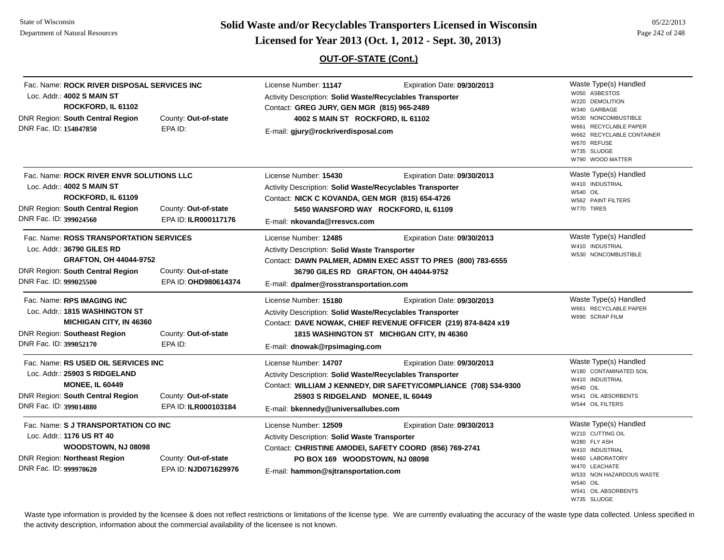**Page 242 of 248 <b>Licensed for Year 2013 (Oct. 1, 2012 - Sept. 30, 2013) Page 242 of 248 Licensed for Year 2013 (Oct. 1, 2012 - Sept. 30, 2013)** 

## **OUT-OF-STATE (Cont.)**

05/22/2013

| Fac. Name: ROCK RIVER DISPOSAL SERVICES INC<br>Loc. Addr.: 4002 S MAIN ST<br>ROCKFORD, IL 61102<br><b>DNR Region: South Central Region</b><br>DNR Fac. ID: 154047850                                              | County: Out-of-state<br>EPA ID:              | License Number: 11147<br>Activity Description: Solid Waste/Recyclables Transporter<br>Contact: GREG JURY, GEN MGR (815) 965-2489<br>4002 S MAIN ST ROCKFORD, IL 61102<br>E-mail: gjury@rockriverdisposal.com                              | Waste Type(s) Handled<br>Expiration Date: 09/30/2013<br>W050 ASBESTOS<br>W220 DEMOLITION<br>W340 GARBAGE<br>W530 NONCOMBUSTIBLE<br>W661 RECYCLABLE PAPER<br>W662 RECYCLABLE CONTAINER<br>W670 REFUSE<br>W735 SLUDGE<br>W790 WOOD MATTER |
|-------------------------------------------------------------------------------------------------------------------------------------------------------------------------------------------------------------------|----------------------------------------------|-------------------------------------------------------------------------------------------------------------------------------------------------------------------------------------------------------------------------------------------|-----------------------------------------------------------------------------------------------------------------------------------------------------------------------------------------------------------------------------------------|
| Fac. Name: ROCK RIVER ENVR SOLUTIONS LLC<br>Loc. Addr.: 4002 S MAIN ST<br>ROCKFORD, IL 61109<br><b>DNR Region: South Central Region</b><br>County: Out-of-state<br>DNR Fac. ID: 399024560<br>EPA ID: ILR000117176 |                                              | License Number: 15430<br>Activity Description: Solid Waste/Recyclables Transporter<br>Contact: NICK C KOVANDA, GEN MGR (815) 654-4726<br>5450 WANSFORD WAY ROCKFORD, IL 61109<br>E-mail: nkovanda@rresvcs.com                             | Waste Type(s) Handled<br>Expiration Date: 09/30/2013<br>W410 INDUSTRIAL<br>W540 OIL<br>W562 PAINT FILTERS<br>W770 TIRES                                                                                                                 |
| Fac. Name: ROSS TRANSPORTATION SERVICES<br>Loc. Addr.: 36790 GILES RD<br><b>GRAFTON, OH 44044-9752</b><br>DNR Region: South Central Region<br>DNR Fac. ID: 999025500                                              | County: Out-of-state<br>EPA ID: OHD980614374 | License Number: 12485<br>Activity Description: Solid Waste Transporter<br>Contact: DAWN PALMER, ADMIN EXEC ASST TO PRES (800) 783-6555<br>36790 GILES RD GRAFTON, OH 44044-9752<br>E-mail: dpalmer@rosstransportation.com                 | Waste Type(s) Handled<br>Expiration Date: 09/30/2013<br>W410 INDUSTRIAL<br>W530 NONCOMBUSTIBLE                                                                                                                                          |
| Fac. Name: RPS IMAGING INC<br>Loc. Addr.: 1815 WASHINGTON ST<br><b>MICHIGAN CITY, IN 46360</b><br><b>DNR Region: Southeast Region</b><br>DNR Fac. ID: 399052170                                                   | County: Out-of-state<br>EPA ID:              | License Number: 15180<br><b>Activity Description: Solid Waste/Recyclables Transporter</b><br>Contact: DAVE NOWAK, CHIEF REVENUE OFFICER (219) 874-8424 x19<br>1815 WASHINGTON ST MICHIGAN CITY, IN 46360<br>E-mail: dnowak@rpsimaging.com | Waste Type(s) Handled<br>Expiration Date: 09/30/2013<br>W661 RECYCLABLE PAPER<br>W690 SCRAP FILM                                                                                                                                        |
| Fac. Name: RS USED OIL SERVICES INC<br>Loc. Addr.: 25903 S RIDGELAND<br><b>MONEE, IL 60449</b><br><b>DNR Region: South Central Region</b><br>DNR Fac. ID: 399014880                                               | County: Out-of-state<br>EPA ID: ILR000103184 | License Number: 14707<br>Activity Description: Solid Waste/Recyclables Transporter<br>Contact: WILLIAM J KENNEDY, DIR SAFETY/COMPLIANCE (708) 534-9300<br>25903 S RIDGELAND MONEE, IL 60449<br>E-mail: bkennedy@universallubes.com        | Waste Type(s) Handled<br>Expiration Date: 09/30/2013<br>W180 CONTAMINATED SOIL<br>W410 INDUSTRIAL<br><b>W540 OIL</b><br>W541 OIL ABSORBENTS<br>W544 OIL FILTERS                                                                         |
| Fac. Name: S J TRANSPORTATION CO INC<br>Loc. Addr.: 1176 US RT 40<br>WOODSTOWN, NJ 08098<br><b>DNR Region: Northeast Region</b><br>DNR Fac. ID: 999970620                                                         | County: Out-of-state<br>EPA ID: NJD071629976 | License Number: 12509<br><b>Activity Description: Solid Waste Transporter</b><br>Contact: CHRISTINE AMODEI, SAFETY COORD (856) 769-2741<br>PO BOX 169 WOODSTOWN, NJ 08098<br>E-mail: hammon@sjtransportation.com                          | Waste Type(s) Handled<br>Expiration Date: 09/30/2013<br>W210 CUTTING OIL<br>W280 FLY ASH<br>W410 INDUSTRIAL<br>W460 LABORATORY<br>W470 LEACHATE<br>W533 NON HAZARDOUS WASTE<br><b>W540 OIL</b><br>W541 OIL ABSORBENTS<br>W735 SLUDGE    |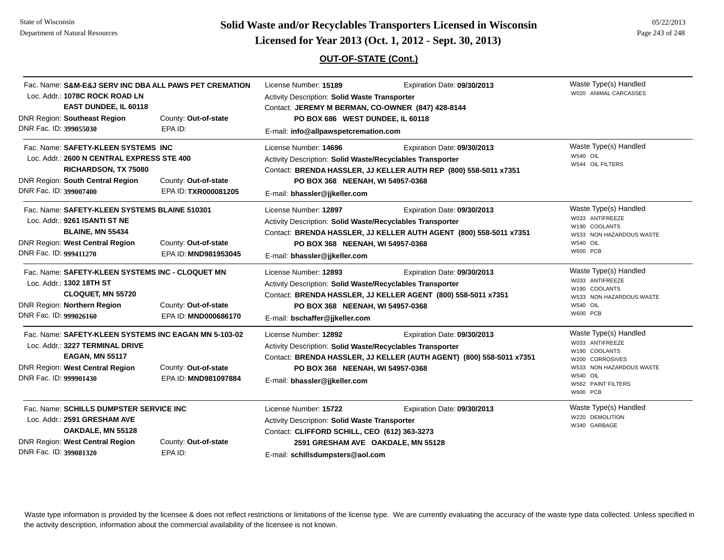# **Page 243 of 22/2013 Licensed for Year 2013 (Oct. 1, 2012 - Sept. 30, 2013) Page 243 of 248 Licensed for Year 2013 (Oct. 1, 2012 - Sept. 30, 2013)**

## **OUT-OF-STATE (Cont.)**

| Fac. Name: S&M-E&J SERV INC DBA ALL PAWS PET CREMATION<br>Loc. Addr.: 1078C ROCK ROAD LN<br>EAST DUNDEE, IL 60118                                                                            |                                                                                                                    | License Number: 15189                                                                                                                                                                            | Expiration Date: 09/30/2013<br>Activity Description: Solid Waste Transporter<br>Contact: JEREMY M BERMAN, CO-OWNER (847) 428-8144 |                                                                                                                                                                      |
|----------------------------------------------------------------------------------------------------------------------------------------------------------------------------------------------|--------------------------------------------------------------------------------------------------------------------|--------------------------------------------------------------------------------------------------------------------------------------------------------------------------------------------------|-----------------------------------------------------------------------------------------------------------------------------------|----------------------------------------------------------------------------------------------------------------------------------------------------------------------|
| <b>DNR Region: Southeast Region</b><br>DNR Fac. ID: 399055030                                                                                                                                | County: Out-of-state<br>EPA ID:                                                                                    | PO BOX 686 WEST DUNDEE, IL 60118<br>E-mail: info@allpawspetcremation.com                                                                                                                         |                                                                                                                                   |                                                                                                                                                                      |
| Fac. Name: SAFETY-KLEEN SYSTEMS INC<br>DNR Region: South Central Region<br>DNR Fac. ID: 399007400                                                                                            | Loc. Addr.: 2600 N CENTRAL EXPRESS STE 400<br>RICHARDSON, TX 75080<br>County: Out-of-state<br>EPA ID: TXR000081205 | License Number: 14696<br>Activity Description: Solid Waste/Recyclables Transporter<br>PO BOX 368 NEENAH, WI 54957-0368<br>E-mail: bhassler@jjkeller.com                                          | Expiration Date: 09/30/2013<br>Contact: BRENDA HASSLER, JJ KELLER AUTH REP (800) 558-5011 x7351                                   | Waste Type(s) Handled<br>W540 OIL<br>W544 OIL FILTERS                                                                                                                |
| Loc. Addr.: 9261 ISANTI ST NE<br><b>BLAINE, MN 55434</b><br><b>DNR Region: West Central Region</b><br>DNR Fac. ID: 999411270                                                                 | Fac. Name: SAFETY-KLEEN SYSTEMS BLAINE 510301<br>County: Out-of-state<br>EPA ID: MND981953045                      | License Number: 12897<br>Activity Description: Solid Waste/Recyclables Transporter<br>PO BOX 368 NEENAH, WI 54957-0368<br>E-mail: bhassler@jjkeller.com                                          | Expiration Date: 09/30/2013<br>Contact: BRENDA HASSLER, JJ KELLER AUTH AGENT (800) 558-5011 x7351                                 | Waste Type(s) Handled<br>W033 ANTIFREEZE<br>W190 COOLANTS<br>W533 NON HAZARDOUS WASTE<br>W540 OIL<br><b>W600 PCB</b>                                                 |
| Loc. Addr.: 1302 18TH ST<br><b>CLOQUET, MN 55720</b><br>DNR Region: Northern Region<br>DNR Fac. ID: 999026160                                                                                | Fac. Name: SAFETY-KLEEN SYSTEMS INC - CLOQUET MN<br>County: Out-of-state<br>EPA ID: MND000686170                   | License Number: 12893<br>Activity Description: Solid Waste/Recyclables Transporter<br>PO BOX 368 NEENAH, WI 54957-0368<br>E-mail: bschaffer@jjkeller.com                                         | Expiration Date: 09/30/2013<br>Contact: BRENDA HASSLER, JJ KELLER AGENT (800) 558-5011 x7351                                      | Waste Type(s) Handled<br>W033 ANTIFREEZE<br>W190 COOLANTS<br>W533 NON HAZARDOUS WASTE<br><b>W540 OIL</b><br><b>W600 PCB</b>                                          |
| Loc. Addr.: 3227 TERMINAL DRIVE<br><b>EAGAN, MN 55117</b><br>DNR Region: West Central Region<br>DNR Fac. ID: 999901430                                                                       | Fac. Name: SAFETY-KLEEN SYSTEMS INC EAGAN MN 5-103-02<br>County: Out-of-state<br>EPA ID: MND981097884              | License Number: 12892<br>Activity Description: Solid Waste/Recyclables Transporter<br>PO BOX 368 NEENAH, WI 54957-0368<br>E-mail: bhassler@jjkeller.com                                          | Expiration Date: 09/30/2013<br>Contact: BRENDA HASSLER, JJ KELLER (AUTH AGENT) (800) 558-5011 x7351                               | Waste Type(s) Handled<br>W033 ANTIFREEZE<br>W190 COOLANTS<br>W200 CORROSIVES<br>W533 NON HAZARDOUS WASTE<br><b>W540 OIL</b><br>W562 PAINT FILTERS<br><b>W600 PCB</b> |
| Fac. Name: SCHILLS DUMPSTER SERVICE INC<br>Loc. Addr.: 2591 GRESHAM AVE<br>OAKDALE, MN 55128<br>DNR Region: West Central Region<br>County: Out-of-state<br>DNR Fac. ID: 399081320<br>EPA ID: |                                                                                                                    | License Number: 15722<br>Activity Description: Solid Waste Transporter<br>Contact: CLIFFORD SCHILL, CEO (612) 363-3273<br>2591 GRESHAM AVE OAKDALE, MN 55128<br>E-mail: schillsdumpsters@aol.com | Expiration Date: 09/30/2013                                                                                                       | Waste Type(s) Handled<br>W220 DEMOLITION<br>W340 GARBAGE                                                                                                             |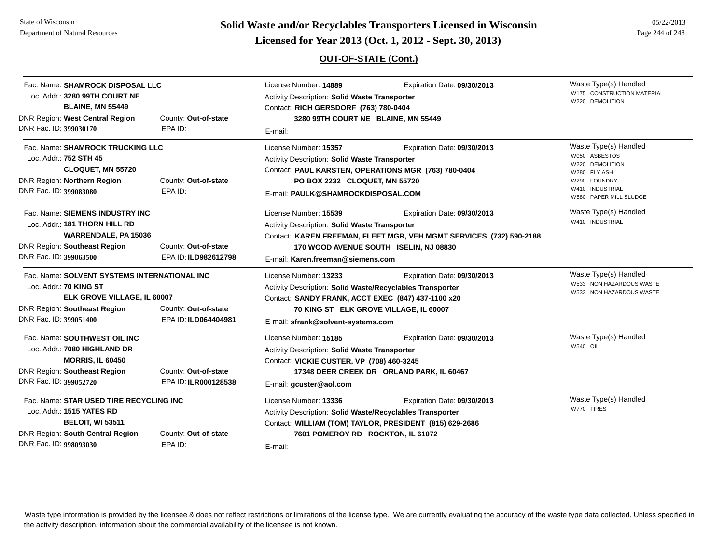**Page 244 of 248 <b>Licensed for Year 2013 (Oct. 1, 2012 - Sept. 30, 2013) Page 244 of 248 Licensed for Year 2013 (Oct. 1, 2012 - Sept. 30, 2013)** 

## **OUT-OF-STATE (Cont.)**

|                        | Fac. Name: SHAMROCK DISPOSAL LLC<br>Loc. Addr.: 3280 99TH COURT NE<br><b>BLAINE, MN 55449</b>                                                                   |                                              | License Number: 14889<br>Expiration Date: 09/30/2013<br>Activity Description: Solid Waste Transporter<br>Contact: RICH GERSDORF (763) 780-0404                                                                                                          |                                                                                        | Waste Type(s) Handled<br>W175 CONSTRUCTION MATERIAL<br>W220 DEMOLITION                                                 |  |
|------------------------|-----------------------------------------------------------------------------------------------------------------------------------------------------------------|----------------------------------------------|---------------------------------------------------------------------------------------------------------------------------------------------------------------------------------------------------------------------------------------------------------|----------------------------------------------------------------------------------------|------------------------------------------------------------------------------------------------------------------------|--|
| DNR Fac. ID: 399030170 | <b>DNR Region: West Central Region</b>                                                                                                                          | County: Out-of-state<br>EPA ID:              | 3280 99TH COURT NE BLAINE, MN 55449<br>E-mail:                                                                                                                                                                                                          |                                                                                        |                                                                                                                        |  |
| DNR Fac. ID: 399083080 | Fac. Name: SHAMROCK TRUCKING LLC<br>Loc. Addr.: 752 STH 45<br><b>CLOQUET, MN 55720</b><br><b>DNR Region: Northern Region</b><br>County: Out-of-state<br>EPA ID: |                                              | License Number: 15357<br>Expiration Date: 09/30/2013<br><b>Activity Description: Solid Waste Transporter</b><br>Contact: PAUL KARSTEN, OPERATIONS MGR (763) 780-0404<br>PO BOX 2232 CLOQUET, MN 55720<br>E-mail: PAULK@SHAMROCKDISPOSAL.COM             |                                                                                        | Waste Type(s) Handled<br>W050 ASBESTOS<br>W220 DEMOLITION<br>W280 FLY ASH<br><b>FOUNDRY</b><br>W290<br>W410 INDUSTRIAL |  |
|                        | Fac. Name: SIEMENS INDUSTRY INC<br>Loc. Addr.: 181 THORN HILL RD<br>WARRENDALE, PA 15036<br><b>DNR Region: Southeast Region</b>                                 | County: Out-of-state                         | License Number: 15539<br>Expiration Date: 09/30/2013<br>Activity Description: Solid Waste Transporter<br>Contact: KAREN FREEMAN, FLEET MGR, VEH MGMT SERVICES (732) 590-2188<br>170 WOOD AVENUE SOUTH ISELIN, NJ 08830                                  |                                                                                        | W580 PAPER MILL SLUDGE<br>Waste Type(s) Handled<br>W410 INDUSTRIAL                                                     |  |
| DNR Fac. ID: 399063500 |                                                                                                                                                                 | EPA ID: ILD982612798                         | E-mail: Karen.freeman@siemens.com                                                                                                                                                                                                                       |                                                                                        |                                                                                                                        |  |
| DNR Fac. ID: 399051400 | Fac. Name: SOLVENT SYSTEMS INTERNATIONAL INC<br>Loc. Addr.: 70 KING ST<br>ELK GROVE VILLAGE, IL 60007<br><b>DNR Region: Southeast Region</b>                    | County: Out-of-state<br>EPA ID: ILD064404981 | License Number: 13233<br>Expiration Date: 09/30/2013<br>Activity Description: Solid Waste/Recyclables Transporter<br>Contact: SANDY FRANK, ACCT EXEC (847) 437-1100 x20<br>70 KING ST ELK GROVE VILLAGE, IL 60007<br>E-mail: sfrank@solvent-systems.com |                                                                                        | Waste Type(s) Handled<br>W533 NON HAZARDOUS WASTE<br>W533 NON HAZARDOUS WASTE                                          |  |
| DNR Fac. ID: 399052720 | Fac. Name: SOUTHWEST OIL INC<br>Loc. Addr.: 7080 HIGHLAND DR<br><b>MORRIS, IL 60450</b><br><b>DNR Region: Southeast Region</b>                                  | County: Out-of-state<br>EPA ID: ILR000128538 | License Number: 15185<br><b>Activity Description: Solid Waste Transporter</b><br>Contact: VICKIE CUSTER, VP (708) 460-3245<br>E-mail: gcuster@aol.com                                                                                                   | Expiration Date: 09/30/2013<br>17348 DEER CREEK DR ORLAND PARK, IL 60467               | Waste Type(s) Handled<br>W540 OIL                                                                                      |  |
| DNR Fac. ID: 998093030 | Fac. Name: STAR USED TIRE RECYCLING INC<br>Loc. Addr.: 1515 YATES RD<br><b>BELOIT, WI 53511</b><br><b>DNR Region: South Central Region</b>                      | County: Out-of-state<br>EPA ID:              | License Number: 13336<br>Activity Description: Solid Waste/Recyclables Transporter<br>7601 POMEROY RD ROCKTON, IL 61072<br>E-mail:                                                                                                                      | Expiration Date: 09/30/2013<br>Contact: WILLIAM (TOM) TAYLOR, PRESIDENT (815) 629-2686 | Waste Type(s) Handled<br>W770 TIRES                                                                                    |  |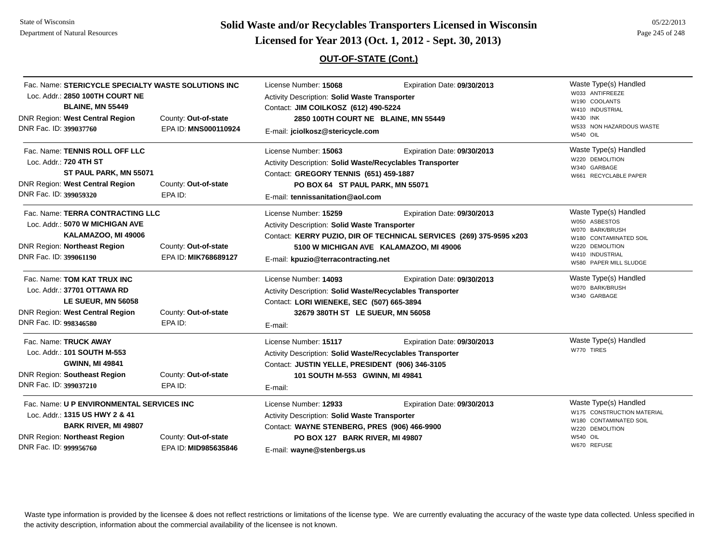# **Page 245 of 22/2013 Licensed for Year 2013 (Oct. 1, 2012 - Sept. 30, 2013) Page 245 of 248 Licensed for Year 2013 (Oct. 1, 2012 - Sept. 30, 2013)**

## **OUT-OF-STATE (Cont.)**

| Fac. Name: STERICYCLE SPECIALTY WASTE SOLUTIONS INC<br>Loc. Addr.: 2850 100TH COURT NE<br><b>BLAINE, MN 55449</b><br>DNR Region: West Central Region<br>DNR Fac. ID: 399037760                                              | County: Out-of-state<br>EPA ID: MNS000110924 | License Number: 15068<br>Activity Description: Solid Waste Transporter<br>Contact: JIM COILKOSZ (612) 490-5224<br>2850 100TH COURT NE BLAINE, MN 55449<br>E-mail: jciolkosz@stericycle.com           | Expiration Date: 09/30/2013                                                                                                                   | Waste Type(s) Handled<br>W033 ANTIFREEZE<br>W190 COOLANTS<br>W410 INDUSTRIAL<br>W430 INK<br>W533 NON HAZARDOUS WASTE<br><b>W540 OIL</b>             |
|-----------------------------------------------------------------------------------------------------------------------------------------------------------------------------------------------------------------------------|----------------------------------------------|------------------------------------------------------------------------------------------------------------------------------------------------------------------------------------------------------|-----------------------------------------------------------------------------------------------------------------------------------------------|-----------------------------------------------------------------------------------------------------------------------------------------------------|
| Fac. Name: TENNIS ROLL OFF LLC<br>Loc. Addr.: 720 4TH ST<br>ST PAUL PARK, MN 55071<br>DNR Region: West Central Region<br>DNR Fac. ID: 399059320                                                                             | County: Out-of-state<br>EPA ID:              | License Number: 15063<br>Activity Description: Solid Waste/Recyclables Transporter<br>Contact: GREGORY TENNIS (651) 459-1887<br>PO BOX 64 ST PAUL PARK, MN 55071<br>E-mail: tennissanitation@aol.com | Expiration Date: 09/30/2013                                                                                                                   | Waste Type(s) Handled<br>W220 DEMOLITION<br>W340 GARBAGE<br>W661 RECYCLABLE PAPER                                                                   |
| Fac. Name: TERRA CONTRACTING LLC<br>Loc. Addr.: 5070 W MICHIGAN AVE<br>KALAMAZOO, MI 49006<br>DNR Region: Northeast Region<br>DNR Fac. ID: 399061190                                                                        | County: Out-of-state<br>EPA ID: MIK768689127 | License Number: 15259<br>Activity Description: Solid Waste Transporter<br>E-mail: kpuzio@terracontracting.net                                                                                        | Expiration Date: 09/30/2013<br>Contact: KERRY PUZIO, DIR OF TECHNICAL SERVICES (269) 375-9595 x203<br>5100 W MICHIGAN AVE KALAMAZOO, MI 49006 | Waste Type(s) Handled<br>W050 ASBESTOS<br>W070 BARK/BRUSH<br>W180 CONTAMINATED SOIL<br>W220 DEMOLITION<br>W410 INDUSTRIAL<br>W580 PAPER MILL SLUDGE |
| Fac. Name: TOM KAT TRUX INC<br>Loc. Addr.: 37701 OTTAWA RD<br>LE SUEUR, MN 56058<br>DNR Region: West Central Region<br>DNR Fac. ID: 998346580                                                                               | County: Out-of-state<br>EPA ID:              | License Number: 14093<br>Activity Description: Solid Waste/Recyclables Transporter<br>Contact: LORI WIENEKE, SEC (507) 665-3894<br>32679 380TH ST LE SUEUR, MN 56058<br>E-mail:                      | Expiration Date: 09/30/2013                                                                                                                   | Waste Type(s) Handled<br>W070 BARK/BRUSH<br>W340 GARBAGE                                                                                            |
| Fac. Name: TRUCK AWAY<br>Loc. Addr.: 101 SOUTH M-553<br><b>GWINN, MI 49841</b><br><b>DNR Region: Southeast Region</b><br>DNR Fac. ID: 399037210                                                                             | County: Out-of-state<br>EPA ID:              | License Number: 15117<br>Activity Description: Solid Waste/Recyclables Transporter<br>Contact: JUSTIN YELLE, PRESIDENT (906) 346-3105<br>101 SOUTH M-553 GWINN, MI 49841<br>E-mail:                  | Expiration Date: 09/30/2013                                                                                                                   | Waste Type(s) Handled<br>W770 TIRES                                                                                                                 |
| Fac. Name: U P ENVIRONMENTAL SERVICES INC<br>Loc. Addr.: 1315 US HWY 2 & 41<br><b>BARK RIVER, MI 49807</b><br><b>DNR Region: Northeast Region</b><br>County: Out-of-state<br>DNR Fac. ID: 999956760<br>EPA ID: MID985635846 |                                              | License Number: 12933<br><b>Activity Description: Solid Waste Transporter</b><br>Contact: WAYNE STENBERG, PRES (906) 466-9900<br>PO BOX 127 BARK RIVER, MI 49807<br>E-mail: wayne@stenbergs.us       | Expiration Date: 09/30/2013                                                                                                                   | Waste Type(s) Handled<br>W175 CONSTRUCTION MATERIAL<br>W180 CONTAMINATED SOIL<br>W220 DEMOLITION<br><b>W540 OIL</b><br>W670 REFUSE                  |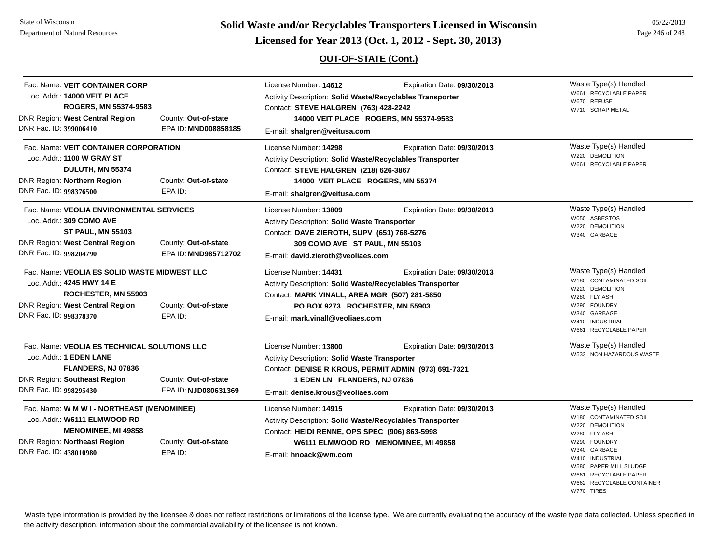State of Wisconsin Department of Natural Resources

# **Page 246 of 248 <b>Licensed for Year 2013 (Oct. 1, 2012 - Sept. 30, 2013) Page 246 of 248 Licensed for Year 2013 (Oct. 1, 2012 - Sept. 30, 2013)**

## **OUT-OF-STATE (Cont.)**

| Fac. Name: VEIT CONTAINER CORP<br>Loc. Addr.: 14000 VEIT PLACE<br>ROGERS, MN 55374-9583<br><b>DNR Region: West Central Region</b>                                           | County: Out-of-state                         | License Number: 14612<br>Expiration Date: 09/30/2013<br>Activity Description: Solid Waste/Recyclables Transporter<br>Contact: STEVE HALGREN (763) 428-2242<br>14000 VEIT PLACE ROGERS, MN 55374-9583                        |                                                                     | Waste Type(s) Handled<br>W661 RECYCLABLE PAPER<br>W670 REFUSE<br>W710 SCRAP METAL                                                                                                                                     |
|-----------------------------------------------------------------------------------------------------------------------------------------------------------------------------|----------------------------------------------|-----------------------------------------------------------------------------------------------------------------------------------------------------------------------------------------------------------------------------|---------------------------------------------------------------------|-----------------------------------------------------------------------------------------------------------------------------------------------------------------------------------------------------------------------|
| DNR Fac. ID: 399006410                                                                                                                                                      | EPA ID: MND008858185                         | E-mail: shalgren@veitusa.com                                                                                                                                                                                                |                                                                     |                                                                                                                                                                                                                       |
| Fac. Name: VEIT CONTAINER CORPORATION<br>Loc. Addr.: 1100 W GRAY ST<br>DULUTH, MN 55374<br><b>DNR Region: Northern Region</b><br>DNR Fac. ID: 998376500                     | County: Out-of-state<br>EPA ID:              | License Number: 14298<br>Activity Description: Solid Waste/Recyclables Transporter<br>Contact: STEVE HALGREN (218) 626-3867<br>14000 VEIT PLACE ROGERS, MN 55374<br>E-mail: shalgren@veitusa.com                            | Expiration Date: 09/30/2013                                         | Waste Type(s) Handled<br>W220 DEMOLITION<br>W661 RECYCLABLE PAPER                                                                                                                                                     |
| Fac. Name: VEOLIA ENVIRONMENTAL SERVICES<br>Loc. Addr.: 309 COMO AVE<br><b>ST PAUL, MN 55103</b><br>DNR Region: West Central Region<br>DNR Fac. ID: 998204790               | County: Out-of-state<br>EPA ID: MND985712702 | License Number: 13809<br>Expiration Date: 09/30/2013<br>Activity Description: Solid Waste Transporter<br>Contact: DAVE ZIEROTH, SUPV (651) 768-5276<br>309 COMO AVE ST PAUL, MN 55103<br>E-mail: david.zieroth@veoliaes.com |                                                                     | Waste Type(s) Handled<br>W050 ASBESTOS<br>W220 DEMOLITION<br>W340 GARBAGE                                                                                                                                             |
| Fac. Name: VEOLIA ES SOLID WASTE MIDWEST LLC<br>Loc. Addr.: 4245 HWY 14 E<br><b>ROCHESTER, MN 55903</b><br><b>DNR Region: West Central Region</b><br>DNR Fac. ID: 998378370 | County: Out-of-state<br>EPA ID:              | License Number: 14431<br>Activity Description: Solid Waste/Recyclables Transporter<br>Contact: MARK VINALL, AREA MGR (507) 281-5850<br>PO BOX 9273 ROCHESTER, MN 55903<br>E-mail: mark.vinall@veoliaes.com                  | Expiration Date: 09/30/2013                                         | Waste Type(s) Handled<br>W180 CONTAMINATED SOIL<br>W220 DEMOLITION<br>W280 FLY ASH<br>W290 FOUNDRY<br>W340 GARBAGE<br>W410 INDUSTRIAL<br>W661 RECYCLABLE PAPER                                                        |
| Fac. Name: VEOLIA ES TECHNICAL SOLUTIONS LLC<br>Loc. Addr.: 1 EDEN LANE<br>FLANDERS, NJ 07836<br>DNR Region: Southeast Region<br>DNR Fac. ID: 998295430                     | County: Out-of-state<br>EPA ID: NJD080631369 | License Number: 13800<br>Activity Description: Solid Waste Transporter<br>Contact: DENISE R KROUS, PERMIT ADMIN (973) 691-7321<br>1 EDEN LN FLANDERS, NJ 07836<br>E-mail: denise.krous@veoliaes.com                         | Expiration Date: 09/30/2013                                         | Waste Type(s) Handled<br>W533 NON HAZARDOUS WASTE                                                                                                                                                                     |
| Fac. Name: W M W I - NORTHEAST (MENOMINEE)<br>Loc. Addr.: W6111 ELMWOOD RD<br><b>MENOMINEE, MI 49858</b><br><b>DNR Region: Northeast Region</b><br>DNR Fac. ID: 438010980   | County: Out-of-state<br>EPA ID:              | License Number: 14915<br>Activity Description: Solid Waste/Recyclables Transporter<br>Contact: HEIDI RENNE, OPS SPEC (906) 863-5998<br>E-mail: hnoack@wm.com                                                                | Expiration Date: 09/30/2013<br>W6111 ELMWOOD RD MENOMINEE, MI 49858 | Waste Type(s) Handled<br>W180 CONTAMINATED SOIL<br>W220 DEMOLITION<br>W280 FLY ASH<br>W290 FOUNDRY<br>W340 GARBAGE<br>W410 INDUSTRIAL<br>W580 PAPER MILL SLUDGE<br>W661 RECYCLABLE PAPER<br>W662 RECYCLABLE CONTAINER |

W770 TIRES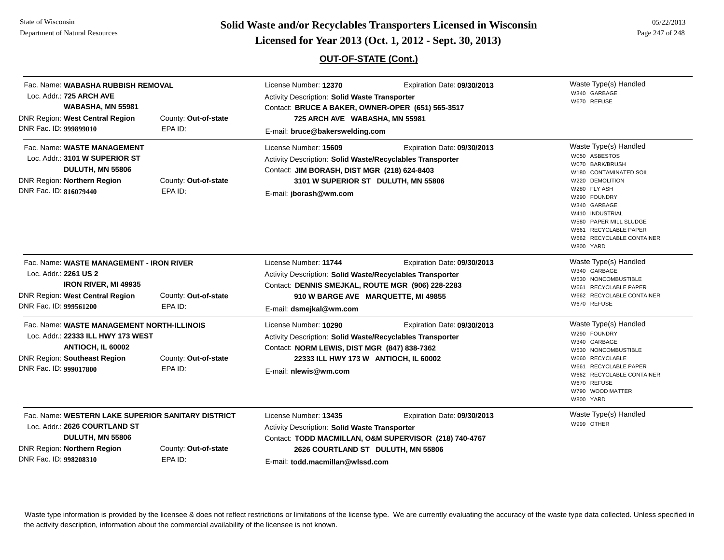**Page 247 of 248 <b>Licensed for Year 2013 (Oct. 1, 2012 - Sept. 30, 2013) Page 247 of 248 Licensed for Year 2013 (Oct. 1, 2012 - Sept. 30, 2013)** 

## **OUT-OF-STATE (Cont.)**

| Fac. Name: WABASHA RUBBISH REMOVAL<br>Loc. Addr.: 725 ARCH AVE<br>WABASHA, MN 55981<br>DNR Region: West Central Region<br>DNR Fac. ID: 999899010                                                           | County: Out-of-state<br>EPA ID: | License Number: 12370<br>Expiration Date: 09/30/2013<br>Activity Description: Solid Waste Transporter<br>Contact: BRUCE A BAKER, OWNER-OPER (651) 565-3517<br>725 ARCH AVE WABASHA, MN 55981<br>E-mail: bruce@bakerswelding.com |                                                                                       | Waste Type(s) Handled<br>W340 GARBAGE<br>W670 REFUSE                                                                                                                                                                                                                   |
|------------------------------------------------------------------------------------------------------------------------------------------------------------------------------------------------------------|---------------------------------|---------------------------------------------------------------------------------------------------------------------------------------------------------------------------------------------------------------------------------|---------------------------------------------------------------------------------------|------------------------------------------------------------------------------------------------------------------------------------------------------------------------------------------------------------------------------------------------------------------------|
| Fac. Name: WASTE MANAGEMENT<br>Loc. Addr.: 3101 W SUPERIOR ST<br>DULUTH, MN 55806<br>DNR Region: Northern Region<br>DNR Fac. ID: 816079440                                                                 | County: Out-of-state<br>EPA ID: | License Number: 15609<br><b>Activity Description: Solid Waste/Recyclables Transporter</b><br>Contact: JIM BORASH, DIST MGR (218) 624-8403<br>3101 W SUPERIOR ST DULUTH, MN 55806<br>E-mail: jborash@wm.com                      | Expiration Date: 09/30/2013                                                           | Waste Type(s) Handled<br>W050 ASBESTOS<br>W070 BARK/BRUSH<br>W180 CONTAMINATED SOIL<br>W220 DEMOLITION<br>W280 FLY ASH<br>W290 FOUNDRY<br>W340 GARBAGE<br>W410 INDUSTRIAL<br>W580 PAPER MILL SLUDGE<br>W661 RECYCLABLE PAPER<br>W662 RECYCLABLE CONTAINER<br>W800 YARD |
| Fac. Name: WASTE MANAGEMENT - IRON RIVER<br>Loc. Addr.: 2261 US 2<br><b>IRON RIVER, MI 49935</b><br>DNR Region: West Central Region<br>County: Out-of-state<br>DNR Fac. ID: 999561200<br>EPA ID:           |                                 | License Number: 11744<br><b>Activity Description: Solid Waste/Recyclables Transporter</b><br>Contact: DENNIS SMEJKAL, ROUTE MGR (906) 228-2283<br>910 W BARGE AVE MARQUETTE, MI 49855<br>E-mail: dsmejkal@wm.com                | Expiration Date: 09/30/2013                                                           | Waste Type(s) Handled<br>W340 GARBAGE<br>W530 NONCOMBUSTIBLE<br>W661 RECYCLABLE PAPER<br>W662 RECYCLABLE CONTAINER<br>W670 REFUSE                                                                                                                                      |
| Fac. Name: WASTE MANAGEMENT NORTH-ILLINOIS<br>Loc. Addr.: 22333 ILL HWY 173 WEST<br>ANTIOCH, IL 60002<br><b>DNR Region: Southeast Region</b><br>DNR Fac. ID: 999017800                                     | County: Out-of-state<br>EPA ID: | License Number: 10290<br>Activity Description: Solid Waste/Recyclables Transporter<br>Contact: NORM LEWIS, DIST MGR (847) 838-7362<br>22333 ILL HWY 173 W ANTIOCH, IL 60002<br>E-mail: nlewis@wm.com                            | Expiration Date: 09/30/2013                                                           | Waste Type(s) Handled<br>W290 FOUNDRY<br>W340 GARBAGE<br>W530 NONCOMBUSTIBLE<br>W660 RECYCLABLE<br>W661 RECYCLABLE PAPER<br>W662 RECYCLABLE CONTAINER<br>W670 REFUSE<br>W790 WOOD MATTER<br>W800 YARD                                                                  |
| Fac. Name: WESTERN LAKE SUPERIOR SANITARY DISTRICT<br>Loc. Addr.: 2626 COURTLAND ST<br>DULUTH, MN 55806<br><b>DNR Region: Northern Region</b><br>County: Out-of-state<br>DNR Fac. ID: 998208310<br>EPA ID: |                                 | License Number: 13435<br><b>Activity Description: Solid Waste Transporter</b><br>2626 COURTLAND ST DULUTH, MN 55806<br>E-mail: todd.macmillan@wlssd.com                                                                         | Expiration Date: 09/30/2013<br>Contact: TODD MACMILLAN, O&M SUPERVISOR (218) 740-4767 | Waste Type(s) Handled<br>W999 OTHER                                                                                                                                                                                                                                    |